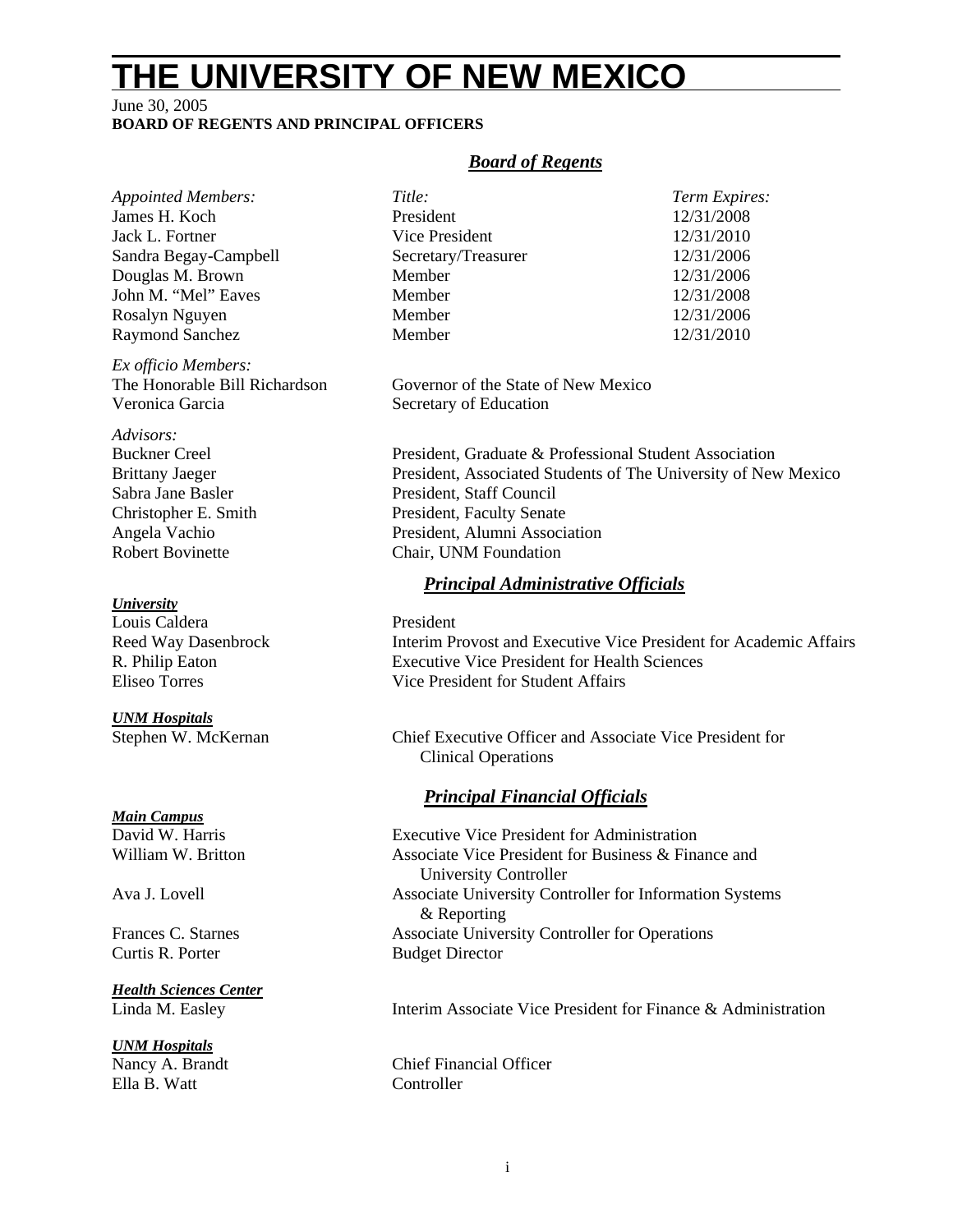### June 30, 2005 **BOARD OF REGENTS AND PRINCIPAL OFFICERS**

### *Board of Regents*

| <b>Appointed Members:</b> |
|---------------------------|
| James H. Koch             |
| Jack L. Fortner           |
| Sandra Begay-Campbell     |
| Douglas M. Brown          |
| John M. "Mel" Eaves       |
| Rosalyn Nguyen            |
| <b>Raymond Sanchez</b>    |

*Ex officio Members:*  Veronica Garcia Secretary of Education

*Advisors:* 

#### *University*

Louis Caldera President

## *UNM Hospitals*

#### *Main Campus*

**Curtis R. Porter Budget Director** 

*Health Sciences Center*

*UNM Hospitals* Ella B. Watt Controller

|                                              | 12/31/2008 |
|----------------------------------------------|------------|
| James H. Koch<br>President                   |            |
| Jack L. Fortner<br>Vice President            | 12/31/2010 |
| Sandra Begay-Campbell<br>Secretary/Treasurer | 12/31/2006 |
| Douglas M. Brown<br>Member                   | 12/31/2006 |
| John M. "Mel" Eaves<br>Member                | 12/31/2008 |
| Rosalyn Nguyen<br>Member                     | 12/31/2006 |
| <b>Raymond Sanchez</b><br>Member             | 12/31/2010 |

The Honorable Bill Richardson Governor of the State of New Mexico

Buckner Creel President, Graduate & Professional Student Association Brittany Jaeger President, Associated Students of The University of New Mexico Sabra Jane Basler President, Staff Council Christopher E. Smith President, Faculty Senate Angela Vachio President, Alumni Association Robert Bovinette Chair, UNM Foundation

### *Principal Administrative Officials*

Reed Way Dasenbrock Interim Provost and Executive Vice President for Academic Affairs R. Philip Eaton Executive Vice President for Health Sciences Eliseo Torres Vice President for Student Affairs

Stephen W. McKernan Chief Executive Officer and Associate Vice President for Clinical Operations

## *Principal Financial Officials*

David W. Harris Executive Vice President for Administration William W. Britton **Associate Vice President for Business & Finance and**  University Controller Ava J. Lovell Associate University Controller for Information Systems & Reporting Frances C. Starnes Associate University Controller for Operations

Linda M. Easley Interim Associate Vice President for Finance & Administration

Nancy A. Brandt Chief Financial Officer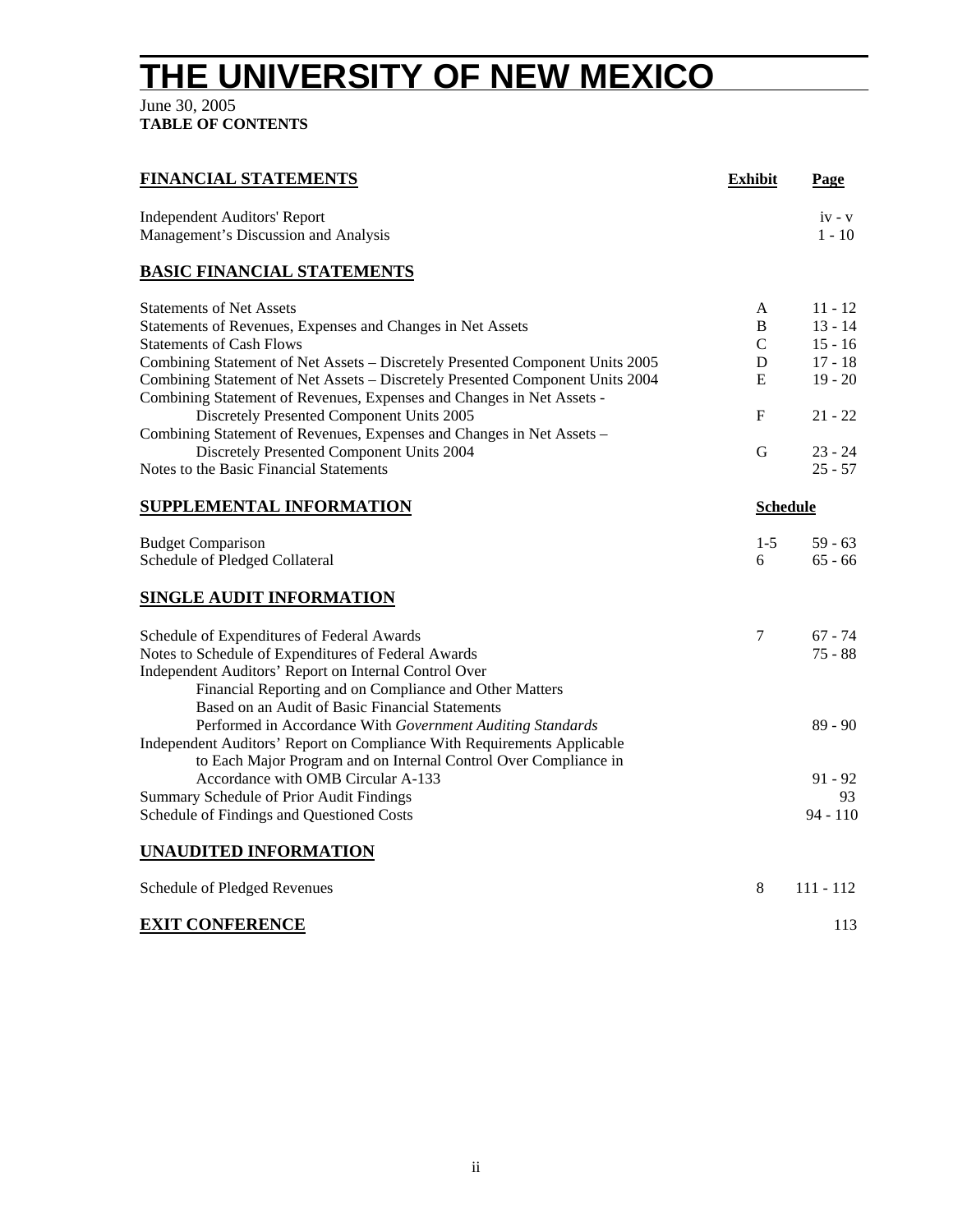June 30, 2005 **TABLE OF CONTENTS** 

| <b>FINANCIAL STATEMENTS</b>                                                                                                                                                                                                                                                                                                                                                 | <b>Exhibit</b>                     | Page                                                          |
|-----------------------------------------------------------------------------------------------------------------------------------------------------------------------------------------------------------------------------------------------------------------------------------------------------------------------------------------------------------------------------|------------------------------------|---------------------------------------------------------------|
| <b>Independent Auditors' Report</b><br>Management's Discussion and Analysis                                                                                                                                                                                                                                                                                                 |                                    | $iv - v$<br>$1 - 10$                                          |
| <b>BASIC FINANCIAL STATEMENTS</b>                                                                                                                                                                                                                                                                                                                                           |                                    |                                                               |
| <b>Statements of Net Assets</b><br>Statements of Revenues, Expenses and Changes in Net Assets<br><b>Statements of Cash Flows</b><br>Combining Statement of Net Assets - Discretely Presented Component Units 2005<br>Combining Statement of Net Assets - Discretely Presented Component Units 2004<br>Combining Statement of Revenues, Expenses and Changes in Net Assets - | A<br>B<br>$\overline{C}$<br>D<br>Е | $11 - 12$<br>$13 - 14$<br>$15 - 16$<br>$17 - 18$<br>$19 - 20$ |
| Discretely Presented Component Units 2005                                                                                                                                                                                                                                                                                                                                   | F                                  | $21 - 22$                                                     |
| Combining Statement of Revenues, Expenses and Changes in Net Assets -<br>Discretely Presented Component Units 2004<br>Notes to the Basic Financial Statements                                                                                                                                                                                                               | G                                  | $23 - 24$<br>$25 - 57$                                        |
| <b>SUPPLEMENTAL INFORMATION</b>                                                                                                                                                                                                                                                                                                                                             | <b>Schedule</b>                    |                                                               |
| <b>Budget Comparison</b><br>Schedule of Pledged Collateral                                                                                                                                                                                                                                                                                                                  | $1 - 5$<br>6                       | $59 - 63$<br>$65 - 66$                                        |
| <b>SINGLE AUDIT INFORMATION</b>                                                                                                                                                                                                                                                                                                                                             |                                    |                                                               |
| Schedule of Expenditures of Federal Awards<br>Notes to Schedule of Expenditures of Federal Awards<br>Independent Auditors' Report on Internal Control Over<br>Financial Reporting and on Compliance and Other Matters<br>Based on an Audit of Basic Financial Statements                                                                                                    | $\overline{7}$                     | 67 - 74<br>$75 - 88$                                          |
| Performed in Accordance With Government Auditing Standards<br>Independent Auditors' Report on Compliance With Requirements Applicable<br>to Each Major Program and on Internal Control Over Compliance in                                                                                                                                                                   |                                    | $89 - 90$                                                     |
| Accordance with OMB Circular A-133<br>Summary Schedule of Prior Audit Findings<br>Schedule of Findings and Questioned Costs                                                                                                                                                                                                                                                 |                                    | $91 - 92$<br>93<br>94 - 110                                   |
| <b>UNAUDITED INFORMATION</b>                                                                                                                                                                                                                                                                                                                                                |                                    |                                                               |
| Schedule of Pledged Revenues                                                                                                                                                                                                                                                                                                                                                | 8                                  | $111 - 112$                                                   |
| <b>EXIT CONFERENCE</b>                                                                                                                                                                                                                                                                                                                                                      |                                    | 113                                                           |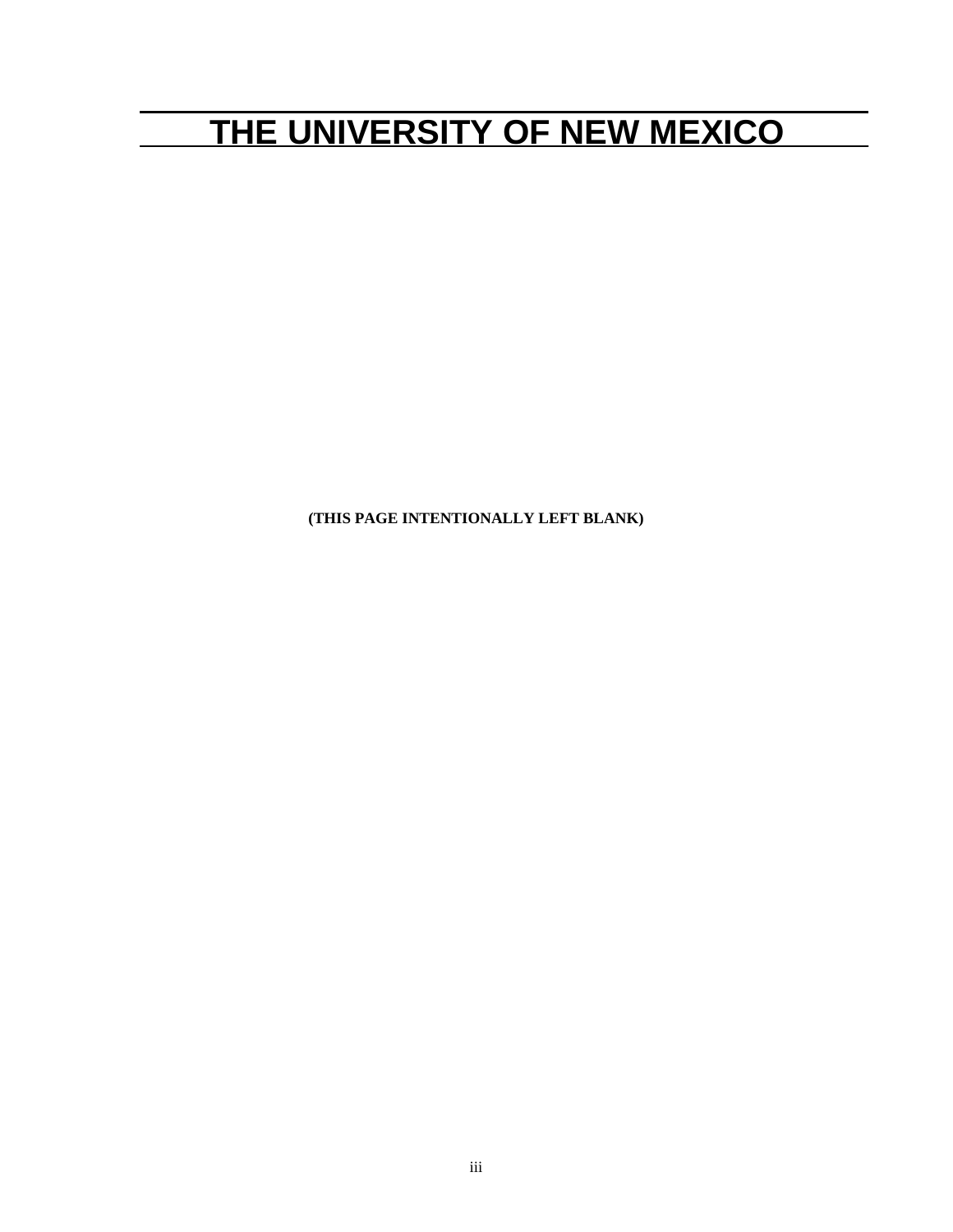**(THIS PAGE INTENTIONALLY LEFT BLANK)**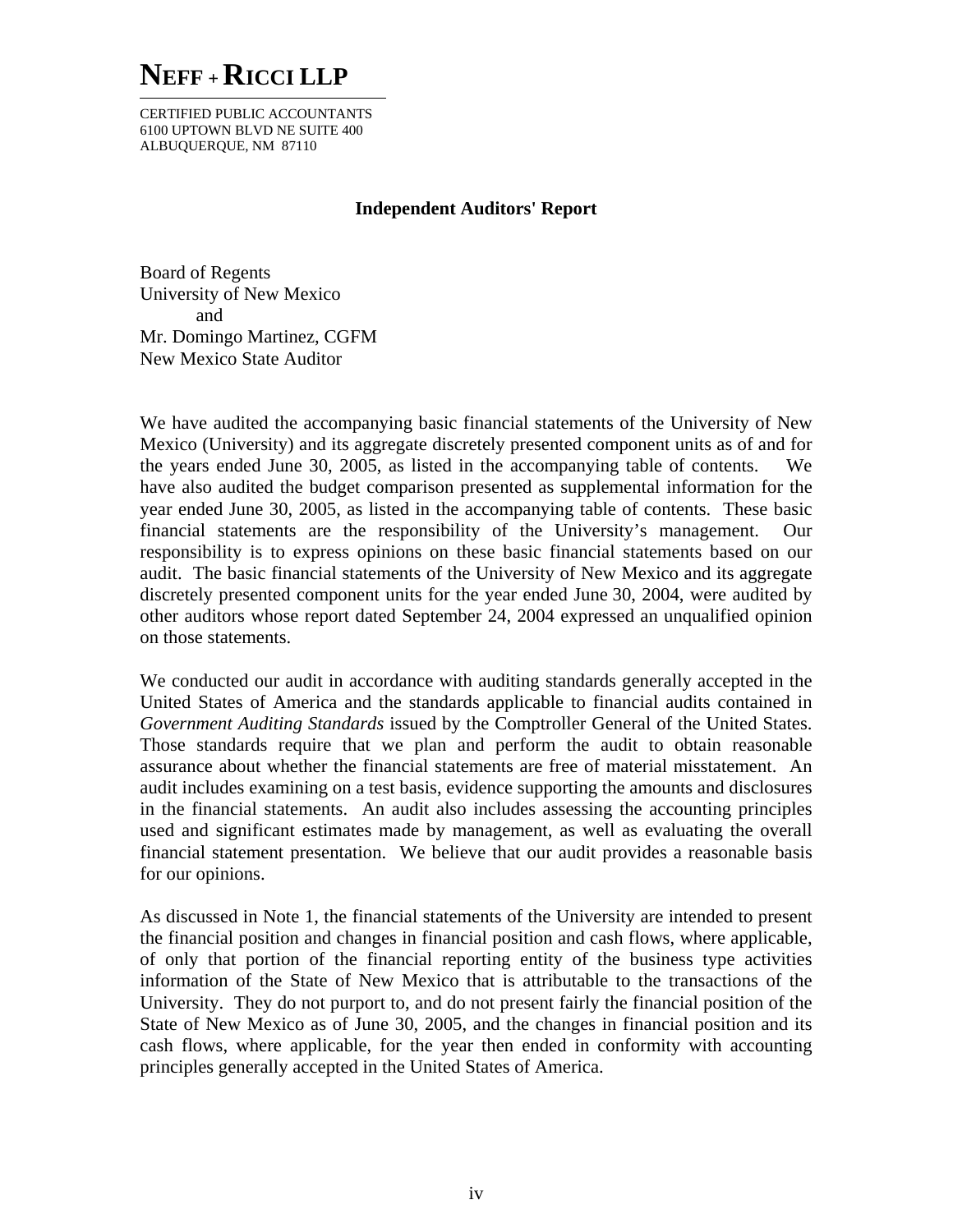# **NEFF + RICCI LLP**

CERTIFIED PUBLIC ACCOUNTANTS 6100 UPTOWN BLVD NE SUITE 400 ALBUQUERQUE, NM 87110

#### **Independent Auditors' Report**

Board of Regents University of New Mexico and Mr. Domingo Martinez, CGFM New Mexico State Auditor

We have audited the accompanying basic financial statements of the University of New Mexico (University) and its aggregate discretely presented component units as of and for the years ended June 30, 2005, as listed in the accompanying table of contents. We have also audited the budget comparison presented as supplemental information for the year ended June 30, 2005, as listed in the accompanying table of contents. These basic financial statements are the responsibility of the University's management. Our responsibility is to express opinions on these basic financial statements based on our audit. The basic financial statements of the University of New Mexico and its aggregate discretely presented component units for the year ended June 30, 2004, were audited by other auditors whose report dated September 24, 2004 expressed an unqualified opinion on those statements.

We conducted our audit in accordance with auditing standards generally accepted in the United States of America and the standards applicable to financial audits contained in *Government Auditing Standards* issued by the Comptroller General of the United States. Those standards require that we plan and perform the audit to obtain reasonable assurance about whether the financial statements are free of material misstatement. An audit includes examining on a test basis, evidence supporting the amounts and disclosures in the financial statements. An audit also includes assessing the accounting principles used and significant estimates made by management, as well as evaluating the overall financial statement presentation. We believe that our audit provides a reasonable basis for our opinions.

As discussed in Note 1, the financial statements of the University are intended to present the financial position and changes in financial position and cash flows, where applicable, of only that portion of the financial reporting entity of the business type activities information of the State of New Mexico that is attributable to the transactions of the University. They do not purport to, and do not present fairly the financial position of the State of New Mexico as of June 30, 2005, and the changes in financial position and its cash flows, where applicable, for the year then ended in conformity with accounting principles generally accepted in the United States of America.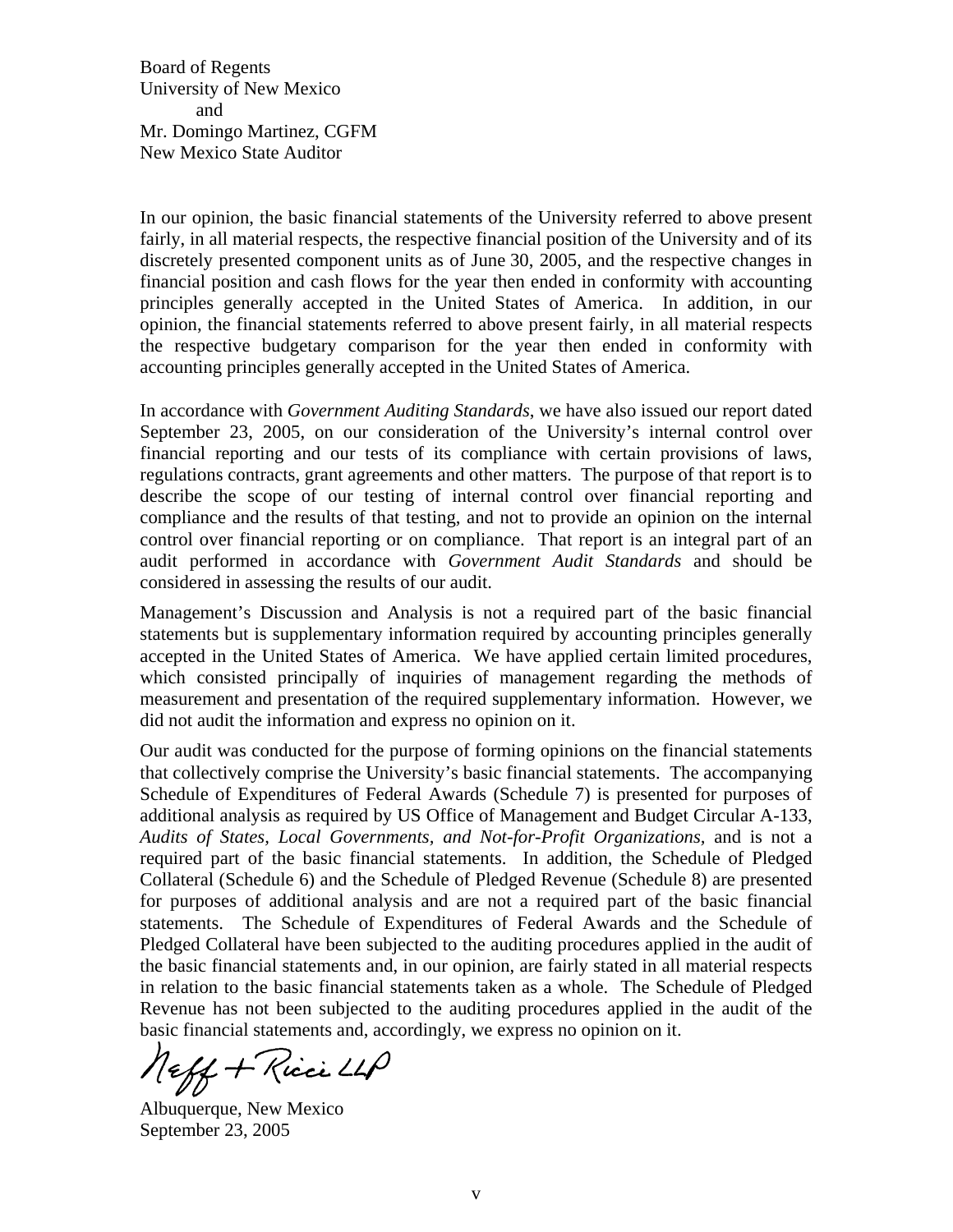Board of Regents University of New Mexico and Mr. Domingo Martinez, CGFM New Mexico State Auditor

In our opinion, the basic financial statements of the University referred to above present fairly, in all material respects, the respective financial position of the University and of its discretely presented component units as of June 30, 2005, and the respective changes in financial position and cash flows for the year then ended in conformity with accounting principles generally accepted in the United States of America. In addition, in our opinion, the financial statements referred to above present fairly, in all material respects the respective budgetary comparison for the year then ended in conformity with accounting principles generally accepted in the United States of America.

In accordance with *Government Auditing Standards*, we have also issued our report dated September 23, 2005, on our consideration of the University's internal control over financial reporting and our tests of its compliance with certain provisions of laws, regulations contracts, grant agreements and other matters. The purpose of that report is to describe the scope of our testing of internal control over financial reporting and compliance and the results of that testing, and not to provide an opinion on the internal control over financial reporting or on compliance. That report is an integral part of an audit performed in accordance with *Government Audit Standards* and should be considered in assessing the results of our audit.

Management's Discussion and Analysis is not a required part of the basic financial statements but is supplementary information required by accounting principles generally accepted in the United States of America. We have applied certain limited procedures, which consisted principally of inquiries of management regarding the methods of measurement and presentation of the required supplementary information. However, we did not audit the information and express no opinion on it.

Our audit was conducted for the purpose of forming opinions on the financial statements that collectively comprise the University's basic financial statements. The accompanying Schedule of Expenditures of Federal Awards (Schedule 7) is presented for purposes of additional analysis as required by US Office of Management and Budget Circular A-133, *Audits of States, Local Governments, and Not-for-Profit Organizations,* and is not a required part of the basic financial statements. In addition, the Schedule of Pledged Collateral (Schedule 6) and the Schedule of Pledged Revenue (Schedule 8) are presented for purposes of additional analysis and are not a required part of the basic financial statements. The Schedule of Expenditures of Federal Awards and the Schedule of Pledged Collateral have been subjected to the auditing procedures applied in the audit of the basic financial statements and, in our opinion, are fairly stated in all material respects in relation to the basic financial statements taken as a whole. The Schedule of Pledged Revenue has not been subjected to the auditing procedures applied in the audit of the basic financial statements and, accordingly, we express no opinion on it.

Neff + Ricci LLP

Albuquerque, New Mexico September 23, 2005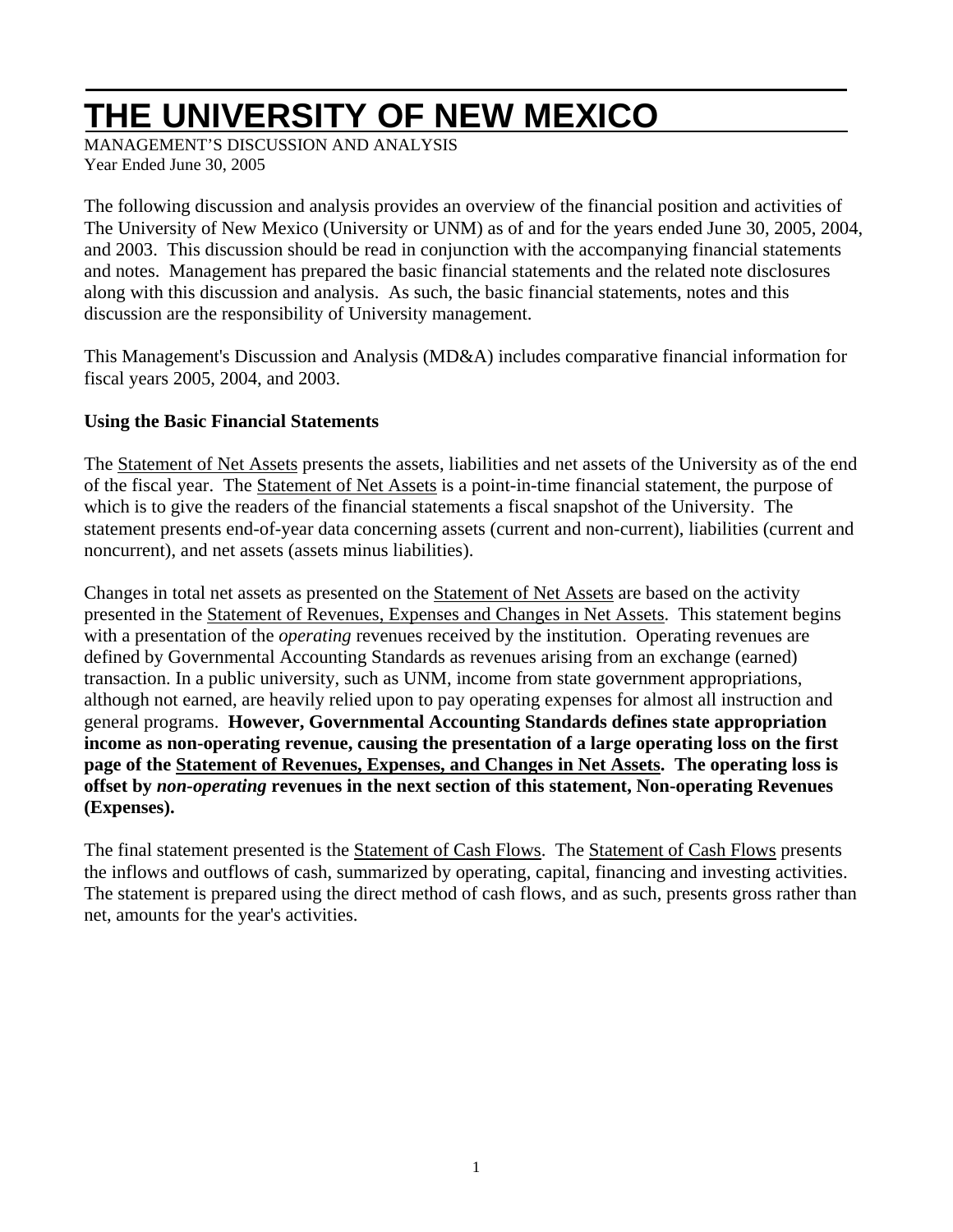MANAGEMENT'S DISCUSSION AND ANALYSIS Year Ended June 30, 2005

The following discussion and analysis provides an overview of the financial position and activities of The University of New Mexico (University or UNM) as of and for the years ended June 30, 2005, 2004, and 2003. This discussion should be read in conjunction with the accompanying financial statements and notes. Management has prepared the basic financial statements and the related note disclosures along with this discussion and analysis. As such, the basic financial statements, notes and this discussion are the responsibility of University management.

This Management's Discussion and Analysis (MD&A) includes comparative financial information for fiscal years 2005, 2004, and 2003.

### **Using the Basic Financial Statements**

The Statement of Net Assets presents the assets, liabilities and net assets of the University as of the end of the fiscal year. The Statement of Net Assets is a point-in-time financial statement, the purpose of which is to give the readers of the financial statements a fiscal snapshot of the University. The statement presents end-of-year data concerning assets (current and non-current), liabilities (current and noncurrent), and net assets (assets minus liabilities).

Changes in total net assets as presented on the Statement of Net Assets are based on the activity presented in the Statement of Revenues, Expenses and Changes in Net Assets. This statement begins with a presentation of the *operating* revenues received by the institution. Operating revenues are defined by Governmental Accounting Standards as revenues arising from an exchange (earned) transaction. In a public university, such as UNM, income from state government appropriations, although not earned, are heavily relied upon to pay operating expenses for almost all instruction and general programs. **However, Governmental Accounting Standards defines state appropriation income as non-operating revenue, causing the presentation of a large operating loss on the first page of the Statement of Revenues, Expenses, and Changes in Net Assets. The operating loss is offset by** *non-operating* **revenues in the next section of this statement, Non-operating Revenues (Expenses).** 

The final statement presented is the Statement of Cash Flows. The Statement of Cash Flows presents the inflows and outflows of cash, summarized by operating, capital, financing and investing activities. The statement is prepared using the direct method of cash flows, and as such, presents gross rather than net, amounts for the year's activities.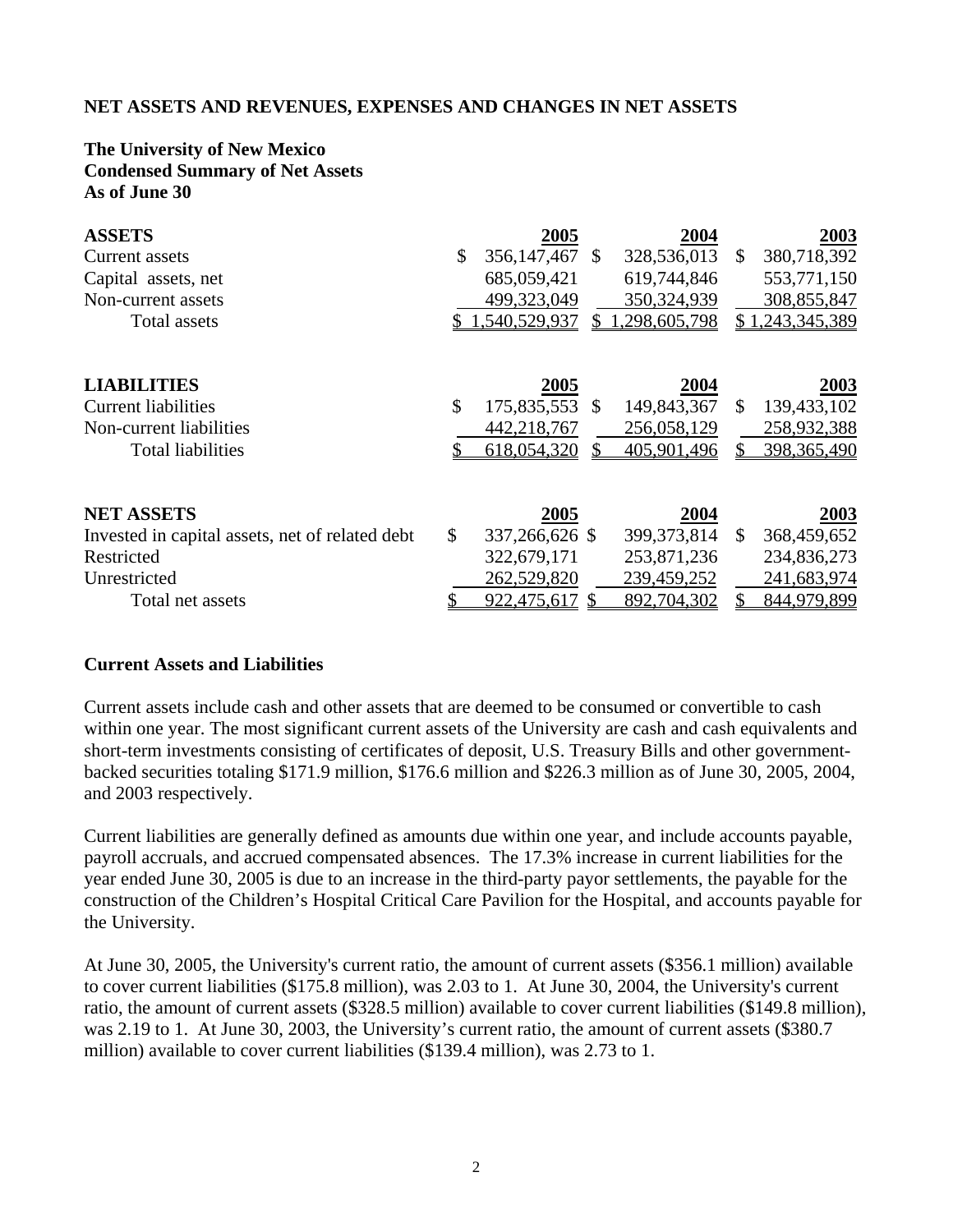#### **NET ASSETS AND REVENUES, EXPENSES AND CHANGES IN NET ASSETS**

#### **The University of New Mexico Condensed Summary of Net Assets As of June 30**

| <b>ASSETS</b><br>Current assets<br>Capital assets, net<br>Non-current assets<br>Total assets                           | \$           | 2005<br>356, 147, 467<br>685,059,421<br>499,323,049<br>.540,529,937    | \$<br>S.      | 2004<br>328,536,013<br>619,744,846<br>350,324,939<br>1,298,605,798 | <sup>\$</sup> | 2003<br>380,718,392<br>553,771,150<br>308,855,847<br>\$1,243,345,389 |
|------------------------------------------------------------------------------------------------------------------------|--------------|------------------------------------------------------------------------|---------------|--------------------------------------------------------------------|---------------|----------------------------------------------------------------------|
| <b>LIABILITIES</b><br><b>Current liabilities</b><br>Non-current liabilities<br><b>Total liabilities</b>                | \$           | 2005<br>175,835,553<br>442,218,767<br>618,054,320                      | <sup>\$</sup> | 2004<br>149,843,367<br>256,058,129<br>405,901,496                  | \$.           | 2003<br>139,433,102<br>258,932,388<br>398,365,490                    |
| <b>NET ASSETS</b><br>Invested in capital assets, net of related debt<br>Restricted<br>Unrestricted<br>Total net assets | $\mathbb{S}$ | 2005<br>337,266,626 \$<br>322,679,171<br>262,529,820<br>922,475,617 \$ |               | 2004<br>399, 373, 814<br>253,871,236<br>239,459,252<br>892,704,302 | <sup>\$</sup> | 2003<br>368,459,652<br>234,836,273<br>241,683,974<br>844,979,899     |

#### **Current Assets and Liabilities**

Current assets include cash and other assets that are deemed to be consumed or convertible to cash within one year. The most significant current assets of the University are cash and cash equivalents and short-term investments consisting of certificates of deposit, U.S. Treasury Bills and other governmentbacked securities totaling \$171.9 million, \$176.6 million and \$226.3 million as of June 30, 2005, 2004, and 2003 respectively.

Current liabilities are generally defined as amounts due within one year, and include accounts payable, payroll accruals, and accrued compensated absences. The 17.3% increase in current liabilities for the year ended June 30, 2005 is due to an increase in the third-party payor settlements, the payable for the construction of the Children's Hospital Critical Care Pavilion for the Hospital, and accounts payable for the University.

At June 30, 2005, the University's current ratio, the amount of current assets (\$356.1 million) available to cover current liabilities (\$175.8 million), was 2.03 to 1. At June 30, 2004, the University's current ratio, the amount of current assets (\$328.5 million) available to cover current liabilities (\$149.8 million), was 2.19 to 1. At June 30, 2003, the University's current ratio, the amount of current assets (\$380.7 million) available to cover current liabilities (\$139.4 million), was 2.73 to 1.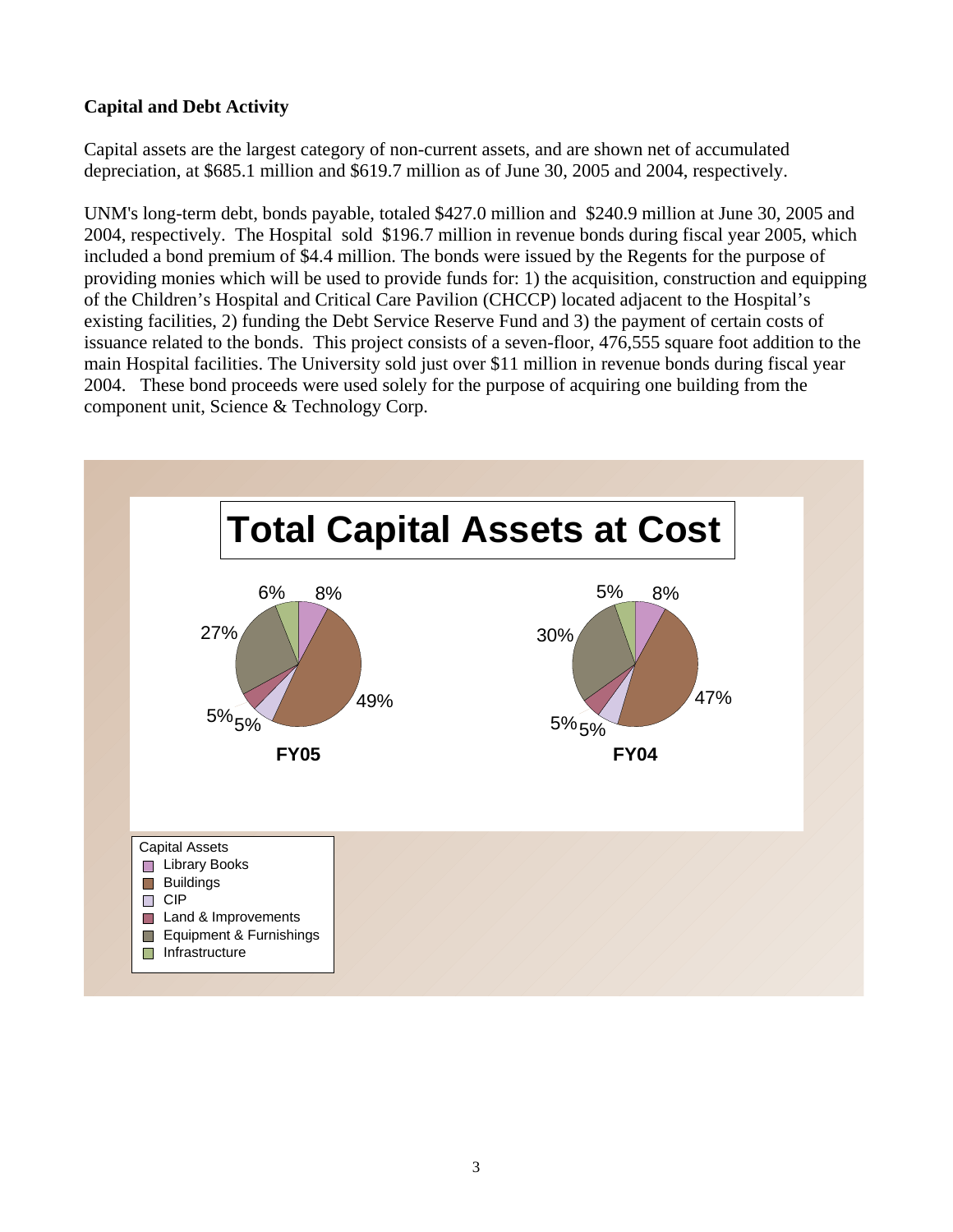### **Capital and Debt Activity**

Capital assets are the largest category of non-current assets, and are shown net of accumulated depreciation, at \$685.1 million and \$619.7 million as of June 30, 2005 and 2004, respectively.

UNM's long-term debt, bonds payable, totaled \$427.0 million and \$240.9 million at June 30, 2005 and 2004, respectively. The Hospital sold \$196.7 million in revenue bonds during fiscal year 2005, which included a bond premium of \$4.4 million. The bonds were issued by the Regents for the purpose of providing monies which will be used to provide funds for: 1) the acquisition, construction and equipping of the Children's Hospital and Critical Care Pavilion (CHCCP) located adjacent to the Hospital's existing facilities, 2) funding the Debt Service Reserve Fund and 3) the payment of certain costs of issuance related to the bonds. This project consists of a seven-floor, 476,555 square foot addition to the main Hospital facilities. The University sold just over \$11 million in revenue bonds during fiscal year 2004. These bond proceeds were used solely for the purpose of acquiring one building from the component unit, Science & Technology Corp.

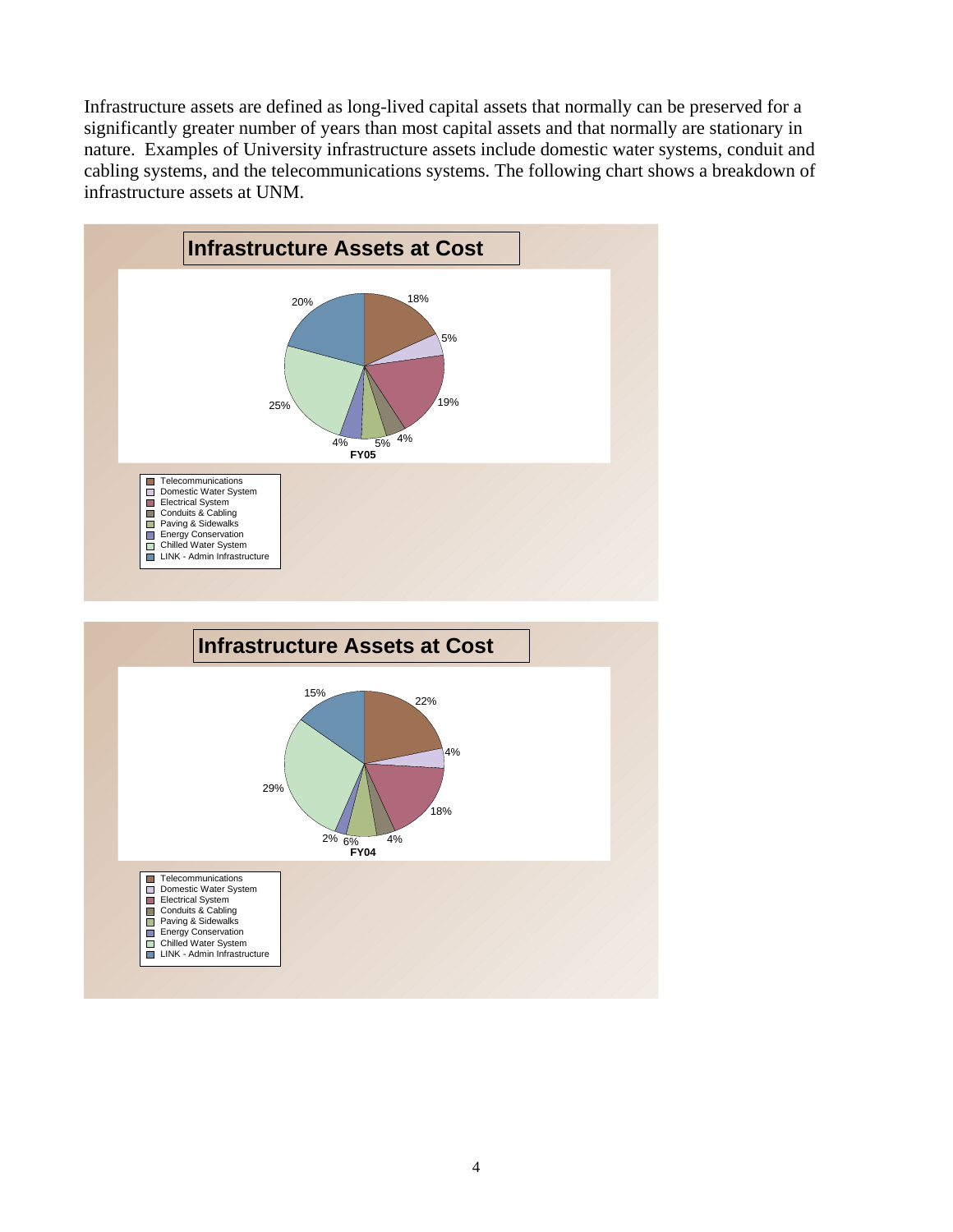Infrastructure assets are defined as long-lived capital assets that normally can be preserved for a significantly greater number of years than most capital assets and that normally are stationary in nature. Examples of University infrastructure assets include domestic water systems, conduit and cabling systems, and the telecommunications systems. The following chart shows a breakdown of infrastructure assets at UNM.



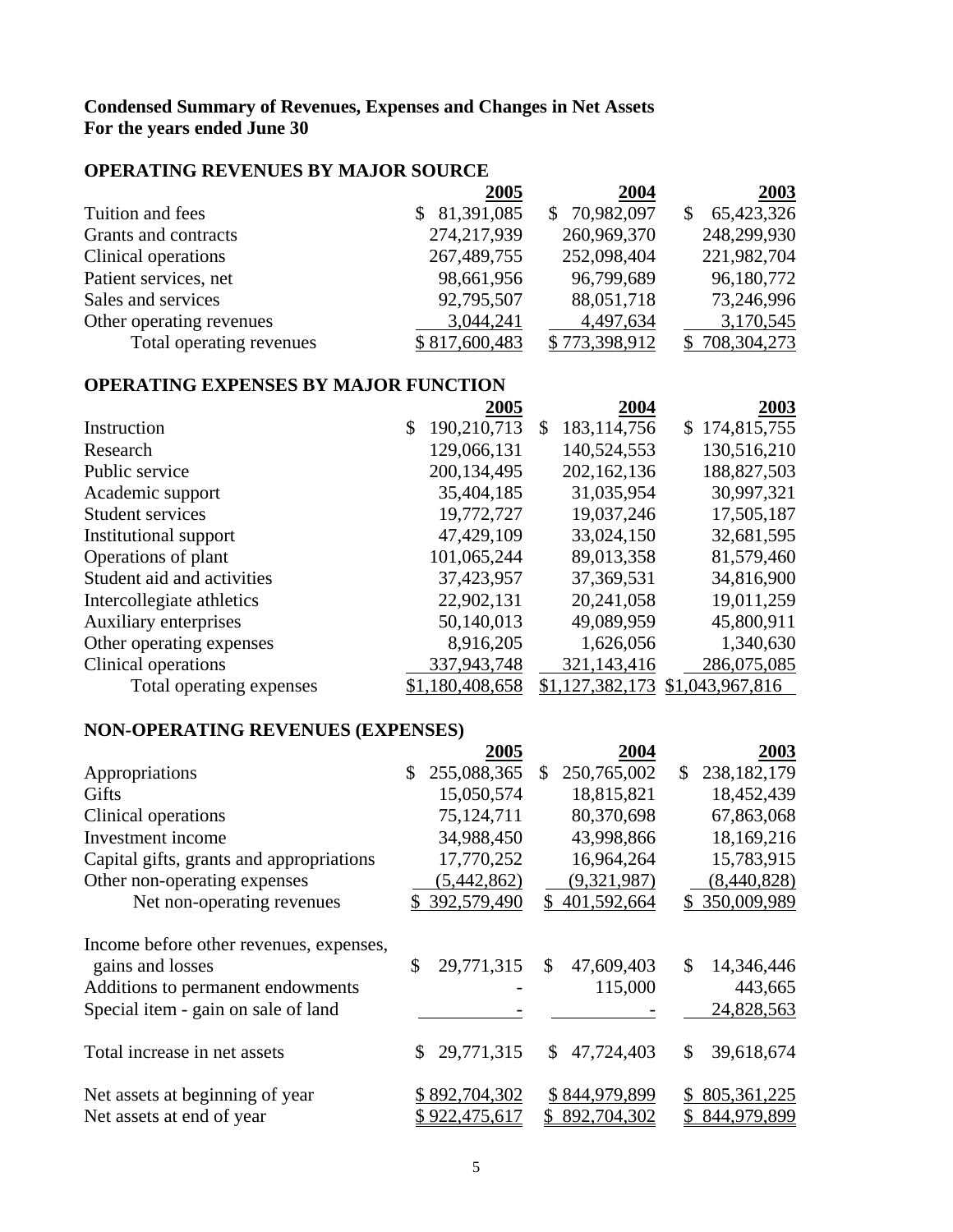## **Condensed Summary of Revenues, Expenses and Changes in Net Assets For the years ended June 30**

## **OPERATING REVENUES BY MAJOR SOURCE**

|                          | 2005             | 2004             | 2003          |
|--------------------------|------------------|------------------|---------------|
| Tuition and fees         | 81,391,085<br>S. | 70,982,097<br>S. | 65,423,326    |
| Grants and contracts     | 274, 217, 939    | 260,969,370      | 248,299,930   |
| Clinical operations      | 267,489,755      | 252,098,404      | 221,982,704   |
| Patient services, net    | 98,661,956       | 96,799,689       | 96,180,772    |
| Sales and services       | 92,795,507       | 88,051,718       | 73,246,996    |
| Other operating revenues | 3,044,241        | 4,497,634        | 3,170,545     |
| Total operating revenues | \$817,600,483    | \$773,398,912    | \$708,304,273 |

## **OPERATING EXPENSES BY MAJOR FUNCTION**

|                            | 2005              |   | 2004            | 2003            |
|----------------------------|-------------------|---|-----------------|-----------------|
| Instruction                | \$<br>190,210,713 | S | 183, 114, 756   | \$174,815,755   |
| Research                   | 129,066,131       |   | 140,524,553     | 130,516,210     |
| Public service             | 200,134,495       |   | 202,162,136     | 188,827,503     |
| Academic support           | 35,404,185        |   | 31,035,954      | 30,997,321      |
| Student services           | 19,772,727        |   | 19,037,246      | 17,505,187      |
| Institutional support      | 47,429,109        |   | 33,024,150      | 32,681,595      |
| Operations of plant        | 101,065,244       |   | 89,013,358      | 81,579,460      |
| Student aid and activities | 37,423,957        |   | 37, 369, 531    | 34,816,900      |
| Intercollegiate athletics  | 22,902,131        |   | 20,241,058      | 19,011,259      |
| Auxiliary enterprises      | 50,140,013        |   | 49,089,959      | 45,800,911      |
| Other operating expenses   | 8,916,205         |   | 1,626,056       | 1,340,630       |
| Clinical operations        | 337,943,748       |   | 321,143,416     | 286,075,085     |
| Total operating expenses   | \$1,180,408,658   |   | \$1,127,382,173 | \$1,043,967,816 |

### **NON-OPERATING REVENUES (EXPENSES)**

|                                          | 2005              | 2004                        | 2003                |
|------------------------------------------|-------------------|-----------------------------|---------------------|
| Appropriations                           | 255,088,365<br>\$ | 250,765,002<br>\$           | 238, 182, 179<br>\$ |
| Gifts                                    | 15,050,574        | 18,815,821                  | 18,452,439          |
| Clinical operations                      | 75,124,711        | 80,370,698                  | 67,863,068          |
| Investment income                        | 34,988,450        | 43,998,866                  | 18,169,216          |
| Capital gifts, grants and appropriations | 17,770,252        | 16,964,264                  | 15,783,915          |
| Other non-operating expenses             | (5,442,862)       | (9,321,987)                 | (8, 440, 828)       |
| Net non-operating revenues               | \$392,579,490     | 401,592,664<br>\$           | \$350,009,989       |
| Income before other revenues, expenses,  |                   |                             |                     |
| gains and losses                         | 29,771,315<br>\$  | $\mathcal{S}$<br>47,609,403 | \$<br>14,346,446    |
| Additions to permanent endowments        |                   | 115,000                     | 443,665             |
| Special item - gain on sale of land      |                   |                             | 24,828,563          |
| Total increase in net assets             | 29,771,315<br>S.  | 47,724,403<br>S.            | 39,618,674<br>\$    |
| Net assets at beginning of year          | \$892,704,302     | \$844,979,899               | 805, 361, 225<br>S. |
| Net assets at end of year                | \$922,475,617     | 892,704,302<br>\$           | 844,979,899         |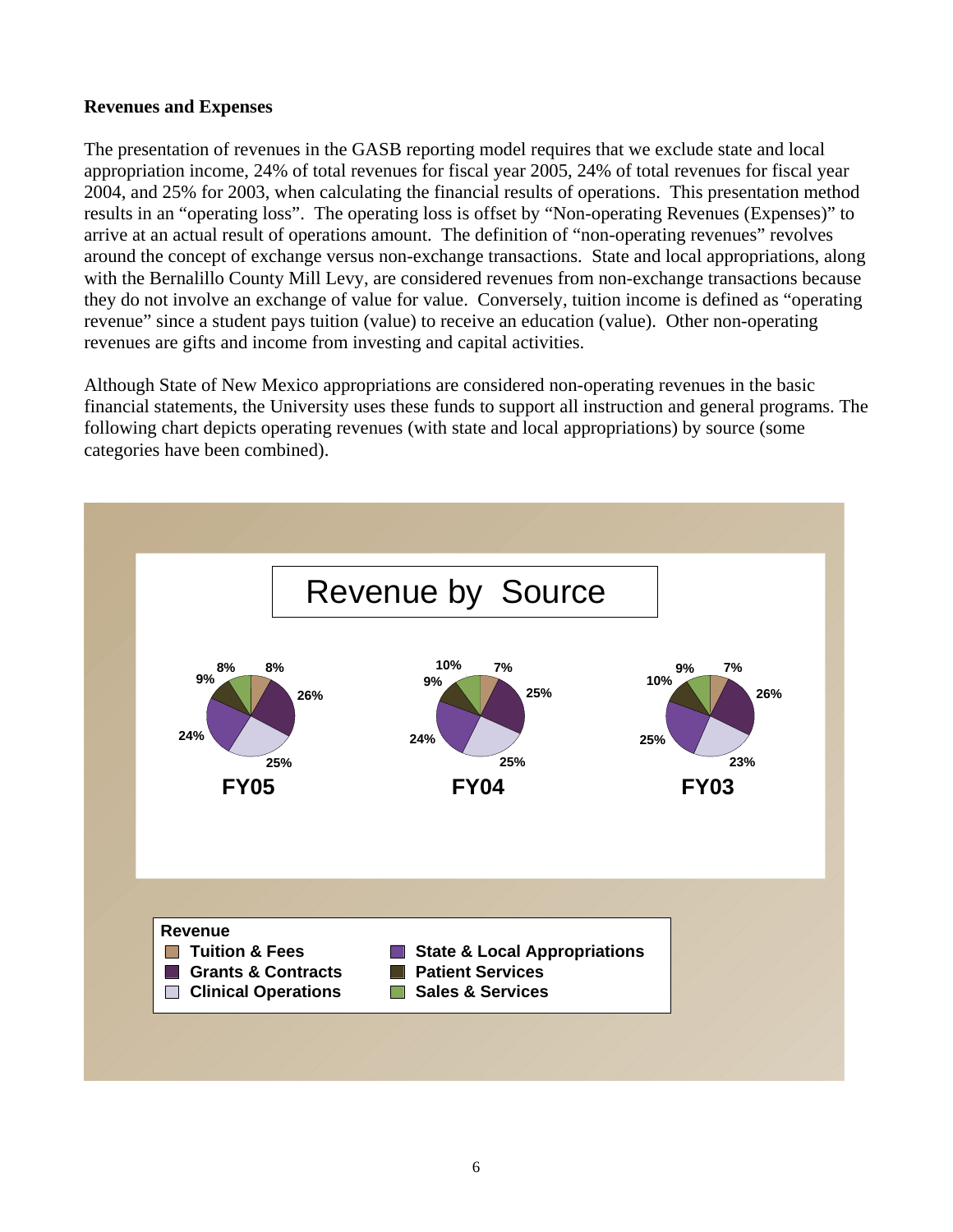#### **Revenues and Expenses**

The presentation of revenues in the GASB reporting model requires that we exclude state and local appropriation income, 24% of total revenues for fiscal year 2005, 24% of total revenues for fiscal year 2004, and 25% for 2003, when calculating the financial results of operations. This presentation method results in an "operating loss". The operating loss is offset by "Non-operating Revenues (Expenses)" to arrive at an actual result of operations amount. The definition of "non-operating revenues" revolves around the concept of exchange versus non-exchange transactions. State and local appropriations, along with the Bernalillo County Mill Levy, are considered revenues from non-exchange transactions because they do not involve an exchange of value for value. Conversely, tuition income is defined as "operating revenue" since a student pays tuition (value) to receive an education (value). Other non-operating revenues are gifts and income from investing and capital activities.

Although State of New Mexico appropriations are considered non-operating revenues in the basic financial statements, the University uses these funds to support all instruction and general programs. The following chart depicts operating revenues (with state and local appropriations) by source (some categories have been combined).

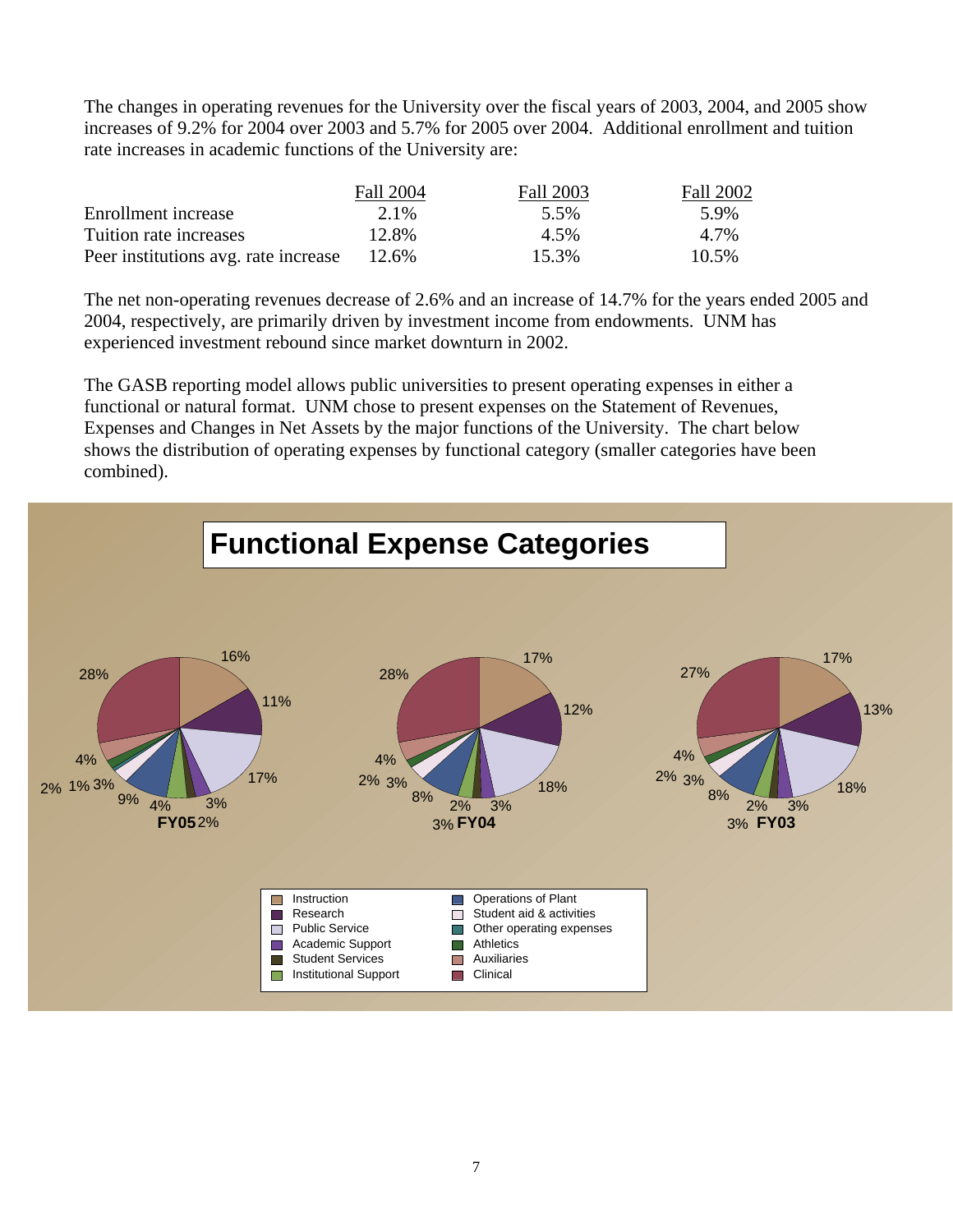The changes in operating revenues for the University over the fiscal years of 2003, 2004, and 2005 show increases of 9.2% for 2004 over 2003 and 5.7% for 2005 over 2004. Additional enrollment and tuition rate increases in academic functions of the University are:

|                                      | Fall 2004 | Fall 2003 | Fall 2002 |
|--------------------------------------|-----------|-----------|-----------|
| Enrollment increase                  | 2.1%      | 5.5%      | 5.9%      |
| Tuition rate increases               | 12.8%     | 4.5%      | 4.7%      |
| Peer institutions avg. rate increase | 12.6%     | 15.3%     | 10.5%     |

The net non-operating revenues decrease of 2.6% and an increase of 14.7% for the years ended 2005 and 2004, respectively, are primarily driven by investment income from endowments. UNM has experienced investment rebound since market downturn in 2002.

The GASB reporting model allows public universities to present operating expenses in either a functional or natural format. UNM chose to present expenses on the Statement of Revenues, Expenses and Changes in Net Assets by the major functions of the University. The chart below shows the distribution of operating expenses by functional category (smaller categories have been combined).

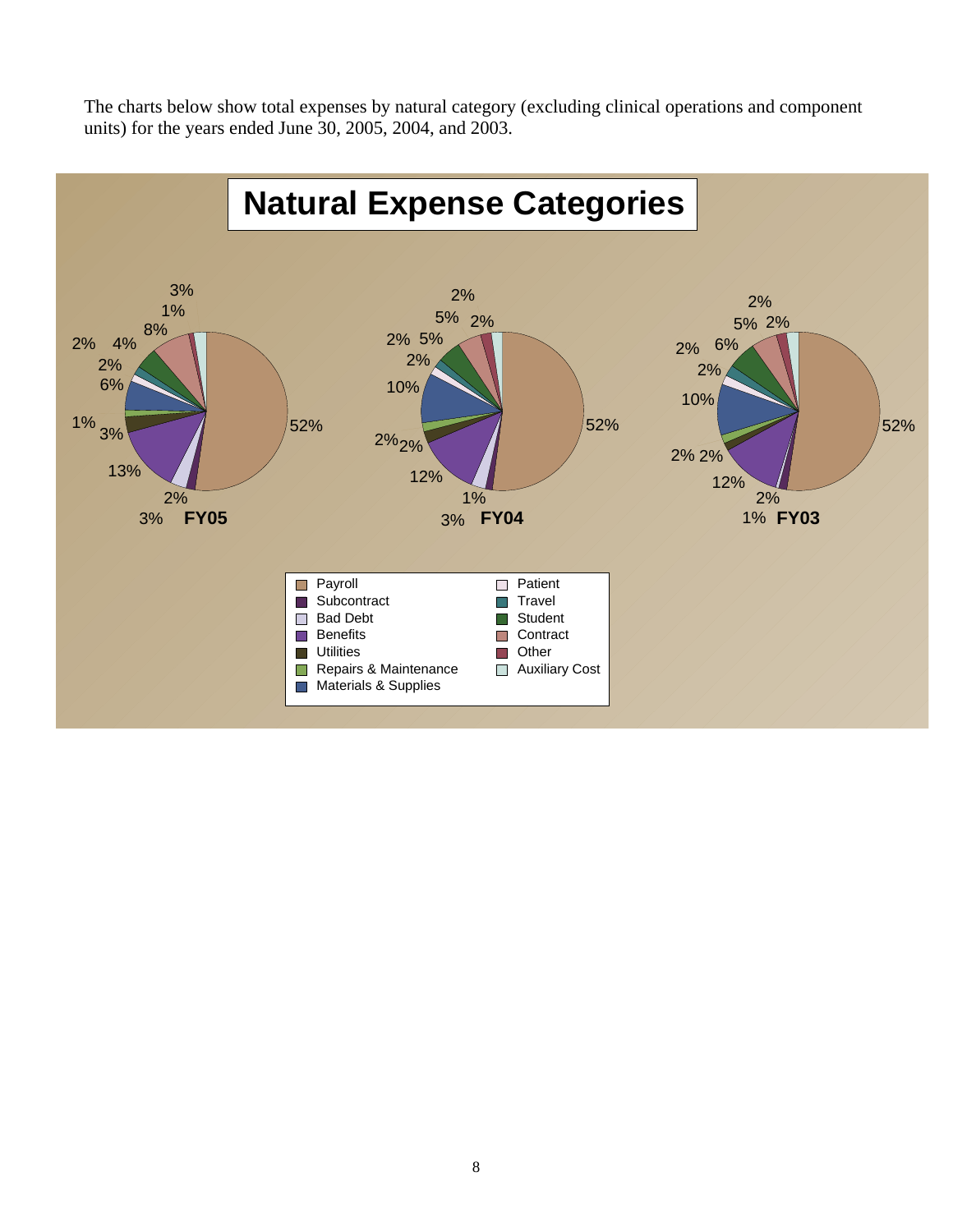The charts below show total expenses by natural category (excluding clinical operations and component units) for the years ended June 30, 2005, 2004, and 2003.

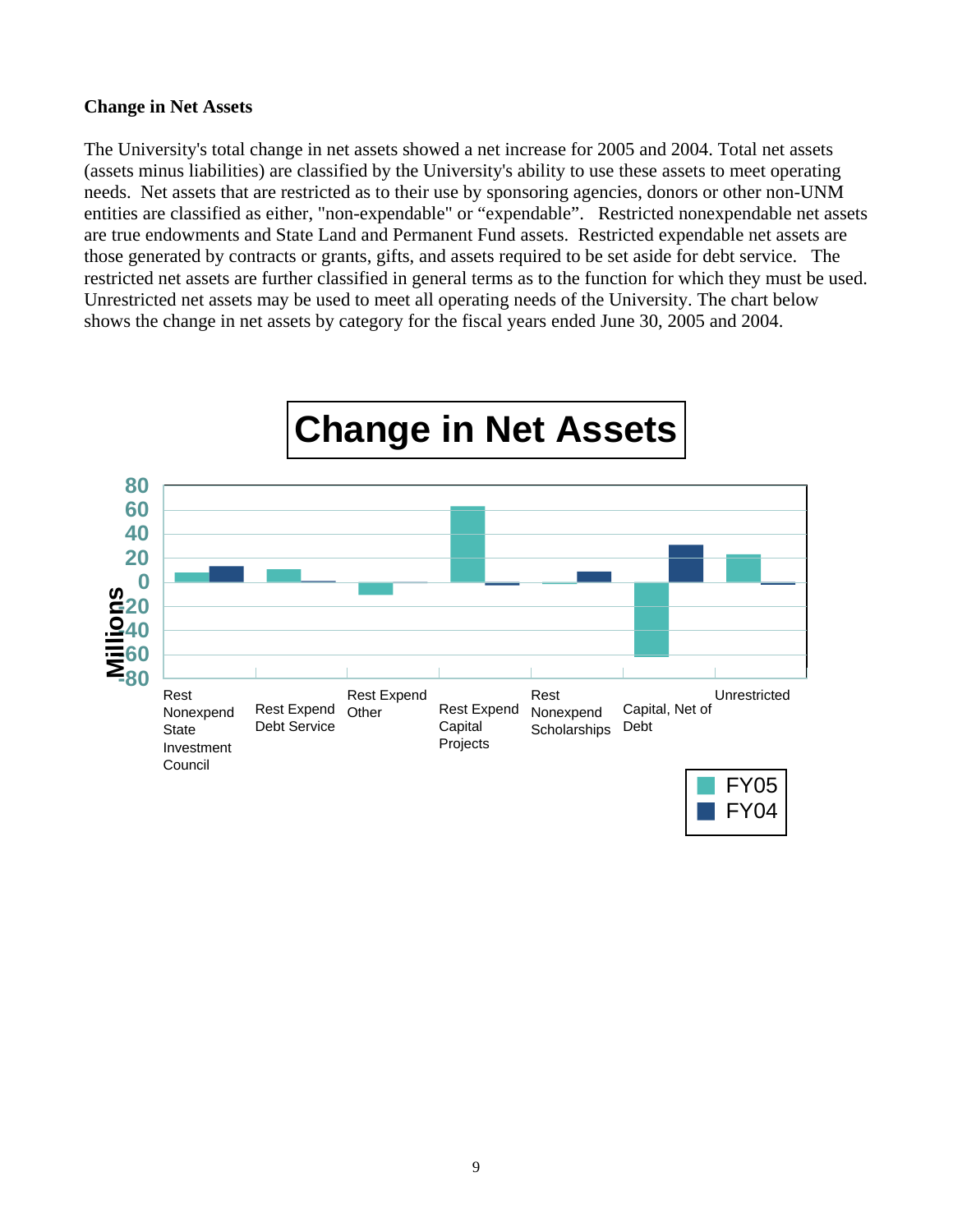#### **Change in Net Assets**

The University's total change in net assets showed a net increase for 2005 and 2004. Total net assets (assets minus liabilities) are classified by the University's ability to use these assets to meet operating needs. Net assets that are restricted as to their use by sponsoring agencies, donors or other non-UNM entities are classified as either, "non-expendable" or "expendable". Restricted nonexpendable net assets are true endowments and State Land and Permanent Fund assets. Restricted expendable net assets are those generated by contracts or grants, gifts, and assets required to be set aside for debt service. The restricted net assets are further classified in general terms as to the function for which they must be used. Unrestricted net assets may be used to meet all operating needs of the University. The chart below shows the change in net assets by category for the fiscal years ended June 30, 2005 and 2004.

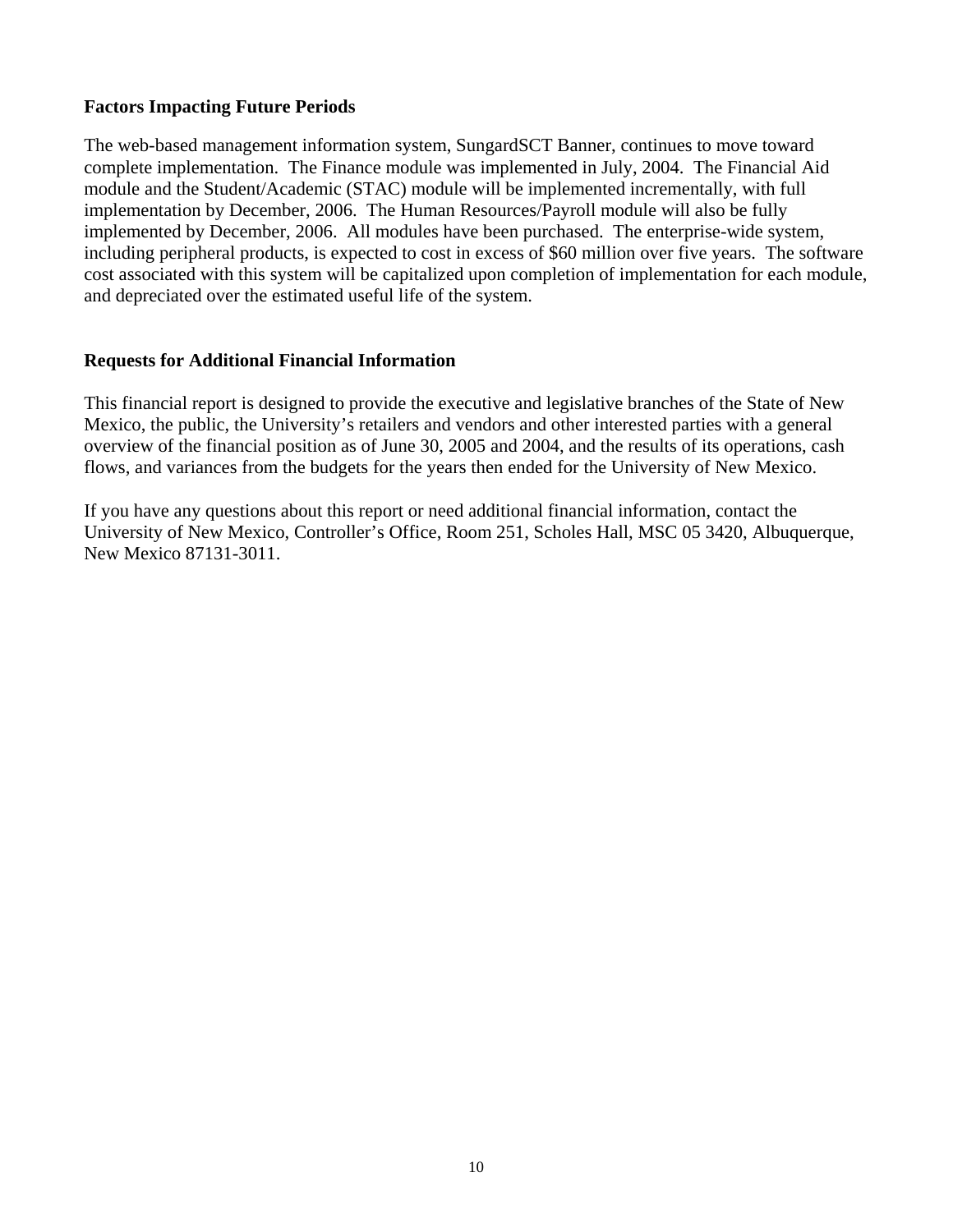### **Factors Impacting Future Periods**

The web-based management information system, SungardSCT Banner, continues to move toward complete implementation. The Finance module was implemented in July, 2004. The Financial Aid module and the Student/Academic (STAC) module will be implemented incrementally, with full implementation by December, 2006. The Human Resources/Payroll module will also be fully implemented by December, 2006. All modules have been purchased. The enterprise-wide system, including peripheral products, is expected to cost in excess of \$60 million over five years. The software cost associated with this system will be capitalized upon completion of implementation for each module, and depreciated over the estimated useful life of the system.

#### **Requests for Additional Financial Information**

This financial report is designed to provide the executive and legislative branches of the State of New Mexico, the public, the University's retailers and vendors and other interested parties with a general overview of the financial position as of June 30, 2005 and 2004, and the results of its operations, cash flows, and variances from the budgets for the years then ended for the University of New Mexico.

If you have any questions about this report or need additional financial information, contact the University of New Mexico, Controller's Office, Room 251, Scholes Hall, MSC 05 3420, Albuquerque, New Mexico 87131-3011.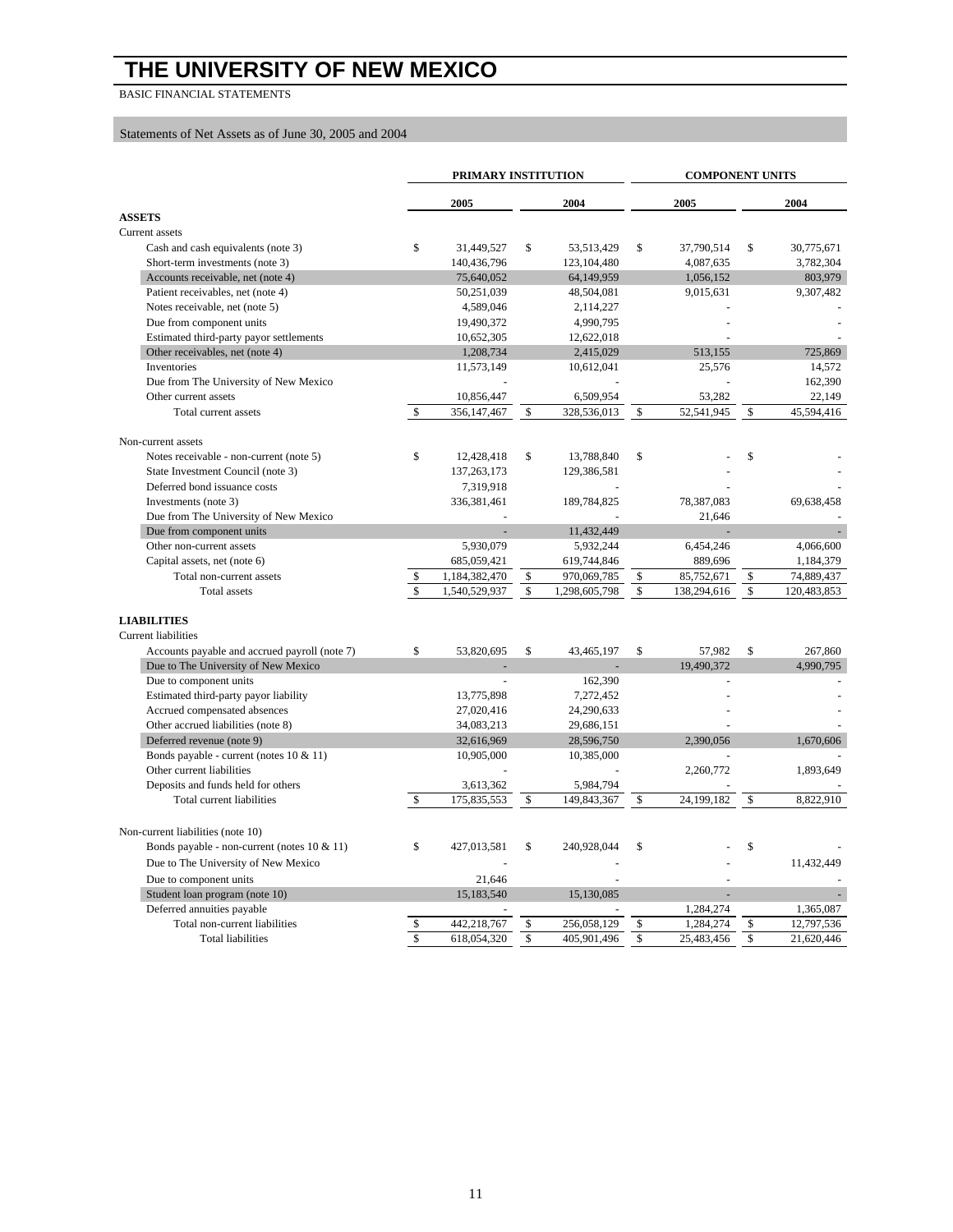BASIC FINANCIAL STATEMENTS

#### Statements of Net Assets as of June 30, 2005 and 2004

|                                               |              | PRIMARY INSTITUTION |              |               | <b>COMPONENT UNITS</b> |             |              |             |  |
|-----------------------------------------------|--------------|---------------------|--------------|---------------|------------------------|-------------|--------------|-------------|--|
|                                               |              | 2005                |              | 2004          |                        | 2005        |              | 2004        |  |
| <b>ASSETS</b>                                 |              |                     |              |               |                        |             |              |             |  |
| Current assets                                |              |                     |              |               |                        |             |              |             |  |
| Cash and cash equivalents (note 3)            | \$           | 31,449,527          | \$           | 53,513,429    | $\mathbb{S}$           | 37,790,514  | S            | 30,775,671  |  |
| Short-term investments (note 3)               |              | 140,436,796         |              | 123,104,480   |                        | 4,087,635   |              | 3,782,304   |  |
| Accounts receivable, net (note 4)             |              | 75,640,052          |              | 64,149,959    |                        | 1,056,152   |              | 803,979     |  |
| Patient receivables, net (note 4)             |              | 50,251,039          |              | 48,504,081    |                        | 9,015,631   |              | 9,307,482   |  |
| Notes receivable, net (note 5)                |              | 4,589,046           |              | 2,114,227     |                        |             |              |             |  |
| Due from component units                      |              | 19,490,372          |              | 4,990,795     |                        |             |              |             |  |
| Estimated third-party payor settlements       |              | 10,652,305          |              | 12,622,018    |                        |             |              |             |  |
| Other receivables, net (note 4)               |              | 1,208,734           |              | 2,415,029     |                        | 513,155     |              | 725,869     |  |
| Inventories                                   |              | 11,573,149          |              | 10,612,041    |                        | 25,576      |              | 14,572      |  |
| Due from The University of New Mexico         |              |                     |              |               |                        |             |              | 162,390     |  |
| Other current assets                          |              | 10,856,447          |              | 6,509,954     |                        | 53,282      |              | 22,149      |  |
| Total current assets                          | $\mathbb{S}$ | 356, 147, 467       | $\mathbb{S}$ | 328,536,013   | $\mathbf S$            | 52,541,945  | $\mathbf S$  | 45,594,416  |  |
| Non-current assets                            |              |                     |              |               |                        |             |              |             |  |
| Notes receivable - non-current (note 5)       | \$           | 12,428,418          | \$           | 13,788,840    | \$                     |             | \$           |             |  |
| State Investment Council (note 3)             |              | 137, 263, 173       |              | 129,386,581   |                        |             |              |             |  |
| Deferred bond issuance costs                  |              | 7,319,918           |              |               |                        |             |              |             |  |
| Investments (note 3)                          |              | 336,381,461         |              | 189,784,825   |                        | 78,387,083  |              | 69,638,458  |  |
| Due from The University of New Mexico         |              |                     |              |               |                        | 21.646      |              |             |  |
| Due from component units                      |              |                     |              | 11,432,449    |                        |             |              |             |  |
| Other non-current assets                      |              | 5,930,079           |              | 5,932,244     |                        | 6,454,246   |              | 4,066,600   |  |
| Capital assets, net (note 6)                  |              | 685,059,421         |              | 619,744,846   |                        | 889,696     |              | 1,184,379   |  |
| Total non-current assets                      |              | 1,184,382,470       | \$           | 970,069,785   | \$                     | 85,752,671  | \$           | 74,889,437  |  |
| Total assets                                  |              | 1,540,529,937       | \$           | 1,298,605,798 | \$                     | 138,294,616 | $\$$         | 120,483,853 |  |
| <b>LIABILITIES</b>                            |              |                     |              |               |                        |             |              |             |  |
| <b>Current liabilities</b>                    |              |                     |              |               |                        |             |              |             |  |
| Accounts payable and accrued payroll (note 7) | \$           | 53,820,695          | \$           | 43,465,197    | \$                     | 57.982      | S            | 267,860     |  |
| Due to The University of New Mexico           |              |                     |              |               |                        | 19,490,372  |              | 4,990,795   |  |
| Due to component units                        |              |                     |              | 162,390       |                        |             |              |             |  |
| Estimated third-party payor liability         |              | 13,775,898          |              | 7,272,452     |                        |             |              |             |  |
| Accrued compensated absences                  |              | 27,020,416          |              | 24,290,633    |                        |             |              |             |  |
| Other accrued liabilities (note 8)            |              | 34,083,213          |              | 29,686,151    |                        |             |              |             |  |
| Deferred revenue (note 9)                     |              | 32,616,969          |              | 28,596,750    |                        | 2,390,056   |              | 1,670,606   |  |
| Bonds payable - current (notes 10 & 11)       |              | 10,905,000          |              | 10,385,000    |                        |             |              |             |  |
| Other current liabilities                     |              |                     |              |               |                        | 2,260,772   |              | 1,893,649   |  |
| Deposits and funds held for others            |              | 3,613,362           |              | 5,984,794     |                        |             |              |             |  |
| Total current liabilities                     | \$           | 175,835,553         | \$           | 149,843,367   | \$                     | 24,199,182  | \$           | 8,822,910   |  |
| Non-current liabilities (note 10)             |              |                     |              |               |                        |             |              |             |  |
|                                               | \$           |                     |              |               | \$                     |             | $\mathbb{S}$ |             |  |
| Bonds payable - non-current (notes 10 & 11)   |              | 427,013,581         | \$           | 240,928,044   |                        |             |              |             |  |
| Due to The University of New Mexico           |              |                     |              |               |                        |             |              | 11,432,449  |  |
| Due to component units                        |              | 21,646              |              |               |                        |             |              |             |  |
| Student loan program (note 10)                |              | 15,183,540          |              | 15,130,085    |                        |             |              |             |  |
| Deferred annuities payable                    |              |                     |              |               |                        | 1,284,274   |              | 1,365,087   |  |
| Total non-current liabilities                 | \$           | 442,218,767         | \$           | 256,058,129   | \$                     | 1,284,274   | \$           | 12,797,536  |  |
| <b>Total liabilities</b>                      | $\mathbf S$  | 618,054,320         | \$           | 405,901,496   | \$                     | 25,483,456  | $\mathbb{S}$ | 21,620,446  |  |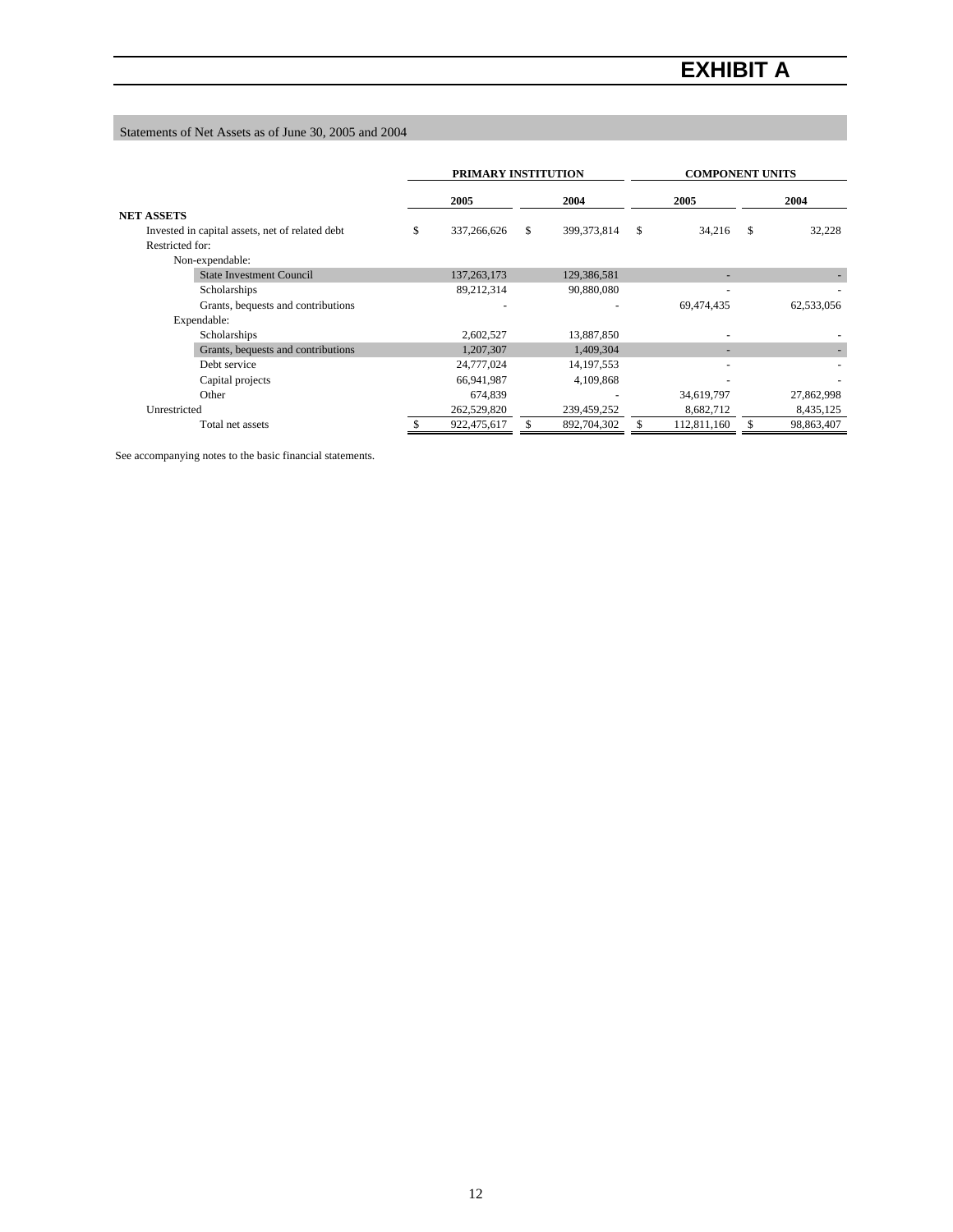#### Statements of Net Assets as of June 30, 2005 and 2004

|                                                 |      | PRIMARY INSTITUTION |      | <b>COMPONENT UNITS</b> |    |                          |      |            |  |
|-------------------------------------------------|------|---------------------|------|------------------------|----|--------------------------|------|------------|--|
|                                                 | 2005 |                     | 2004 |                        |    | 2005                     | 2004 |            |  |
| NET ASSETS                                      |      |                     |      |                        |    |                          |      |            |  |
| Invested in capital assets, net of related debt | \$   | 337,266,626         | \$   | 399, 373, 814          | \$ | 34,216                   | S    | 32,228     |  |
| Restricted for:                                 |      |                     |      |                        |    |                          |      |            |  |
| Non-expendable:                                 |      |                     |      |                        |    |                          |      |            |  |
| <b>State Investment Council</b>                 |      | 137, 263, 173       |      | 129,386,581            |    |                          |      |            |  |
| Scholarships                                    |      | 89,212,314          |      | 90,880,080             |    |                          |      |            |  |
| Grants, bequests and contributions              |      |                     |      |                        |    | 69,474,435               |      | 62,533,056 |  |
| Expendable:                                     |      |                     |      |                        |    |                          |      |            |  |
| Scholarships                                    |      | 2,602,527           |      | 13,887,850             |    |                          |      |            |  |
| Grants, bequests and contributions              |      | 1,207,307           |      | 1,409,304              |    | $\overline{\phantom{a}}$ |      |            |  |
| Debt service                                    |      | 24,777,024          |      | 14, 197, 553           |    | $\overline{\phantom{a}}$ |      |            |  |
| Capital projects                                |      | 66,941,987          |      | 4,109,868              |    |                          |      |            |  |
| Other                                           |      | 674,839             |      |                        |    | 34,619,797               |      | 27,862,998 |  |
| Unrestricted                                    |      | 262,529,820         |      | 239,459,252            |    | 8,682,712                |      | 8,435,125  |  |
| Total net assets                                |      | 922,475,617         | \$   | 892,704,302            | \$ | 112,811,160              |      | 98,863,407 |  |

See accompanying notes to the basic financial statements.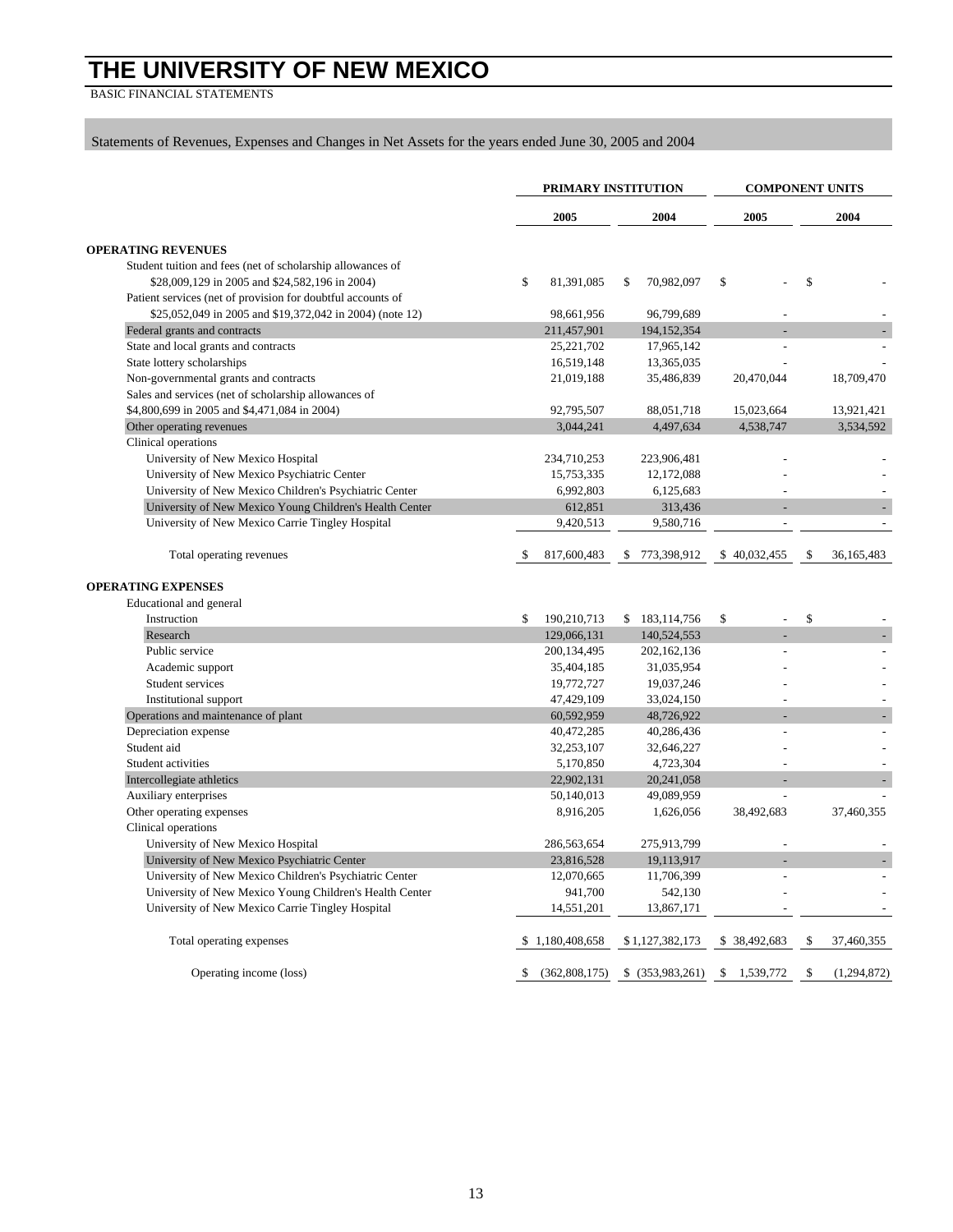BASIC FINANCIAL STATEMENTS

#### Statements of Revenues, Expenses and Changes in Net Assets for the years ended June 30, 2005 and 2004

|                                                             | PRIMARY INSTITUTION |                 |                  | <b>COMPONENT UNITS</b> |    |            |  |
|-------------------------------------------------------------|---------------------|-----------------|------------------|------------------------|----|------------|--|
|                                                             |                     | 2005            | 2004             | 2005                   |    | 2004       |  |
| <b>OPERATING REVENUES</b>                                   |                     |                 |                  |                        |    |            |  |
| Student tuition and fees (net of scholarship allowances of  |                     |                 |                  |                        |    |            |  |
| \$28,009,129 in 2005 and \$24,582,196 in 2004)              | \$                  | 81.391.085      | 70,982,097<br>\$ | \$                     | S  |            |  |
| Patient services (net of provision for doubtful accounts of |                     |                 |                  |                        |    |            |  |
| \$25,052,049 in 2005 and \$19,372,042 in 2004) (note 12)    |                     | 98,661,956      | 96,799,689       |                        |    |            |  |
| Federal grants and contracts                                |                     | 211,457,901     | 194,152,354      |                        |    |            |  |
| State and local grants and contracts                        |                     | 25,221,702      | 17,965,142       |                        |    |            |  |
| State lottery scholarships                                  |                     | 16,519,148      | 13,365,035       |                        |    |            |  |
| Non-governmental grants and contracts                       |                     | 21,019,188      | 35,486,839       | 20,470,044             |    | 18,709,470 |  |
| Sales and services (net of scholarship allowances of        |                     |                 |                  |                        |    |            |  |
| \$4,800,699 in 2005 and \$4,471,084 in 2004)                |                     | 92,795,507      | 88,051,718       | 15,023,664             |    | 13,921,421 |  |
| Other operating revenues                                    |                     | 3,044,241       | 4,497,634        | 4,538,747              |    | 3,534,592  |  |
| Clinical operations                                         |                     |                 |                  |                        |    |            |  |
| University of New Mexico Hospital                           |                     | 234,710,253     | 223,906,481      |                        |    |            |  |
| University of New Mexico Psychiatric Center                 |                     | 15,753,335      | 12,172,088       |                        |    |            |  |
| University of New Mexico Children's Psychiatric Center      |                     | 6,992,803       | 6,125,683        |                        |    |            |  |
| University of New Mexico Young Children's Health Center     |                     | 612,851         | 313,436          |                        |    |            |  |
| University of New Mexico Carrie Tingley Hospital            |                     | 9,420,513       | 9,580,716        |                        |    |            |  |
| Total operating revenues                                    | S                   | 817,600,483     | \$773,398,912    | \$40,032,455           | \$ | 36,165,483 |  |
| <b>OPERATING EXPENSES</b><br>Educational and general        |                     |                 |                  |                        |    |            |  |
| Instruction                                                 | \$                  | 190,210,713     | \$183,114,756    | \$                     | \$ |            |  |
| Research                                                    |                     | 129,066,131     | 140,524,553      |                        |    |            |  |
| Public service                                              |                     | 200, 134, 495   | 202,162,136      |                        |    |            |  |
| Academic support                                            |                     | 35,404,185      | 31,035,954       |                        |    |            |  |
| Student services                                            |                     | 19,772,727      | 19,037,246       |                        |    |            |  |
| Institutional support                                       |                     | 47,429,109      | 33,024,150       |                        |    |            |  |
| Operations and maintenance of plant                         |                     | 60,592,959      | 48,726,922       |                        |    |            |  |
| Depreciation expense                                        |                     | 40,472,285      | 40,286,436       |                        |    |            |  |
| Student aid                                                 |                     | 32,253,107      | 32,646,227       |                        |    |            |  |
| Student activities                                          |                     | 5,170,850       | 4,723,304        |                        |    |            |  |
| Intercollegiate athletics                                   |                     | 22,902,131      | 20,241,058       |                        |    |            |  |
| Auxiliary enterprises                                       |                     | 50,140,013      | 49,089,959       |                        |    |            |  |
| Other operating expenses                                    |                     | 8,916,205       | 1,626,056        | 38,492,683             |    | 37,460,355 |  |
| Clinical operations                                         |                     |                 |                  |                        |    |            |  |
| University of New Mexico Hospital                           |                     | 286,563,654     | 275,913,799      |                        |    |            |  |
| University of New Mexico Psychiatric Center                 |                     | 23,816,528      | 19,113,917       |                        |    |            |  |
| University of New Mexico Children's Psychiatric Center      |                     | 12,070,665      | 11,706,399       |                        |    |            |  |
| University of New Mexico Young Children's Health Center     |                     | 941,700         | 542,130          |                        |    |            |  |
| University of New Mexico Carrie Tingley Hospital            |                     | 14,551,201      | 13,867,171       |                        |    |            |  |
|                                                             |                     |                 |                  |                        | S  | 37,460,355 |  |
| Total operating expenses                                    |                     | \$1,180,408,658 | \$1,127,382,173  | \$38,492,683           |    |            |  |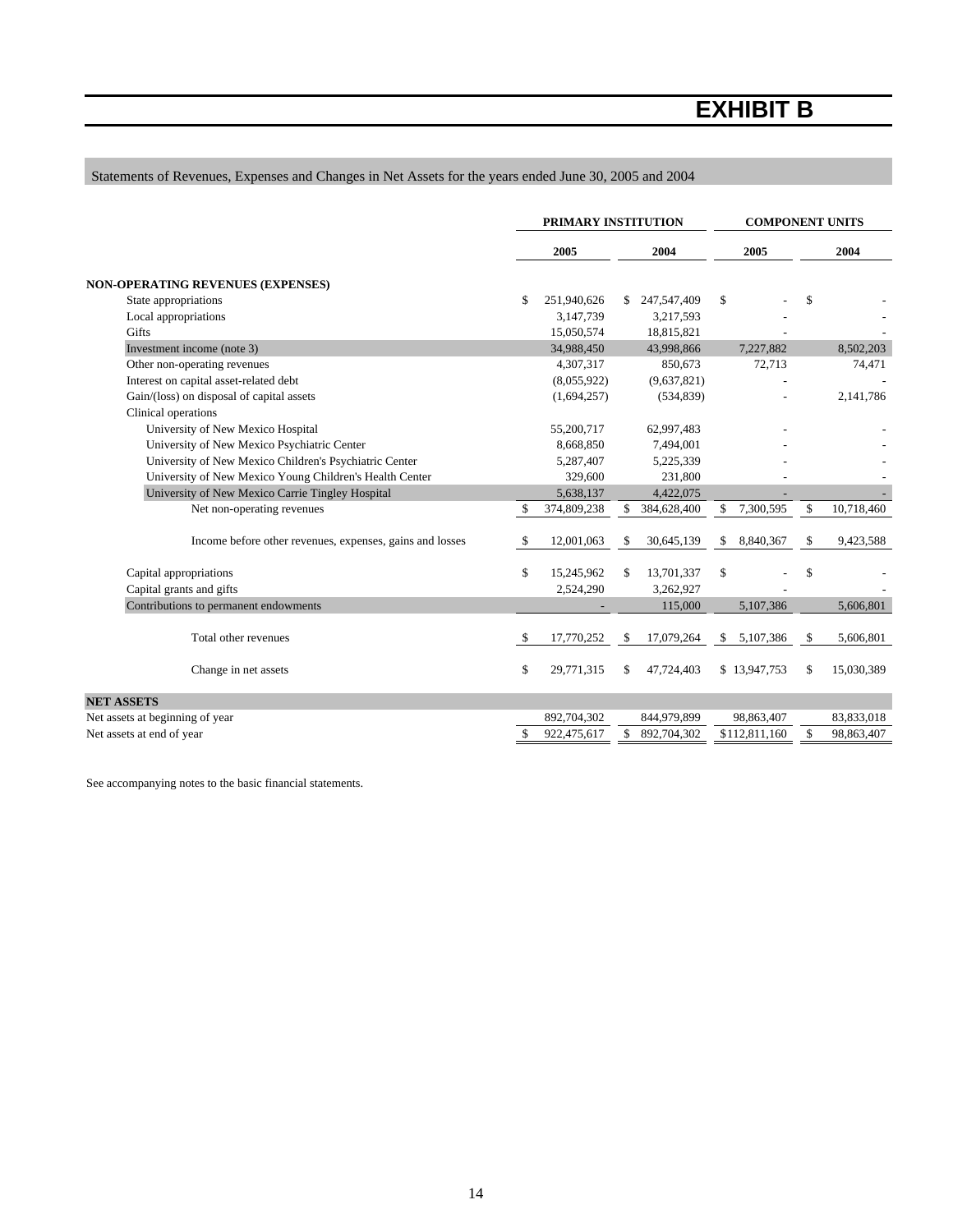### Statements of Revenues, Expenses and Changes in Net Assets for the years ended June 30, 2005 and 2004

|                                                          | PRIMARY INSTITUTION |             |     |             |     | <b>COMPONENT UNITS</b> |     |            |  |
|----------------------------------------------------------|---------------------|-------------|-----|-------------|-----|------------------------|-----|------------|--|
|                                                          |                     | 2005        |     | 2004        |     | 2005                   |     | 2004       |  |
| <b>NON-OPERATING REVENUES (EXPENSES)</b>                 |                     |             |     |             |     |                        |     |            |  |
| State appropriations                                     | \$.                 | 251,940,626 | \$. | 247,547,409 | \$  |                        | \$  |            |  |
| Local appropriations                                     |                     | 3,147,739   |     | 3,217,593   |     |                        |     |            |  |
| Gifts                                                    |                     | 15,050,574  |     | 18,815,821  |     |                        |     |            |  |
| Investment income (note 3)                               |                     | 34,988,450  |     | 43,998,866  |     | 7,227,882              |     | 8,502,203  |  |
| Other non-operating revenues                             |                     | 4,307,317   |     | 850,673     |     | 72,713                 |     | 74,471     |  |
| Interest on capital asset-related debt                   |                     | (8,055,922) |     | (9,637,821) |     |                        |     |            |  |
| Gain/(loss) on disposal of capital assets                |                     | (1,694,257) |     | (534, 839)  |     |                        |     | 2,141,786  |  |
| Clinical operations                                      |                     |             |     |             |     |                        |     |            |  |
| University of New Mexico Hospital                        |                     | 55,200,717  |     | 62,997,483  |     |                        |     |            |  |
| University of New Mexico Psychiatric Center              |                     | 8,668,850   |     | 7,494,001   |     |                        |     |            |  |
| University of New Mexico Children's Psychiatric Center   |                     | 5,287,407   |     | 5,225,339   |     |                        |     |            |  |
| University of New Mexico Young Children's Health Center  |                     | 329,600     |     | 231,800     |     |                        |     |            |  |
| University of New Mexico Carrie Tingley Hospital         |                     | 5,638,137   |     | 4,422,075   |     |                        |     |            |  |
| Net non-operating revenues                               | <b>S</b>            | 374,809,238 | S.  | 384,628,400 | \$. | 7,300,595              | \$  | 10,718,460 |  |
| Income before other revenues, expenses, gains and losses | -\$                 | 12,001,063  | \$  | 30,645,139  | \$  | 8,840,367              | \$  | 9,423,588  |  |
| Capital appropriations                                   | \$                  | 15,245,962  | \$. | 13,701,337  | \$  |                        | \$  |            |  |
| Capital grants and gifts                                 |                     | 2,524,290   |     | 3,262,927   |     |                        |     |            |  |
| Contributions to permanent endowments                    |                     |             |     | 115,000     |     | 5,107,386              |     | 5,606,801  |  |
| Total other revenues                                     | S                   | 17,770,252  | S   | 17,079,264  | S   | 5,107,386              | \$  | 5,606,801  |  |
| Change in net assets                                     | \$                  | 29,771,315  | \$  | 47,724,403  |     | \$13,947,753           | \$. | 15,030,389 |  |
| <b>NET ASSETS</b>                                        |                     |             |     |             |     |                        |     |            |  |
| Net assets at beginning of year                          |                     | 892,704,302 |     | 844,979,899 |     | 98,863,407             |     | 83,833,018 |  |
| Net assets at end of year                                | \$                  | 922,475,617 | \$  | 892,704,302 |     | \$112,811,160          | \$  | 98,863,407 |  |

See accompanying notes to the basic financial statements.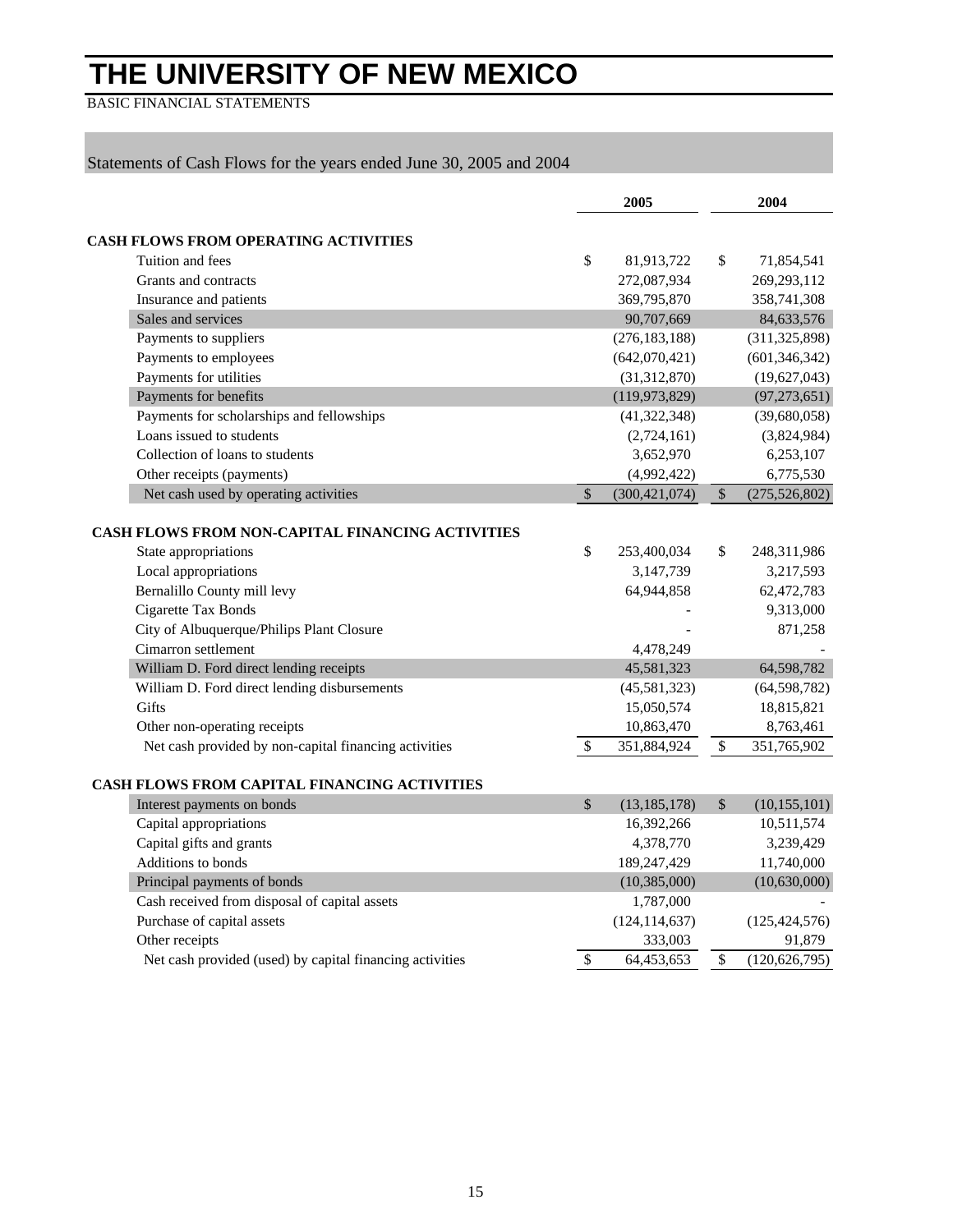BASIC FINANCIAL STATEMENTS

### Statements of Cash Flows for the years ended June 30, 2005 and 2004 **2005 2004 CASH FLOWS FROM OPERATING ACTIVITIES** Tuition and fees 81,913,722 \$ 71,854,541 Grants and contracts 272,087,934 269,293,112 Insurance and patients 369,795,870 358,741,308 Sales and services 84,633,576 84,633,576 Payments to suppliers (276,183,188) (311,325,898) Payments to employees (642,070,421) (601,346,342) Payments for utilities (31,312,870) (19,627,043) Payments for benefits (119,973,829) (97,273,651) Payments for scholarships and fellowships (41,322,348) (39,680,058) Loans issued to students  $(2,724,161)$   $(3,824,984)$ Collection of loans to students 3,652,970 6,253,107 Other receipts (payments) (4,992,422) 6,775,530 Net cash used by operating activities (300,421,074) \$ (275,526,802) **CASH FLOWS FROM NON-CAPITAL FINANCING ACTIVITIES** State appropriations <br>
253,400,034 \$ 248,311,986 Local appropriations 3,147,739 3,217,593 Bernalillo County mill levy 64,944,858 62,472,783 Cigarette Tax Bonds **- 9,313,000** City of Albuquerque/Philips Plant Closure 4871,258 Cimarron settlement 4,478,249 William D. Ford direct lending receipts 45,581,323 64,598,782 William D. Ford direct lending disbursements (45,581,323) (64,598,782) Gifts 15,050,574 18,815,821 Other non-operating receipts 10,863,470 8,763,461 Net cash provided by non-capital financing activities  $\frac{1}{2}$  351,884,924 \$ 351,765,902

#### **CASH FLOWS FROM CAPITAL FINANCING ACTIVITIES**

| Interest payments on bonds                               | $\mathcal{S}$ | (13, 185, 178)  | \$<br>(10, 155, 101) |
|----------------------------------------------------------|---------------|-----------------|----------------------|
| Capital appropriations                                   |               | 16,392,266      | 10,511,574           |
| Capital gifts and grants                                 |               | 4,378,770       | 3,239,429            |
| Additions to bonds                                       |               | 189,247,429     | 11,740,000           |
| Principal payments of bonds                              |               | (10, 385, 000)  | (10,630,000)         |
| Cash received from disposal of capital assets            |               | 1,787,000       |                      |
| Purchase of capital assets                               |               | (124, 114, 637) | (125, 424, 576)      |
| Other receipts                                           |               | 333,003         | 91,879               |
| Net cash provided (used) by capital financing activities |               | 64,453,653      | (120, 626, 795)      |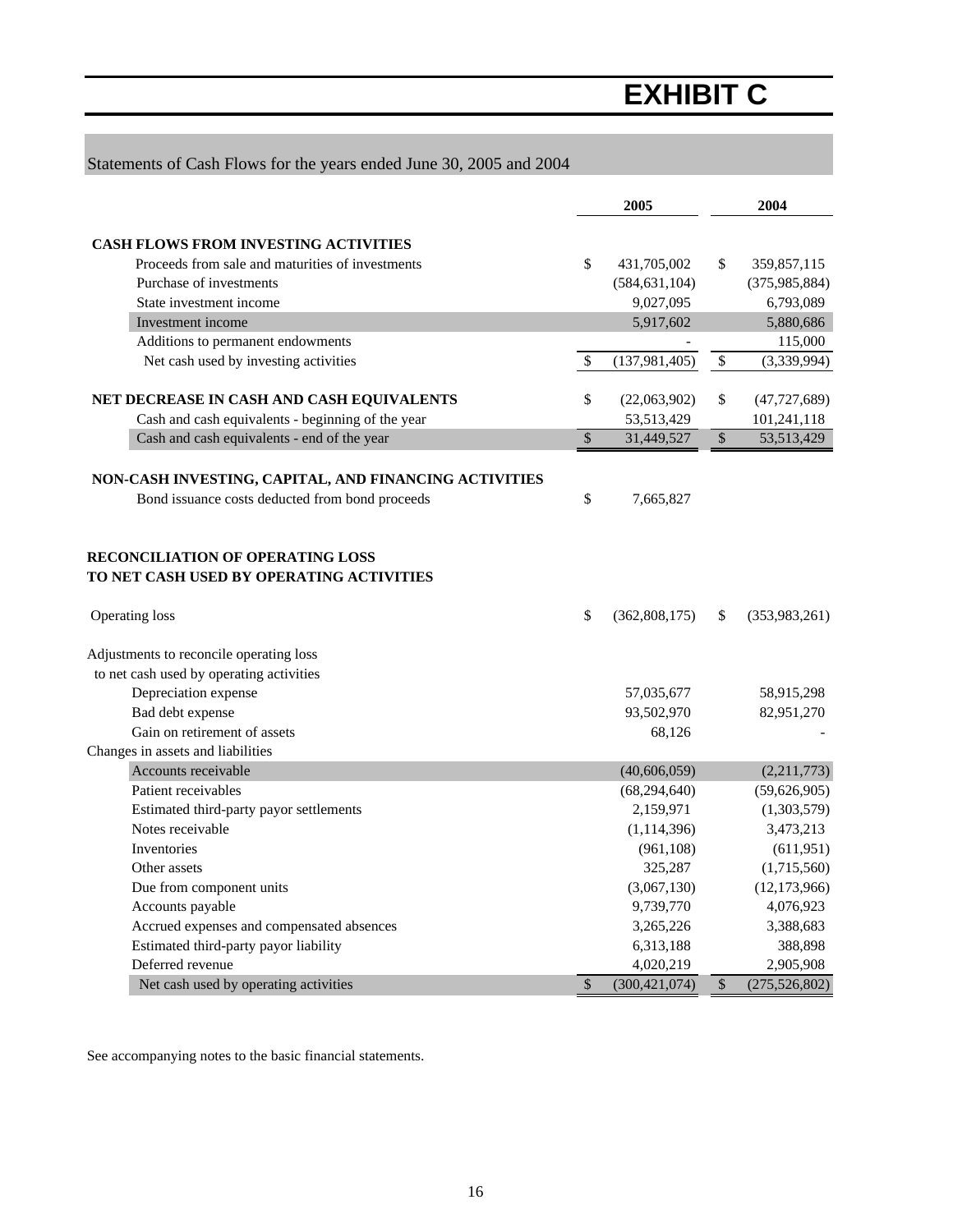# **EXHIBIT C**

### Statements of Cash Flows for the years ended June 30, 2005 and 2004

|                                                                   | 2005          |                 |              | 2004            |  |  |
|-------------------------------------------------------------------|---------------|-----------------|--------------|-----------------|--|--|
| <b>CASH FLOWS FROM INVESTING ACTIVITIES</b>                       |               |                 |              |                 |  |  |
| Proceeds from sale and maturities of investments                  | \$            | 431,705,002     | $\mathbb{S}$ | 359,857,115     |  |  |
| Purchase of investments                                           |               | (584, 631, 104) |              | (375,985,884)   |  |  |
| State investment income                                           |               | 9,027,095       |              | 6,793,089       |  |  |
| Investment income                                                 |               | 5,917,602       |              | 5,880,686       |  |  |
| Additions to permanent endowments                                 |               |                 |              | 115,000         |  |  |
| Net cash used by investing activities                             | $\mathcal{S}$ | (137, 981, 405) | $\$$         | (3,339,994)     |  |  |
| NET DECREASE IN CASH AND CASH EQUIVALENTS                         | \$            | (22,063,902)    | $\$$         | (47, 727, 689)  |  |  |
| Cash and cash equivalents - beginning of the year                 |               | 53,513,429      |              | 101,241,118     |  |  |
| Cash and cash equivalents - end of the year                       | $\sqrt$       | 31,449,527      | \$           | 53,513,429      |  |  |
| NON-CASH INVESTING, CAPITAL, AND FINANCING ACTIVITIES             |               |                 |              |                 |  |  |
| Bond issuance costs deducted from bond proceeds                   | $\$$          | 7,665,827       |              |                 |  |  |
| TO NET CASH USED BY OPERATING ACTIVITIES<br><b>Operating loss</b> | \$            | (362,808,175)   | \$           | (353, 983, 261) |  |  |
| Adjustments to reconcile operating loss                           |               |                 |              |                 |  |  |
| to net cash used by operating activities                          |               |                 |              |                 |  |  |
| Depreciation expense                                              |               | 57,035,677      |              | 58,915,298      |  |  |
| Bad debt expense                                                  |               | 93,502,970      |              | 82,951,270      |  |  |
| Gain on retirement of assets                                      |               | 68,126          |              |                 |  |  |
| Changes in assets and liabilities                                 |               |                 |              |                 |  |  |
| Accounts receivable                                               |               | (40,606,059)    |              | (2,211,773)     |  |  |
| Patient receivables                                               |               | (68, 294, 640)  |              | (59,626,905)    |  |  |
| Estimated third-party payor settlements                           |               | 2,159,971       |              | (1,303,579)     |  |  |
| Notes receivable                                                  |               | (1,114,396)     |              | 3,473,213       |  |  |
| Inventories                                                       |               | (961, 108)      |              | (611, 951)      |  |  |
| Other assets                                                      |               | 325,287         |              | (1,715,560)     |  |  |
| Due from component units                                          |               | (3,067,130)     |              | (12, 173, 966)  |  |  |
| Accounts payable                                                  |               | 9,739,770       |              | 4,076,923       |  |  |
| Accrued expenses and compensated absences                         |               | 3,265,226       |              | 3,388,683       |  |  |
| Estimated third-party payor liability                             |               | 6,313,188       |              | 388,898         |  |  |
| Deferred revenue                                                  |               | 4,020,219       |              | 2,905,908       |  |  |
| Net cash used by operating activities                             | $\mathbb{S}$  | (300, 421, 074) | \$           | (275, 526, 802) |  |  |

See accompanying notes to the basic financial statements.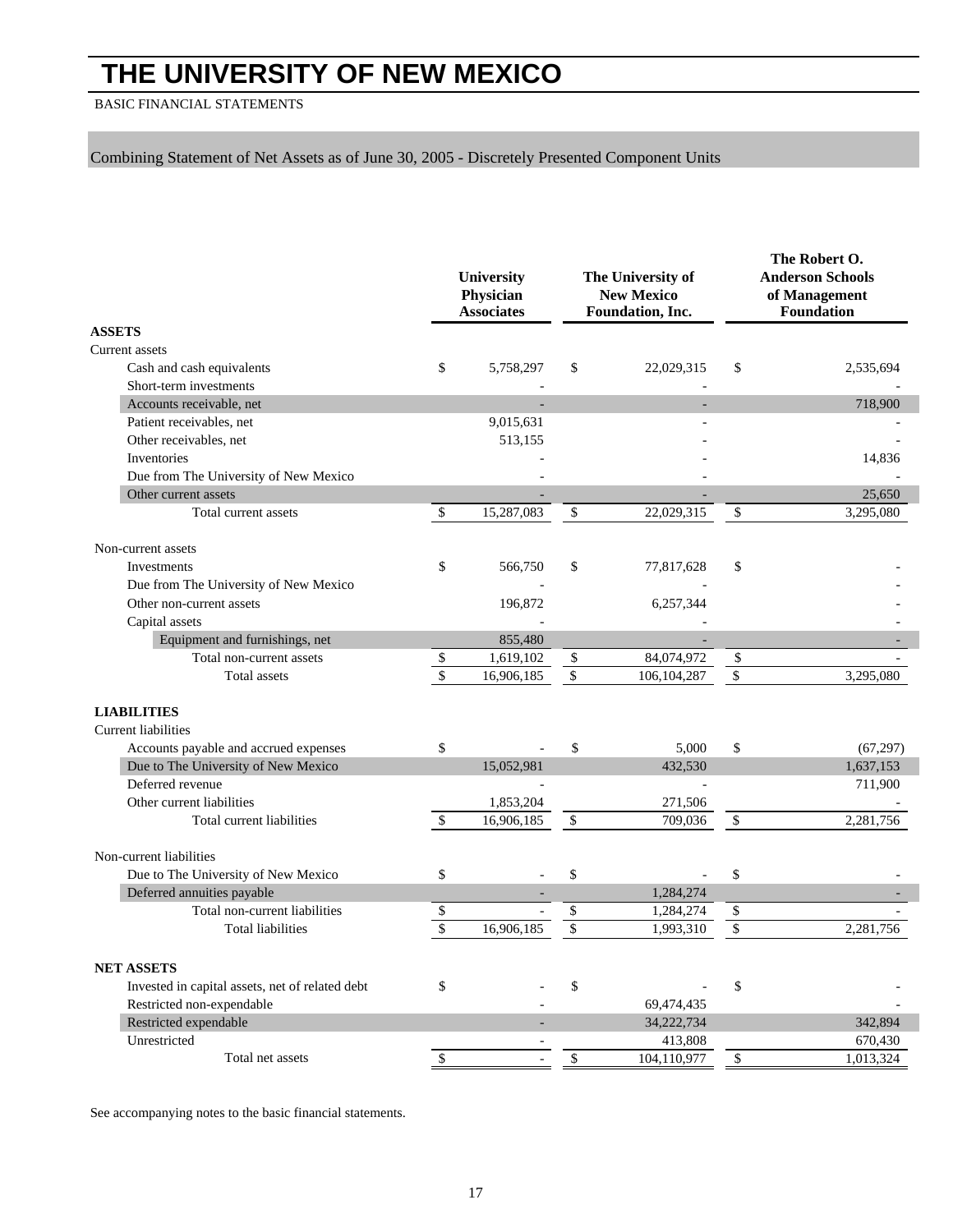BASIC FINANCIAL STATEMENTS

Combining Statement of Net Assets as of June 30, 2005 - Discretely Presented Component Units

|                                                 |                         | University<br>Physician<br><b>Associates</b> |          | The University of<br><b>New Mexico</b><br>Foundation, Inc. | The Robert O.<br><b>Anderson Schools</b><br>of Management<br><b>Foundation</b> |           |  |
|-------------------------------------------------|-------------------------|----------------------------------------------|----------|------------------------------------------------------------|--------------------------------------------------------------------------------|-----------|--|
| <b>ASSETS</b>                                   |                         |                                              |          |                                                            |                                                                                |           |  |
| Current assets                                  |                         |                                              |          |                                                            |                                                                                |           |  |
| Cash and cash equivalents                       | \$                      | 5,758,297                                    | \$       | 22,029,315                                                 | \$                                                                             | 2,535,694 |  |
| Short-term investments                          |                         |                                              |          |                                                            |                                                                                |           |  |
| Accounts receivable, net                        |                         |                                              |          |                                                            |                                                                                | 718,900   |  |
| Patient receivables, net                        |                         | 9,015,631                                    |          |                                                            |                                                                                |           |  |
| Other receivables, net                          |                         | 513,155                                      |          |                                                            |                                                                                |           |  |
| Inventories                                     |                         |                                              |          |                                                            |                                                                                | 14,836    |  |
| Due from The University of New Mexico           |                         |                                              |          |                                                            |                                                                                |           |  |
| Other current assets                            |                         |                                              |          |                                                            |                                                                                | 25,650    |  |
| Total current assets                            | $\mathcal{S}$           | 15,287,083                                   | \$       | 22,029,315                                                 | $\mathbb{S}$                                                                   | 3,295,080 |  |
| Non-current assets                              |                         |                                              |          |                                                            |                                                                                |           |  |
| Investments                                     | \$                      | 566,750                                      | \$       | 77,817,628                                                 | \$                                                                             |           |  |
| Due from The University of New Mexico           |                         |                                              |          |                                                            |                                                                                |           |  |
| Other non-current assets                        |                         | 196,872                                      |          | 6,257,344                                                  |                                                                                |           |  |
| Capital assets                                  |                         |                                              |          |                                                            |                                                                                |           |  |
| Equipment and furnishings, net                  |                         | 855,480                                      |          |                                                            |                                                                                |           |  |
| Total non-current assets                        | \$                      | 1,619,102                                    | \$       | 84,074,972                                                 | \$                                                                             |           |  |
| Total assets                                    | $\overline{\mathsf{S}}$ | 16,906,185                                   | \$       | 106, 104, 287                                              | $\$$                                                                           | 3,295,080 |  |
| <b>LIABILITIES</b>                              |                         |                                              |          |                                                            |                                                                                |           |  |
| Current liabilities                             |                         |                                              |          |                                                            |                                                                                |           |  |
| Accounts payable and accrued expenses           | \$                      |                                              | \$       | 5,000                                                      | \$                                                                             | (67, 297) |  |
| Due to The University of New Mexico             |                         | 15,052,981                                   |          | 432,530                                                    |                                                                                | 1,637,153 |  |
| Deferred revenue                                |                         |                                              |          |                                                            |                                                                                | 711,900   |  |
| Other current liabilities                       |                         | 1,853,204                                    |          | 271,506                                                    |                                                                                |           |  |
| Total current liabilities                       | $\mathbb{S}$            | 16,906,185                                   | \$       | 709,036                                                    | $\mathbb{S}$                                                                   | 2,281,756 |  |
| Non-current liabilities                         |                         |                                              |          |                                                            |                                                                                |           |  |
| Due to The University of New Mexico             | \$                      |                                              | \$       |                                                            | \$                                                                             |           |  |
| Deferred annuities payable                      |                         |                                              |          | 1,284,274                                                  |                                                                                |           |  |
| Total non-current liabilities                   |                         |                                              |          |                                                            |                                                                                |           |  |
| <b>Total liabilities</b>                        | \$<br>\$                | 16,906,185                                   | \$<br>\$ | 1,284,274<br>1,993,310                                     | \$<br>\$                                                                       | 2,281,756 |  |
|                                                 |                         |                                              |          |                                                            |                                                                                |           |  |
| <b>NET ASSETS</b>                               |                         |                                              |          |                                                            |                                                                                |           |  |
| Invested in capital assets, net of related debt | \$                      |                                              | \$       |                                                            | $\mathbb{S}$                                                                   |           |  |
| Restricted non-expendable                       |                         |                                              |          | 69,474,435                                                 |                                                                                |           |  |
| Restricted expendable                           |                         |                                              |          | 34, 222, 734                                               |                                                                                | 342,894   |  |
| Unrestricted                                    |                         |                                              |          | 413,808                                                    |                                                                                | 670,430   |  |
| Total net assets                                | $\sqrt$                 |                                              | \$       | 104,110,977                                                | \$                                                                             | 1,013,324 |  |

See accompanying notes to the basic financial statements.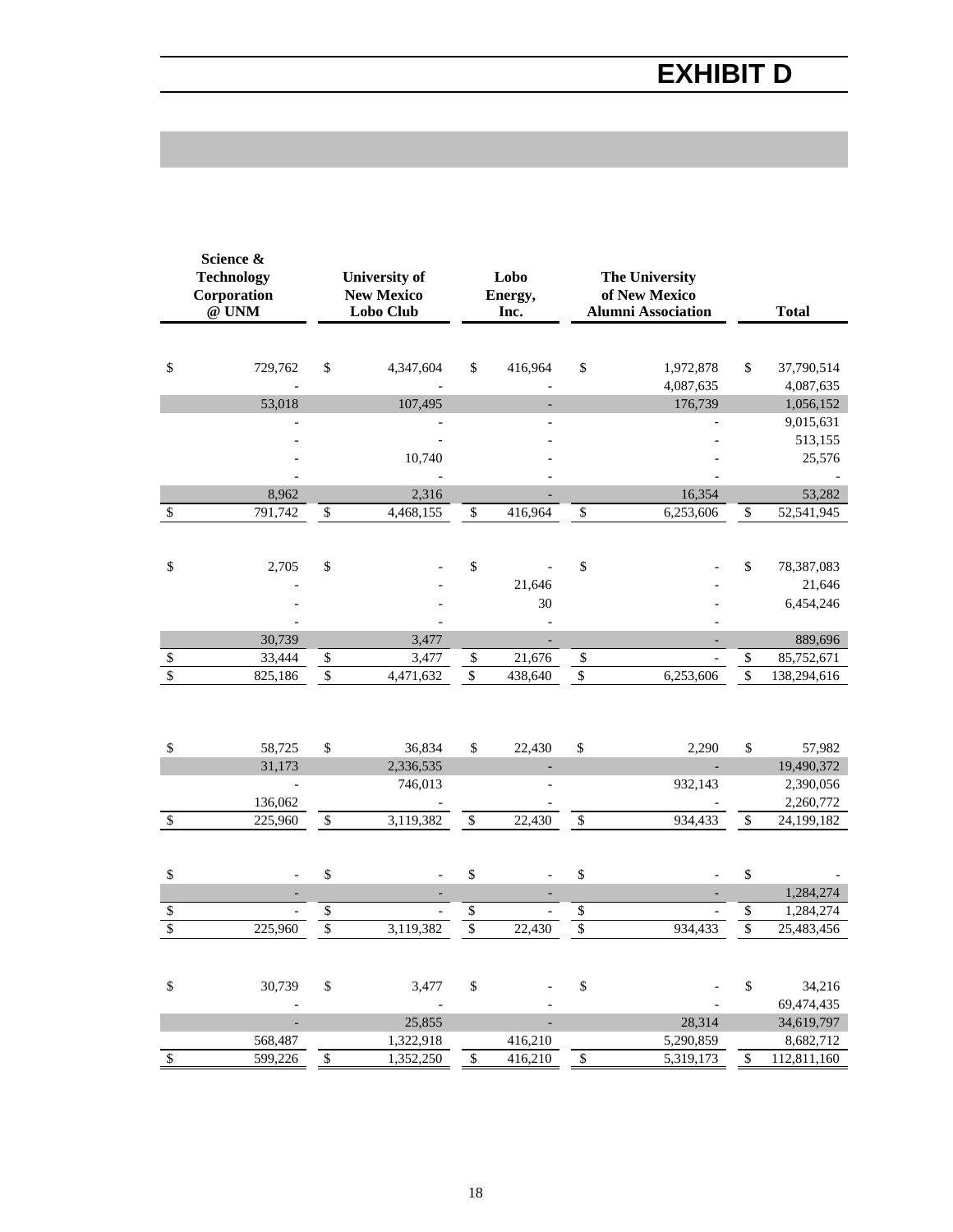# **EXHIBIT D**

|                          | Science &<br><b>Technology</b><br>Corporation<br>@ UNM |                 | <b>University of</b><br><b>New Mexico</b><br><b>Lobo Club</b> | Lobo<br>Energy,<br>Inc.  |                          | The University<br>of New Mexico<br><b>Alumni Association</b> |           |                 | <b>Total</b> |
|--------------------------|--------------------------------------------------------|-----------------|---------------------------------------------------------------|--------------------------|--------------------------|--------------------------------------------------------------|-----------|-----------------|--------------|
|                          |                                                        |                 |                                                               |                          |                          |                                                              |           |                 |              |
| $\$$                     | 729,762                                                | $\mathbb{S}$    | 4,347,604                                                     | $\$$                     | 416,964                  | \$                                                           | 1,972,878 | \$              | 37,790,514   |
|                          |                                                        |                 |                                                               |                          |                          |                                                              | 4,087,635 |                 | 4,087,635    |
|                          | 53,018                                                 |                 | 107,495                                                       |                          |                          |                                                              | 176,739   |                 | 1,056,152    |
|                          |                                                        |                 |                                                               |                          |                          |                                                              |           |                 | 9,015,631    |
|                          |                                                        |                 |                                                               |                          |                          |                                                              |           |                 | 513,155      |
|                          |                                                        |                 | 10,740                                                        |                          |                          |                                                              |           |                 | 25,576       |
|                          | 8,962                                                  |                 | 2,316                                                         |                          |                          |                                                              | 16,354    |                 | 53,282       |
| $\sqrt[6]{3}$            | 791,742                                                | $\mathbb{S}$    | 4,468,155                                                     | \$                       | 416,964                  | $\mathbb{S}$                                                 | 6,253,606 | $\$$            | 52,541,945   |
|                          |                                                        |                 |                                                               |                          |                          |                                                              |           |                 |              |
|                          |                                                        |                 |                                                               |                          |                          |                                                              |           |                 |              |
| \$                       | 2,705                                                  | \$              |                                                               | \$                       | $\overline{\phantom{a}}$ | \$                                                           |           | $\$$            | 78,387,083   |
|                          |                                                        |                 |                                                               |                          | 21,646                   |                                                              |           |                 | 21,646       |
|                          |                                                        |                 |                                                               |                          | 30                       |                                                              |           |                 | 6,454,246    |
|                          |                                                        |                 |                                                               |                          |                          |                                                              |           |                 |              |
|                          | 30,739                                                 |                 | 3,477                                                         |                          |                          |                                                              |           |                 | 889,696      |
| $\mathbb{S}$             | 33,444                                                 | $\$$            | 3,477                                                         | \$                       | 21,676                   | \$                                                           |           | \$              | 85,752,671   |
| $\overline{\mathcal{S}}$ | 825,186                                                | $\overline{\$}$ | 4,471,632                                                     | $\overline{\mathcal{S}}$ | 438,640                  | $\sqrt{\frac{2}{3}}$                                         | 6,253,606 | $\overline{\$}$ | 138,294,616  |
|                          |                                                        |                 |                                                               |                          |                          |                                                              |           |                 |              |
| \$                       | 58,725                                                 | $\$$            | 36,834                                                        | $\$$                     | 22,430                   | $\mathbb{S}$                                                 | 2,290     | \$              | 57,982       |
|                          | 31,173                                                 |                 | 2,336,535                                                     |                          |                          |                                                              |           |                 | 19,490,372   |
|                          |                                                        |                 | 746,013                                                       |                          |                          |                                                              | 932,143   |                 | 2,390,056    |
|                          | 136,062                                                |                 |                                                               |                          |                          |                                                              |           |                 | 2,260,772    |
| $\$\,$                   | 225,960                                                | $\mathbb{S}$    | 3,119,382                                                     | $\$$                     | 22,430                   | $\mathbb{S}$                                                 | 934,433   | $\mathbb{S}$    | 24,199,182   |
|                          |                                                        |                 |                                                               |                          |                          |                                                              |           |                 |              |
| \$                       |                                                        | \$              |                                                               | \$                       |                          | \$                                                           |           | \$              |              |
|                          |                                                        |                 |                                                               |                          |                          |                                                              |           |                 | 1,284,274    |
| $\$$                     |                                                        | $\mathbb{S}$    |                                                               | \$                       |                          | \$                                                           |           | \$              | 1,284,274    |
| $\overline{\mathcal{S}}$ | 225,960                                                | \$              | 3,119,382                                                     | \$                       | 22,430                   | $\mathbb{S}$                                                 | 934,433   | $\mathbb{S}$    | 25,483,456   |
|                          |                                                        |                 |                                                               |                          |                          |                                                              |           |                 |              |
| \$                       | 30,739                                                 | $\$$            | 3,477                                                         | \$                       |                          | $\mathbb{S}$                                                 |           | $\$$            | 34,216       |
|                          |                                                        |                 |                                                               |                          |                          |                                                              |           |                 | 69,474,435   |
|                          |                                                        |                 | 25,855                                                        |                          |                          |                                                              | 28,314    |                 | 34,619,797   |
|                          | 568,487                                                |                 | 1,322,918                                                     |                          | 416,210                  |                                                              | 5,290,859 |                 | 8,682,712    |
| \$                       | 599,226                                                | \$              | 1,352,250                                                     | \$                       | 416,210                  | \$                                                           | 5,319,173 | \$              | 112,811,160  |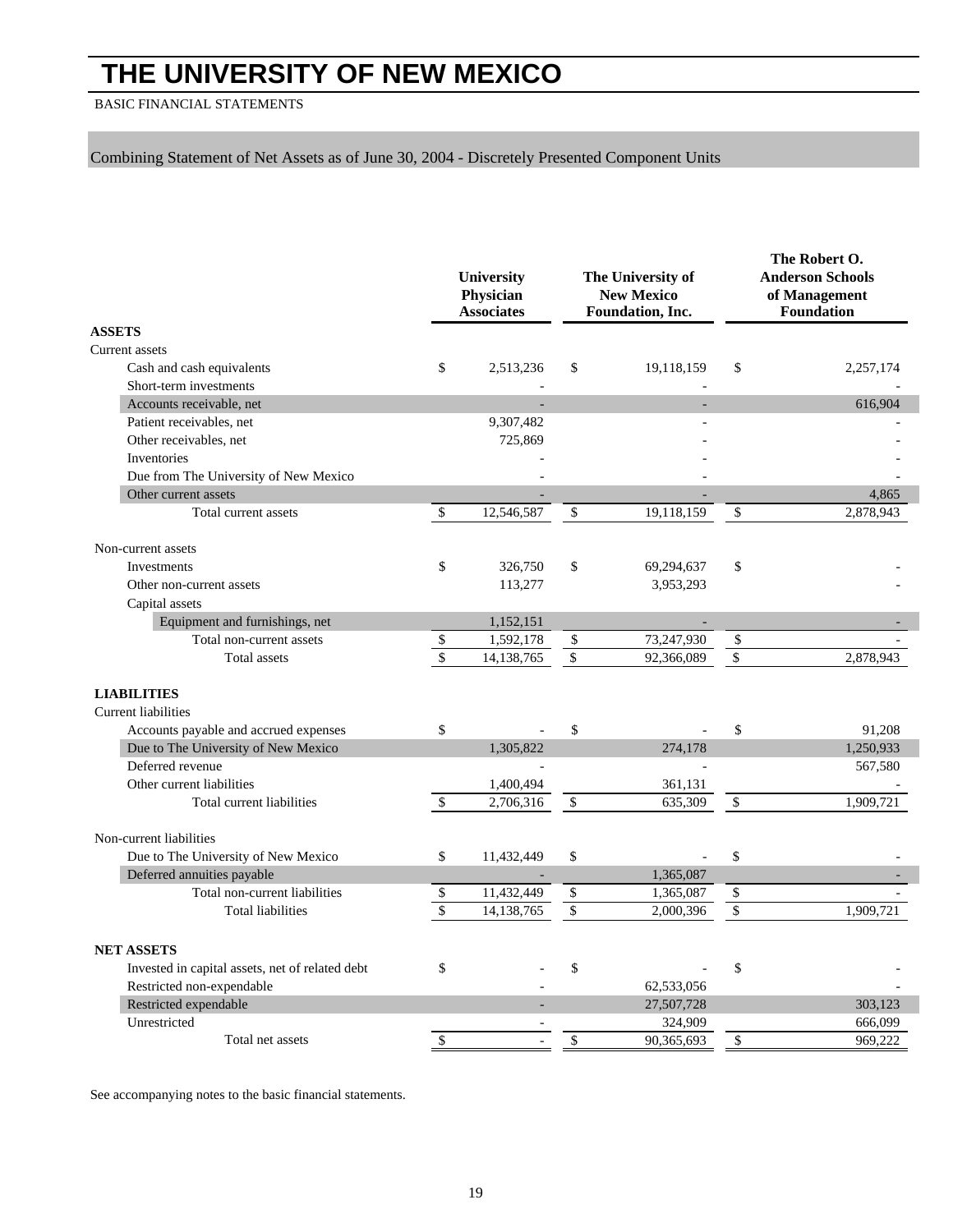BASIC FINANCIAL STATEMENTS

Combining Statement of Net Assets as of June 30, 2004 - Discretely Presented Component Units

|                                                  |                          | University<br>Physician<br><b>Associates</b> |                 | The University of<br><b>New Mexico</b><br>Foundation, Inc. |                 | The Robert O.<br><b>Anderson Schools</b><br>of Management<br><b>Foundation</b> |
|--------------------------------------------------|--------------------------|----------------------------------------------|-----------------|------------------------------------------------------------|-----------------|--------------------------------------------------------------------------------|
| <b>ASSETS</b>                                    |                          |                                              |                 |                                                            |                 |                                                                                |
| Current assets                                   |                          |                                              |                 |                                                            |                 |                                                                                |
| Cash and cash equivalents                        | \$                       | 2,513,236                                    | \$              | 19,118,159                                                 | \$              | 2,257,174                                                                      |
| Short-term investments                           |                          |                                              |                 |                                                            |                 |                                                                                |
| Accounts receivable, net                         |                          |                                              |                 |                                                            |                 | 616,904                                                                        |
| Patient receivables, net                         |                          | 9,307,482                                    |                 |                                                            |                 |                                                                                |
| Other receivables, net                           |                          | 725,869                                      |                 |                                                            |                 |                                                                                |
| Inventories                                      |                          |                                              |                 |                                                            |                 |                                                                                |
| Due from The University of New Mexico            |                          |                                              |                 |                                                            |                 |                                                                                |
| Other current assets                             |                          |                                              |                 |                                                            |                 | 4,865                                                                          |
| Total current assets                             | $\mathbb{S}$             | 12,546,587                                   | $\mathbb{S}$    | 19,118,159                                                 | $\$$            | 2,878,943                                                                      |
|                                                  |                          |                                              |                 |                                                            |                 |                                                                                |
| Non-current assets                               |                          |                                              |                 |                                                            |                 |                                                                                |
| Investments                                      | \$                       | 326,750                                      | \$              | 69,294,637                                                 | \$              |                                                                                |
| Other non-current assets                         |                          | 113,277                                      |                 | 3,953,293                                                  |                 |                                                                                |
| Capital assets                                   |                          |                                              |                 |                                                            |                 |                                                                                |
| Equipment and furnishings, net                   |                          | 1,152,151                                    |                 |                                                            |                 |                                                                                |
| Total non-current assets                         | \$                       | 1,592,178                                    | \$              | 73,247,930                                                 | \$              |                                                                                |
| Total assets                                     | $\overline{\mathcal{S}}$ | 14,138,765                                   | $\overline{\$}$ | 92,366,089                                                 | $\overline{\$}$ | 2,878,943                                                                      |
| <b>LIABILITIES</b><br><b>Current liabilities</b> |                          |                                              |                 |                                                            |                 |                                                                                |
| Accounts payable and accrued expenses            | \$                       |                                              | \$              |                                                            | \$              | 91.208                                                                         |
| Due to The University of New Mexico              |                          | 1,305,822                                    |                 | 274,178                                                    |                 | 1,250,933                                                                      |
| Deferred revenue                                 |                          |                                              |                 |                                                            |                 | 567,580                                                                        |
| Other current liabilities                        |                          | 1,400,494                                    |                 | 361,131                                                    |                 |                                                                                |
| Total current liabilities                        | $\mathcal{S}$            | 2,706,316                                    | \$              | 635,309                                                    | \$              | 1,909,721                                                                      |
|                                                  |                          |                                              |                 |                                                            |                 |                                                                                |
| Non-current liabilities                          |                          |                                              |                 |                                                            |                 |                                                                                |
| Due to The University of New Mexico              | \$                       | 11,432,449                                   | \$              |                                                            | \$              |                                                                                |
| Deferred annuities payable                       |                          |                                              |                 | 1,365,087                                                  |                 |                                                                                |
| Total non-current liabilities                    | \$                       | 11,432,449                                   | \$              | 1,365,087                                                  | $\mathbb{S}$    |                                                                                |
| <b>Total liabilities</b>                         | \$                       | 14,138,765                                   | \$              | 2,000,396                                                  | \$              | 1,909,721                                                                      |
|                                                  |                          |                                              |                 |                                                            |                 |                                                                                |
| <b>NET ASSETS</b>                                |                          |                                              |                 |                                                            |                 |                                                                                |
| Invested in capital assets, net of related debt  | \$                       |                                              | \$              |                                                            | \$              |                                                                                |
| Restricted non-expendable                        |                          |                                              |                 | 62,533,056                                                 |                 |                                                                                |
| Restricted expendable                            |                          |                                              |                 | 27,507,728                                                 |                 | 303.123                                                                        |
| Unrestricted                                     |                          |                                              |                 | 324,909                                                    |                 | 666,099                                                                        |
| Total net assets                                 | \$                       |                                              | $\mathbb{S}$    | 90,365,693                                                 | \$              | 969,222                                                                        |

See accompanying notes to the basic financial statements.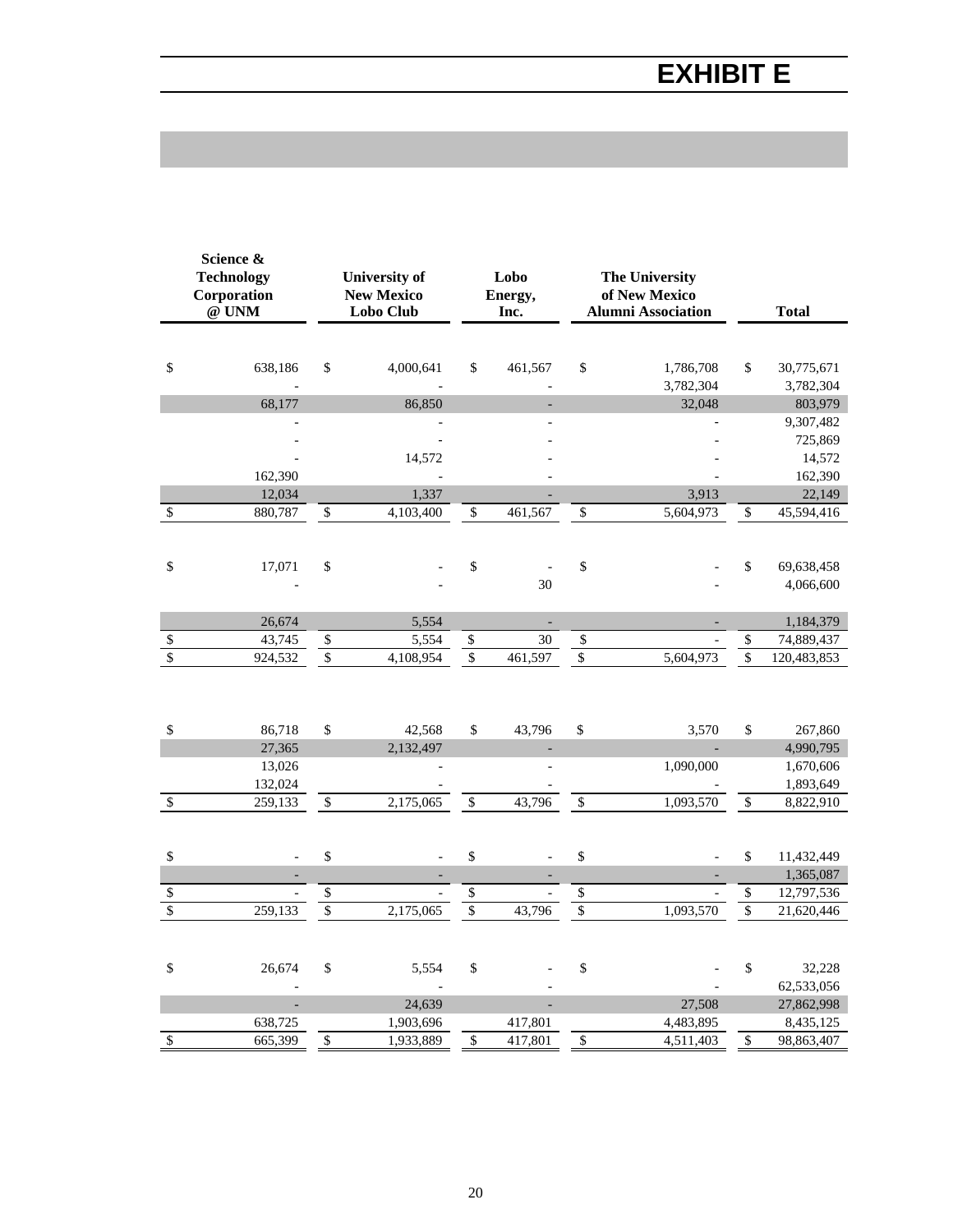# **EXHIBIT E**

|                           | Science &<br><b>Technology</b><br>Corporation<br>@ UNM |                          | <b>University of</b><br><b>New Mexico</b><br><b>Lobo Club</b> |                          | Lobo<br>Energy,<br>Inc. |                           | The University<br>of New Mexico<br><b>Alumni Association</b> |                          | <b>Total</b> |
|---------------------------|--------------------------------------------------------|--------------------------|---------------------------------------------------------------|--------------------------|-------------------------|---------------------------|--------------------------------------------------------------|--------------------------|--------------|
|                           |                                                        |                          |                                                               |                          |                         |                           |                                                              |                          |              |
| $\$$                      | 638,186                                                | \$                       | 4,000,641                                                     | $\$$                     | 461,567                 | \$                        | 1,786,708                                                    | $\mathsf{\$}$            | 30,775,671   |
|                           |                                                        |                          |                                                               |                          |                         |                           | 3,782,304                                                    |                          | 3,782,304    |
|                           | 68,177                                                 |                          | 86,850                                                        |                          |                         |                           | 32,048                                                       |                          | 803,979      |
|                           |                                                        |                          |                                                               |                          |                         |                           |                                                              |                          | 9,307,482    |
|                           |                                                        |                          |                                                               |                          |                         |                           |                                                              |                          | 725,869      |
|                           |                                                        |                          | 14,572                                                        |                          |                         |                           |                                                              |                          | 14,572       |
|                           | 162,390                                                |                          |                                                               |                          |                         |                           |                                                              |                          | 162,390      |
|                           | 12,034                                                 |                          | 1,337                                                         |                          |                         |                           | 3,913                                                        |                          | 22,149       |
| $\boldsymbol{\mathsf{S}}$ | 880,787                                                | $\overline{\mathcal{S}}$ | 4,103,400                                                     | $\sqrt{\frac{2}{n}}$     | 461,567                 | \$                        | 5,604,973                                                    | $\overline{\mathcal{S}}$ | 45,594,416   |
|                           |                                                        |                          |                                                               |                          |                         |                           |                                                              |                          |              |
| \$                        | 17,071                                                 | \$                       |                                                               | \$                       |                         | \$                        |                                                              | \$                       | 69,638,458   |
|                           |                                                        |                          |                                                               |                          | 30                      |                           |                                                              |                          | 4,066,600    |
|                           |                                                        |                          |                                                               |                          |                         |                           |                                                              |                          |              |
|                           | 26,674                                                 |                          | 5,554                                                         |                          |                         |                           |                                                              |                          | 1,184,379    |
| $\boldsymbol{\$}$         | 43,745                                                 | \$                       | $\overline{5,554}$                                            | \$                       | 30                      | $\boldsymbol{\mathsf{S}}$ |                                                              | $\mathbb{S}$             | 74,889,437   |
| $\overline{\mathcal{S}}$  | 924,532                                                | $\overline{\$}$          | 4,108,954                                                     | $\overline{\mathcal{S}}$ | 461,597                 | $\sqrt{\frac{2}{n}}$      | 5,604,973                                                    | $\overline{\$}$          | 120,483,853  |
|                           |                                                        |                          |                                                               |                          |                         |                           |                                                              |                          |              |
| \$                        | 86,718                                                 | \$                       | 42,568                                                        | \$                       | 43,796                  | \$                        | 3,570                                                        | $\$$                     | 267,860      |
|                           | 27,365                                                 |                          | 2,132,497                                                     |                          |                         |                           |                                                              |                          | 4,990,795    |
|                           | 13,026                                                 |                          |                                                               |                          |                         |                           | 1,090,000                                                    |                          | 1,670,606    |
|                           | 132,024                                                |                          |                                                               |                          |                         |                           |                                                              |                          | 1,893,649    |
| $\$$                      | 259,133                                                | $\overline{\$}$          | 2,175,065                                                     | $\overline{\mathcal{S}}$ | 43,796                  | $\boldsymbol{\$}$         | 1,093,570                                                    | $\overline{\mathcal{L}}$ | 8,822,910    |
|                           |                                                        |                          |                                                               |                          |                         |                           |                                                              |                          |              |
| \$                        |                                                        | \$                       |                                                               | \$                       |                         | \$                        |                                                              | \$                       | 11,432,449   |
|                           |                                                        |                          |                                                               |                          | $\blacksquare$          |                           |                                                              |                          | 1,365,087    |
| $\mathbb{S}$              |                                                        | $\mathbb S$              |                                                               | $\mathbb S$              |                         | $\,$                      |                                                              | $\$\,$                   | 12,797,536   |
| $\overline{\mathcal{S}}$  | 259,133                                                | $\overline{\$}$          | 2,175,065                                                     | $\sqrt{\frac{2}{n}}$     | 43,796                  | $\overline{\$}$           | 1,093,570                                                    | $\sqrt{\frac{2}{n}}$     | 21,620,446   |
|                           |                                                        |                          |                                                               |                          |                         |                           |                                                              |                          |              |
| \$                        | 26,674                                                 | \$                       | 5,554                                                         | \$                       |                         | \$                        |                                                              | $\mathbb{S}$             | 32,228       |
|                           |                                                        |                          |                                                               |                          |                         |                           |                                                              |                          | 62,533,056   |
|                           |                                                        |                          | 24,639                                                        |                          |                         |                           | 27,508                                                       |                          | 27,862,998   |
|                           | 638,725                                                |                          | 1,903,696                                                     |                          | 417,801                 |                           | 4,483,895                                                    |                          | 8,435,125    |
| $\mathbb{S}$              | 665,399                                                | \$                       | 1,933,889                                                     | \$                       | 417,801                 | \$                        | 4,511,403                                                    | \$                       | 98,863,407   |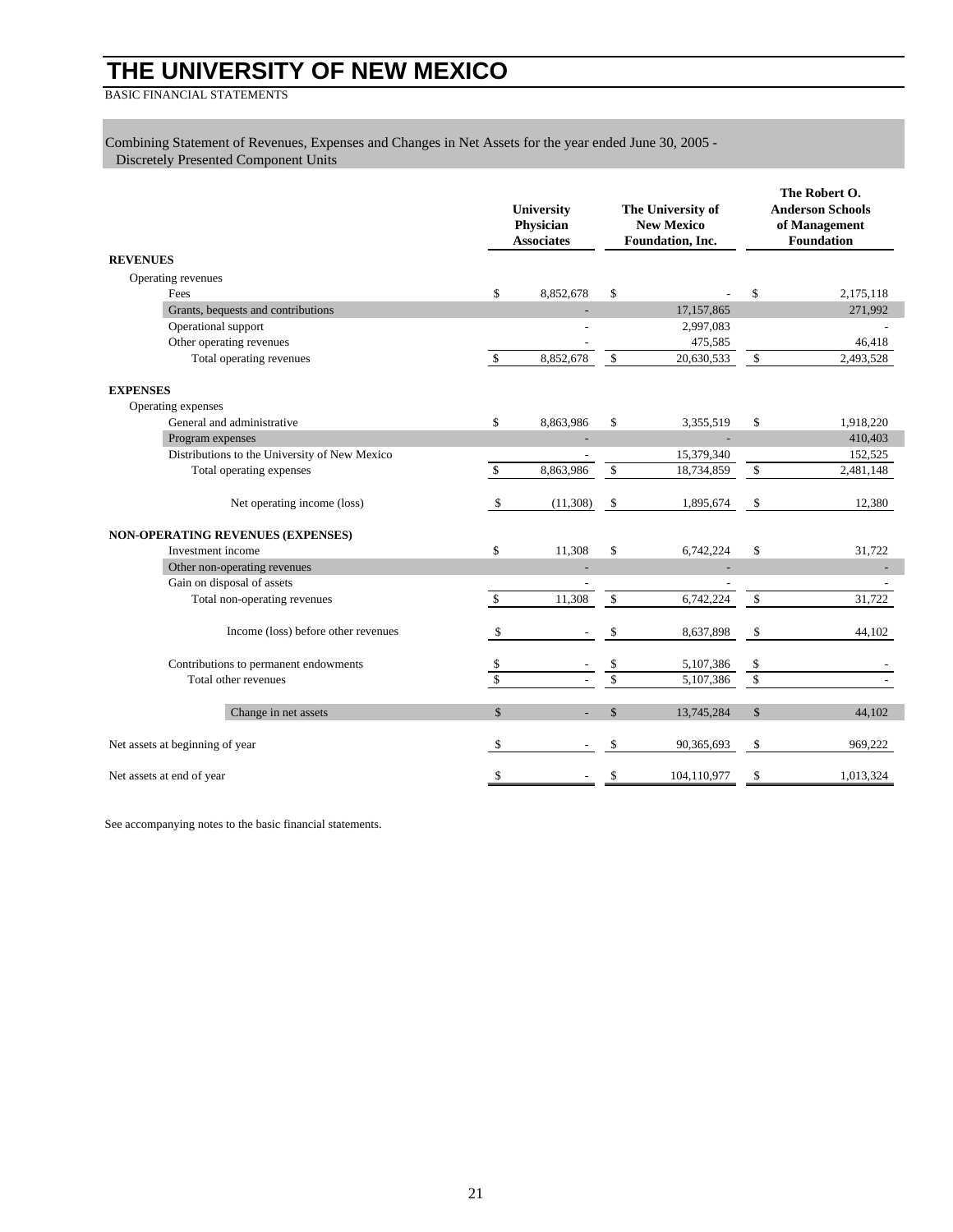BASIC FINANCIAL STATEMENTS

 Discretely Presented Component Units Combining Statement of Revenues, Expenses and Changes in Net Assets for the year ended June 30, 2005 -

|                                               |               | <b>University</b><br>Physician<br><b>Associates</b> |                         | The University of<br><b>New Mexico</b><br>Foundation, Inc. | The Robert O.<br><b>Anderson Schools</b><br>of Management<br>Foundation |           |  |
|-----------------------------------------------|---------------|-----------------------------------------------------|-------------------------|------------------------------------------------------------|-------------------------------------------------------------------------|-----------|--|
| <b>REVENUES</b>                               |               |                                                     |                         |                                                            |                                                                         |           |  |
| Operating revenues                            |               |                                                     |                         |                                                            |                                                                         |           |  |
| Fees                                          | \$            | 8.852.678                                           | S                       |                                                            | \$                                                                      | 2,175,118 |  |
| Grants, bequests and contributions            |               |                                                     |                         | 17,157,865                                                 |                                                                         | 271,992   |  |
| Operational support                           |               |                                                     |                         | 2,997,083                                                  |                                                                         |           |  |
| Other operating revenues                      |               |                                                     |                         | 475,585                                                    |                                                                         | 46,418    |  |
| Total operating revenues                      | \$            | 8,852,678                                           | \$                      | 20,630,533                                                 | \$                                                                      | 2,493,528 |  |
| <b>EXPENSES</b>                               |               |                                                     |                         |                                                            |                                                                         |           |  |
| Operating expenses                            |               |                                                     |                         |                                                            |                                                                         |           |  |
| General and administrative                    | \$            | 8,863,986                                           | \$                      | 3,355,519                                                  | \$                                                                      | 1,918,220 |  |
| Program expenses                              |               |                                                     |                         | ÷                                                          |                                                                         | 410,403   |  |
| Distributions to the University of New Mexico |               |                                                     |                         | 15,379,340                                                 |                                                                         | 152,525   |  |
| Total operating expenses                      | \$            | 8,863,986                                           | \$                      | 18,734,859                                                 | \$                                                                      | 2,481,148 |  |
| Net operating income (loss)                   | \$            | (11,308)                                            | \$                      | 1,895,674                                                  | \$                                                                      | 12,380    |  |
| <b>NON-OPERATING REVENUES (EXPENSES)</b>      |               |                                                     |                         |                                                            |                                                                         |           |  |
| Investment income                             | \$            | 11,308                                              | \$                      | 6,742,224                                                  | \$                                                                      | 31,722    |  |
| Other non-operating revenues                  |               |                                                     |                         |                                                            |                                                                         |           |  |
| Gain on disposal of assets                    |               |                                                     |                         |                                                            |                                                                         |           |  |
| Total non-operating revenues                  | \$            | 11,308                                              | \$                      | 6,742,224                                                  | \$                                                                      | 31,722    |  |
| Income (loss) before other revenues           | \$            |                                                     | \$                      | 8,637,898                                                  | \$                                                                      | 44,102    |  |
| Contributions to permanent endowments         | \$            |                                                     | \$                      | 5,107,386                                                  | \$                                                                      |           |  |
| Total other revenues                          | \$            |                                                     | $\overline{\mathbb{S}}$ | 5,107,386                                                  | \$                                                                      |           |  |
| Change in net assets                          | $\mathcal{S}$ | ÷                                                   | $\mathbb{S}$            | 13,745,284                                                 | $\mathbb{S}$                                                            | 44,102    |  |
| Net assets at beginning of year               | \$            |                                                     | \$                      | 90,365,693                                                 | \$                                                                      | 969,222   |  |
| Net assets at end of year                     | \$            |                                                     | \$                      | 104,110,977                                                | \$                                                                      | 1,013,324 |  |

See accompanying notes to the basic financial statements.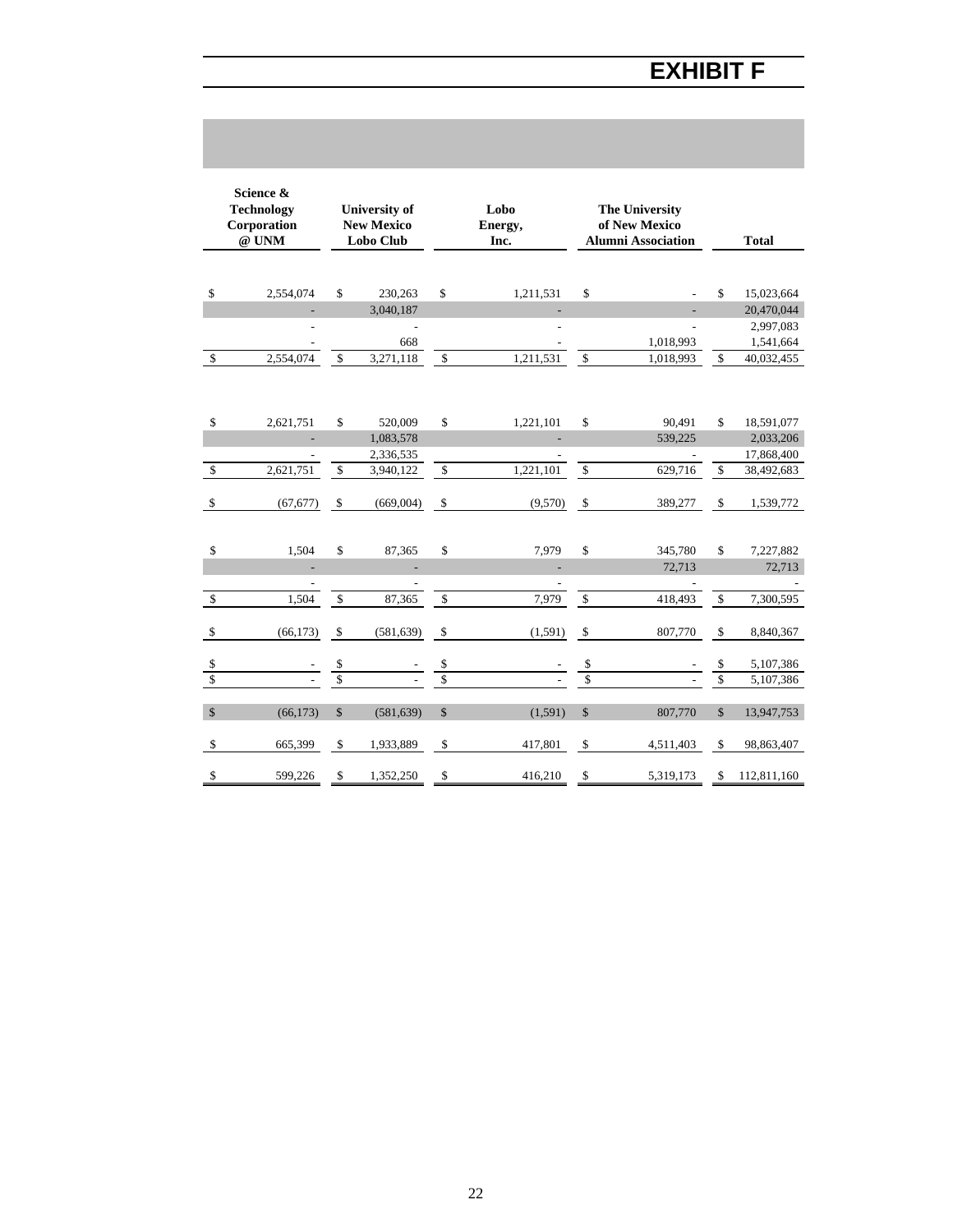# **EXHIBIT F**

|                           | Science &<br><b>Technology</b><br>Corporation<br>@ UNM | <b>University</b> of<br><b>New Mexico</b><br><b>Lobo Club</b> |            | Lobo<br>Energy,<br>Inc. |                          |                          |           |                          | The University<br>of New Mexico<br><b>Alumni Association</b> |  | <b>Total</b> |
|---------------------------|--------------------------------------------------------|---------------------------------------------------------------|------------|-------------------------|--------------------------|--------------------------|-----------|--------------------------|--------------------------------------------------------------|--|--------------|
|                           |                                                        |                                                               |            |                         |                          |                          |           |                          |                                                              |  |              |
| \$                        | 2,554,074                                              | \$                                                            | 230,263    | $\mathbf S$             | 1,211,531                | \$                       |           | \$                       | 15,023,664                                                   |  |              |
|                           |                                                        |                                                               | 3,040,187  |                         |                          |                          |           |                          | 20,470,044                                                   |  |              |
|                           |                                                        |                                                               |            |                         |                          |                          |           |                          | 2,997,083                                                    |  |              |
|                           |                                                        |                                                               | 668        |                         |                          |                          | 1,018,993 |                          | 1,541,664                                                    |  |              |
| $\mathbb{S}$              | 2,554,074                                              | \$                                                            | 3,271,118  | \$                      | 1,211,531                | \$                       | 1,018,993 | $\mathbb{S}$             | 40,032,455                                                   |  |              |
|                           |                                                        |                                                               |            |                         |                          |                          |           |                          |                                                              |  |              |
| \$                        | 2,621,751                                              | \$                                                            | 520,009    | \$                      | 1,221,101                | \$                       | 90,491    | \$                       | 18,591,077                                                   |  |              |
|                           | ÷                                                      |                                                               | 1,083,578  |                         | $\overline{\phantom{a}}$ |                          | 539,225   |                          | 2,033,206                                                    |  |              |
|                           |                                                        |                                                               | 2,336,535  |                         |                          |                          |           |                          | 17,868,400                                                   |  |              |
| $\mathcal{S}$             | 2,621,751                                              | \$                                                            | 3,940,122  | $\sqrt{\frac{2}{n}}$    | 1,221,101                | $\mathsf{\$}$            | 629,716   | \$                       | 38,492,683                                                   |  |              |
| $\mathcal{S}$             | (67, 677)                                              | \$                                                            | (669,004)  | \$                      | (9,570)                  | $\mathbb{S}$             | 389,277   | $\mathbb{S}$             | 1,539,772                                                    |  |              |
| \$                        | 1,504                                                  | \$                                                            | 87,365     | \$                      | 7,979                    | \$                       | 345,780   | \$                       | 7,227,882                                                    |  |              |
|                           |                                                        |                                                               |            |                         |                          |                          | 72,713    |                          | 72,713                                                       |  |              |
|                           |                                                        |                                                               |            |                         |                          |                          |           |                          |                                                              |  |              |
| $\mathcal{S}$             | 1.504                                                  | \$                                                            | 87,365     | $\overline{\mathbf{S}}$ | 7.979                    | $\overline{\mathcal{S}}$ | 418,493   | $\overline{\mathcal{S}}$ | 7,300,595                                                    |  |              |
| $\mathbb{S}$              | (66, 173)                                              | \$                                                            | (581, 639) | \$                      | (1,591)                  | \$                       | 807,770   | \$                       | 8,840,367                                                    |  |              |
|                           |                                                        |                                                               |            |                         |                          |                          |           |                          |                                                              |  |              |
| \$                        |                                                        | \$                                                            |            | \$                      |                          | \$                       |           | \$                       | 5,107,386                                                    |  |              |
| \$                        |                                                        | $\sqrt{\frac{1}{2}}$                                          |            | \$                      |                          | $\mathbb{S}$             |           | $\sqrt{\frac{2}{5}}$     | 5,107,386                                                    |  |              |
| $\boldsymbol{\mathsf{S}}$ | (66, 173)                                              | $\mathbb{S}$                                                  | (581, 639) | $\mathbb{S}$            | (1,591)                  | $\mathbb{S}$             | 807,770   | $\$$                     | 13,947,753                                                   |  |              |
| $\$$                      | 665,399                                                | \$                                                            | 1,933,889  | \$                      | 417,801                  | $\mathbb{S}$             | 4,511,403 | $\mathcal{S}$            | 98,863,407                                                   |  |              |
| \$                        | 599,226                                                | \$                                                            | 1,352,250  | \$                      | 416,210                  | \$                       | 5,319,173 | \$                       | 112,811,160                                                  |  |              |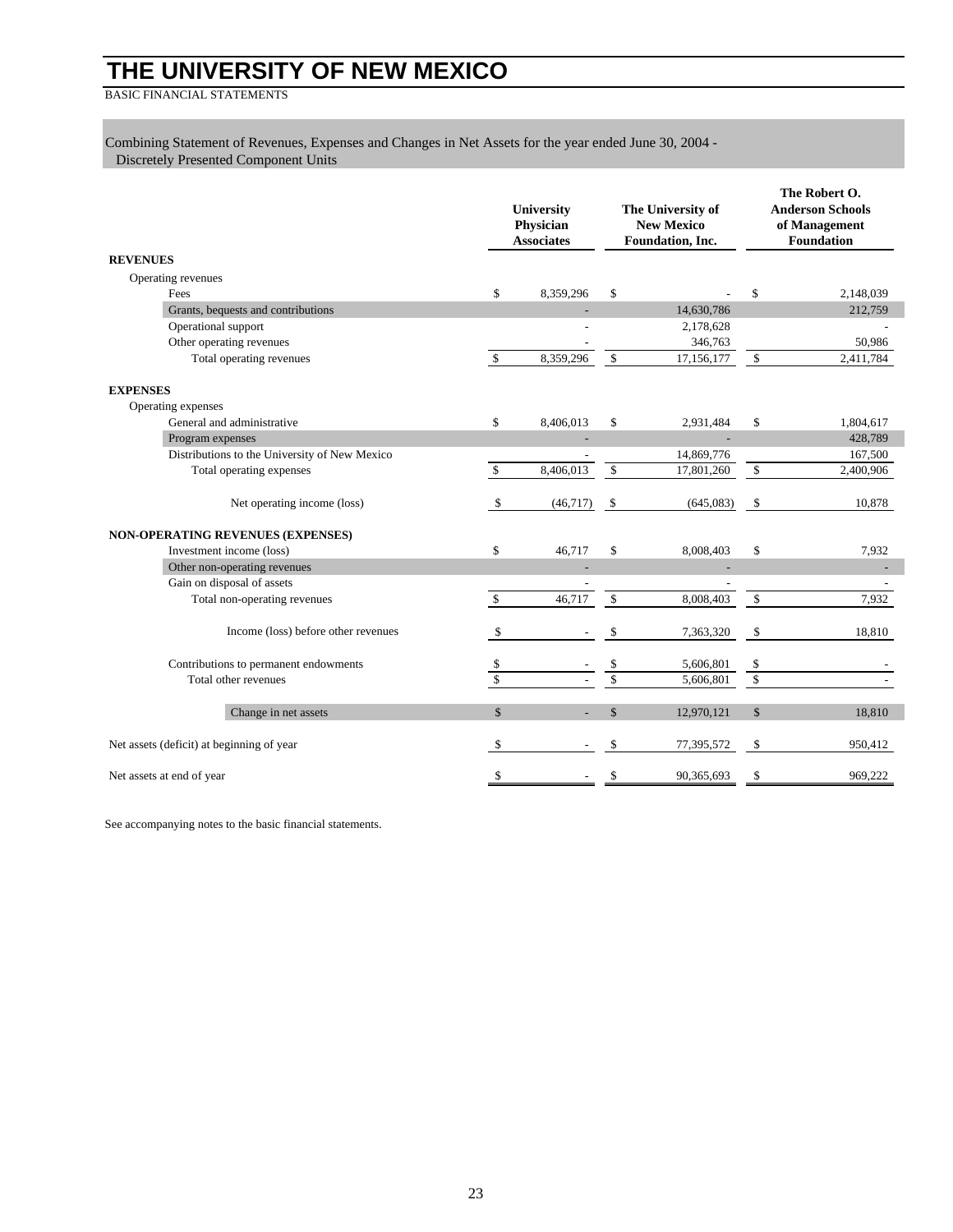BASIC FINANCIAL STATEMENTS

 Discretely Presented Component Units Combining Statement of Revenues, Expenses and Changes in Net Assets for the year ended June 30, 2004 -

|                                               |               | <b>University</b><br>Physician<br><b>Associates</b> |                    | The University of<br><b>New Mexico</b><br>Foundation, Inc. | The Robert O.<br><b>Anderson Schools</b><br>of Management<br>Foundation |           |  |
|-----------------------------------------------|---------------|-----------------------------------------------------|--------------------|------------------------------------------------------------|-------------------------------------------------------------------------|-----------|--|
| <b>REVENUES</b>                               |               |                                                     |                    |                                                            |                                                                         |           |  |
| Operating revenues                            |               |                                                     |                    |                                                            |                                                                         |           |  |
| Fees                                          | \$            | 8,359,296                                           | S                  |                                                            | \$                                                                      | 2.148.039 |  |
| Grants, bequests and contributions            |               |                                                     |                    | 14,630,786                                                 |                                                                         | 212,759   |  |
| Operational support                           |               |                                                     |                    | 2,178,628                                                  |                                                                         |           |  |
| Other operating revenues                      |               |                                                     |                    | 346,763                                                    |                                                                         | 50,986    |  |
| Total operating revenues                      | \$            | 8,359,296                                           | \$                 | 17,156,177                                                 | \$                                                                      | 2,411,784 |  |
| <b>EXPENSES</b>                               |               |                                                     |                    |                                                            |                                                                         |           |  |
| Operating expenses                            |               |                                                     |                    |                                                            |                                                                         |           |  |
| General and administrative                    | \$            | 8,406,013                                           | \$                 | 2,931,484                                                  | \$                                                                      | 1,804,617 |  |
| Program expenses                              |               |                                                     |                    | L,                                                         |                                                                         | 428,789   |  |
| Distributions to the University of New Mexico |               |                                                     |                    | 14,869,776                                                 |                                                                         | 167,500   |  |
| Total operating expenses                      | \$            | 8,406,013                                           | \$                 | 17,801,260                                                 | \$                                                                      | 2,400,906 |  |
| Net operating income (loss)                   | \$            | (46, 717)                                           | \$                 | (645,083)                                                  | \$                                                                      | 10,878    |  |
| <b>NON-OPERATING REVENUES (EXPENSES)</b>      |               |                                                     |                    |                                                            |                                                                         |           |  |
| Investment income (loss)                      | \$            | 46,717                                              | S                  | 8,008,403                                                  | \$                                                                      | 7,932     |  |
| Other non-operating revenues                  |               |                                                     |                    |                                                            |                                                                         |           |  |
| Gain on disposal of assets                    |               |                                                     |                    |                                                            |                                                                         |           |  |
| Total non-operating revenues                  | \$            | 46,717                                              | \$                 | 8,008,403                                                  | \$                                                                      | 7,932     |  |
| Income (loss) before other revenues           | \$            |                                                     | \$                 | 7,363,320                                                  | \$                                                                      | 18,810    |  |
| Contributions to permanent endowments         | \$            |                                                     | \$                 | 5,606,801                                                  | \$                                                                      |           |  |
| Total other revenues                          | \$            |                                                     | $\mathbf{\hat{S}}$ | 5,606,801                                                  | \$                                                                      |           |  |
| Change in net assets                          | $\mathcal{S}$ |                                                     | $\mathcal{S}$      | 12,970,121                                                 | $\mathbb{S}$                                                            | 18,810    |  |
| Net assets (deficit) at beginning of year     | \$            |                                                     | \$                 | 77,395,572                                                 | \$                                                                      | 950,412   |  |
| Net assets at end of year                     | \$            |                                                     | \$                 | 90,365,693                                                 | \$                                                                      | 969,222   |  |

See accompanying notes to the basic financial statements.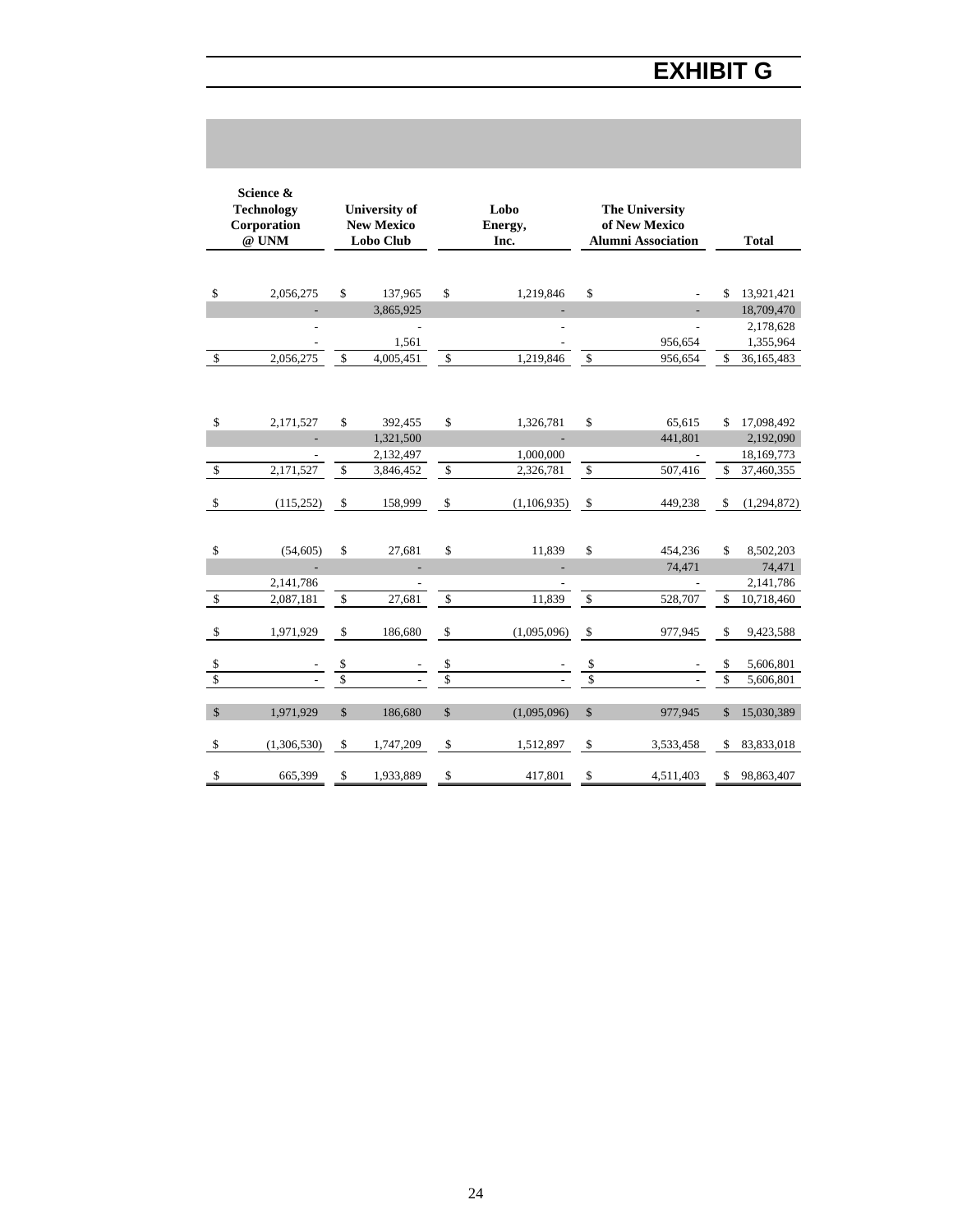# **EXHIBIT G**

|               | Science &<br><b>Technology</b><br>Corporation<br>@ UNM |               | <b>University of</b><br><b>New Mexico</b><br><b>Lobo Club</b> | Lobo<br>Energy,<br>Inc.  |             |                      | The University<br>of New Mexico<br><b>Alumni Association</b> |              | <b>Total</b>  |
|---------------|--------------------------------------------------------|---------------|---------------------------------------------------------------|--------------------------|-------------|----------------------|--------------------------------------------------------------|--------------|---------------|
|               |                                                        |               |                                                               |                          |             |                      |                                                              |              |               |
| \$            | 2,056,275                                              | $\mathbb{S}$  | 137,965                                                       | $\$$                     | 1,219,846   | \$                   |                                                              | \$           | 13,921,421    |
|               |                                                        |               | 3,865,925                                                     |                          |             |                      |                                                              |              | 18,709,470    |
|               |                                                        |               |                                                               |                          |             |                      |                                                              |              | 2,178,628     |
|               |                                                        |               | 1,561                                                         |                          |             |                      | 956,654                                                      |              | 1,355,964     |
| $\mathbb{S}$  | 2,056,275                                              | \$            | 4,005,451                                                     | \$                       | 1,219,846   | \$                   | 956,654                                                      | \$           | 36,165,483    |
|               |                                                        |               |                                                               |                          |             |                      |                                                              |              |               |
| \$            | 2,171,527                                              | \$            | 392,455                                                       | \$                       | 1,326,781   | \$                   | 65,615                                                       | \$           | 17,098,492    |
|               |                                                        |               | 1,321,500                                                     |                          |             |                      | 441,801                                                      |              | 2,192,090     |
|               |                                                        |               | 2,132,497                                                     |                          | 1,000,000   |                      | $\overline{\phantom{a}}$                                     |              | 18,169,773    |
| $\mathcal{S}$ | 2,171,527                                              | $\mathcal{S}$ | 3,846,452                                                     | \$                       | 2,326,781   | $\sqrt{\frac{2}{n}}$ | 507,416                                                      | \$           | 37,460,355    |
| $\mathcal{S}$ | (115, 252)                                             | \$            | 158,999                                                       | $\mathbb{S}$             | (1,106,935) | $\mathbb{S}$         | 449,238                                                      | \$           | (1, 294, 872) |
| \$            | (54, 605)                                              | \$            | 27,681                                                        | \$                       | 11,839      | \$                   | 454,236                                                      | \$           | 8,502,203     |
|               |                                                        |               |                                                               |                          |             |                      | 74,471                                                       |              | 74,471        |
|               | 2,141,786                                              |               |                                                               |                          |             |                      | $\overline{\phantom{a}}$                                     |              | 2,141,786     |
| \$            | 2,087,181                                              | $\mathcal{S}$ | 27,681                                                        | $\mathbb{S}$             | 11,839      | $\$$                 | 528,707                                                      | \$           | 10,718,460    |
| $\mathcal{S}$ | 1,971,929                                              | \$            | 186,680                                                       | $\mathbb{S}$             | (1,095,096) | $\mathcal{S}$        | 977,945                                                      | \$           | 9,423,588     |
| \$            |                                                        | \$            |                                                               | \$                       |             | \$                   |                                                              | \$           | 5,606,801     |
| \$            |                                                        | $\mathsf{\$}$ |                                                               | $\overline{\mathcal{S}}$ |             | \$                   |                                                              | \$           | 5,606,801     |
|               |                                                        |               |                                                               |                          |             |                      |                                                              |              |               |
| $\mathcal{S}$ | 1,971,929                                              | $\mathbb{S}$  | 186,680                                                       | \$                       | (1,095,096) | $\mathbb{S}$         | 977,945                                                      | $\mathbb{S}$ | 15,030,389    |
| $\mathcal{S}$ | (1,306,530)                                            | $\mathbb{S}$  | 1,747,209                                                     | \$                       | 1,512,897   | \$                   | 3,533,458                                                    | \$           | 83,833,018    |
| \$            | 665,399                                                | \$            | 1,933,889                                                     | \$                       | 417,801     | \$                   | 4,511,403                                                    | \$           | 98,863,407    |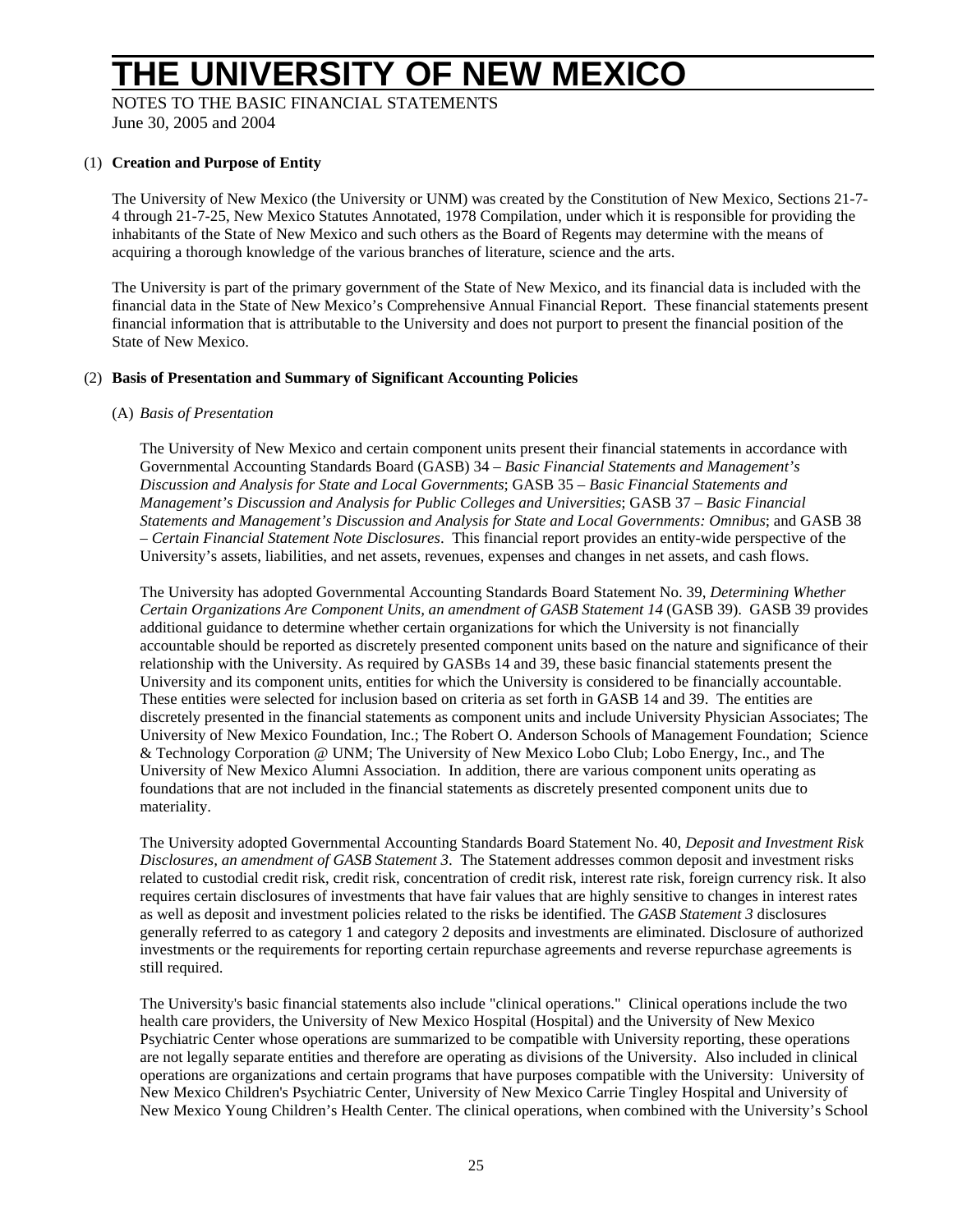NOTES TO THE BASIC FINANCIAL STATEMENTS

June 30, 2005 and 2004

#### (1) **Creation and Purpose of Entity**

The University of New Mexico (the University or UNM) was created by the Constitution of New Mexico, Sections 21-7- 4 through 21-7-25, New Mexico Statutes Annotated, 1978 Compilation, under which it is responsible for providing the inhabitants of the State of New Mexico and such others as the Board of Regents may determine with the means of acquiring a thorough knowledge of the various branches of literature, science and the arts.

The University is part of the primary government of the State of New Mexico, and its financial data is included with the financial data in the State of New Mexico's Comprehensive Annual Financial Report. These financial statements present financial information that is attributable to the University and does not purport to present the financial position of the State of New Mexico.

#### (2) **Basis of Presentation and Summary of Significant Accounting Policies**

#### (A) *Basis of Presentation*

The University of New Mexico and certain component units present their financial statements in accordance with Governmental Accounting Standards Board (GASB) 34 – *Basic Financial Statements and Management's Discussion and Analysis for State and Local Governments*; GASB 35 – *Basic Financial Statements and Management's Discussion and Analysis for Public Colleges and Universities*; GASB 37 – *Basic Financial Statements and Management's Discussion and Analysis for State and Local Governments: Omnibus*; and GASB 38 – *Certain Financial Statement Note Disclosures*. This financial report provides an entity-wide perspective of the University's assets, liabilities, and net assets, revenues, expenses and changes in net assets, and cash flows.

The University has adopted Governmental Accounting Standards Board Statement No. 39, *Determining Whether Certain Organizations Are Component Units, an amendment of GASB Statement 14* (GASB 39). GASB 39 provides additional guidance to determine whether certain organizations for which the University is not financially accountable should be reported as discretely presented component units based on the nature and significance of their relationship with the University. As required by GASBs 14 and 39, these basic financial statements present the University and its component units, entities for which the University is considered to be financially accountable. These entities were selected for inclusion based on criteria as set forth in GASB 14 and 39. The entities are discretely presented in the financial statements as component units and include University Physician Associates; The University of New Mexico Foundation, Inc.; The Robert O. Anderson Schools of Management Foundation; Science & Technology Corporation @ UNM; The University of New Mexico Lobo Club; Lobo Energy, Inc., and The University of New Mexico Alumni Association. In addition, there are various component units operating as foundations that are not included in the financial statements as discretely presented component units due to materiality.

The University adopted Governmental Accounting Standards Board Statement No. 40, *Deposit and Investment Risk Disclosures, an amendment of GASB Statement 3*. The Statement addresses common deposit and investment risks related to custodial credit risk, credit risk, concentration of credit risk, interest rate risk, foreign currency risk. It also requires certain disclosures of investments that have fair values that are highly sensitive to changes in interest rates as well as deposit and investment policies related to the risks be identified. The *GASB Statement 3* disclosures generally referred to as category 1 and category 2 deposits and investments are eliminated. Disclosure of authorized investments or the requirements for reporting certain repurchase agreements and reverse repurchase agreements is still required.

The University's basic financial statements also include "clinical operations." Clinical operations include the two health care providers, the University of New Mexico Hospital (Hospital) and the University of New Mexico Psychiatric Center whose operations are summarized to be compatible with University reporting, these operations are not legally separate entities and therefore are operating as divisions of the University. Also included in clinical operations are organizations and certain programs that have purposes compatible with the University: University of New Mexico Children's Psychiatric Center, University of New Mexico Carrie Tingley Hospital and University of New Mexico Young Children's Health Center. The clinical operations, when combined with the University's School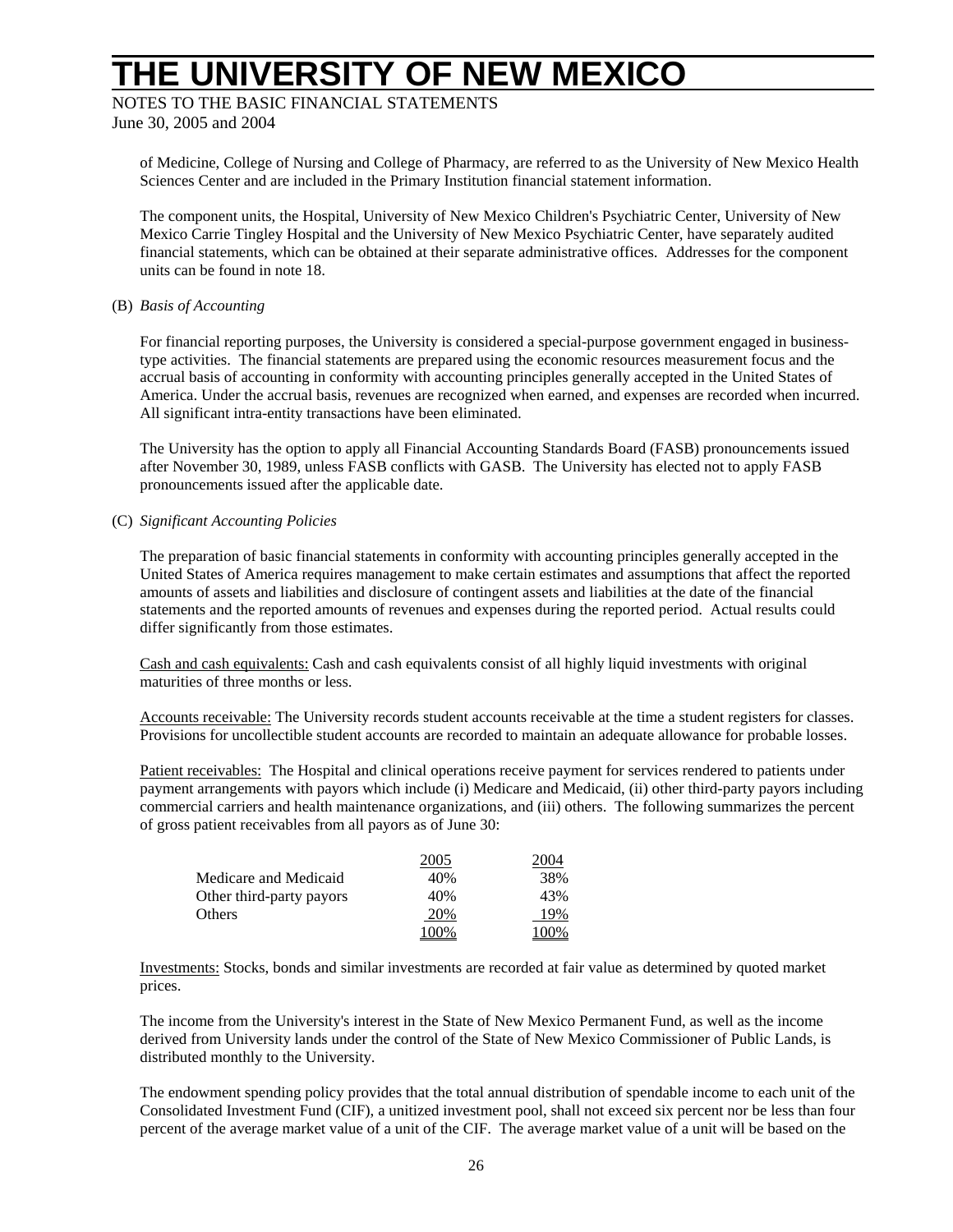NOTES TO THE BASIC FINANCIAL STATEMENTS

June 30, 2005 and 2004

of Medicine, College of Nursing and College of Pharmacy, are referred to as the University of New Mexico Health Sciences Center and are included in the Primary Institution financial statement information.

The component units, the Hospital, University of New Mexico Children's Psychiatric Center, University of New Mexico Carrie Tingley Hospital and the University of New Mexico Psychiatric Center, have separately audited financial statements, which can be obtained at their separate administrative offices. Addresses for the component units can be found in note 18.

#### (B) *Basis of Accounting*

For financial reporting purposes, the University is considered a special-purpose government engaged in businesstype activities. The financial statements are prepared using the economic resources measurement focus and the accrual basis of accounting in conformity with accounting principles generally accepted in the United States of America. Under the accrual basis, revenues are recognized when earned, and expenses are recorded when incurred. All significant intra-entity transactions have been eliminated.

The University has the option to apply all Financial Accounting Standards Board (FASB) pronouncements issued after November 30, 1989, unless FASB conflicts with GASB. The University has elected not to apply FASB pronouncements issued after the applicable date.

#### (C) *Significant Accounting Policies*

The preparation of basic financial statements in conformity with accounting principles generally accepted in the United States of America requires management to make certain estimates and assumptions that affect the reported amounts of assets and liabilities and disclosure of contingent assets and liabilities at the date of the financial statements and the reported amounts of revenues and expenses during the reported period. Actual results could differ significantly from those estimates.

Cash and cash equivalents: Cash and cash equivalents consist of all highly liquid investments with original maturities of three months or less.

Accounts receivable: The University records student accounts receivable at the time a student registers for classes. Provisions for uncollectible student accounts are recorded to maintain an adequate allowance for probable losses.

Patient receivables: The Hospital and clinical operations receive payment for services rendered to patients under payment arrangements with payors which include (i) Medicare and Medicaid, (ii) other third-party payors including commercial carriers and health maintenance organizations, and (iii) others. The following summarizes the percent of gross patient receivables from all payors as of June 30:

|                          | 2005 | 2004 |
|--------------------------|------|------|
| Medicare and Medicaid    | 40%  | 38%  |
| Other third-party payors | 40%  | 43%  |
| <b>Others</b>            | 20%  | 19%  |
|                          |      |      |

Investments: Stocks, bonds and similar investments are recorded at fair value as determined by quoted market prices.

The income from the University's interest in the State of New Mexico Permanent Fund, as well as the income derived from University lands under the control of the State of New Mexico Commissioner of Public Lands, is distributed monthly to the University.

The endowment spending policy provides that the total annual distribution of spendable income to each unit of the Consolidated Investment Fund (CIF), a unitized investment pool, shall not exceed six percent nor be less than four percent of the average market value of a unit of the CIF. The average market value of a unit will be based on the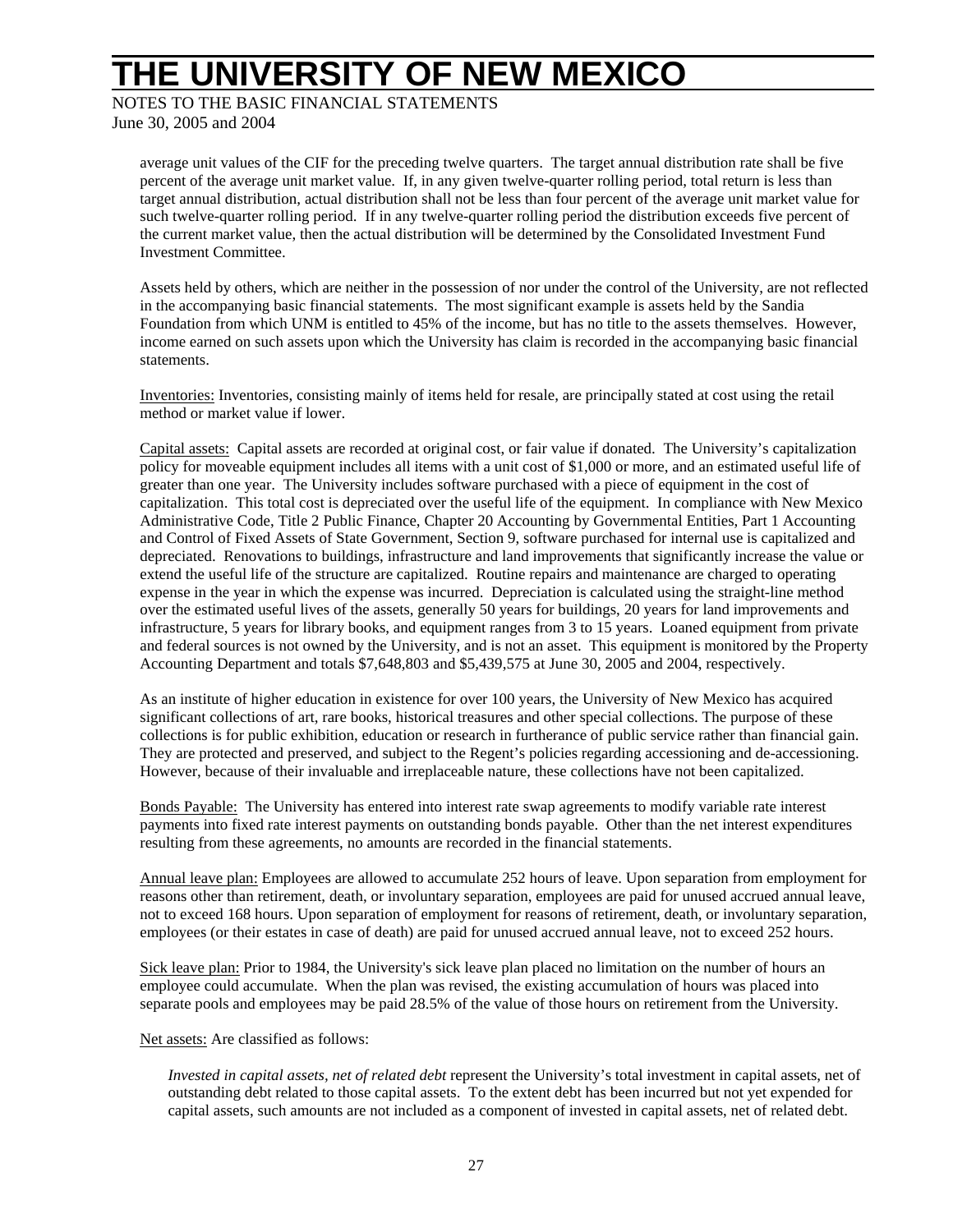NOTES TO THE BASIC FINANCIAL STATEMENTS June 30, 2005 and 2004

average unit values of the CIF for the preceding twelve quarters. The target annual distribution rate shall be five percent of the average unit market value. If, in any given twelve-quarter rolling period, total return is less than target annual distribution, actual distribution shall not be less than four percent of the average unit market value for such twelve-quarter rolling period. If in any twelve-quarter rolling period the distribution exceeds five percent of the current market value, then the actual distribution will be determined by the Consolidated Investment Fund Investment Committee.

Assets held by others, which are neither in the possession of nor under the control of the University, are not reflected in the accompanying basic financial statements. The most significant example is assets held by the Sandia Foundation from which UNM is entitled to 45% of the income, but has no title to the assets themselves. However, income earned on such assets upon which the University has claim is recorded in the accompanying basic financial statements.

Inventories: Inventories, consisting mainly of items held for resale, are principally stated at cost using the retail method or market value if lower.

Capital assets: Capital assets are recorded at original cost, or fair value if donated. The University's capitalization policy for moveable equipment includes all items with a unit cost of \$1,000 or more, and an estimated useful life of greater than one year. The University includes software purchased with a piece of equipment in the cost of capitalization. This total cost is depreciated over the useful life of the equipment. In compliance with New Mexico Administrative Code, Title 2 Public Finance, Chapter 20 Accounting by Governmental Entities, Part 1 Accounting and Control of Fixed Assets of State Government, Section 9, software purchased for internal use is capitalized and depreciated. Renovations to buildings, infrastructure and land improvements that significantly increase the value or extend the useful life of the structure are capitalized. Routine repairs and maintenance are charged to operating expense in the year in which the expense was incurred. Depreciation is calculated using the straight-line method over the estimated useful lives of the assets, generally 50 years for buildings, 20 years for land improvements and infrastructure, 5 years for library books, and equipment ranges from 3 to 15 years. Loaned equipment from private and federal sources is not owned by the University, and is not an asset. This equipment is monitored by the Property Accounting Department and totals \$7,648,803 and \$5,439,575 at June 30, 2005 and 2004, respectively.

As an institute of higher education in existence for over 100 years, the University of New Mexico has acquired significant collections of art, rare books, historical treasures and other special collections. The purpose of these collections is for public exhibition, education or research in furtherance of public service rather than financial gain. They are protected and preserved, and subject to the Regent's policies regarding accessioning and de-accessioning. However, because of their invaluable and irreplaceable nature, these collections have not been capitalized.

Bonds Payable: The University has entered into interest rate swap agreements to modify variable rate interest payments into fixed rate interest payments on outstanding bonds payable. Other than the net interest expenditures resulting from these agreements, no amounts are recorded in the financial statements.

Annual leave plan: Employees are allowed to accumulate 252 hours of leave. Upon separation from employment for reasons other than retirement, death, or involuntary separation, employees are paid for unused accrued annual leave, not to exceed 168 hours. Upon separation of employment for reasons of retirement, death, or involuntary separation, employees (or their estates in case of death) are paid for unused accrued annual leave, not to exceed 252 hours.

Sick leave plan: Prior to 1984, the University's sick leave plan placed no limitation on the number of hours an employee could accumulate. When the plan was revised, the existing accumulation of hours was placed into separate pools and employees may be paid 28.5% of the value of those hours on retirement from the University.

Net assets: Are classified as follows:

*Invested in capital assets, net of related debt represent the University's total investment in capital assets, net of* outstanding debt related to those capital assets. To the extent debt has been incurred but not yet expended for capital assets, such amounts are not included as a component of invested in capital assets, net of related debt.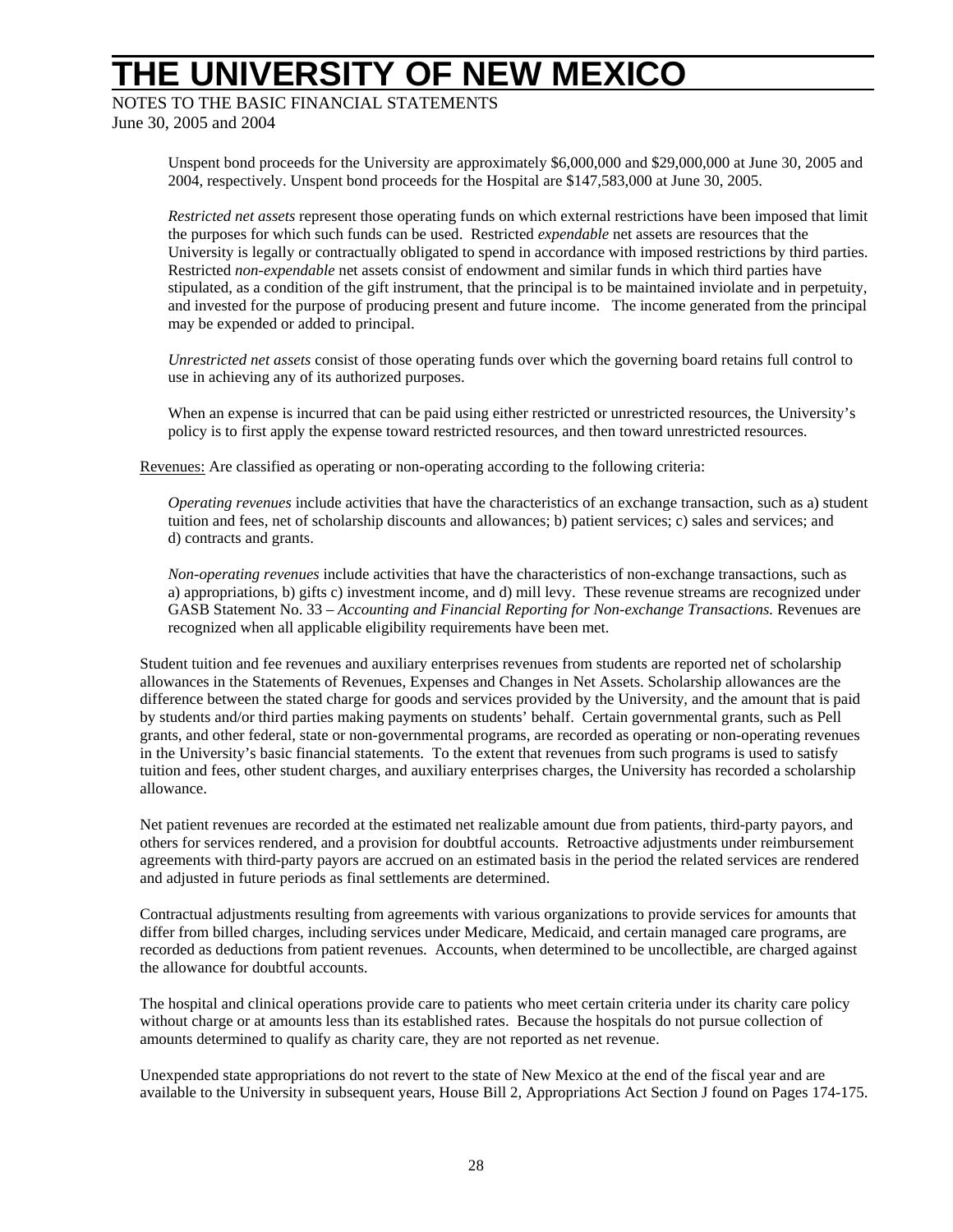NOTES TO THE BASIC FINANCIAL STATEMENTS

June 30, 2005 and 2004

Unspent bond proceeds for the University are approximately \$6,000,000 and \$29,000,000 at June 30, 2005 and 2004, respectively. Unspent bond proceeds for the Hospital are \$147,583,000 at June 30, 2005.

*Restricted net assets* represent those operating funds on which external restrictions have been imposed that limit the purposes for which such funds can be used. Restricted *expendable* net assets are resources that the University is legally or contractually obligated to spend in accordance with imposed restrictions by third parties. Restricted *non-expendable* net assets consist of endowment and similar funds in which third parties have stipulated, as a condition of the gift instrument, that the principal is to be maintained inviolate and in perpetuity, and invested for the purpose of producing present and future income. The income generated from the principal may be expended or added to principal.

*Unrestricted net assets* consist of those operating funds over which the governing board retains full control to use in achieving any of its authorized purposes.

When an expense is incurred that can be paid using either restricted or unrestricted resources, the University's policy is to first apply the expense toward restricted resources, and then toward unrestricted resources.

Revenues: Are classified as operating or non-operating according to the following criteria:

*Operating revenues* include activities that have the characteristics of an exchange transaction, such as a) student tuition and fees, net of scholarship discounts and allowances; b) patient services; c) sales and services; and d) contracts and grants.

*Non-operating revenues* include activities that have the characteristics of non-exchange transactions, such as a) appropriations, b) gifts c) investment income, and d) mill levy. These revenue streams are recognized under GASB Statement No. 33 – *Accounting and Financial Reporting for Non-exchange Transactions.* Revenues are recognized when all applicable eligibility requirements have been met.

Student tuition and fee revenues and auxiliary enterprises revenues from students are reported net of scholarship allowances in the Statements of Revenues, Expenses and Changes in Net Assets. Scholarship allowances are the difference between the stated charge for goods and services provided by the University, and the amount that is paid by students and/or third parties making payments on students' behalf. Certain governmental grants, such as Pell grants, and other federal, state or non-governmental programs, are recorded as operating or non-operating revenues in the University's basic financial statements. To the extent that revenues from such programs is used to satisfy tuition and fees, other student charges, and auxiliary enterprises charges, the University has recorded a scholarship allowance.

Net patient revenues are recorded at the estimated net realizable amount due from patients, third-party payors, and others for services rendered, and a provision for doubtful accounts. Retroactive adjustments under reimbursement agreements with third-party payors are accrued on an estimated basis in the period the related services are rendered and adjusted in future periods as final settlements are determined.

Contractual adjustments resulting from agreements with various organizations to provide services for amounts that differ from billed charges, including services under Medicare, Medicaid, and certain managed care programs, are recorded as deductions from patient revenues. Accounts, when determined to be uncollectible, are charged against the allowance for doubtful accounts.

The hospital and clinical operations provide care to patients who meet certain criteria under its charity care policy without charge or at amounts less than its established rates. Because the hospitals do not pursue collection of amounts determined to qualify as charity care, they are not reported as net revenue.

Unexpended state appropriations do not revert to the state of New Mexico at the end of the fiscal year and are available to the University in subsequent years, House Bill 2, Appropriations Act Section J found on Pages 174-175.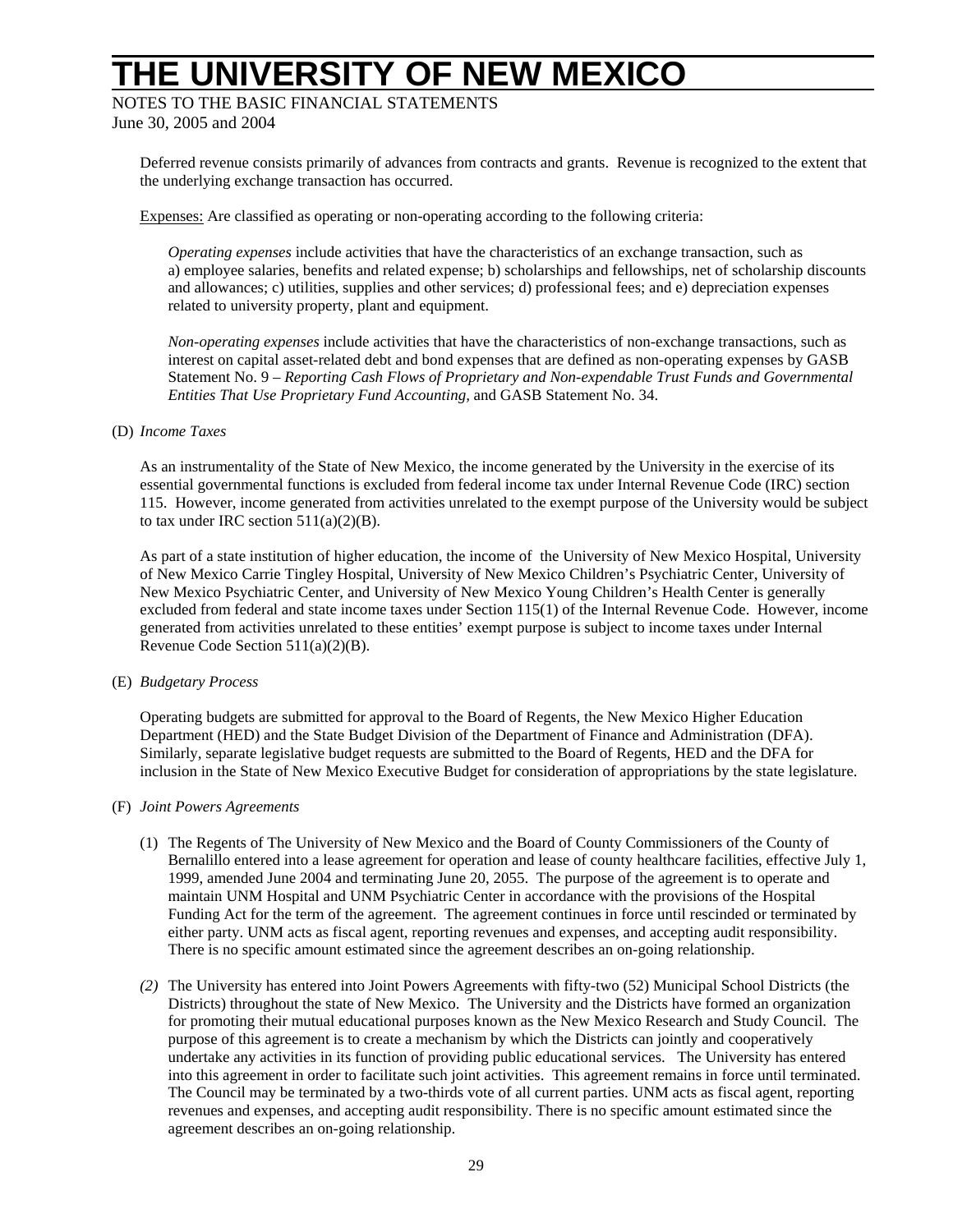## NOTES TO THE BASIC FINANCIAL STATEMENTS

June 30, 2005 and 2004

Deferred revenue consists primarily of advances from contracts and grants. Revenue is recognized to the extent that the underlying exchange transaction has occurred.

Expenses: Are classified as operating or non-operating according to the following criteria:

*Operating expenses* include activities that have the characteristics of an exchange transaction, such as a) employee salaries, benefits and related expense; b) scholarships and fellowships, net of scholarship discounts and allowances; c) utilities, supplies and other services; d) professional fees; and e) depreciation expenses related to university property, plant and equipment.

*Non-operating expenses* include activities that have the characteristics of non-exchange transactions, such as interest on capital asset-related debt and bond expenses that are defined as non-operating expenses by GASB Statement No. 9 – *Reporting Cash Flows of Proprietary and Non-expendable Trust Funds and Governmental Entities That Use Proprietary Fund Accounting,* and GASB Statement No. 34.

#### (D) *Income Taxes*

As an instrumentality of the State of New Mexico, the income generated by the University in the exercise of its essential governmental functions is excluded from federal income tax under Internal Revenue Code (IRC) section 115. However, income generated from activities unrelated to the exempt purpose of the University would be subject to tax under IRC section  $511(a)(2)(B)$ .

As part of a state institution of higher education, the income of the University of New Mexico Hospital, University of New Mexico Carrie Tingley Hospital, University of New Mexico Children's Psychiatric Center, University of New Mexico Psychiatric Center, and University of New Mexico Young Children's Health Center is generally excluded from federal and state income taxes under Section 115(1) of the Internal Revenue Code. However, income generated from activities unrelated to these entities' exempt purpose is subject to income taxes under Internal Revenue Code Section 511(a)(2)(B).

(E) *Budgetary Process* 

Operating budgets are submitted for approval to the Board of Regents, the New Mexico Higher Education Department (HED) and the State Budget Division of the Department of Finance and Administration (DFA). Similarly, separate legislative budget requests are submitted to the Board of Regents, HED and the DFA for inclusion in the State of New Mexico Executive Budget for consideration of appropriations by the state legislature.

(F) *Joint Powers Agreements* 

- (1) The Regents of The University of New Mexico and the Board of County Commissioners of the County of Bernalillo entered into a lease agreement for operation and lease of county healthcare facilities, effective July 1, 1999, amended June 2004 and terminating June 20, 2055. The purpose of the agreement is to operate and maintain UNM Hospital and UNM Psychiatric Center in accordance with the provisions of the Hospital Funding Act for the term of the agreement. The agreement continues in force until rescinded or terminated by either party. UNM acts as fiscal agent, reporting revenues and expenses, and accepting audit responsibility. There is no specific amount estimated since the agreement describes an on-going relationship.
- *(2)* The University has entered into Joint Powers Agreements with fifty-two (52) Municipal School Districts (the Districts) throughout the state of New Mexico. The University and the Districts have formed an organization for promoting their mutual educational purposes known as the New Mexico Research and Study Council. The purpose of this agreement is to create a mechanism by which the Districts can jointly and cooperatively undertake any activities in its function of providing public educational services. The University has entered into this agreement in order to facilitate such joint activities. This agreement remains in force until terminated. The Council may be terminated by a two-thirds vote of all current parties. UNM acts as fiscal agent, reporting revenues and expenses, and accepting audit responsibility. There is no specific amount estimated since the agreement describes an on-going relationship.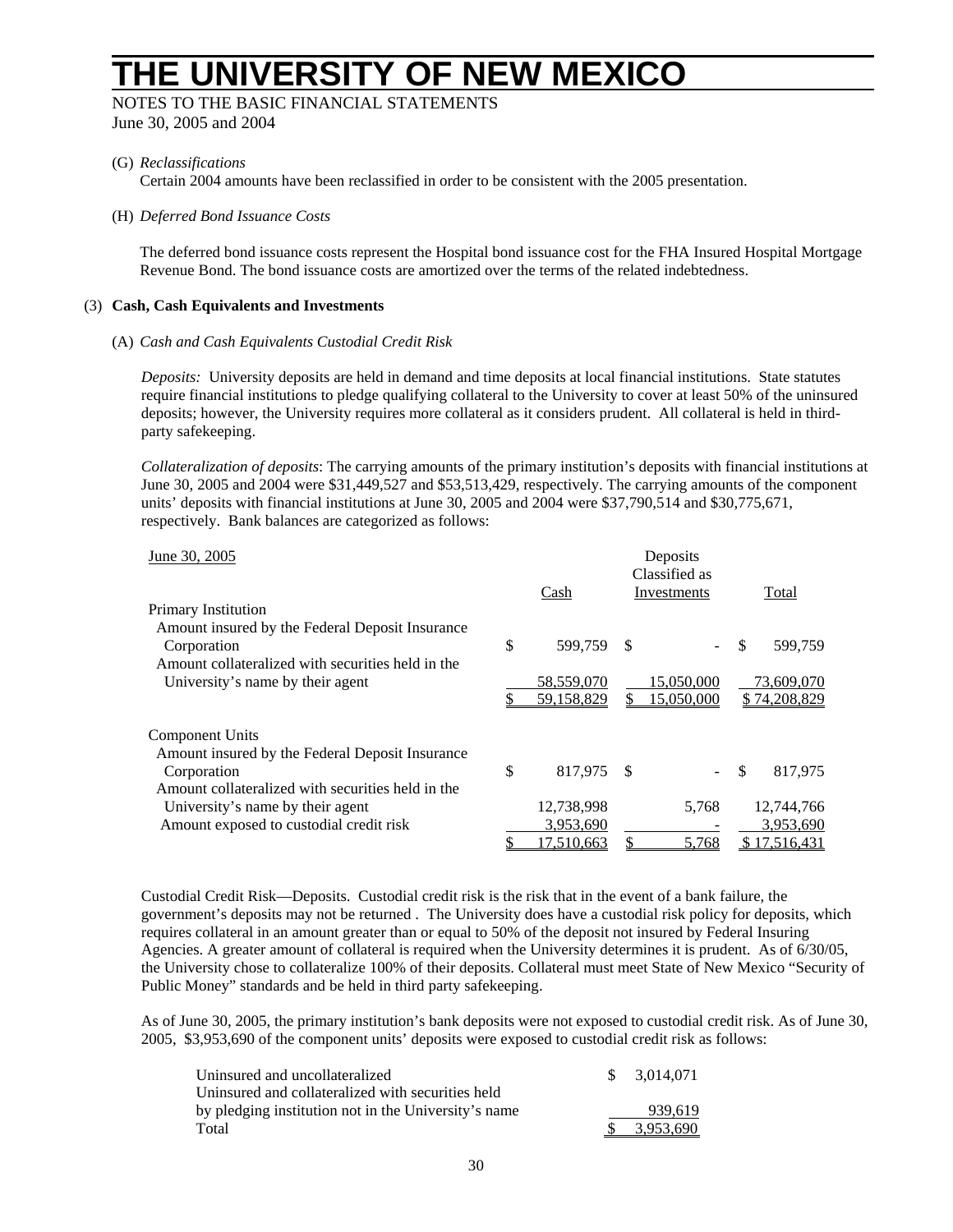#### NOTES TO THE BASIC FINANCIAL STATEMENTS

June 30, 2005 and 2004

#### (G) *Reclassifications*

Certain 2004 amounts have been reclassified in order to be consistent with the 2005 presentation.

#### (H) *Deferred Bond Issuance Costs*

The deferred bond issuance costs represent the Hospital bond issuance cost for the FHA Insured Hospital Mortgage Revenue Bond. The bond issuance costs are amortized over the terms of the related indebtedness.

#### (3) **Cash, Cash Equivalents and Investments**

#### (A) *Cash and Cash Equivalents Custodial Credit Risk*

*Deposits:* University deposits are held in demand and time deposits at local financial institutions. State statutes require financial institutions to pledge qualifying collateral to the University to cover at least 50% of the uninsured deposits; however, the University requires more collateral as it considers prudent. All collateral is held in thirdparty safekeeping.

*Collateralization of deposits*: The carrying amounts of the primary institution's deposits with financial institutions at June 30, 2005 and 2004 were \$31,449,527 and \$53,513,429, respectively. The carrying amounts of the component units' deposits with financial institutions at June 30, 2005 and 2004 were \$37,790,514 and \$30,775,671, respectively. Bank balances are categorized as follows:

| June 30, 2005                                                                                                       | Deposits<br>Classified as |                          |               |                          |              |                            |  |  |
|---------------------------------------------------------------------------------------------------------------------|---------------------------|--------------------------|---------------|--------------------------|--------------|----------------------------|--|--|
|                                                                                                                     |                           | Cash                     |               | Investments              |              | <b>Total</b>               |  |  |
| <b>Primary Institution</b>                                                                                          |                           |                          |               |                          |              |                            |  |  |
| Amount insured by the Federal Deposit Insurance<br>Corporation<br>Amount collateralized with securities held in the | \$                        | 599.759                  | <sup>\$</sup> |                          | S            | 599,759                    |  |  |
| University's name by their agent                                                                                    |                           | 58,559,070<br>59,158,829 |               | 15,050,000<br>15,050,000 |              | 73,609,070<br>\$74,208,829 |  |  |
| <b>Component Units</b><br>Amount insured by the Federal Deposit Insurance                                           |                           |                          |               |                          |              |                            |  |  |
| Corporation<br>Amount collateralized with securities held in the                                                    | \$                        | 817,975                  | - \$          |                          | $\mathbb{S}$ | 817,975                    |  |  |
| University's name by their agent                                                                                    |                           | 12,738,998               |               | 5,768                    |              | 12,744,766                 |  |  |
| Amount exposed to custodial credit risk                                                                             |                           | 3,953,690                |               |                          |              | 3,953,690                  |  |  |
|                                                                                                                     |                           | 17,510,663               |               | 5.768                    |              | \$17,516,431               |  |  |

Custodial Credit Risk—Deposits. Custodial credit risk is the risk that in the event of a bank failure, the government's deposits may not be returned . The University does have a custodial risk policy for deposits, which requires collateral in an amount greater than or equal to 50% of the deposit not insured by Federal Insuring Agencies. A greater amount of collateral is required when the University determines it is prudent. As of 6/30/05, the University chose to collateralize 100% of their deposits. Collateral must meet State of New Mexico "Security of Public Money" standards and be held in third party safekeeping.

As of June 30, 2005, the primary institution's bank deposits were not exposed to custodial credit risk. As of June 30, 2005, \$3,953,690 of the component units' deposits were exposed to custodial credit risk as follows:

| Uninsured and uncollateralized                       | \$ 3.014,071 |
|------------------------------------------------------|--------------|
| Uninsured and collateralized with securities held    |              |
| by pledging institution not in the University's name | 939.619      |
| Total                                                | 3.953.690    |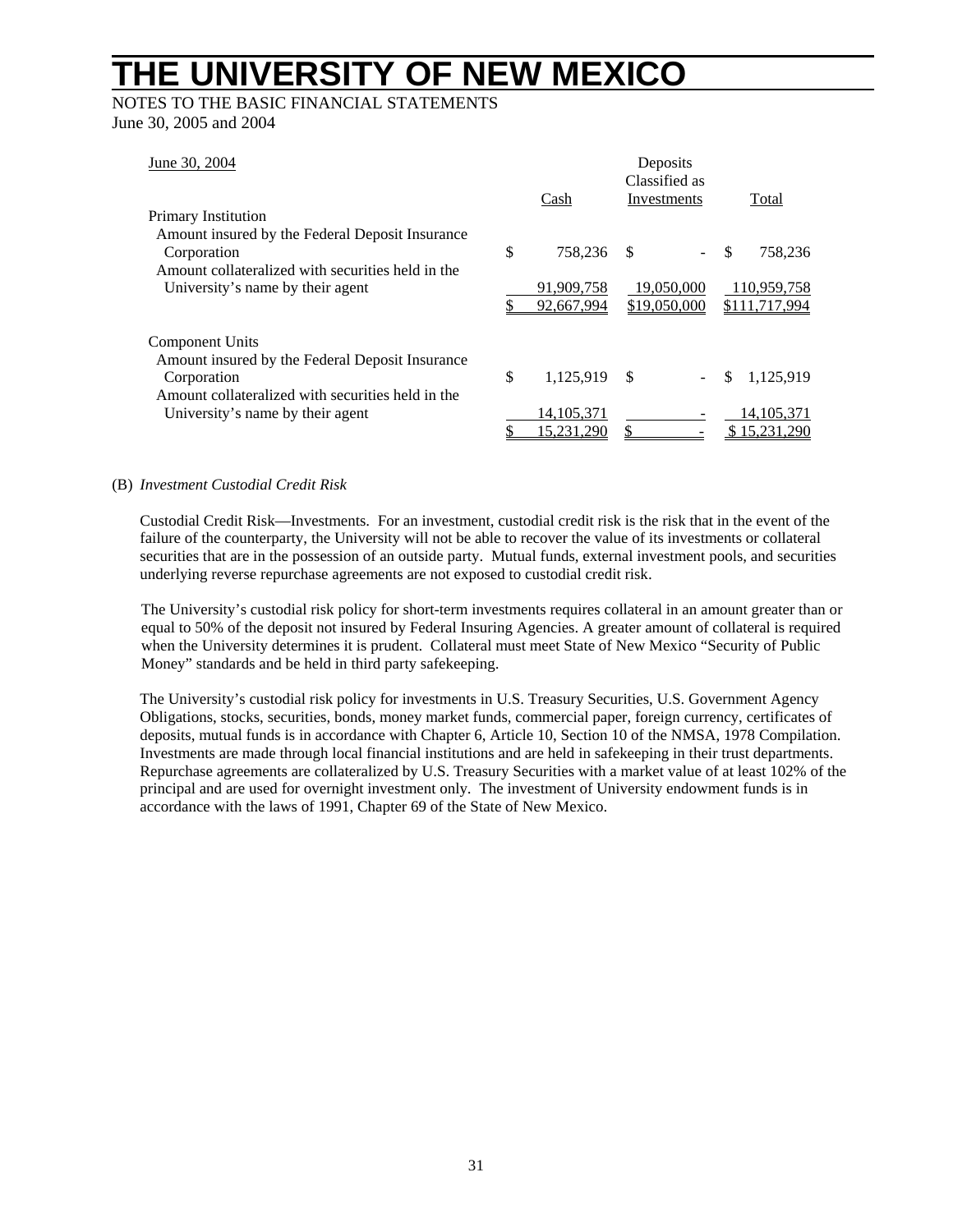## NOTES TO THE BASIC FINANCIAL STATEMENTS

June 30, 2005 and 2004

| June 30, 2004<br><b>Primary Institution</b>                                                                                            |    | Deposits<br>Classified as<br>Cash<br>Investments<br>Total |                            |                              |
|----------------------------------------------------------------------------------------------------------------------------------------|----|-----------------------------------------------------------|----------------------------|------------------------------|
| Amount insured by the Federal Deposit Insurance<br>Corporation<br>Amount collateralized with securities held in the                    | \$ | 758.236                                                   | S<br>$\blacksquare$        | - \$<br>758,236              |
| University's name by their agent                                                                                                       |    | 91,909,758<br>92,667,994                                  | 19,050,000<br>\$19,050,000 | 110,959,758<br>\$111,717,994 |
| Component Units<br>Amount insured by the Federal Deposit Insurance<br>Corporation<br>Amount collateralized with securities held in the | \$ | 1,125,919                                                 | \$<br>$\blacksquare$       | 1,125,919<br>\$              |
| University's name by their agent                                                                                                       |    | 14.105.371                                                | \$                         | 14, 105, 371                 |
|                                                                                                                                        |    | 15,231,290                                                |                            | \$15,231,290                 |

#### (B) *Investment Custodial Credit Risk*

Custodial Credit Risk—Investments. For an investment, custodial credit risk is the risk that in the event of the failure of the counterparty, the University will not be able to recover the value of its investments or collateral securities that are in the possession of an outside party. Mutual funds, external investment pools, and securities underlying reverse repurchase agreements are not exposed to custodial credit risk.

The University's custodial risk policy for short-term investments requires collateral in an amount greater than or equal to 50% of the deposit not insured by Federal Insuring Agencies. A greater amount of collateral is required when the University determines it is prudent. Collateral must meet State of New Mexico "Security of Public Money" standards and be held in third party safekeeping.

The University's custodial risk policy for investments in U.S. Treasury Securities, U.S. Government Agency Obligations, stocks, securities, bonds, money market funds, commercial paper, foreign currency, certificates of deposits, mutual funds is in accordance with Chapter 6, Article 10, Section 10 of the NMSA, 1978 Compilation. Investments are made through local financial institutions and are held in safekeeping in their trust departments. Repurchase agreements are collateralized by U.S. Treasury Securities with a market value of at least 102% of the principal and are used for overnight investment only. The investment of University endowment funds is in accordance with the laws of 1991, Chapter 69 of the State of New Mexico.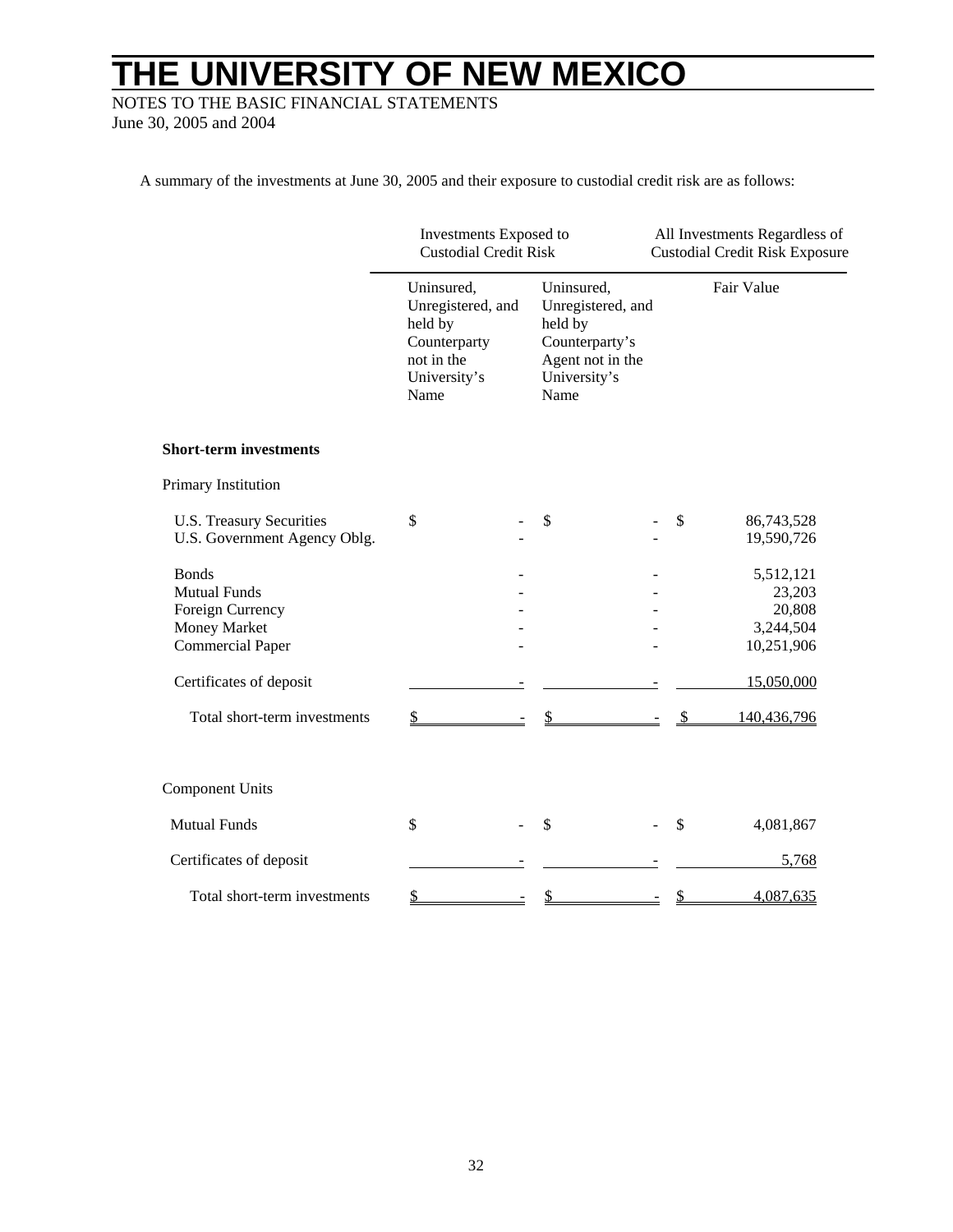NOTES TO THE BASIC FINANCIAL STATEMENTS June 30, 2005 and 2004

A summary of the investments at June 30, 2005 and their exposure to custodial credit risk are as follows:

|                                                                         | Investments Exposed to<br><b>Custodial Credit Risk</b>                                           |                                                                                                          | All Investments Regardless of<br><b>Custodial Credit Risk Exposure</b> |                                            |  |
|-------------------------------------------------------------------------|--------------------------------------------------------------------------------------------------|----------------------------------------------------------------------------------------------------------|------------------------------------------------------------------------|--------------------------------------------|--|
|                                                                         | Uninsured,<br>Unregistered, and<br>held by<br>Counterparty<br>not in the<br>University's<br>Name | Uninsured,<br>Unregistered, and<br>held by<br>Counterparty's<br>Agent not in the<br>University's<br>Name |                                                                        | Fair Value                                 |  |
| <b>Short-term investments</b>                                           |                                                                                                  |                                                                                                          |                                                                        |                                            |  |
| Primary Institution                                                     |                                                                                                  |                                                                                                          |                                                                        |                                            |  |
| <b>U.S. Treasury Securities</b><br>U.S. Government Agency Oblg.         | \$                                                                                               | \$                                                                                                       | \$                                                                     | 86,743,528<br>19,590,726                   |  |
| <b>Bonds</b><br><b>Mutual Funds</b><br>Foreign Currency<br>Money Market |                                                                                                  |                                                                                                          |                                                                        | 5,512,121<br>23,203<br>20,808<br>3,244,504 |  |
| <b>Commercial Paper</b><br>Certificates of deposit                      |                                                                                                  |                                                                                                          |                                                                        | 10,251,906<br>15,050,000                   |  |
| Total short-term investments                                            | \$                                                                                               | \$                                                                                                       | $\mathcal{S}$                                                          | 140,436,796                                |  |
| <b>Component Units</b>                                                  |                                                                                                  |                                                                                                          |                                                                        |                                            |  |
| <b>Mutual Funds</b>                                                     | \$                                                                                               | \$                                                                                                       | \$                                                                     | 4,081,867                                  |  |
| Certificates of deposit                                                 |                                                                                                  |                                                                                                          |                                                                        | 5,768                                      |  |
| Total short-term investments                                            | $\mathcal{S}$                                                                                    | $\mathbf{\mathcal{S}}$                                                                                   | \$                                                                     | 4,087,635                                  |  |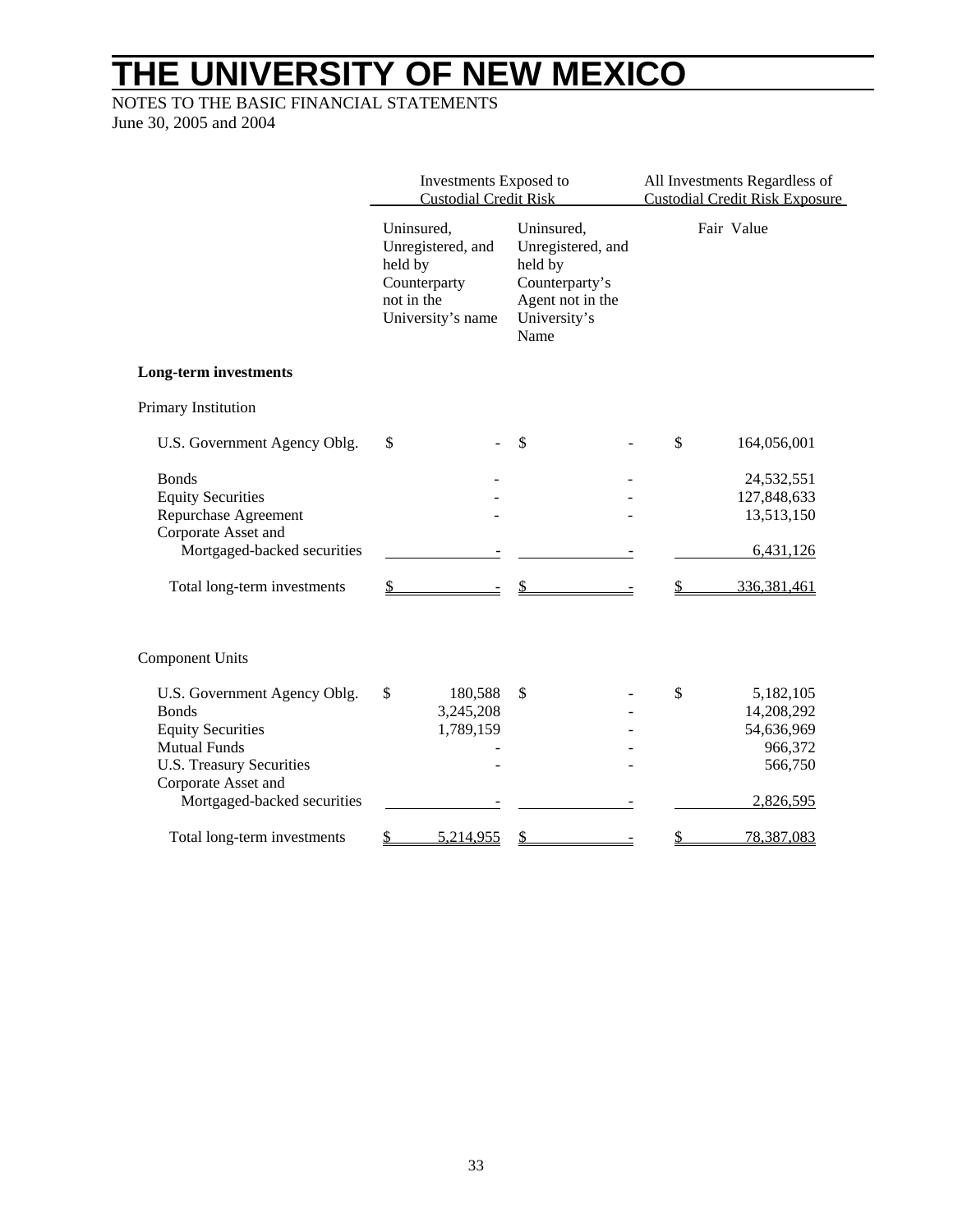### NOTES TO THE BASIC FINANCIAL STATEMENTS

June 30, 2005 and 2004

|                                                                                                                                                                                          |                                                     | Investments Exposed to<br><b>Custodial Credit Risk</b> |                                                                                                          | All Investments Regardless of<br><b>Custodial Credit Risk Exposure</b> |                                                                          |
|------------------------------------------------------------------------------------------------------------------------------------------------------------------------------------------|-----------------------------------------------------|--------------------------------------------------------|----------------------------------------------------------------------------------------------------------|------------------------------------------------------------------------|--------------------------------------------------------------------------|
|                                                                                                                                                                                          | Uninsured,<br>held by<br>Counterparty<br>not in the | Unregistered, and<br>University's name                 | Uninsured,<br>Unregistered, and<br>held by<br>Counterparty's<br>Agent not in the<br>University's<br>Name |                                                                        | Fair Value                                                               |
| <b>Long-term investments</b>                                                                                                                                                             |                                                     |                                                        |                                                                                                          |                                                                        |                                                                          |
| Primary Institution                                                                                                                                                                      |                                                     |                                                        |                                                                                                          |                                                                        |                                                                          |
| U.S. Government Agency Oblg.                                                                                                                                                             | \$                                                  |                                                        | \$                                                                                                       | \$                                                                     | 164,056,001                                                              |
| <b>Bonds</b><br><b>Equity Securities</b><br>Repurchase Agreement<br>Corporate Asset and<br>Mortgaged-backed securities<br>Total long-term investments                                    | \$                                                  |                                                        | \$                                                                                                       |                                                                        | 24,532,551<br>127,848,633<br>13,513,150<br>6,431,126<br>336,381,461      |
| <b>Component Units</b>                                                                                                                                                                   |                                                     |                                                        |                                                                                                          |                                                                        |                                                                          |
| U.S. Government Agency Oblg.<br><b>Bonds</b><br><b>Equity Securities</b><br><b>Mutual Funds</b><br><b>U.S. Treasury Securities</b><br>Corporate Asset and<br>Mortgaged-backed securities | \$                                                  | 180,588<br>3,245,208<br>1,789,159                      | \$                                                                                                       | \$                                                                     | 5,182,105<br>14,208,292<br>54,636,969<br>966,372<br>566,750<br>2,826,595 |
| Total long-term investments                                                                                                                                                              | \$                                                  | 5,214,955                                              | \$                                                                                                       | \$                                                                     | 78,387,083                                                               |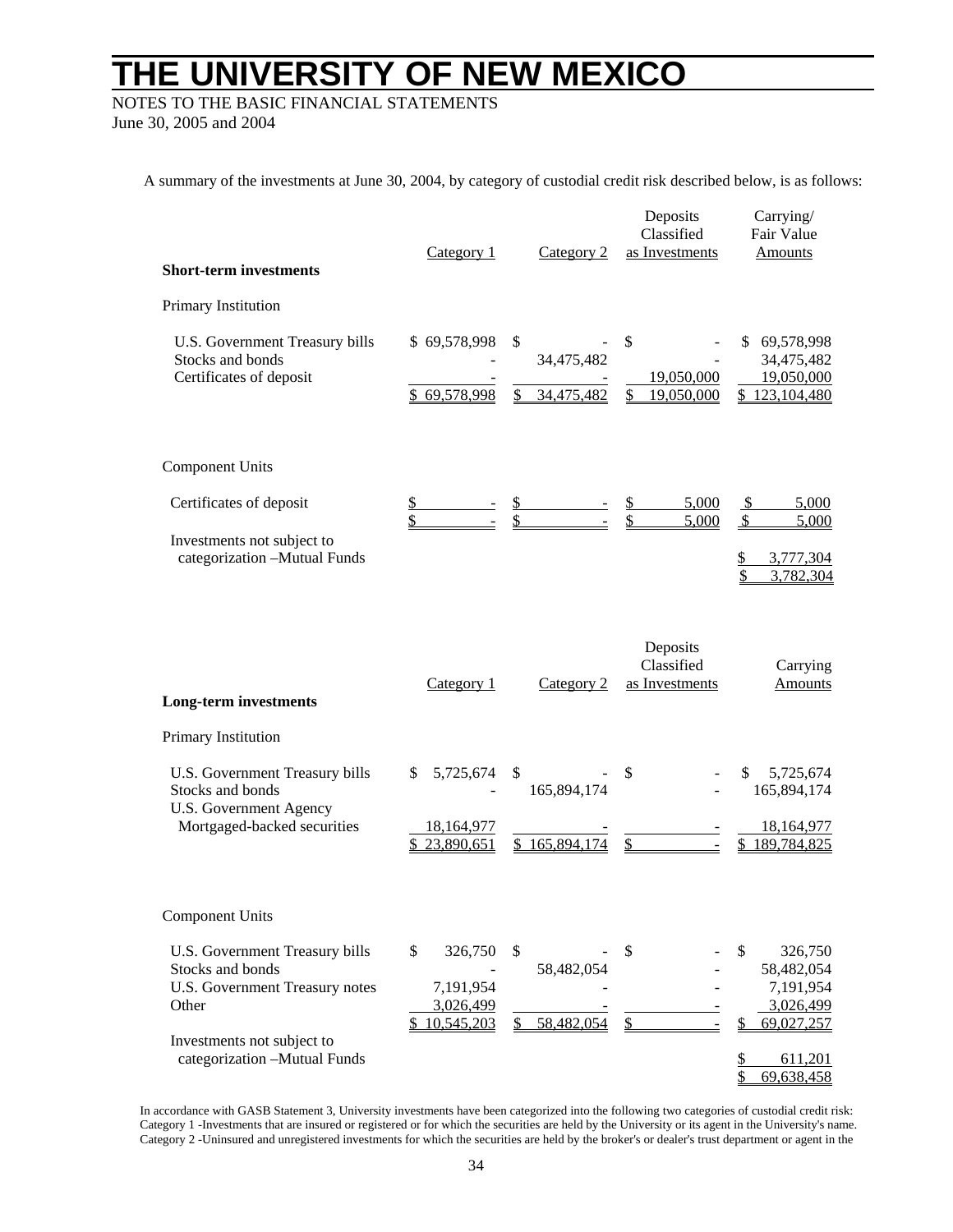NOTES TO THE BASIC FINANCIAL STATEMENTS

June 30, 2005 and 2004

A summary of the investments at June 30, 2004, by category of custodial credit risk described below, is as follows:

| <b>Short-term investments</b>                                                                                                                               | Category 1                                            | Category 2                               | Deposits<br>Classified<br>as Investments | Carrying/<br>Fair Value<br>Amounts                                                                       |
|-------------------------------------------------------------------------------------------------------------------------------------------------------------|-------------------------------------------------------|------------------------------------------|------------------------------------------|----------------------------------------------------------------------------------------------------------|
| Primary Institution                                                                                                                                         |                                                       |                                          |                                          |                                                                                                          |
| U.S. Government Treasury bills<br>Stocks and bonds<br>Certificates of deposit                                                                               | \$69,578,998<br>\$69,578,998                          | \$<br>34,475,482<br>\$<br>34,475,482     | \$<br>19,050,000<br>\$<br>19,050,000     | 69,578,998<br>34,475,482<br>19,050,000<br>\$123,104,480                                                  |
| <b>Component Units</b>                                                                                                                                      |                                                       |                                          |                                          |                                                                                                          |
| Certificates of deposit<br>Investments not subject to<br>categorization -Mutual Funds                                                                       | \$<br>\$                                              | $\frac{1}{2}$<br>$\overline{\mathbf{s}}$ | 5,000<br>\$<br>\$<br>5,000               | $\mathcal{S}$<br>5,000<br>$\mathcal{S}$<br>5,000<br>3,777,304<br>\$<br>3,782,304                         |
| <b>Long-term investments</b><br>Primary Institution                                                                                                         | Category 1                                            | Category 2                               | Deposits<br>Classified<br>as Investments | Carrying<br><b>Amounts</b>                                                                               |
| U.S. Government Treasury bills<br>Stocks and bonds<br><b>U.S. Government Agency</b><br>Mortgaged-backed securities                                          | 5,725,674<br>S.<br>18,164,977<br>23,890,651           | S<br>165,894,174<br>\$165,894,174        | \$<br>\$                                 | \$<br>5,725,674<br>165,894,174<br>18,164,977<br>\$<br>189,784,825                                        |
| <b>Component Units</b>                                                                                                                                      |                                                       |                                          |                                          |                                                                                                          |
| U.S. Government Treasury bills<br>Stocks and bonds<br>U.S. Government Treasury notes<br>Other<br>Investments not subject to<br>categorization -Mutual Funds | \$<br>326,750<br>7,191,954<br>3,026,499<br>10,545,203 | \$<br>58,482,054<br>58,482,054<br>S.     | \$<br>\$                                 | \$<br>326,750<br>58,482,054<br>7,191,954<br>3,026,499<br>69,027,257<br>611,201<br>\$<br>\$<br>69,638,458 |

In accordance with GASB Statement 3, University investments have been categorized into the following two categories of custodial credit risk: Category 1 -Investments that are insured or registered or for which the securities are held by the University or its agent in the University's name. Category 2 -Uninsured and unregistered investments for which the securities are held by the broker's or dealer's trust department or agent in the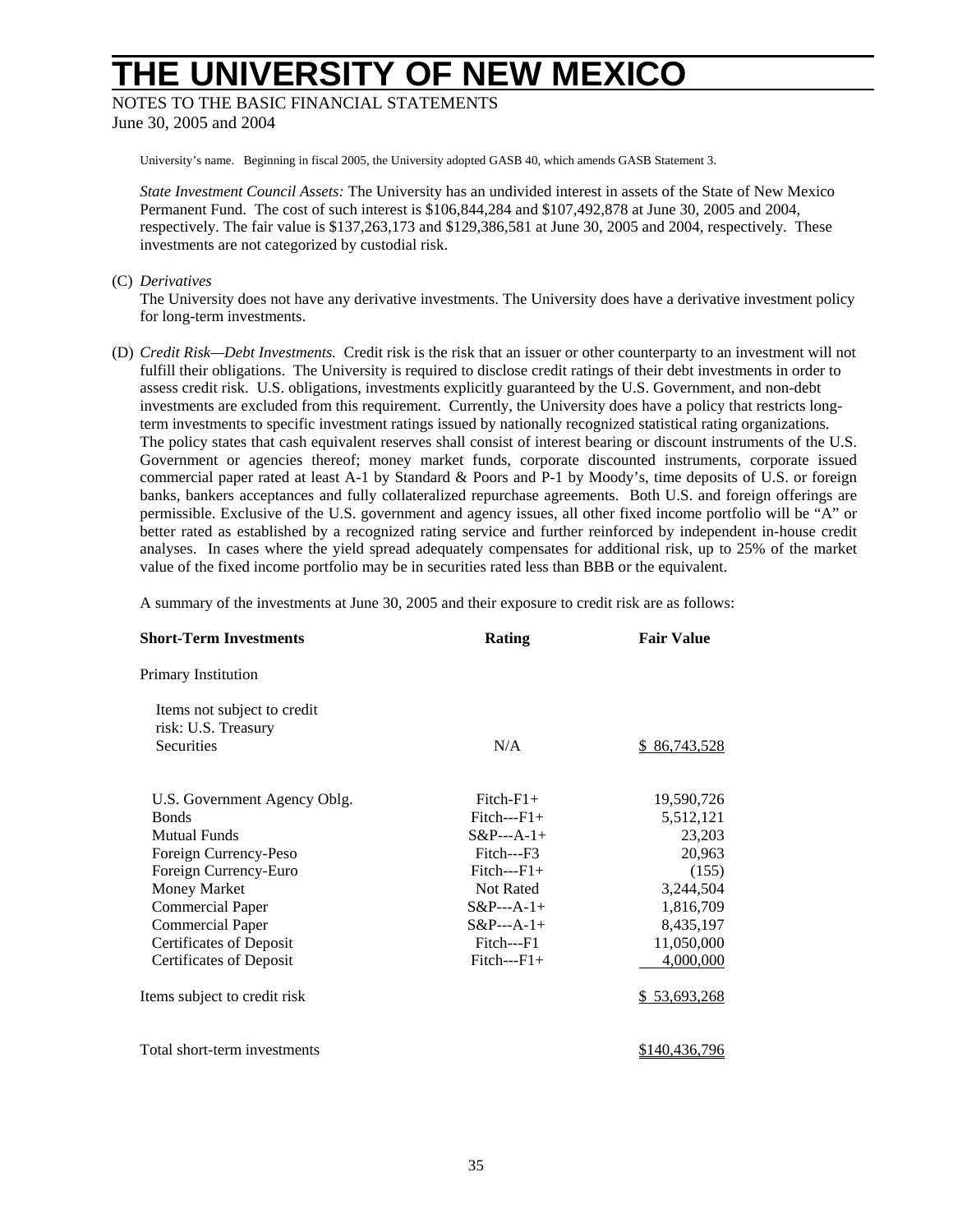NOTES TO THE BASIC FINANCIAL STATEMENTS

June 30, 2005 and 2004

University's name. Beginning in fiscal 2005, the University adopted GASB 40, which amends GASB Statement 3.

*State Investment Council Assets:* The University has an undivided interest in assets of the State of New Mexico Permanent Fund. The cost of such interest is \$106,844,284 and \$107,492,878 at June 30, 2005 and 2004, respectively. The fair value is \$137,263,173 and \$129,386,581 at June 30, 2005 and 2004, respectively. These investments are not categorized by custodial risk.

(C) *Derivatives* 

The University does not have any derivative investments. The University does have a derivative investment policy for long-term investments.

(D) *Credit Risk—Debt Investments.* Credit risk is the risk that an issuer or other counterparty to an investment will not fulfill their obligations. The University is required to disclose credit ratings of their debt investments in order to assess credit risk. U.S. obligations, investments explicitly guaranteed by the U.S. Government, and non-debt investments are excluded from this requirement. Currently, the University does have a policy that restricts longterm investments to specific investment ratings issued by nationally recognized statistical rating organizations. The policy states that cash equivalent reserves shall consist of interest bearing or discount instruments of the U.S. Government or agencies thereof; money market funds, corporate discounted instruments, corporate issued commercial paper rated at least A-1 by Standard & Poors and P-1 by Moody's, time deposits of U.S. or foreign banks, bankers acceptances and fully collateralized repurchase agreements. Both U.S. and foreign offerings are permissible. Exclusive of the U.S. government and agency issues, all other fixed income portfolio will be "A" or better rated as established by a recognized rating service and further reinforced by independent in-house credit analyses. In cases where the yield spread adequately compensates for additional risk, up to 25% of the market value of the fixed income portfolio may be in securities rated less than BBB or the equivalent.

A summary of the investments at June 30, 2005 and their exposure to credit risk are as follows:

| <b>Short-Term Investments</b>                | <b>Rating</b> | <b>Fair Value</b>    |
|----------------------------------------------|---------------|----------------------|
| Primary Institution                          |               |                      |
| Items not subject to credit                  |               |                      |
| risk: U.S. Treasury                          |               |                      |
| <b>Securities</b>                            | N/A           | \$86,743,528         |
|                                              | $Fitch-F1+$   |                      |
| U.S. Government Agency Oblg.<br><b>Bonds</b> | $Fitch--F1+$  | 19,590,726           |
|                                              |               | 5,512,121            |
| <b>Mutual Funds</b>                          | $S&P--A-1+$   | 23,203               |
| Foreign Currency-Peso                        | Fitch---F3    | 20,963               |
| Foreign Currency-Euro                        | $Fitch--F1+$  | (155)                |
| Money Market                                 | Not Rated     | 3,244,504            |
| <b>Commercial Paper</b>                      | $S&P--A-1+$   | 1,816,709            |
| <b>Commercial Paper</b>                      | $S&P--A-1+$   | 8,435,197            |
| <b>Certificates of Deposit</b>               | Fitch---F1    | 11,050,000           |
| <b>Certificates of Deposit</b>               | $Fitch--F1+$  | 4,000,000            |
| Items subject to credit risk                 |               | \$53,693,268         |
| Total short-term investments                 |               | <u>\$140,436,796</u> |
|                                              |               |                      |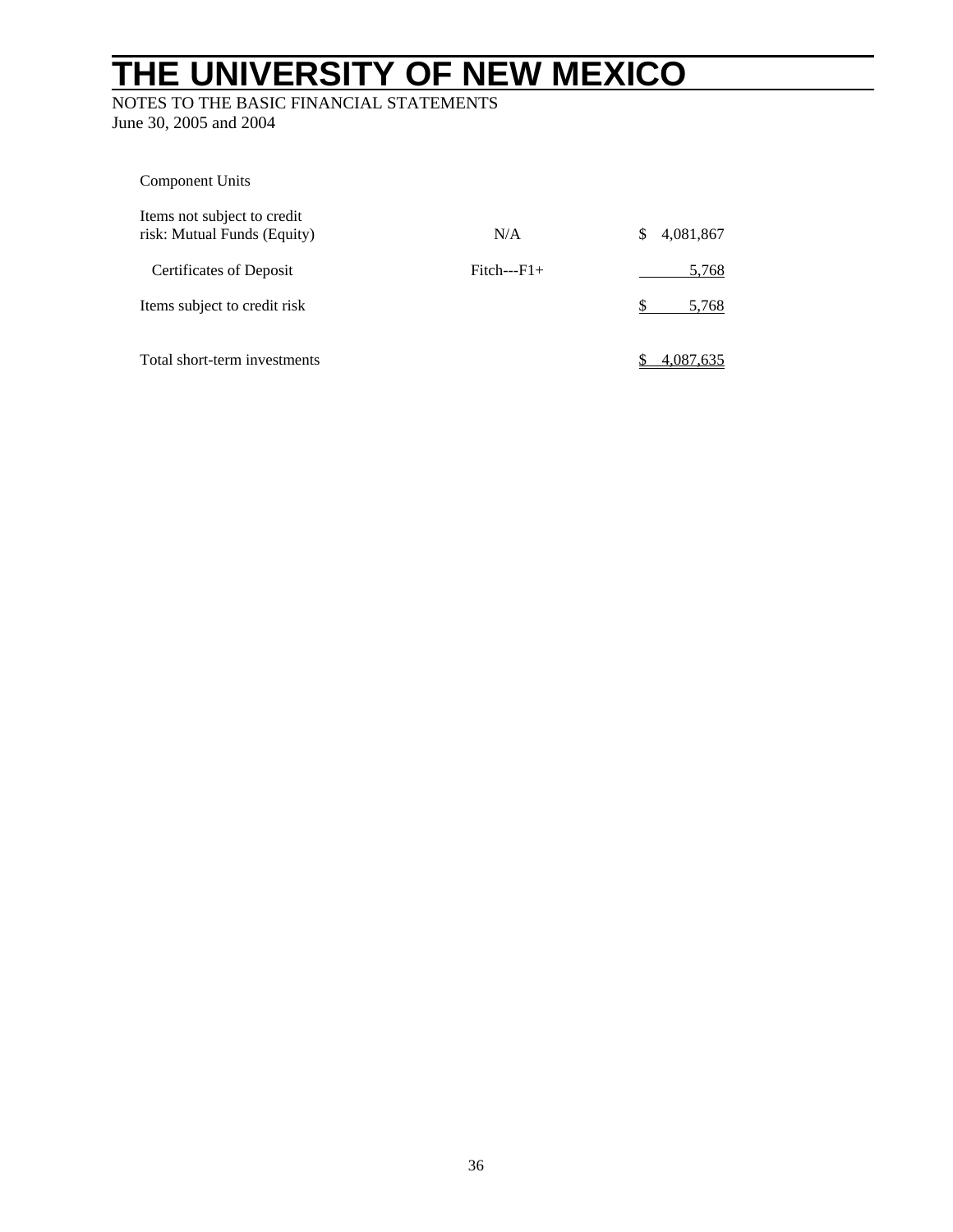NOTES TO THE BASIC FINANCIAL STATEMENTS June 30, 2005 and 2004

| Component Units                                            |               |    |           |
|------------------------------------------------------------|---------------|----|-----------|
| Items not subject to credit<br>risk: Mutual Funds (Equity) | N/A           | S  | 4,081,867 |
| Certificates of Deposit                                    | $Fitch---F1+$ |    | 5,768     |
| Items subject to credit risk                               |               | £. | 5,768     |
| Total short-term investments                               |               |    |           |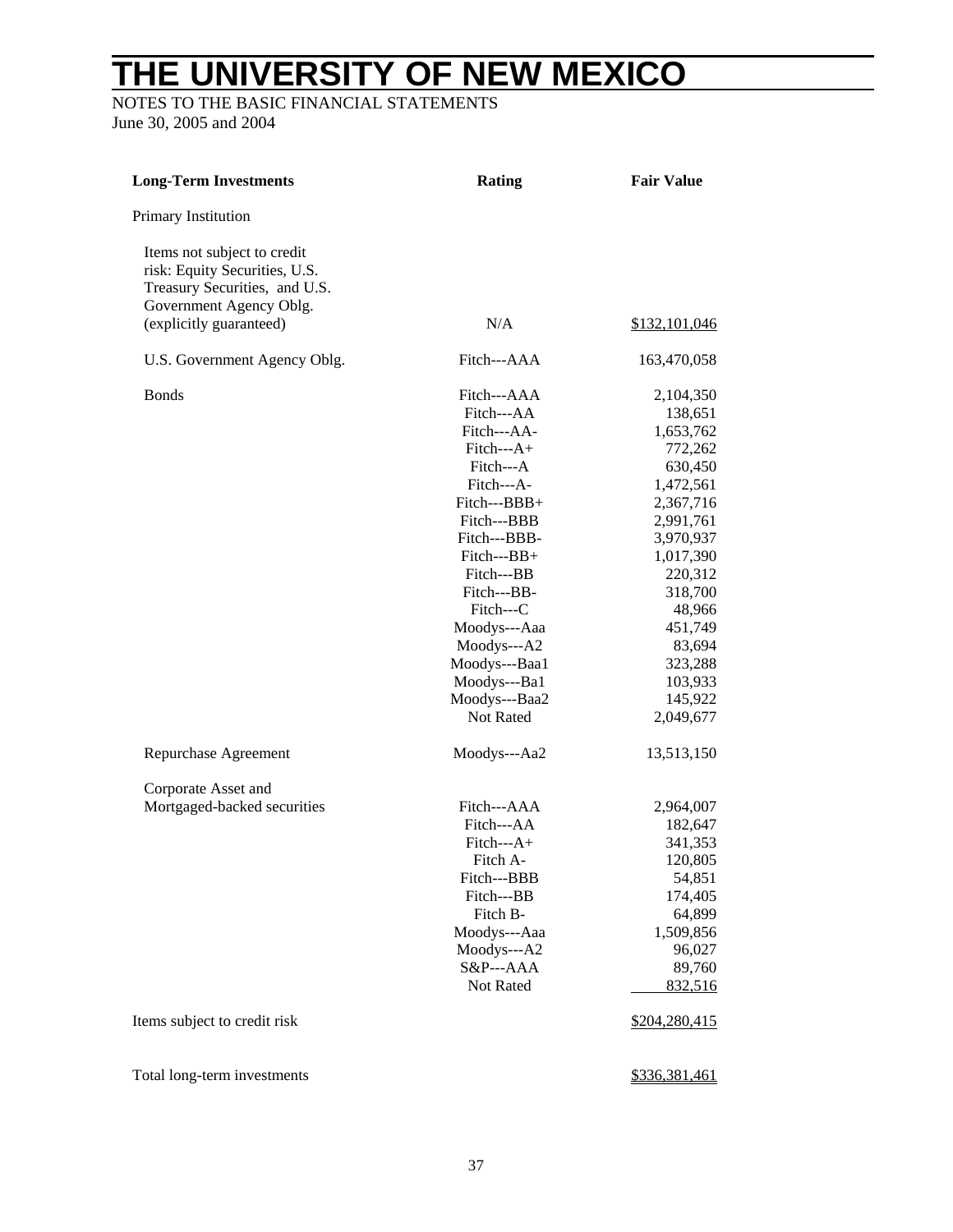### NOTES TO THE BASIC FINANCIAL STATEMENTS

June 30, 2005 and 2004

| <b>Long-Term Investments</b>                                                                                                                        | <b>Rating</b>                                                                                                                                                                                                                                                                             | <b>Fair Value</b>                                                                                                                                                                                                           |
|-----------------------------------------------------------------------------------------------------------------------------------------------------|-------------------------------------------------------------------------------------------------------------------------------------------------------------------------------------------------------------------------------------------------------------------------------------------|-----------------------------------------------------------------------------------------------------------------------------------------------------------------------------------------------------------------------------|
| Primary Institution                                                                                                                                 |                                                                                                                                                                                                                                                                                           |                                                                                                                                                                                                                             |
| Items not subject to credit<br>risk: Equity Securities, U.S.<br>Treasury Securities, and U.S.<br>Government Agency Oblg.<br>(explicitly guaranteed) | N/A                                                                                                                                                                                                                                                                                       | \$132,101,046                                                                                                                                                                                                               |
| U.S. Government Agency Oblg.                                                                                                                        | Fitch---AAA                                                                                                                                                                                                                                                                               | 163,470,058                                                                                                                                                                                                                 |
| <b>Bonds</b>                                                                                                                                        | Fitch---AAA<br>Fitch---AA<br>Fitch---AA-<br>$Fitch---A+$<br>Fitch---A<br>Fitch---A-<br>Fitch---BBB+<br>Fitch---BBB<br>Fitch---BBB-<br>Fitch---BB+<br>Fitch---BB<br>Fitch---BB-<br>Fitch---C<br>Moodys---Aaa<br>Moodys---A2<br>Moodys---Baa1<br>Moodys---Bal<br>Moodys---Baa2<br>Not Rated | 2,104,350<br>138,651<br>1,653,762<br>772,262<br>630,450<br>1,472,561<br>2,367,716<br>2,991,761<br>3,970,937<br>1,017,390<br>220,312<br>318,700<br>48,966<br>451,749<br>83,694<br>323,288<br>103,933<br>145,922<br>2,049,677 |
| Repurchase Agreement                                                                                                                                | Moodys---Aa2                                                                                                                                                                                                                                                                              | 13,513,150                                                                                                                                                                                                                  |
| Corporate Asset and<br>Mortgaged-backed securities                                                                                                  | Fitch---AAA<br>$Fitch---AA$<br>$Fitch---A+$<br>Fitch A-<br>Fitch---BBB<br>Fitch---BB<br>Fitch B-<br>Moodys---Aaa<br>Moodys---A2<br>$S&P--AAA$<br>Not Rated                                                                                                                                | 2,964,007<br>182,647<br>341,353<br>120,805<br>54,851<br>174,405<br>64,899<br>1,509,856<br>96,027<br>89,760<br>832,516                                                                                                       |
| Items subject to credit risk                                                                                                                        |                                                                                                                                                                                                                                                                                           | \$204,280,415                                                                                                                                                                                                               |
| Total long-term investments                                                                                                                         |                                                                                                                                                                                                                                                                                           | <u>\$336,381,461</u>                                                                                                                                                                                                        |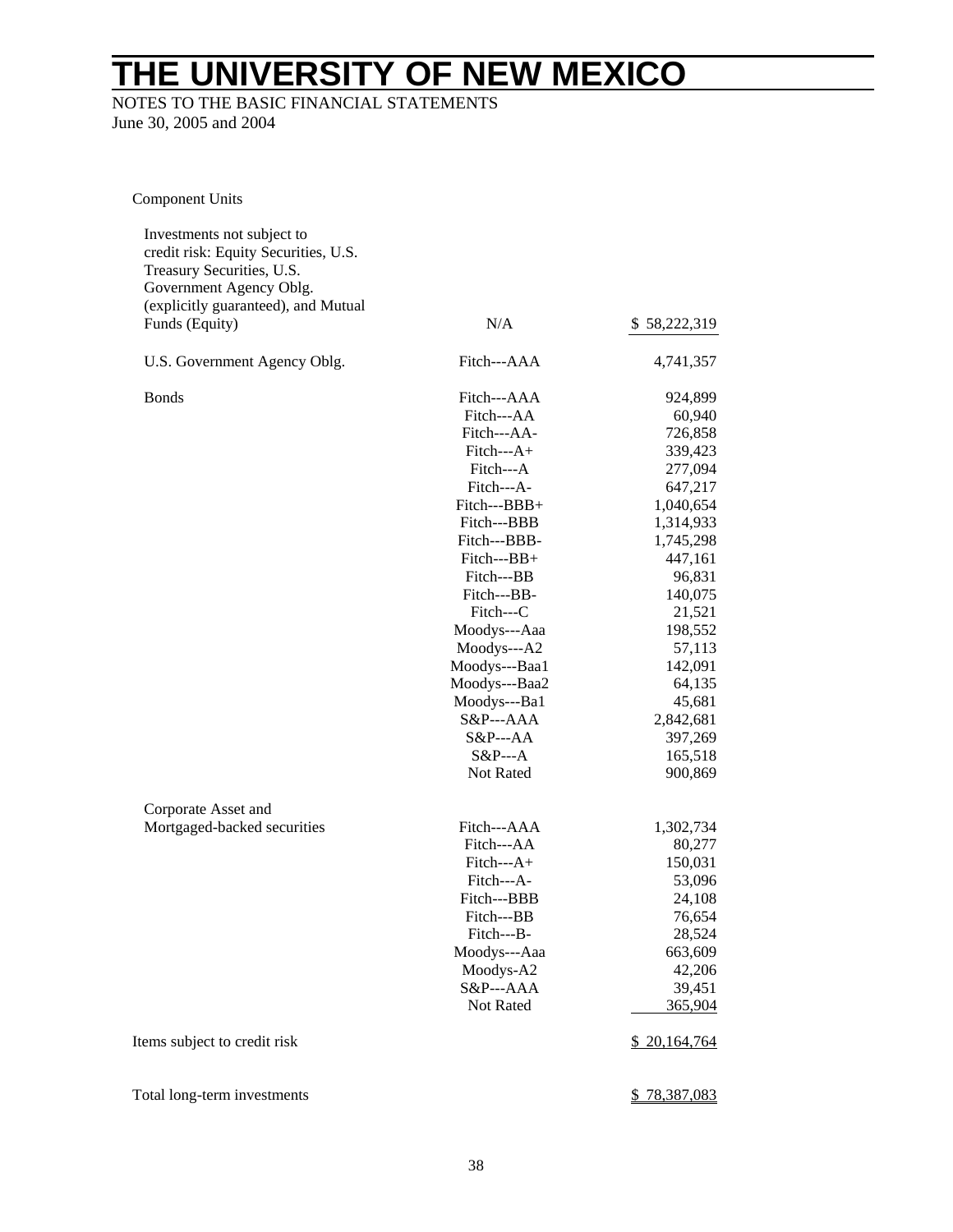NOTES TO THE BASIC FINANCIAL STATEMENTS

June 30, 2005 and 2004

Component Units

| Investments not subject to<br>credit risk: Equity Securities, U.S.<br>Treasury Securities, U.S. |               |              |
|-------------------------------------------------------------------------------------------------|---------------|--------------|
| Government Agency Oblg.                                                                         |               |              |
| (explicitly guaranteed), and Mutual                                                             |               |              |
| Funds (Equity)                                                                                  | N/A           | \$58,222,319 |
|                                                                                                 |               |              |
| U.S. Government Agency Oblg.                                                                    | Fitch---AAA   | 4,741,357    |
| <b>Bonds</b>                                                                                    | Fitch---AAA   | 924,899      |
|                                                                                                 | Fitch---AA    | 60,940       |
|                                                                                                 | Fitch---AA-   | 726,858      |
|                                                                                                 | $Fitch---A+$  | 339,423      |
|                                                                                                 | Fitch---A     | 277,094      |
|                                                                                                 | Fitch---A-    | 647,217      |
|                                                                                                 | Fitch---BBB+  | 1,040,654    |
|                                                                                                 | Fitch---BBB   | 1,314,933    |
|                                                                                                 | Fitch---BBB-  | 1,745,298    |
|                                                                                                 | Fitch---BB+   | 447,161      |
|                                                                                                 | Fitch---BB    | 96,831       |
|                                                                                                 | Fitch---BB-   | 140,075      |
|                                                                                                 | Fitch---C     | 21,521       |
|                                                                                                 | Moodys---Aaa  | 198,552      |
|                                                                                                 | Moodys---A2   | 57,113       |
|                                                                                                 | Moodys---Baa1 | 142,091      |
|                                                                                                 | Moodys---Baa2 | 64,135       |
|                                                                                                 | Moodys---Bal  | 45,681       |
|                                                                                                 | $S&P--AAA$    | 2,842,681    |
|                                                                                                 | $S&P--AA$     | 397,269      |
|                                                                                                 | $S&P--A$      | 165,518      |
|                                                                                                 | Not Rated     | 900,869      |
| Corporate Asset and                                                                             |               |              |
| Mortgaged-backed securities                                                                     | Fitch---AAA   | 1,302,734    |
|                                                                                                 | Fitch---AA    | 80,277       |
|                                                                                                 | $Fitch---A+$  | 150,031      |
|                                                                                                 | Fitch---A-    | 53,096       |
|                                                                                                 | Fitch---BBB   | 24,108       |
|                                                                                                 | Fitch---BB    | 76,654       |
|                                                                                                 | Fitch---B-    | 28,524       |
|                                                                                                 | Moodys---Aaa  | 663,609      |
|                                                                                                 | Moodys-A2     | 42,206       |
|                                                                                                 | $S&P--AAA$    | 39,451       |
|                                                                                                 | Not Rated     | 365,904      |
| Items subject to credit risk                                                                    |               | \$20,164,764 |
| Total long-term investments                                                                     |               | \$78,387,083 |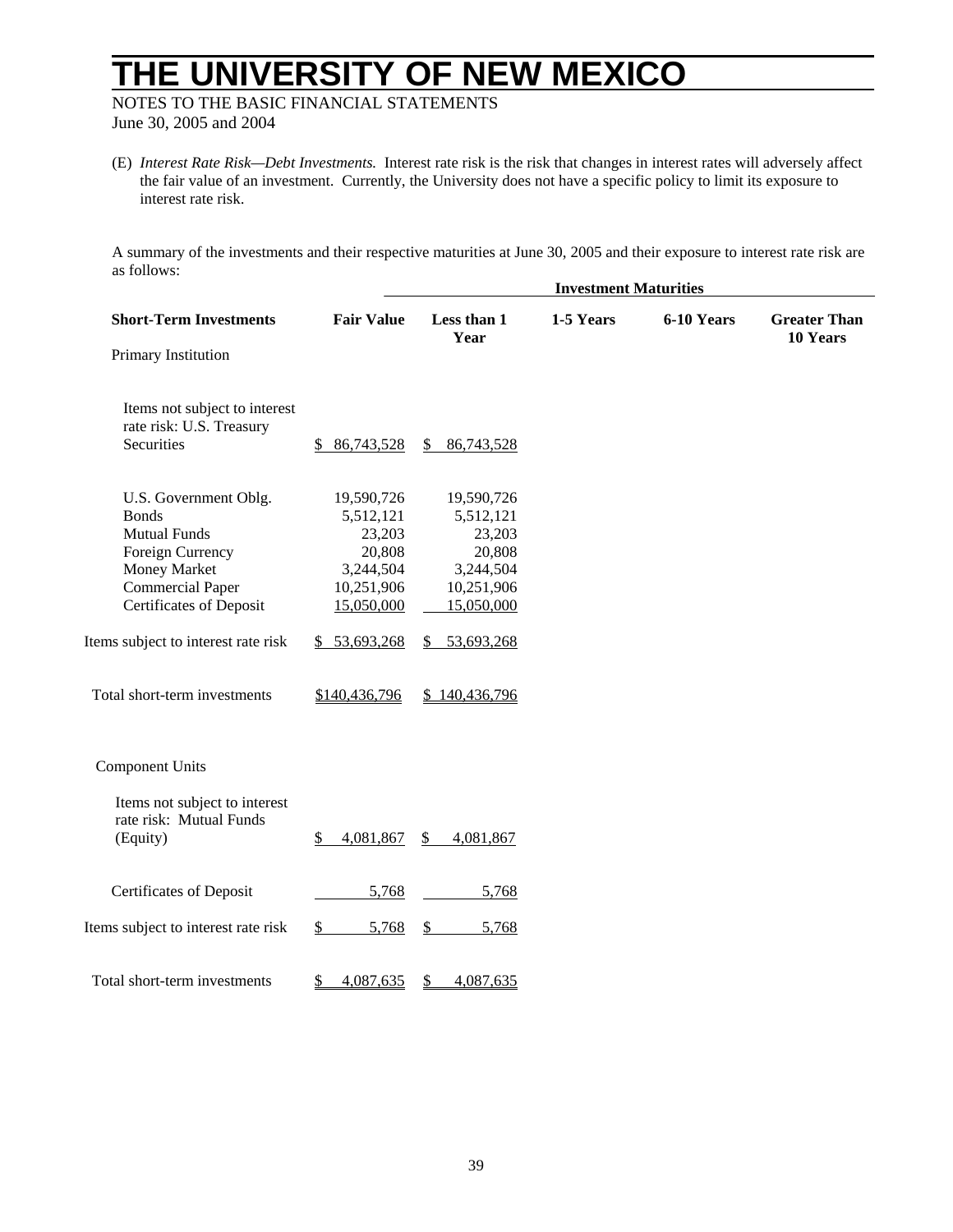NOTES TO THE BASIC FINANCIAL STATEMENTS June 30, 2005 and 2004

(E) *Interest Rate Risk—Debt Investments.* Interest rate risk is the risk that changes in interest rates will adversely affect the fair value of an investment. Currently, the University does not have a specific policy to limit its exposure to interest rate risk.

A summary of the investments and their respective maturities at June 30, 2005 and their exposure to interest rate risk are as follows:

|                                                                                                                                                                                                                               |                                                                                                                       | <b>Investment Maturities</b>                                                                                          |           |            |                                 |  |  |
|-------------------------------------------------------------------------------------------------------------------------------------------------------------------------------------------------------------------------------|-----------------------------------------------------------------------------------------------------------------------|-----------------------------------------------------------------------------------------------------------------------|-----------|------------|---------------------------------|--|--|
| <b>Short-Term Investments</b>                                                                                                                                                                                                 | <b>Fair Value</b>                                                                                                     | Less than 1<br>Year                                                                                                   | 1-5 Years | 6-10 Years | <b>Greater Than</b><br>10 Years |  |  |
| Primary Institution                                                                                                                                                                                                           |                                                                                                                       |                                                                                                                       |           |            |                                 |  |  |
| Items not subject to interest<br>rate risk: U.S. Treasury<br>Securities                                                                                                                                                       | 86,743,528<br>SS.                                                                                                     | \$86,743,528                                                                                                          |           |            |                                 |  |  |
| U.S. Government Oblg.<br><b>Bonds</b><br><b>Mutual Funds</b><br>Foreign Currency<br>Money Market<br><b>Commercial Paper</b><br>Certificates of Deposit<br>Items subject to interest rate risk<br>Total short-term investments | 19,590,726<br>5,512,121<br>23,203<br>20,808<br>3,244,504<br>10,251,906<br>15,050,000<br>\$53,693,268<br>\$140,436,796 | 19,590,726<br>5,512,121<br>23,203<br>20,808<br>3,244,504<br>10,251,906<br>15,050,000<br>\$53,693,268<br>\$140,436,796 |           |            |                                 |  |  |
| <b>Component Units</b><br>Items not subject to interest<br>rate risk: Mutual Funds<br>(Equity)                                                                                                                                | \$<br>4,081,867                                                                                                       | $\mathbb{S}$<br>4,081,867                                                                                             |           |            |                                 |  |  |
| <b>Certificates of Deposit</b><br>Items subject to interest rate risk                                                                                                                                                         | 5,768<br>5,768<br>$\mathcal{S}$                                                                                       | 5,768<br>$\mathbf{\underline{\$}}$<br>5,768                                                                           |           |            |                                 |  |  |
| Total short-term investments                                                                                                                                                                                                  | 4,087,635<br>S                                                                                                        | \$<br>4,087,635                                                                                                       |           |            |                                 |  |  |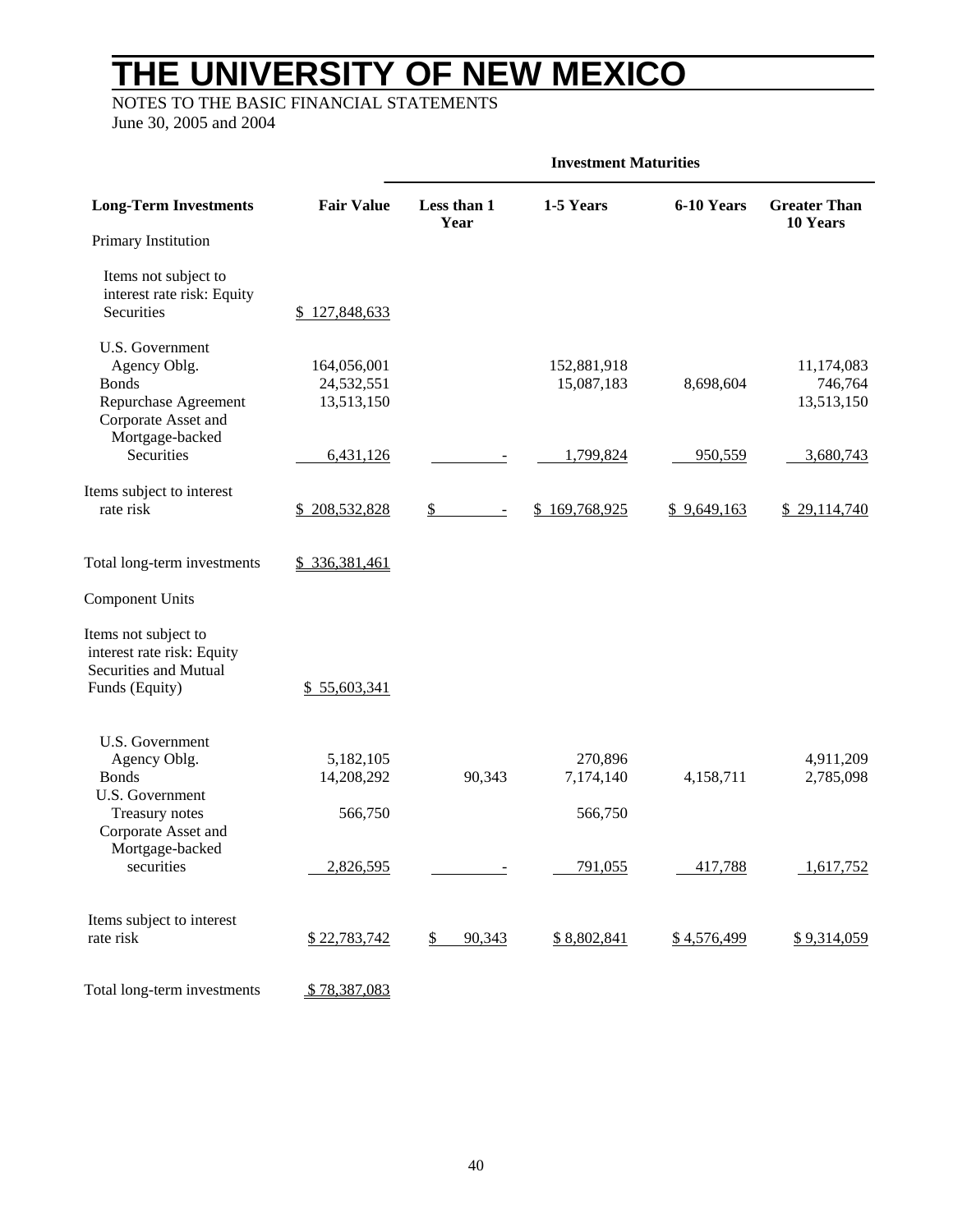### NOTES TO THE BASIC FINANCIAL STATEMENTS

June 30, 2005 and 2004

|                                                                                                |                                         | <b>Investment Maturities</b> |                           |             |                                     |  |  |
|------------------------------------------------------------------------------------------------|-----------------------------------------|------------------------------|---------------------------|-------------|-------------------------------------|--|--|
| <b>Long-Term Investments</b>                                                                   | <b>Fair Value</b>                       | Less than 1<br>Year          | 1-5 Years                 | 6-10 Years  | <b>Greater Than</b><br>10 Years     |  |  |
| Primary Institution                                                                            |                                         |                              |                           |             |                                     |  |  |
| Items not subject to<br>interest rate risk: Equity<br>Securities                               | \$127,848,633                           |                              |                           |             |                                     |  |  |
| U.S. Government<br>Agency Oblg.<br><b>Bonds</b><br>Repurchase Agreement<br>Corporate Asset and | 164,056,001<br>24,532,551<br>13,513,150 |                              | 152,881,918<br>15,087,183 | 8,698,604   | 11,174,083<br>746,764<br>13,513,150 |  |  |
| Mortgage-backed<br>Securities                                                                  | 6,431,126                               |                              | 1,799,824                 | 950,559     | 3,680,743                           |  |  |
| Items subject to interest<br>rate risk                                                         | 208,532,828                             | $\frac{1}{2}$                | \$169,768,925             | \$9,649,163 | \$29,114,740                        |  |  |
| Total long-term investments                                                                    | \$ 336,381,461                          |                              |                           |             |                                     |  |  |
| <b>Component Units</b>                                                                         |                                         |                              |                           |             |                                     |  |  |
| Items not subject to<br>interest rate risk: Equity<br>Securities and Mutual<br>Funds (Equity)  | \$55,603,341                            |                              |                           |             |                                     |  |  |
| U.S. Government<br>Agency Oblg.<br><b>Bonds</b>                                                | 5,182,105<br>14,208,292                 | 90,343                       | 270,896<br>7,174,140      | 4,158,711   | 4,911,209<br>2,785,098              |  |  |
| U.S. Government<br>Treasury notes<br>Corporate Asset and                                       | 566,750                                 |                              | 566,750                   |             |                                     |  |  |
| Mortgage-backed<br>securities                                                                  | 2,826,595                               |                              | 791,055                   | 417,788     | 1,617,752                           |  |  |
| Items subject to interest<br>rate risk                                                         | \$22,783,742                            | 90,343<br>\$                 | \$8,802,841               | \$4,576,499 | \$9,314,059                         |  |  |
| Total long-term investments                                                                    | \$78,387,083                            |                              |                           |             |                                     |  |  |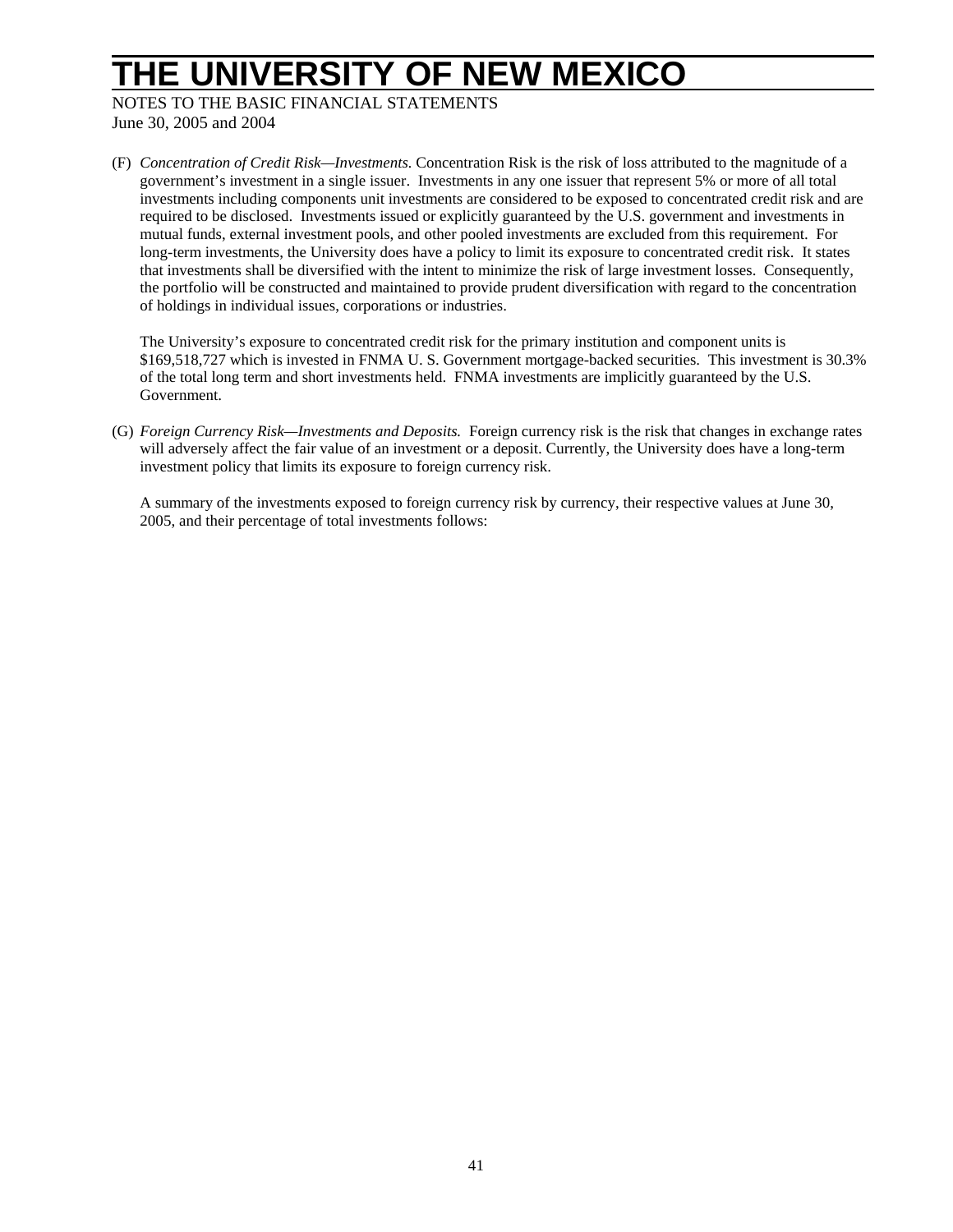NOTES TO THE BASIC FINANCIAL STATEMENTS June 30, 2005 and 2004

(F) *Concentration of Credit Risk—Investments.* Concentration Risk is the risk of loss attributed to the magnitude of a government's investment in a single issuer. Investments in any one issuer that represent 5% or more of all total investments including components unit investments are considered to be exposed to concentrated credit risk and are required to be disclosed. Investments issued or explicitly guaranteed by the U.S. government and investments in mutual funds, external investment pools, and other pooled investments are excluded from this requirement. For long-term investments, the University does have a policy to limit its exposure to concentrated credit risk. It states that investments shall be diversified with the intent to minimize the risk of large investment losses. Consequently, the portfolio will be constructed and maintained to provide prudent diversification with regard to the concentration of holdings in individual issues, corporations or industries.

The University's exposure to concentrated credit risk for the primary institution and component units is \$169,518,727 which is invested in FNMA U. S. Government mortgage-backed securities. This investment is 30.3% of the total long term and short investments held. FNMA investments are implicitly guaranteed by the U.S. Government.

(G) *Foreign Currency Risk—Investments and Deposits.* Foreign currency risk is the risk that changes in exchange rates will adversely affect the fair value of an investment or a deposit. Currently, the University does have a long-term investment policy that limits its exposure to foreign currency risk.

A summary of the investments exposed to foreign currency risk by currency, their respective values at June 30, 2005, and their percentage of total investments follows: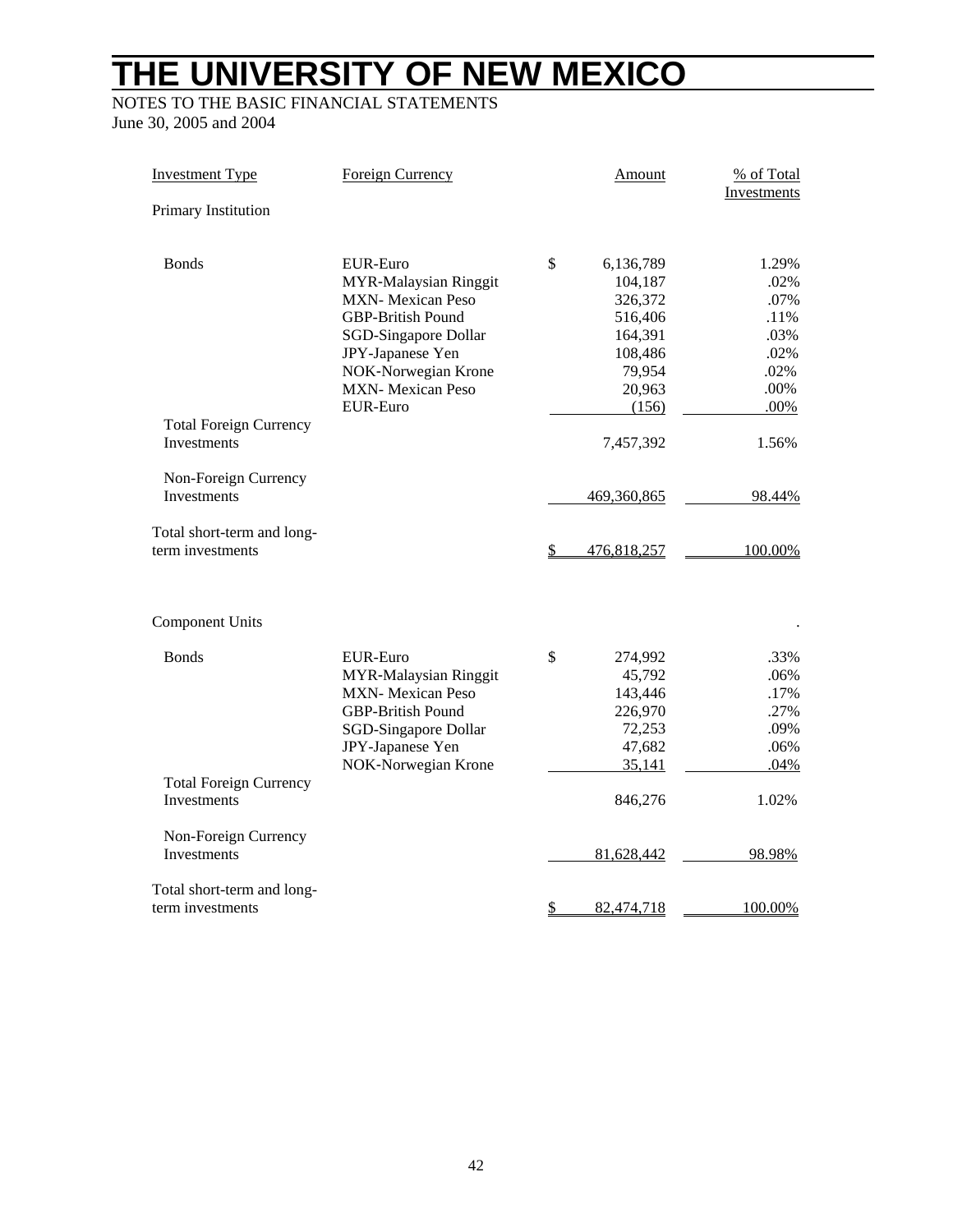### NOTES TO THE BASIC FINANCIAL STATEMENTS

June 30, 2005 and 2004

| <b>Investment Type</b>                                       | Foreign Currency                                                                                                                                                                              |                         | Amount                                                                                        | % of Total<br>Investments                                             |
|--------------------------------------------------------------|-----------------------------------------------------------------------------------------------------------------------------------------------------------------------------------------------|-------------------------|-----------------------------------------------------------------------------------------------|-----------------------------------------------------------------------|
| Primary Institution                                          |                                                                                                                                                                                               |                         |                                                                                               |                                                                       |
| <b>Bonds</b>                                                 | EUR-Euro<br>MYR-Malaysian Ringgit<br><b>MXN-</b> Mexican Peso<br>GBP-British Pound<br>SGD-Singapore Dollar<br>JPY-Japanese Yen<br>NOK-Norwegian Krone<br><b>MXN-</b> Mexican Peso<br>EUR-Euro | \$                      | 6,136,789<br>104,187<br>326,372<br>516,406<br>164,391<br>108,486<br>79,954<br>20,963<br>(156) | 1.29%<br>.02%<br>.07%<br>.11%<br>.03%<br>.02%<br>.02%<br>.00%<br>.00% |
| <b>Total Foreign Currency</b><br>Investments                 |                                                                                                                                                                                               |                         | 7,457,392                                                                                     | 1.56%                                                                 |
| Non-Foreign Currency<br>Investments                          |                                                                                                                                                                                               |                         | <u>469,360,865</u>                                                                            | 98.44%                                                                |
| Total short-term and long-<br>term investments               |                                                                                                                                                                                               | $\mathbb{S}$            | 476,818,257                                                                                   | 100.00%                                                               |
| <b>Component Units</b>                                       |                                                                                                                                                                                               |                         |                                                                                               |                                                                       |
| <b>Bonds</b><br><b>Total Foreign Currency</b><br>Investments | EUR-Euro<br>MYR-Malaysian Ringgit<br><b>MXN-</b> Mexican Peso<br><b>GBP-British Pound</b><br>SGD-Singapore Dollar<br>JPY-Japanese Yen<br>NOK-Norwegian Krone                                  | \$                      | 274,992<br>45,792<br>143,446<br>226,970<br>72,253<br>47,682<br>35,141<br>846,276              | .33%<br>.06%<br>.17%<br>.27%<br>.09%<br>.06%<br>.04%<br>1.02%         |
| Non-Foreign Currency<br>Investments                          |                                                                                                                                                                                               |                         | 81,628,442                                                                                    | 98.98%                                                                |
| Total short-term and long-<br>term investments               |                                                                                                                                                                                               | $\overline{\mathbb{S}}$ | 82,474,718                                                                                    | 100.00%                                                               |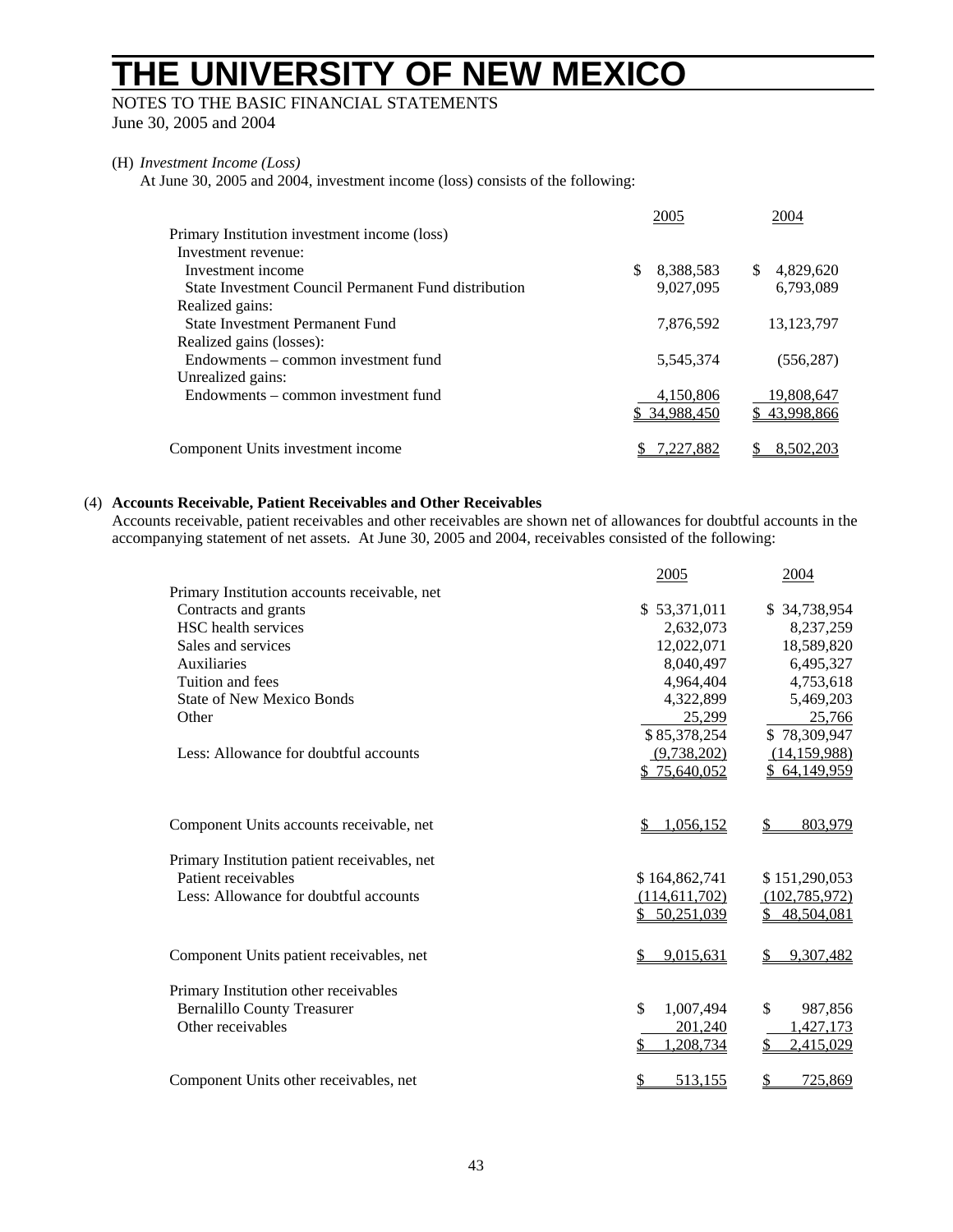### NOTES TO THE BASIC FINANCIAL STATEMENTS

June 30, 2005 and 2004

#### (H) *Investment Income (Loss)*

At June 30, 2005 and 2004, investment income (loss) consists of the following:

|                                                      | 2005         | 2004             |
|------------------------------------------------------|--------------|------------------|
| Primary Institution investment income (loss)         |              |                  |
| Investment revenue:                                  |              |                  |
| Investment income                                    | 8,388,583    | 4,829,620<br>\$. |
| State Investment Council Permanent Fund distribution | 9,027,095    | 6,793,089        |
| Realized gains:                                      |              |                  |
| <b>State Investment Permanent Fund</b>               | 7,876,592    | 13, 123, 797     |
| Realized gains (losses):                             |              |                  |
| Endowments – common investment fund                  | 5,545,374    | (556, 287)       |
| Unrealized gains:                                    |              |                  |
| Endowments – common investment fund                  | 4,150,806    | 19,808,647       |
|                                                      | \$34,988,450 | \$43,998,866     |
| Component Units investment income                    | 7.227.882    | 8.502.203        |

#### (4) **Accounts Receivable, Patient Receivables and Other Receivables**

 Accounts receivable, patient receivables and other receivables are shown net of allowances for doubtful accounts in the accompanying statement of net assets. At June 30, 2005 and 2004, receivables consisted of the following:

|                                              | 2005            | 2004              |
|----------------------------------------------|-----------------|-------------------|
| Primary Institution accounts receivable, net |                 |                   |
| Contracts and grants                         | \$53,371,011    | \$34,738,954      |
| HSC health services                          | 2,632,073       | 8,237,259         |
| Sales and services                           | 12,022,071      | 18,589,820        |
| Auxiliaries                                  | 8,040,497       | 6,495,327         |
| Tuition and fees                             | 4,964,404       | 4,753,618         |
| <b>State of New Mexico Bonds</b>             | 4,322,899       | 5,469,203         |
| Other                                        | 25,299          | 25,766            |
|                                              | \$85,378,254    | \$78,309,947      |
| Less: Allowance for doubtful accounts        | (9,738,202)     | (14, 159, 988)    |
|                                              | \$75,640,052    | \$64,149,959      |
|                                              |                 |                   |
| Component Units accounts receivable, net     | 1,056,152       | 803,979           |
| Primary Institution patient receivables, net |                 |                   |
| Patient receivables                          | \$164,862,741   | \$151,290,053     |
| Less: Allowance for doubtful accounts        | (114,611,702)   | (102, 785, 972)   |
|                                              | \$50,251,039    | 48,504,081<br>\$. |
|                                              |                 |                   |
| Component Units patient receivables, net     | 9,015,631       | 9,307,482         |
| Primary Institution other receivables        |                 |                   |
| <b>Bernalillo County Treasurer</b>           | \$<br>1,007,494 | \$<br>987,856     |
| Other receivables                            | 201,240         | 1,427,173         |
|                                              | <u>.208,734</u> | 2,415,029         |
| Component Units other receivables, net       | 513,155         | 725,869           |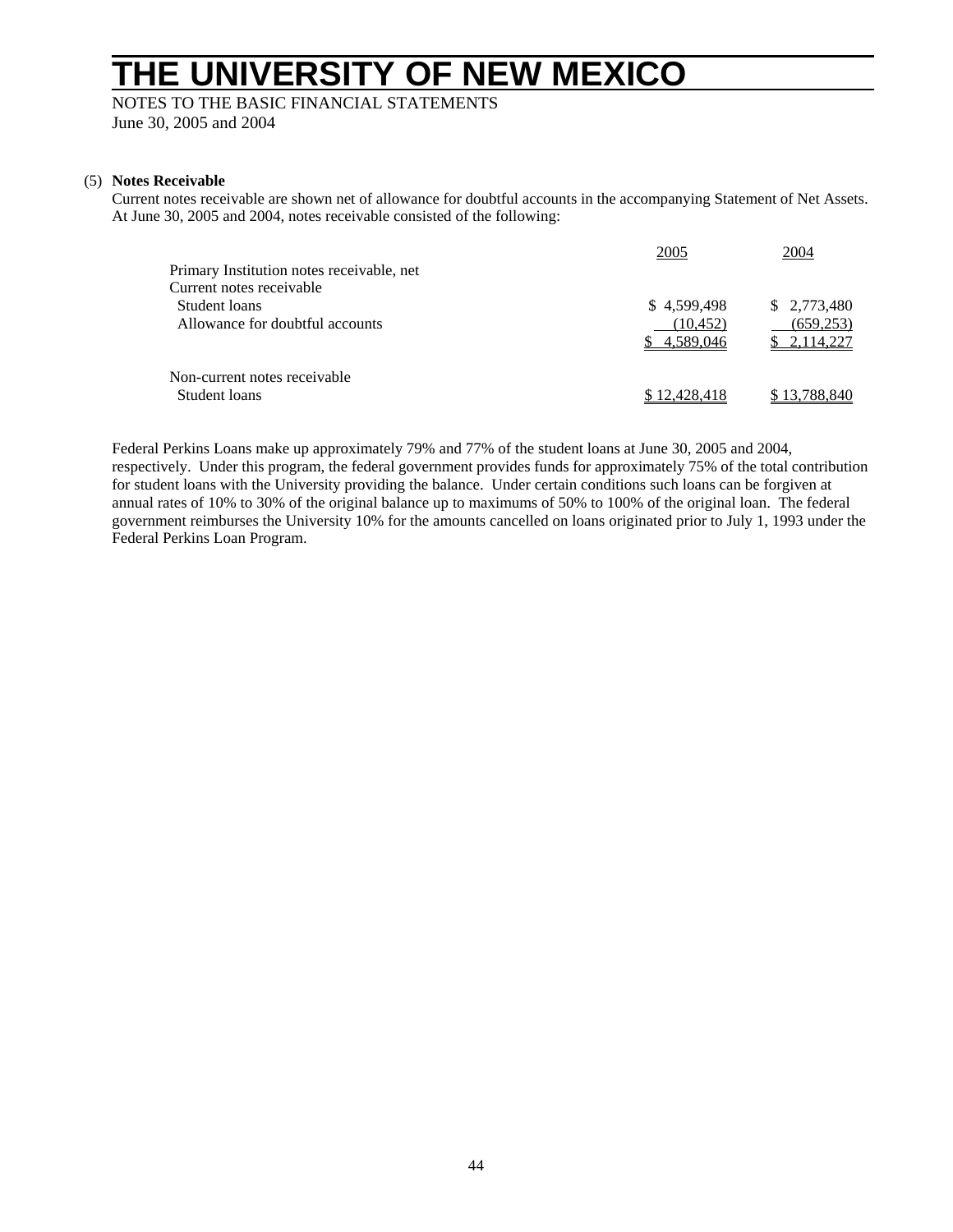#### NOTES TO THE BASIC FINANCIAL STATEMENTS June 30, 2005 and 2004

#### (5) **Notes Receivable**

 Current notes receivable are shown net of allowance for doubtful accounts in the accompanying Statement of Net Assets. At June 30, 2005 and 2004, notes receivable consisted of the following:

|                                           | 2005         | 2004         |
|-------------------------------------------|--------------|--------------|
| Primary Institution notes receivable, net |              |              |
| Current notes receivable                  |              |              |
| Student loans                             | \$4,599,498  | \$2,773,480  |
| Allowance for doubtful accounts           | (10, 452)    | (659, 253)   |
|                                           | 4.589.046    | 2,114,227    |
| Non-current notes receivable              |              |              |
| Student loans                             | \$12,428,418 | \$13,788,840 |

Federal Perkins Loans make up approximately 79% and 77% of the student loans at June 30, 2005 and 2004, respectively. Under this program, the federal government provides funds for approximately 75% of the total contribution for student loans with the University providing the balance. Under certain conditions such loans can be forgiven at annual rates of 10% to 30% of the original balance up to maximums of 50% to 100% of the original loan. The federal government reimburses the University 10% for the amounts cancelled on loans originated prior to July 1, 1993 under the Federal Perkins Loan Program.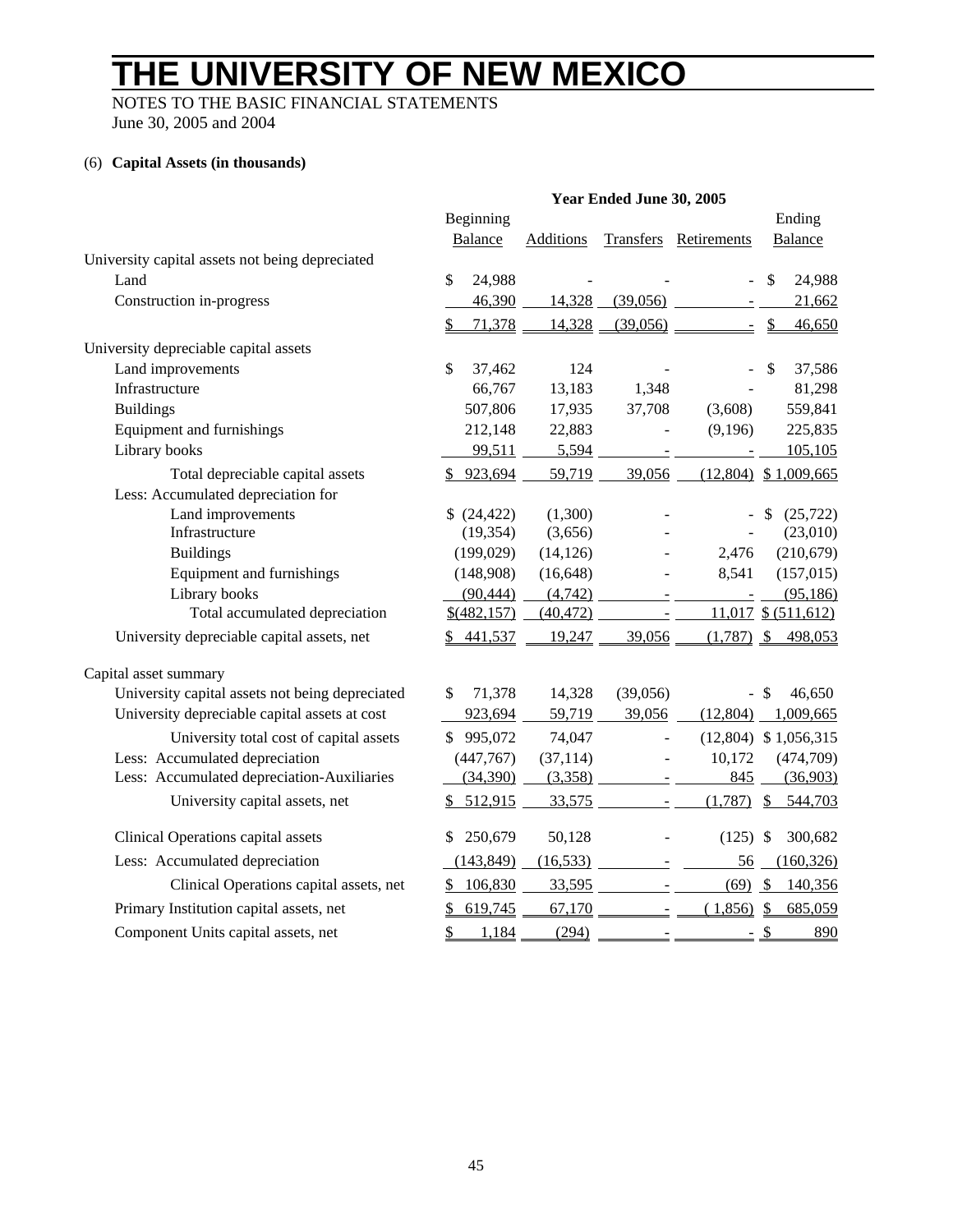NOTES TO THE BASIC FINANCIAL STATEMENTS

June 30, 2005 and 2004

### (6) **Capital Assets (in thousands)**

|                                                 | Year Ended June 30, 2005 |               |           |                              |              |                |                         |
|-------------------------------------------------|--------------------------|---------------|-----------|------------------------------|--------------|----------------|-------------------------|
|                                                 |                          | Beginning     |           |                              |              |                | Ending                  |
|                                                 |                          | Balance       | Additions | Transfers                    | Retirements  |                | <b>Balance</b>          |
| University capital assets not being depreciated |                          |               |           |                              |              |                |                         |
| Land                                            | \$                       | 24,988        |           |                              |              | \$             | 24,988                  |
| Construction in-progress                        |                          | 46,390        | 14,328    | (39,056)                     |              |                | 21,662                  |
|                                                 | \$                       | 71,378        | 14,328    | (39,056)                     |              |                | 46,650                  |
| University depreciable capital assets           |                          |               |           |                              |              |                |                         |
| Land improvements                               | \$                       | 37,462        | 124       |                              |              | \$             | 37,586                  |
| Infrastructure                                  |                          | 66,767        | 13,183    | 1,348                        |              |                | 81,298                  |
| <b>Buildings</b>                                |                          | 507,806       | 17,935    | 37,708                       | (3,608)      |                | 559,841                 |
| Equipment and furnishings                       |                          | 212,148       | 22,883    | $\overline{a}$               | (9,196)      |                | 225,835                 |
| Library books                                   |                          | 99,511        | 5,594     | $\qquad \qquad \blacksquare$ |              |                | 105,105                 |
| Total depreciable capital assets                | \$                       | 923,694       | 59,719    | 39,056                       |              |                | $(12,804)$ \$1,009,665  |
| Less: Accumulated depreciation for              |                          |               |           |                              |              |                |                         |
| Land improvements                               |                          | \$(24, 422)   | (1,300)   |                              |              | \$             | (25, 722)               |
| Infrastructure                                  |                          | (19, 354)     | (3,656)   |                              |              |                | (23,010)                |
| <b>Buildings</b>                                |                          | (199, 029)    | (14, 126) |                              | 2,476        |                | (210, 679)              |
| Equipment and furnishings                       |                          | (148,908)     | (16, 648) |                              | 8,541        |                | (157, 015)              |
| Library books                                   |                          | (90, 444)     | (4,742)   |                              |              |                | (95, 186)               |
| Total accumulated depreciation                  |                          | $$$ (482,157) | (40, 472) |                              |              |                | $11,017$ \$ (511,612)   |
| University depreciable capital assets, net      |                          | 441,537       | 19,247    | 39,056                       | $(1,787)$ \$ |                | 498,053                 |
| Capital asset summary                           |                          |               |           |                              |              |                |                         |
| University capital assets not being depreciated | \$                       | 71,378        | 14,328    | (39,056)                     |              | \$             | 46,650                  |
| University depreciable capital assets at cost   |                          | 923,694       | 59,719    | 39,056                       | (12, 804)    |                | 1,009,665               |
| University total cost of capital assets         | \$                       | 995,072       | 74,047    |                              |              |                | $(12,804)$ \$ 1,056,315 |
| Less: Accumulated depreciation                  |                          | (447,767)     | (37, 114) |                              | 10,172       |                | (474, 709)              |
| Less: Accumulated depreciation-Auxiliaries      |                          | (34, 390)     | (3,358)   |                              | 845          |                | (36,903)                |
| University capital assets, net                  | \$                       | 512,915       | 33,575    |                              | (1,787)      | $\sqrt$        | 544,703                 |
| Clinical Operations capital assets              | S                        | 250,679       | 50,128    |                              | (125)        | \$             | 300,682                 |
| Less: Accumulated depreciation                  |                          | (143, 849)    | (16, 533) | $\blacksquare$               | 56           |                | (160, 326)              |
| Clinical Operations capital assets, net         | \$                       | 106,830       | 33,595    |                              | $(69)$ \$    |                | 140,356                 |
| Primary Institution capital assets, net         |                          | 619,745       | 67,170    |                              | $(1,856)$ \$ |                | 685,059                 |
| Component Units capital assets, net             | \$                       | 1,184         | (294)     | $\pm$ $\pm$                  |              | $=$ $\sqrt{3}$ | 890                     |
|                                                 |                          |               |           |                              |              |                |                         |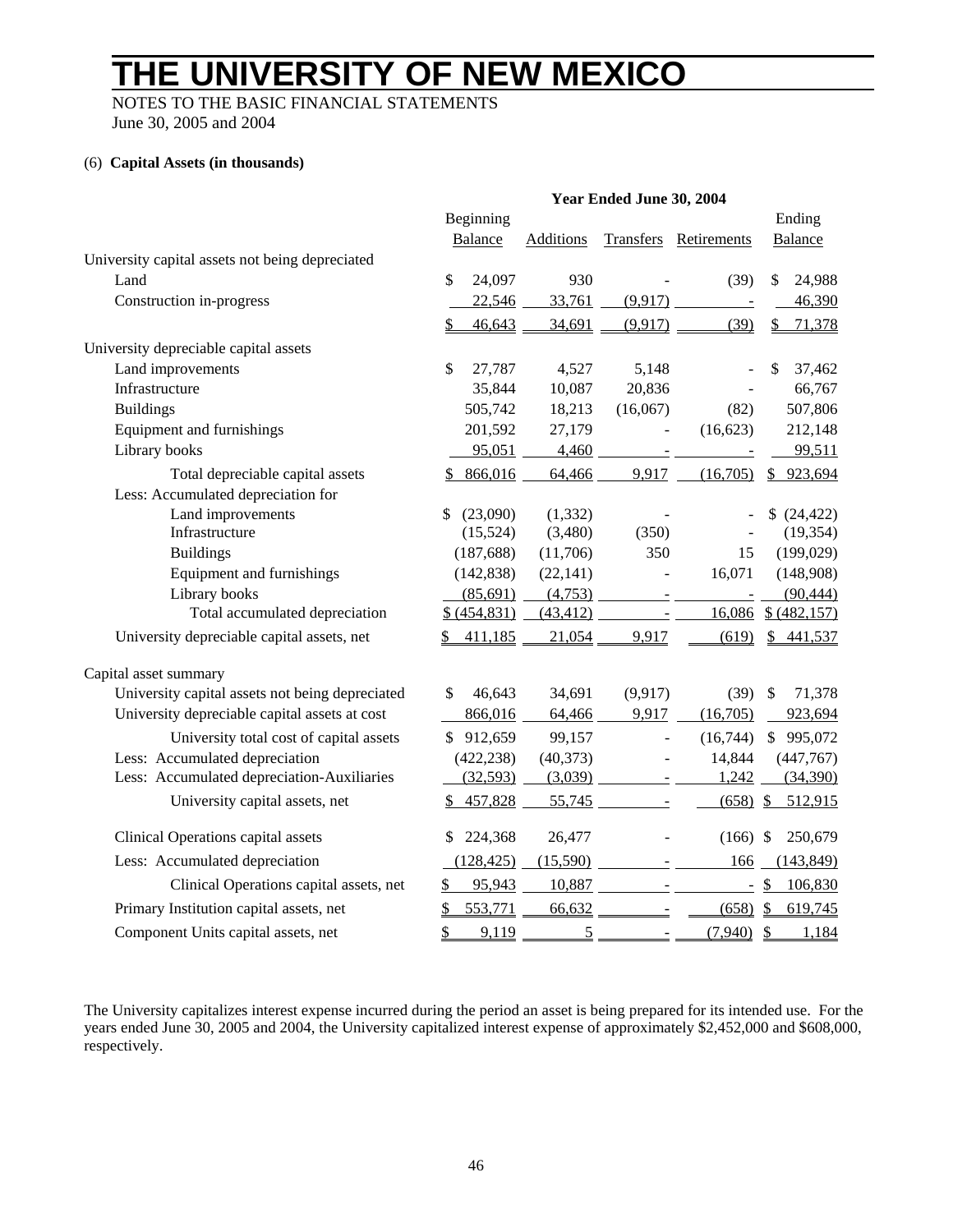NOTES TO THE BASIC FINANCIAL STATEMENTS

June 30, 2005 and 2004

#### (6) **Capital Assets (in thousands)**

|                                                 | Year Ended June 30, 2004 |                |                          |                          |                           |                |
|-------------------------------------------------|--------------------------|----------------|--------------------------|--------------------------|---------------------------|----------------|
|                                                 | Beginning                |                |                          |                          |                           | Ending         |
|                                                 | Balance                  | Additions      | <b>Transfers</b>         | Retirements              |                           | <b>Balance</b> |
| University capital assets not being depreciated |                          |                |                          |                          |                           |                |
| Land                                            | \$<br>24,097             | 930            |                          | (39)                     | \$                        | 24,988         |
| Construction in-progress                        | 22,546                   | 33,761         | (9, 917)                 | $\overline{\phantom{a}}$ |                           | 46,390         |
|                                                 | \$<br>46,643             | 34,691         | (9,917)                  | (39)                     | \$                        | 71,378         |
| University depreciable capital assets           |                          |                |                          |                          |                           |                |
| Land improvements                               | \$<br>27,787             | 4,527          | 5,148                    |                          | \$                        | 37,462         |
| Infrastructure                                  | 35,844                   | 10,087         | 20,836                   |                          |                           | 66,767         |
| <b>Buildings</b>                                | 505,742                  | 18,213         | (16,067)                 | (82)                     |                           | 507,806        |
| Equipment and furnishings                       | 201,592                  | 27,179         |                          | (16, 623)                |                           | 212,148        |
| Library books                                   | 95,051                   | 4,460          | $\overline{\phantom{a}}$ |                          |                           | 99,511         |
| Total depreciable capital assets                | 866,016                  | 64,466         | 9,917                    | (16,705)                 |                           | 923,694        |
| Less: Accumulated depreciation for              |                          |                |                          |                          |                           |                |
| Land improvements                               | \$<br>(23,090)           | (1, 332)       |                          |                          |                           | \$(24, 422)    |
| Infrastructure                                  | (15,524)                 | (3,480)        | (350)                    |                          |                           | (19, 354)      |
| <b>Buildings</b>                                | (187, 688)               | (11,706)       | 350                      | 15                       |                           | (199, 029)     |
| Equipment and furnishings                       | (142, 838)               | (22, 141)      | $\overline{a}$           | 16,071                   |                           | (148,908)      |
| Library books                                   | (85, 691)                | (4,753)        |                          |                          |                           | (90, 444)      |
| Total accumulated depreciation                  | \$ (454,831)             | (43, 412)      |                          | 16,086                   |                           | \$ (482,157)   |
| University depreciable capital assets, net      | 411,185                  | 21,054         | 9,917                    | (619)                    | \$                        | 441,537        |
| Capital asset summary                           |                          |                |                          |                          |                           |                |
| University capital assets not being depreciated | \$<br>46,643             | 34,691         | (9, 917)                 | (39)                     | $\boldsymbol{\mathsf{S}}$ | 71,378         |
| University depreciable capital assets at cost   | 866,016                  | 64,466         | 9,917                    | (16,705)                 |                           | 923,694        |
| University total cost of capital assets         | \$<br>912,659            | 99,157         |                          | (16,744)                 | \$                        | 995,072        |
| Less: Accumulated depreciation                  | (422, 238)               | (40, 373)      |                          | 14,844                   |                           | (447, 767)     |
| Less: Accumulated depreciation-Auxiliaries      | (32, 593)                | (3,039)        |                          | 1,242                    |                           | (34,390)       |
| University capital assets, net                  | \$<br>457,828            | 55,745         |                          | $(658)$ \$               |                           | 512,915        |
| Clinical Operations capital assets              | \$<br>224,368            | 26,477         |                          | $(166)$ \$               |                           | 250,679        |
| Less: Accumulated depreciation                  | (128, 425)               | (15,590)       |                          | 166                      |                           | (143, 849)     |
| Clinical Operations capital assets, net         | 95,943                   | 10,887         |                          |                          |                           | 106,830        |
| Primary Institution capital assets, net         | 553,771                  | 66,632         |                          | (658)                    | \$                        | 619,745        |
| Component Units capital assets, net             | \$<br>9,119              | $\overline{5}$ |                          | $(7,940)$ \$             |                           | 1,184          |
|                                                 |                          |                |                          |                          |                           |                |

The University capitalizes interest expense incurred during the period an asset is being prepared for its intended use. For the years ended June 30, 2005 and 2004, the University capitalized interest expense of approximately \$2,452,000 and \$608,000, respectively.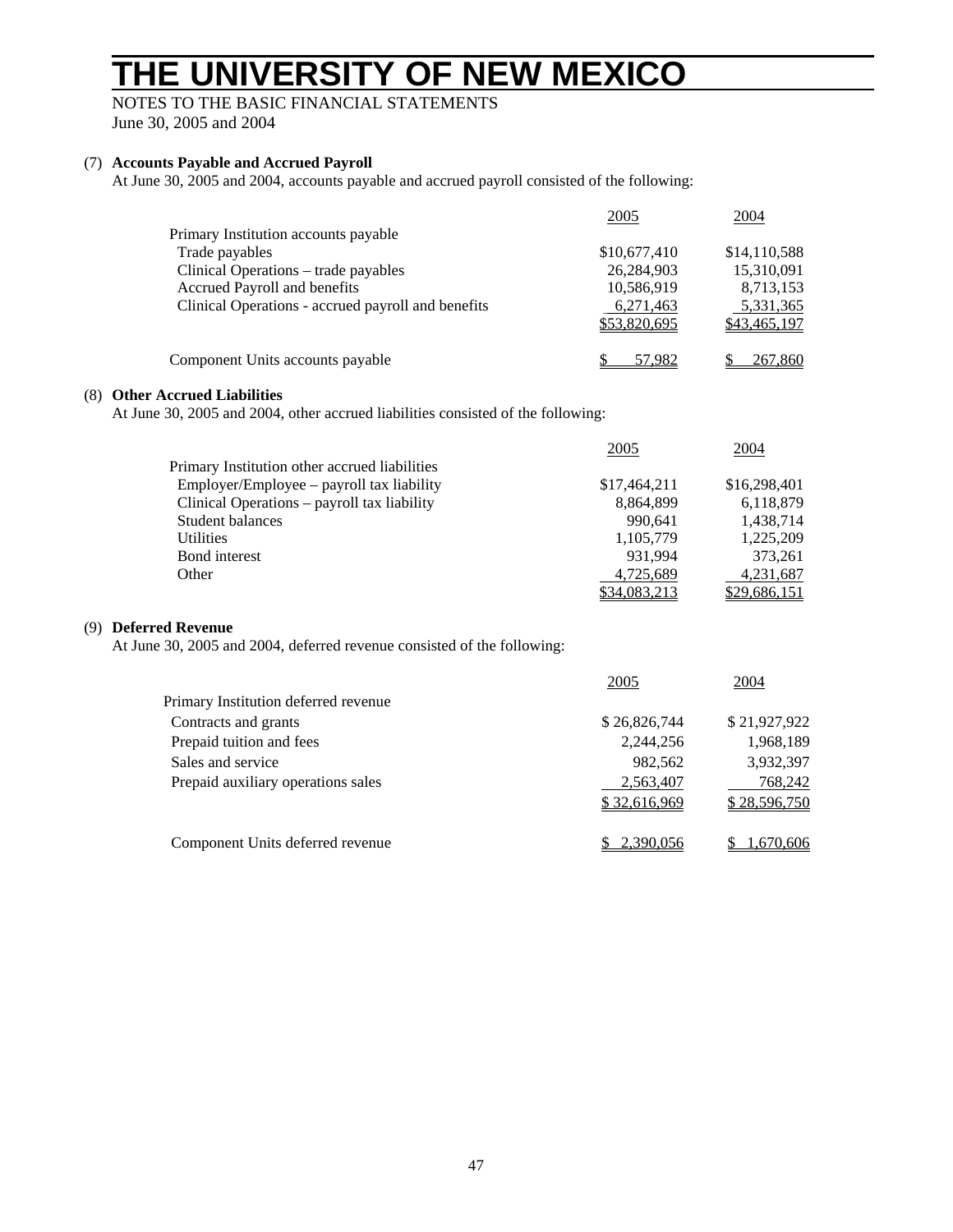NOTES TO THE BASIC FINANCIAL STATEMENTS

June 30, 2005 and 2004

#### (7) **Accounts Payable and Accrued Payroll**

At June 30, 2005 and 2004, accounts payable and accrued payroll consisted of the following:

|                                                    | 2005         | 2004         |
|----------------------------------------------------|--------------|--------------|
| Primary Institution accounts payable               |              |              |
| Trade payables                                     | \$10,677,410 | \$14,110,588 |
| Clinical Operations – trade payables               | 26,284,903   | 15,310,091   |
| Accrued Payroll and benefits                       | 10,586,919   | 8,713,153    |
| Clinical Operations - accrued payroll and benefits | 6,271,463    | 5,331,365    |
|                                                    | \$53,820,695 | \$43,465,197 |
| Component Units accounts payable                   | 57,982       | 267,860      |

#### (8) **Other Accrued Liabilities**

At June 30, 2005 and 2004, other accrued liabilities consisted of the following:

|                                               | 2005         | 2004         |
|-----------------------------------------------|--------------|--------------|
| Primary Institution other accrued liabilities |              |              |
| Employer/Employee – payroll tax liability     | \$17,464,211 | \$16,298,401 |
| Clinical Operations – payroll tax liability   | 8.864.899    | 6,118,879    |
| Student balances                              | 990.641      | 1,438,714    |
| <b>Utilities</b>                              | 1,105,779    | 1.225.209    |
| <b>Bond</b> interest                          | 931.994      | 373,261      |
| Other                                         | 4.725.689    | 4,231,687    |
|                                               | \$34,083,213 | \$29,686,151 |

### (9) **Deferred Revenue**

At June 30, 2005 and 2004, deferred revenue consisted of the following:

|                                      | 2005         | 2004         |
|--------------------------------------|--------------|--------------|
| Primary Institution deferred revenue |              |              |
| Contracts and grants                 | \$26,826,744 | \$21,927,922 |
| Prepaid tuition and fees             | 2,244,256    | 1,968,189    |
| Sales and service                    | 982,562      | 3,932,397    |
| Prepaid auxiliary operations sales   | 2,563,407    | 768,242      |
|                                      | \$32,616,969 | \$28,596,750 |
|                                      |              |              |
| Component Units deferred revenue     | 2.390.056    | 1.670.606    |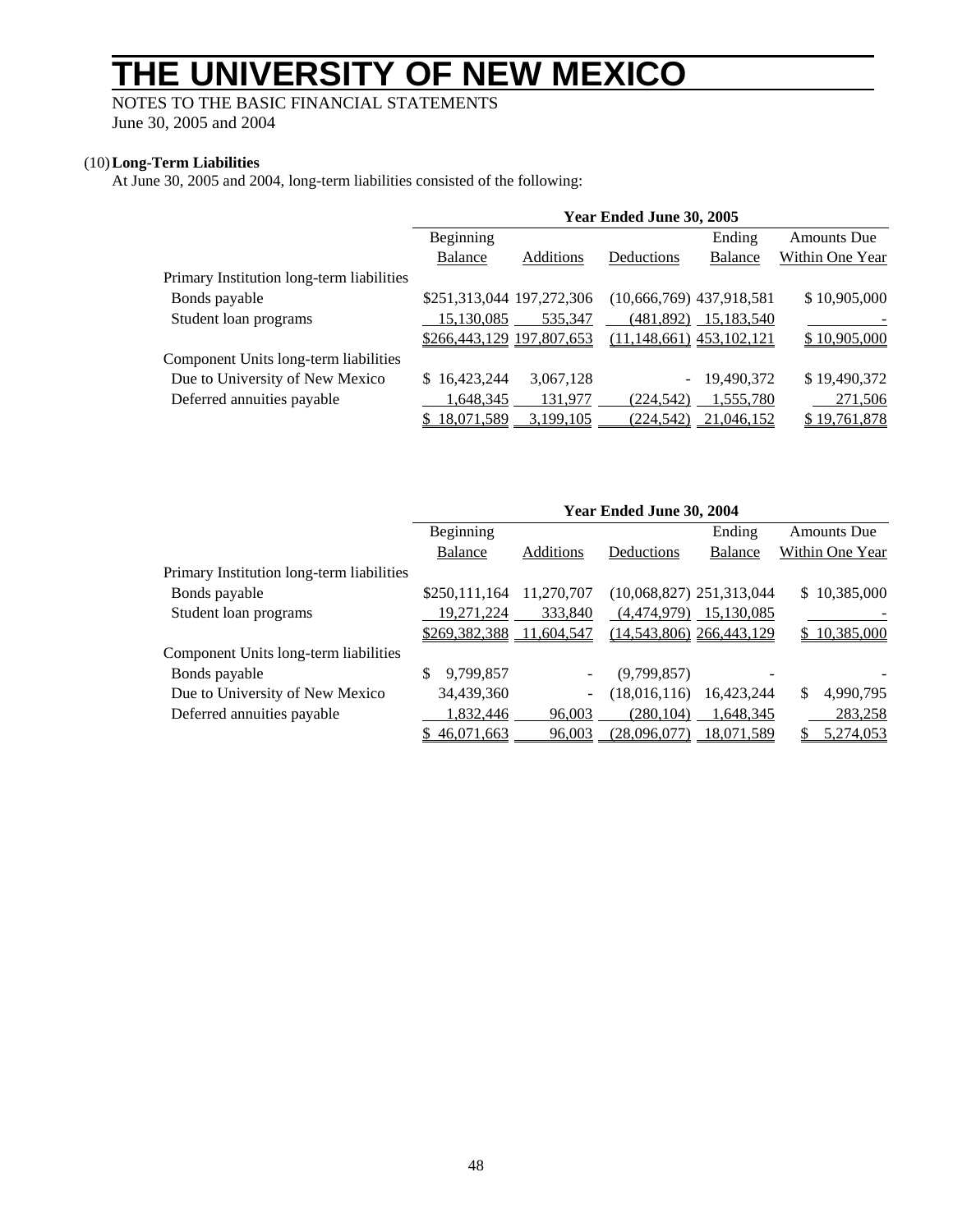### NOTES TO THE BASIC FINANCIAL STATEMENTS

June 30, 2005 and 2004

### (10) **Long-Term Liabilities**

At June 30, 2005 and 2004, long-term liabilities consisted of the following:

|                                           | Year Ended June 30, 2005  |           |                                |                      |                    |  |  |
|-------------------------------------------|---------------------------|-----------|--------------------------------|----------------------|--------------------|--|--|
|                                           | Beginning                 |           |                                | Ending               | <b>Amounts</b> Due |  |  |
|                                           | Balance                   | Additions | Deductions                     | Balance              | Within One Year    |  |  |
| Primary Institution long-term liabilities |                           |           |                                |                      |                    |  |  |
| Bonds payable                             | \$251,313,044 197,272,306 |           | $(10,666,769)$ 437,918,581     |                      | \$10,905,000       |  |  |
| Student loan programs                     | 15.130.085                | 535,347   |                                | (481,892) 15,183,540 |                    |  |  |
|                                           | \$266,443,129 197,807,653 |           | $(11, 148, 661)$ 453, 102, 121 |                      | \$10,905,000       |  |  |
| Component Units long-term liabilities     |                           |           |                                |                      |                    |  |  |
| Due to University of New Mexico           | 16,423,244<br>SS.         | 3,067,128 |                                | 19,490,372           | \$19,490,372       |  |  |
| Deferred annuities payable                | 1,648,345                 | 131,977   | (224, 542)                     | 1,555,780            | 271,506            |  |  |
|                                           | 18,071,589                | 3.199.105 | (224, 542)                     | 21,046,152           | \$19,761,878       |  |  |

|                                           | Year Ended June 30, 2004 |            |                            |                            |                  |  |  |
|-------------------------------------------|--------------------------|------------|----------------------------|----------------------------|------------------|--|--|
|                                           | Beginning                |            |                            | Ending                     | Amounts Due      |  |  |
|                                           | Balance                  | Additions  | Deductions                 | Balance                    | Within One Year  |  |  |
| Primary Institution long-term liabilities |                          |            |                            |                            |                  |  |  |
| Bonds payable                             | \$250,111,164            | 11,270,707 |                            | $(10,068,827)$ 251,313,044 | 10,385,000<br>S. |  |  |
| Student loan programs                     | 19,271,224               | 333,840    | (4,474,979)                | 15,130,085                 |                  |  |  |
|                                           | \$269,382,388            | 11,604,547 | $(14,543,806)$ 266,443,129 |                            | 10,385,000       |  |  |
| Component Units long-term liabilities     |                          |            |                            |                            |                  |  |  |
| Bonds payable                             | \$<br>9,799,857          |            | (9,799,857)                |                            |                  |  |  |
| Due to University of New Mexico           | 34,439,360               |            | (18,016,116)               | 16.423.244                 | 4,990,795<br>S   |  |  |
| Deferred annuities payable                | 1,832,446                | 96,003     | (280,104)                  | 1,648,345                  | 283,258          |  |  |
|                                           | 46.071.663               | 96,003     | (28.096.077)               | 18.071.589                 | 5,274,053        |  |  |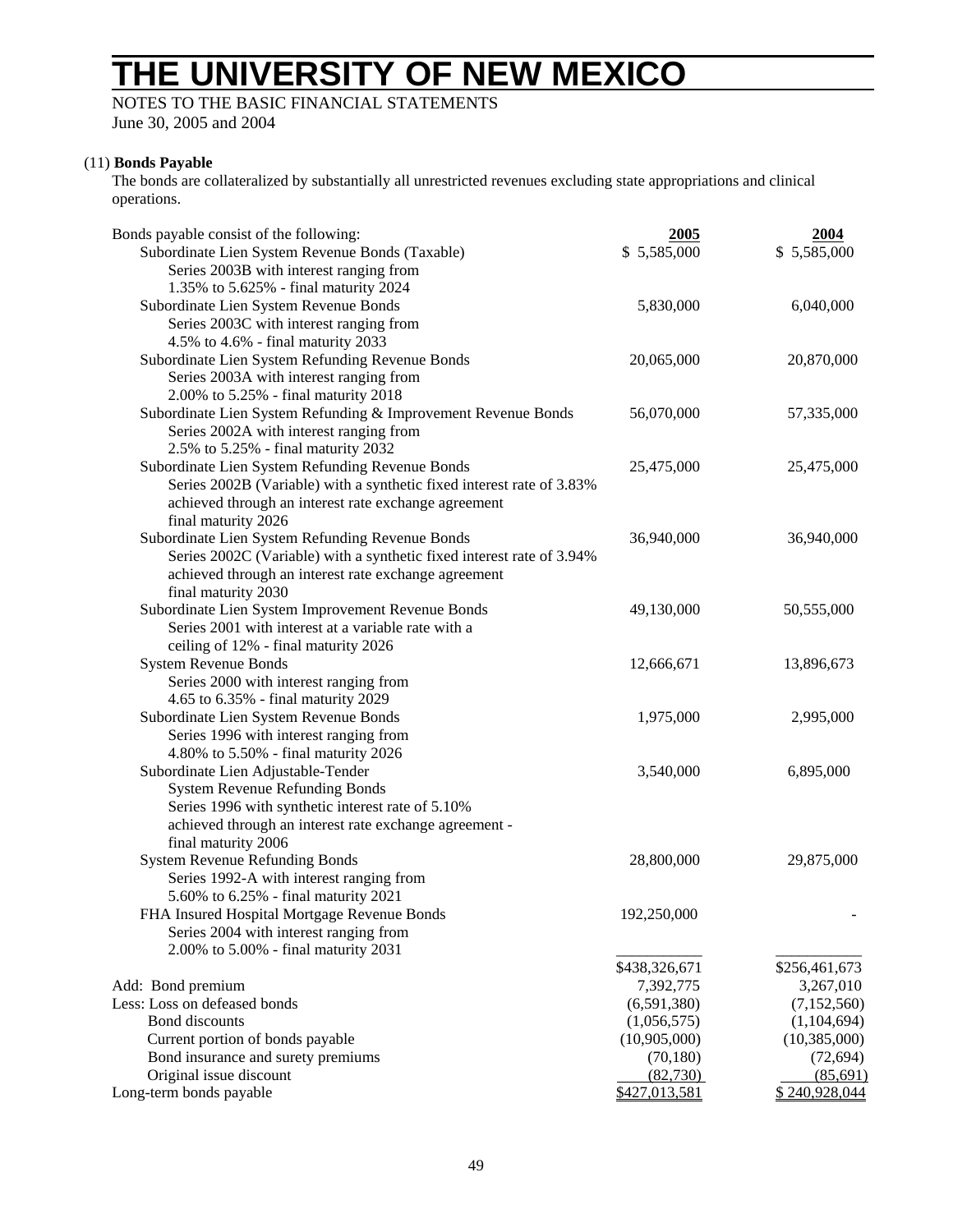NOTES TO THE BASIC FINANCIAL STATEMENTS June 30, 2005 and 2004

#### (11) **Bonds Payable**

The bonds are collateralized by substantially all unrestricted revenues excluding state appropriations and clinical operations.

| Bonds payable consist of the following:                               | 2005          | 2004           |
|-----------------------------------------------------------------------|---------------|----------------|
| Subordinate Lien System Revenue Bonds (Taxable)                       | \$5,585,000   | \$5,585,000    |
| Series 2003B with interest ranging from                               |               |                |
| 1.35% to 5.625% - final maturity 2024                                 |               |                |
| Subordinate Lien System Revenue Bonds                                 | 5,830,000     | 6,040,000      |
| Series 2003C with interest ranging from                               |               |                |
| 4.5% to 4.6% - final maturity 2033                                    |               |                |
| Subordinate Lien System Refunding Revenue Bonds                       | 20,065,000    | 20,870,000     |
| Series 2003A with interest ranging from                               |               |                |
| 2.00% to 5.25% - final maturity 2018                                  |               |                |
| Subordinate Lien System Refunding & Improvement Revenue Bonds         | 56,070,000    | 57,335,000     |
| Series 2002A with interest ranging from                               |               |                |
| 2.5% to 5.25% - final maturity 2032                                   |               |                |
| Subordinate Lien System Refunding Revenue Bonds                       | 25,475,000    | 25,475,000     |
| Series 2002B (Variable) with a synthetic fixed interest rate of 3.83% |               |                |
| achieved through an interest rate exchange agreement                  |               |                |
| final maturity 2026                                                   |               |                |
| Subordinate Lien System Refunding Revenue Bonds                       | 36,940,000    | 36,940,000     |
| Series 2002C (Variable) with a synthetic fixed interest rate of 3.94% |               |                |
| achieved through an interest rate exchange agreement                  |               |                |
| final maturity 2030                                                   |               |                |
| Subordinate Lien System Improvement Revenue Bonds                     | 49,130,000    | 50,555,000     |
| Series 2001 with interest at a variable rate with a                   |               |                |
| ceiling of 12% - final maturity 2026                                  |               |                |
| <b>System Revenue Bonds</b>                                           | 12,666,671    | 13,896,673     |
| Series 2000 with interest ranging from                                |               |                |
| 4.65 to 6.35% - final maturity 2029                                   |               |                |
| Subordinate Lien System Revenue Bonds                                 | 1,975,000     | 2,995,000      |
| Series 1996 with interest ranging from                                |               |                |
| 4.80% to 5.50% - final maturity 2026                                  |               |                |
| Subordinate Lien Adjustable-Tender                                    | 3,540,000     | 6,895,000      |
| <b>System Revenue Refunding Bonds</b>                                 |               |                |
| Series 1996 with synthetic interest rate of 5.10%                     |               |                |
| achieved through an interest rate exchange agreement -                |               |                |
| final maturity 2006                                                   |               |                |
| <b>System Revenue Refunding Bonds</b>                                 | 28,800,000    | 29,875,000     |
| Series 1992-A with interest ranging from                              |               |                |
| 5.60% to 6.25% - final maturity 2021                                  |               |                |
| FHA Insured Hospital Mortgage Revenue Bonds                           | 192,250,000   |                |
| Series 2004 with interest ranging from                                |               |                |
| 2.00% to 5.00% - final maturity 2031                                  |               |                |
|                                                                       | \$438,326,671 | \$256,461,673  |
| Add: Bond premium                                                     | 7,392,775     | 3,267,010      |
| Less: Loss on defeased bonds                                          | (6,591,380)   | (7, 152, 560)  |
| Bond discounts                                                        | (1,056,575)   | (1,104,694)    |
| Current portion of bonds payable                                      | (10,905,000)  | (10, 385, 000) |
| Bond insurance and surety premiums                                    | (70, 180)     | (72, 694)      |
| Original issue discount                                               | (82,730)      | (85,691)       |
| Long-term bonds payable                                               | \$427,013,581 | \$240,928,044  |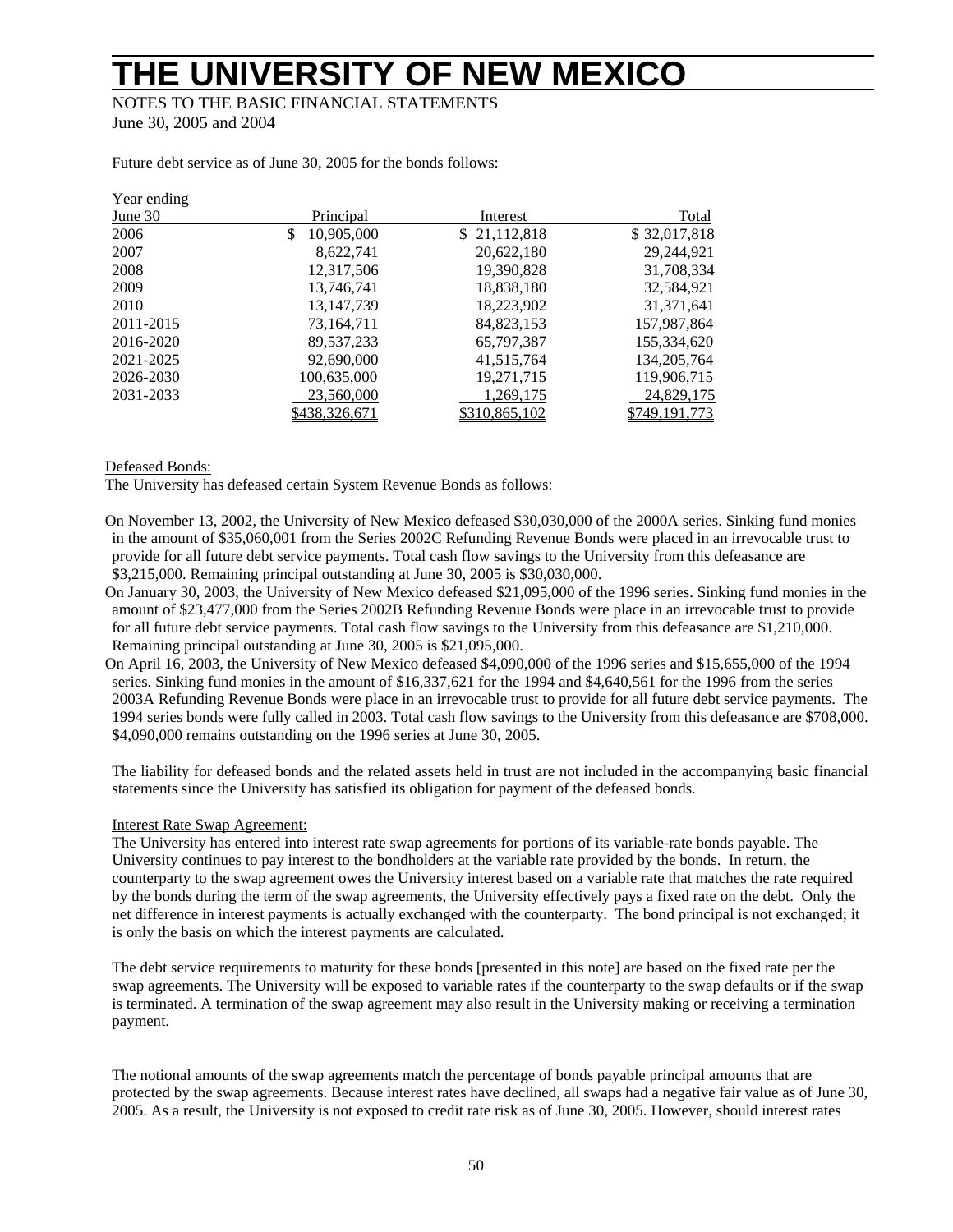NOTES TO THE BASIC FINANCIAL STATEMENTS June 30, 2005 and 2004

| Year ending |                  |               |               |
|-------------|------------------|---------------|---------------|
| June $30$   | Principal        | Interest      | Total         |
| 2006        | 10,905,000<br>\$ | \$21,112,818  | \$32,017,818  |
| 2007        | 8,622,741        | 20,622,180    | 29,244,921    |
| 2008        | 12,317,506       | 19,390,828    | 31,708,334    |
| 2009        | 13,746,741       | 18,838,180    | 32,584,921    |
| 2010        | 13, 147, 739     | 18,223,902    | 31, 371, 641  |
| 2011-2015   | 73,164,711       | 84, 823, 153  | 157,987,864   |
| 2016-2020   | 89,537,233       | 65,797,387    | 155,334,620   |
| 2021-2025   | 92,690,000       | 41,515,764    | 134, 205, 764 |
| 2026-2030   | 100,635,000      | 19,271,715    | 119,906,715   |
| 2031-2033   | 23,560,000       | 1,269,175     | 24,829,175    |
|             | \$438,326,671    | \$310,865,102 | \$749,191,773 |

Future debt service as of June 30, 2005 for the bonds follows:

#### Defeased Bonds:

The University has defeased certain System Revenue Bonds as follows:

On November 13, 2002, the University of New Mexico defeased \$30,030,000 of the 2000A series. Sinking fund monies in the amount of \$35,060,001 from the Series 2002C Refunding Revenue Bonds were placed in an irrevocable trust to provide for all future debt service payments. Total cash flow savings to the University from this defeasance are \$3,215,000. Remaining principal outstanding at June 30, 2005 is \$30,030,000.

On January 30, 2003, the University of New Mexico defeased \$21,095,000 of the 1996 series. Sinking fund monies in the amount of \$23,477,000 from the Series 2002B Refunding Revenue Bonds were place in an irrevocable trust to provide for all future debt service payments. Total cash flow savings to the University from this defeasance are \$1,210,000. Remaining principal outstanding at June 30, 2005 is \$21,095,000.

On April 16, 2003, the University of New Mexico defeased \$4,090,000 of the 1996 series and \$15,655,000 of the 1994 series. Sinking fund monies in the amount of \$16,337,621 for the 1994 and \$4,640,561 for the 1996 from the series 2003A Refunding Revenue Bonds were place in an irrevocable trust to provide for all future debt service payments. The 1994 series bonds were fully called in 2003. Total cash flow savings to the University from this defeasance are \$708,000. \$4,090,000 remains outstanding on the 1996 series at June 30, 2005.

The liability for defeased bonds and the related assets held in trust are not included in the accompanying basic financial statements since the University has satisfied its obligation for payment of the defeased bonds.

#### Interest Rate Swap Agreement:

The University has entered into interest rate swap agreements for portions of its variable-rate bonds payable. The University continues to pay interest to the bondholders at the variable rate provided by the bonds. In return, the counterparty to the swap agreement owes the University interest based on a variable rate that matches the rate required by the bonds during the term of the swap agreements, the University effectively pays a fixed rate on the debt. Only the net difference in interest payments is actually exchanged with the counterparty. The bond principal is not exchanged; it is only the basis on which the interest payments are calculated.

The debt service requirements to maturity for these bonds [presented in this note] are based on the fixed rate per the swap agreements. The University will be exposed to variable rates if the counterparty to the swap defaults or if the swap is terminated. A termination of the swap agreement may also result in the University making or receiving a termination payment.

The notional amounts of the swap agreements match the percentage of bonds payable principal amounts that are protected by the swap agreements. Because interest rates have declined, all swaps had a negative fair value as of June 30, 2005. As a result, the University is not exposed to credit rate risk as of June 30, 2005. However, should interest rates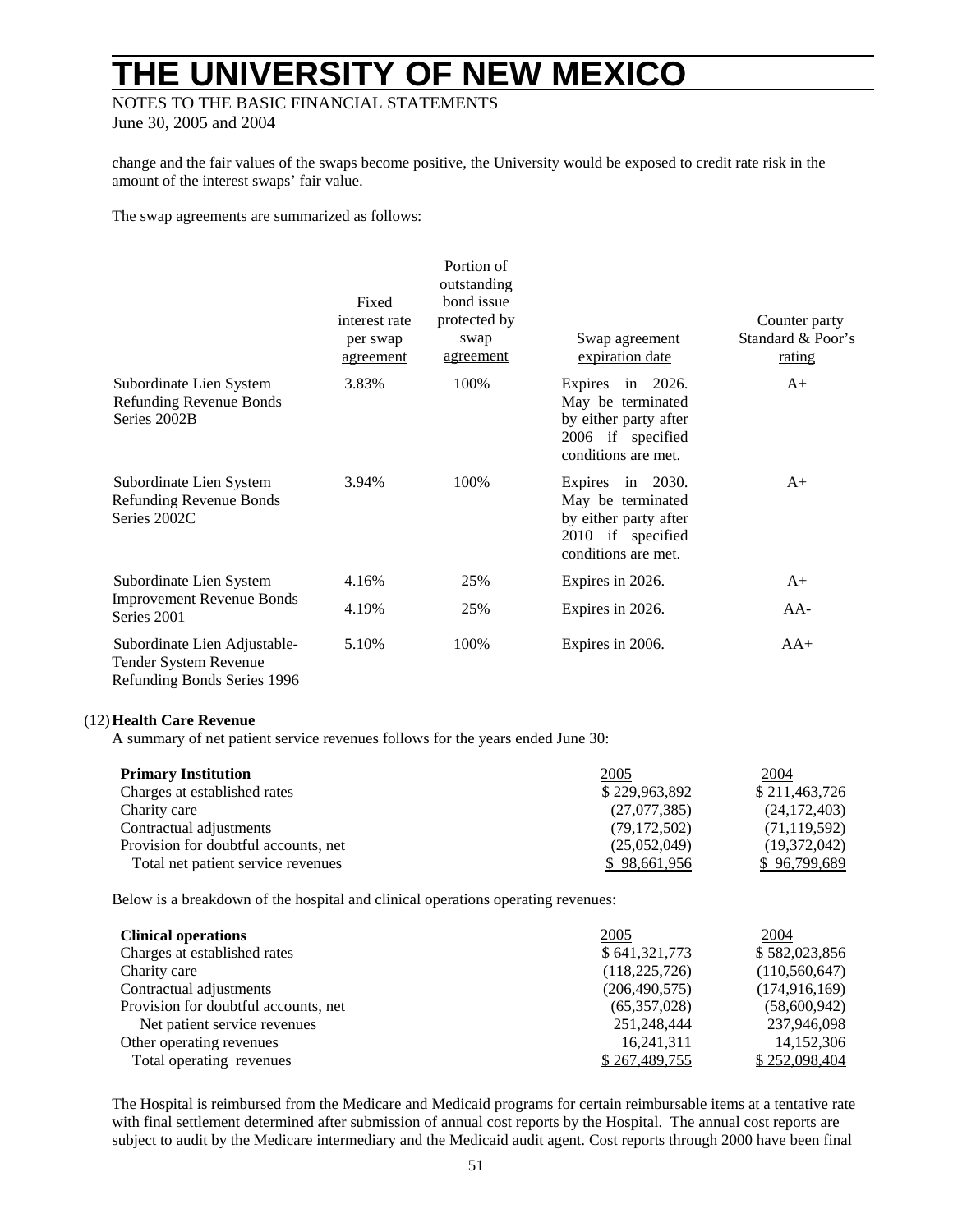### NOTES TO THE BASIC FINANCIAL STATEMENTS

June 30, 2005 and 2004

change and the fair values of the swaps become positive, the University would be exposed to credit rate risk in the amount of the interest swaps' fair value.

The swap agreements are summarized as follows:

|                                                                                      | Fixed<br>interest rate<br>per swap<br><u>agreement</u> | Portion of<br>outstanding<br>bond issue<br>protected by<br>swap<br><u>agreement</u> | Swap agreement<br>expiration date                                                                             | Counter party<br>Standard & Poor's<br>rating |
|--------------------------------------------------------------------------------------|--------------------------------------------------------|-------------------------------------------------------------------------------------|---------------------------------------------------------------------------------------------------------------|----------------------------------------------|
| Subordinate Lien System<br><b>Refunding Revenue Bonds</b><br>Series 2002B            | 3.83%                                                  | 100%                                                                                | Expires in<br>2026.<br>May be terminated<br>by either party after<br>2006 if specified<br>conditions are met. | $A+$                                         |
| Subordinate Lien System<br>Refunding Revenue Bonds<br>Series 2002C                   | 3.94%                                                  | 100%                                                                                | Expires in 2030.<br>May be terminated<br>by either party after<br>2010 if specified<br>conditions are met.    | $A+$                                         |
| Subordinate Lien System                                                              | 4.16%                                                  | 25%                                                                                 | Expires in 2026.                                                                                              | $A+$                                         |
| <b>Improvement Revenue Bonds</b><br>Series 2001                                      | 4.19%                                                  | 25%                                                                                 | Expires in 2026.                                                                                              | AA-                                          |
| Subordinate Lien Adjustable-<br>Tender System Revenue<br>Refunding Bonds Series 1996 | 5.10%                                                  | 100%                                                                                | Expires in 2006.                                                                                              | $AA+$                                        |

#### (12) **Health Care Revenue**

A summary of net patient service revenues follows for the years ended June 30:

| <b>Primary Institution</b>           | 2005           | 2004           |
|--------------------------------------|----------------|----------------|
| Charges at established rates         | \$229,963,892  | \$211,463,726  |
| Charity care                         | (27,077,385)   | (24, 172, 403) |
| Contractual adjustments              | (79, 172, 502) | (71, 119, 592) |
| Provision for doubtful accounts, net | (25,052,049)   | (19,372,042)   |
| Total net patient service revenues   | \$98,661,956   | \$96,799,689   |

Below is a breakdown of the hospital and clinical operations operating revenues:

| <b>Clinical operations</b>           | <u>2005</u>     | <u>2004</u>     |
|--------------------------------------|-----------------|-----------------|
| Charges at established rates         | \$641,321,773   | \$582,023,856   |
| Charity care                         | (118, 225, 726) | (110, 560, 647) |
| Contractual adjustments              | (206, 490, 575) | (174, 916, 169) |
| Provision for doubtful accounts, net | (65,357,028)    | (58,600,942)    |
| Net patient service revenues         | 251,248,444     | 237,946,098     |
| Other operating revenues             | 16,241,311      | 14, 152, 306    |
| Total operating revenues             | \$267,489,755   | \$252,098,404   |

The Hospital is reimbursed from the Medicare and Medicaid programs for certain reimbursable items at a tentative rate with final settlement determined after submission of annual cost reports by the Hospital. The annual cost reports are subject to audit by the Medicare intermediary and the Medicaid audit agent. Cost reports through 2000 have been final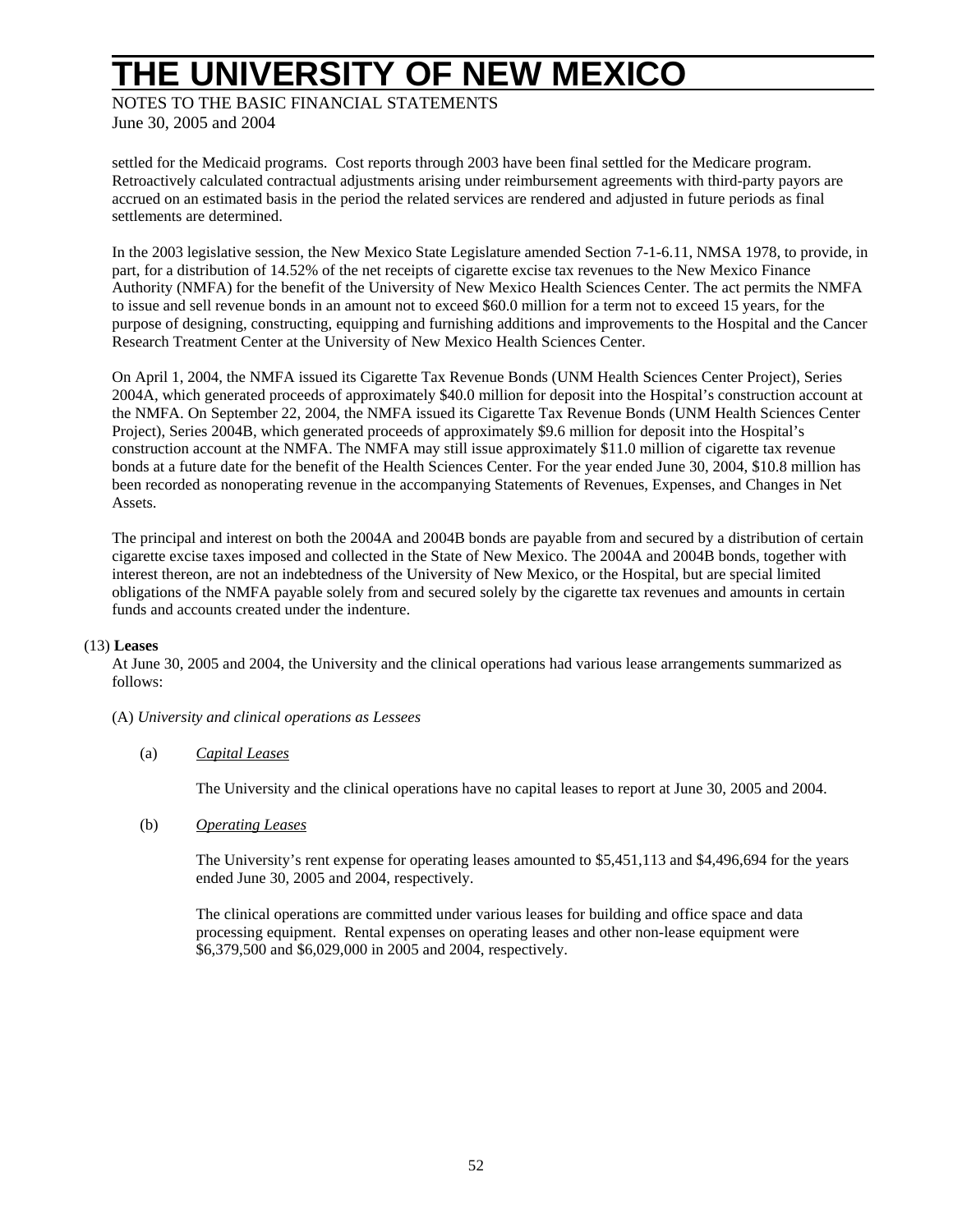NOTES TO THE BASIC FINANCIAL STATEMENTS June 30, 2005 and 2004

settled for the Medicaid programs. Cost reports through 2003 have been final settled for the Medicare program. Retroactively calculated contractual adjustments arising under reimbursement agreements with third-party payors are accrued on an estimated basis in the period the related services are rendered and adjusted in future periods as final settlements are determined.

In the 2003 legislative session, the New Mexico State Legislature amended Section 7-1-6.11, NMSA 1978, to provide, in part, for a distribution of 14.52% of the net receipts of cigarette excise tax revenues to the New Mexico Finance Authority (NMFA) for the benefit of the University of New Mexico Health Sciences Center. The act permits the NMFA to issue and sell revenue bonds in an amount not to exceed \$60.0 million for a term not to exceed 15 years, for the purpose of designing, constructing, equipping and furnishing additions and improvements to the Hospital and the Cancer Research Treatment Center at the University of New Mexico Health Sciences Center.

On April 1, 2004, the NMFA issued its Cigarette Tax Revenue Bonds (UNM Health Sciences Center Project), Series 2004A, which generated proceeds of approximately \$40.0 million for deposit into the Hospital's construction account at the NMFA. On September 22, 2004, the NMFA issued its Cigarette Tax Revenue Bonds (UNM Health Sciences Center Project), Series 2004B, which generated proceeds of approximately \$9.6 million for deposit into the Hospital's construction account at the NMFA. The NMFA may still issue approximately \$11.0 million of cigarette tax revenue bonds at a future date for the benefit of the Health Sciences Center. For the year ended June 30, 2004, \$10.8 million has been recorded as nonoperating revenue in the accompanying Statements of Revenues, Expenses, and Changes in Net Assets.

The principal and interest on both the 2004A and 2004B bonds are payable from and secured by a distribution of certain cigarette excise taxes imposed and collected in the State of New Mexico. The 2004A and 2004B bonds, together with interest thereon, are not an indebtedness of the University of New Mexico, or the Hospital, but are special limited obligations of the NMFA payable solely from and secured solely by the cigarette tax revenues and amounts in certain funds and accounts created under the indenture.

#### (13) **Leases**

At June 30, 2005 and 2004, the University and the clinical operations had various lease arrangements summarized as follows:

#### (A) *University and clinical operations as Lessees*

### (a) *Capital Leases*

The University and the clinical operations have no capital leases to report at June 30, 2005 and 2004.

#### (b) *Operating Leases*

The University's rent expense for operating leases amounted to \$5,451,113 and \$4,496,694 for the years ended June 30, 2005 and 2004, respectively.

The clinical operations are committed under various leases for building and office space and data processing equipment. Rental expenses on operating leases and other non-lease equipment were \$6,379,500 and \$6,029,000 in 2005 and 2004, respectively.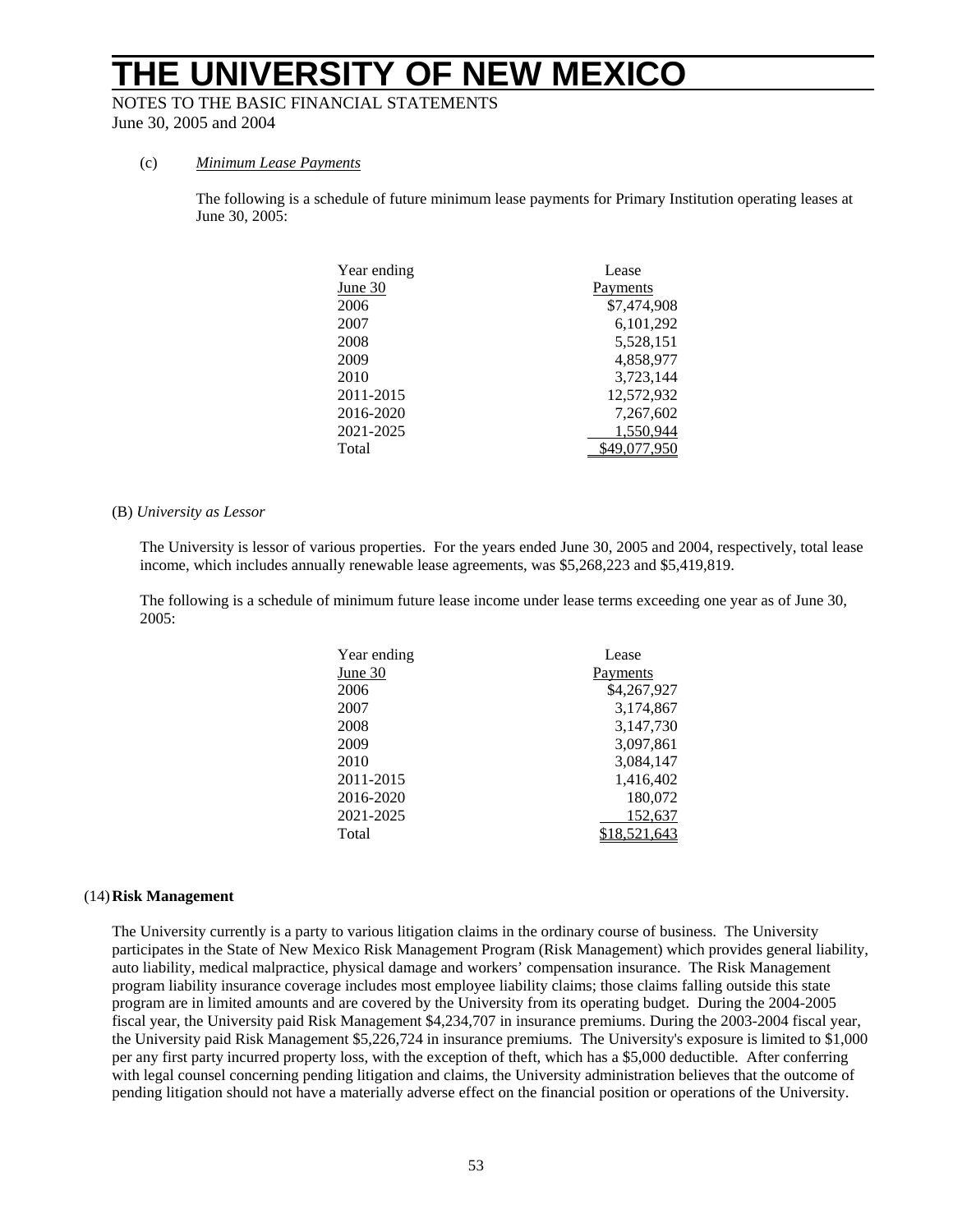### NOTES TO THE BASIC FINANCIAL STATEMENTS

June 30, 2005 and 2004

#### (c) *Minimum Lease Payments*

The following is a schedule of future minimum lease payments for Primary Institution operating leases at June 30, 2005:

| Year ending | Lease       |
|-------------|-------------|
| June 30     | Pavments    |
| 2006        | \$7,474,908 |
| 2007        | 6,101,292   |
| 2008        | 5,528,151   |
| 2009        | 4,858,977   |
| 2010        | 3,723,144   |
| 2011-2015   | 12,572,932  |
| 2016-2020   | 7,267,602   |
| 2021-2025   | 1,550,944   |
| Total       | 49.077.95   |

#### (B) *University as Lessor*

The University is lessor of various properties. For the years ended June 30, 2005 and 2004, respectively, total lease income, which includes annually renewable lease agreements, was \$5,268,223 and \$5,419,819.

The following is a schedule of minimum future lease income under lease terms exceeding one year as of June 30, 2005:

| Year ending | Lease       |
|-------------|-------------|
| June 30     | Payments    |
| 2006        | \$4,267,927 |
| 2007        | 3,174,867   |
| 2008        | 3,147,730   |
| 2009        | 3,097,861   |
| 2010        | 3,084,147   |
| 2011-2015   | 1,416,402   |
| 2016-2020   | 180,072     |
| 2021-2025   | 152,637     |
| Total       | 8.521.643   |

#### (14) **Risk Management**

The University currently is a party to various litigation claims in the ordinary course of business. The University participates in the State of New Mexico Risk Management Program (Risk Management) which provides general liability, auto liability, medical malpractice, physical damage and workers' compensation insurance. The Risk Management program liability insurance coverage includes most employee liability claims; those claims falling outside this state program are in limited amounts and are covered by the University from its operating budget. During the 2004-2005 fiscal year, the University paid Risk Management \$4,234,707 in insurance premiums. During the 2003-2004 fiscal year, the University paid Risk Management \$5,226,724 in insurance premiums. The University's exposure is limited to \$1,000 per any first party incurred property loss, with the exception of theft, which has a \$5,000 deductible. After conferring with legal counsel concerning pending litigation and claims, the University administration believes that the outcome of pending litigation should not have a materially adverse effect on the financial position or operations of the University.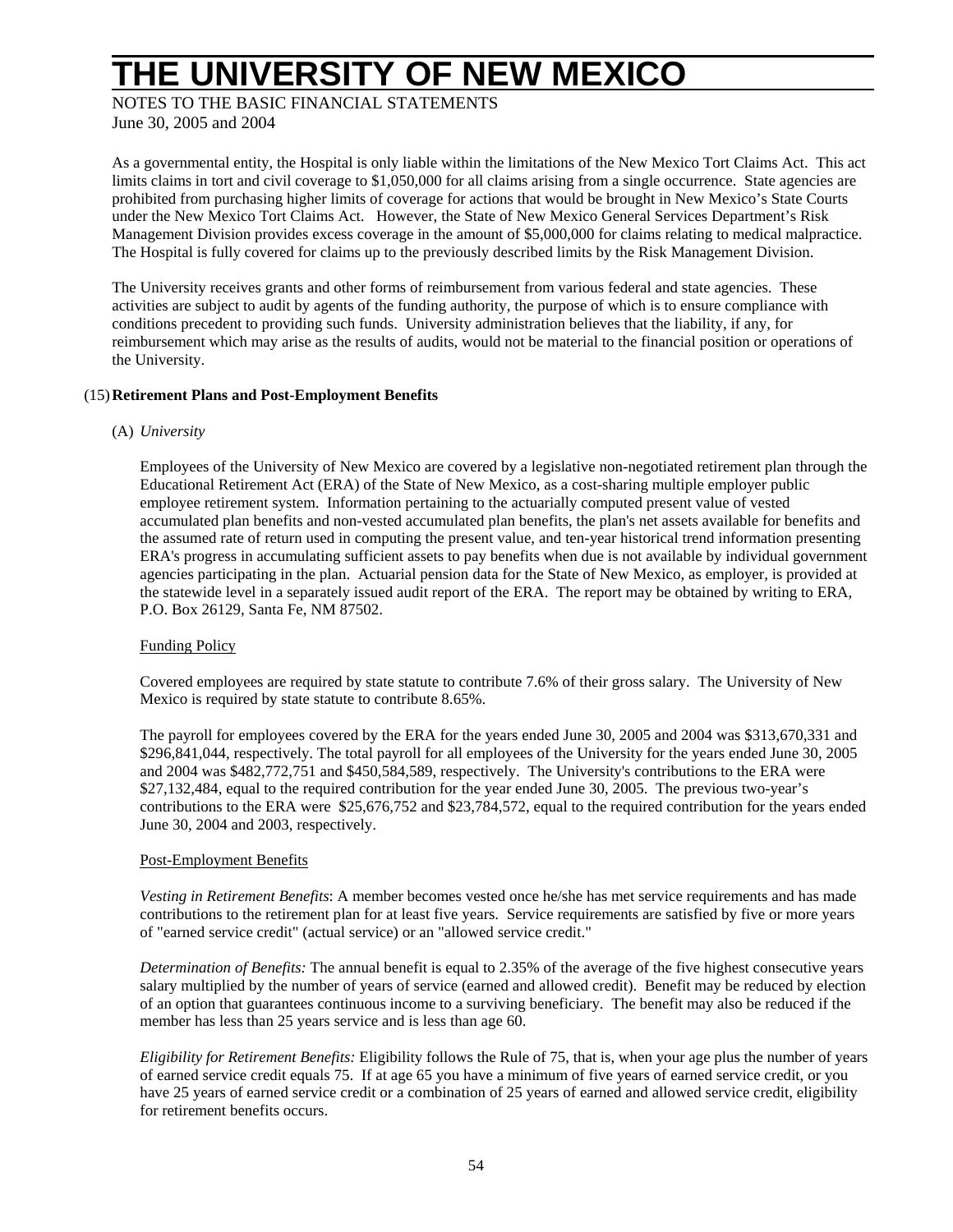NOTES TO THE BASIC FINANCIAL STATEMENTS

June 30, 2005 and 2004

As a governmental entity, the Hospital is only liable within the limitations of the New Mexico Tort Claims Act. This act limits claims in tort and civil coverage to \$1,050,000 for all claims arising from a single occurrence. State agencies are prohibited from purchasing higher limits of coverage for actions that would be brought in New Mexico's State Courts under the New Mexico Tort Claims Act. However, the State of New Mexico General Services Department's Risk Management Division provides excess coverage in the amount of \$5,000,000 for claims relating to medical malpractice. The Hospital is fully covered for claims up to the previously described limits by the Risk Management Division.

The University receives grants and other forms of reimbursement from various federal and state agencies. These activities are subject to audit by agents of the funding authority, the purpose of which is to ensure compliance with conditions precedent to providing such funds. University administration believes that the liability, if any, for reimbursement which may arise as the results of audits, would not be material to the financial position or operations of the University.

#### (15) **Retirement Plans and Post-Employment Benefits**

#### (A) *University*

Employees of the University of New Mexico are covered by a legislative non-negotiated retirement plan through the Educational Retirement Act (ERA) of the State of New Mexico, as a cost-sharing multiple employer public employee retirement system. Information pertaining to the actuarially computed present value of vested accumulated plan benefits and non-vested accumulated plan benefits, the plan's net assets available for benefits and the assumed rate of return used in computing the present value, and ten-year historical trend information presenting ERA's progress in accumulating sufficient assets to pay benefits when due is not available by individual government agencies participating in the plan. Actuarial pension data for the State of New Mexico, as employer, is provided at the statewide level in a separately issued audit report of the ERA. The report may be obtained by writing to ERA, P.O. Box 26129, Santa Fe, NM 87502.

### Funding Policy

Covered employees are required by state statute to contribute 7.6% of their gross salary. The University of New Mexico is required by state statute to contribute 8.65%.

The payroll for employees covered by the ERA for the years ended June 30, 2005 and 2004 was \$313,670,331 and \$296,841,044, respectively. The total payroll for all employees of the University for the years ended June 30, 2005 and 2004 was \$482,772,751 and \$450,584,589, respectively. The University's contributions to the ERA were \$27,132,484, equal to the required contribution for the year ended June 30, 2005. The previous two-year's contributions to the ERA were \$25,676,752 and \$23,784,572, equal to the required contribution for the years ended June 30, 2004 and 2003, respectively.

#### Post-Employment Benefits

*Vesting in Retirement Benefits*: A member becomes vested once he/she has met service requirements and has made contributions to the retirement plan for at least five years. Service requirements are satisfied by five or more years of "earned service credit" (actual service) or an "allowed service credit."

*Determination of Benefits:* The annual benefit is equal to 2.35% of the average of the five highest consecutive years salary multiplied by the number of years of service (earned and allowed credit). Benefit may be reduced by election of an option that guarantees continuous income to a surviving beneficiary. The benefit may also be reduced if the member has less than 25 years service and is less than age 60.

*Eligibility for Retirement Benefits:* Eligibility follows the Rule of 75, that is, when your age plus the number of years of earned service credit equals 75. If at age 65 you have a minimum of five years of earned service credit, or you have 25 years of earned service credit or a combination of 25 years of earned and allowed service credit, eligibility for retirement benefits occurs.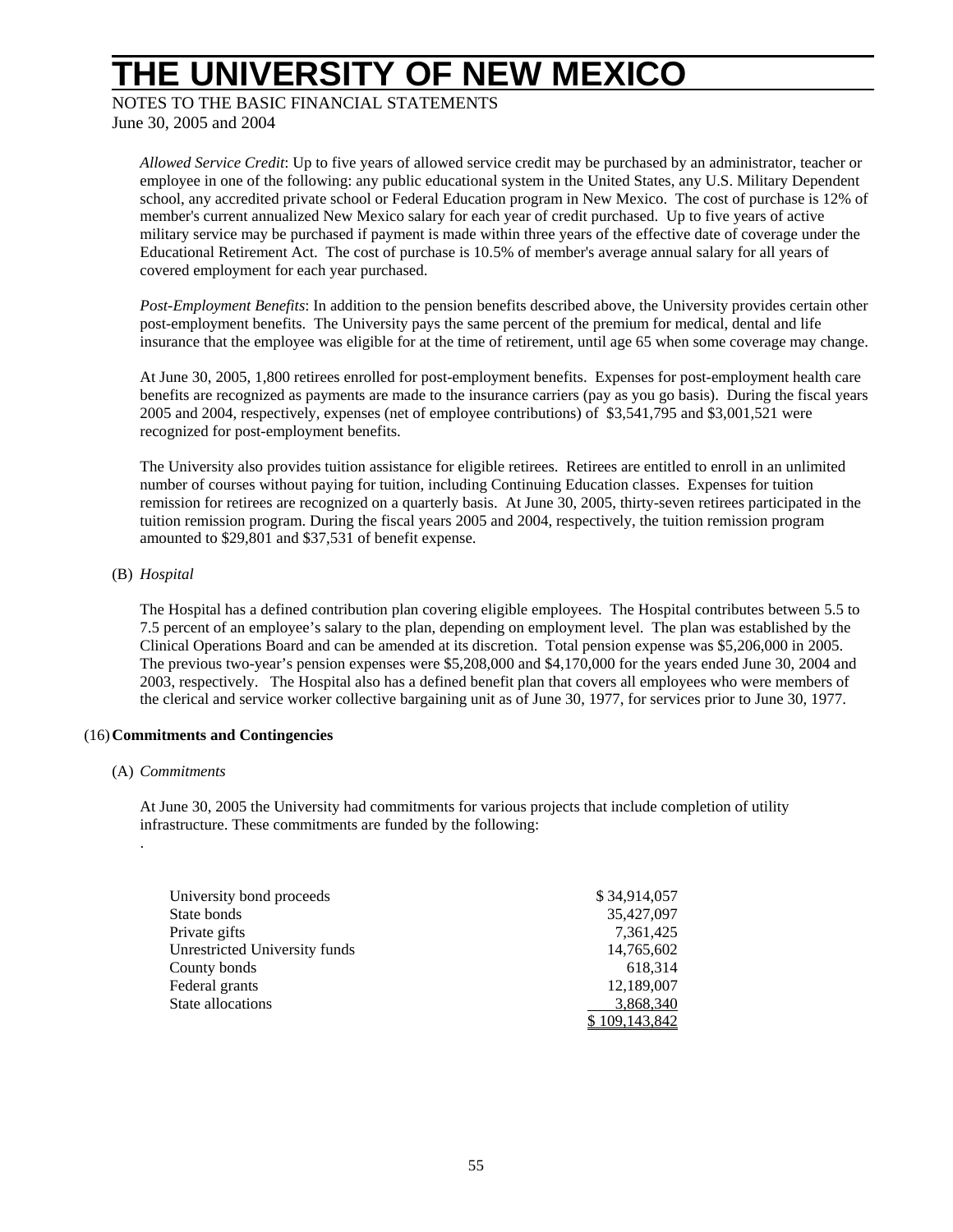NOTES TO THE BASIC FINANCIAL STATEMENTS

June 30, 2005 and 2004

*Allowed Service Credit*: Up to five years of allowed service credit may be purchased by an administrator, teacher or employee in one of the following: any public educational system in the United States, any U.S. Military Dependent school, any accredited private school or Federal Education program in New Mexico. The cost of purchase is 12% of member's current annualized New Mexico salary for each year of credit purchased. Up to five years of active military service may be purchased if payment is made within three years of the effective date of coverage under the Educational Retirement Act. The cost of purchase is 10.5% of member's average annual salary for all years of covered employment for each year purchased.

*Post-Employment Benefits*: In addition to the pension benefits described above, the University provides certain other post-employment benefits. The University pays the same percent of the premium for medical, dental and life insurance that the employee was eligible for at the time of retirement, until age 65 when some coverage may change.

At June 30, 2005, 1,800 retirees enrolled for post-employment benefits. Expenses for post-employment health care benefits are recognized as payments are made to the insurance carriers (pay as you go basis). During the fiscal years 2005 and 2004, respectively, expenses (net of employee contributions) of \$3,541,795 and \$3,001,521 were recognized for post-employment benefits.

The University also provides tuition assistance for eligible retirees. Retirees are entitled to enroll in an unlimited number of courses without paying for tuition, including Continuing Education classes. Expenses for tuition remission for retirees are recognized on a quarterly basis. At June 30, 2005, thirty-seven retirees participated in the tuition remission program. During the fiscal years 2005 and 2004, respectively, the tuition remission program amounted to \$29,801 and \$37,531 of benefit expense.

#### (B) *Hospital*

The Hospital has a defined contribution plan covering eligible employees. The Hospital contributes between 5.5 to 7.5 percent of an employee's salary to the plan, depending on employment level. The plan was established by the Clinical Operations Board and can be amended at its discretion. Total pension expense was \$5,206,000 in 2005. The previous two-year's pension expenses were \$5,208,000 and \$4,170,000 for the years ended June 30, 2004 and 2003, respectively. The Hospital also has a defined benefit plan that covers all employees who were members of the clerical and service worker collective bargaining unit as of June 30, 1977, for services prior to June 30, 1977.

#### (16) **Commitments and Contingencies**

#### (A) *Commitments*

.

At June 30, 2005 the University had commitments for various projects that include completion of utility infrastructure. These commitments are funded by the following:

| University bond proceeds      | \$34,914,057 |
|-------------------------------|--------------|
| State bonds                   | 35,427,097   |
| Private gifts                 | 7,361,425    |
| Unrestricted University funds | 14,765,602   |
| County bonds                  | 618,314      |
| Federal grants                | 12,189,007   |
| State allocations             | 3,868,340    |
|                               | 109,143,842  |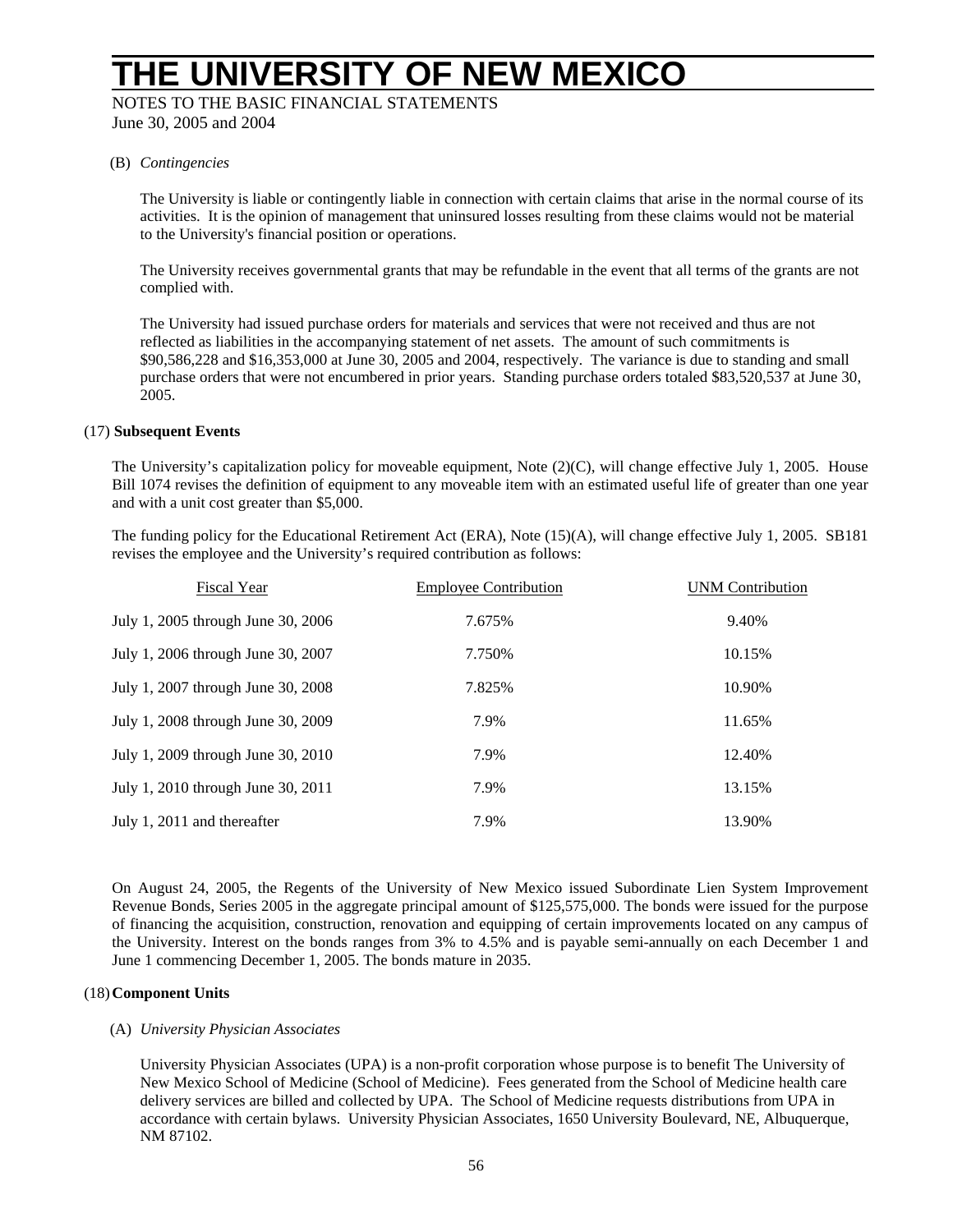### NOTES TO THE BASIC FINANCIAL STATEMENTS

June 30, 2005 and 2004

#### (B) *Contingencies*

The University is liable or contingently liable in connection with certain claims that arise in the normal course of its activities. It is the opinion of management that uninsured losses resulting from these claims would not be material to the University's financial position or operations.

The University receives governmental grants that may be refundable in the event that all terms of the grants are not complied with.

The University had issued purchase orders for materials and services that were not received and thus are not reflected as liabilities in the accompanying statement of net assets. The amount of such commitments is \$90,586,228 and \$16,353,000 at June 30, 2005 and 2004, respectively. The variance is due to standing and small purchase orders that were not encumbered in prior years. Standing purchase orders totaled \$83,520,537 at June 30, 2005.

#### (17) **Subsequent Events**

The University's capitalization policy for moveable equipment, Note (2)(C), will change effective July 1, 2005. House Bill 1074 revises the definition of equipment to any moveable item with an estimated useful life of greater than one year and with a unit cost greater than \$5,000.

The funding policy for the Educational Retirement Act (ERA), Note (15)(A), will change effective July 1, 2005. SB181 revises the employee and the University's required contribution as follows:

| Fiscal Year                        | <b>Employee Contribution</b> | <b>UNM</b> Contribution |
|------------------------------------|------------------------------|-------------------------|
| July 1, 2005 through June 30, 2006 | 7.675%                       | 9.40%                   |
| July 1, 2006 through June 30, 2007 | 7.750%                       | 10.15%                  |
| July 1, 2007 through June 30, 2008 | 7.825%                       | 10.90%                  |
| July 1, 2008 through June 30, 2009 | 7.9%                         | 11.65%                  |
| July 1, 2009 through June 30, 2010 | 7.9%                         | 12.40%                  |
| July 1, 2010 through June 30, 2011 | 7.9%                         | 13.15%                  |
| July 1, 2011 and thereafter        | 7.9%                         | 13.90%                  |

On August 24, 2005, the Regents of the University of New Mexico issued Subordinate Lien System Improvement Revenue Bonds, Series 2005 in the aggregate principal amount of \$125,575,000. The bonds were issued for the purpose of financing the acquisition, construction, renovation and equipping of certain improvements located on any campus of the University. Interest on the bonds ranges from 3% to 4.5% and is payable semi-annually on each December 1 and June 1 commencing December 1, 2005. The bonds mature in 2035.

#### (18) **Component Units**

#### (A) *University Physician Associates*

University Physician Associates (UPA) is a non-profit corporation whose purpose is to benefit The University of New Mexico School of Medicine (School of Medicine). Fees generated from the School of Medicine health care delivery services are billed and collected by UPA. The School of Medicine requests distributions from UPA in accordance with certain bylaws. University Physician Associates, 1650 University Boulevard, NE, Albuquerque, NM 87102.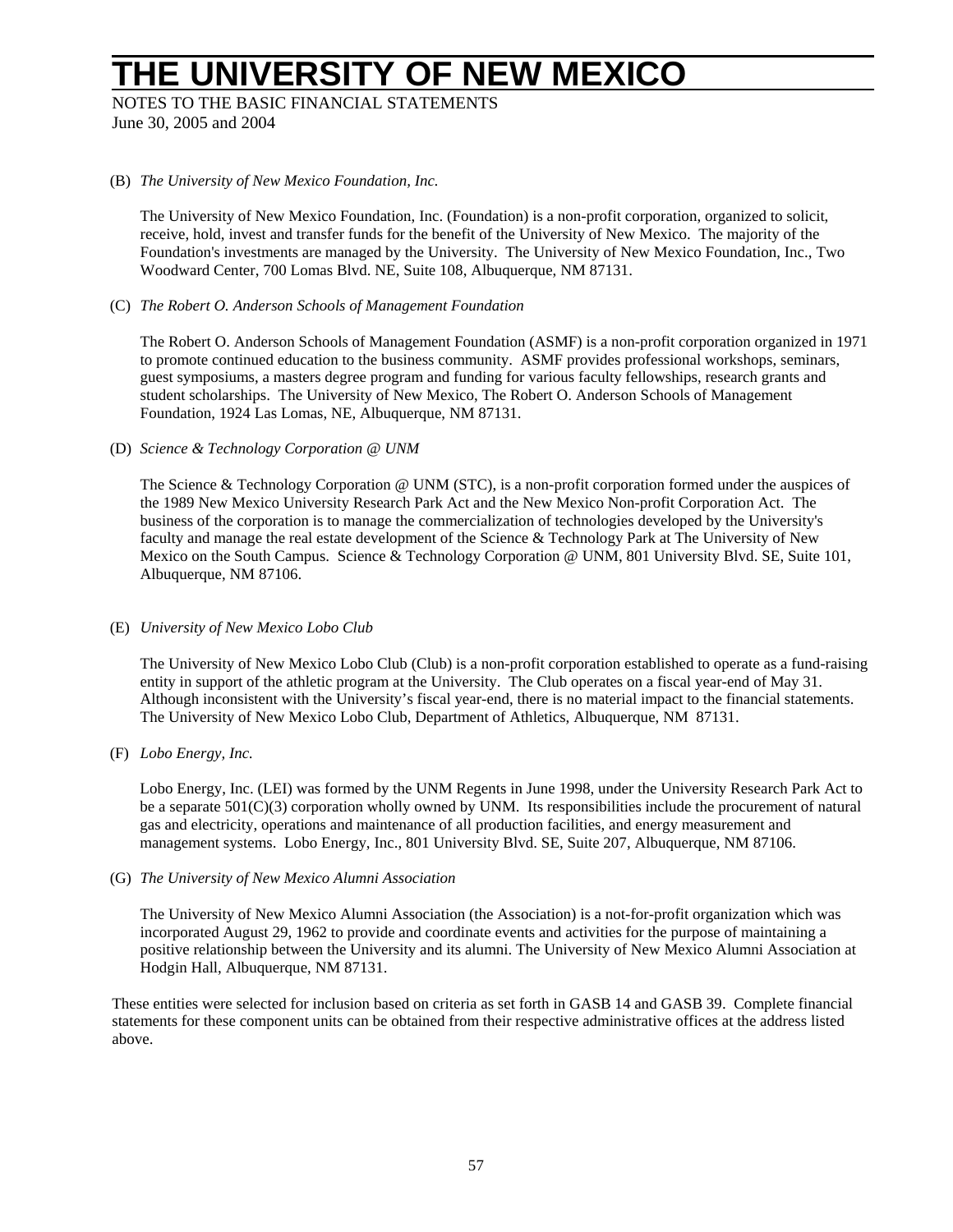NOTES TO THE BASIC FINANCIAL STATEMENTS June 30, 2005 and 2004

#### (B) *The University of New Mexico Foundation, Inc.*

The University of New Mexico Foundation, Inc. (Foundation) is a non-profit corporation, organized to solicit, receive, hold, invest and transfer funds for the benefit of the University of New Mexico. The majority of the Foundation's investments are managed by the University. The University of New Mexico Foundation, Inc., Two Woodward Center, 700 Lomas Blvd. NE, Suite 108, Albuquerque, NM 87131.

#### (C) *The Robert O. Anderson Schools of Management Foundation*

The Robert O. Anderson Schools of Management Foundation (ASMF) is a non-profit corporation organized in 1971 to promote continued education to the business community. ASMF provides professional workshops, seminars, guest symposiums, a masters degree program and funding for various faculty fellowships, research grants and student scholarships. The University of New Mexico, The Robert O. Anderson Schools of Management Foundation, 1924 Las Lomas, NE, Albuquerque, NM 87131.

#### (D) *Science & Technology Corporation @ UNM*

The Science & Technology Corporation @ UNM (STC), is a non-profit corporation formed under the auspices of the 1989 New Mexico University Research Park Act and the New Mexico Non-profit Corporation Act. The business of the corporation is to manage the commercialization of technologies developed by the University's faculty and manage the real estate development of the Science & Technology Park at The University of New Mexico on the South Campus. Science & Technology Corporation @ UNM, 801 University Blvd. SE, Suite 101, Albuquerque, NM 87106.

### (E) *University of New Mexico Lobo Club*

The University of New Mexico Lobo Club (Club) is a non-profit corporation established to operate as a fund-raising entity in support of the athletic program at the University. The Club operates on a fiscal year-end of May 31. Although inconsistent with the University's fiscal year-end, there is no material impact to the financial statements. The University of New Mexico Lobo Club, Department of Athletics, Albuquerque, NM 87131.

#### (F) *Lobo Energy, Inc.*

Lobo Energy, Inc. (LEI) was formed by the UNM Regents in June 1998, under the University Research Park Act to be a separate 501(C)(3) corporation wholly owned by UNM. Its responsibilities include the procurement of natural gas and electricity, operations and maintenance of all production facilities, and energy measurement and management systems. Lobo Energy, Inc., 801 University Blvd. SE, Suite 207, Albuquerque, NM 87106.

#### (G) *The University of New Mexico Alumni Association*

The University of New Mexico Alumni Association (the Association) is a not-for-profit organization which was incorporated August 29, 1962 to provide and coordinate events and activities for the purpose of maintaining a positive relationship between the University and its alumni. The University of New Mexico Alumni Association at Hodgin Hall, Albuquerque, NM 87131.

These entities were selected for inclusion based on criteria as set forth in GASB 14 and GASB 39. Complete financial statements for these component units can be obtained from their respective administrative offices at the address listed above.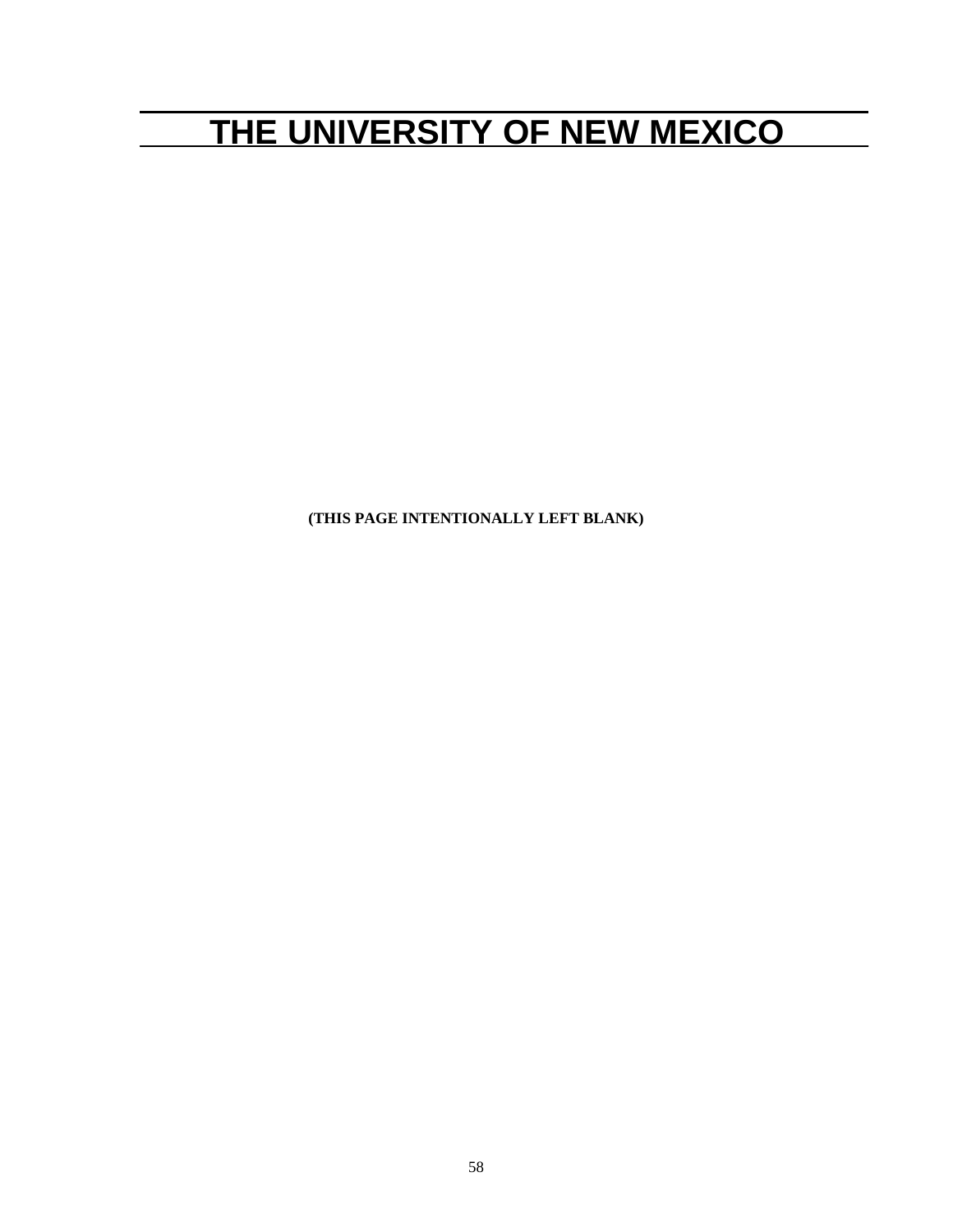**(THIS PAGE INTENTIONALLY LEFT BLANK)**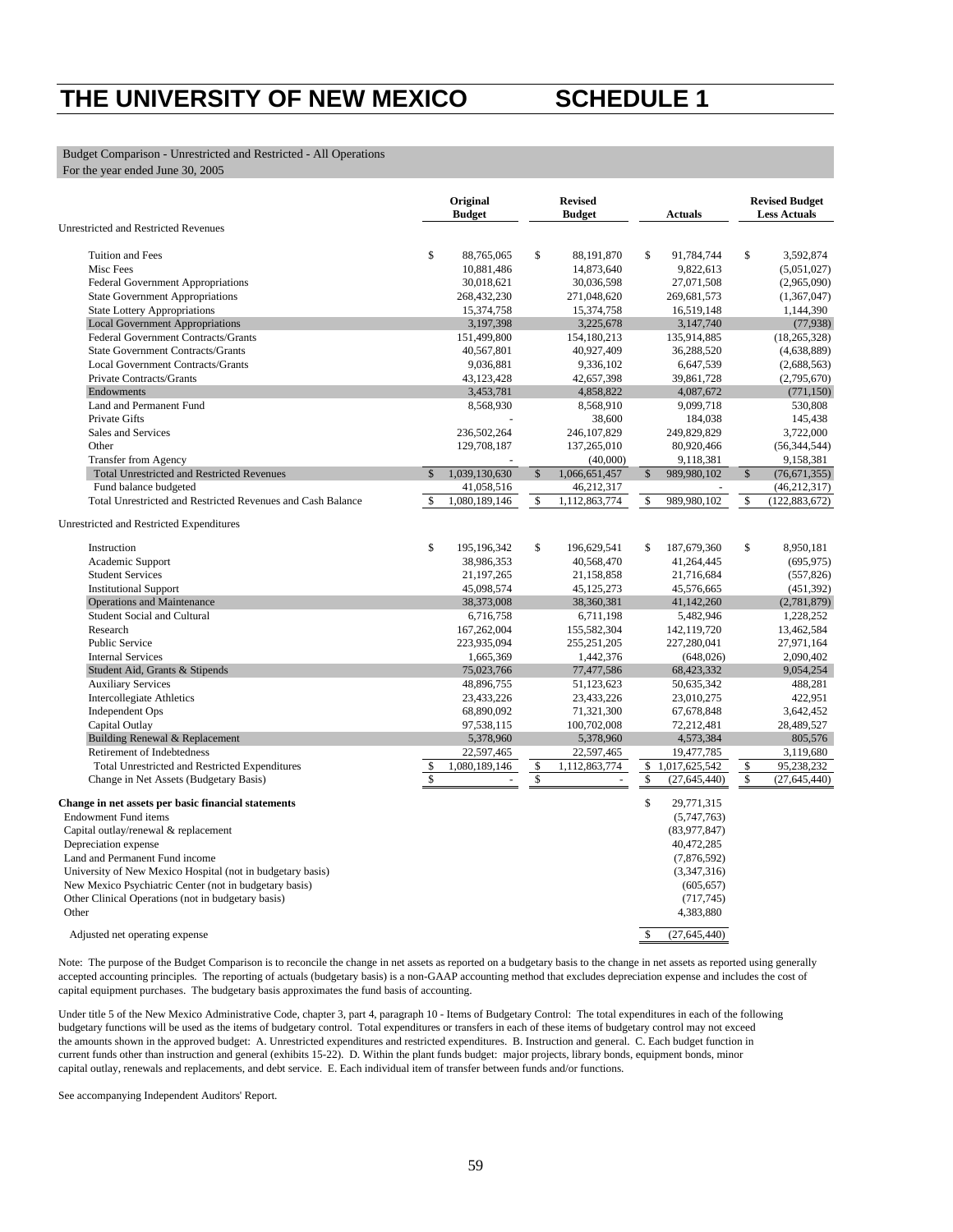### Budget Comparison - Unrestricted and Restricted - All Operations

For the year ended June 30, 2005

|                                                                               |               | Original<br><b>Budget</b> |               | <b>Revised</b><br><b>Budget</b> |              | <b>Actuals</b>          | <b>Revised Budget</b><br><b>Less Actuals</b> |                          |  |
|-------------------------------------------------------------------------------|---------------|---------------------------|---------------|---------------------------------|--------------|-------------------------|----------------------------------------------|--------------------------|--|
| <b>Unrestricted and Restricted Revenues</b>                                   |               |                           |               |                                 |              |                         |                                              |                          |  |
| Tuition and Fees<br>Misc Fees                                                 | \$            | 88,765,065<br>10,881,486  | \$            | 88,191,870<br>14,873,640        | \$           | 91,784,744<br>9,822,613 | \$                                           | 3,592,874<br>(5,051,027) |  |
| Federal Government Appropriations                                             |               | 30,018,621                |               | 30,036,598                      |              | 27,071,508              |                                              | (2,965,090)              |  |
|                                                                               |               |                           |               |                                 |              |                         |                                              |                          |  |
| <b>State Government Appropriations</b><br><b>State Lottery Appropriations</b> |               | 268,432,230               |               | 271,048,620                     |              | 269,681,573             |                                              | (1,367,047)              |  |
|                                                                               |               | 15,374,758                |               | 15,374,758                      |              | 16,519,148              |                                              | 1,144,390                |  |
| <b>Local Government Appropriations</b>                                        |               | 3,197,398                 |               | 3,225,678                       |              | 3,147,740               |                                              | (77, 938)                |  |
| Federal Government Contracts/Grants                                           |               | 151,499,800               |               | 154,180,213                     |              | 135,914,885             |                                              | (18, 265, 328)           |  |
| <b>State Government Contracts/Grants</b>                                      |               | 40,567,801                |               | 40,927,409                      |              | 36,288,520              |                                              | (4,638,889)              |  |
| <b>Local Government Contracts/Grants</b>                                      |               | 9,036,881                 |               | 9,336,102                       |              | 6,647,539               |                                              | (2,688,563)              |  |
| Private Contracts/Grants                                                      |               | 43,123,428                |               | 42,657,398                      |              | 39,861,728              |                                              | (2,795,670)              |  |
| Endowments                                                                    |               | 3,453,781                 |               | 4,858,822                       |              | 4,087,672               |                                              | (771, 150)               |  |
| Land and Permanent Fund                                                       |               | 8,568,930                 |               | 8,568,910                       |              | 9,099,718               |                                              | 530,808                  |  |
| Private Gifts                                                                 |               |                           |               | 38,600                          |              | 184,038                 |                                              | 145,438                  |  |
| Sales and Services                                                            |               | 236,502,264               |               | 246, 107, 829                   |              | 249,829,829             |                                              | 3,722,000                |  |
| Other                                                                         |               | 129,708,187               |               | 137,265,010                     |              | 80,920,466              |                                              | (56, 344, 544)           |  |
| <b>Transfer from Agency</b>                                                   |               |                           |               | (40,000)                        |              | 9,118,381               |                                              | 9,158,381                |  |
| <b>Total Unrestricted and Restricted Revenues</b>                             | $\mathcal{S}$ | 1,039,130,630             | $\mathbb{S}$  | 1,066,651,457                   | $\mathbb{S}$ | 989,980,102             | $\mathcal{S}$                                | (76, 671, 355)           |  |
| Fund balance budgeted                                                         |               | 41,058,516                |               | 46,212,317                      |              |                         |                                              | (46, 212, 317)           |  |
| Total Unrestricted and Restricted Revenues and Cash Balance                   | $\mathcal{S}$ | 1,080,189,146             | $\mathcal{S}$ | 1,112,863,774                   | $\mathbb{S}$ | 989,980,102             | $\$$                                         | (122, 883, 672)          |  |
| <b>Unrestricted and Restricted Expenditures</b>                               |               |                           |               |                                 |              |                         |                                              |                          |  |
| Instruction                                                                   | \$            | 195,196,342               | \$            | 196,629,541                     | \$           | 187,679,360             | \$                                           | 8,950,181                |  |
| Academic Support                                                              |               | 38,986,353                |               | 40,568,470                      |              | 41,264,445              |                                              | (695, 975)               |  |
| <b>Student Services</b>                                                       |               | 21,197,265                |               | 21,158,858                      |              | 21,716,684              |                                              | (557, 826)               |  |
| <b>Institutional Support</b>                                                  |               | 45,098,574                |               | 45, 125, 273                    |              | 45,576,665              |                                              | (451, 392)               |  |
| <b>Operations and Maintenance</b>                                             |               | 38,373,008                |               | 38,360,381                      |              | 41,142,260              |                                              | (2,781,879)              |  |
| Student Social and Cultural                                                   |               | 6,716,758                 |               | 6,711,198                       |              | 5,482,946               |                                              | 1,228,252                |  |
| Research                                                                      |               | 167,262,004               |               | 155,582,304                     |              | 142,119,720             |                                              | 13,462,584               |  |
| Public Service                                                                |               | 223,935,094               |               | 255, 251, 205                   |              | 227,280,041             |                                              | 27,971,164               |  |
| <b>Internal Services</b>                                                      |               | 1,665,369                 |               | 1,442,376                       |              | (648, 026)              |                                              | 2,090,402                |  |
| Student Aid, Grants & Stipends                                                |               |                           |               |                                 |              | 68,423,332              |                                              | 9,054,254                |  |
| <b>Auxiliary Services</b>                                                     |               | 75,023,766<br>48,896,755  |               | 77,477,586<br>51,123,623        |              | 50,635,342              |                                              | 488,281                  |  |
|                                                                               |               |                           |               |                                 |              |                         |                                              |                          |  |
| <b>Intercollegiate Athletics</b>                                              |               | 23,433,226                |               | 23,433,226                      |              | 23,010,275              |                                              | 422,951                  |  |
| <b>Independent Ops</b>                                                        |               | 68,890,092                |               | 71,321,300                      |              | 67,678,848              |                                              | 3,642,452                |  |
| Capital Outlay                                                                |               | 97,538,115                |               | 100,702,008                     |              | 72,212,481              |                                              | 28,489,527               |  |
| Building Renewal & Replacement                                                |               | 5,378,960                 |               | 5,378,960                       |              | 4,573,384               |                                              | 805,576                  |  |
| Retirement of Indebtedness                                                    |               | 22,597,465                |               | 22,597,465                      |              | 19,477,785              |                                              | 3,119,680                |  |
| Total Unrestricted and Restricted Expenditures                                | \$            | 1,080,189,146             | $\mathbb{S}$  | 1,112,863,774                   |              | \$1,017,625,542         | \$                                           | 95,238,232               |  |
| Change in Net Assets (Budgetary Basis)                                        | \$            |                           | $\sqrt[6]{3}$ |                                 | $\sqrt{\ }$  | (27, 645, 440)          | $\sqrt{\frac{2}{5}}$                         | (27, 645, 440)           |  |
| Change in net assets per basic financial statements                           |               |                           |               |                                 | \$           | 29,771,315              |                                              |                          |  |
| <b>Endowment Fund items</b>                                                   |               |                           |               |                                 |              | (5,747,763)             |                                              |                          |  |
| Capital outlay/renewal & replacement                                          |               |                           |               |                                 |              | (83,977,847)            |                                              |                          |  |
| Depreciation expense                                                          |               |                           |               |                                 |              |                         |                                              |                          |  |
| Land and Permanent Fund income                                                |               |                           |               |                                 |              | 40,472,285              |                                              |                          |  |
|                                                                               |               |                           |               |                                 |              | (7,876,592)             |                                              |                          |  |
| University of New Mexico Hospital (not in budgetary basis)                    |               |                           |               |                                 |              | (3,347,316)             |                                              |                          |  |
| New Mexico Psychiatric Center (not in budgetary basis)                        |               |                           |               |                                 |              | (605, 657)              |                                              |                          |  |
| Other Clinical Operations (not in budgetary basis)                            |               |                           |               |                                 |              | (717, 745)              |                                              |                          |  |
| Other                                                                         |               |                           |               |                                 |              | 4,383,880               |                                              |                          |  |
| Adjusted net operating expense                                                |               |                           |               |                                 | \$           | (27, 645, 440)          |                                              |                          |  |

Note: The purpose of the Budget Comparison is to reconcile the change in net assets as reported on a budgetary basis to the change in net assets as reported using generally accepted accounting principles. The reporting of actuals (budgetary basis) is a non-GAAP accounting method that excludes depreciation expense and includes the cost of capital equipment purchases. The budgetary basis approximates the fund basis of accounting.

Under title 5 of the New Mexico Administrative Code, chapter 3, part 4, paragraph 10 - Items of Budgetary Control: The total expenditures in each of the following budgetary functions will be used as the items of budgetary control. Total expenditures or transfers in each of these items of budgetary control may not exceed the amounts shown in the approved budget: A. Unrestricted expenditures and restricted expenditures. B. Instruction and general. C. Each budget function in current funds other than instruction and general (exhibits 15-22). D. Within the plant funds budget: major projects, library bonds, equipment bonds, minor capital outlay, renewals and replacements, and debt service. E. Each individual item of transfer between funds and/or functions.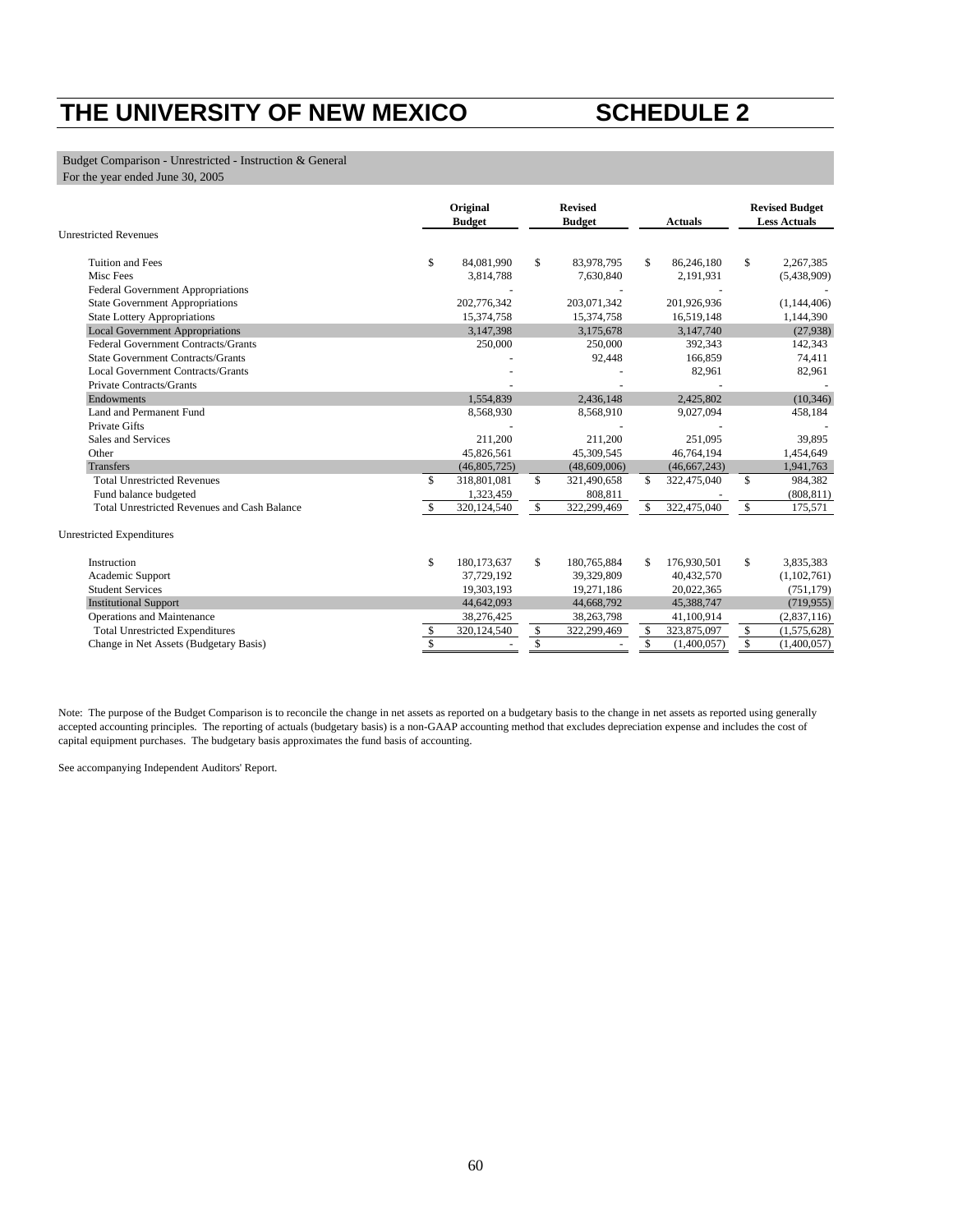#### Budget Comparison - Unrestricted - Instruction & General For the year ended June 30, 2005

|                                                     |                    | Original<br><b>Budget</b> |              | <b>Revised</b><br><b>Budget</b> | <b>Actuals</b> |                | <b>Revised Budget</b><br><b>Less Actuals</b> |             |
|-----------------------------------------------------|--------------------|---------------------------|--------------|---------------------------------|----------------|----------------|----------------------------------------------|-------------|
| <b>Unrestricted Revenues</b>                        |                    |                           |              |                                 |                |                |                                              |             |
| <b>Tuition and Fees</b>                             | \$                 | 84,081,990                | \$           | 83,978,795                      | S.             | 86,246,180     | \$                                           | 2,267,385   |
| Misc Fees                                           |                    | 3,814,788                 |              | 7,630,840                       |                | 2,191,931      |                                              | (5,438,909) |
| <b>Federal Government Appropriations</b>            |                    |                           |              |                                 |                |                |                                              |             |
| <b>State Government Appropriations</b>              |                    | 202,776,342               |              | 203,071,342                     |                | 201,926,936    |                                              | (1,144,406) |
| <b>State Lottery Appropriations</b>                 |                    | 15,374,758                |              | 15,374,758                      |                | 16.519.148     |                                              | 1,144,390   |
| <b>Local Government Appropriations</b>              |                    | 3,147,398                 |              | 3,175,678                       |                | 3,147,740      |                                              | (27,938)    |
| Federal Government Contracts/Grants                 |                    | 250,000                   |              | 250,000                         |                | 392,343        |                                              | 142,343     |
| <b>State Government Contracts/Grants</b>            |                    |                           |              | 92,448                          |                | 166,859        |                                              | 74,411      |
| <b>Local Government Contracts/Grants</b>            |                    |                           |              |                                 |                | 82,961         |                                              | 82,961      |
| Private Contracts/Grants                            |                    |                           |              |                                 |                |                |                                              |             |
| Endowments                                          |                    | 1,554,839                 |              | 2,436,148                       |                | 2,425,802      |                                              | (10, 346)   |
| Land and Permanent Fund                             |                    | 8,568,930                 |              | 8,568,910                       |                | 9,027,094      |                                              | 458,184     |
| <b>Private Gifts</b>                                |                    |                           |              |                                 |                |                |                                              |             |
| Sales and Services                                  |                    | 211.200                   |              | 211.200                         |                | 251.095        |                                              | 39.895      |
| Other                                               |                    | 45,826,561                |              | 45,309,545                      |                | 46,764,194     |                                              | 1,454,649   |
| <b>Transfers</b>                                    |                    | (46,805,725)              |              | (48,609,006)                    |                | (46, 667, 243) |                                              | 1,941,763   |
| <b>Total Unrestricted Revenues</b>                  | \$                 | 318,801,081               | \$           | 321,490,658                     | \$.            | 322,475,040    | \$                                           | 984,382     |
| Fund balance budgeted                               |                    | 1,323,459                 |              | 808,811                         |                |                |                                              | (808, 811)  |
| <b>Total Unrestricted Revenues and Cash Balance</b> | -S                 | 320,124,540               | $\mathbb{S}$ | 322,299,469                     | \$.            | 322,475,040    | $\mathbb{S}$                                 | 175,571     |
| <b>Unrestricted Expenditures</b>                    |                    |                           |              |                                 |                |                |                                              |             |
| Instruction                                         | \$                 | 180, 173, 637             | \$           | 180,765,884                     | S.             | 176,930,501    | \$                                           | 3,835,383   |
| Academic Support                                    |                    | 37,729,192                |              | 39,329,809                      |                | 40,432,570     |                                              | (1,102,761) |
| <b>Student Services</b>                             |                    | 19.303.193                |              | 19,271,186                      |                | 20.022.365     |                                              | (751, 179)  |
| <b>Institutional Support</b>                        |                    | 44,642,093                |              | 44,668,792                      |                | 45,388,747     |                                              | (719, 955)  |
| Operations and Maintenance                          |                    | 38,276,425                |              | 38,263,798                      |                | 41,100,914     |                                              | (2,837,116) |
| <b>Total Unrestricted Expenditures</b>              |                    | 320,124,540               | \$           | 322,299,469                     | \$             | 323,875,097    | \$                                           | (1,575,628) |
| Change in Net Assets (Budgetary Basis)              | $\mathbf{\hat{S}}$ |                           | \$           |                                 | $\$$           | (1,400,057)    | \$                                           | (1,400,057) |

Note: The purpose of the Budget Comparison is to reconcile the change in net assets as reported on a budgetary basis to the change in net assets as reported using generally accepted accounting principles. The reporting of actuals (budgetary basis) is a non-GAAP accounting method that excludes depreciation expense and includes the cost of capital equipment purchases. The budgetary basis approximates the fund basis of accounting.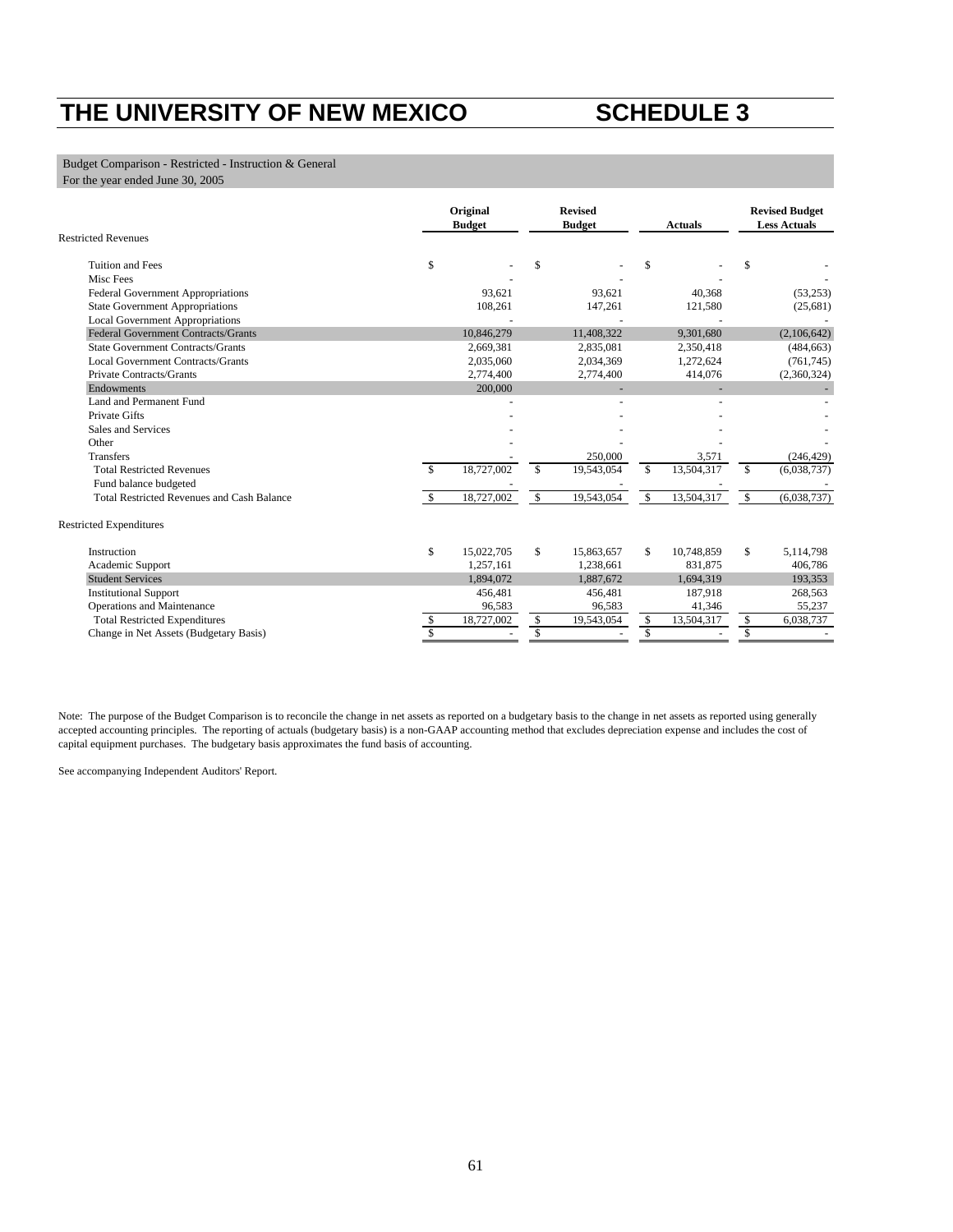#### Budget Comparison - Restricted - Instruction & General For the year ended June 30, 2005

|                                                   |               | Original<br><b>Budget</b> |              | <b>Revised</b><br><b>Budget</b> |     | <b>Actuals</b> |               | <b>Revised Budget</b><br><b>Less Actuals</b> |
|---------------------------------------------------|---------------|---------------------------|--------------|---------------------------------|-----|----------------|---------------|----------------------------------------------|
| <b>Restricted Revenues</b>                        |               |                           |              |                                 |     |                |               |                                              |
| <b>Tuition and Fees</b>                           | \$            |                           | \$           |                                 | \$  |                | S             |                                              |
| Misc Fees                                         |               |                           |              |                                 |     |                |               |                                              |
| <b>Federal Government Appropriations</b>          |               | 93,621                    |              | 93,621                          |     | 40,368         |               | (53, 253)                                    |
| <b>State Government Appropriations</b>            |               | 108,261                   |              | 147,261                         |     | 121,580        |               | (25,681)                                     |
| <b>Local Government Appropriations</b>            |               |                           |              |                                 |     |                |               |                                              |
| <b>Federal Government Contracts/Grants</b>        |               | 10.846.279                |              | 11,408,322                      |     | 9.301.680      |               | (2,106,642)                                  |
| <b>State Government Contracts/Grants</b>          |               | 2,669,381                 |              | 2.835.081                       |     | 2,350,418      |               | (484, 663)                                   |
| <b>Local Government Contracts/Grants</b>          |               | 2,035,060                 |              | 2,034,369                       |     | 1,272,624      |               | (761, 745)                                   |
| Private Contracts/Grants                          |               | 2,774,400                 |              | 2,774,400                       |     | 414,076        |               | (2,360,324)                                  |
| Endowments                                        |               | 200,000                   |              |                                 |     |                |               |                                              |
| Land and Permanent Fund                           |               |                           |              |                                 |     |                |               |                                              |
| Private Gifts                                     |               |                           |              |                                 |     |                |               |                                              |
| Sales and Services                                |               |                           |              |                                 |     |                |               |                                              |
| Other                                             |               |                           |              |                                 |     |                |               |                                              |
| <b>Transfers</b>                                  |               |                           |              | 250,000                         |     | 3,571          |               | (246, 429)                                   |
| <b>Total Restricted Revenues</b>                  | $\mathcal{S}$ | 18,727,002                | $\mathbb{S}$ | 19,543,054                      | \$. | 13,504,317     | \$.           | (6,038,737)                                  |
| Fund balance budgeted                             |               |                           |              |                                 |     |                |               |                                              |
| <b>Total Restricted Revenues and Cash Balance</b> | $\mathbf{s}$  | 18,727,002                | $\mathbb{S}$ | 19,543,054                      | \$  | 13,504,317     | $\mathcal{S}$ | (6,038,737)                                  |
| <b>Restricted Expenditures</b>                    |               |                           |              |                                 |     |                |               |                                              |
| Instruction                                       | \$            | 15,022,705                | \$           | 15,863,657                      | \$. | 10,748,859     | \$            | 5,114,798                                    |
| Academic Support                                  |               | 1.257.161                 |              | 1.238.661                       |     | 831.875        |               | 406,786                                      |
| <b>Student Services</b>                           |               | 1,894,072                 |              | 1,887,672                       |     | 1,694,319      |               | 193,353                                      |
| <b>Institutional Support</b>                      |               | 456,481                   |              | 456,481                         |     | 187,918        |               | 268,563                                      |
| Operations and Maintenance                        |               | 96,583                    |              | 96,583                          |     | 41,346         |               | 55,237                                       |
| <b>Total Restricted Expenditures</b>              | \$            | 18,727,002                | \$           | 19,543,054                      | \$  | 13,504,317     | \$            | 6,038,737                                    |
| Change in Net Assets (Budgetary Basis)            | \$            |                           | \$.          |                                 | \$  |                | \$            |                                              |
|                                                   |               |                           |              |                                 |     |                |               |                                              |

Note: The purpose of the Budget Comparison is to reconcile the change in net assets as reported on a budgetary basis to the change in net assets as reported using generally accepted accounting principles. The reporting of actuals (budgetary basis) is a non-GAAP accounting method that excludes depreciation expense and includes the cost of capital equipment purchases. The budgetary basis approximates the fund basis of accounting.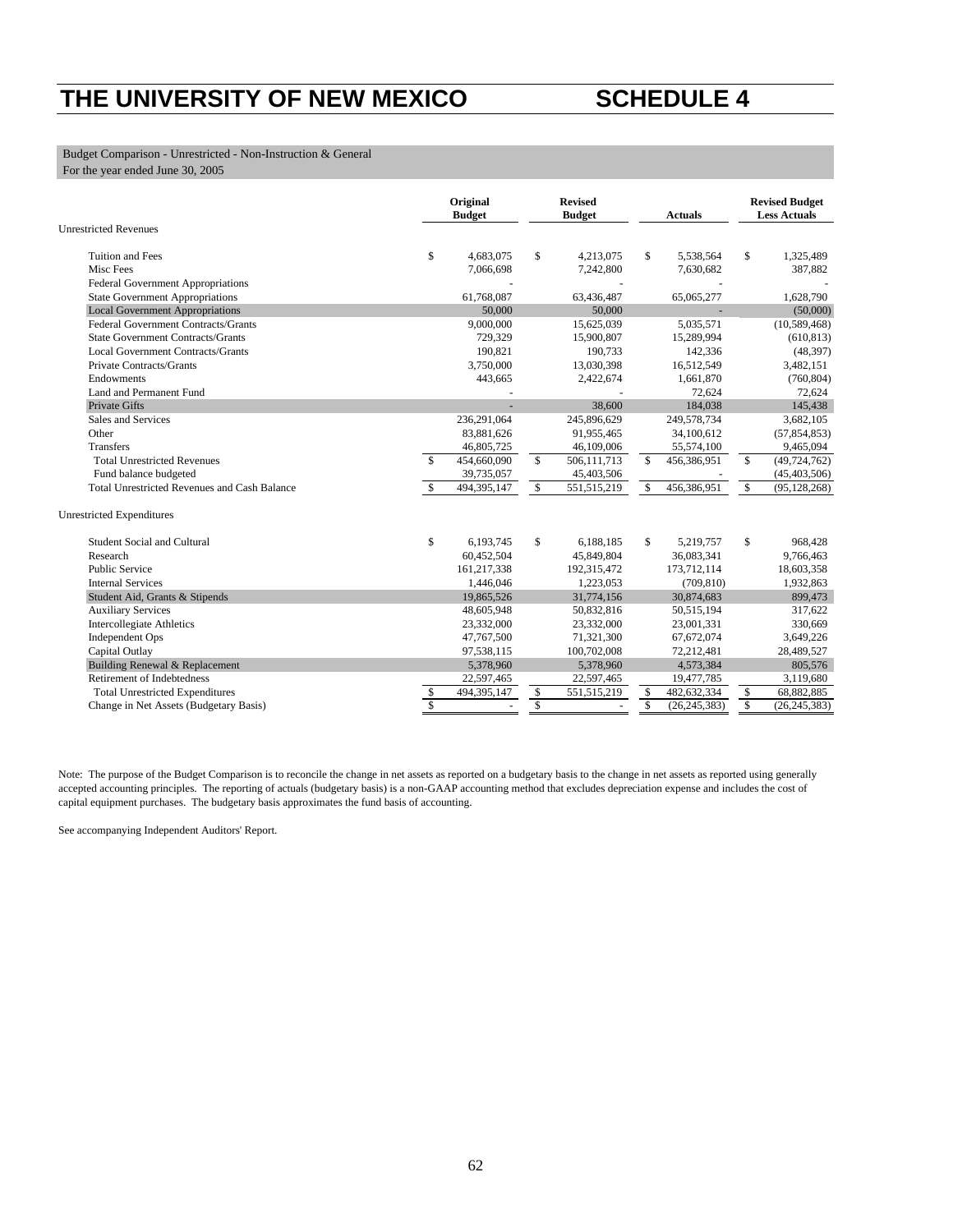### Budget Comparison - Unrestricted - Non-Instruction & General

For the year ended June 30, 2005

| \$<br><b>Tuition and Fees</b><br>4,683,075<br>\$<br>4.213.075<br>5,538,564<br>\$<br>1,325,489<br>S<br>Misc Fees<br>7,242,800<br>387,882<br>7,066,698<br>7,630,682<br><b>Federal Government Appropriations</b><br><b>State Government Appropriations</b><br>61,768,087<br>63,436,487<br>65,065,277<br>1,628,790<br><b>Local Government Appropriations</b><br>50,000<br>(50,000)<br>50,000<br>Federal Government Contracts/Grants<br>9,000,000<br>15,625,039<br>(10,589,468)<br>5,035,571<br><b>State Government Contracts/Grants</b><br>729.329<br>15,900,807<br>15,289,994<br>(610, 813)<br>Local Government Contracts/Grants<br>190,821<br>190,733<br>142,336<br>(48, 397)<br>Private Contracts/Grants<br>3,750,000<br>13,030,398<br>16,512,549<br>3,482,151<br>Endowments<br>443,665<br>2,422,674<br>1,661,870<br>(760, 804)<br>Land and Permanent Fund<br>72,624<br>72,624<br><b>Private Gifts</b><br>38,600<br>184,038<br>145,438<br>Sales and Services<br>236,291,064<br>245,896,629<br>3,682,105<br>249,578,734<br>Other<br>83,881,626<br>91,955,465<br>34,100,612<br>(57, 854, 853)<br><b>Transfers</b><br>55,574,100<br>9,465,094<br>46,805,725<br>46,109,006<br>$\mathbb{S}$<br>\$.<br>\$<br><b>Total Unrestricted Revenues</b><br>\$<br>456,386,951<br>(49, 724, 762)<br>454,660,090<br>506, 111, 713<br>39,735,057<br>45,403,506<br>(45, 403, 506)<br>Fund balance budgeted<br>$\mathcal{S}$<br>$\mathbb{S}$<br>$\mathbb{S}$<br>Total Unrestricted Revenues and Cash Balance<br>$\mathcal{S}$<br>494,395,147<br>551,515,219<br>456,386,951<br>(95, 128, 268)<br><b>Student Social and Cultural</b><br>\$<br>\$<br>6,188,185<br>S<br>\$<br>968,428<br>6,193,745<br>5,219,757<br>Research<br>60,452,504<br>36,083,341<br>9,766,463<br>45,849,804<br><b>Public Service</b><br>18,603,358<br>161,217,338<br>192,315,472<br>173,712,114<br><b>Internal Services</b><br>1,446,046<br>1,223,053<br>(709, 810)<br>1,932,863<br>Student Aid, Grants & Stipends<br>19,865,526<br>31,774,156<br>30,874,683<br>899,473<br><b>Auxiliary Services</b><br>50,832,816<br>317,622<br>48,605,948<br>50,515,194<br><b>Intercollegiate Athletics</b><br>330,669<br>23,332,000<br>23,332,000<br>23,001,331<br><b>Independent Ops</b><br>47,767,500<br>71,321,300<br>67,672,074<br>3,649,226<br>Capital Outlay<br>100,702,008<br>28,489,527<br>97,538,115<br>72,212,481<br>Building Renewal & Replacement<br>5,378,960<br>5,378,960<br>4,573,384<br>805,576<br>Retirement of Indebtedness<br>22,597,465<br>3,119,680<br>22,597,465<br>19,477,785<br>\$<br>\$<br>\$<br><b>Total Unrestricted Expenditures</b><br>494,395,147<br>68,882,885<br>551,515,219<br>482,632,334<br>\$<br>$\overline{\mathbb{S}}$<br>$\overline{\mathcal{S}}$<br>$\overline{\mathbb{S}}$<br>(26, 245, 383)<br>(26, 245, 383)<br>Change in Net Assets (Budgetary Basis) | <b>Unrestricted Revenues</b>     | Original<br><b>Budget</b> | <b>Revised</b><br><b>Budget</b> |  | <b>Actuals</b> |  | <b>Revised Budget</b><br><b>Less Actuals</b> |  |
|------------------------------------------------------------------------------------------------------------------------------------------------------------------------------------------------------------------------------------------------------------------------------------------------------------------------------------------------------------------------------------------------------------------------------------------------------------------------------------------------------------------------------------------------------------------------------------------------------------------------------------------------------------------------------------------------------------------------------------------------------------------------------------------------------------------------------------------------------------------------------------------------------------------------------------------------------------------------------------------------------------------------------------------------------------------------------------------------------------------------------------------------------------------------------------------------------------------------------------------------------------------------------------------------------------------------------------------------------------------------------------------------------------------------------------------------------------------------------------------------------------------------------------------------------------------------------------------------------------------------------------------------------------------------------------------------------------------------------------------------------------------------------------------------------------------------------------------------------------------------------------------------------------------------------------------------------------------------------------------------------------------------------------------------------------------------------------------------------------------------------------------------------------------------------------------------------------------------------------------------------------------------------------------------------------------------------------------------------------------------------------------------------------------------------------------------------------------------------------------------------------------------------------------------------------------------------------------------------------------------------------------------------------------------------------------------------------------------------------------------------------------------------------------------------------------------------------|----------------------------------|---------------------------|---------------------------------|--|----------------|--|----------------------------------------------|--|
|                                                                                                                                                                                                                                                                                                                                                                                                                                                                                                                                                                                                                                                                                                                                                                                                                                                                                                                                                                                                                                                                                                                                                                                                                                                                                                                                                                                                                                                                                                                                                                                                                                                                                                                                                                                                                                                                                                                                                                                                                                                                                                                                                                                                                                                                                                                                                                                                                                                                                                                                                                                                                                                                                                                                                                                                                                    |                                  |                           |                                 |  |                |  |                                              |  |
|                                                                                                                                                                                                                                                                                                                                                                                                                                                                                                                                                                                                                                                                                                                                                                                                                                                                                                                                                                                                                                                                                                                                                                                                                                                                                                                                                                                                                                                                                                                                                                                                                                                                                                                                                                                                                                                                                                                                                                                                                                                                                                                                                                                                                                                                                                                                                                                                                                                                                                                                                                                                                                                                                                                                                                                                                                    |                                  |                           |                                 |  |                |  |                                              |  |
|                                                                                                                                                                                                                                                                                                                                                                                                                                                                                                                                                                                                                                                                                                                                                                                                                                                                                                                                                                                                                                                                                                                                                                                                                                                                                                                                                                                                                                                                                                                                                                                                                                                                                                                                                                                                                                                                                                                                                                                                                                                                                                                                                                                                                                                                                                                                                                                                                                                                                                                                                                                                                                                                                                                                                                                                                                    |                                  |                           |                                 |  |                |  |                                              |  |
|                                                                                                                                                                                                                                                                                                                                                                                                                                                                                                                                                                                                                                                                                                                                                                                                                                                                                                                                                                                                                                                                                                                                                                                                                                                                                                                                                                                                                                                                                                                                                                                                                                                                                                                                                                                                                                                                                                                                                                                                                                                                                                                                                                                                                                                                                                                                                                                                                                                                                                                                                                                                                                                                                                                                                                                                                                    |                                  |                           |                                 |  |                |  |                                              |  |
|                                                                                                                                                                                                                                                                                                                                                                                                                                                                                                                                                                                                                                                                                                                                                                                                                                                                                                                                                                                                                                                                                                                                                                                                                                                                                                                                                                                                                                                                                                                                                                                                                                                                                                                                                                                                                                                                                                                                                                                                                                                                                                                                                                                                                                                                                                                                                                                                                                                                                                                                                                                                                                                                                                                                                                                                                                    |                                  |                           |                                 |  |                |  |                                              |  |
|                                                                                                                                                                                                                                                                                                                                                                                                                                                                                                                                                                                                                                                                                                                                                                                                                                                                                                                                                                                                                                                                                                                                                                                                                                                                                                                                                                                                                                                                                                                                                                                                                                                                                                                                                                                                                                                                                                                                                                                                                                                                                                                                                                                                                                                                                                                                                                                                                                                                                                                                                                                                                                                                                                                                                                                                                                    |                                  |                           |                                 |  |                |  |                                              |  |
|                                                                                                                                                                                                                                                                                                                                                                                                                                                                                                                                                                                                                                                                                                                                                                                                                                                                                                                                                                                                                                                                                                                                                                                                                                                                                                                                                                                                                                                                                                                                                                                                                                                                                                                                                                                                                                                                                                                                                                                                                                                                                                                                                                                                                                                                                                                                                                                                                                                                                                                                                                                                                                                                                                                                                                                                                                    |                                  |                           |                                 |  |                |  |                                              |  |
|                                                                                                                                                                                                                                                                                                                                                                                                                                                                                                                                                                                                                                                                                                                                                                                                                                                                                                                                                                                                                                                                                                                                                                                                                                                                                                                                                                                                                                                                                                                                                                                                                                                                                                                                                                                                                                                                                                                                                                                                                                                                                                                                                                                                                                                                                                                                                                                                                                                                                                                                                                                                                                                                                                                                                                                                                                    |                                  |                           |                                 |  |                |  |                                              |  |
|                                                                                                                                                                                                                                                                                                                                                                                                                                                                                                                                                                                                                                                                                                                                                                                                                                                                                                                                                                                                                                                                                                                                                                                                                                                                                                                                                                                                                                                                                                                                                                                                                                                                                                                                                                                                                                                                                                                                                                                                                                                                                                                                                                                                                                                                                                                                                                                                                                                                                                                                                                                                                                                                                                                                                                                                                                    |                                  |                           |                                 |  |                |  |                                              |  |
|                                                                                                                                                                                                                                                                                                                                                                                                                                                                                                                                                                                                                                                                                                                                                                                                                                                                                                                                                                                                                                                                                                                                                                                                                                                                                                                                                                                                                                                                                                                                                                                                                                                                                                                                                                                                                                                                                                                                                                                                                                                                                                                                                                                                                                                                                                                                                                                                                                                                                                                                                                                                                                                                                                                                                                                                                                    |                                  |                           |                                 |  |                |  |                                              |  |
|                                                                                                                                                                                                                                                                                                                                                                                                                                                                                                                                                                                                                                                                                                                                                                                                                                                                                                                                                                                                                                                                                                                                                                                                                                                                                                                                                                                                                                                                                                                                                                                                                                                                                                                                                                                                                                                                                                                                                                                                                                                                                                                                                                                                                                                                                                                                                                                                                                                                                                                                                                                                                                                                                                                                                                                                                                    |                                  |                           |                                 |  |                |  |                                              |  |
|                                                                                                                                                                                                                                                                                                                                                                                                                                                                                                                                                                                                                                                                                                                                                                                                                                                                                                                                                                                                                                                                                                                                                                                                                                                                                                                                                                                                                                                                                                                                                                                                                                                                                                                                                                                                                                                                                                                                                                                                                                                                                                                                                                                                                                                                                                                                                                                                                                                                                                                                                                                                                                                                                                                                                                                                                                    |                                  |                           |                                 |  |                |  |                                              |  |
|                                                                                                                                                                                                                                                                                                                                                                                                                                                                                                                                                                                                                                                                                                                                                                                                                                                                                                                                                                                                                                                                                                                                                                                                                                                                                                                                                                                                                                                                                                                                                                                                                                                                                                                                                                                                                                                                                                                                                                                                                                                                                                                                                                                                                                                                                                                                                                                                                                                                                                                                                                                                                                                                                                                                                                                                                                    |                                  |                           |                                 |  |                |  |                                              |  |
|                                                                                                                                                                                                                                                                                                                                                                                                                                                                                                                                                                                                                                                                                                                                                                                                                                                                                                                                                                                                                                                                                                                                                                                                                                                                                                                                                                                                                                                                                                                                                                                                                                                                                                                                                                                                                                                                                                                                                                                                                                                                                                                                                                                                                                                                                                                                                                                                                                                                                                                                                                                                                                                                                                                                                                                                                                    |                                  |                           |                                 |  |                |  |                                              |  |
|                                                                                                                                                                                                                                                                                                                                                                                                                                                                                                                                                                                                                                                                                                                                                                                                                                                                                                                                                                                                                                                                                                                                                                                                                                                                                                                                                                                                                                                                                                                                                                                                                                                                                                                                                                                                                                                                                                                                                                                                                                                                                                                                                                                                                                                                                                                                                                                                                                                                                                                                                                                                                                                                                                                                                                                                                                    |                                  |                           |                                 |  |                |  |                                              |  |
|                                                                                                                                                                                                                                                                                                                                                                                                                                                                                                                                                                                                                                                                                                                                                                                                                                                                                                                                                                                                                                                                                                                                                                                                                                                                                                                                                                                                                                                                                                                                                                                                                                                                                                                                                                                                                                                                                                                                                                                                                                                                                                                                                                                                                                                                                                                                                                                                                                                                                                                                                                                                                                                                                                                                                                                                                                    |                                  |                           |                                 |  |                |  |                                              |  |
|                                                                                                                                                                                                                                                                                                                                                                                                                                                                                                                                                                                                                                                                                                                                                                                                                                                                                                                                                                                                                                                                                                                                                                                                                                                                                                                                                                                                                                                                                                                                                                                                                                                                                                                                                                                                                                                                                                                                                                                                                                                                                                                                                                                                                                                                                                                                                                                                                                                                                                                                                                                                                                                                                                                                                                                                                                    |                                  |                           |                                 |  |                |  |                                              |  |
|                                                                                                                                                                                                                                                                                                                                                                                                                                                                                                                                                                                                                                                                                                                                                                                                                                                                                                                                                                                                                                                                                                                                                                                                                                                                                                                                                                                                                                                                                                                                                                                                                                                                                                                                                                                                                                                                                                                                                                                                                                                                                                                                                                                                                                                                                                                                                                                                                                                                                                                                                                                                                                                                                                                                                                                                                                    |                                  |                           |                                 |  |                |  |                                              |  |
|                                                                                                                                                                                                                                                                                                                                                                                                                                                                                                                                                                                                                                                                                                                                                                                                                                                                                                                                                                                                                                                                                                                                                                                                                                                                                                                                                                                                                                                                                                                                                                                                                                                                                                                                                                                                                                                                                                                                                                                                                                                                                                                                                                                                                                                                                                                                                                                                                                                                                                                                                                                                                                                                                                                                                                                                                                    |                                  |                           |                                 |  |                |  |                                              |  |
|                                                                                                                                                                                                                                                                                                                                                                                                                                                                                                                                                                                                                                                                                                                                                                                                                                                                                                                                                                                                                                                                                                                                                                                                                                                                                                                                                                                                                                                                                                                                                                                                                                                                                                                                                                                                                                                                                                                                                                                                                                                                                                                                                                                                                                                                                                                                                                                                                                                                                                                                                                                                                                                                                                                                                                                                                                    | <b>Unrestricted Expenditures</b> |                           |                                 |  |                |  |                                              |  |
|                                                                                                                                                                                                                                                                                                                                                                                                                                                                                                                                                                                                                                                                                                                                                                                                                                                                                                                                                                                                                                                                                                                                                                                                                                                                                                                                                                                                                                                                                                                                                                                                                                                                                                                                                                                                                                                                                                                                                                                                                                                                                                                                                                                                                                                                                                                                                                                                                                                                                                                                                                                                                                                                                                                                                                                                                                    |                                  |                           |                                 |  |                |  |                                              |  |
|                                                                                                                                                                                                                                                                                                                                                                                                                                                                                                                                                                                                                                                                                                                                                                                                                                                                                                                                                                                                                                                                                                                                                                                                                                                                                                                                                                                                                                                                                                                                                                                                                                                                                                                                                                                                                                                                                                                                                                                                                                                                                                                                                                                                                                                                                                                                                                                                                                                                                                                                                                                                                                                                                                                                                                                                                                    |                                  |                           |                                 |  |                |  |                                              |  |
|                                                                                                                                                                                                                                                                                                                                                                                                                                                                                                                                                                                                                                                                                                                                                                                                                                                                                                                                                                                                                                                                                                                                                                                                                                                                                                                                                                                                                                                                                                                                                                                                                                                                                                                                                                                                                                                                                                                                                                                                                                                                                                                                                                                                                                                                                                                                                                                                                                                                                                                                                                                                                                                                                                                                                                                                                                    |                                  |                           |                                 |  |                |  |                                              |  |
|                                                                                                                                                                                                                                                                                                                                                                                                                                                                                                                                                                                                                                                                                                                                                                                                                                                                                                                                                                                                                                                                                                                                                                                                                                                                                                                                                                                                                                                                                                                                                                                                                                                                                                                                                                                                                                                                                                                                                                                                                                                                                                                                                                                                                                                                                                                                                                                                                                                                                                                                                                                                                                                                                                                                                                                                                                    |                                  |                           |                                 |  |                |  |                                              |  |
|                                                                                                                                                                                                                                                                                                                                                                                                                                                                                                                                                                                                                                                                                                                                                                                                                                                                                                                                                                                                                                                                                                                                                                                                                                                                                                                                                                                                                                                                                                                                                                                                                                                                                                                                                                                                                                                                                                                                                                                                                                                                                                                                                                                                                                                                                                                                                                                                                                                                                                                                                                                                                                                                                                                                                                                                                                    |                                  |                           |                                 |  |                |  |                                              |  |
|                                                                                                                                                                                                                                                                                                                                                                                                                                                                                                                                                                                                                                                                                                                                                                                                                                                                                                                                                                                                                                                                                                                                                                                                                                                                                                                                                                                                                                                                                                                                                                                                                                                                                                                                                                                                                                                                                                                                                                                                                                                                                                                                                                                                                                                                                                                                                                                                                                                                                                                                                                                                                                                                                                                                                                                                                                    |                                  |                           |                                 |  |                |  |                                              |  |
|                                                                                                                                                                                                                                                                                                                                                                                                                                                                                                                                                                                                                                                                                                                                                                                                                                                                                                                                                                                                                                                                                                                                                                                                                                                                                                                                                                                                                                                                                                                                                                                                                                                                                                                                                                                                                                                                                                                                                                                                                                                                                                                                                                                                                                                                                                                                                                                                                                                                                                                                                                                                                                                                                                                                                                                                                                    |                                  |                           |                                 |  |                |  |                                              |  |
|                                                                                                                                                                                                                                                                                                                                                                                                                                                                                                                                                                                                                                                                                                                                                                                                                                                                                                                                                                                                                                                                                                                                                                                                                                                                                                                                                                                                                                                                                                                                                                                                                                                                                                                                                                                                                                                                                                                                                                                                                                                                                                                                                                                                                                                                                                                                                                                                                                                                                                                                                                                                                                                                                                                                                                                                                                    |                                  |                           |                                 |  |                |  |                                              |  |
|                                                                                                                                                                                                                                                                                                                                                                                                                                                                                                                                                                                                                                                                                                                                                                                                                                                                                                                                                                                                                                                                                                                                                                                                                                                                                                                                                                                                                                                                                                                                                                                                                                                                                                                                                                                                                                                                                                                                                                                                                                                                                                                                                                                                                                                                                                                                                                                                                                                                                                                                                                                                                                                                                                                                                                                                                                    |                                  |                           |                                 |  |                |  |                                              |  |
|                                                                                                                                                                                                                                                                                                                                                                                                                                                                                                                                                                                                                                                                                                                                                                                                                                                                                                                                                                                                                                                                                                                                                                                                                                                                                                                                                                                                                                                                                                                                                                                                                                                                                                                                                                                                                                                                                                                                                                                                                                                                                                                                                                                                                                                                                                                                                                                                                                                                                                                                                                                                                                                                                                                                                                                                                                    |                                  |                           |                                 |  |                |  |                                              |  |
|                                                                                                                                                                                                                                                                                                                                                                                                                                                                                                                                                                                                                                                                                                                                                                                                                                                                                                                                                                                                                                                                                                                                                                                                                                                                                                                                                                                                                                                                                                                                                                                                                                                                                                                                                                                                                                                                                                                                                                                                                                                                                                                                                                                                                                                                                                                                                                                                                                                                                                                                                                                                                                                                                                                                                                                                                                    |                                  |                           |                                 |  |                |  |                                              |  |
|                                                                                                                                                                                                                                                                                                                                                                                                                                                                                                                                                                                                                                                                                                                                                                                                                                                                                                                                                                                                                                                                                                                                                                                                                                                                                                                                                                                                                                                                                                                                                                                                                                                                                                                                                                                                                                                                                                                                                                                                                                                                                                                                                                                                                                                                                                                                                                                                                                                                                                                                                                                                                                                                                                                                                                                                                                    |                                  |                           |                                 |  |                |  |                                              |  |
|                                                                                                                                                                                                                                                                                                                                                                                                                                                                                                                                                                                                                                                                                                                                                                                                                                                                                                                                                                                                                                                                                                                                                                                                                                                                                                                                                                                                                                                                                                                                                                                                                                                                                                                                                                                                                                                                                                                                                                                                                                                                                                                                                                                                                                                                                                                                                                                                                                                                                                                                                                                                                                                                                                                                                                                                                                    |                                  |                           |                                 |  |                |  |                                              |  |

Note: The purpose of the Budget Comparison is to reconcile the change in net assets as reported on a budgetary basis to the change in net assets as reported using generally accepted accounting principles. The reporting of actuals (budgetary basis) is a non-GAAP accounting method that excludes depreciation expense and includes the cost of capital equipment purchases. The budgetary basis approximates the fund basis of accounting.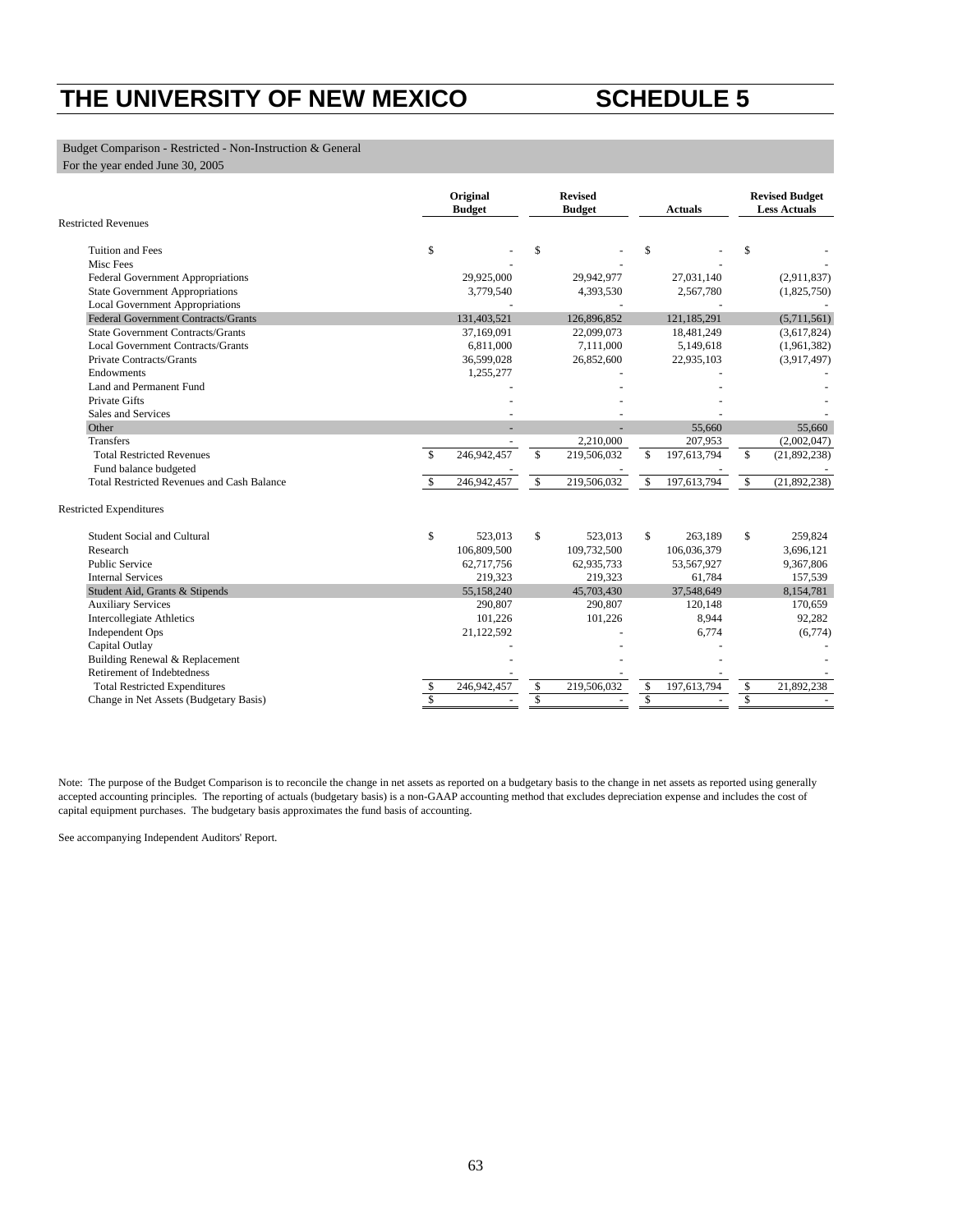#### Budget Comparison - Restricted - Non-Instruction & General

For the year ended June 30, 2005

| <b>Restricted Revenues</b>                 |               | Original<br><b>Budget</b> |                          | <b>Revised</b><br><b>Budget</b> |               | <b>Actuals</b> | <b>Revised Budget</b><br><b>Less Actuals</b> |                |
|--------------------------------------------|---------------|---------------------------|--------------------------|---------------------------------|---------------|----------------|----------------------------------------------|----------------|
| <b>Tuition and Fees</b>                    | \$            |                           | \$                       |                                 | \$            |                | \$                                           |                |
| Misc Fees                                  |               |                           |                          |                                 |               |                |                                              |                |
| <b>Federal Government Appropriations</b>   |               | 29,925,000                |                          | 29,942,977                      |               | 27,031,140     |                                              | (2,911,837)    |
| <b>State Government Appropriations</b>     |               | 3,779,540                 |                          | 4,393,530                       |               | 2,567,780      |                                              | (1,825,750)    |
| <b>Local Government Appropriations</b>     |               |                           |                          |                                 |               |                |                                              |                |
| <b>Federal Government Contracts/Grants</b> |               | 131,403,521               |                          | 126,896,852                     |               | 121,185,291    |                                              | (5,711,561)    |
| <b>State Government Contracts/Grants</b>   |               | 37,169,091                |                          | 22,099,073                      |               | 18,481,249     |                                              | (3,617,824)    |
| Local Government Contracts/Grants          |               | 6,811,000                 |                          | 7,111,000                       |               | 5,149,618      |                                              | (1,961,382)    |
| Private Contracts/Grants                   |               | 36,599,028                |                          | 26,852,600                      |               | 22,935,103     |                                              | (3,917,497)    |
| Endowments                                 |               | 1,255,277                 |                          |                                 |               |                |                                              |                |
| Land and Permanent Fund                    |               |                           |                          |                                 |               |                |                                              |                |
| <b>Private Gifts</b>                       |               |                           |                          |                                 |               |                |                                              |                |
| Sales and Services                         |               |                           |                          |                                 |               |                |                                              |                |
| Other                                      |               |                           |                          |                                 |               | 55,660         |                                              | 55,660         |
| Transfers                                  |               |                           |                          | 2,210,000                       |               | 207,953        |                                              | (2,002,047)    |
| <b>Total Restricted Revenues</b>           | \$.           | 246,942,457               | $\mathsf{\$}$            | 219,506,032                     | \$            | 197,613,794    | $\mathsf{\$}$                                | (21,892,238)   |
| Fund balance budgeted                      |               |                           |                          |                                 |               |                |                                              |                |
| Total Restricted Revenues and Cash Balance |               | 246,942,457               | $\overline{\mathcal{S}}$ | 219,506,032                     | $\mathbf S$   | 197,613,794    | $\overline{\mathcal{S}}$                     | (21, 892, 238) |
| <b>Restricted Expenditures</b>             |               |                           |                          |                                 |               |                |                                              |                |
| <b>Student Social and Cultural</b>         | $\mathbb{S}$  | 523.013                   | \$                       | 523,013                         | S             | 263.189        | \$                                           | 259.824        |
| Research                                   |               | 106,809,500               |                          | 109,732,500                     |               | 106,036,379    |                                              | 3,696,121      |
| <b>Public Service</b>                      |               | 62,717,756                |                          | 62,935,733                      |               | 53,567,927     |                                              | 9,367,806      |
| <b>Internal Services</b>                   |               | 219,323                   |                          | 219,323                         |               | 61,784         |                                              | 157,539        |
| Student Aid, Grants & Stipends             |               | 55,158,240                |                          | 45,703,430                      |               | 37,548,649     |                                              | 8,154,781      |
| <b>Auxiliary Services</b>                  |               | 290,807                   |                          | 290,807                         |               | 120,148        |                                              | 170,659        |
| Intercollegiate Athletics                  |               | 101,226                   |                          | 101,226                         |               | 8,944          |                                              | 92,282         |
| Independent Ops                            |               | 21,122,592                |                          |                                 |               | 6,774          |                                              | (6,774)        |
| Capital Outlay                             |               |                           |                          |                                 |               |                |                                              |                |
| Building Renewal & Replacement             |               |                           |                          |                                 |               |                |                                              |                |
| Retirement of Indebtedness                 |               |                           |                          |                                 |               |                |                                              |                |
| <b>Total Restricted Expenditures</b>       |               | 246,942,457               | \$                       | 219,506,032                     | \$            | 197,613,794    | \$                                           | 21,892,238     |
| Change in Net Assets (Budgetary Basis)     | $\mathcal{S}$ |                           | $\mathsf{\$}$            |                                 | $\mathcal{S}$ |                | Ŝ                                            |                |

Note: The purpose of the Budget Comparison is to reconcile the change in net assets as reported on a budgetary basis to the change in net assets as reported using generally accepted accounting principles. The reporting of actuals (budgetary basis) is a non-GAAP accounting method that excludes depreciation expense and includes the cost of capital equipment purchases. The budgetary basis approximates the fund basis of accounting.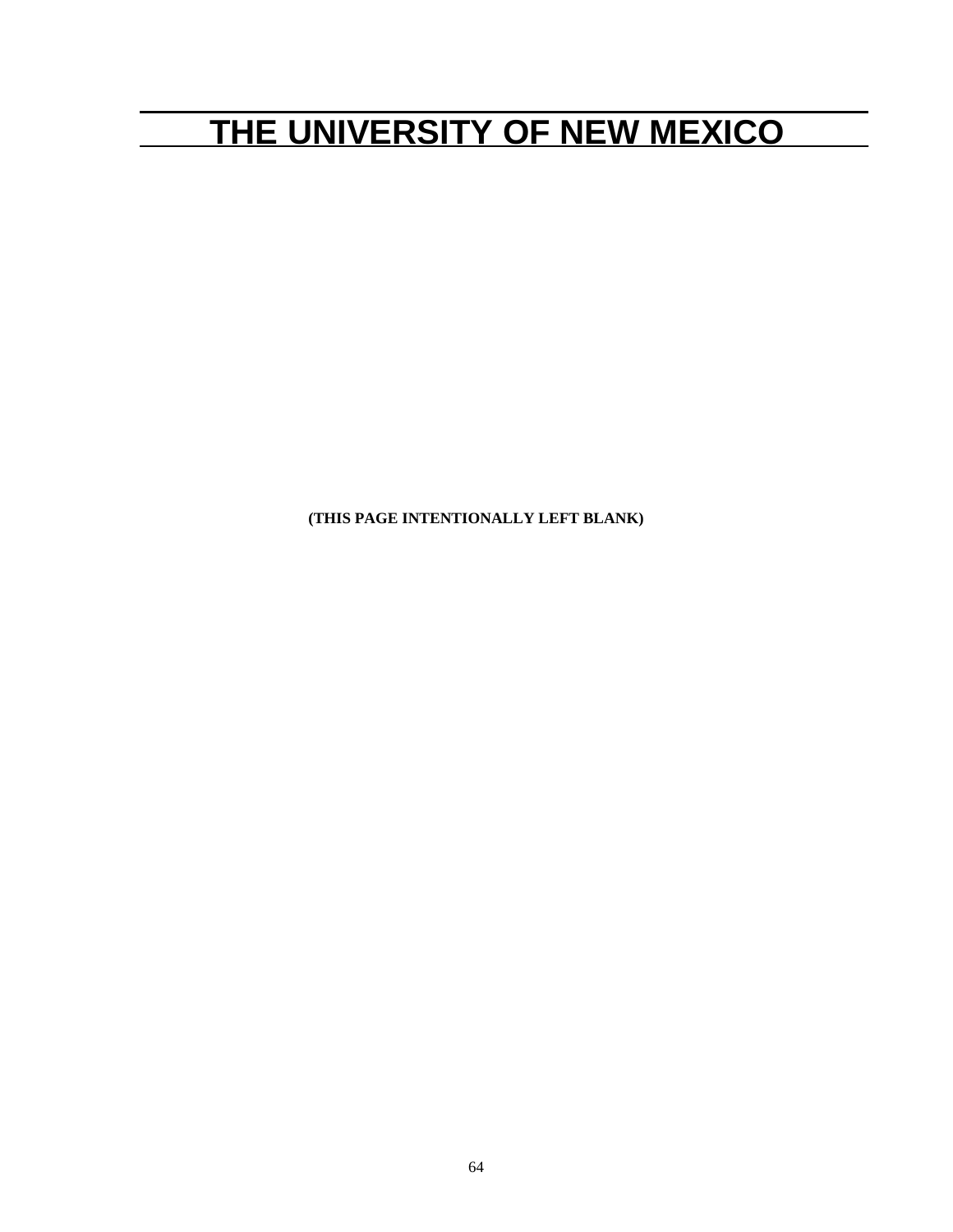**(THIS PAGE INTENTIONALLY LEFT BLANK)**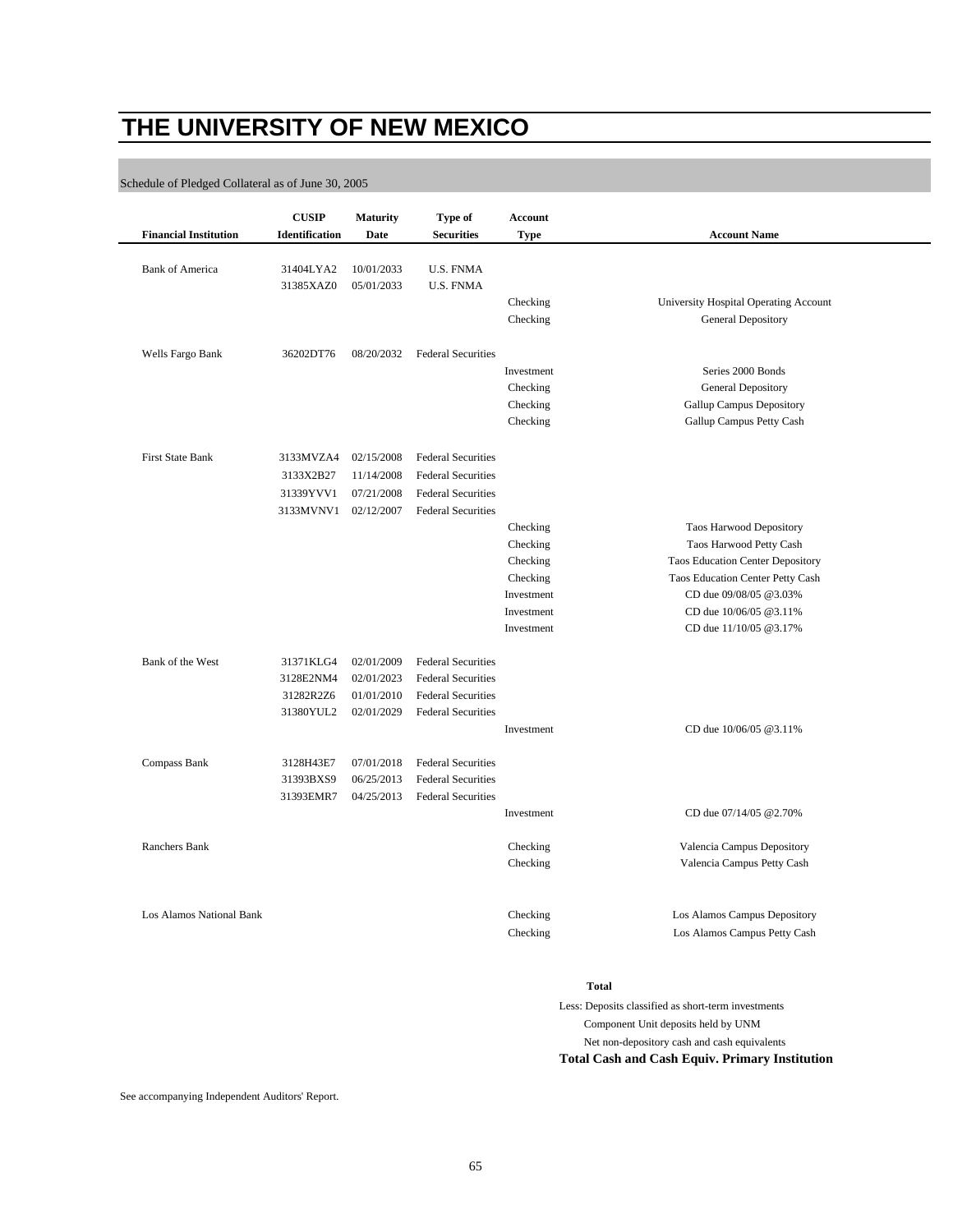### Schedule of Pledged Collateral as of June 30, 2005

| <b>Financial Institution</b> | <b>CUSIP</b><br><b>Identification</b>            | <b>Maturity</b><br>Date                              | Type of<br><b>Securities</b>                                                                                     | Account<br><b>Type</b>                                                                 | <b>Account Name</b>                                                                                                                                                                                      |
|------------------------------|--------------------------------------------------|------------------------------------------------------|------------------------------------------------------------------------------------------------------------------|----------------------------------------------------------------------------------------|----------------------------------------------------------------------------------------------------------------------------------------------------------------------------------------------------------|
| <b>Bank of America</b>       | 31404LYA2<br>31385XAZ0                           | 10/01/2033<br>05/01/2033                             | <b>U.S. FNMA</b><br><b>U.S. FNMA</b>                                                                             | Checking                                                                               | University Hospital Operating Account                                                                                                                                                                    |
| Wells Fargo Bank             | 36202DT76                                        | 08/20/2032                                           | <b>Federal Securities</b>                                                                                        | Checking                                                                               | General Depository                                                                                                                                                                                       |
|                              |                                                  |                                                      |                                                                                                                  | Investment<br>Checking<br>Checking<br>Checking                                         | Series 2000 Bonds<br>General Depository<br>Gallup Campus Depository<br>Gallup Campus Petty Cash                                                                                                          |
| <b>First State Bank</b>      | 3133MVZA4<br>3133X2B27<br>31339YVV1<br>3133MVNV1 | 02/15/2008<br>11/14/2008<br>07/21/2008<br>02/12/2007 | <b>Federal Securities</b><br><b>Federal Securities</b><br><b>Federal Securities</b><br><b>Federal Securities</b> |                                                                                        |                                                                                                                                                                                                          |
|                              |                                                  |                                                      |                                                                                                                  | Checking<br>Checking<br>Checking<br>Checking<br>Investment<br>Investment<br>Investment | Taos Harwood Depository<br>Taos Harwood Petty Cash<br>Taos Education Center Depository<br>Taos Education Center Petty Cash<br>CD due 09/08/05 @3.03%<br>CD due 10/06/05 @3.11%<br>CD due 11/10/05 @3.17% |
| Bank of the West             | 31371KLG4<br>3128E2NM4<br>31282R2Z6<br>31380YUL2 | 02/01/2009<br>02/01/2023<br>01/01/2010<br>02/01/2029 | <b>Federal Securities</b><br><b>Federal Securities</b><br><b>Federal Securities</b><br><b>Federal Securities</b> | Investment                                                                             | CD due 10/06/05 @3.11%                                                                                                                                                                                   |
| Compass Bank                 | 3128H43E7<br>31393BXS9<br>31393EMR7              | 07/01/2018<br>06/25/2013<br>04/25/2013               | <b>Federal Securities</b><br><b>Federal Securities</b><br><b>Federal Securities</b>                              | Investment                                                                             | CD due 07/14/05 @2.70%                                                                                                                                                                                   |
| <b>Ranchers Bank</b>         |                                                  |                                                      |                                                                                                                  | Checking<br>Checking                                                                   | Valencia Campus Depository<br>Valencia Campus Petty Cash                                                                                                                                                 |
| Los Alamos National Bank     |                                                  |                                                      |                                                                                                                  | Checking<br>Checking                                                                   | Los Alamos Campus Depository<br>Los Alamos Campus Petty Cash                                                                                                                                             |

#### **Total**

Less: Deposits classified as short-term investments Component Unit deposits held by UNM Net non-depository cash and cash equivalents **Total Cash and Cash Equiv. Primary Institution**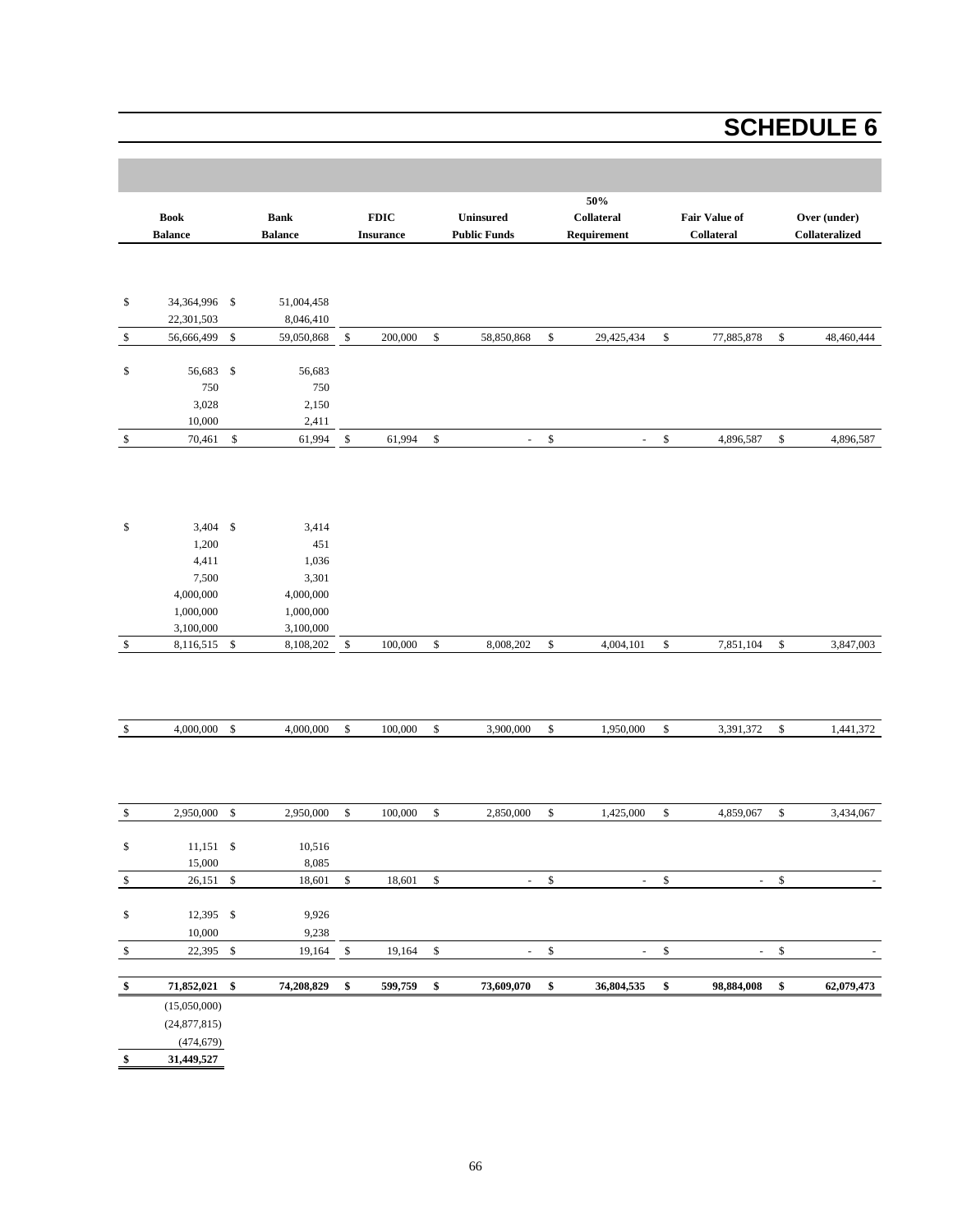### **SCHEDULE 6**

|              | <b>Book</b><br><b>Balance</b>                              | <b>FDIC</b><br><b>Bank</b><br><b>Balance</b><br><b>Insurance</b> |    |         | Uninsured<br><b>Public Funds</b> |            | 50%<br>Collateral<br>Requirement |                          | <b>Fair Value of</b><br>Collateral | Over (under)<br>Collateralized |              |            |
|--------------|------------------------------------------------------------|------------------------------------------------------------------|----|---------|----------------------------------|------------|----------------------------------|--------------------------|------------------------------------|--------------------------------|--------------|------------|
|              |                                                            |                                                                  |    |         |                                  |            |                                  |                          |                                    |                                |              |            |
| \$           | 34,364,996<br>22,301,503                                   | \$<br>51,004,458<br>8,046,410                                    |    |         |                                  |            |                                  |                          |                                    |                                |              |            |
| $\mathbb{S}$ | 56,666,499                                                 | \$<br>59,050,868                                                 | \$ | 200,000 | \$                               | 58,850,868 | \$                               | 29,425,434               | \$                                 | 77,885,878                     | \$           | 48,460,444 |
| \$           | 56,683<br>750<br>3,028<br>10,000                           | \$<br>56,683<br>750<br>2,150<br>2,411                            |    |         |                                  |            |                                  |                          |                                    |                                |              |            |
| $\mathbb{S}$ | 70,461                                                     | \$<br>61,994                                                     | \$ | 61,994  | \$                               | $\sim$     | \$                               | $\overline{\phantom{a}}$ | \$                                 | 4,896,587                      | \$           | 4,896,587  |
| \$           | $3,404$ \$<br>1,200<br>4,411<br>7,500<br>4,000,000         | 3,414<br>451<br>1,036<br>3,301<br>4,000,000                      |    |         |                                  |            |                                  |                          |                                    |                                |              |            |
|              | 1,000,000                                                  | 1,000,000                                                        |    |         |                                  |            |                                  |                          |                                    |                                |              |            |
|              | 3,100,000                                                  | 3,100,000                                                        |    |         |                                  |            |                                  |                          |                                    |                                |              |            |
| \$           | 8,116,515                                                  | \$<br>8,108,202                                                  | \$ | 100,000 | \$                               | 8,008,202  | \$                               | 4,004,101                | \$                                 | 7,851,104                      | \$           | 3,847,003  |
| $\mathbb{S}$ | 4,000,000                                                  | \$<br>4,000,000                                                  | \$ | 100,000 | \$                               | 3,900,000  | \$                               | 1,950,000                | \$                                 | 3,391,372                      | \$           | 1,441,372  |
|              |                                                            |                                                                  |    |         |                                  |            |                                  |                          |                                    |                                |              |            |
| \$           | 2,950,000                                                  | \$<br>2,950,000                                                  | \$ | 100,000 | \$                               | 2,850,000  | \$                               | 1,425,000                | \$                                 | 4,859,067                      | \$           | 3,434,067  |
| \$           | $11,151$ \$<br>15,000                                      | 10,516<br>8,085                                                  |    |         |                                  |            |                                  |                          |                                    |                                |              |            |
| $\,$         | 26,151                                                     | \$<br>18,601                                                     | \$ | 18,601  | $\mathbb{S}$                     | $\omega$   | \$                               | $\omega$                 | $\mathbb{S}$                       | $\omega_{\rm{eff}}$            | \$           |            |
| \$           | 12,395 \$<br>10,000                                        | 9,926<br>9,238                                                   |    |         |                                  |            |                                  |                          |                                    |                                |              |            |
| $\mathbb{S}$ | 22,395 \$                                                  | 19,164                                                           | \$ | 19,164  | $\mathbb{S}$                     | $\sim$     | $\$$                             | $\sim$                   | $\mathbb{S}$                       | $\sim$                         | $\mathbb{S}$ |            |
| \$           | 71,852,021                                                 | \$<br>74,208,829                                                 | \$ | 599,759 | \$                               | 73,609,070 | \$                               | 36,804,535               | \$                                 | 98,884,008                     | \$           | 62,079,473 |
| \$           | (15,050,000)<br>(24, 877, 815)<br>(474, 679)<br>31,449,527 |                                                                  |    |         |                                  |            |                                  |                          |                                    |                                |              |            |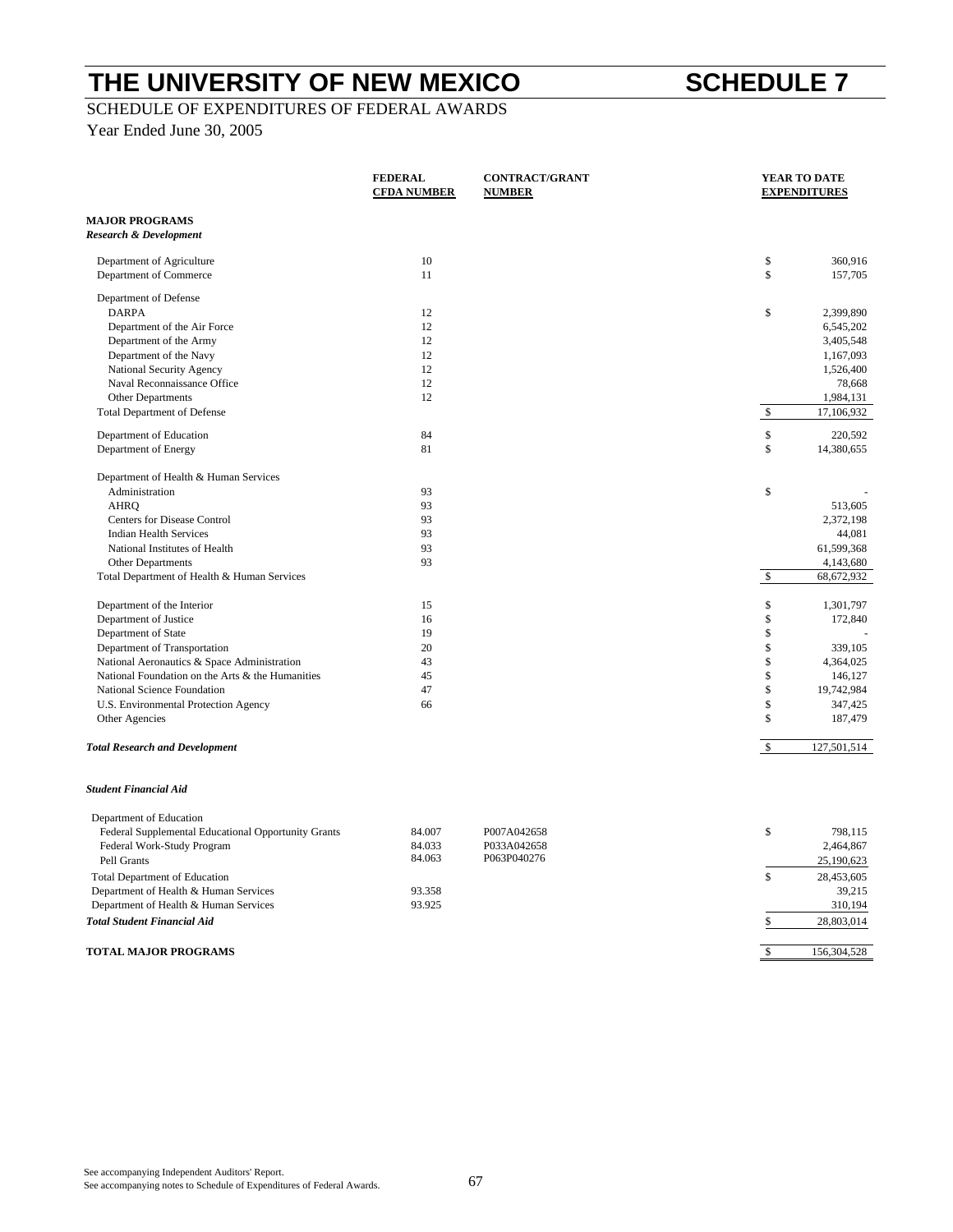### SCHEDULE OF EXPENDITURES OF FEDERAL AWARDS

Year Ended June 30, 2005

|                                                            | <b>FEDERAL</b><br><b>CFDA NUMBER</b> | <b>CONTRACT/GRANT</b><br><b>NUMBER</b> | YEAR TO DATE<br><b>EXPENDITURES</b> |             |
|------------------------------------------------------------|--------------------------------------|----------------------------------------|-------------------------------------|-------------|
| <b>MAJOR PROGRAMS</b><br><b>Research &amp; Development</b> |                                      |                                        |                                     |             |
| Department of Agriculture                                  | 10                                   |                                        | \$                                  | 360,916     |
| Department of Commerce                                     | 11                                   |                                        | $\$$                                | 157,705     |
| Department of Defense                                      |                                      |                                        |                                     |             |
| <b>DARPA</b>                                               | 12                                   |                                        | \$                                  | 2,399,890   |
| Department of the Air Force                                | 12                                   |                                        |                                     | 6,545,202   |
| Department of the Army                                     | 12                                   |                                        |                                     | 3,405,548   |
| Department of the Navy                                     | 12                                   |                                        |                                     | 1,167,093   |
| National Security Agency                                   | 12                                   |                                        |                                     | 1,526,400   |
| Naval Reconnaissance Office                                | 12                                   |                                        |                                     | 78,668      |
| Other Departments                                          | 12                                   |                                        |                                     | 1,984,131   |
| Total Department of Defense                                |                                      |                                        | $\mathbb{S}$                        | 17,106,932  |
| Department of Education                                    | 84                                   |                                        | $\$$                                | 220,592     |
| Department of Energy                                       | 81                                   |                                        | $\$$                                | 14,380,655  |
| Department of Health & Human Services                      |                                      |                                        |                                     |             |
| Administration                                             | 93                                   |                                        | \$                                  |             |
| <b>AHRO</b>                                                | 93                                   |                                        |                                     | 513,605     |
| <b>Centers for Disease Control</b>                         | 93                                   |                                        |                                     | 2,372,198   |
| <b>Indian Health Services</b>                              | 93                                   |                                        |                                     | 44,081      |
| National Institutes of Health                              | 93                                   |                                        |                                     | 61,599,368  |
| Other Departments                                          | 93                                   |                                        |                                     | 4,143,680   |
| Total Department of Health & Human Services                |                                      |                                        | $\mathbb{S}$                        | 68,672,932  |
| Department of the Interior                                 | 15                                   |                                        | $\$$                                | 1,301,797   |
| Department of Justice                                      | 16                                   |                                        | $\$$                                | 172,840     |
| Department of State                                        | 19                                   |                                        | \$                                  |             |
| Department of Transportation                               | 20                                   |                                        | \$                                  | 339,105     |
| National Aeronautics & Space Administration                | 43                                   |                                        | $\mathbf{\hat{S}}$                  | 4,364,025   |
| National Foundation on the Arts & the Humanities           | 45                                   |                                        | \$                                  | 146,127     |
| National Science Foundation                                | 47                                   |                                        | $\$$                                | 19,742,984  |
| U.S. Environmental Protection Agency                       | 66                                   |                                        | $\$$                                | 347,425     |
| Other Agencies                                             |                                      |                                        | \$                                  | 187,479     |
| <b>Total Research and Development</b>                      |                                      |                                        | $\mathbb{S}$                        | 127,501,514 |
| <b>Student Financial Aid</b>                               |                                      |                                        |                                     |             |
| Department of Education                                    |                                      |                                        |                                     |             |
| Federal Supplemental Educational Opportunity Grants        | 84.007                               | P007A042658                            | \$                                  | 798,115     |
| Federal Work-Study Program                                 | 84.033                               | P033A042658                            |                                     | 2,464,867   |
| Pell Grants                                                | 84.063                               | P063P040276                            |                                     | 25,190,623  |
| <b>Total Department of Education</b>                       |                                      |                                        | $\mathbb{S}$                        | 28,453,605  |
| Department of Health & Human Services                      | 93.358                               |                                        |                                     | 39,215      |
| Department of Health & Human Services                      | 93.925                               |                                        |                                     | 310,194     |
| <b>Total Student Financial Aid</b>                         |                                      |                                        | \$                                  | 28,803,014  |
| <b>TOTAL MAJOR PROGRAMS</b>                                |                                      |                                        | $\mathbb S$                         | 156,304,528 |
|                                                            |                                      |                                        |                                     |             |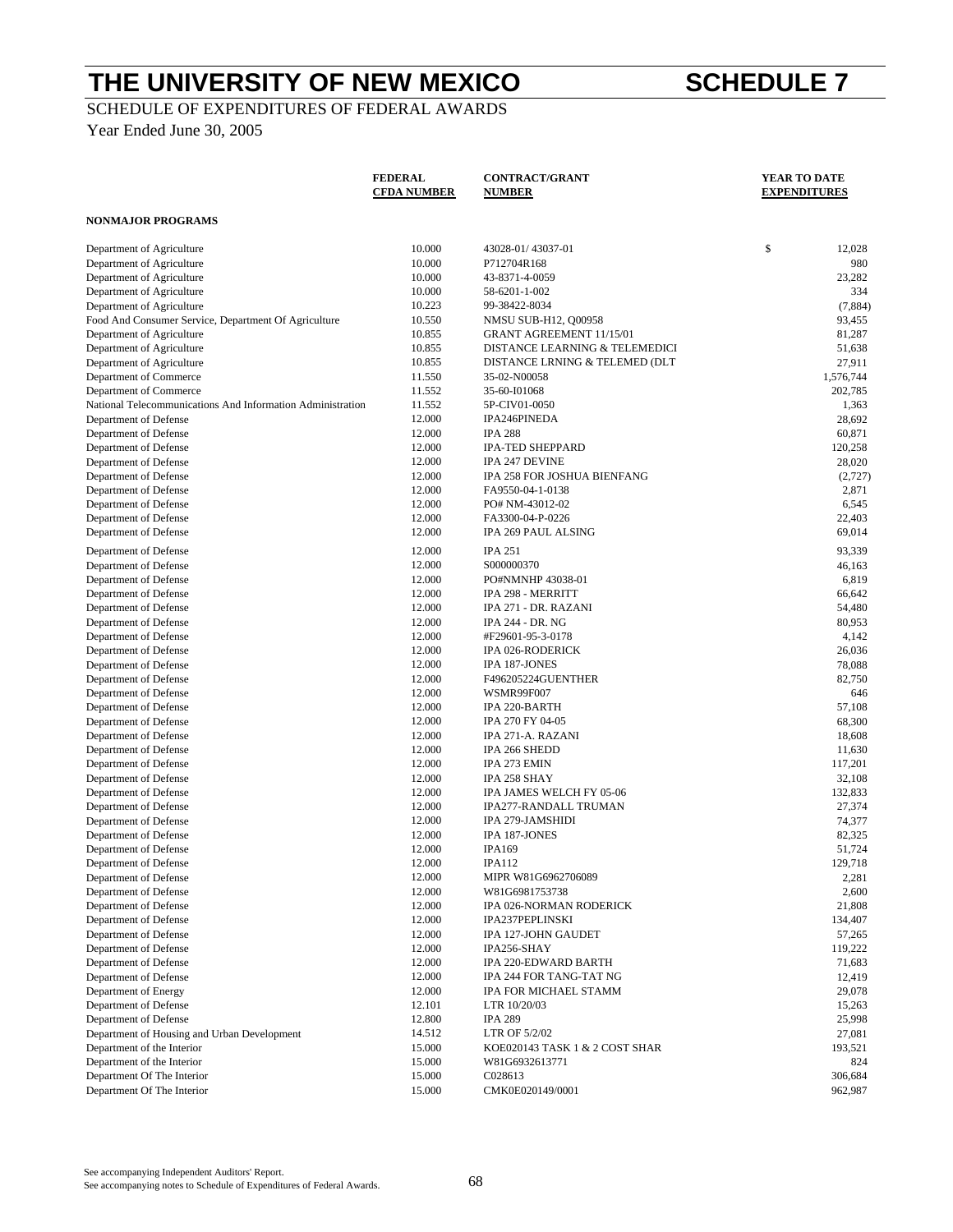#### SCHEDULE OF EXPENDITURES OF FEDERAL AWARDS

| <b>NONMAJOR PROGRAMS</b><br>10.000<br>\$<br>43028-01/43037-01<br>12,028<br>Department of Agriculture<br>Department of Agriculture<br>10.000<br>980<br>P712704R168<br>Department of Agriculture<br>10.000<br>43-8371-4-0059<br>23,282<br>Department of Agriculture<br>10.000<br>58-6201-1-002<br>334<br>Department of Agriculture<br>10.223<br>(7, 884)<br>99-38422-8034<br>Food And Consumer Service, Department Of Agriculture<br>10.550<br>NMSU SUB-H12, Q00958<br>93,455<br>10.855<br><b>GRANT AGREEMENT 11/15/01</b><br>Department of Agriculture<br>81,287<br>Department of Agriculture<br>10.855<br>DISTANCE LEARNING & TELEMEDICI<br>51,638<br>10.855<br>DISTANCE LRNING & TELEMED (DLT<br>27,911<br>Department of Agriculture<br>Department of Commerce<br>11.550<br>35-02-N00058<br>1,576,744<br>11.552<br>35-60-I01068<br>202,785<br>Department of Commerce<br>11.552<br>National Telecommunications And Information Administration<br>5P-CIV01-0050<br>1,363<br>12.000<br>28,692<br>Department of Defense<br>IPA246PINEDA<br>12.000<br><b>IPA 288</b><br>60,871<br>Department of Defense<br>12.000<br>120,258<br>Department of Defense<br><b>IPA-TED SHEPPARD</b><br>12.000<br>Department of Defense<br>IPA 247 DEVINE<br>28,020<br>12.000<br>IPA 258 FOR JOSHUA BIENFANG<br>Department of Defense<br>(2,727)<br>12.000<br>2,871<br>Department of Defense<br>FA9550-04-1-0138<br>12.000<br>6,545<br>Department of Defense<br>PO# NM-43012-02<br>12.000<br>FA3300-04-P-0226<br>Department of Defense<br>22,403<br>12.000<br>69,014<br>Department of Defense<br>IPA 269 PAUL ALSING<br>12.000<br><b>IPA 251</b><br>93,339<br>Department of Defense<br>12.000<br>Department of Defense<br>S000000370<br>46,163<br>12.000<br>6,819<br>Department of Defense<br>PO#NMNHP 43038-01<br>12.000<br>IPA 298 - MERRITT<br>Department of Defense<br>66,642<br>12.000<br>54,480<br>Department of Defense<br>IPA 271 - DR. RAZANI<br>12.000<br>Department of Defense<br><b>IPA 244 - DR. NG</b><br>80,953<br>12.000<br>#F29601-95-3-0178<br>4,142<br>Department of Defense<br>12.000<br>Department of Defense<br>IPA 026-RODERICK<br>26,036<br>12.000<br>78,088<br>Department of Defense<br>IPA 187-JONES<br>12.000<br>F496205224GUENTHER<br>82,750<br>Department of Defense<br>12.000<br>Department of Defense<br><b>WSMR99F007</b><br>646<br>12.000<br>57,108<br>Department of Defense<br>IPA 220-BARTH<br>12.000<br>IPA 270 FY 04-05<br>Department of Defense<br>68,300<br>12.000<br>18,608<br>Department of Defense<br>IPA 271-A. RAZANI<br>12.000<br>Department of Defense<br>IPA 266 SHEDD<br>11,630<br>12.000<br>Department of Defense<br>IPA 273 EMIN<br>117,201<br>12.000<br>IPA 258 SHAY<br>Department of Defense<br>32,108<br>12.000<br>Department of Defense<br>IPA JAMES WELCH FY 05-06<br>132,833<br>12.000<br>Department of Defense<br><b>IPA277-RANDALL TRUMAN</b><br>27,374<br>12.000<br>IPA 279-JAMSHIDI<br>Department of Defense<br>74,377<br>12.000<br>IPA 187-JONES<br>82,325<br>Department of Defense<br>12.000<br>51,724<br>Department of Defense<br><b>IPA169</b><br>12.000<br><b>IPA112</b><br>129,718<br>Department of Defense<br>Department of Defense<br>12.000<br>2,281<br>MIPR W81G6962706089<br>Department of Defense<br>12.000<br>W81G6981753738<br>2,600<br>12.000<br>IPA 026-NORMAN RODERICK<br>Department of Defense<br>21,808<br>12.000<br>Department of Defense<br>IPA237PEPLINSKI<br>134,407<br>12.000<br>Department of Defense<br>IPA 127-JOHN GAUDET<br>57,265<br>12.000<br>IPA256-SHAY<br>Department of Defense<br>119,222<br>12.000<br>Department of Defense<br>IPA 220-EDWARD BARTH<br>71,683<br>Department of Defense<br>12.000<br>IPA 244 FOR TANG-TAT NG<br>12,419<br>12.000<br>IPA FOR MICHAEL STAMM<br>29,078<br>Department of Energy<br>Department of Defense<br>12.101<br>LTR 10/20/03<br>15,263<br>12.800<br>Department of Defense<br><b>IPA 289</b><br>25,998<br>14.512<br>LTR OF 5/2/02<br>Department of Housing and Urban Development<br>27,081<br>Department of the Interior<br>15.000<br>KOE020143 TASK 1 & 2 COST SHAR<br>193,521<br>15.000<br>Department of the Interior<br>W81G6932613771<br>824<br>Department Of The Interior<br>15.000<br>C028613<br>306,684<br>Department Of The Interior<br>15.000<br>CMK0E020149/0001<br>962,987 | <b>FEDERAL</b><br><b>CFDA NUMBER</b> | <b>CONTRACT/GRANT</b><br><b>NUMBER</b> | YEAR TO DATE<br><b>EXPENDITURES</b> |
|-----------------------------------------------------------------------------------------------------------------------------------------------------------------------------------------------------------------------------------------------------------------------------------------------------------------------------------------------------------------------------------------------------------------------------------------------------------------------------------------------------------------------------------------------------------------------------------------------------------------------------------------------------------------------------------------------------------------------------------------------------------------------------------------------------------------------------------------------------------------------------------------------------------------------------------------------------------------------------------------------------------------------------------------------------------------------------------------------------------------------------------------------------------------------------------------------------------------------------------------------------------------------------------------------------------------------------------------------------------------------------------------------------------------------------------------------------------------------------------------------------------------------------------------------------------------------------------------------------------------------------------------------------------------------------------------------------------------------------------------------------------------------------------------------------------------------------------------------------------------------------------------------------------------------------------------------------------------------------------------------------------------------------------------------------------------------------------------------------------------------------------------------------------------------------------------------------------------------------------------------------------------------------------------------------------------------------------------------------------------------------------------------------------------------------------------------------------------------------------------------------------------------------------------------------------------------------------------------------------------------------------------------------------------------------------------------------------------------------------------------------------------------------------------------------------------------------------------------------------------------------------------------------------------------------------------------------------------------------------------------------------------------------------------------------------------------------------------------------------------------------------------------------------------------------------------------------------------------------------------------------------------------------------------------------------------------------------------------------------------------------------------------------------------------------------------------------------------------------------------------------------------------------------------------------------------------------------------------------------------------------------------------------------------------------------------------------------------------------------------------------------------------------------------------------------------------------------------------------------------------------------------------------------------------------------------------------------------------------------------------------------------------------------------------------------------------------------------------------------------------------------------------------------------------------------------------------------------------------------------------------------------------------------------------|--------------------------------------|----------------------------------------|-------------------------------------|
|                                                                                                                                                                                                                                                                                                                                                                                                                                                                                                                                                                                                                                                                                                                                                                                                                                                                                                                                                                                                                                                                                                                                                                                                                                                                                                                                                                                                                                                                                                                                                                                                                                                                                                                                                                                                                                                                                                                                                                                                                                                                                                                                                                                                                                                                                                                                                                                                                                                                                                                                                                                                                                                                                                                                                                                                                                                                                                                                                                                                                                                                                                                                                                                                                                                                                                                                                                                                                                                                                                                                                                                                                                                                                                                                                                                                                                                                                                                                                                                                                                                                                                                                                                                                                                                                                               |                                      |                                        |                                     |
|                                                                                                                                                                                                                                                                                                                                                                                                                                                                                                                                                                                                                                                                                                                                                                                                                                                                                                                                                                                                                                                                                                                                                                                                                                                                                                                                                                                                                                                                                                                                                                                                                                                                                                                                                                                                                                                                                                                                                                                                                                                                                                                                                                                                                                                                                                                                                                                                                                                                                                                                                                                                                                                                                                                                                                                                                                                                                                                                                                                                                                                                                                                                                                                                                                                                                                                                                                                                                                                                                                                                                                                                                                                                                                                                                                                                                                                                                                                                                                                                                                                                                                                                                                                                                                                                                               |                                      |                                        |                                     |
|                                                                                                                                                                                                                                                                                                                                                                                                                                                                                                                                                                                                                                                                                                                                                                                                                                                                                                                                                                                                                                                                                                                                                                                                                                                                                                                                                                                                                                                                                                                                                                                                                                                                                                                                                                                                                                                                                                                                                                                                                                                                                                                                                                                                                                                                                                                                                                                                                                                                                                                                                                                                                                                                                                                                                                                                                                                                                                                                                                                                                                                                                                                                                                                                                                                                                                                                                                                                                                                                                                                                                                                                                                                                                                                                                                                                                                                                                                                                                                                                                                                                                                                                                                                                                                                                                               |                                      |                                        |                                     |
|                                                                                                                                                                                                                                                                                                                                                                                                                                                                                                                                                                                                                                                                                                                                                                                                                                                                                                                                                                                                                                                                                                                                                                                                                                                                                                                                                                                                                                                                                                                                                                                                                                                                                                                                                                                                                                                                                                                                                                                                                                                                                                                                                                                                                                                                                                                                                                                                                                                                                                                                                                                                                                                                                                                                                                                                                                                                                                                                                                                                                                                                                                                                                                                                                                                                                                                                                                                                                                                                                                                                                                                                                                                                                                                                                                                                                                                                                                                                                                                                                                                                                                                                                                                                                                                                                               |                                      |                                        |                                     |
|                                                                                                                                                                                                                                                                                                                                                                                                                                                                                                                                                                                                                                                                                                                                                                                                                                                                                                                                                                                                                                                                                                                                                                                                                                                                                                                                                                                                                                                                                                                                                                                                                                                                                                                                                                                                                                                                                                                                                                                                                                                                                                                                                                                                                                                                                                                                                                                                                                                                                                                                                                                                                                                                                                                                                                                                                                                                                                                                                                                                                                                                                                                                                                                                                                                                                                                                                                                                                                                                                                                                                                                                                                                                                                                                                                                                                                                                                                                                                                                                                                                                                                                                                                                                                                                                                               |                                      |                                        |                                     |
|                                                                                                                                                                                                                                                                                                                                                                                                                                                                                                                                                                                                                                                                                                                                                                                                                                                                                                                                                                                                                                                                                                                                                                                                                                                                                                                                                                                                                                                                                                                                                                                                                                                                                                                                                                                                                                                                                                                                                                                                                                                                                                                                                                                                                                                                                                                                                                                                                                                                                                                                                                                                                                                                                                                                                                                                                                                                                                                                                                                                                                                                                                                                                                                                                                                                                                                                                                                                                                                                                                                                                                                                                                                                                                                                                                                                                                                                                                                                                                                                                                                                                                                                                                                                                                                                                               |                                      |                                        |                                     |
|                                                                                                                                                                                                                                                                                                                                                                                                                                                                                                                                                                                                                                                                                                                                                                                                                                                                                                                                                                                                                                                                                                                                                                                                                                                                                                                                                                                                                                                                                                                                                                                                                                                                                                                                                                                                                                                                                                                                                                                                                                                                                                                                                                                                                                                                                                                                                                                                                                                                                                                                                                                                                                                                                                                                                                                                                                                                                                                                                                                                                                                                                                                                                                                                                                                                                                                                                                                                                                                                                                                                                                                                                                                                                                                                                                                                                                                                                                                                                                                                                                                                                                                                                                                                                                                                                               |                                      |                                        |                                     |
|                                                                                                                                                                                                                                                                                                                                                                                                                                                                                                                                                                                                                                                                                                                                                                                                                                                                                                                                                                                                                                                                                                                                                                                                                                                                                                                                                                                                                                                                                                                                                                                                                                                                                                                                                                                                                                                                                                                                                                                                                                                                                                                                                                                                                                                                                                                                                                                                                                                                                                                                                                                                                                                                                                                                                                                                                                                                                                                                                                                                                                                                                                                                                                                                                                                                                                                                                                                                                                                                                                                                                                                                                                                                                                                                                                                                                                                                                                                                                                                                                                                                                                                                                                                                                                                                                               |                                      |                                        |                                     |
|                                                                                                                                                                                                                                                                                                                                                                                                                                                                                                                                                                                                                                                                                                                                                                                                                                                                                                                                                                                                                                                                                                                                                                                                                                                                                                                                                                                                                                                                                                                                                                                                                                                                                                                                                                                                                                                                                                                                                                                                                                                                                                                                                                                                                                                                                                                                                                                                                                                                                                                                                                                                                                                                                                                                                                                                                                                                                                                                                                                                                                                                                                                                                                                                                                                                                                                                                                                                                                                                                                                                                                                                                                                                                                                                                                                                                                                                                                                                                                                                                                                                                                                                                                                                                                                                                               |                                      |                                        |                                     |
|                                                                                                                                                                                                                                                                                                                                                                                                                                                                                                                                                                                                                                                                                                                                                                                                                                                                                                                                                                                                                                                                                                                                                                                                                                                                                                                                                                                                                                                                                                                                                                                                                                                                                                                                                                                                                                                                                                                                                                                                                                                                                                                                                                                                                                                                                                                                                                                                                                                                                                                                                                                                                                                                                                                                                                                                                                                                                                                                                                                                                                                                                                                                                                                                                                                                                                                                                                                                                                                                                                                                                                                                                                                                                                                                                                                                                                                                                                                                                                                                                                                                                                                                                                                                                                                                                               |                                      |                                        |                                     |
|                                                                                                                                                                                                                                                                                                                                                                                                                                                                                                                                                                                                                                                                                                                                                                                                                                                                                                                                                                                                                                                                                                                                                                                                                                                                                                                                                                                                                                                                                                                                                                                                                                                                                                                                                                                                                                                                                                                                                                                                                                                                                                                                                                                                                                                                                                                                                                                                                                                                                                                                                                                                                                                                                                                                                                                                                                                                                                                                                                                                                                                                                                                                                                                                                                                                                                                                                                                                                                                                                                                                                                                                                                                                                                                                                                                                                                                                                                                                                                                                                                                                                                                                                                                                                                                                                               |                                      |                                        |                                     |
|                                                                                                                                                                                                                                                                                                                                                                                                                                                                                                                                                                                                                                                                                                                                                                                                                                                                                                                                                                                                                                                                                                                                                                                                                                                                                                                                                                                                                                                                                                                                                                                                                                                                                                                                                                                                                                                                                                                                                                                                                                                                                                                                                                                                                                                                                                                                                                                                                                                                                                                                                                                                                                                                                                                                                                                                                                                                                                                                                                                                                                                                                                                                                                                                                                                                                                                                                                                                                                                                                                                                                                                                                                                                                                                                                                                                                                                                                                                                                                                                                                                                                                                                                                                                                                                                                               |                                      |                                        |                                     |
|                                                                                                                                                                                                                                                                                                                                                                                                                                                                                                                                                                                                                                                                                                                                                                                                                                                                                                                                                                                                                                                                                                                                                                                                                                                                                                                                                                                                                                                                                                                                                                                                                                                                                                                                                                                                                                                                                                                                                                                                                                                                                                                                                                                                                                                                                                                                                                                                                                                                                                                                                                                                                                                                                                                                                                                                                                                                                                                                                                                                                                                                                                                                                                                                                                                                                                                                                                                                                                                                                                                                                                                                                                                                                                                                                                                                                                                                                                                                                                                                                                                                                                                                                                                                                                                                                               |                                      |                                        |                                     |
|                                                                                                                                                                                                                                                                                                                                                                                                                                                                                                                                                                                                                                                                                                                                                                                                                                                                                                                                                                                                                                                                                                                                                                                                                                                                                                                                                                                                                                                                                                                                                                                                                                                                                                                                                                                                                                                                                                                                                                                                                                                                                                                                                                                                                                                                                                                                                                                                                                                                                                                                                                                                                                                                                                                                                                                                                                                                                                                                                                                                                                                                                                                                                                                                                                                                                                                                                                                                                                                                                                                                                                                                                                                                                                                                                                                                                                                                                                                                                                                                                                                                                                                                                                                                                                                                                               |                                      |                                        |                                     |
|                                                                                                                                                                                                                                                                                                                                                                                                                                                                                                                                                                                                                                                                                                                                                                                                                                                                                                                                                                                                                                                                                                                                                                                                                                                                                                                                                                                                                                                                                                                                                                                                                                                                                                                                                                                                                                                                                                                                                                                                                                                                                                                                                                                                                                                                                                                                                                                                                                                                                                                                                                                                                                                                                                                                                                                                                                                                                                                                                                                                                                                                                                                                                                                                                                                                                                                                                                                                                                                                                                                                                                                                                                                                                                                                                                                                                                                                                                                                                                                                                                                                                                                                                                                                                                                                                               |                                      |                                        |                                     |
|                                                                                                                                                                                                                                                                                                                                                                                                                                                                                                                                                                                                                                                                                                                                                                                                                                                                                                                                                                                                                                                                                                                                                                                                                                                                                                                                                                                                                                                                                                                                                                                                                                                                                                                                                                                                                                                                                                                                                                                                                                                                                                                                                                                                                                                                                                                                                                                                                                                                                                                                                                                                                                                                                                                                                                                                                                                                                                                                                                                                                                                                                                                                                                                                                                                                                                                                                                                                                                                                                                                                                                                                                                                                                                                                                                                                                                                                                                                                                                                                                                                                                                                                                                                                                                                                                               |                                      |                                        |                                     |
|                                                                                                                                                                                                                                                                                                                                                                                                                                                                                                                                                                                                                                                                                                                                                                                                                                                                                                                                                                                                                                                                                                                                                                                                                                                                                                                                                                                                                                                                                                                                                                                                                                                                                                                                                                                                                                                                                                                                                                                                                                                                                                                                                                                                                                                                                                                                                                                                                                                                                                                                                                                                                                                                                                                                                                                                                                                                                                                                                                                                                                                                                                                                                                                                                                                                                                                                                                                                                                                                                                                                                                                                                                                                                                                                                                                                                                                                                                                                                                                                                                                                                                                                                                                                                                                                                               |                                      |                                        |                                     |
|                                                                                                                                                                                                                                                                                                                                                                                                                                                                                                                                                                                                                                                                                                                                                                                                                                                                                                                                                                                                                                                                                                                                                                                                                                                                                                                                                                                                                                                                                                                                                                                                                                                                                                                                                                                                                                                                                                                                                                                                                                                                                                                                                                                                                                                                                                                                                                                                                                                                                                                                                                                                                                                                                                                                                                                                                                                                                                                                                                                                                                                                                                                                                                                                                                                                                                                                                                                                                                                                                                                                                                                                                                                                                                                                                                                                                                                                                                                                                                                                                                                                                                                                                                                                                                                                                               |                                      |                                        |                                     |
|                                                                                                                                                                                                                                                                                                                                                                                                                                                                                                                                                                                                                                                                                                                                                                                                                                                                                                                                                                                                                                                                                                                                                                                                                                                                                                                                                                                                                                                                                                                                                                                                                                                                                                                                                                                                                                                                                                                                                                                                                                                                                                                                                                                                                                                                                                                                                                                                                                                                                                                                                                                                                                                                                                                                                                                                                                                                                                                                                                                                                                                                                                                                                                                                                                                                                                                                                                                                                                                                                                                                                                                                                                                                                                                                                                                                                                                                                                                                                                                                                                                                                                                                                                                                                                                                                               |                                      |                                        |                                     |
|                                                                                                                                                                                                                                                                                                                                                                                                                                                                                                                                                                                                                                                                                                                                                                                                                                                                                                                                                                                                                                                                                                                                                                                                                                                                                                                                                                                                                                                                                                                                                                                                                                                                                                                                                                                                                                                                                                                                                                                                                                                                                                                                                                                                                                                                                                                                                                                                                                                                                                                                                                                                                                                                                                                                                                                                                                                                                                                                                                                                                                                                                                                                                                                                                                                                                                                                                                                                                                                                                                                                                                                                                                                                                                                                                                                                                                                                                                                                                                                                                                                                                                                                                                                                                                                                                               |                                      |                                        |                                     |
|                                                                                                                                                                                                                                                                                                                                                                                                                                                                                                                                                                                                                                                                                                                                                                                                                                                                                                                                                                                                                                                                                                                                                                                                                                                                                                                                                                                                                                                                                                                                                                                                                                                                                                                                                                                                                                                                                                                                                                                                                                                                                                                                                                                                                                                                                                                                                                                                                                                                                                                                                                                                                                                                                                                                                                                                                                                                                                                                                                                                                                                                                                                                                                                                                                                                                                                                                                                                                                                                                                                                                                                                                                                                                                                                                                                                                                                                                                                                                                                                                                                                                                                                                                                                                                                                                               |                                      |                                        |                                     |
|                                                                                                                                                                                                                                                                                                                                                                                                                                                                                                                                                                                                                                                                                                                                                                                                                                                                                                                                                                                                                                                                                                                                                                                                                                                                                                                                                                                                                                                                                                                                                                                                                                                                                                                                                                                                                                                                                                                                                                                                                                                                                                                                                                                                                                                                                                                                                                                                                                                                                                                                                                                                                                                                                                                                                                                                                                                                                                                                                                                                                                                                                                                                                                                                                                                                                                                                                                                                                                                                                                                                                                                                                                                                                                                                                                                                                                                                                                                                                                                                                                                                                                                                                                                                                                                                                               |                                      |                                        |                                     |
|                                                                                                                                                                                                                                                                                                                                                                                                                                                                                                                                                                                                                                                                                                                                                                                                                                                                                                                                                                                                                                                                                                                                                                                                                                                                                                                                                                                                                                                                                                                                                                                                                                                                                                                                                                                                                                                                                                                                                                                                                                                                                                                                                                                                                                                                                                                                                                                                                                                                                                                                                                                                                                                                                                                                                                                                                                                                                                                                                                                                                                                                                                                                                                                                                                                                                                                                                                                                                                                                                                                                                                                                                                                                                                                                                                                                                                                                                                                                                                                                                                                                                                                                                                                                                                                                                               |                                      |                                        |                                     |
|                                                                                                                                                                                                                                                                                                                                                                                                                                                                                                                                                                                                                                                                                                                                                                                                                                                                                                                                                                                                                                                                                                                                                                                                                                                                                                                                                                                                                                                                                                                                                                                                                                                                                                                                                                                                                                                                                                                                                                                                                                                                                                                                                                                                                                                                                                                                                                                                                                                                                                                                                                                                                                                                                                                                                                                                                                                                                                                                                                                                                                                                                                                                                                                                                                                                                                                                                                                                                                                                                                                                                                                                                                                                                                                                                                                                                                                                                                                                                                                                                                                                                                                                                                                                                                                                                               |                                      |                                        |                                     |
|                                                                                                                                                                                                                                                                                                                                                                                                                                                                                                                                                                                                                                                                                                                                                                                                                                                                                                                                                                                                                                                                                                                                                                                                                                                                                                                                                                                                                                                                                                                                                                                                                                                                                                                                                                                                                                                                                                                                                                                                                                                                                                                                                                                                                                                                                                                                                                                                                                                                                                                                                                                                                                                                                                                                                                                                                                                                                                                                                                                                                                                                                                                                                                                                                                                                                                                                                                                                                                                                                                                                                                                                                                                                                                                                                                                                                                                                                                                                                                                                                                                                                                                                                                                                                                                                                               |                                      |                                        |                                     |
|                                                                                                                                                                                                                                                                                                                                                                                                                                                                                                                                                                                                                                                                                                                                                                                                                                                                                                                                                                                                                                                                                                                                                                                                                                                                                                                                                                                                                                                                                                                                                                                                                                                                                                                                                                                                                                                                                                                                                                                                                                                                                                                                                                                                                                                                                                                                                                                                                                                                                                                                                                                                                                                                                                                                                                                                                                                                                                                                                                                                                                                                                                                                                                                                                                                                                                                                                                                                                                                                                                                                                                                                                                                                                                                                                                                                                                                                                                                                                                                                                                                                                                                                                                                                                                                                                               |                                      |                                        |                                     |
|                                                                                                                                                                                                                                                                                                                                                                                                                                                                                                                                                                                                                                                                                                                                                                                                                                                                                                                                                                                                                                                                                                                                                                                                                                                                                                                                                                                                                                                                                                                                                                                                                                                                                                                                                                                                                                                                                                                                                                                                                                                                                                                                                                                                                                                                                                                                                                                                                                                                                                                                                                                                                                                                                                                                                                                                                                                                                                                                                                                                                                                                                                                                                                                                                                                                                                                                                                                                                                                                                                                                                                                                                                                                                                                                                                                                                                                                                                                                                                                                                                                                                                                                                                                                                                                                                               |                                      |                                        |                                     |
|                                                                                                                                                                                                                                                                                                                                                                                                                                                                                                                                                                                                                                                                                                                                                                                                                                                                                                                                                                                                                                                                                                                                                                                                                                                                                                                                                                                                                                                                                                                                                                                                                                                                                                                                                                                                                                                                                                                                                                                                                                                                                                                                                                                                                                                                                                                                                                                                                                                                                                                                                                                                                                                                                                                                                                                                                                                                                                                                                                                                                                                                                                                                                                                                                                                                                                                                                                                                                                                                                                                                                                                                                                                                                                                                                                                                                                                                                                                                                                                                                                                                                                                                                                                                                                                                                               |                                      |                                        |                                     |
|                                                                                                                                                                                                                                                                                                                                                                                                                                                                                                                                                                                                                                                                                                                                                                                                                                                                                                                                                                                                                                                                                                                                                                                                                                                                                                                                                                                                                                                                                                                                                                                                                                                                                                                                                                                                                                                                                                                                                                                                                                                                                                                                                                                                                                                                                                                                                                                                                                                                                                                                                                                                                                                                                                                                                                                                                                                                                                                                                                                                                                                                                                                                                                                                                                                                                                                                                                                                                                                                                                                                                                                                                                                                                                                                                                                                                                                                                                                                                                                                                                                                                                                                                                                                                                                                                               |                                      |                                        |                                     |
|                                                                                                                                                                                                                                                                                                                                                                                                                                                                                                                                                                                                                                                                                                                                                                                                                                                                                                                                                                                                                                                                                                                                                                                                                                                                                                                                                                                                                                                                                                                                                                                                                                                                                                                                                                                                                                                                                                                                                                                                                                                                                                                                                                                                                                                                                                                                                                                                                                                                                                                                                                                                                                                                                                                                                                                                                                                                                                                                                                                                                                                                                                                                                                                                                                                                                                                                                                                                                                                                                                                                                                                                                                                                                                                                                                                                                                                                                                                                                                                                                                                                                                                                                                                                                                                                                               |                                      |                                        |                                     |
|                                                                                                                                                                                                                                                                                                                                                                                                                                                                                                                                                                                                                                                                                                                                                                                                                                                                                                                                                                                                                                                                                                                                                                                                                                                                                                                                                                                                                                                                                                                                                                                                                                                                                                                                                                                                                                                                                                                                                                                                                                                                                                                                                                                                                                                                                                                                                                                                                                                                                                                                                                                                                                                                                                                                                                                                                                                                                                                                                                                                                                                                                                                                                                                                                                                                                                                                                                                                                                                                                                                                                                                                                                                                                                                                                                                                                                                                                                                                                                                                                                                                                                                                                                                                                                                                                               |                                      |                                        |                                     |
|                                                                                                                                                                                                                                                                                                                                                                                                                                                                                                                                                                                                                                                                                                                                                                                                                                                                                                                                                                                                                                                                                                                                                                                                                                                                                                                                                                                                                                                                                                                                                                                                                                                                                                                                                                                                                                                                                                                                                                                                                                                                                                                                                                                                                                                                                                                                                                                                                                                                                                                                                                                                                                                                                                                                                                                                                                                                                                                                                                                                                                                                                                                                                                                                                                                                                                                                                                                                                                                                                                                                                                                                                                                                                                                                                                                                                                                                                                                                                                                                                                                                                                                                                                                                                                                                                               |                                      |                                        |                                     |
|                                                                                                                                                                                                                                                                                                                                                                                                                                                                                                                                                                                                                                                                                                                                                                                                                                                                                                                                                                                                                                                                                                                                                                                                                                                                                                                                                                                                                                                                                                                                                                                                                                                                                                                                                                                                                                                                                                                                                                                                                                                                                                                                                                                                                                                                                                                                                                                                                                                                                                                                                                                                                                                                                                                                                                                                                                                                                                                                                                                                                                                                                                                                                                                                                                                                                                                                                                                                                                                                                                                                                                                                                                                                                                                                                                                                                                                                                                                                                                                                                                                                                                                                                                                                                                                                                               |                                      |                                        |                                     |
|                                                                                                                                                                                                                                                                                                                                                                                                                                                                                                                                                                                                                                                                                                                                                                                                                                                                                                                                                                                                                                                                                                                                                                                                                                                                                                                                                                                                                                                                                                                                                                                                                                                                                                                                                                                                                                                                                                                                                                                                                                                                                                                                                                                                                                                                                                                                                                                                                                                                                                                                                                                                                                                                                                                                                                                                                                                                                                                                                                                                                                                                                                                                                                                                                                                                                                                                                                                                                                                                                                                                                                                                                                                                                                                                                                                                                                                                                                                                                                                                                                                                                                                                                                                                                                                                                               |                                      |                                        |                                     |
|                                                                                                                                                                                                                                                                                                                                                                                                                                                                                                                                                                                                                                                                                                                                                                                                                                                                                                                                                                                                                                                                                                                                                                                                                                                                                                                                                                                                                                                                                                                                                                                                                                                                                                                                                                                                                                                                                                                                                                                                                                                                                                                                                                                                                                                                                                                                                                                                                                                                                                                                                                                                                                                                                                                                                                                                                                                                                                                                                                                                                                                                                                                                                                                                                                                                                                                                                                                                                                                                                                                                                                                                                                                                                                                                                                                                                                                                                                                                                                                                                                                                                                                                                                                                                                                                                               |                                      |                                        |                                     |
|                                                                                                                                                                                                                                                                                                                                                                                                                                                                                                                                                                                                                                                                                                                                                                                                                                                                                                                                                                                                                                                                                                                                                                                                                                                                                                                                                                                                                                                                                                                                                                                                                                                                                                                                                                                                                                                                                                                                                                                                                                                                                                                                                                                                                                                                                                                                                                                                                                                                                                                                                                                                                                                                                                                                                                                                                                                                                                                                                                                                                                                                                                                                                                                                                                                                                                                                                                                                                                                                                                                                                                                                                                                                                                                                                                                                                                                                                                                                                                                                                                                                                                                                                                                                                                                                                               |                                      |                                        |                                     |
|                                                                                                                                                                                                                                                                                                                                                                                                                                                                                                                                                                                                                                                                                                                                                                                                                                                                                                                                                                                                                                                                                                                                                                                                                                                                                                                                                                                                                                                                                                                                                                                                                                                                                                                                                                                                                                                                                                                                                                                                                                                                                                                                                                                                                                                                                                                                                                                                                                                                                                                                                                                                                                                                                                                                                                                                                                                                                                                                                                                                                                                                                                                                                                                                                                                                                                                                                                                                                                                                                                                                                                                                                                                                                                                                                                                                                                                                                                                                                                                                                                                                                                                                                                                                                                                                                               |                                      |                                        |                                     |
|                                                                                                                                                                                                                                                                                                                                                                                                                                                                                                                                                                                                                                                                                                                                                                                                                                                                                                                                                                                                                                                                                                                                                                                                                                                                                                                                                                                                                                                                                                                                                                                                                                                                                                                                                                                                                                                                                                                                                                                                                                                                                                                                                                                                                                                                                                                                                                                                                                                                                                                                                                                                                                                                                                                                                                                                                                                                                                                                                                                                                                                                                                                                                                                                                                                                                                                                                                                                                                                                                                                                                                                                                                                                                                                                                                                                                                                                                                                                                                                                                                                                                                                                                                                                                                                                                               |                                      |                                        |                                     |
|                                                                                                                                                                                                                                                                                                                                                                                                                                                                                                                                                                                                                                                                                                                                                                                                                                                                                                                                                                                                                                                                                                                                                                                                                                                                                                                                                                                                                                                                                                                                                                                                                                                                                                                                                                                                                                                                                                                                                                                                                                                                                                                                                                                                                                                                                                                                                                                                                                                                                                                                                                                                                                                                                                                                                                                                                                                                                                                                                                                                                                                                                                                                                                                                                                                                                                                                                                                                                                                                                                                                                                                                                                                                                                                                                                                                                                                                                                                                                                                                                                                                                                                                                                                                                                                                                               |                                      |                                        |                                     |
|                                                                                                                                                                                                                                                                                                                                                                                                                                                                                                                                                                                                                                                                                                                                                                                                                                                                                                                                                                                                                                                                                                                                                                                                                                                                                                                                                                                                                                                                                                                                                                                                                                                                                                                                                                                                                                                                                                                                                                                                                                                                                                                                                                                                                                                                                                                                                                                                                                                                                                                                                                                                                                                                                                                                                                                                                                                                                                                                                                                                                                                                                                                                                                                                                                                                                                                                                                                                                                                                                                                                                                                                                                                                                                                                                                                                                                                                                                                                                                                                                                                                                                                                                                                                                                                                                               |                                      |                                        |                                     |
|                                                                                                                                                                                                                                                                                                                                                                                                                                                                                                                                                                                                                                                                                                                                                                                                                                                                                                                                                                                                                                                                                                                                                                                                                                                                                                                                                                                                                                                                                                                                                                                                                                                                                                                                                                                                                                                                                                                                                                                                                                                                                                                                                                                                                                                                                                                                                                                                                                                                                                                                                                                                                                                                                                                                                                                                                                                                                                                                                                                                                                                                                                                                                                                                                                                                                                                                                                                                                                                                                                                                                                                                                                                                                                                                                                                                                                                                                                                                                                                                                                                                                                                                                                                                                                                                                               |                                      |                                        |                                     |
|                                                                                                                                                                                                                                                                                                                                                                                                                                                                                                                                                                                                                                                                                                                                                                                                                                                                                                                                                                                                                                                                                                                                                                                                                                                                                                                                                                                                                                                                                                                                                                                                                                                                                                                                                                                                                                                                                                                                                                                                                                                                                                                                                                                                                                                                                                                                                                                                                                                                                                                                                                                                                                                                                                                                                                                                                                                                                                                                                                                                                                                                                                                                                                                                                                                                                                                                                                                                                                                                                                                                                                                                                                                                                                                                                                                                                                                                                                                                                                                                                                                                                                                                                                                                                                                                                               |                                      |                                        |                                     |
|                                                                                                                                                                                                                                                                                                                                                                                                                                                                                                                                                                                                                                                                                                                                                                                                                                                                                                                                                                                                                                                                                                                                                                                                                                                                                                                                                                                                                                                                                                                                                                                                                                                                                                                                                                                                                                                                                                                                                                                                                                                                                                                                                                                                                                                                                                                                                                                                                                                                                                                                                                                                                                                                                                                                                                                                                                                                                                                                                                                                                                                                                                                                                                                                                                                                                                                                                                                                                                                                                                                                                                                                                                                                                                                                                                                                                                                                                                                                                                                                                                                                                                                                                                                                                                                                                               |                                      |                                        |                                     |
|                                                                                                                                                                                                                                                                                                                                                                                                                                                                                                                                                                                                                                                                                                                                                                                                                                                                                                                                                                                                                                                                                                                                                                                                                                                                                                                                                                                                                                                                                                                                                                                                                                                                                                                                                                                                                                                                                                                                                                                                                                                                                                                                                                                                                                                                                                                                                                                                                                                                                                                                                                                                                                                                                                                                                                                                                                                                                                                                                                                                                                                                                                                                                                                                                                                                                                                                                                                                                                                                                                                                                                                                                                                                                                                                                                                                                                                                                                                                                                                                                                                                                                                                                                                                                                                                                               |                                      |                                        |                                     |
|                                                                                                                                                                                                                                                                                                                                                                                                                                                                                                                                                                                                                                                                                                                                                                                                                                                                                                                                                                                                                                                                                                                                                                                                                                                                                                                                                                                                                                                                                                                                                                                                                                                                                                                                                                                                                                                                                                                                                                                                                                                                                                                                                                                                                                                                                                                                                                                                                                                                                                                                                                                                                                                                                                                                                                                                                                                                                                                                                                                                                                                                                                                                                                                                                                                                                                                                                                                                                                                                                                                                                                                                                                                                                                                                                                                                                                                                                                                                                                                                                                                                                                                                                                                                                                                                                               |                                      |                                        |                                     |
|                                                                                                                                                                                                                                                                                                                                                                                                                                                                                                                                                                                                                                                                                                                                                                                                                                                                                                                                                                                                                                                                                                                                                                                                                                                                                                                                                                                                                                                                                                                                                                                                                                                                                                                                                                                                                                                                                                                                                                                                                                                                                                                                                                                                                                                                                                                                                                                                                                                                                                                                                                                                                                                                                                                                                                                                                                                                                                                                                                                                                                                                                                                                                                                                                                                                                                                                                                                                                                                                                                                                                                                                                                                                                                                                                                                                                                                                                                                                                                                                                                                                                                                                                                                                                                                                                               |                                      |                                        |                                     |
|                                                                                                                                                                                                                                                                                                                                                                                                                                                                                                                                                                                                                                                                                                                                                                                                                                                                                                                                                                                                                                                                                                                                                                                                                                                                                                                                                                                                                                                                                                                                                                                                                                                                                                                                                                                                                                                                                                                                                                                                                                                                                                                                                                                                                                                                                                                                                                                                                                                                                                                                                                                                                                                                                                                                                                                                                                                                                                                                                                                                                                                                                                                                                                                                                                                                                                                                                                                                                                                                                                                                                                                                                                                                                                                                                                                                                                                                                                                                                                                                                                                                                                                                                                                                                                                                                               |                                      |                                        |                                     |
|                                                                                                                                                                                                                                                                                                                                                                                                                                                                                                                                                                                                                                                                                                                                                                                                                                                                                                                                                                                                                                                                                                                                                                                                                                                                                                                                                                                                                                                                                                                                                                                                                                                                                                                                                                                                                                                                                                                                                                                                                                                                                                                                                                                                                                                                                                                                                                                                                                                                                                                                                                                                                                                                                                                                                                                                                                                                                                                                                                                                                                                                                                                                                                                                                                                                                                                                                                                                                                                                                                                                                                                                                                                                                                                                                                                                                                                                                                                                                                                                                                                                                                                                                                                                                                                                                               |                                      |                                        |                                     |
|                                                                                                                                                                                                                                                                                                                                                                                                                                                                                                                                                                                                                                                                                                                                                                                                                                                                                                                                                                                                                                                                                                                                                                                                                                                                                                                                                                                                                                                                                                                                                                                                                                                                                                                                                                                                                                                                                                                                                                                                                                                                                                                                                                                                                                                                                                                                                                                                                                                                                                                                                                                                                                                                                                                                                                                                                                                                                                                                                                                                                                                                                                                                                                                                                                                                                                                                                                                                                                                                                                                                                                                                                                                                                                                                                                                                                                                                                                                                                                                                                                                                                                                                                                                                                                                                                               |                                      |                                        |                                     |
|                                                                                                                                                                                                                                                                                                                                                                                                                                                                                                                                                                                                                                                                                                                                                                                                                                                                                                                                                                                                                                                                                                                                                                                                                                                                                                                                                                                                                                                                                                                                                                                                                                                                                                                                                                                                                                                                                                                                                                                                                                                                                                                                                                                                                                                                                                                                                                                                                                                                                                                                                                                                                                                                                                                                                                                                                                                                                                                                                                                                                                                                                                                                                                                                                                                                                                                                                                                                                                                                                                                                                                                                                                                                                                                                                                                                                                                                                                                                                                                                                                                                                                                                                                                                                                                                                               |                                      |                                        |                                     |
|                                                                                                                                                                                                                                                                                                                                                                                                                                                                                                                                                                                                                                                                                                                                                                                                                                                                                                                                                                                                                                                                                                                                                                                                                                                                                                                                                                                                                                                                                                                                                                                                                                                                                                                                                                                                                                                                                                                                                                                                                                                                                                                                                                                                                                                                                                                                                                                                                                                                                                                                                                                                                                                                                                                                                                                                                                                                                                                                                                                                                                                                                                                                                                                                                                                                                                                                                                                                                                                                                                                                                                                                                                                                                                                                                                                                                                                                                                                                                                                                                                                                                                                                                                                                                                                                                               |                                      |                                        |                                     |
|                                                                                                                                                                                                                                                                                                                                                                                                                                                                                                                                                                                                                                                                                                                                                                                                                                                                                                                                                                                                                                                                                                                                                                                                                                                                                                                                                                                                                                                                                                                                                                                                                                                                                                                                                                                                                                                                                                                                                                                                                                                                                                                                                                                                                                                                                                                                                                                                                                                                                                                                                                                                                                                                                                                                                                                                                                                                                                                                                                                                                                                                                                                                                                                                                                                                                                                                                                                                                                                                                                                                                                                                                                                                                                                                                                                                                                                                                                                                                                                                                                                                                                                                                                                                                                                                                               |                                      |                                        |                                     |
|                                                                                                                                                                                                                                                                                                                                                                                                                                                                                                                                                                                                                                                                                                                                                                                                                                                                                                                                                                                                                                                                                                                                                                                                                                                                                                                                                                                                                                                                                                                                                                                                                                                                                                                                                                                                                                                                                                                                                                                                                                                                                                                                                                                                                                                                                                                                                                                                                                                                                                                                                                                                                                                                                                                                                                                                                                                                                                                                                                                                                                                                                                                                                                                                                                                                                                                                                                                                                                                                                                                                                                                                                                                                                                                                                                                                                                                                                                                                                                                                                                                                                                                                                                                                                                                                                               |                                      |                                        |                                     |
|                                                                                                                                                                                                                                                                                                                                                                                                                                                                                                                                                                                                                                                                                                                                                                                                                                                                                                                                                                                                                                                                                                                                                                                                                                                                                                                                                                                                                                                                                                                                                                                                                                                                                                                                                                                                                                                                                                                                                                                                                                                                                                                                                                                                                                                                                                                                                                                                                                                                                                                                                                                                                                                                                                                                                                                                                                                                                                                                                                                                                                                                                                                                                                                                                                                                                                                                                                                                                                                                                                                                                                                                                                                                                                                                                                                                                                                                                                                                                                                                                                                                                                                                                                                                                                                                                               |                                      |                                        |                                     |
|                                                                                                                                                                                                                                                                                                                                                                                                                                                                                                                                                                                                                                                                                                                                                                                                                                                                                                                                                                                                                                                                                                                                                                                                                                                                                                                                                                                                                                                                                                                                                                                                                                                                                                                                                                                                                                                                                                                                                                                                                                                                                                                                                                                                                                                                                                                                                                                                                                                                                                                                                                                                                                                                                                                                                                                                                                                                                                                                                                                                                                                                                                                                                                                                                                                                                                                                                                                                                                                                                                                                                                                                                                                                                                                                                                                                                                                                                                                                                                                                                                                                                                                                                                                                                                                                                               |                                      |                                        |                                     |
|                                                                                                                                                                                                                                                                                                                                                                                                                                                                                                                                                                                                                                                                                                                                                                                                                                                                                                                                                                                                                                                                                                                                                                                                                                                                                                                                                                                                                                                                                                                                                                                                                                                                                                                                                                                                                                                                                                                                                                                                                                                                                                                                                                                                                                                                                                                                                                                                                                                                                                                                                                                                                                                                                                                                                                                                                                                                                                                                                                                                                                                                                                                                                                                                                                                                                                                                                                                                                                                                                                                                                                                                                                                                                                                                                                                                                                                                                                                                                                                                                                                                                                                                                                                                                                                                                               |                                      |                                        |                                     |
|                                                                                                                                                                                                                                                                                                                                                                                                                                                                                                                                                                                                                                                                                                                                                                                                                                                                                                                                                                                                                                                                                                                                                                                                                                                                                                                                                                                                                                                                                                                                                                                                                                                                                                                                                                                                                                                                                                                                                                                                                                                                                                                                                                                                                                                                                                                                                                                                                                                                                                                                                                                                                                                                                                                                                                                                                                                                                                                                                                                                                                                                                                                                                                                                                                                                                                                                                                                                                                                                                                                                                                                                                                                                                                                                                                                                                                                                                                                                                                                                                                                                                                                                                                                                                                                                                               |                                      |                                        |                                     |
|                                                                                                                                                                                                                                                                                                                                                                                                                                                                                                                                                                                                                                                                                                                                                                                                                                                                                                                                                                                                                                                                                                                                                                                                                                                                                                                                                                                                                                                                                                                                                                                                                                                                                                                                                                                                                                                                                                                                                                                                                                                                                                                                                                                                                                                                                                                                                                                                                                                                                                                                                                                                                                                                                                                                                                                                                                                                                                                                                                                                                                                                                                                                                                                                                                                                                                                                                                                                                                                                                                                                                                                                                                                                                                                                                                                                                                                                                                                                                                                                                                                                                                                                                                                                                                                                                               |                                      |                                        |                                     |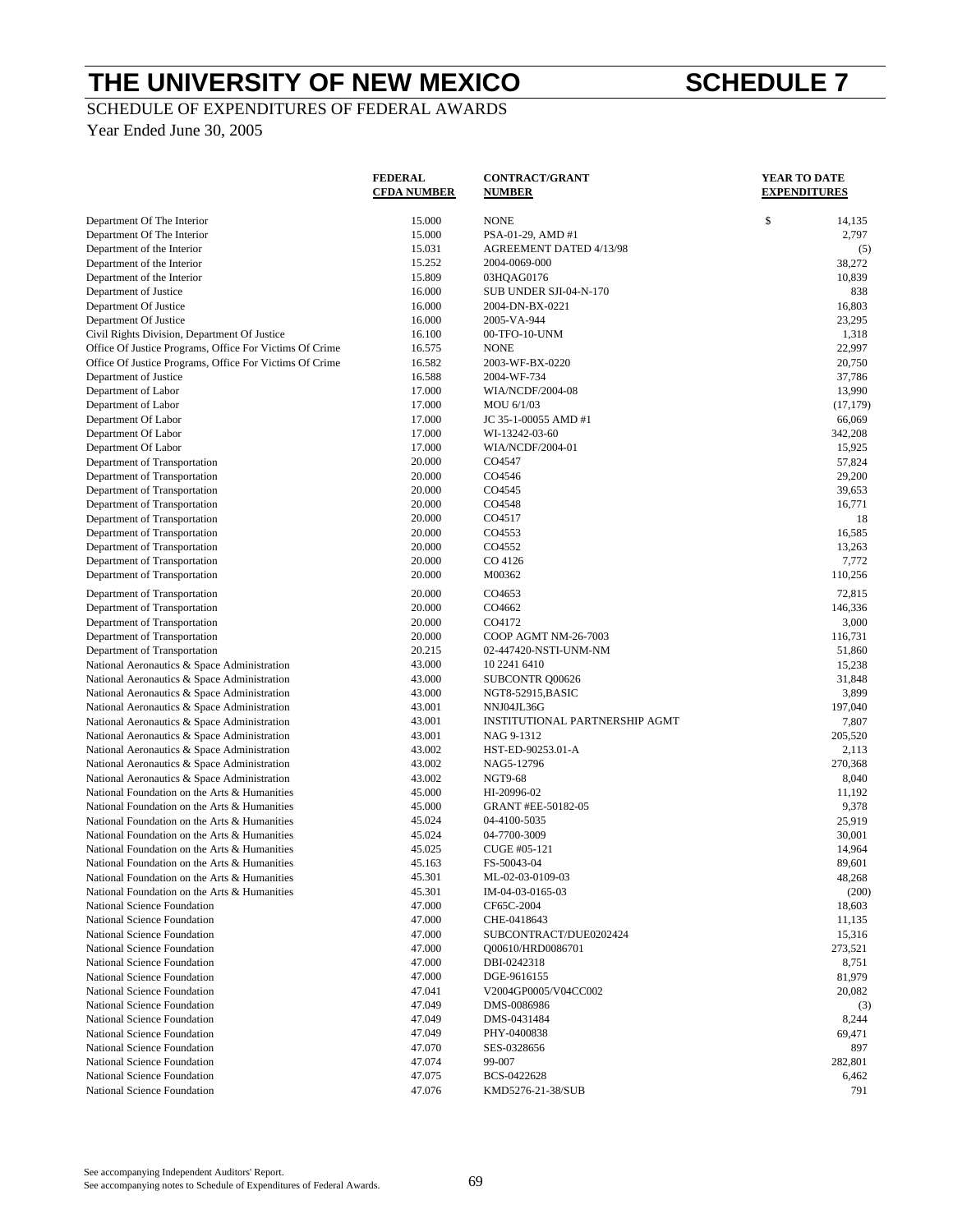### SCHEDULE OF EXPENDITURES OF FEDERAL AWARDS

|                                                         | <b>FEDERAL</b><br><b>CFDA NUMBER</b> | <b>CONTRACT/GRANT</b><br><b>NUMBER</b> | <b>YEAR TO DATE</b><br><b>EXPENDITURES</b> |           |
|---------------------------------------------------------|--------------------------------------|----------------------------------------|--------------------------------------------|-----------|
| Department Of The Interior                              | 15.000                               | <b>NONE</b>                            | \$                                         | 14,135    |
| Department Of The Interior                              | 15.000                               | PSA-01-29, AMD #1                      |                                            | 2,797     |
| Department of the Interior                              | 15.031                               | <b>AGREEMENT DATED 4/13/98</b>         |                                            | (5)       |
| Department of the Interior                              | 15.252                               | 2004-0069-000                          |                                            | 38,272    |
| Department of the Interior                              | 15.809                               | 03HQAG0176                             |                                            | 10,839    |
| Department of Justice                                   | 16.000                               | SUB UNDER SJI-04-N-170                 |                                            | 838       |
| Department Of Justice                                   | 16.000                               | 2004-DN-BX-0221                        |                                            | 16,803    |
| Department Of Justice                                   | 16.000                               | 2005-VA-944                            |                                            | 23,295    |
| Civil Rights Division, Department Of Justice            | 16.100                               | 00-TFO-10-UNM                          |                                            | 1,318     |
| Office Of Justice Programs, Office For Victims Of Crime | 16.575                               | <b>NONE</b>                            |                                            | 22,997    |
| Office Of Justice Programs, Office For Victims Of Crime | 16.582                               | 2003-WF-BX-0220                        |                                            | 20,750    |
| Department of Justice                                   | 16.588                               | 2004-WF-734                            |                                            | 37,786    |
| Department of Labor                                     | 17.000                               | WIA/NCDF/2004-08                       |                                            | 13,990    |
| Department of Labor                                     | 17.000                               | MOU 6/1/03                             |                                            | (17, 179) |
| Department Of Labor                                     | 17.000                               | JC 35-1-00055 AMD #1                   |                                            | 66,069    |
| Department Of Labor                                     | 17.000                               | WI-13242-03-60                         |                                            | 342,208   |
| Department Of Labor                                     | 17.000                               | WIA/NCDF/2004-01                       |                                            | 15,925    |
| Department of Transportation                            | 20.000                               | CO4547                                 |                                            | 57,824    |
| Department of Transportation                            | 20.000                               | CO4546                                 |                                            | 29,200    |
| Department of Transportation                            | 20,000                               | CO4545                                 |                                            | 39,653    |
| Department of Transportation                            | 20.000                               | CO4548                                 |                                            | 16,771    |
| Department of Transportation                            | 20.000                               | CO4517                                 |                                            | 18        |
| Department of Transportation                            | 20.000                               | CO4553                                 |                                            | 16,585    |
| Department of Transportation                            | 20.000                               | CO4552                                 |                                            | 13,263    |
| Department of Transportation                            | 20.000                               | CO 4126                                |                                            | 7,772     |
| Department of Transportation                            | 20.000                               | M00362                                 |                                            | 110,256   |
| Department of Transportation                            | 20.000                               | CO4653                                 |                                            | 72,815    |
| Department of Transportation                            | 20.000                               | CO4662                                 |                                            | 146,336   |
| Department of Transportation                            | 20.000                               | CO4172                                 |                                            | 3,000     |
| Department of Transportation                            | 20.000                               | COOP AGMT NM-26-7003                   |                                            | 116,731   |
| Department of Transportation                            | 20.215                               | 02-447420-NSTI-UNM-NM                  |                                            | 51,860    |
| National Aeronautics & Space Administration             | 43.000                               | 10 2241 6410                           |                                            | 15,238    |
| National Aeronautics & Space Administration             | 43.000                               | <b>SUBCONTR Q00626</b>                 |                                            | 31,848    |
| National Aeronautics & Space Administration             | 43.000                               | NGT8-52915, BASIC                      |                                            | 3,899     |
| National Aeronautics & Space Administration             | 43.001                               | NNJ04JL36G                             |                                            | 197,040   |
| National Aeronautics & Space Administration             | 43.001                               | <b>INSTITUTIONAL PARTNERSHIP AGMT</b>  |                                            | 7,807     |
| National Aeronautics & Space Administration             | 43.001                               | NAG 9-1312                             |                                            | 205,520   |
| National Aeronautics & Space Administration             | 43.002                               | HST-ED-90253.01-A                      |                                            | 2,113     |
| National Aeronautics & Space Administration             | 43.002                               | NAG5-12796                             |                                            | 270,368   |
| National Aeronautics & Space Administration             | 43.002                               | <b>NGT9-68</b>                         |                                            | 8,040     |
| National Foundation on the Arts & Humanities            | 45.000                               | HI-20996-02                            |                                            | 11,192    |
| National Foundation on the Arts & Humanities            | 45.000                               | GRANT #EE-50182-05                     |                                            | 9,378     |
| National Foundation on the Arts & Humanities            | 45.024                               | 04-4100-5035                           |                                            | 25,919    |
| National Foundation on the Arts & Humanities            | 45.024                               | 04-7700-3009                           |                                            | 30.001    |
| National Foundation on the Arts & Humanities            | 45.025                               | CUGE #05-121                           |                                            | 14.964    |
| National Foundation on the Arts & Humanities            | 45.163                               | FS-50043-04                            |                                            | 89,601    |
| National Foundation on the Arts & Humanities            | 45.301                               | ML-02-03-0109-03                       |                                            | 48,268    |
| National Foundation on the Arts & Humanities            | 45.301                               | IM-04-03-0165-03                       |                                            | (200)     |
| National Science Foundation                             | 47.000                               | CF65C-2004                             |                                            | 18,603    |
| National Science Foundation                             | 47.000                               | CHE-0418643                            |                                            | 11,135    |
| National Science Foundation                             | 47.000                               | SUBCONTRACT/DUE0202424                 |                                            | 15,316    |
| National Science Foundation                             | 47.000                               | Q00610/HRD0086701                      |                                            | 273,521   |
| National Science Foundation                             | 47.000                               | DBI-0242318                            |                                            | 8,751     |
| National Science Foundation                             | 47.000                               | DGE-9616155                            |                                            | 81,979    |
| National Science Foundation                             | 47.041                               | V2004GP0005/V04CC002                   |                                            | 20.082    |
| National Science Foundation                             | 47.049                               | DMS-0086986                            |                                            | (3)       |
| National Science Foundation                             | 47.049                               | DMS-0431484                            |                                            | 8,244     |
| National Science Foundation                             | 47.049                               | PHY-0400838                            |                                            | 69,471    |
| National Science Foundation                             | 47.070                               | SES-0328656                            |                                            | 897       |
| National Science Foundation                             | 47.074                               | 99-007                                 |                                            | 282,801   |
| National Science Foundation                             | 47.075                               | BCS-0422628                            |                                            | 6,462     |
| National Science Foundation                             | 47.076                               | KMD5276-21-38/SUB                      |                                            | 791       |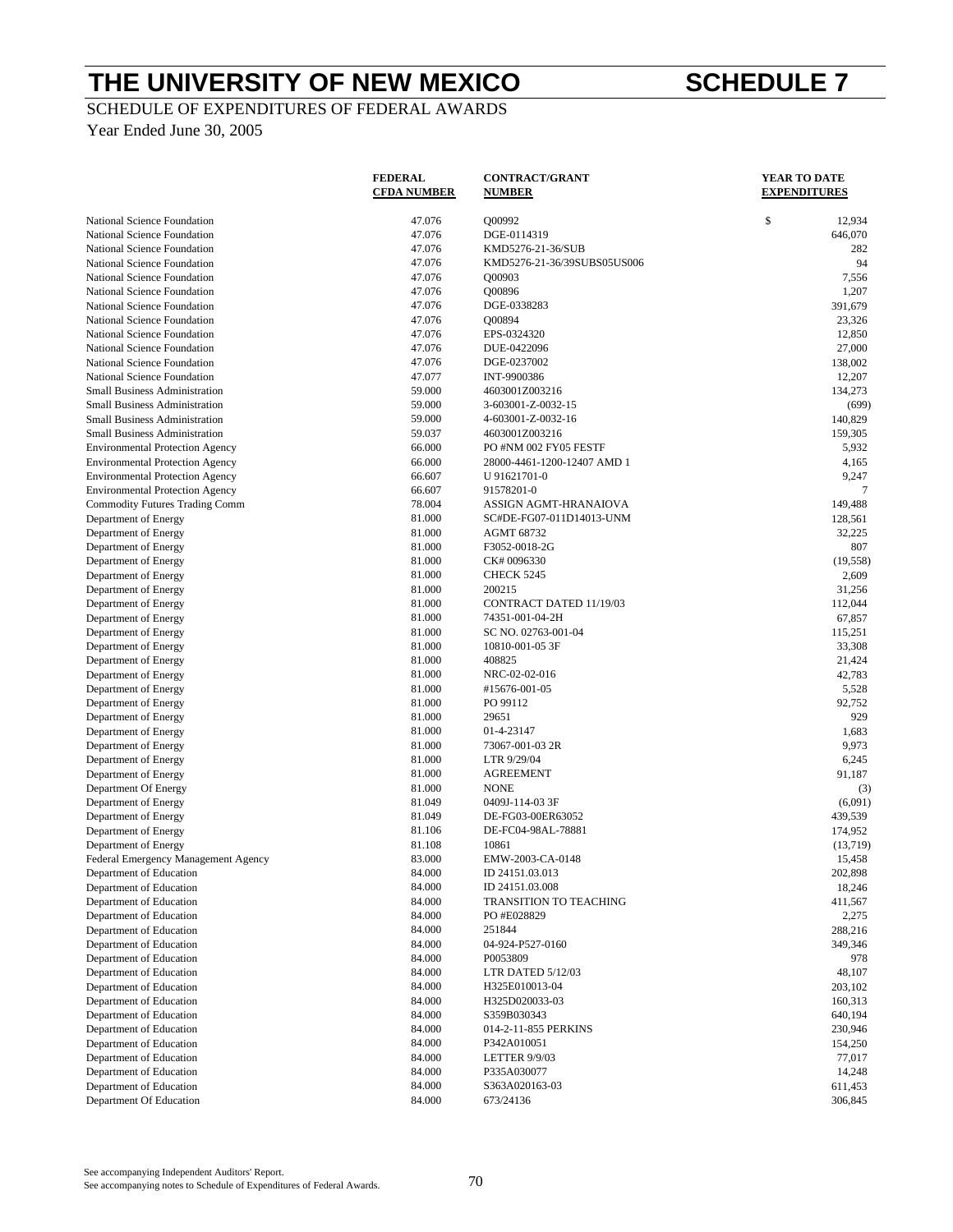### SCHEDULE OF EXPENDITURES OF FEDERAL AWARDS

|                                              | <b>FEDERAL</b><br><b>CFDA NUMBER</b> | <b>CONTRACT/GRANT</b><br><b>NUMBER</b>            | <b>YEAR TO DATE</b><br><b>EXPENDITURES</b> |
|----------------------------------------------|--------------------------------------|---------------------------------------------------|--------------------------------------------|
| National Science Foundation                  | 47.076                               | O00992                                            | \$<br>12,934                               |
| National Science Foundation                  | 47.076                               | DGE-0114319                                       | 646,070                                    |
| National Science Foundation                  | 47.076                               | KMD5276-21-36/SUB                                 | 282                                        |
| National Science Foundation                  | 47.076                               | KMD5276-21-36/39SUBS05US006                       | 94                                         |
| National Science Foundation                  | 47.076                               | O00903                                            | 7,556                                      |
| National Science Foundation                  | 47.076                               | Q00896                                            | 1,207                                      |
| National Science Foundation                  | 47.076                               | DGE-0338283                                       | 391,679                                    |
| National Science Foundation                  | 47.076                               | Q00894                                            | 23,326                                     |
| National Science Foundation                  | 47.076                               | EPS-0324320                                       | 12,850                                     |
| National Science Foundation                  | 47.076                               | DUE-0422096                                       | 27,000                                     |
| National Science Foundation                  | 47.076                               | DGE-0237002                                       | 138,002                                    |
| National Science Foundation                  | 47.077                               | INT-9900386                                       | 12,207                                     |
| <b>Small Business Administration</b>         | 59.000                               | 4603001Z003216                                    | 134,273                                    |
| <b>Small Business Administration</b>         | 59.000                               | 3-603001-Z-0032-15                                | (699)                                      |
| <b>Small Business Administration</b>         | 59.000                               | 4-603001-Z-0032-16                                | 140,829                                    |
| <b>Small Business Administration</b>         | 59.037                               | 4603001Z003216                                    | 159,305                                    |
| <b>Environmental Protection Agency</b>       | 66.000                               | PO #NM 002 FY05 FESTF                             | 5,932                                      |
| <b>Environmental Protection Agency</b>       | 66.000                               | 28000-4461-1200-12407 AMD 1                       | 4,165                                      |
| <b>Environmental Protection Agency</b>       | 66.607                               | U 91621701-0                                      | 9,247                                      |
| <b>Environmental Protection Agency</b>       | 66.607                               | 91578201-0                                        | 7                                          |
| <b>Commodity Futures Trading Comm</b>        | 78.004                               | ASSIGN AGMT-HRANAIOVA<br>SC#DE-FG07-011D14013-UNM | 149,488                                    |
| Department of Energy                         | 81.000                               |                                                   | 128,561                                    |
| Department of Energy                         | 81.000                               | <b>AGMT 68732</b>                                 | 32,225                                     |
| Department of Energy                         | 81.000<br>81.000                     | F3052-0018-2G<br>CK#0096330                       | 807                                        |
| Department of Energy                         |                                      |                                                   | (19, 558)                                  |
| Department of Energy<br>Department of Energy | 81.000<br>81.000                     | <b>CHECK 5245</b><br>200215                       | 2,609                                      |
| Department of Energy                         | 81.000                               | CONTRACT DATED 11/19/03                           | 31,256<br>112,044                          |
| Department of Energy                         | 81.000                               | 74351-001-04-2H                                   | 67,857                                     |
| Department of Energy                         | 81.000                               | SC NO. 02763-001-04                               | 115,251                                    |
| Department of Energy                         | 81.000                               | 10810-001-053F                                    | 33,308                                     |
| Department of Energy                         | 81.000                               | 408825                                            | 21,424                                     |
| Department of Energy                         | 81.000                               | NRC-02-02-016                                     | 42,783                                     |
| Department of Energy                         | 81.000                               | #15676-001-05                                     | 5,528                                      |
| Department of Energy                         | 81.000                               | PO 99112                                          | 92,752                                     |
| Department of Energy                         | 81.000                               | 29651                                             | 929                                        |
| Department of Energy                         | 81.000                               | 01-4-23147                                        | 1,683                                      |
| Department of Energy                         | 81.000                               | 73067-001-03 2R                                   | 9,973                                      |
| Department of Energy                         | 81.000                               | LTR 9/29/04                                       | 6,245                                      |
| Department of Energy                         | 81.000                               | <b>AGREEMENT</b>                                  | 91,187                                     |
| Department Of Energy                         | 81.000                               | <b>NONE</b>                                       | (3)                                        |
| Department of Energy                         | 81.049                               | 0409J-114-03 3F                                   | (6,091)                                    |
| Department of Energy                         | 81.049                               | DE-FG03-00ER63052                                 | 439,539                                    |
| Department of Energy                         | 81.106                               | DE-FC04-98AL-78881                                | 174,952                                    |
| Department of Energy                         | 81.108                               | 10861                                             | (13,719)                                   |
| Federal Emergency Management Agency          | 83.000                               | EMW-2003-CA-0148                                  | 15,458                                     |
| Department of Education                      | 84.000                               | ID 24151.03.013                                   | 202,898                                    |
| Department of Education                      | 84.000                               | ID 24151.03.008                                   | 18,246                                     |
| Department of Education                      | 84.000                               | <b>TRANSITION TO TEACHING</b>                     | 411,567                                    |
| Department of Education                      | 84.000                               | PO #E028829                                       | 2,275                                      |
| Department of Education                      | 84.000                               | 251844                                            | 288,216                                    |
| Department of Education                      | 84.000                               | 04-924-P527-0160                                  | 349,346                                    |
| Department of Education                      | 84.000                               | P0053809                                          | 978                                        |
| Department of Education                      | 84.000                               | <b>LTR DATED 5/12/03</b>                          | 48,107                                     |
| Department of Education                      | 84.000                               | H325E010013-04                                    | 203,102                                    |
| Department of Education                      | 84.000                               | H325D020033-03                                    | 160,313                                    |
| Department of Education                      | 84.000                               | S359B030343                                       | 640,194                                    |
| Department of Education                      | 84.000                               | 014-2-11-855 PERKINS                              | 230,946                                    |
| Department of Education                      | 84.000                               | P342A010051                                       | 154,250                                    |
| Department of Education                      | 84.000                               | LETTER 9/9/03                                     | 77,017                                     |
| Department of Education                      | 84.000                               | P335A030077                                       | 14,248                                     |
| Department of Education                      | 84.000                               | S363A020163-03                                    | 611,453                                    |
| Department Of Education                      | 84.000                               | 673/24136                                         | 306,845                                    |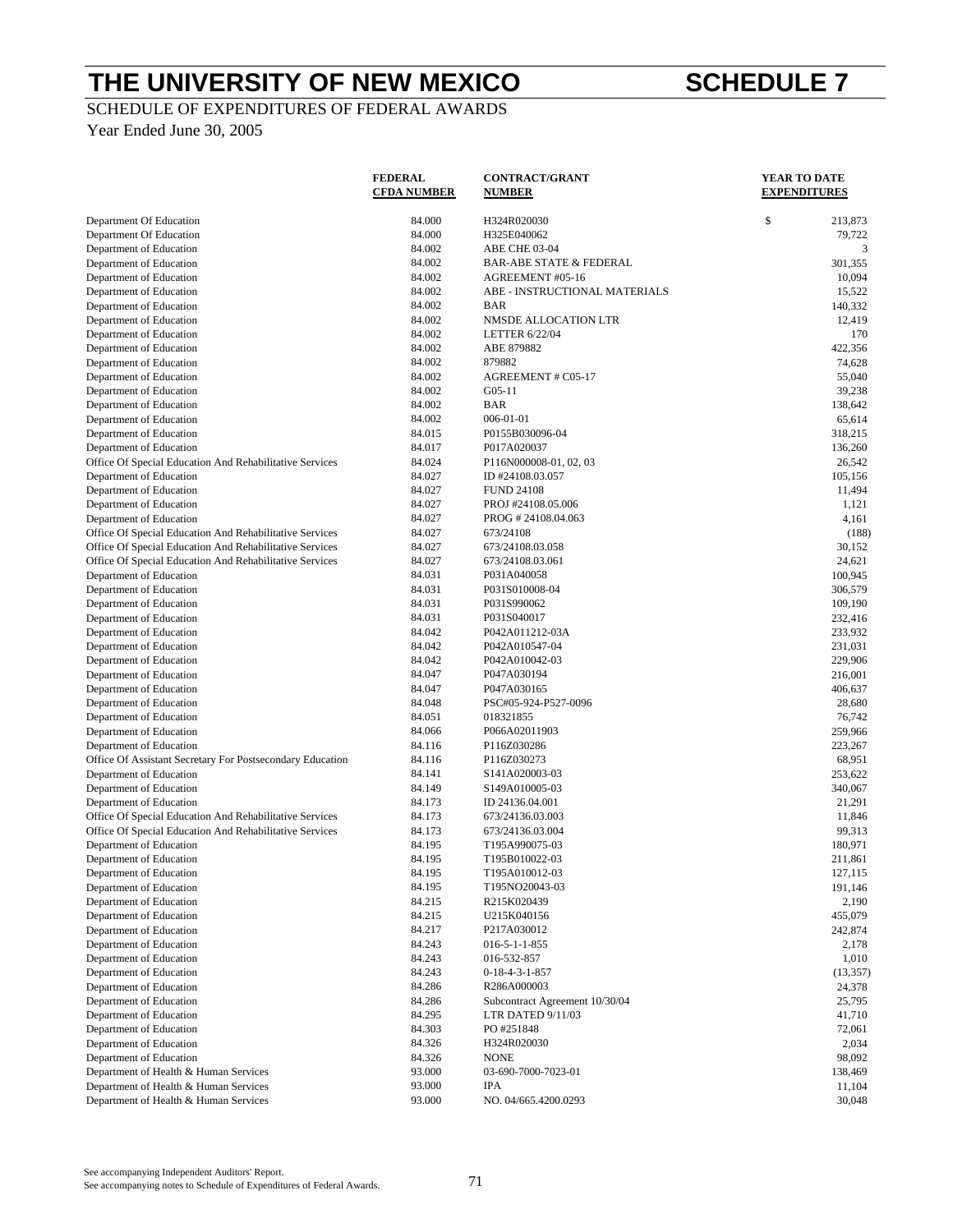### SCHEDULE OF EXPENDITURES OF FEDERAL AWARDS

|                                                           | <b>FEDERAL</b><br><b>CFDA NUMBER</b> | <b>CONTRACT/GRANT</b><br><b>NUMBER</b> | <b>YEAR TO DATE</b><br><b>EXPENDITURES</b> |
|-----------------------------------------------------------|--------------------------------------|----------------------------------------|--------------------------------------------|
| Department Of Education                                   | 84.000                               | H324R020030                            | \$<br>213,873                              |
| Department Of Education                                   | 84.000                               | H325E040062                            | 79,722                                     |
| Department of Education                                   | 84.002                               | ABE CHE 03-04                          | 3                                          |
| Department of Education                                   | 84.002                               | <b>BAR-ABE STATE &amp; FEDERAL</b>     | 301,355                                    |
| Department of Education                                   | 84.002                               | AGREEMENT #05-16                       | 10,094                                     |
| Department of Education                                   | 84.002                               | ABE - INSTRUCTIONAL MATERIALS          | 15,522                                     |
| Department of Education                                   | 84.002                               | BAR                                    | 140,332                                    |
| Department of Education                                   | 84.002                               | NMSDE ALLOCATION LTR                   | 12,419                                     |
| Department of Education                                   | 84.002                               | <b>LETTER 6/22/04</b>                  | 170                                        |
| Department of Education                                   | 84.002                               | ABE 879882                             | 422,356                                    |
| Department of Education                                   | 84.002<br>84.002                     | 879882<br><b>AGREEMENT # C05-17</b>    | 74,628                                     |
| Department of Education                                   | 84.002                               | $G05-11$                               | 55,040<br>39,238                           |
| Department of Education<br>Department of Education        | 84.002                               | <b>BAR</b>                             | 138,642                                    |
| Department of Education                                   | 84.002                               | 006-01-01                              | 65,614                                     |
| Department of Education                                   | 84.015                               | P0155B030096-04                        | 318,215                                    |
| Department of Education                                   | 84.017                               | P017A020037                            | 136,260                                    |
| Office Of Special Education And Rehabilitative Services   | 84.024                               | P116N000008-01, 02, 03                 | 26,542                                     |
| Department of Education                                   | 84.027                               | ID #24108.03.057                       | 105,156                                    |
| Department of Education                                   | 84.027                               | <b>FUND 24108</b>                      | 11,494                                     |
| Department of Education                                   | 84.027                               | PROJ #24108.05.006                     | 1,121                                      |
| Department of Education                                   | 84.027                               | PROG #24108.04.063                     | 4,161                                      |
| Office Of Special Education And Rehabilitative Services   | 84.027                               | 673/24108                              | (188)                                      |
| Office Of Special Education And Rehabilitative Services   | 84.027                               | 673/24108.03.058                       | 30,152                                     |
| Office Of Special Education And Rehabilitative Services   | 84.027                               | 673/24108.03.061                       | 24,621                                     |
| Department of Education                                   | 84.031                               | P031A040058                            | 100,945                                    |
| Department of Education                                   | 84.031                               | P031S010008-04                         | 306,579                                    |
| Department of Education                                   | 84.031                               | P031S990062                            | 109,190                                    |
| Department of Education                                   | 84.031                               | P031S040017                            | 232,416                                    |
| Department of Education                                   | 84.042<br>84.042                     | P042A011212-03A                        | 233,932                                    |
| Department of Education                                   | 84.042                               | P042A010547-04                         | 231,031<br>229,906                         |
| Department of Education<br>Department of Education        | 84.047                               | P042A010042-03<br>P047A030194          | 216,001                                    |
| Department of Education                                   | 84.047                               | P047A030165                            | 406,637                                    |
| Department of Education                                   | 84.048                               | PSC#05-924-P527-0096                   | 28,680                                     |
| Department of Education                                   | 84.051                               | 018321855                              | 76,742                                     |
| Department of Education                                   | 84.066                               | P066A02011903                          | 259,966                                    |
| Department of Education                                   | 84.116                               | P116Z030286                            | 223,267                                    |
| Office Of Assistant Secretary For Postsecondary Education | 84.116                               | P116Z030273                            | 68,951                                     |
| Department of Education                                   | 84.141                               | S141A020003-03                         | 253,622                                    |
| Department of Education                                   | 84.149                               | S149A010005-03                         | 340,067                                    |
| Department of Education                                   | 84.173                               | ID 24136.04.001                        | 21,291                                     |
| Office Of Special Education And Rehabilitative Services   | 84.173                               | 673/24136.03.003                       | 11,846                                     |
| Office Of Special Education And Rehabilitative Services   | 84.173                               | 673/24136.03.004                       | 99,313                                     |
| Department of Education                                   | 84.195                               | T195A990075-03                         | 180,971                                    |
| Department of Education                                   | 84.195                               | T195B010022-03                         | 211,861                                    |
| Department of Education                                   | 84.195                               | T195A010012-03                         | 127,115                                    |
| Department of Education                                   | 84.195<br>84.215                     | T195NO20043-03                         | 191,146                                    |
| Department of Education<br>Department of Education        | 84.215                               | R215K020439<br>U215K040156             | 2,190<br>455,079                           |
| Department of Education                                   | 84.217                               | P217A030012                            | 242,874                                    |
| Department of Education                                   | 84.243                               | 016-5-1-1-855                          | 2,178                                      |
| Department of Education                                   | 84.243                               | 016-532-857                            | 1,010                                      |
| Department of Education                                   | 84.243                               | $0-18-4-3-1-857$                       | (13, 357)                                  |
| Department of Education                                   | 84.286                               | R286A000003                            | 24,378                                     |
| Department of Education                                   | 84.286                               | Subcontract Agreement 10/30/04         | 25,795                                     |
| Department of Education                                   | 84.295                               | LTR DATED 9/11/03                      | 41,710                                     |
| Department of Education                                   | 84.303                               | PO #251848                             | 72,061                                     |
| Department of Education                                   | 84.326                               | H324R020030                            | 2,034                                      |
| Department of Education                                   | 84.326                               | <b>NONE</b>                            | 98,092                                     |
| Department of Health & Human Services                     | 93.000                               | 03-690-7000-7023-01                    | 138,469                                    |
| Department of Health & Human Services                     | 93.000                               | IPA                                    | 11,104                                     |
| Department of Health & Human Services                     | 93.000                               | NO. 04/665.4200.0293                   | 30,048                                     |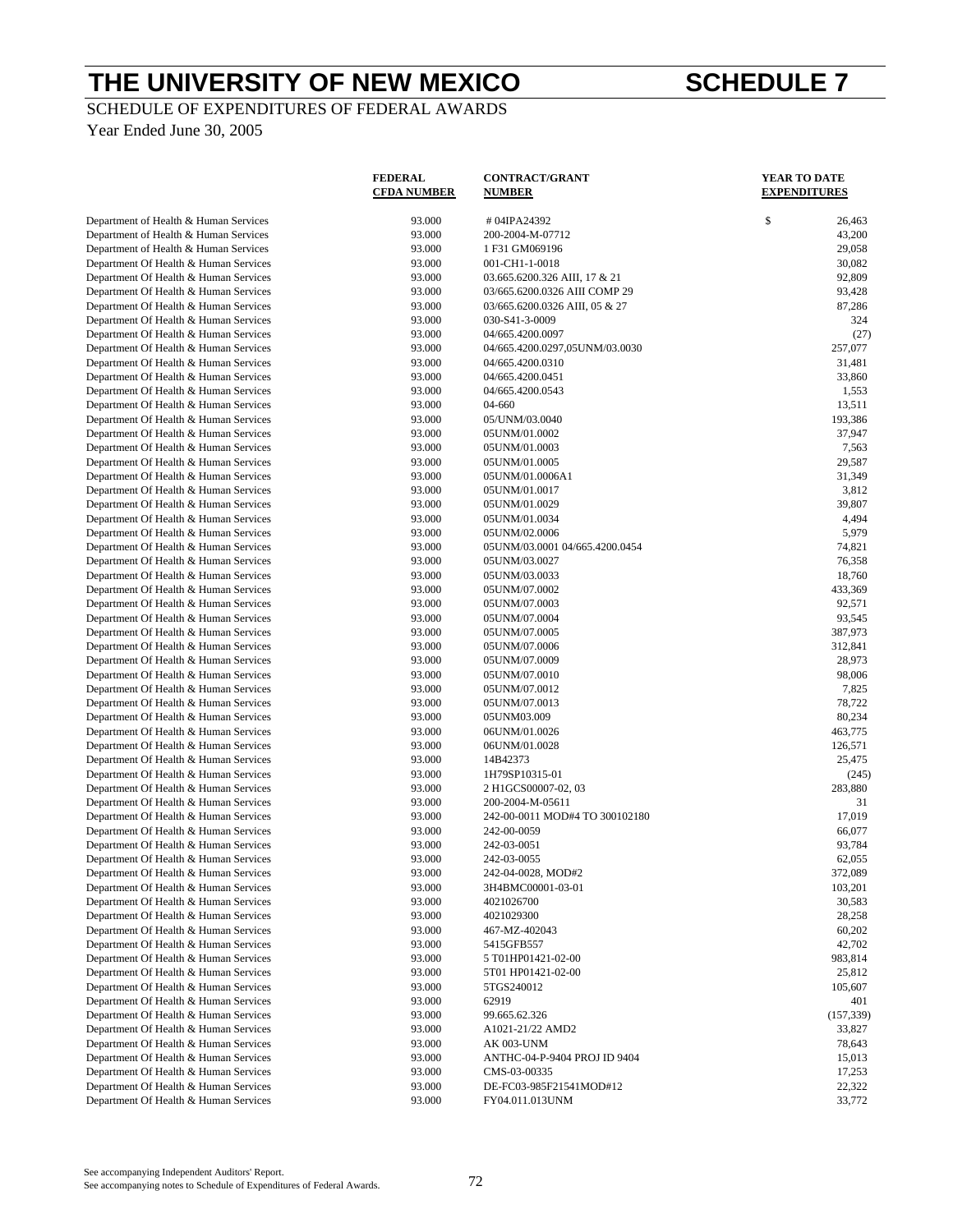### SCHEDULE OF EXPENDITURES OF FEDERAL AWARDS

|                                                                                | <b>FEDERAL</b><br><b>CFDA NUMBER</b> | <b>CONTRACT/GRANT</b><br><b>NUMBER</b> | YEAR TO DATE<br><b>EXPENDITURES</b> |
|--------------------------------------------------------------------------------|--------------------------------------|----------------------------------------|-------------------------------------|
| Department of Health & Human Services                                          | 93.000                               | #04IPA24392                            | \$<br>26,463                        |
| Department of Health & Human Services                                          | 93.000                               | 200-2004-M-07712                       | 43,200                              |
| Department of Health & Human Services                                          | 93.000                               | 1 F31 GM069196                         | 29,058                              |
| Department Of Health & Human Services                                          | 93.000                               | 001-CH1-1-0018                         | 30,082                              |
| Department Of Health & Human Services                                          | 93.000                               | 03.665.6200.326 AIII, 17 & 21          | 92,809                              |
| Department Of Health & Human Services                                          | 93.000                               | 03/665.6200.0326 AIII COMP 29          | 93,428                              |
| Department Of Health & Human Services                                          | 93.000                               | 03/665.6200.0326 AIII, 05 & 27         | 87,286                              |
| Department Of Health & Human Services                                          | 93.000                               | 030-S41-3-0009                         | 324                                 |
| Department Of Health & Human Services                                          | 93.000                               | 04/665.4200.0097                       | (27)                                |
| Department Of Health & Human Services                                          | 93.000                               | 04/665.4200.0297,05UNM/03.0030         | 257,077                             |
| Department Of Health & Human Services                                          | 93.000                               | 04/665.4200.0310                       | 31.481                              |
| Department Of Health & Human Services                                          | 93.000                               | 04/665.4200.0451                       | 33,860                              |
| Department Of Health & Human Services                                          | 93.000                               | 04/665.4200.0543                       | 1,553                               |
| Department Of Health & Human Services                                          | 93.000                               | 04-660                                 | 13,511                              |
| Department Of Health & Human Services                                          | 93.000                               | 05/UNM/03.0040                         | 193,386                             |
| Department Of Health & Human Services                                          | 93.000                               | 05UNM/01.0002                          | 37,947                              |
| Department Of Health & Human Services                                          | 93.000                               | 05UNM/01.0003                          | 7,563                               |
| Department Of Health & Human Services                                          | 93.000                               | 05UNM/01.0005                          | 29,587                              |
| Department Of Health & Human Services                                          | 93.000                               | 05UNM/01.0006A1                        | 31,349                              |
| Department Of Health & Human Services                                          | 93.000                               | 05UNM/01.0017                          | 3,812                               |
| Department Of Health & Human Services                                          | 93.000                               | 05UNM/01.0029                          | 39,807                              |
| Department Of Health & Human Services                                          | 93.000                               | 05UNM/01.0034                          | 4,494                               |
| Department Of Health & Human Services                                          | 93.000                               | 05UNM/02.0006                          | 5,979                               |
| Department Of Health & Human Services                                          | 93.000                               | 05UNM/03.0001 04/665.4200.0454         | 74,821                              |
| Department Of Health & Human Services                                          | 93.000                               | 05UNM/03.0027                          | 76,358                              |
| Department Of Health & Human Services                                          | 93.000                               | 05UNM/03.0033                          | 18,760                              |
| Department Of Health & Human Services                                          | 93.000                               | 05UNM/07.0002                          | 433,369                             |
| Department Of Health & Human Services                                          | 93.000                               | 05UNM/07.0003                          | 92,571                              |
| Department Of Health & Human Services                                          | 93.000                               | 05UNM/07.0004                          | 93,545                              |
| Department Of Health & Human Services                                          | 93.000                               | 05UNM/07.0005                          | 387,973                             |
| Department Of Health & Human Services                                          | 93.000                               | 05UNM/07.0006                          | 312,841                             |
| Department Of Health & Human Services                                          | 93.000                               | 05UNM/07.0009                          | 28,973                              |
| Department Of Health & Human Services                                          | 93.000                               | 05UNM/07.0010                          | 98,006                              |
| Department Of Health & Human Services                                          | 93.000                               | 05UNM/07.0012                          | 7,825                               |
| Department Of Health & Human Services                                          | 93.000                               | 05UNM/07.0013                          | 78,722                              |
| Department Of Health & Human Services                                          | 93.000<br>93.000                     | 05UNM03.009                            | 80,234<br>463,775                   |
| Department Of Health & Human Services                                          | 93.000                               | 06UNM/01.0026<br>06UNM/01.0028         | 126,571                             |
| Department Of Health & Human Services<br>Department Of Health & Human Services | 93.000                               | 14B42373                               | 25,475                              |
| Department Of Health & Human Services                                          | 93.000                               | 1H79SP10315-01                         | (245)                               |
| Department Of Health & Human Services                                          | 93.000                               | 2 H1GCS00007-02, 03                    | 283,880                             |
| Department Of Health & Human Services                                          | 93.000                               | 200-2004-M-05611                       | 31                                  |
| Department Of Health & Human Services                                          | 93.000                               | 242-00-0011 MOD#4 TO 300102180         | 17,019                              |
| Department Of Health & Human Services                                          | 93.000                               | 242-00-0059                            | 66,077                              |
| Department Of Health & Human Services                                          | 93.000                               | 242-03-0051                            | 93,784                              |
| Department Of Health & Human Services                                          | 93.000                               | 242-03-0055                            | 62,055                              |
| Department Of Health & Human Services                                          | 93.000                               | 242-04-0028, MOD#2                     | 372,089                             |
| Department Of Health & Human Services                                          | 93.000                               | 3H4BMC00001-03-01                      | 103,201                             |
| Department Of Health & Human Services                                          | 93.000                               | 4021026700                             | 30,583                              |
| Department Of Health & Human Services                                          | 93.000                               | 4021029300                             | 28,258                              |
| Department Of Health & Human Services                                          | 93.000                               | 467-MZ-402043                          | 60,202                              |
| Department Of Health & Human Services                                          | 93.000                               | 5415GFB557                             | 42,702                              |
| Department Of Health & Human Services                                          | 93.000                               | 5 T01HP01421-02-00                     | 983,814                             |
| Department Of Health & Human Services                                          | 93.000                               | 5T01 HP01421-02-00                     | 25,812                              |
| Department Of Health & Human Services                                          | 93.000                               | 5TGS240012                             | 105,607                             |
| Department Of Health & Human Services                                          | 93.000                               | 62919                                  | 401                                 |
| Department Of Health & Human Services                                          | 93.000                               | 99.665.62.326                          | (157, 339)                          |
| Department Of Health & Human Services                                          | 93.000                               | A1021-21/22 AMD2                       | 33,827                              |
| Department Of Health & Human Services                                          | 93.000                               | <b>AK 003-UNM</b>                      | 78,643                              |
| Department Of Health & Human Services                                          | 93.000                               | ANTHC-04-P-9404 PROJ ID 9404           | 15,013                              |
| Department Of Health & Human Services                                          | 93.000                               | CMS-03-00335                           | 17,253                              |
| Department Of Health & Human Services                                          | 93.000                               | DE-FC03-985F21541MOD#12                | 22,322                              |
| Department Of Health & Human Services                                          | 93.000                               | FY04.011.013UNM                        | 33,772                              |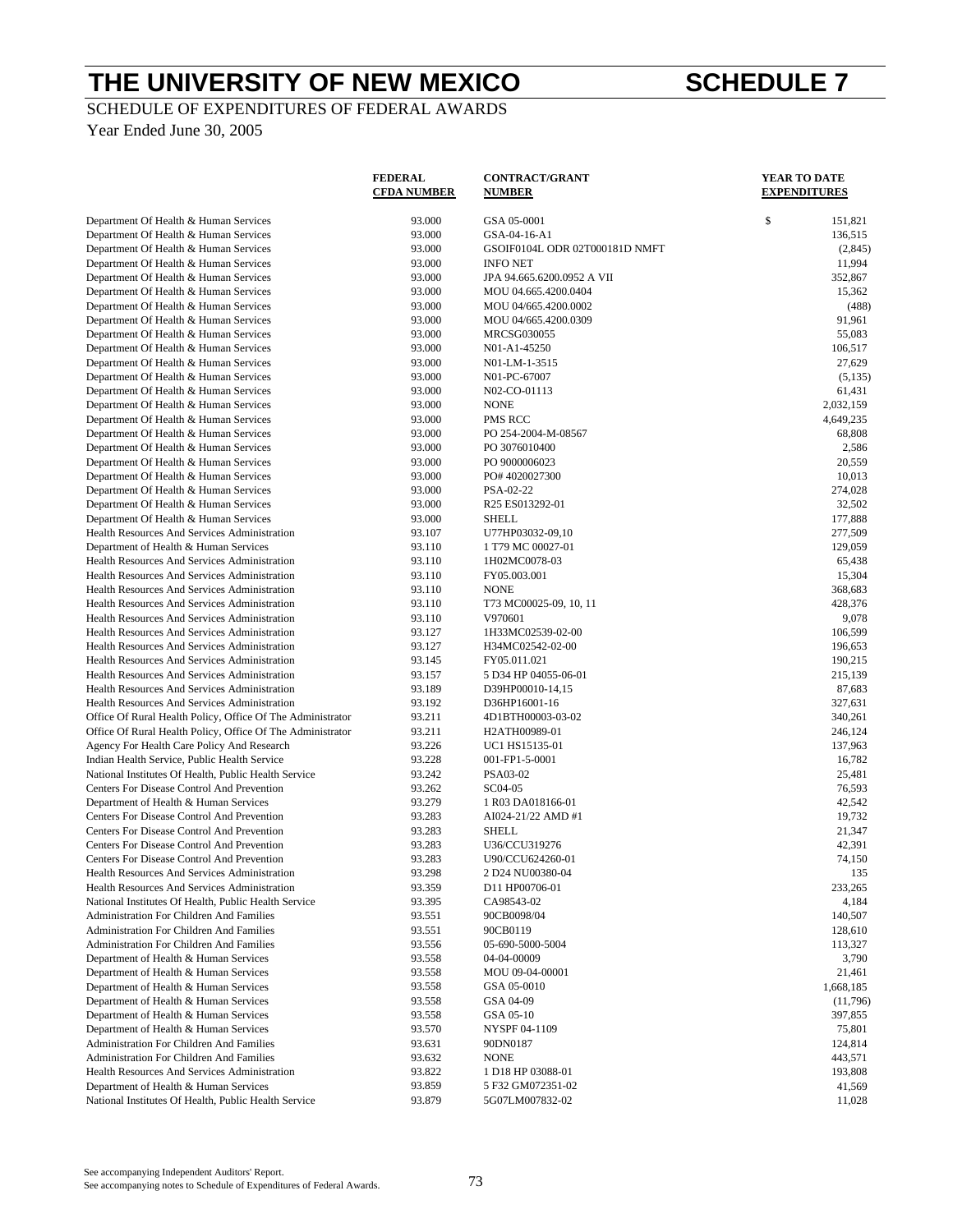### SCHEDULE OF EXPENDITURES OF FEDERAL AWARDS

|                                                                                                     | <b>FEDERAL</b><br><b>CFDA NUMBER</b> | <b>CONTRACT/GRANT</b><br><b>NUMBER</b> | YEAR TO DATE<br><b>EXPENDITURES</b> |
|-----------------------------------------------------------------------------------------------------|--------------------------------------|----------------------------------------|-------------------------------------|
| Department Of Health & Human Services                                                               | 93.000                               | GSA 05-0001                            | \$<br>151,821                       |
| Department Of Health & Human Services                                                               | 93.000                               | GSA-04-16-A1                           | 136,515                             |
| Department Of Health & Human Services                                                               | 93.000                               | GSOIF0104L ODR 02T000181D NMFT         | (2,845)                             |
| Department Of Health & Human Services                                                               | 93.000                               | <b>INFO NET</b>                        | 11,994                              |
| Department Of Health & Human Services                                                               | 93.000                               | JPA 94.665.6200.0952 A VII             | 352,867                             |
| Department Of Health & Human Services                                                               | 93.000                               | MOU 04.665.4200.0404                   | 15,362                              |
| Department Of Health & Human Services                                                               | 93.000                               | MOU 04/665.4200.0002                   | (488)                               |
| Department Of Health & Human Services                                                               | 93.000                               | MOU 04/665.4200.0309                   | 91,961                              |
| Department Of Health & Human Services                                                               | 93.000                               | <b>MRCSG030055</b>                     | 55,083                              |
| Department Of Health & Human Services                                                               | 93.000                               | N01-A1-45250                           | 106,517                             |
| Department Of Health & Human Services                                                               | 93.000                               | N01-LM-1-3515                          | 27,629                              |
| Department Of Health & Human Services                                                               | 93.000                               | N01-PC-67007                           | (5, 135)                            |
| Department Of Health & Human Services                                                               | 93.000                               | N02-CO-01113                           | 61,431                              |
| Department Of Health & Human Services                                                               | 93.000                               | <b>NONE</b>                            | 2,032,159                           |
| Department Of Health & Human Services                                                               | 93.000                               | PMS RCC                                | 4,649,235                           |
| Department Of Health & Human Services                                                               | 93.000                               | PO 254-2004-M-08567                    | 68,808                              |
| Department Of Health & Human Services                                                               | 93.000                               | PO 3076010400                          | 2,586                               |
| Department Of Health & Human Services                                                               | 93.000                               | PO 9000006023                          | 20,559                              |
| Department Of Health & Human Services                                                               | 93.000                               | PO#4020027300                          | 10,013                              |
| Department Of Health & Human Services                                                               | 93.000                               | PSA-02-22                              | 274,028                             |
| Department Of Health & Human Services                                                               | 93.000                               | R25 ES013292-01                        | 32,502                              |
| Department Of Health & Human Services                                                               | 93.000                               | <b>SHELL</b>                           | 177,888                             |
| Health Resources And Services Administration                                                        | 93.107                               | U77HP03032-09,10                       | 277,509                             |
| Department of Health & Human Services                                                               | 93.110                               | 1 T79 MC 00027-01                      | 129,059                             |
| Health Resources And Services Administration<br><b>Health Resources And Services Administration</b> | 93.110<br>93.110                     | 1H02MC0078-03                          | 65,438                              |
|                                                                                                     | 93.110                               | FY05.003.001                           | 15,304                              |
| Health Resources And Services Administration                                                        |                                      | <b>NONE</b>                            | 368,683                             |
| Health Resources And Services Administration<br>Health Resources And Services Administration        | 93.110<br>93.110                     | T73 MC00025-09, 10, 11<br>V970601      | 428,376<br>9,078                    |
| Health Resources And Services Administration                                                        | 93.127                               | 1H33MC02539-02-00                      | 106,599                             |
| Health Resources And Services Administration                                                        | 93.127                               |                                        |                                     |
| Health Resources And Services Administration                                                        | 93.145                               | H34MC02542-02-00<br>FY05.011.021       | 196,653<br>190,215                  |
| Health Resources And Services Administration                                                        | 93.157                               | 5 D34 HP 04055-06-01                   | 215,139                             |
| Health Resources And Services Administration                                                        | 93.189                               | D39HP00010-14,15                       | 87,683                              |
| Health Resources And Services Administration                                                        | 93.192                               | D36HP16001-16                          | 327,631                             |
| Office Of Rural Health Policy, Office Of The Administrator                                          | 93.211                               | 4D1BTH00003-03-02                      | 340,261                             |
| Office Of Rural Health Policy, Office Of The Administrator                                          | 93.211                               | H2ATH00989-01                          | 246,124                             |
| Agency For Health Care Policy And Research                                                          | 93.226                               | UC1 HS15135-01                         | 137,963                             |
| Indian Health Service, Public Health Service                                                        | 93.228                               | 001-FP1-5-0001                         | 16,782                              |
| National Institutes Of Health, Public Health Service                                                | 93.242                               | PSA03-02                               | 25,481                              |
| Centers For Disease Control And Prevention                                                          | 93.262                               | SC04-05                                | 76,593                              |
| Department of Health & Human Services                                                               | 93.279                               | 1 R03 DA018166-01                      | 42,542                              |
| Centers For Disease Control And Prevention                                                          | 93.283                               | AI024-21/22 AMD #1                     | 19,732                              |
| Centers For Disease Control And Prevention                                                          | 93.283                               | <b>SHELL</b>                           | 21,347                              |
| Centers For Disease Control And Prevention                                                          | 93.283                               | U36/CCU319276                          | 42,391                              |
| Centers For Disease Control And Prevention                                                          | 93.283                               | U90/CCU624260-01                       | 74,150                              |
| Health Resources And Services Administration                                                        | 93.298                               | 2 D24 NU00380-04                       | 135                                 |
| Health Resources And Services Administration                                                        | 93.359                               | D11 HP00706-01                         | 233,265                             |
| National Institutes Of Health, Public Health Service                                                | 93.395                               | CA98543-02                             | 4,184                               |
| Administration For Children And Families                                                            | 93.551                               | 90CB0098/04                            | 140,507                             |
| <b>Administration For Children And Families</b>                                                     | 93.551                               | 90CB0119                               | 128,610                             |
| Administration For Children And Families                                                            | 93.556                               | 05-690-5000-5004                       | 113,327                             |
| Department of Health & Human Services                                                               | 93.558                               | 04-04-00009                            | 3,790                               |
| Department of Health & Human Services                                                               | 93.558                               | MOU 09-04-00001                        | 21,461                              |
| Department of Health & Human Services                                                               | 93.558                               | GSA 05-0010                            | 1,668,185                           |
| Department of Health & Human Services                                                               | 93.558                               | GSA 04-09                              | (11,796)                            |
| Department of Health & Human Services                                                               | 93.558                               | GSA 05-10                              | 397,855                             |
| Department of Health & Human Services                                                               | 93.570                               | NYSPF 04-1109                          | 75,801                              |
| Administration For Children And Families                                                            | 93.631                               | 90DN0187                               | 124,814                             |
| <b>Administration For Children And Families</b>                                                     | 93.632                               | <b>NONE</b>                            | 443,571                             |
| Health Resources And Services Administration                                                        | 93.822                               | 1 D18 HP 03088-01                      | 193,808                             |
| Department of Health & Human Services                                                               | 93.859                               | 5 F32 GM072351-02                      | 41,569                              |
| National Institutes Of Health, Public Health Service                                                | 93.879                               | 5G07LM007832-02                        | 11,028                              |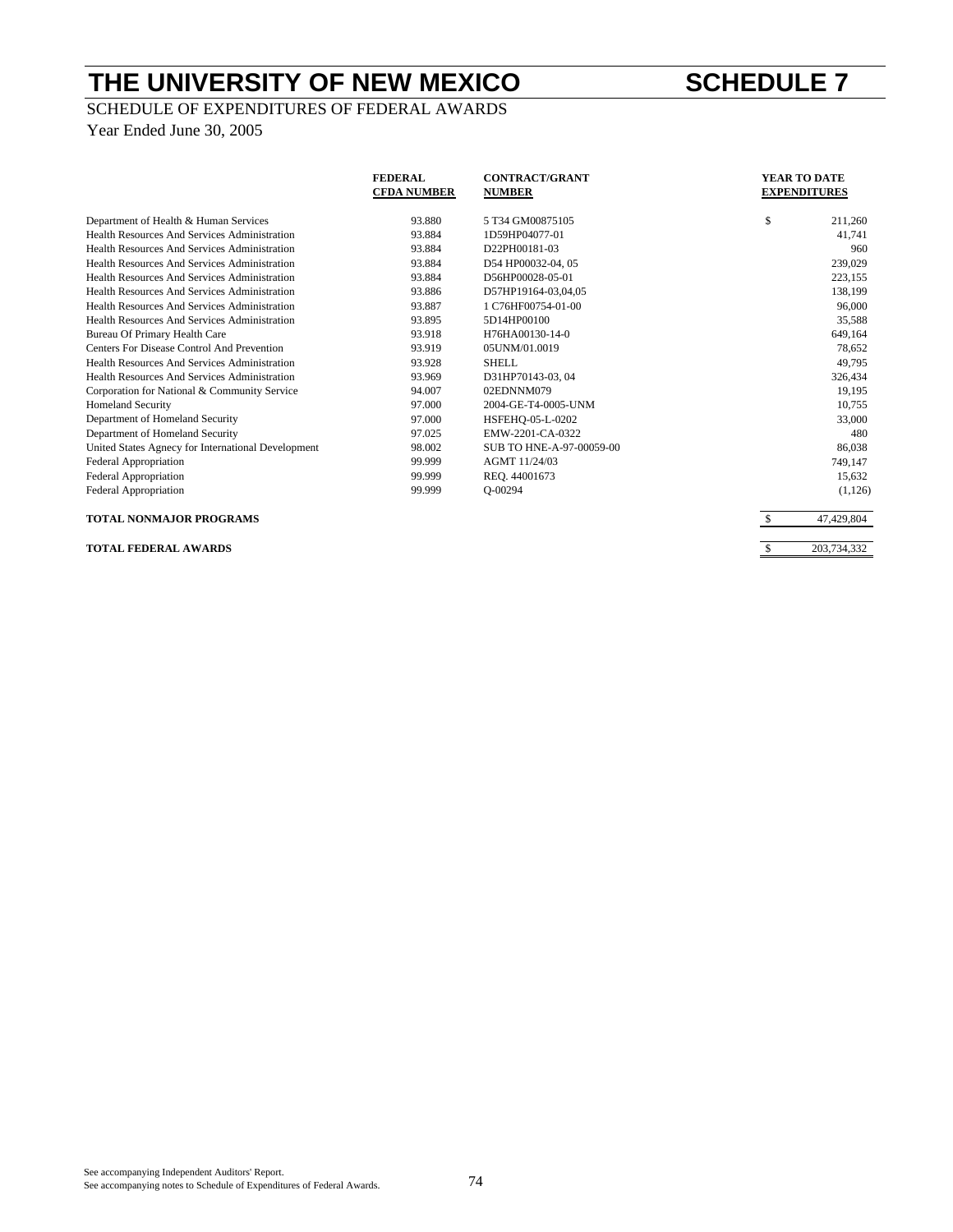### SCHEDULE OF EXPENDITURES OF FEDERAL AWARDS

Year Ended June 30, 2005

|                                                     | <b>FEDERAL</b><br><b>CFDA NUMBER</b> | <b>CONTRACT/GRANT</b><br><b>NUMBER</b> | YEAR TO DATE<br><b>EXPENDITURES</b> |
|-----------------------------------------------------|--------------------------------------|----------------------------------------|-------------------------------------|
| Department of Health & Human Services               | 93.880                               | 5 T34 GM00875105                       | <sup>\$</sup><br>211,260            |
| Health Resources And Services Administration        | 93.884                               | 1D59HP04077-01                         | 41,741                              |
| Health Resources And Services Administration        | 93.884                               | D22PH00181-03                          | 960                                 |
| Health Resources And Services Administration        | 93.884                               | D54 HP00032-04, 05                     | 239,029                             |
| Health Resources And Services Administration        | 93.884                               | D56HP00028-05-01                       | 223,155                             |
| <b>Health Resources And Services Administration</b> | 93.886                               | D57HP19164-03.04.05                    | 138,199                             |
| Health Resources And Services Administration        | 93.887                               | 1 C76HF00754-01-00                     | 96,000                              |
| Health Resources And Services Administration        | 93.895                               | 5D14HP00100                            | 35,588                              |
| Bureau Of Primary Health Care                       | 93.918                               | H76HA00130-14-0                        | 649,164                             |
| Centers For Disease Control And Prevention          | 93.919                               | 05UNM/01.0019                          | 78,652                              |
| <b>Health Resources And Services Administration</b> | 93.928                               | <b>SHELL</b>                           | 49,795                              |
| <b>Health Resources And Services Administration</b> | 93.969                               | D31HP70143-03, 04                      | 326,434                             |
| Corporation for National & Community Service        | 94.007                               | 02EDNNM079                             | 19,195                              |
| Homeland Security                                   | 97.000                               | 2004-GE-T4-0005-UNM                    | 10,755                              |
| Department of Homeland Security                     | 97.000                               | HSFEHQ-05-L-0202                       | 33,000                              |
| Department of Homeland Security                     | 97.025                               | EMW-2201-CA-0322                       | 480                                 |
| United States Agnecy for International Development  | 98.002                               | SUB TO HNE-A-97-00059-00               | 86.038                              |
| Federal Appropriation                               | 99.999                               | AGMT 11/24/03                          | 749,147                             |
| Federal Appropriation                               | 99.999                               | REQ. 44001673                          | 15,632                              |
| Federal Appropriation                               | 99.999                               | O-00294                                | (1,126)                             |
| <b>TOTAL NONMAJOR PROGRAMS</b>                      |                                      |                                        | 47,429,804                          |

**TOTAL FEDERAL AWARDS 8** 203,734,332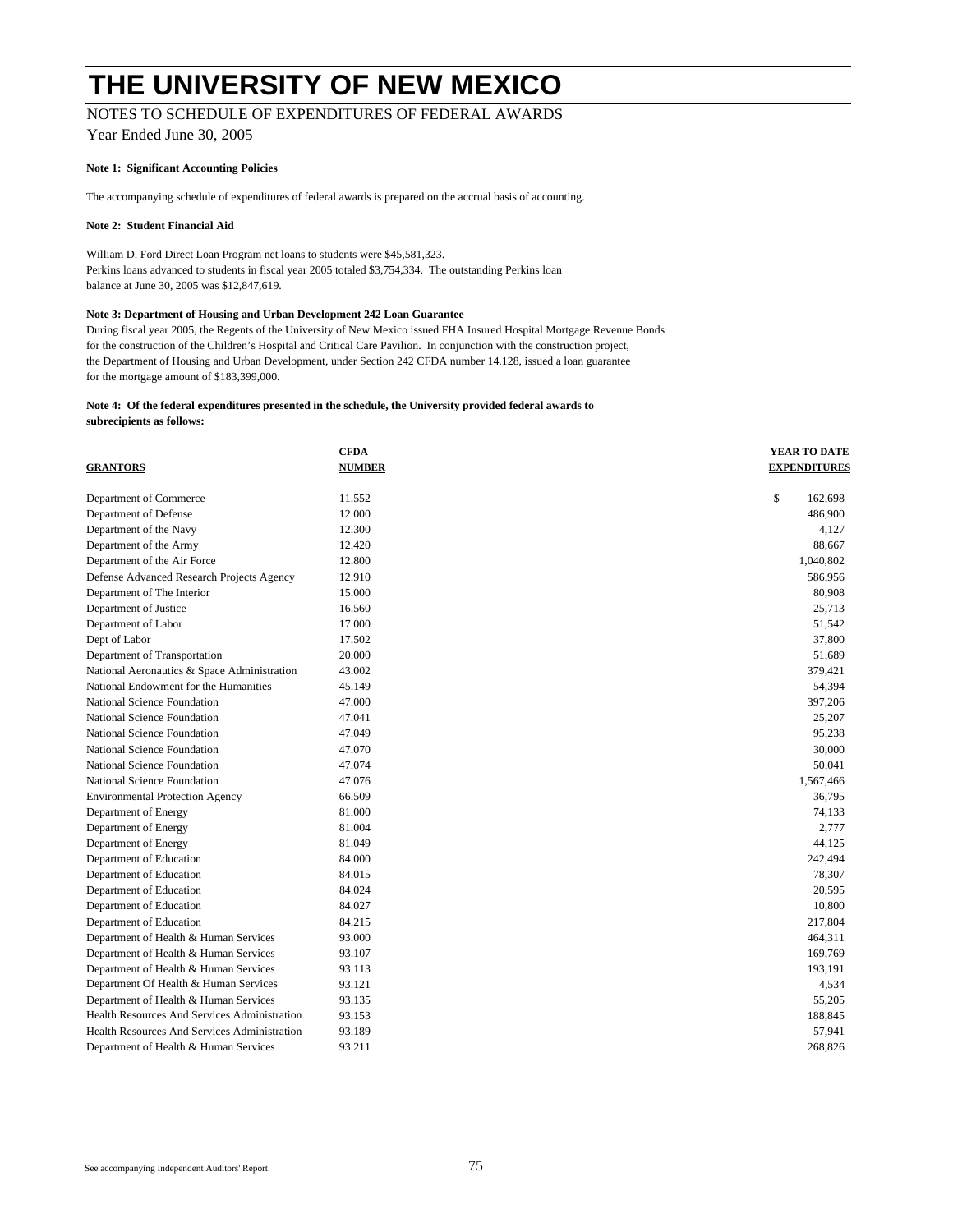#### NOTES TO SCHEDULE OF EXPENDITURES OF FEDERAL AWARDS

Year Ended June 30, 2005

#### **Note 1: Significant Accounting Policies**

The accompanying schedule of expenditures of federal awards is prepared on the accrual basis of accounting.

#### **Note 2: Student Financial Aid**

William D. Ford Direct Loan Program net loans to students were \$45,581,323. Perkins loans advanced to students in fiscal year 2005 totaled \$3,754,334. The outstanding Perkins loan balance at June 30, 2005 was \$12,847,619.

#### **Note 3: Department of Housing and Urban Development 242 Loan Guarantee**

During fiscal year 2005, the Regents of the University of New Mexico issued FHA Insured Hospital Mortgage Revenue Bonds for the construction of the Children's Hospital and Critical Care Pavilion. In conjunction with the construction project, the Department of Housing and Urban Development, under Section 242 CFDA number 14.128, issued a loan guarantee for the mortgage amount of \$183,399,000.

#### **Note 4: Of the federal expenditures presented in the schedule, the University provided federal awards to subrecipients as follows:**

| <b>EXPENDITURES</b><br><b>NUMBER</b><br>\$<br>11.552<br>162,698<br>Department of Commerce<br>12.000<br>Department of Defense<br>486,900<br>Department of the Navy<br>12.300<br>4,127<br>Department of the Army<br>12.420<br>88,667<br>12.800<br>1,040,802<br>12.910<br>586,956<br>15.000<br>80,908<br>16.560<br>25,713<br>17.000<br>51,542<br>37,800<br>17.502<br>20.000<br>51,689<br>43.002<br>379,421<br>45.149<br>54,394<br>397,206<br>47.000<br>47.041<br>25,207<br>47.049<br>95,238<br>47.070<br>30,000<br>47.074<br>50,041<br>47.076<br>1,567,466<br>66.509<br><b>Environmental Protection Agency</b><br>36,795<br>81.000<br>Department of Energy<br>74,133<br>81.004<br>Department of Energy<br>2,777<br>81.049<br>44,125<br>Department of Energy<br>242,494<br>Department of Education<br>84.000<br>Department of Education<br>84.015<br>78,307<br>84.024<br>Department of Education<br>20,595<br>84.027<br>Department of Education<br>10,800<br>Department of Education<br>84.215<br>217,804<br>Department of Health & Human Services<br>93.000<br>464,311<br>Department of Health & Human Services<br>93.107<br>169,769<br>Department of Health & Human Services<br>93.113<br>193,191<br>Department Of Health & Human Services<br>93.121<br>4,534<br>Department of Health & Human Services<br>93.135<br>55,205<br>Health Resources And Services Administration<br>188,845<br>93.153 |                                              | <b>CFDA</b> | YEAR TO DATE |
|-----------------------------------------------------------------------------------------------------------------------------------------------------------------------------------------------------------------------------------------------------------------------------------------------------------------------------------------------------------------------------------------------------------------------------------------------------------------------------------------------------------------------------------------------------------------------------------------------------------------------------------------------------------------------------------------------------------------------------------------------------------------------------------------------------------------------------------------------------------------------------------------------------------------------------------------------------------------------------------------------------------------------------------------------------------------------------------------------------------------------------------------------------------------------------------------------------------------------------------------------------------------------------------------------------------------------------------------------------------------------------------------------|----------------------------------------------|-------------|--------------|
|                                                                                                                                                                                                                                                                                                                                                                                                                                                                                                                                                                                                                                                                                                                                                                                                                                                                                                                                                                                                                                                                                                                                                                                                                                                                                                                                                                                               | <b>GRANTORS</b>                              |             |              |
|                                                                                                                                                                                                                                                                                                                                                                                                                                                                                                                                                                                                                                                                                                                                                                                                                                                                                                                                                                                                                                                                                                                                                                                                                                                                                                                                                                                               |                                              |             |              |
|                                                                                                                                                                                                                                                                                                                                                                                                                                                                                                                                                                                                                                                                                                                                                                                                                                                                                                                                                                                                                                                                                                                                                                                                                                                                                                                                                                                               |                                              |             |              |
|                                                                                                                                                                                                                                                                                                                                                                                                                                                                                                                                                                                                                                                                                                                                                                                                                                                                                                                                                                                                                                                                                                                                                                                                                                                                                                                                                                                               |                                              |             |              |
|                                                                                                                                                                                                                                                                                                                                                                                                                                                                                                                                                                                                                                                                                                                                                                                                                                                                                                                                                                                                                                                                                                                                                                                                                                                                                                                                                                                               |                                              |             |              |
|                                                                                                                                                                                                                                                                                                                                                                                                                                                                                                                                                                                                                                                                                                                                                                                                                                                                                                                                                                                                                                                                                                                                                                                                                                                                                                                                                                                               |                                              |             |              |
|                                                                                                                                                                                                                                                                                                                                                                                                                                                                                                                                                                                                                                                                                                                                                                                                                                                                                                                                                                                                                                                                                                                                                                                                                                                                                                                                                                                               | Department of the Air Force                  |             |              |
|                                                                                                                                                                                                                                                                                                                                                                                                                                                                                                                                                                                                                                                                                                                                                                                                                                                                                                                                                                                                                                                                                                                                                                                                                                                                                                                                                                                               | Defense Advanced Research Projects Agency    |             |              |
|                                                                                                                                                                                                                                                                                                                                                                                                                                                                                                                                                                                                                                                                                                                                                                                                                                                                                                                                                                                                                                                                                                                                                                                                                                                                                                                                                                                               | Department of The Interior                   |             |              |
|                                                                                                                                                                                                                                                                                                                                                                                                                                                                                                                                                                                                                                                                                                                                                                                                                                                                                                                                                                                                                                                                                                                                                                                                                                                                                                                                                                                               | Department of Justice                        |             |              |
|                                                                                                                                                                                                                                                                                                                                                                                                                                                                                                                                                                                                                                                                                                                                                                                                                                                                                                                                                                                                                                                                                                                                                                                                                                                                                                                                                                                               | Department of Labor                          |             |              |
|                                                                                                                                                                                                                                                                                                                                                                                                                                                                                                                                                                                                                                                                                                                                                                                                                                                                                                                                                                                                                                                                                                                                                                                                                                                                                                                                                                                               | Dept of Labor                                |             |              |
|                                                                                                                                                                                                                                                                                                                                                                                                                                                                                                                                                                                                                                                                                                                                                                                                                                                                                                                                                                                                                                                                                                                                                                                                                                                                                                                                                                                               | Department of Transportation                 |             |              |
|                                                                                                                                                                                                                                                                                                                                                                                                                                                                                                                                                                                                                                                                                                                                                                                                                                                                                                                                                                                                                                                                                                                                                                                                                                                                                                                                                                                               | National Aeronautics & Space Administration  |             |              |
|                                                                                                                                                                                                                                                                                                                                                                                                                                                                                                                                                                                                                                                                                                                                                                                                                                                                                                                                                                                                                                                                                                                                                                                                                                                                                                                                                                                               | National Endowment for the Humanities        |             |              |
|                                                                                                                                                                                                                                                                                                                                                                                                                                                                                                                                                                                                                                                                                                                                                                                                                                                                                                                                                                                                                                                                                                                                                                                                                                                                                                                                                                                               | National Science Foundation                  |             |              |
|                                                                                                                                                                                                                                                                                                                                                                                                                                                                                                                                                                                                                                                                                                                                                                                                                                                                                                                                                                                                                                                                                                                                                                                                                                                                                                                                                                                               | National Science Foundation                  |             |              |
|                                                                                                                                                                                                                                                                                                                                                                                                                                                                                                                                                                                                                                                                                                                                                                                                                                                                                                                                                                                                                                                                                                                                                                                                                                                                                                                                                                                               | National Science Foundation                  |             |              |
|                                                                                                                                                                                                                                                                                                                                                                                                                                                                                                                                                                                                                                                                                                                                                                                                                                                                                                                                                                                                                                                                                                                                                                                                                                                                                                                                                                                               | National Science Foundation                  |             |              |
|                                                                                                                                                                                                                                                                                                                                                                                                                                                                                                                                                                                                                                                                                                                                                                                                                                                                                                                                                                                                                                                                                                                                                                                                                                                                                                                                                                                               | National Science Foundation                  |             |              |
|                                                                                                                                                                                                                                                                                                                                                                                                                                                                                                                                                                                                                                                                                                                                                                                                                                                                                                                                                                                                                                                                                                                                                                                                                                                                                                                                                                                               | National Science Foundation                  |             |              |
|                                                                                                                                                                                                                                                                                                                                                                                                                                                                                                                                                                                                                                                                                                                                                                                                                                                                                                                                                                                                                                                                                                                                                                                                                                                                                                                                                                                               |                                              |             |              |
|                                                                                                                                                                                                                                                                                                                                                                                                                                                                                                                                                                                                                                                                                                                                                                                                                                                                                                                                                                                                                                                                                                                                                                                                                                                                                                                                                                                               |                                              |             |              |
|                                                                                                                                                                                                                                                                                                                                                                                                                                                                                                                                                                                                                                                                                                                                                                                                                                                                                                                                                                                                                                                                                                                                                                                                                                                                                                                                                                                               |                                              |             |              |
|                                                                                                                                                                                                                                                                                                                                                                                                                                                                                                                                                                                                                                                                                                                                                                                                                                                                                                                                                                                                                                                                                                                                                                                                                                                                                                                                                                                               |                                              |             |              |
|                                                                                                                                                                                                                                                                                                                                                                                                                                                                                                                                                                                                                                                                                                                                                                                                                                                                                                                                                                                                                                                                                                                                                                                                                                                                                                                                                                                               |                                              |             |              |
|                                                                                                                                                                                                                                                                                                                                                                                                                                                                                                                                                                                                                                                                                                                                                                                                                                                                                                                                                                                                                                                                                                                                                                                                                                                                                                                                                                                               |                                              |             |              |
|                                                                                                                                                                                                                                                                                                                                                                                                                                                                                                                                                                                                                                                                                                                                                                                                                                                                                                                                                                                                                                                                                                                                                                                                                                                                                                                                                                                               |                                              |             |              |
|                                                                                                                                                                                                                                                                                                                                                                                                                                                                                                                                                                                                                                                                                                                                                                                                                                                                                                                                                                                                                                                                                                                                                                                                                                                                                                                                                                                               |                                              |             |              |
|                                                                                                                                                                                                                                                                                                                                                                                                                                                                                                                                                                                                                                                                                                                                                                                                                                                                                                                                                                                                                                                                                                                                                                                                                                                                                                                                                                                               |                                              |             |              |
|                                                                                                                                                                                                                                                                                                                                                                                                                                                                                                                                                                                                                                                                                                                                                                                                                                                                                                                                                                                                                                                                                                                                                                                                                                                                                                                                                                                               |                                              |             |              |
|                                                                                                                                                                                                                                                                                                                                                                                                                                                                                                                                                                                                                                                                                                                                                                                                                                                                                                                                                                                                                                                                                                                                                                                                                                                                                                                                                                                               |                                              |             |              |
|                                                                                                                                                                                                                                                                                                                                                                                                                                                                                                                                                                                                                                                                                                                                                                                                                                                                                                                                                                                                                                                                                                                                                                                                                                                                                                                                                                                               |                                              |             |              |
|                                                                                                                                                                                                                                                                                                                                                                                                                                                                                                                                                                                                                                                                                                                                                                                                                                                                                                                                                                                                                                                                                                                                                                                                                                                                                                                                                                                               |                                              |             |              |
|                                                                                                                                                                                                                                                                                                                                                                                                                                                                                                                                                                                                                                                                                                                                                                                                                                                                                                                                                                                                                                                                                                                                                                                                                                                                                                                                                                                               |                                              |             |              |
|                                                                                                                                                                                                                                                                                                                                                                                                                                                                                                                                                                                                                                                                                                                                                                                                                                                                                                                                                                                                                                                                                                                                                                                                                                                                                                                                                                                               |                                              |             |              |
| 57,941<br>93.189                                                                                                                                                                                                                                                                                                                                                                                                                                                                                                                                                                                                                                                                                                                                                                                                                                                                                                                                                                                                                                                                                                                                                                                                                                                                                                                                                                              | Health Resources And Services Administration |             |              |
| 93.211<br>268,826                                                                                                                                                                                                                                                                                                                                                                                                                                                                                                                                                                                                                                                                                                                                                                                                                                                                                                                                                                                                                                                                                                                                                                                                                                                                                                                                                                             | Department of Health & Human Services        |             |              |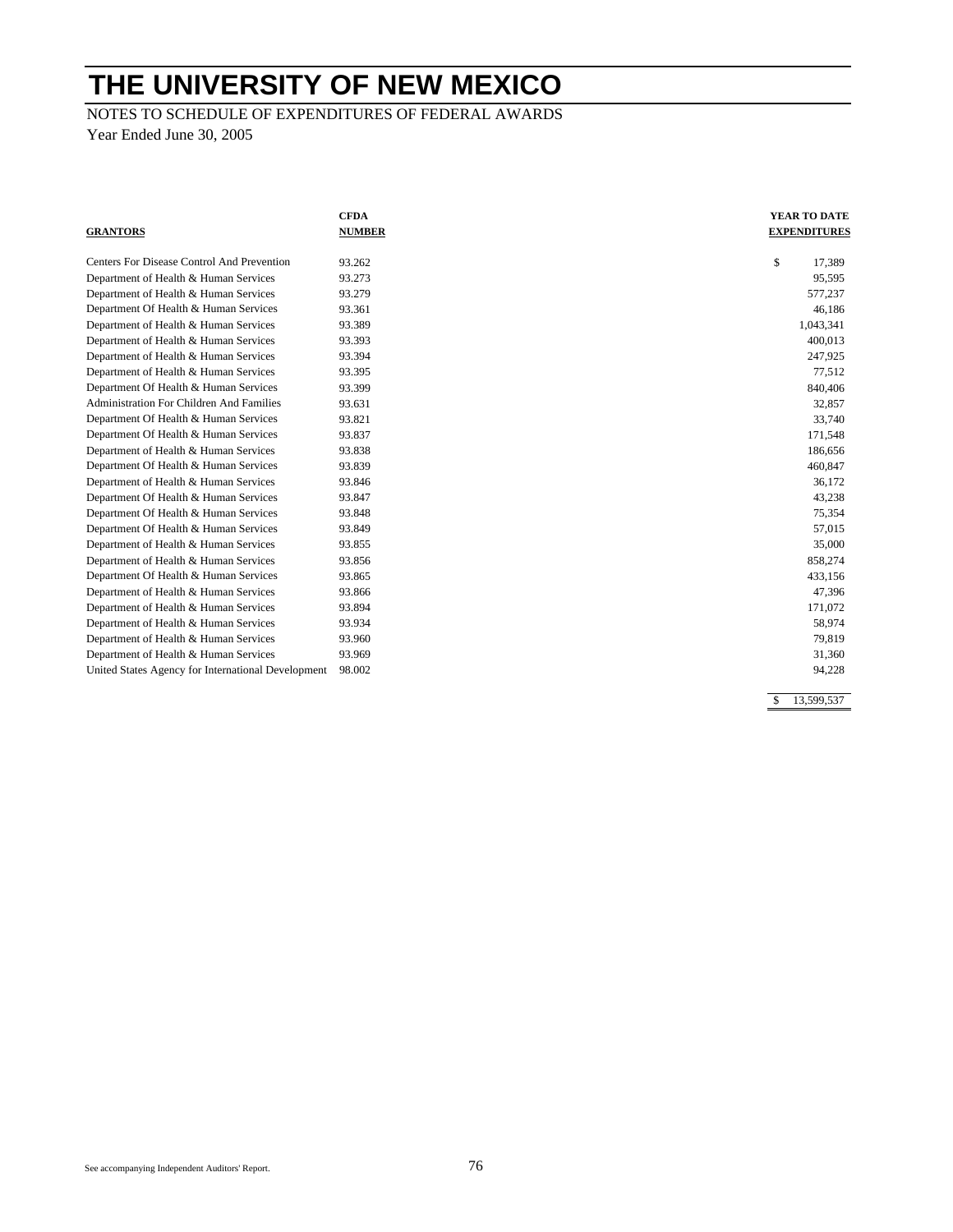#### NOTES TO SCHEDULE OF EXPENDITURES OF FEDERAL AWARDS

Year Ended June 30, 2005

|                                                    | <b>CFDA</b>   | YEAR TO DATE        |
|----------------------------------------------------|---------------|---------------------|
| <b>GRANTORS</b>                                    | <b>NUMBER</b> | <b>EXPENDITURES</b> |
| Centers For Disease Control And Prevention         | 93.262        | \$<br>17,389        |
| Department of Health & Human Services              | 93.273        | 95,595              |
| Department of Health & Human Services              | 93.279        | 577,237             |
| Department Of Health & Human Services              | 93.361        | 46,186              |
| Department of Health & Human Services              | 93.389        | 1,043,341           |
| Department of Health & Human Services              | 93.393        | 400,013             |
| Department of Health & Human Services              | 93.394        | 247,925             |
| Department of Health & Human Services              | 93.395        | 77,512              |
| Department Of Health & Human Services              | 93.399        | 840,406             |
| <b>Administration For Children And Families</b>    | 93.631        | 32,857              |
| Department Of Health & Human Services              | 93.821        | 33,740              |
| Department Of Health & Human Services              | 93.837        | 171,548             |
| Department of Health & Human Services              | 93.838        | 186,656             |
| Department Of Health & Human Services              | 93.839        | 460,847             |
| Department of Health & Human Services              | 93.846        | 36,172              |
| Department Of Health & Human Services              | 93.847        | 43,238              |
| Department Of Health & Human Services              | 93.848        | 75,354              |
| Department Of Health & Human Services              | 93.849        | 57,015              |
| Department of Health & Human Services              | 93.855        | 35,000              |
| Department of Health & Human Services              | 93.856        | 858,274             |
| Department Of Health & Human Services              | 93.865        | 433,156             |
| Department of Health & Human Services              | 93.866        | 47,396              |
| Department of Health & Human Services              | 93.894        | 171,072             |
| Department of Health & Human Services              | 93.934        | 58,974              |
| Department of Health & Human Services              | 93.960        | 79,819              |
| Department of Health & Human Services              | 93.969        | 31,360              |
| United States Agency for International Development | 98.002        | 94,228              |

\$ 13,599,537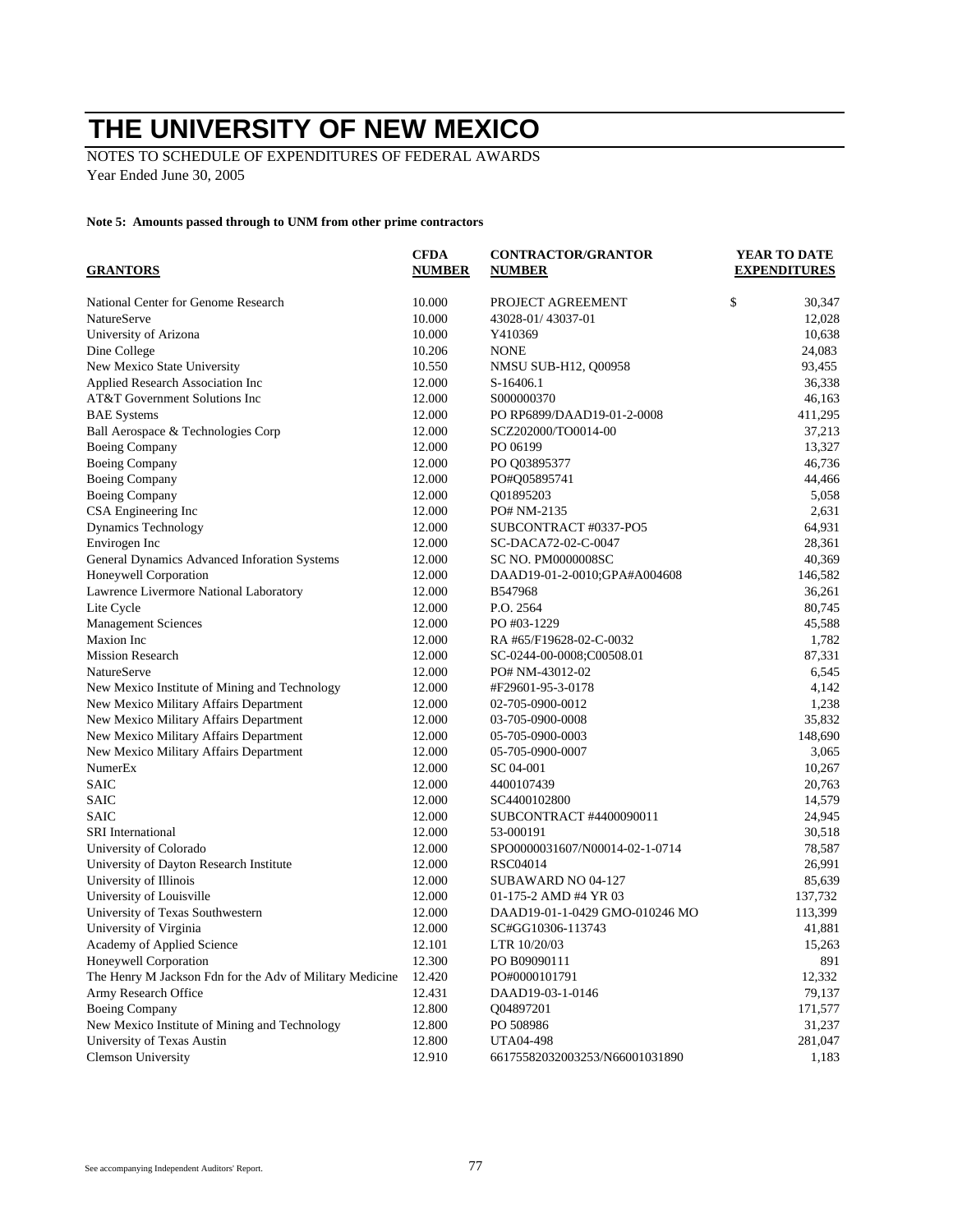NOTES TO SCHEDULE OF EXPENDITURES OF FEDERAL AWARDS Year Ended June 30, 2005

|                                                          | <b>CFDA</b>   | <b>CONTRACTOR/GRANTOR</b>      | YEAR TO DATE        |
|----------------------------------------------------------|---------------|--------------------------------|---------------------|
| <b>GRANTORS</b>                                          | <b>NUMBER</b> | <b>NUMBER</b>                  | <b>EXPENDITURES</b> |
| National Center for Genome Research                      | 10.000        | PROJECT AGREEMENT              | \$<br>30,347        |
| NatureServe                                              | 10.000        | 43028-01/43037-01              | 12,028              |
| University of Arizona                                    | 10.000        | Y410369                        | 10,638              |
| Dine College                                             | 10.206        | <b>NONE</b>                    | 24,083              |
| New Mexico State University                              | 10.550        | NMSU SUB-H12, Q00958           | 93,455              |
| Applied Research Association Inc                         | 12.000        | S-16406.1                      | 36,338              |
| AT&T Government Solutions Inc                            | 12.000        | S000000370                     | 46,163              |
| <b>BAE</b> Systems                                       | 12.000        | PO RP6899/DAAD19-01-2-0008     | 411,295             |
| Ball Aerospace & Technologies Corp                       | 12.000        | SCZ202000/TO0014-00            | 37,213              |
| <b>Boeing Company</b>                                    | 12.000        | PO 06199                       | 13,327              |
| <b>Boeing Company</b>                                    | 12.000        | PO Q03895377                   | 46,736              |
| <b>Boeing Company</b>                                    | 12.000        | PO#Q05895741                   | 44,466              |
| <b>Boeing Company</b>                                    | 12.000        | Q01895203                      | 5,058               |
| CSA Engineering Inc                                      | 12.000        | PO# NM-2135                    | 2,631               |
| <b>Dynamics Technology</b>                               | 12.000        | SUBCONTRACT #0337-PO5          | 64,931              |
| Envirogen Inc                                            | 12.000        | SC-DACA72-02-C-0047            | 28,361              |
| General Dynamics Advanced Inforation Systems             | 12.000        | <b>SC NO. PM0000008SC</b>      | 40,369              |
| Honeywell Corporation                                    | 12.000        | DAAD19-01-2-0010;GPA#A004608   | 146,582             |
| Lawrence Livermore National Laboratory                   | 12.000        | B547968                        | 36,261              |
| Lite Cycle                                               | 12.000        | P.O. 2564                      | 80,745              |
| <b>Management Sciences</b>                               | 12.000        | PO #03-1229                    | 45,588              |
| Maxion Inc                                               | 12.000        | RA #65/F19628-02-C-0032        | 1,782               |
| <b>Mission Research</b>                                  | 12.000        | SC-0244-00-0008;C00508.01      | 87,331              |
| NatureServe                                              | 12.000        | PO# NM-43012-02                | 6,545               |
| New Mexico Institute of Mining and Technology            | 12.000        | #F29601-95-3-0178              | 4,142               |
| New Mexico Military Affairs Department                   | 12.000        | 02-705-0900-0012               | 1,238               |
| New Mexico Military Affairs Department                   | 12.000        | 03-705-0900-0008               | 35,832              |
| New Mexico Military Affairs Department                   | 12.000        | 05-705-0900-0003               | 148,690             |
| New Mexico Military Affairs Department                   | 12.000        | 05-705-0900-0007               | 3,065               |
| NumerEx                                                  | 12.000        | SC 04-001                      | 10,267              |
| <b>SAIC</b>                                              | 12.000        | 4400107439                     | 20,763              |
| SAIC                                                     | 12.000        | SC4400102800                   | 14,579              |
| <b>SAIC</b>                                              | 12.000        | SUBCONTRACT #4400090011        | 24,945              |
| <b>SRI</b> International                                 | 12.000        | 53-000191                      | 30,518              |
| University of Colorado                                   | 12.000        | SPO0000031607/N00014-02-1-0714 | 78,587              |
| University of Dayton Research Institute                  | 12.000        | RSC04014                       | 26,991              |
| University of Illinois                                   | 12.000        | SUBAWARD NO 04-127             | 85,639              |
| University of Louisville                                 | 12.000        | 01-175-2 AMD #4 YR 03          | 137,732             |
| University of Texas Southwestern                         | 12.000        | DAAD19-01-1-0429 GMO-010246 MO | 113,399             |
| University of Virginia                                   | 12.000        | SC#GG10306-113743              | 41,881              |
| Academy of Applied Science                               | 12.101        | LTR 10/20/03                   | 15,263              |
| Honeywell Corporation                                    | 12.300        | PO B09090111                   | 891                 |
| The Henry M Jackson Fdn for the Adv of Military Medicine | 12.420        | PO#0000101791                  | 12,332              |
| Army Research Office                                     | 12.431        | DAAD19-03-1-0146               | 79,137              |
| <b>Boeing Company</b>                                    | 12.800        | Q04897201                      | 171,577             |
| New Mexico Institute of Mining and Technology            | 12.800        | PO 508986                      | 31,237              |
| University of Texas Austin                               | 12.800        | <b>UTA04-498</b>               | 281,047             |
| <b>Clemson University</b>                                | 12.910        | 66175582032003253/N66001031890 | 1,183               |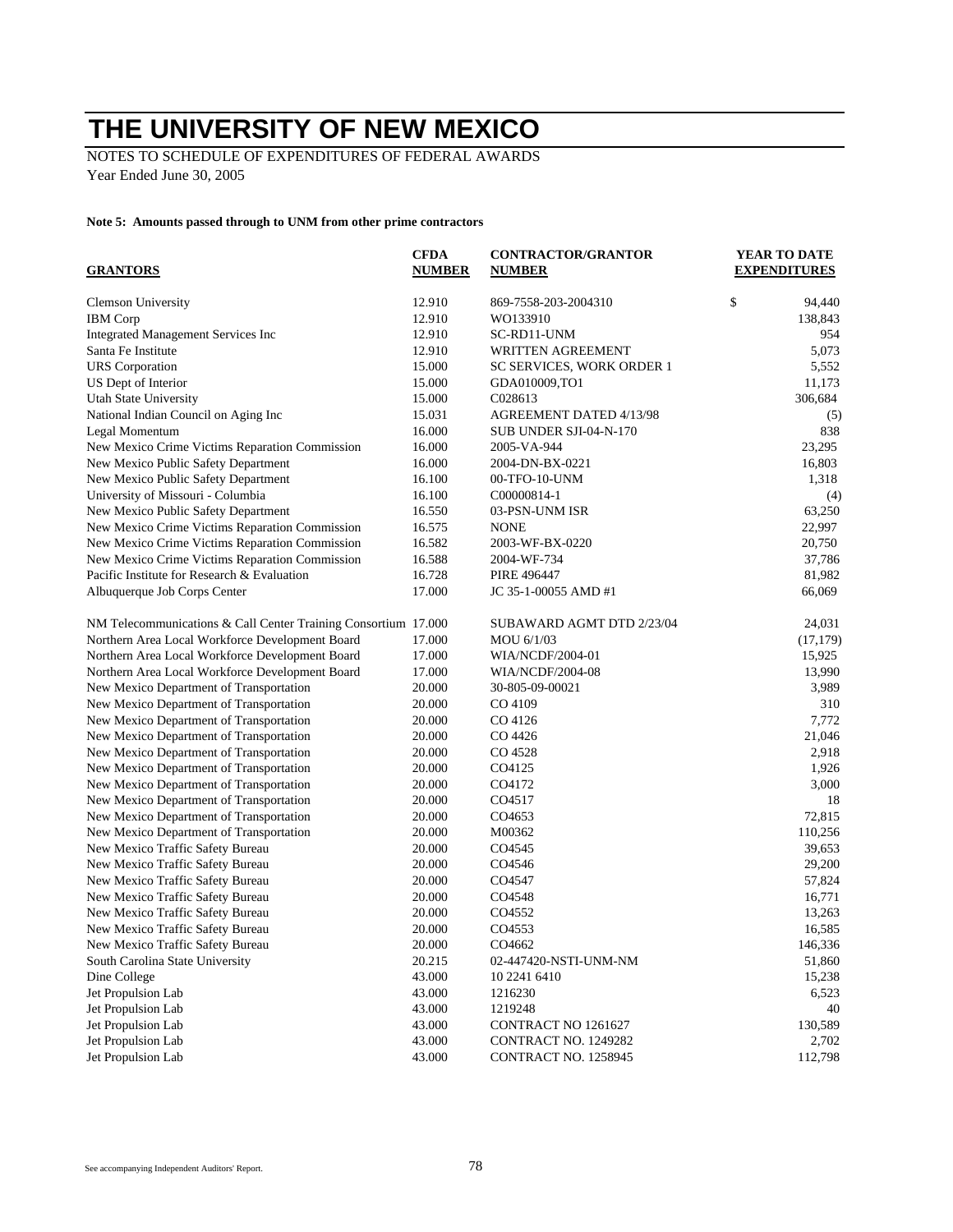NOTES TO SCHEDULE OF EXPENDITURES OF FEDERAL AWARDS Year Ended June 30, 2005

|                                                                | <b>CFDA</b>   | <b>CONTRACTOR/GRANTOR</b>                                | YEAR TO DATE        |
|----------------------------------------------------------------|---------------|----------------------------------------------------------|---------------------|
| <b>GRANTORS</b>                                                | <b>NUMBER</b> | <b>NUMBER</b>                                            | <b>EXPENDITURES</b> |
| <b>Clemson University</b>                                      | 12.910        | 869-7558-203-2004310                                     | \$<br>94,440        |
| <b>IBM</b> Corp                                                | 12.910        | WO133910                                                 | 138,843             |
| <b>Integrated Management Services Inc</b>                      | 12.910        | SC-RD11-UNM                                              | 954                 |
| Santa Fe Institute                                             | 12.910        | <b>WRITTEN AGREEMENT</b>                                 | 5,073               |
| <b>URS</b> Corporation                                         | 15.000        | SC SERVICES, WORK ORDER 1                                | 5,552               |
| US Dept of Interior                                            | 15.000        | GDA010009,TO1                                            | 11,173              |
| Utah State University                                          | 15.000        | C028613                                                  | 306,684             |
|                                                                | 15.031        |                                                          |                     |
| National Indian Council on Aging Inc                           | 16.000        | <b>AGREEMENT DATED 4/13/98</b><br>SUB UNDER SJI-04-N-170 | (5)<br>838          |
| Legal Momentum                                                 |               |                                                          | 23,295              |
| New Mexico Crime Victims Reparation Commission                 | 16.000        | 2005-VA-944                                              |                     |
| New Mexico Public Safety Department                            | 16.000        | 2004-DN-BX-0221                                          | 16,803              |
| New Mexico Public Safety Department                            | 16.100        | 00-TFO-10-UNM                                            | 1,318               |
| University of Missouri - Columbia                              | 16.100        | C00000814-1                                              | (4)                 |
| New Mexico Public Safety Department                            | 16.550        | 03-PSN-UNM ISR                                           | 63,250              |
| New Mexico Crime Victims Reparation Commission                 | 16.575        | <b>NONE</b>                                              | 22,997              |
| New Mexico Crime Victims Reparation Commission                 | 16.582        | 2003-WF-BX-0220                                          | 20,750              |
| New Mexico Crime Victims Reparation Commission                 | 16.588        | 2004-WF-734                                              | 37,786              |
| Pacific Institute for Research & Evaluation                    | 16.728        | PIRE 496447                                              | 81,982              |
| Albuquerque Job Corps Center                                   | 17.000        | JC 35-1-00055 AMD #1                                     | 66,069              |
| NM Telecommunications & Call Center Training Consortium 17.000 |               | SUBAWARD AGMT DTD 2/23/04                                | 24,031              |
| Northern Area Local Workforce Development Board                | 17.000        | MOU 6/1/03                                               | (17, 179)           |
| Northern Area Local Workforce Development Board                | 17.000        | WIA/NCDF/2004-01                                         | 15,925              |
| Northern Area Local Workforce Development Board                | 17.000        | <b>WIA/NCDF/2004-08</b>                                  | 13,990              |
| New Mexico Department of Transportation                        | 20.000        | 30-805-09-00021                                          | 3,989               |
| New Mexico Department of Transportation                        | 20.000        | CO 4109                                                  | 310                 |
| New Mexico Department of Transportation                        | 20.000        | CO 4126                                                  | 7,772               |
| New Mexico Department of Transportation                        | 20.000        | CO 4426                                                  | 21,046              |
| New Mexico Department of Transportation                        | 20.000        | CO 4528                                                  | 2,918               |
| New Mexico Department of Transportation                        | 20.000        | CO4125                                                   | 1,926               |
| New Mexico Department of Transportation                        | 20.000        | CO4172                                                   | 3,000               |
| New Mexico Department of Transportation                        | 20.000        | CO4517                                                   | 18                  |
| New Mexico Department of Transportation                        | 20.000        | CO <sub>4653</sub>                                       | 72,815              |
| New Mexico Department of Transportation                        | 20.000        | M00362                                                   | 110,256             |
| New Mexico Traffic Safety Bureau                               | 20.000        | CO4545                                                   | 39,653              |
|                                                                |               |                                                          |                     |
| New Mexico Traffic Safety Bureau                               | 20.000        | CO4546                                                   | 29,200              |
| New Mexico Traffic Safety Bureau                               | 20.000        | CO4547                                                   | 57,824              |
| New Mexico Traffic Safety Bureau                               | 20.000        | CO4548                                                   | 16,771              |
| New Mexico Traffic Safety Bureau                               | 20.000        | CO4552                                                   | 13,263              |
| New Mexico Traffic Safety Bureau                               | 20.000        | CO4553                                                   | 16,585              |
| New Mexico Traffic Safety Bureau                               | 20.000        | CO4662                                                   | 146,336             |
| South Carolina State University                                | 20.215        | 02-447420-NSTI-UNM-NM                                    | 51,860              |
| Dine College                                                   | 43.000        | 10 2241 6410                                             | 15,238              |
| Jet Propulsion Lab                                             | 43.000        | 1216230                                                  | 6,523               |
| Jet Propulsion Lab                                             | 43.000        | 1219248                                                  | 40                  |
| Jet Propulsion Lab                                             | 43.000        | CONTRACT NO 1261627                                      | 130,589             |
| Jet Propulsion Lab                                             | 43.000        | CONTRACT NO. 1249282                                     | 2,702               |
| Jet Propulsion Lab                                             | 43.000        | CONTRACT NO. 1258945                                     | 112,798             |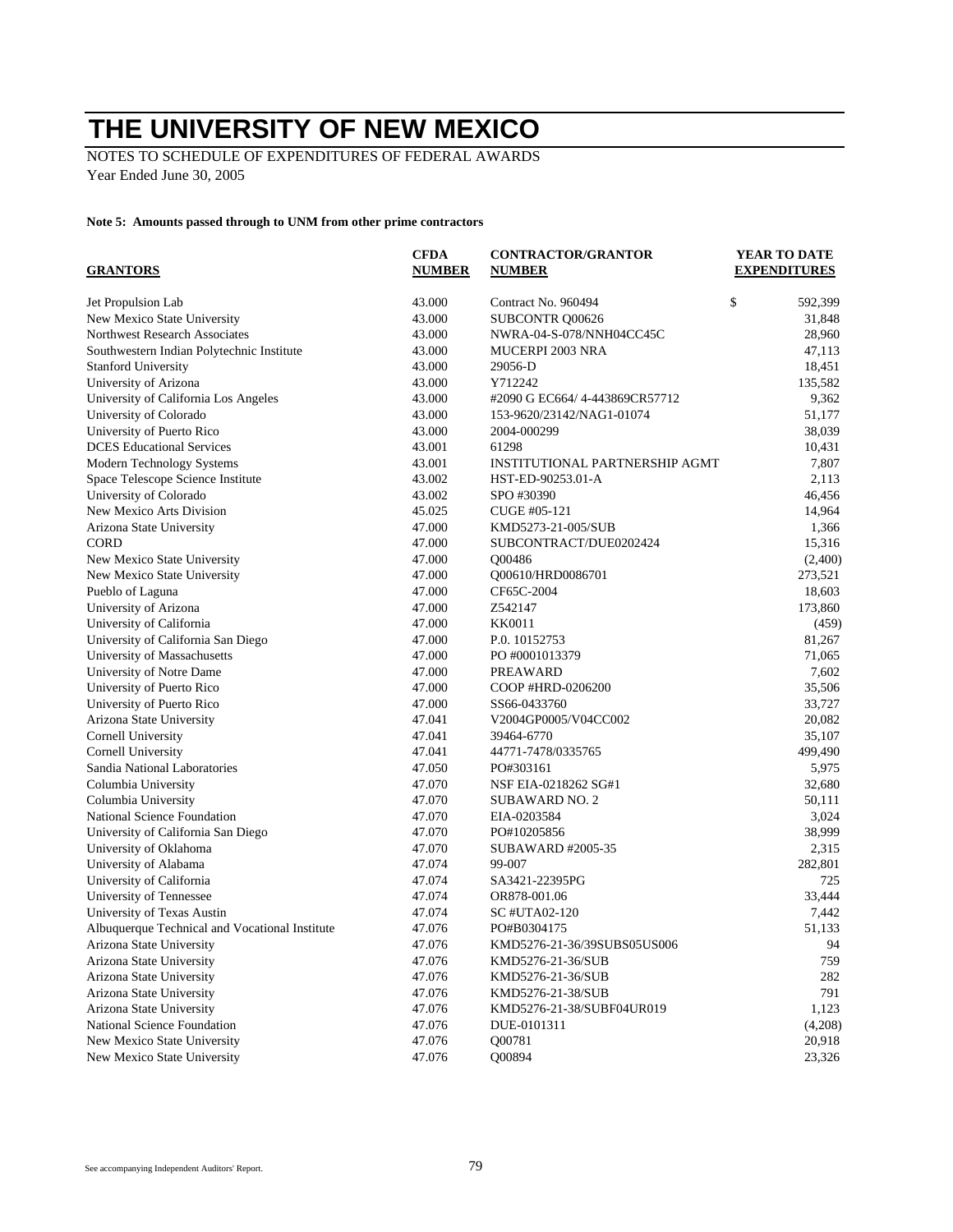NOTES TO SCHEDULE OF EXPENDITURES OF FEDERAL AWARDS Year Ended June 30, 2005

|                                                | <b>CFDA</b>   | <b>CONTRACTOR/GRANTOR</b>                | YEAR TO DATE        |
|------------------------------------------------|---------------|------------------------------------------|---------------------|
| <b>GRANTORS</b>                                | <b>NUMBER</b> | <b>NUMBER</b>                            | <b>EXPENDITURES</b> |
| Jet Propulsion Lab                             | 43.000        | Contract No. 960494                      | \$<br>592,399       |
| New Mexico State University                    | 43.000        | SUBCONTR Q00626                          | 31,848              |
| Northwest Research Associates                  | 43.000        | NWRA-04-S-078/NNH04CC45C                 | 28,960              |
| Southwestern Indian Polytechnic Institute      | 43.000        | <b>MUCERPI 2003 NRA</b>                  | 47,113              |
| <b>Stanford University</b>                     | 43.000        | 29056-D                                  | 18,451              |
| University of Arizona                          | 43.000        | Y712242                                  | 135,582             |
| University of California Los Angeles           | 43.000        | #2090 G EC664/4-443869CR57712            | 9,362               |
| University of Colorado                         | 43.000        |                                          | 51,177              |
| University of Puerto Rico                      | 43.000        | 153-9620/23142/NAG1-01074<br>2004-000299 | 38,039              |
| <b>DCES</b> Educational Services               | 43.001        | 61298                                    |                     |
|                                                | 43.001        | INSTITUTIONAL PARTNERSHIP AGMT           | 10,431<br>7,807     |
| Modern Technology Systems                      | 43.002        | HST-ED-90253.01-A                        | 2,113               |
| Space Telescope Science Institute              | 43.002        |                                          | 46,456              |
| University of Colorado                         |               | SPO #30390                               |                     |
| New Mexico Arts Division                       | 45.025        | CUGE #05-121                             | 14,964              |
| Arizona State University                       | 47.000        | KMD5273-21-005/SUB                       | 1,366               |
| <b>CORD</b>                                    | 47.000        | SUBCONTRACT/DUE0202424                   | 15,316              |
| New Mexico State University                    | 47.000        | Q00486                                   | (2,400)             |
| New Mexico State University                    | 47.000        | Q00610/HRD0086701                        | 273,521             |
| Pueblo of Laguna                               | 47.000        | CF65C-2004                               | 18,603              |
| University of Arizona                          | 47.000        | Z542147                                  | 173,860             |
| University of California                       | 47.000        | <b>KK0011</b>                            | (459)               |
| University of California San Diego             | 47.000        | P.O. 10152753                            | 81,267              |
| University of Massachusetts                    | 47.000        | PO #0001013379                           | 71,065              |
| University of Notre Dame                       | 47.000        | <b>PREAWARD</b>                          | 7,602               |
| University of Puerto Rico                      | 47.000        | COOP #HRD-0206200                        | 35,506              |
| University of Puerto Rico                      | 47.000        | SS66-0433760                             | 33,727              |
| Arizona State University                       | 47.041        | V2004GP0005/V04CC002                     | 20,082              |
| Cornell University                             | 47.041        | 39464-6770                               | 35,107              |
| Cornell University                             | 47.041        | 44771-7478/0335765                       | 499,490             |
| Sandia National Laboratories                   | 47.050        | PO#303161                                | 5,975               |
| Columbia University                            | 47.070        | NSF EIA-0218262 SG#1                     | 32,680              |
| Columbia University                            | 47.070        | <b>SUBAWARD NO. 2</b>                    | 50,111              |
| National Science Foundation                    | 47.070        | EIA-0203584                              | 3,024               |
| University of California San Diego             | 47.070        | PO#10205856                              | 38,999              |
| University of Oklahoma                         | 47.070        | SUBAWARD #2005-35                        | 2,315               |
| University of Alabama                          | 47.074        | 99-007                                   | 282,801             |
| University of California                       | 47.074        | SA3421-22395PG                           | 725                 |
| University of Tennessee                        | 47.074        | OR878-001.06                             | 33,444              |
| University of Texas Austin                     | 47.074        | SC #UTA02-120                            | 7,442               |
| Albuquerque Technical and Vocational Institute | 47.076        | PO#B0304175                              | 51,133              |
| Arizona State University                       | 47.076        | KMD5276-21-36/39SUBS05US006              | 94                  |
| Arizona State University                       | 47.076        | KMD5276-21-36/SUB                        | 759                 |
| Arizona State University                       | 47.076        | KMD5276-21-36/SUB                        | 282                 |
| Arizona State University                       | 47.076        | KMD5276-21-38/SUB                        | 791                 |
| Arizona State University                       | 47.076        | KMD5276-21-38/SUBF04UR019                | 1,123               |
| National Science Foundation                    | 47.076        | DUE-0101311                              | (4,208)             |
| New Mexico State University                    | 47.076        | Q00781                                   | 20,918              |
| New Mexico State University                    | 47.076        | Q00894                                   | 23,326              |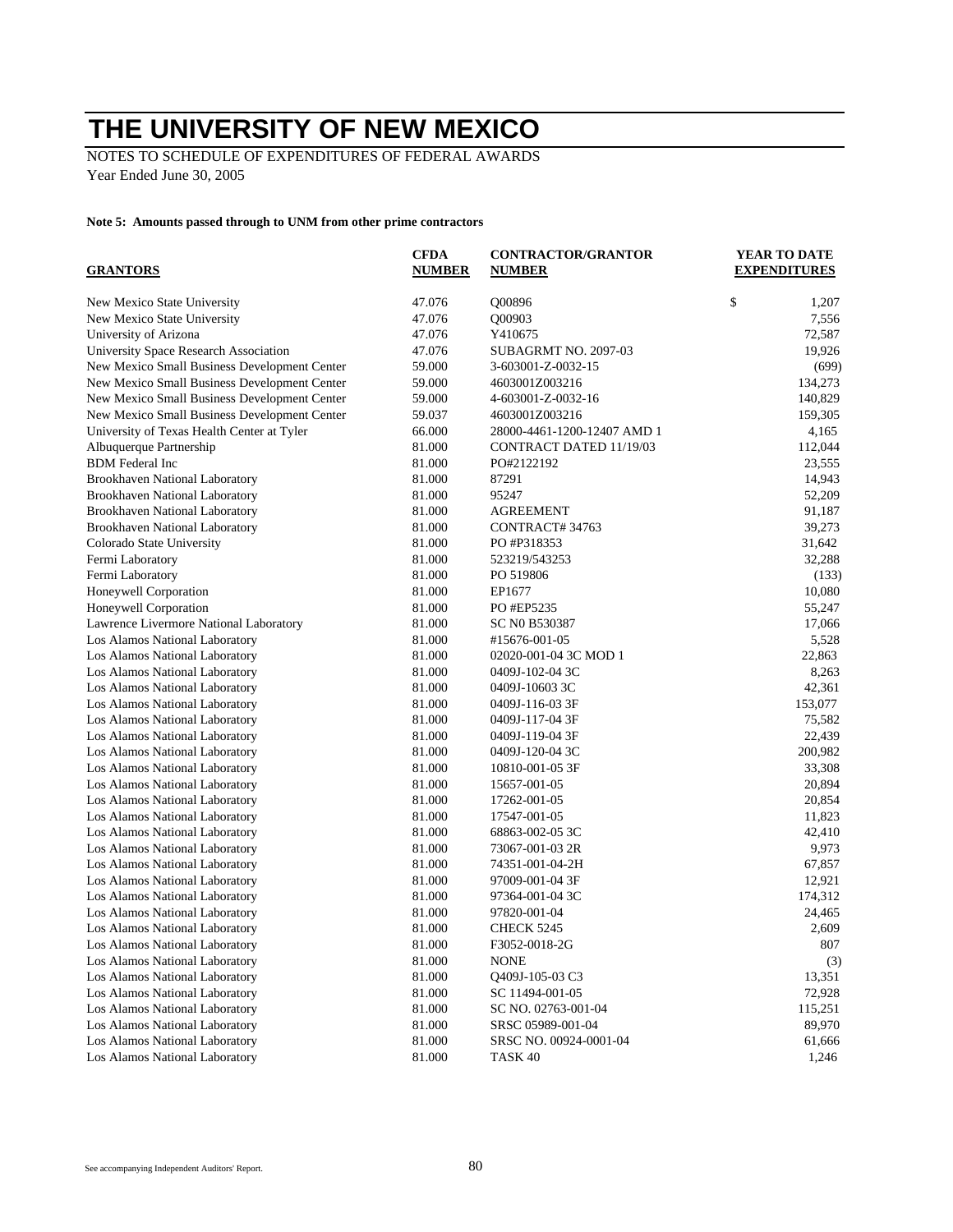NOTES TO SCHEDULE OF EXPENDITURES OF FEDERAL AWARDS Year Ended June 30, 2005

|                                              | <b>CFDA</b>   | <b>CONTRACTOR/GRANTOR</b>   | YEAR TO DATE        |
|----------------------------------------------|---------------|-----------------------------|---------------------|
| <b>GRANTORS</b>                              | <b>NUMBER</b> | <b>NUMBER</b>               | <b>EXPENDITURES</b> |
| New Mexico State University                  | 47.076        | O00896                      | \$<br>1,207         |
| New Mexico State University                  | 47.076        | Q00903                      | 7,556               |
| University of Arizona                        | 47.076        | Y410675                     | 72,587              |
| University Space Research Association        | 47.076        | SUBAGRMT NO. 2097-03        | 19,926              |
| New Mexico Small Business Development Center | 59.000        | 3-603001-Z-0032-15          | (699)               |
| New Mexico Small Business Development Center | 59.000        | 4603001Z003216              | 134,273             |
| New Mexico Small Business Development Center | 59.000        | 4-603001-Z-0032-16          | 140,829             |
| New Mexico Small Business Development Center | 59.037        | 4603001Z003216              | 159,305             |
| University of Texas Health Center at Tyler   | 66.000        | 28000-4461-1200-12407 AMD 1 | 4,165               |
| Albuquerque Partnership                      | 81.000        | CONTRACT DATED 11/19/03     | 112,044             |
| <b>BDM</b> Federal Inc                       | 81.000        | PO#2122192                  | 23,555              |
| Brookhaven National Laboratory               | 81.000        | 87291                       | 14,943              |
| Brookhaven National Laboratory               | 81.000        | 95247                       | 52,209              |
| Brookhaven National Laboratory               | 81.000        | <b>AGREEMENT</b>            | 91,187              |
| Brookhaven National Laboratory               | 81.000        | CONTRACT#34763              | 39,273              |
| Colorado State University                    | 81.000        | PO #P318353                 | 31,642              |
| Fermi Laboratory                             | 81.000        | 523219/543253               | 32,288              |
| Fermi Laboratory                             | 81.000        | PO 519806                   | (133)               |
| Honeywell Corporation                        | 81.000        | EP1677                      | 10,080              |
| Honeywell Corporation                        | 81.000        | PO #EP5235                  | 55,247              |
| Lawrence Livermore National Laboratory       | 81.000        | <b>SC N0 B530387</b>        | 17,066              |
| Los Alamos National Laboratory               | 81.000        | #15676-001-05               | 5,528               |
| Los Alamos National Laboratory               | 81.000        | 02020-001-04 3C MOD 1       | 22,863              |
| Los Alamos National Laboratory               | 81.000        | 0409J-102-04 3C             | 8,263               |
| Los Alamos National Laboratory               | 81.000        | 0409J-10603 3C              | 42,361              |
| Los Alamos National Laboratory               | 81.000        | 0409J-116-03 3F             | 153,077             |
| Los Alamos National Laboratory               | 81.000        | 0409J-117-04 3F             | 75,582              |
| Los Alamos National Laboratory               | 81.000        | 0409J-119-04 3F             | 22,439              |
| Los Alamos National Laboratory               | 81.000        | 0409J-120-04 3C             | 200,982             |
| Los Alamos National Laboratory               | 81.000        | 10810-001-053F              | 33,308              |
| Los Alamos National Laboratory               | 81.000        | 15657-001-05                | 20,894              |
| Los Alamos National Laboratory               | 81.000        | 17262-001-05                | 20,854              |
| Los Alamos National Laboratory               | 81.000        | 17547-001-05                | 11,823              |
| Los Alamos National Laboratory               | 81.000        | 68863-002-053C              | 42,410              |
| Los Alamos National Laboratory               | 81.000        | 73067-001-03 2R             | 9,973               |
| Los Alamos National Laboratory               | 81.000        | 74351-001-04-2H             | 67,857              |
| Los Alamos National Laboratory               | 81.000        | 97009-001-04 3F             | 12,921              |
| Los Alamos National Laboratory               | 81.000        | 97364-001-04 3C             | 174,312             |
| Los Alamos National Laboratory               | 81.000        | 97820-001-04                | 24,465              |
| Los Alamos National Laboratory               | 81.000        | <b>CHECK 5245</b>           | 2,609               |
| Los Alamos National Laboratory               | 81.000        | F3052-0018-2G               | 807                 |
| Los Alamos National Laboratory               | 81.000        | <b>NONE</b>                 | (3)                 |
| Los Alamos National Laboratory               | 81.000        | Q409J-105-03 C3             | 13,351              |
| Los Alamos National Laboratory               | 81.000        | SC 11494-001-05             | 72,928              |
| Los Alamos National Laboratory               | 81.000        | SC NO. 02763-001-04         | 115,251             |
| Los Alamos National Laboratory               | 81.000        | SRSC 05989-001-04           | 89.970              |
| Los Alamos National Laboratory               | 81.000        | SRSC NO. 00924-0001-04      | 61,666              |
| Los Alamos National Laboratory               | 81.000        | TASK <sub>40</sub>          | 1,246               |
|                                              |               |                             |                     |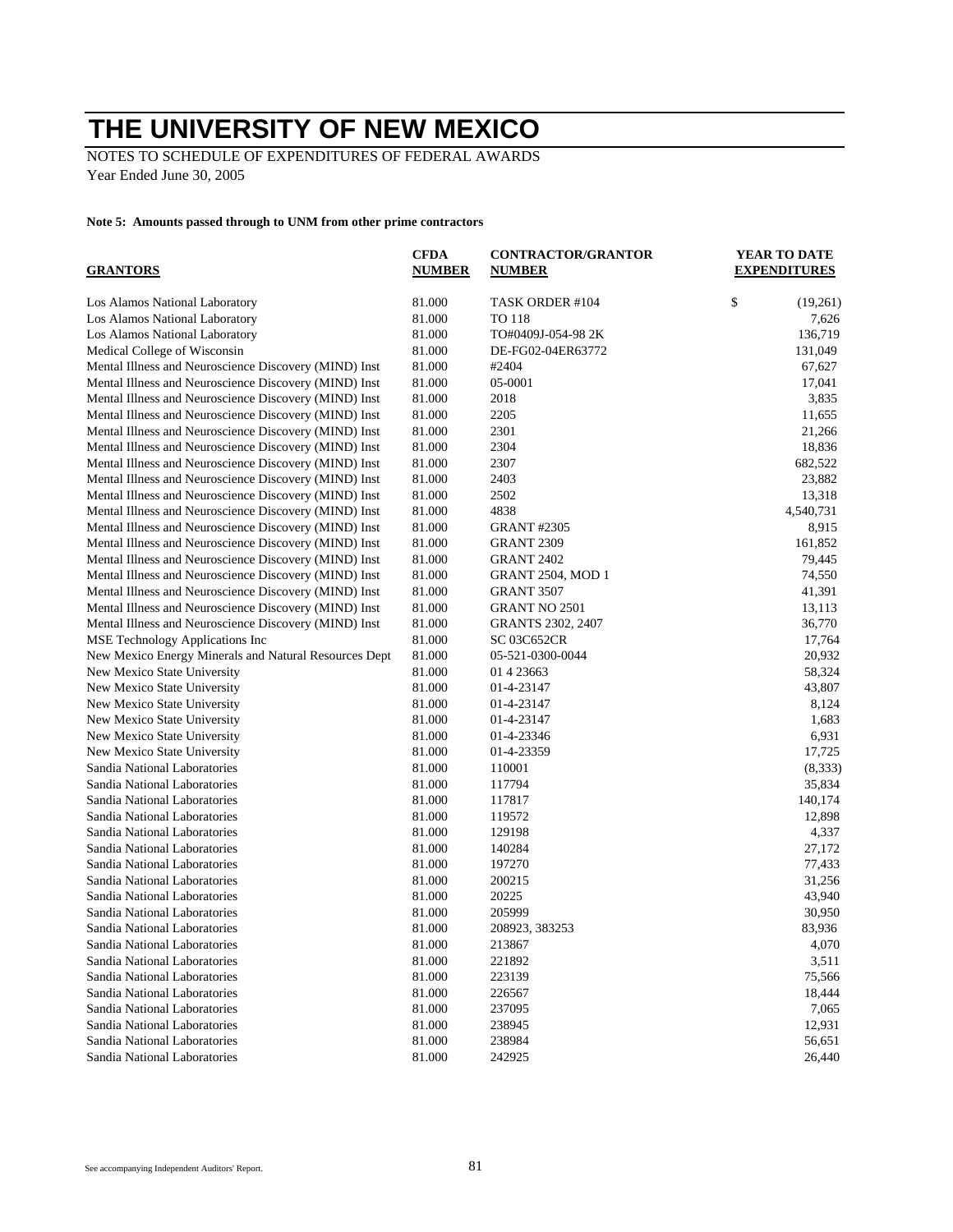NOTES TO SCHEDULE OF EXPENDITURES OF FEDERAL AWARDS Year Ended June 30, 2005

|                                                       | <b>CFDA</b>   | <b>CONTRACTOR/GRANTOR</b> | YEAR TO DATE        |
|-------------------------------------------------------|---------------|---------------------------|---------------------|
| <b>GRANTORS</b>                                       | <b>NUMBER</b> | <b>NUMBER</b>             | <b>EXPENDITURES</b> |
| Los Alamos National Laboratory                        | 81.000        | TASK ORDER #104           | \$<br>(19,261)      |
| Los Alamos National Laboratory                        | 81.000        | TO 118                    | 7,626               |
| Los Alamos National Laboratory                        | 81.000        | TO#0409J-054-98 2K        | 136,719             |
| Medical College of Wisconsin                          | 81.000        | DE-FG02-04ER63772         | 131,049             |
| Mental Illness and Neuroscience Discovery (MIND) Inst | 81.000        | #2404                     | 67,627              |
| Mental Illness and Neuroscience Discovery (MIND) Inst | 81.000        | 05-0001                   | 17,041              |
| Mental Illness and Neuroscience Discovery (MIND) Inst | 81.000        | 2018                      | 3,835               |
| Mental Illness and Neuroscience Discovery (MIND) Inst | 81.000        | 2205                      | 11,655              |
| Mental Illness and Neuroscience Discovery (MIND) Inst | 81.000        | 2301                      | 21,266              |
| Mental Illness and Neuroscience Discovery (MIND) Inst | 81.000        | 2304                      | 18,836              |
| Mental Illness and Neuroscience Discovery (MIND) Inst | 81.000        | 2307                      | 682,522             |
| Mental Illness and Neuroscience Discovery (MIND) Inst | 81.000        | 2403                      | 23,882              |
| Mental Illness and Neuroscience Discovery (MIND) Inst | 81.000        | 2502                      | 13,318              |
| Mental Illness and Neuroscience Discovery (MIND) Inst | 81.000        | 4838                      | 4,540,731           |
| Mental Illness and Neuroscience Discovery (MIND) Inst | 81.000        | <b>GRANT #2305</b>        | 8,915               |
| Mental Illness and Neuroscience Discovery (MIND) Inst | 81.000        | <b>GRANT 2309</b>         | 161,852             |
| Mental Illness and Neuroscience Discovery (MIND) Inst | 81.000        | <b>GRANT 2402</b>         | 79,445              |
| Mental Illness and Neuroscience Discovery (MIND) Inst | 81.000        | <b>GRANT 2504, MOD 1</b>  | 74,550              |
| Mental Illness and Neuroscience Discovery (MIND) Inst | 81.000        | <b>GRANT 3507</b>         | 41,391              |
| Mental Illness and Neuroscience Discovery (MIND) Inst | 81.000        | <b>GRANT NO 2501</b>      | 13,113              |
| Mental Illness and Neuroscience Discovery (MIND) Inst | 81.000        | GRANTS 2302, 2407         | 36,770              |
| MSE Technology Applications Inc                       | 81.000        | SC 03C652CR               | 17,764              |
| New Mexico Energy Minerals and Natural Resources Dept | 81.000        | 05-521-0300-0044          | 20,932              |
| New Mexico State University                           | 81.000        | 01 4 2 3 6 6 3            | 58,324              |
| New Mexico State University                           | 81.000        | 01-4-23147                | 43,807              |
| New Mexico State University                           | 81.000        | 01-4-23147                | 8,124               |
| New Mexico State University                           | 81.000        | 01-4-23147                | 1,683               |
| New Mexico State University                           | 81.000        | 01-4-23346                | 6,931               |
| New Mexico State University                           | 81.000        | 01-4-23359                | 17,725              |
| Sandia National Laboratories                          | 81.000        | 110001                    | (8,333)             |
| Sandia National Laboratories                          | 81.000        | 117794                    | 35,834              |
| Sandia National Laboratories                          | 81.000        | 117817                    | 140,174             |
| Sandia National Laboratories                          | 81.000        | 119572                    | 12,898              |
| Sandia National Laboratories                          | 81.000        | 129198                    | 4,337               |
| Sandia National Laboratories                          | 81.000        | 140284                    | 27,172              |
| Sandia National Laboratories                          | 81.000        | 197270                    | 77,433              |
| Sandia National Laboratories                          | 81.000        | 200215                    | 31,256              |
| Sandia National Laboratories                          | 81.000        | 20225                     | 43,940              |
| Sandia National Laboratories                          | 81.000        | 205999                    | 30,950              |
| Sandia National Laboratories                          | 81.000        | 208923, 383253            | 83,936              |
| Sandia National Laboratories                          | 81.000        | 213867                    | 4,070               |
| Sandia National Laboratories                          | 81.000        | 221892                    | 3,511               |
| Sandia National Laboratories                          | 81.000        | 223139                    | 75,566              |
| Sandia National Laboratories                          | 81.000        | 226567                    | 18,444              |
| Sandia National Laboratories                          | 81.000        | 237095                    | 7,065               |
| Sandia National Laboratories                          | 81.000        | 238945                    | 12,931              |
| Sandia National Laboratories                          | 81.000        | 238984                    | 56,651              |
| Sandia National Laboratories                          | 81.000        | 242925                    | 26,440              |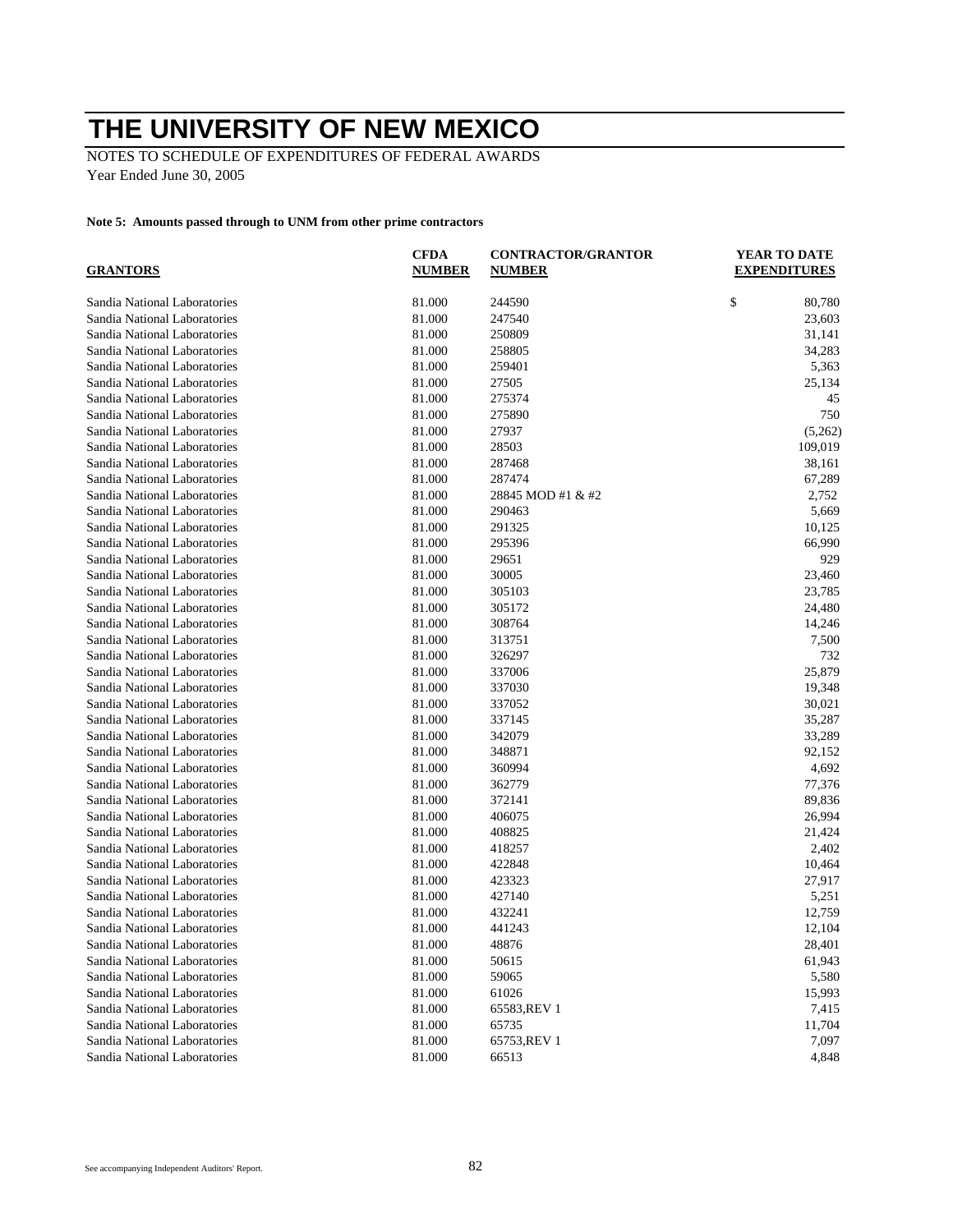NOTES TO SCHEDULE OF EXPENDITURES OF FEDERAL AWARDS Year Ended June 30, 2005

|                              | <b>CFDA</b>   | <b>CONTRACTOR/GRANTOR</b> | YEAR TO DATE        |
|------------------------------|---------------|---------------------------|---------------------|
| <b>GRANTORS</b>              | <b>NUMBER</b> | <b>NUMBER</b>             | <b>EXPENDITURES</b> |
|                              |               |                           |                     |
| Sandia National Laboratories | 81.000        | 244590                    | \$<br>80,780        |
| Sandia National Laboratories | 81.000        | 247540                    | 23,603              |
| Sandia National Laboratories | 81.000        | 250809                    | 31,141              |
| Sandia National Laboratories | 81.000        | 258805                    | 34,283              |
| Sandia National Laboratories | 81.000        | 259401                    | 5,363               |
| Sandia National Laboratories | 81.000        | 27505                     | 25,134              |
| Sandia National Laboratories | 81.000        | 275374                    | 45                  |
| Sandia National Laboratories | 81.000        | 275890                    | 750                 |
| Sandia National Laboratories | 81.000        | 27937                     | (5,262)             |
| Sandia National Laboratories | 81.000        | 28503                     | 109,019             |
| Sandia National Laboratories | 81.000        | 287468                    | 38,161              |
| Sandia National Laboratories | 81.000        | 287474                    | 67,289              |
| Sandia National Laboratories | 81.000        | 28845 MOD #1 & #2         | 2,752               |
| Sandia National Laboratories | 81.000        | 290463                    | 5,669               |
| Sandia National Laboratories | 81.000        | 291325                    | 10,125              |
| Sandia National Laboratories | 81.000        | 295396                    | 66,990              |
| Sandia National Laboratories | 81.000        | 29651                     | 929                 |
| Sandia National Laboratories | 81.000        | 30005                     | 23,460              |
| Sandia National Laboratories | 81.000        | 305103                    | 23,785              |
| Sandia National Laboratories | 81.000        | 305172                    | 24,480              |
| Sandia National Laboratories | 81.000        | 308764                    | 14,246              |
| Sandia National Laboratories | 81.000        | 313751                    | 7,500               |
| Sandia National Laboratories | 81.000        | 326297                    | 732                 |
| Sandia National Laboratories | 81.000        | 337006                    | 25,879              |
| Sandia National Laboratories | 81.000        | 337030                    | 19,348              |
| Sandia National Laboratories | 81.000        | 337052                    | 30,021              |
| Sandia National Laboratories | 81.000        | 337145                    | 35,287              |
| Sandia National Laboratories | 81.000        | 342079                    | 33,289              |
| Sandia National Laboratories | 81.000        | 348871                    | 92,152              |
| Sandia National Laboratories | 81.000        | 360994                    | 4,692               |
| Sandia National Laboratories | 81.000        | 362779                    | 77,376              |
| Sandia National Laboratories | 81.000        | 372141                    | 89,836              |
| Sandia National Laboratories | 81.000        | 406075                    | 26,994              |
| Sandia National Laboratories | 81.000        | 408825                    | 21,424              |
| Sandia National Laboratories | 81.000        | 418257                    | 2,402               |
| Sandia National Laboratories | 81.000        | 422848                    | 10,464              |
| Sandia National Laboratories | 81.000        | 423323                    | 27,917              |
| Sandia National Laboratories | 81.000        | 427140                    | 5,251               |
| Sandia National Laboratories | 81.000        | 432241                    | 12,759              |
| Sandia National Laboratories | 81.000        | 441243                    | 12,104              |
| Sandia National Laboratories | 81.000        | 48876                     | 28,401              |
| Sandia National Laboratories | 81.000        | 50615                     | 61,943              |
| Sandia National Laboratories | 81.000        | 59065                     | 5,580               |
| Sandia National Laboratories | 81.000        | 61026                     | 15,993              |
| Sandia National Laboratories | 81.000        | 65583, REV 1              | 7,415               |
| Sandia National Laboratories | 81.000        | 65735                     | 11,704              |
| Sandia National Laboratories | 81.000        | 65753, REV 1              | 7,097               |
| Sandia National Laboratories | 81.000        | 66513                     | 4,848               |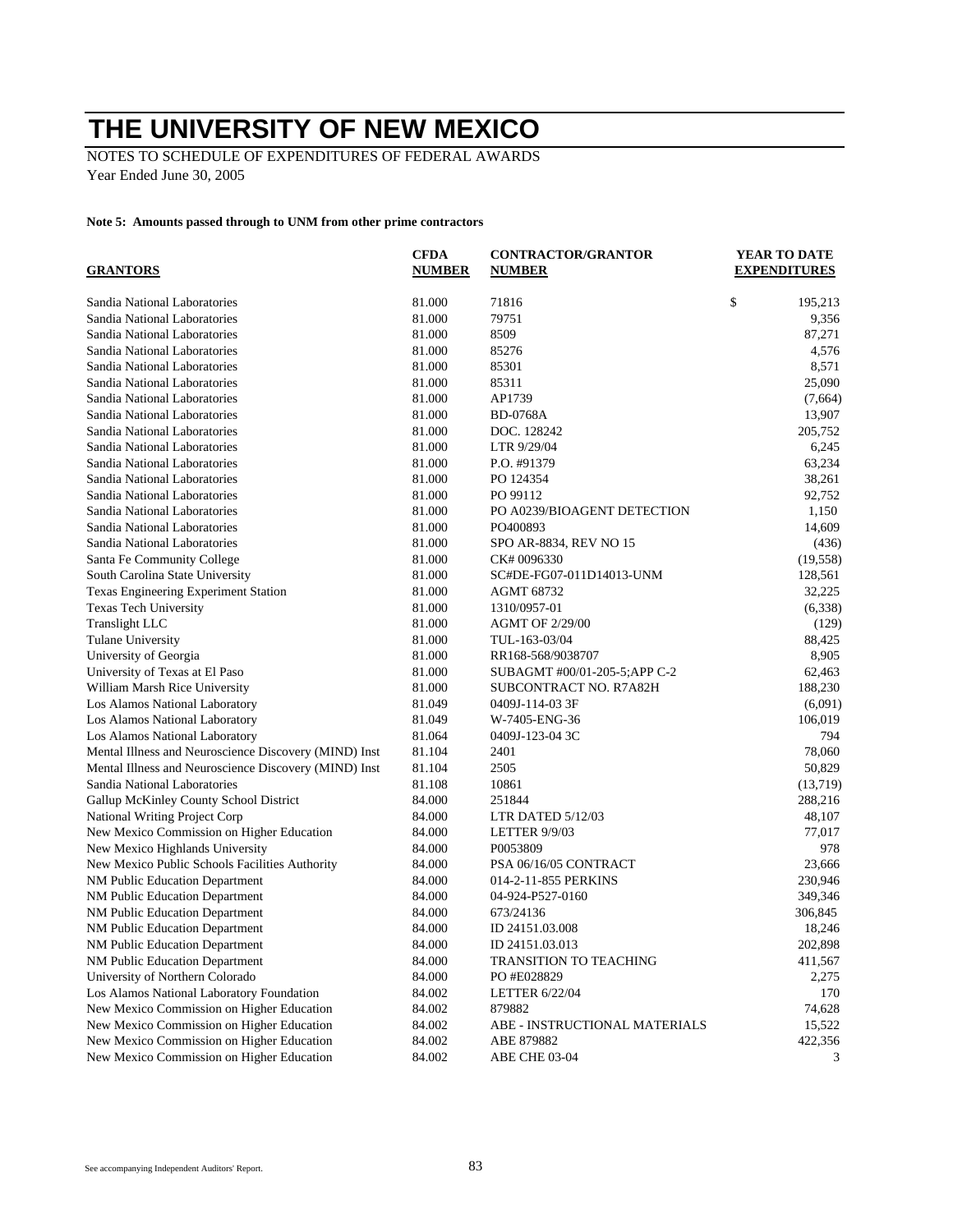NOTES TO SCHEDULE OF EXPENDITURES OF FEDERAL AWARDS Year Ended June 30, 2005

|                                                       | <b>CFDA</b>   | <b>CONTRACTOR/GRANTOR</b>     | YEAR TO DATE        |       |
|-------------------------------------------------------|---------------|-------------------------------|---------------------|-------|
| <b>GRANTORS</b>                                       | <b>NUMBER</b> | <b>NUMBER</b>                 | <b>EXPENDITURES</b> |       |
|                                                       |               |                               |                     |       |
| Sandia National Laboratories                          | 81.000        | 71816                         | \$<br>195,213       |       |
| Sandia National Laboratories                          | 81.000        | 79751                         | 9,356               |       |
| Sandia National Laboratories                          | 81.000        | 8509                          | 87,271              |       |
| Sandia National Laboratories                          | 81.000        | 85276                         | 4,576               |       |
| Sandia National Laboratories                          | 81.000        | 85301                         | 8,571               |       |
| Sandia National Laboratories                          | 81.000        | 85311                         | 25,090              |       |
| Sandia National Laboratories                          | 81.000        | AP1739                        | (7,664)             |       |
| Sandia National Laboratories                          | 81.000        | <b>BD-0768A</b>               | 13,907              |       |
| Sandia National Laboratories                          | 81.000        | DOC. 128242                   | 205,752             |       |
| Sandia National Laboratories                          | 81.000        | LTR 9/29/04                   | 6,245               |       |
| Sandia National Laboratories                          | 81.000        | P.O. #91379                   | 63,234              |       |
| Sandia National Laboratories                          | 81.000        | PO 124354                     | 38,261              |       |
| Sandia National Laboratories                          | 81.000        | PO 99112                      | 92,752              |       |
| Sandia National Laboratories                          | 81.000        | PO A0239/BIOAGENT DETECTION   | 1,150               |       |
| Sandia National Laboratories                          | 81.000        | PO400893                      | 14,609              |       |
| Sandia National Laboratories                          | 81.000        | SPO AR-8834, REV NO 15        |                     | (436) |
| Santa Fe Community College                            | 81.000        | CK#0096330                    | (19, 558)           |       |
| South Carolina State University                       | 81.000        | SC#DE-FG07-011D14013-UNM      | 128,561             |       |
| Texas Engineering Experiment Station                  | 81.000        | <b>AGMT 68732</b>             | 32,225              |       |
| Texas Tech University                                 | 81.000        | 1310/0957-01                  | (6,338)             |       |
| <b>Translight LLC</b>                                 | 81.000        | <b>AGMT OF 2/29/00</b>        |                     | (129) |
| Tulane University                                     | 81.000        | TUL-163-03/04                 | 88,425              |       |
| University of Georgia                                 | 81.000        | RR168-568/9038707             | 8,905               |       |
| University of Texas at El Paso                        | 81.000        | SUBAGMT #00/01-205-5;APP C-2  | 62,463              |       |
| William Marsh Rice University                         | 81.000        | SUBCONTRACT NO. R7A82H        | 188,230             |       |
| Los Alamos National Laboratory                        | 81.049        | 0409J-114-03 3F               | (6,091)             |       |
| Los Alamos National Laboratory                        | 81.049        | W-7405-ENG-36                 | 106,019             |       |
| Los Alamos National Laboratory                        | 81.064        | 0409J-123-04 3C               |                     | 794   |
| Mental Illness and Neuroscience Discovery (MIND) Inst | 81.104        | 2401                          | 78,060              |       |
| Mental Illness and Neuroscience Discovery (MIND) Inst | 81.104        | 2505                          | 50,829              |       |
| Sandia National Laboratories                          | 81.108        | 10861                         | (13,719)            |       |
| Gallup McKinley County School District                | 84.000        | 251844                        | 288,216             |       |
| National Writing Project Corp                         | 84.000        | <b>LTR DATED 5/12/03</b>      | 48,107              |       |
| New Mexico Commission on Higher Education             | 84.000        | <b>LETTER 9/9/03</b>          | 77,017              |       |
| New Mexico Highlands University                       | 84.000        | P0053809                      |                     | 978   |
| New Mexico Public Schools Facilities Authority        | 84.000        | PSA 06/16/05 CONTRACT         | 23,666              |       |
| NM Public Education Department                        | 84.000        | 014-2-11-855 PERKINS          | 230,946             |       |
| NM Public Education Department                        | 84.000        | 04-924-P527-0160              | 349,346             |       |
| NM Public Education Department                        | 84.000        | 673/24136                     | 306,845             |       |
| NM Public Education Department                        | 84.000        | ID 24151.03.008               | 18,246              |       |
| NM Public Education Department                        | 84.000        | ID 24151.03.013               | 202,898             |       |
| NM Public Education Department                        | 84.000        | <b>TRANSITION TO TEACHING</b> | 411,567             |       |
| University of Northern Colorado                       | 84.000        | PO #E028829                   |                     | 2,275 |
| Los Alamos National Laboratory Foundation             | 84.002        | <b>LETTER 6/22/04</b>         |                     | 170   |
| New Mexico Commission on Higher Education             | 84.002        | 879882                        | 74,628              |       |
| New Mexico Commission on Higher Education             | 84.002        | ABE - INSTRUCTIONAL MATERIALS | 15,522              |       |
| New Mexico Commission on Higher Education             | 84.002        | ABE 879882                    | 422,356             |       |
| New Mexico Commission on Higher Education             | 84.002        | ABE CHE 03-04                 |                     | 3     |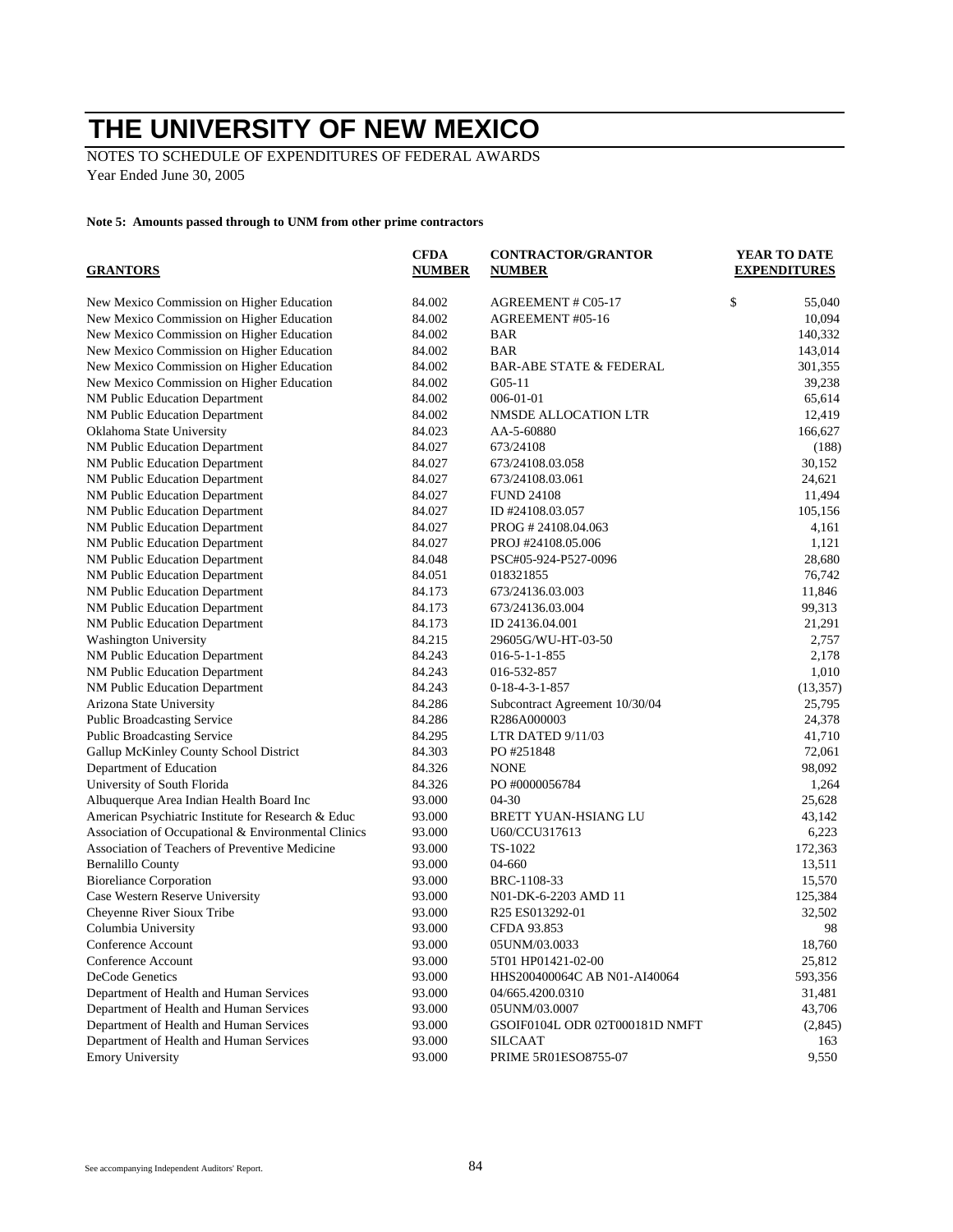NOTES TO SCHEDULE OF EXPENDITURES OF FEDERAL AWARDS Year Ended June 30, 2005

|                                                     | <b>CFDA</b>   | <b>CONTRACTOR/GRANTOR</b>          | YEAR TO DATE        |
|-----------------------------------------------------|---------------|------------------------------------|---------------------|
| <b>GRANTORS</b>                                     | <b>NUMBER</b> | <b>NUMBER</b>                      | <b>EXPENDITURES</b> |
| New Mexico Commission on Higher Education           | 84.002        | <b>AGREEMENT # C05-17</b>          | \$<br>55,040        |
| New Mexico Commission on Higher Education           | 84.002        | AGREEMENT#05-16                    | 10,094              |
| New Mexico Commission on Higher Education           | 84.002        | <b>BAR</b>                         | 140,332             |
| New Mexico Commission on Higher Education           | 84.002        | <b>BAR</b>                         | 143,014             |
| New Mexico Commission on Higher Education           | 84.002        | <b>BAR-ABE STATE &amp; FEDERAL</b> | 301,355             |
| New Mexico Commission on Higher Education           | 84.002        | $G05-11$                           | 39,238              |
| NM Public Education Department                      | 84.002        | 006-01-01                          | 65,614              |
| NM Public Education Department                      | 84.002        | NMSDE ALLOCATION LTR               | 12,419              |
| Oklahoma State University                           | 84.023        | AA-5-60880                         | 166,627             |
| NM Public Education Department                      | 84.027        | 673/24108                          | (188)               |
| NM Public Education Department                      | 84.027        | 673/24108.03.058                   | 30,152              |
|                                                     | 84.027        | 673/24108.03.061                   | 24,621              |
| NM Public Education Department                      | 84.027        | <b>FUND 24108</b>                  | 11,494              |
| NM Public Education Department                      |               |                                    |                     |
| NM Public Education Department                      | 84.027        | ID #24108.03.057                   | 105,156             |
| NM Public Education Department                      | 84.027        | PROG #24108.04.063                 | 4,161               |
| NM Public Education Department                      | 84.027        | PROJ #24108.05.006                 | 1,121               |
| NM Public Education Department                      | 84.048        | PSC#05-924-P527-0096               | 28,680              |
| NM Public Education Department                      | 84.051        | 018321855                          | 76,742              |
| NM Public Education Department                      | 84.173        | 673/24136.03.003                   | 11,846              |
| NM Public Education Department                      | 84.173        | 673/24136.03.004                   | 99,313              |
| NM Public Education Department                      | 84.173        | ID 24136.04.001                    | 21,291              |
| <b>Washington University</b>                        | 84.215        | 29605G/WU-HT-03-50                 | 2,757               |
| NM Public Education Department                      | 84.243        | $016 - 5 - 1 - 1 - 855$            | 2,178               |
| NM Public Education Department                      | 84.243        | 016-532-857                        | 1,010               |
| NM Public Education Department                      | 84.243        | $0-18-4-3-1-857$                   | (13, 357)           |
| Arizona State University                            | 84.286        | Subcontract Agreement 10/30/04     | 25,795              |
| <b>Public Broadcasting Service</b>                  | 84.286        | R286A000003                        | 24,378              |
| <b>Public Broadcasting Service</b>                  | 84.295        | LTR DATED 9/11/03                  | 41,710              |
| Gallup McKinley County School District              | 84.303        | PO #251848                         | 72,061              |
| Department of Education                             | 84.326        | <b>NONE</b>                        | 98,092              |
| University of South Florida                         | 84.326        | PO #0000056784                     | 1,264               |
| Albuquerque Area Indian Health Board Inc            | 93.000        | 04-30                              | 25,628              |
| American Psychiatric Institute for Research & Educ  | 93.000        | BRETT YUAN-HSIANG LU               | 43,142              |
| Association of Occupational & Environmental Clinics | 93.000        | U60/CCU317613                      | 6,223               |
| Association of Teachers of Preventive Medicine      | 93.000        | TS-1022                            | 172,363             |
| <b>Bernalillo County</b>                            | 93.000        | 04-660                             | 13,511              |
| <b>Bioreliance Corporation</b>                      | 93.000        | BRC-1108-33                        | 15,570              |
| Case Western Reserve University                     | 93.000        | N01-DK-6-2203 AMD 11               | 125,384             |
| Cheyenne River Sioux Tribe                          | 93.000        | R <sub>25</sub> ES013292-01        | 32,502              |
| Columbia University                                 | 93.000        | CFDA 93.853                        | 98                  |
| Conference Account                                  | 93.000        | 05UNM/03.0033                      | 18,760              |
| Conference Account                                  | 93.000        | 5T01 HP01421-02-00                 | 25,812              |
| DeCode Genetics                                     | 93.000        | HHS200400064C AB N01-AI40064       | 593,356             |
| Department of Health and Human Services             | 93.000        | 04/665.4200.0310                   | 31,481              |
| Department of Health and Human Services             | 93.000        | 05UNM/03.0007                      | 43,706              |
| Department of Health and Human Services             | 93.000        | GSOIF0104L ODR 02T000181D NMFT     | (2,845)             |
| Department of Health and Human Services             | 93.000        | <b>SILCAAT</b>                     | 163                 |
| <b>Emory University</b>                             | 93.000        | PRIME 5R01ESO8755-07               | 9,550               |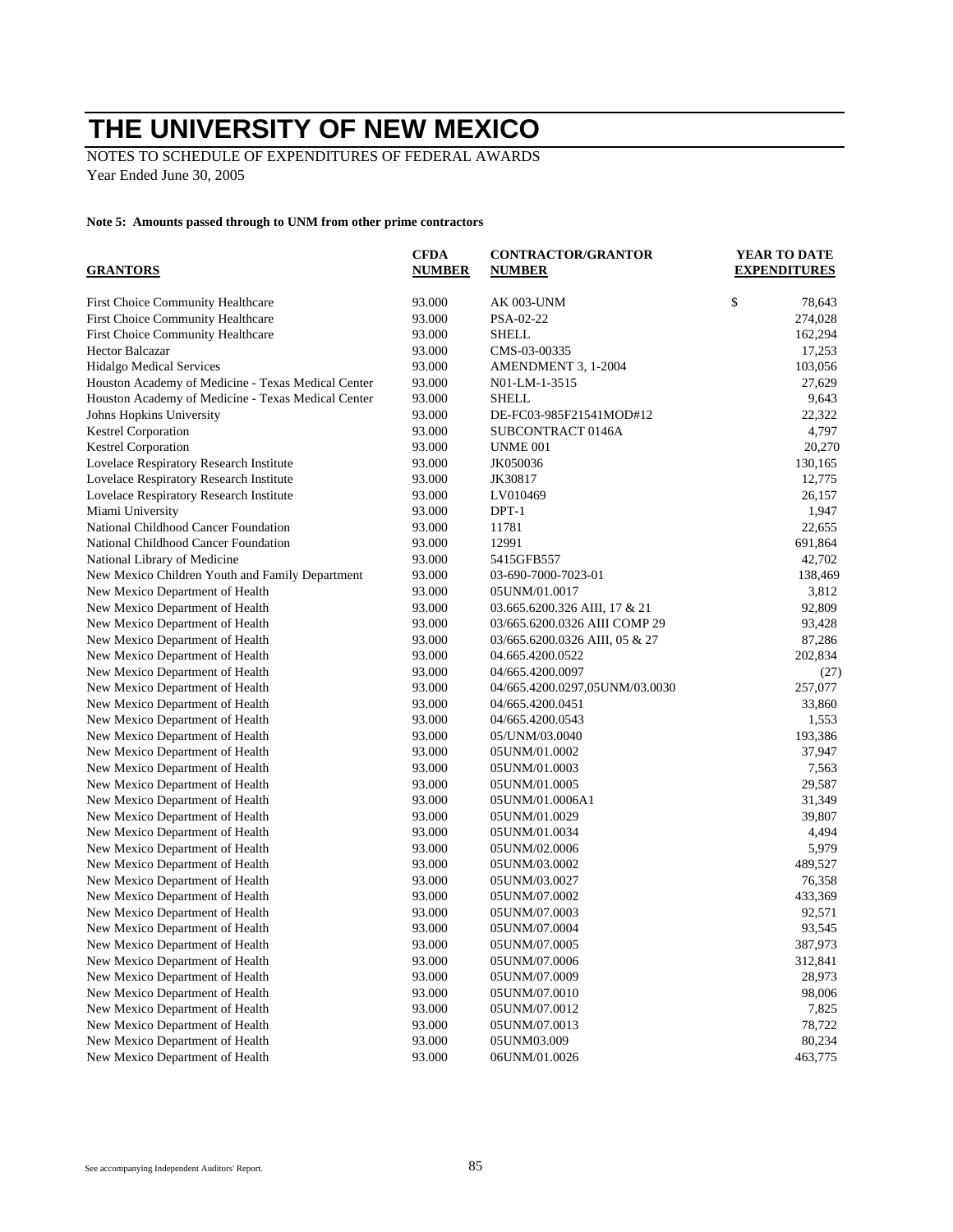NOTES TO SCHEDULE OF EXPENDITURES OF FEDERAL AWARDS Year Ended June 30, 2005

|                                                    | <b>CFDA</b>   | <b>CONTRACTOR/GRANTOR</b>      | YEAR TO DATE        |
|----------------------------------------------------|---------------|--------------------------------|---------------------|
| <b>GRANTORS</b>                                    | <b>NUMBER</b> | <b>NUMBER</b>                  | <b>EXPENDITURES</b> |
|                                                    |               |                                |                     |
| First Choice Community Healthcare                  | 93.000        | AK 003-UNM                     | \$<br>78,643        |
| First Choice Community Healthcare                  | 93.000        | PSA-02-22                      | 274,028             |
| First Choice Community Healthcare                  | 93.000        | SHELL                          | 162,294             |
| <b>Hector Balcazar</b>                             | 93.000        | CMS-03-00335                   | 17,253              |
| <b>Hidalgo Medical Services</b>                    | 93.000        | AMENDMENT 3, 1-2004            | 103,056             |
| Houston Academy of Medicine - Texas Medical Center | 93.000        | N01-LM-1-3515                  | 27,629              |
| Houston Academy of Medicine - Texas Medical Center | 93.000        | SHELL                          | 9,643               |
| Johns Hopkins University                           | 93.000        | DE-FC03-985F21541MOD#12        | 22,322              |
| Kestrel Corporation                                | 93.000        | SUBCONTRACT 0146A              | 4,797               |
| <b>Kestrel Corporation</b>                         | 93.000        | <b>UNME 001</b>                | 20,270              |
| Lovelace Respiratory Research Institute            | 93.000        | JK050036                       | 130,165             |
| Lovelace Respiratory Research Institute            | 93.000        | JK30817                        | 12,775              |
| Lovelace Respiratory Research Institute            | 93.000        | LV010469                       | 26,157              |
| Miami University                                   | 93.000        | $DPT-1$                        | 1,947               |
| National Childhood Cancer Foundation               | 93.000        | 11781                          | 22,655              |
| National Childhood Cancer Foundation               | 93.000        | 12991                          | 691,864             |
| National Library of Medicine                       | 93.000        | 5415GFB557                     | 42,702              |
| New Mexico Children Youth and Family Department    | 93.000        | 03-690-7000-7023-01            | 138,469             |
| New Mexico Department of Health                    | 93.000        | 05UNM/01.0017                  | 3,812               |
| New Mexico Department of Health                    | 93.000        | 03.665.6200.326 AIII, 17 & 21  | 92,809              |
| New Mexico Department of Health                    | 93.000        | 03/665.6200.0326 AIII COMP 29  | 93,428              |
| New Mexico Department of Health                    | 93.000        | 03/665.6200.0326 AIII, 05 & 27 | 87,286              |
| New Mexico Department of Health                    | 93.000        | 04.665.4200.0522               | 202,834             |
| New Mexico Department of Health                    | 93.000        | 04/665.4200.0097               | (27)                |
| New Mexico Department of Health                    | 93.000        | 04/665.4200.0297,05UNM/03.0030 | 257,077             |
| New Mexico Department of Health                    | 93.000        | 04/665.4200.0451               | 33,860              |
| New Mexico Department of Health                    | 93.000        | 04/665.4200.0543               | 1,553               |
| New Mexico Department of Health                    | 93.000        | 05/UNM/03.0040                 | 193,386             |
| New Mexico Department of Health                    | 93.000        | 05UNM/01.0002                  | 37,947              |
| New Mexico Department of Health                    | 93.000        | 05UNM/01.0003                  | 7,563               |
| New Mexico Department of Health                    | 93.000        | 05UNM/01.0005                  | 29,587              |
| New Mexico Department of Health                    | 93.000        | 05UNM/01.0006A1                | 31,349              |
| New Mexico Department of Health                    | 93.000        | 05UNM/01.0029                  | 39,807              |
| New Mexico Department of Health                    | 93.000        | 05UNM/01.0034                  | 4,494               |
| New Mexico Department of Health                    | 93.000        | 05UNM/02.0006                  | 5,979               |
| New Mexico Department of Health                    | 93.000        | 05UNM/03.0002                  | 489,527             |
| New Mexico Department of Health                    | 93.000        | 05UNM/03.0027                  | 76,358              |
| New Mexico Department of Health                    | 93.000        | 05UNM/07.0002                  | 433,369             |
| New Mexico Department of Health                    | 93.000        | 05UNM/07.0003                  | 92,571              |
| New Mexico Department of Health                    | 93.000        | 05UNM/07.0004                  | 93,545              |
| New Mexico Department of Health                    | 93.000        | 05UNM/07.0005                  | 387,973             |
| New Mexico Department of Health                    | 93.000        | 05UNM/07.0006                  | 312,841             |
| New Mexico Department of Health                    | 93.000        | 05UNM/07.0009                  | 28,973              |
| New Mexico Department of Health                    | 93.000        | 05UNM/07.0010                  | 98,006              |
| New Mexico Department of Health                    | 93.000        | 05UNM/07.0012                  | 7,825               |
| New Mexico Department of Health                    | 93.000        | 05UNM/07.0013                  | 78,722              |
| New Mexico Department of Health                    | 93.000        | 05UNM03.009                    | 80,234              |
| New Mexico Department of Health                    | 93.000        | 06UNM/01.0026                  | 463,775             |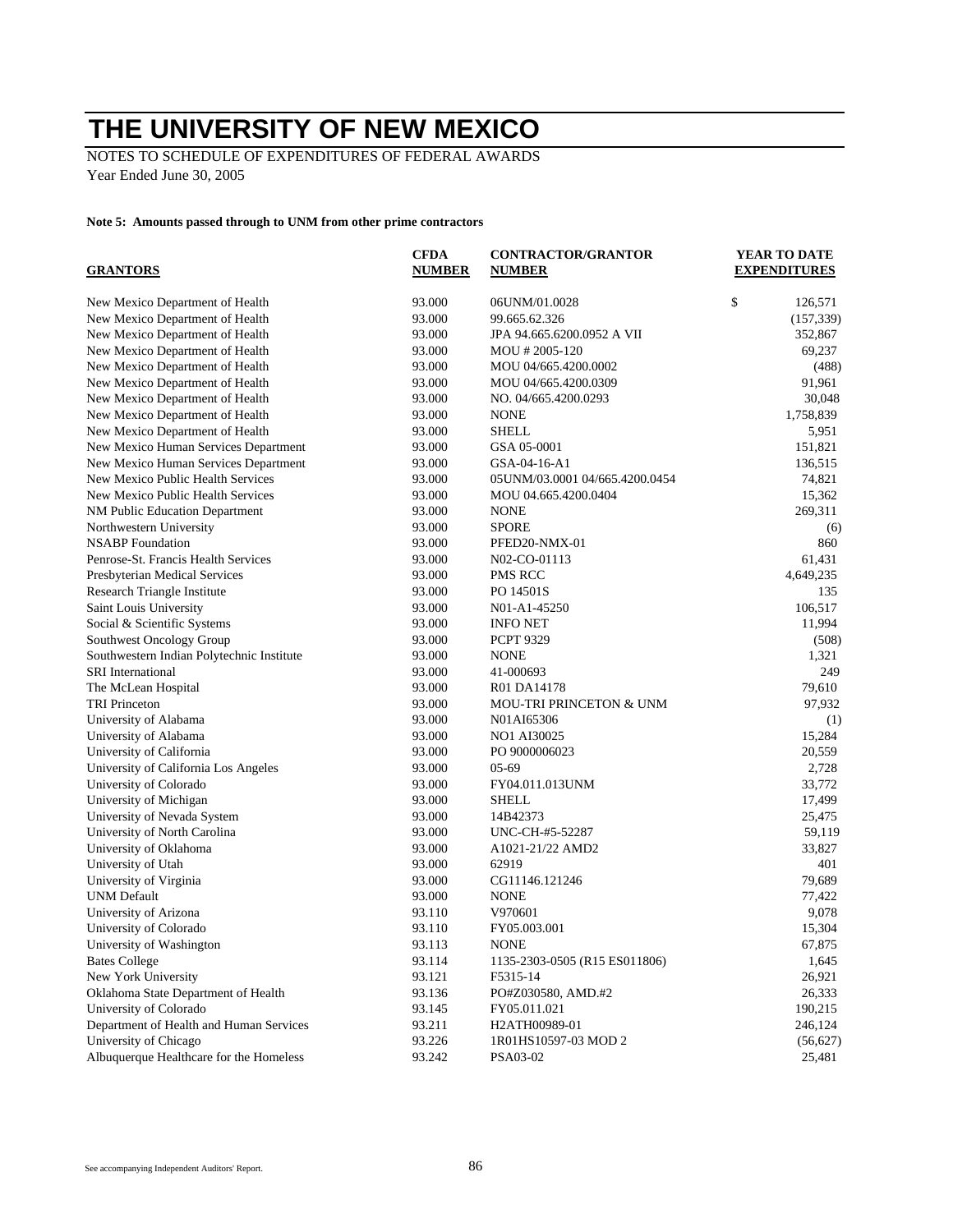NOTES TO SCHEDULE OF EXPENDITURES OF FEDERAL AWARDS Year Ended June 30, 2005

|                                           | <b>CFDA</b>   | <b>CONTRACTOR/GRANTOR</b>          | YEAR TO DATE        |            |
|-------------------------------------------|---------------|------------------------------------|---------------------|------------|
| <b>GRANTORS</b>                           | <b>NUMBER</b> | <b>NUMBER</b>                      | <b>EXPENDITURES</b> |            |
| New Mexico Department of Health           | 93.000        | 06UNM/01.0028                      | \$                  | 126,571    |
| New Mexico Department of Health           | 93.000        | 99.665.62.326                      |                     | (157, 339) |
| New Mexico Department of Health           | 93.000        | JPA 94.665.6200.0952 A VII         |                     | 352,867    |
| New Mexico Department of Health           | 93.000        | MOU # 2005-120                     |                     | 69,237     |
| New Mexico Department of Health           | 93.000        | MOU 04/665.4200.0002               |                     | (488)      |
| New Mexico Department of Health           | 93.000        | MOU 04/665.4200.0309               |                     | 91,961     |
| New Mexico Department of Health           | 93.000        | NO. 04/665.4200.0293               |                     | 30,048     |
| New Mexico Department of Health           | 93.000        | <b>NONE</b>                        |                     | 1,758,839  |
| New Mexico Department of Health           | 93.000        | <b>SHELL</b>                       |                     | 5,951      |
| New Mexico Human Services Department      | 93.000        | GSA 05-0001                        |                     | 151,821    |
| New Mexico Human Services Department      | 93.000        | GSA-04-16-A1                       |                     | 136,515    |
| New Mexico Public Health Services         | 93.000        | 05UNM/03.0001 04/665.4200.0454     |                     | 74,821     |
| New Mexico Public Health Services         | 93.000        | MOU 04.665.4200.0404               |                     | 15,362     |
| NM Public Education Department            | 93.000        | <b>NONE</b>                        |                     | 269,311    |
| Northwestern University                   | 93.000        | <b>SPORE</b>                       |                     | (6)        |
| <b>NSABP</b> Foundation                   | 93.000        | PFED20-NMX-01                      |                     | 860        |
| Penrose-St. Francis Health Services       | 93.000        | N02-CO-01113                       |                     | 61,431     |
| Presbyterian Medical Services             | 93.000        | PMS RCC                            |                     | 4,649,235  |
| Research Triangle Institute               | 93.000        | PO 14501S                          |                     | 135        |
| Saint Louis University                    | 93.000        | N01-A1-45250                       |                     | 106,517    |
| Social & Scientific Systems               | 93.000        | <b>INFO NET</b>                    |                     | 11,994     |
| Southwest Oncology Group                  | 93.000        | <b>PCPT 9329</b>                   |                     | (508)      |
| Southwestern Indian Polytechnic Institute | 93.000        | <b>NONE</b>                        |                     | 1,321      |
| <b>SRI</b> International                  | 93.000        | 41-000693                          |                     | 249        |
| The McLean Hospital                       | 93.000        | R01 DA14178                        |                     | 79,610     |
| <b>TRI Princeton</b>                      | 93.000        | <b>MOU-TRI PRINCETON &amp; UNM</b> |                     | 97,932     |
| University of Alabama                     | 93.000        | N01AI65306                         |                     | (1)        |
| University of Alabama                     | 93.000        | <b>NO1 AI30025</b>                 |                     | 15,284     |
| University of California                  | 93.000        | PO 9000006023                      |                     | 20,559     |
| University of California Los Angeles      | 93.000        | $05-69$                            |                     | 2,728      |
| University of Colorado                    | 93.000        | FY04.011.013UNM                    |                     | 33,772     |
| University of Michigan                    | 93.000        | <b>SHELL</b>                       |                     | 17,499     |
| University of Nevada System               | 93.000        | 14B42373                           |                     | 25,475     |
| University of North Carolina              | 93.000        | UNC-CH-#5-52287                    |                     | 59,119     |
| University of Oklahoma                    | 93.000        | A1021-21/22 AMD2                   |                     | 33,827     |
| University of Utah                        | 93.000        | 62919                              |                     | 401        |
| University of Virginia                    | 93.000        | CG11146.121246                     |                     | 79,689     |
| <b>UNM</b> Default                        | 93.000        | <b>NONE</b>                        |                     | 77,422     |
| University of Arizona                     | 93.110        | V970601                            |                     | 9,078      |
| University of Colorado                    | 93.110        | FY05.003.001                       |                     | 15,304     |
| University of Washington                  | 93.113        | <b>NONE</b>                        |                     | 67,875     |
| <b>Bates College</b>                      | 93.114        | 1135-2303-0505 (R15 ES011806)      |                     | 1,645      |
| New York University                       | 93.121        | F5315-14                           |                     | 26,921     |
| Oklahoma State Department of Health       | 93.136        | PO#Z030580, AMD.#2                 |                     | 26,333     |
| University of Colorado                    | 93.145        | FY05.011.021                       |                     | 190,215    |
| Department of Health and Human Services   | 93.211        | H2ATH00989-01                      |                     | 246,124    |
| University of Chicago                     | 93.226        | 1R01HS10597-03 MOD 2               |                     | (56, 627)  |
| Albuquerque Healthcare for the Homeless   | 93.242        | PSA03-02                           |                     | 25,481     |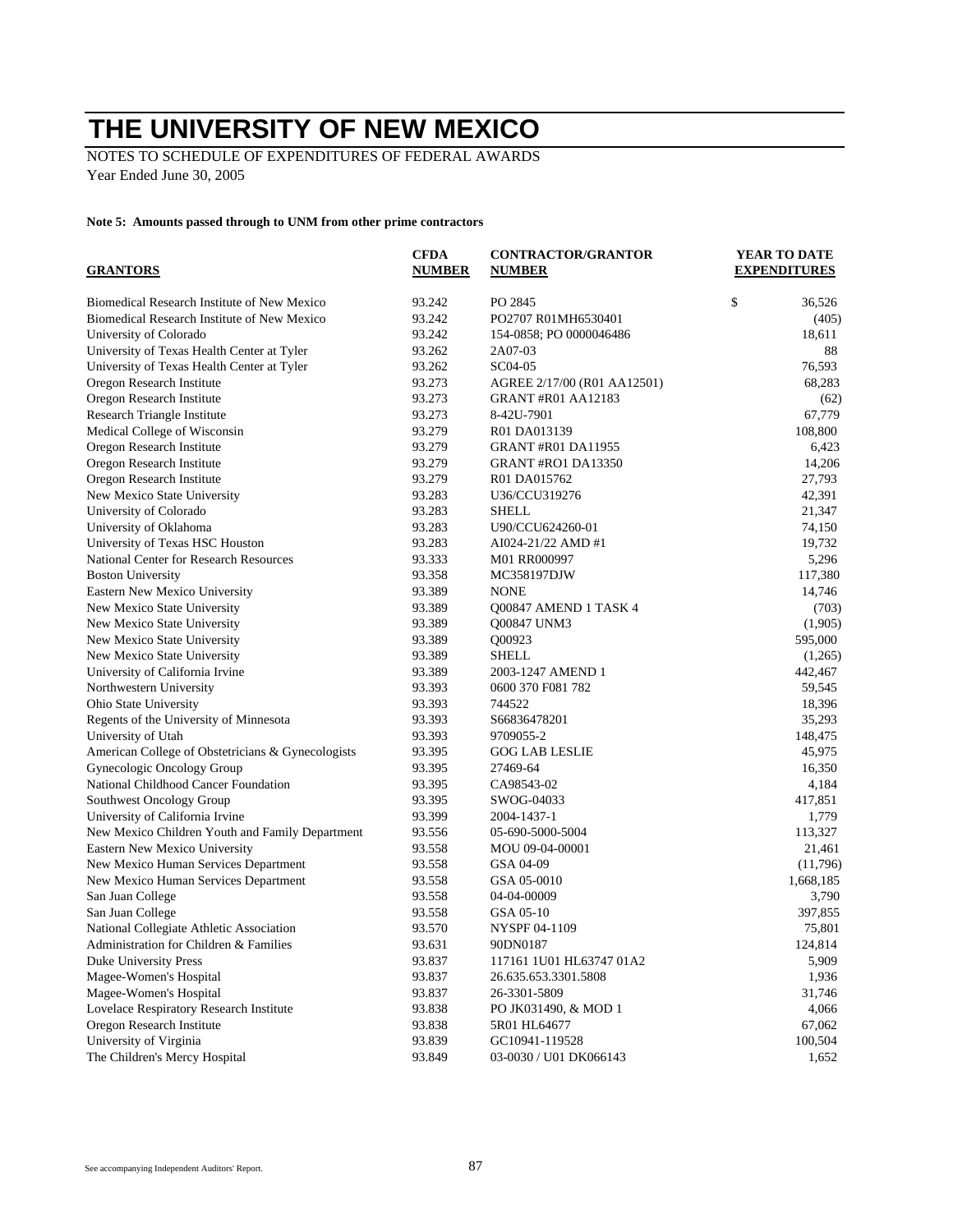NOTES TO SCHEDULE OF EXPENDITURES OF FEDERAL AWARDS Year Ended June 30, 2005

|                                                   | <b>CFDA</b>   | <b>CONTRACTOR/GRANTOR</b>   | YEAR TO DATE        |
|---------------------------------------------------|---------------|-----------------------------|---------------------|
| <b>GRANTORS</b>                                   | <b>NUMBER</b> | <b>NUMBER</b>               | <b>EXPENDITURES</b> |
| Biomedical Research Institute of New Mexico       | 93.242        | PO 2845                     | \$<br>36,526        |
| Biomedical Research Institute of New Mexico       | 93.242        | PO2707 R01MH6530401         | (405)               |
| University of Colorado                            | 93.242        | 154-0858; PO 0000046486     | 18,611              |
| University of Texas Health Center at Tyler        | 93.262        | 2A07-03                     | 88                  |
| University of Texas Health Center at Tyler        | 93.262        | SC04-05                     | 76,593              |
| Oregon Research Institute                         | 93.273        | AGREE 2/17/00 (R01 AA12501) | 68,283              |
| Oregon Research Institute                         | 93.273        | <b>GRANT #R01 AA12183</b>   | (62)                |
| Research Triangle Institute                       | 93.273        | 8-42U-7901                  | 67,779              |
| Medical College of Wisconsin                      | 93.279        | R01 DA013139                | 108,800             |
| Oregon Research Institute                         | 93.279        | <b>GRANT #R01 DA11955</b>   | 6,423               |
| Oregon Research Institute                         | 93.279        | <b>GRANT #RO1 DA13350</b>   | 14,206              |
| Oregon Research Institute                         | 93.279        | R01 DA015762                | 27,793              |
| New Mexico State University                       | 93.283        | U36/CCU319276               | 42,391              |
| University of Colorado                            | 93.283        | <b>SHELL</b>                | 21,347              |
| University of Oklahoma                            | 93.283        | U90/CCU624260-01            | 74,150              |
| University of Texas HSC Houston                   | 93.283        | AI024-21/22 AMD #1          | 19,732              |
| National Center for Research Resources            | 93.333        | M01 RR000997                | 5,296               |
| <b>Boston University</b>                          | 93.358        | MC358197DJW                 | 117,380             |
| Eastern New Mexico University                     | 93.389        | <b>NONE</b>                 | 14,746              |
| New Mexico State University                       | 93.389        | Q00847 AMEND 1 TASK 4       | (703)               |
| New Mexico State University                       | 93.389        | Q00847 UNM3                 | (1,905)             |
| New Mexico State University                       | 93.389        | Q00923                      | 595,000             |
| New Mexico State University                       | 93.389        | <b>SHELL</b>                | (1,265)             |
| University of California Irvine                   | 93.389        | 2003-1247 AMEND 1           | 442,467             |
| Northwestern University                           | 93.393        | 0600 370 F081 782           | 59,545              |
| Ohio State University                             | 93.393        | 744522                      | 18,396              |
| Regents of the University of Minnesota            | 93.393        | S66836478201                | 35,293              |
| University of Utah                                | 93.393        | 9709055-2                   | 148,475             |
| American College of Obstetricians & Gynecologists | 93.395        | <b>GOG LAB LESLIE</b>       | 45,975              |
| Gynecologic Oncology Group                        | 93.395        | 27469-64                    | 16,350              |
| National Childhood Cancer Foundation              | 93.395        | CA98543-02                  | 4,184               |
| Southwest Oncology Group                          | 93.395        | SWOG-04033                  | 417,851             |
| University of California Irvine                   | 93.399        | 2004-1437-1                 | 1,779               |
| New Mexico Children Youth and Family Department   | 93.556        | 05-690-5000-5004            | 113,327             |
| Eastern New Mexico University                     | 93.558        | MOU 09-04-00001             | 21,461              |
| New Mexico Human Services Department              | 93.558        | GSA 04-09                   | (11,796)            |
| New Mexico Human Services Department              | 93.558        | GSA 05-0010                 | 1,668,185           |
| San Juan College                                  | 93.558        | 04-04-00009                 | 3,790               |
| San Juan College                                  | 93.558        | GSA 05-10                   | 397,855             |
| National Collegiate Athletic Association          | 93.570        | NYSPF 04-1109               | 75,801              |
| Administration for Children & Families            | 93.631        | 90DN0187                    | 124,814             |
| Duke University Press                             | 93.837        | 117161 1U01 HL63747 01A2    | 5,909               |
| Magee-Women's Hospital                            | 93.837        | 26.635.653.3301.5808        | 1,936               |
| Magee-Women's Hospital                            | 93.837        | 26-3301-5809                | 31,746              |
| Lovelace Respiratory Research Institute           | 93.838        | PO JK031490, & MOD 1        | 4,066               |
| Oregon Research Institute                         | 93.838        | 5R01 HL64677                | 67,062              |
| University of Virginia                            | 93.839        | GC10941-119528              | 100,504             |
| The Children's Mercy Hospital                     | 93.849        | 03-0030 / U01 DK066143      | 1,652               |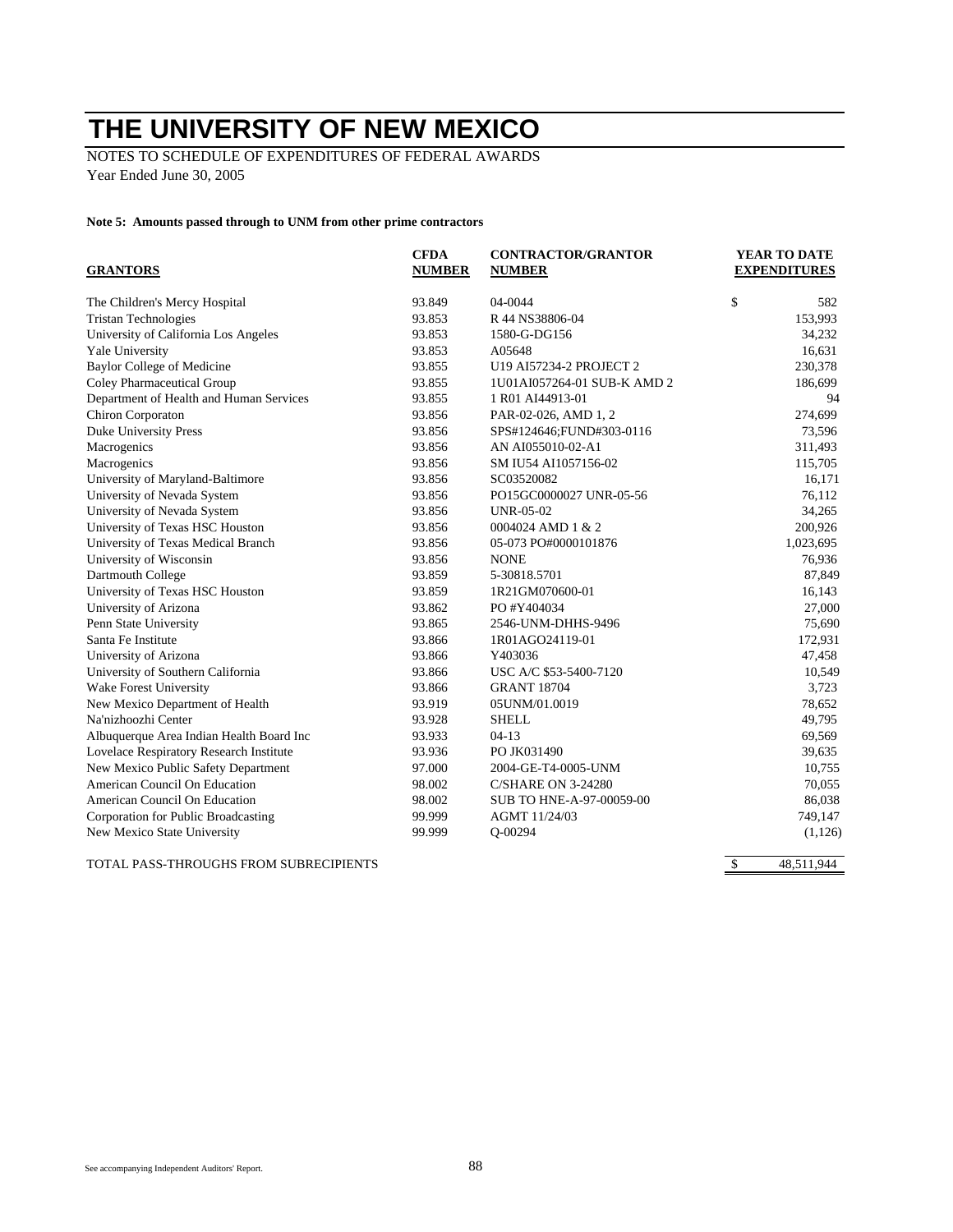NOTES TO SCHEDULE OF EXPENDITURES OF FEDERAL AWARDS Year Ended June 30, 2005

| <b>EXPENDITURES</b><br><b>NUMBER</b><br><b>NUMBER</b><br><b>GRANTORS</b><br>93.849<br>\$<br>04-0044<br>The Children's Mercy Hospital<br>93.853<br><b>Tristan Technologies</b><br>R 44 NS38806-04<br>University of California Los Angeles<br>93.853<br>1580-G-DG156<br>Yale University<br>93.853<br>A05648<br><b>Baylor College of Medicine</b><br>93.855<br>U19 AI57234-2 PROJECT 2 | 582<br>153,993<br>34,232<br>16,631<br>230,378<br>186,699<br>94 |
|-------------------------------------------------------------------------------------------------------------------------------------------------------------------------------------------------------------------------------------------------------------------------------------------------------------------------------------------------------------------------------------|----------------------------------------------------------------|
|                                                                                                                                                                                                                                                                                                                                                                                     |                                                                |
|                                                                                                                                                                                                                                                                                                                                                                                     |                                                                |
|                                                                                                                                                                                                                                                                                                                                                                                     |                                                                |
|                                                                                                                                                                                                                                                                                                                                                                                     |                                                                |
|                                                                                                                                                                                                                                                                                                                                                                                     |                                                                |
|                                                                                                                                                                                                                                                                                                                                                                                     |                                                                |
| Coley Pharmaceutical Group<br>93.855<br>1U01AI057264-01 SUB-K AMD 2                                                                                                                                                                                                                                                                                                                 |                                                                |
| Department of Health and Human Services<br>93.855<br>1 R01 AI44913-01                                                                                                                                                                                                                                                                                                               |                                                                |
| Chiron Corporaton<br>93.856<br>PAR-02-026, AMD 1, 2                                                                                                                                                                                                                                                                                                                                 | 274,699                                                        |
| <b>Duke University Press</b><br>93.856<br>SPS#124646;FUND#303-0116                                                                                                                                                                                                                                                                                                                  | 73,596                                                         |
| Macrogenics<br>93.856<br>AN AI055010-02-A1                                                                                                                                                                                                                                                                                                                                          | 311,493                                                        |
| Macrogenics<br>93.856<br>SM IU54 AI1057156-02                                                                                                                                                                                                                                                                                                                                       | 115,705                                                        |
| University of Maryland-Baltimore<br>93.856<br>SC03520082                                                                                                                                                                                                                                                                                                                            | 16,171                                                         |
| University of Nevada System<br>93.856<br>PO15GC0000027 UNR-05-56                                                                                                                                                                                                                                                                                                                    | 76,112                                                         |
| University of Nevada System<br>93.856<br><b>UNR-05-02</b>                                                                                                                                                                                                                                                                                                                           | 34,265                                                         |
| University of Texas HSC Houston<br>93.856<br>0004024 AMD 1 & 2                                                                                                                                                                                                                                                                                                                      | 200,926                                                        |
| University of Texas Medical Branch<br>93.856<br>05-073 PO#0000101876                                                                                                                                                                                                                                                                                                                | 1,023,695                                                      |
| University of Wisconsin<br>93.856<br><b>NONE</b>                                                                                                                                                                                                                                                                                                                                    | 76,936                                                         |
| Dartmouth College<br>93.859<br>5-30818.5701                                                                                                                                                                                                                                                                                                                                         | 87,849                                                         |
| University of Texas HSC Houston<br>93.859<br>1R21GM070600-01                                                                                                                                                                                                                                                                                                                        | 16,143                                                         |
| University of Arizona<br>93.862<br>PO #Y404034                                                                                                                                                                                                                                                                                                                                      | 27,000                                                         |
| Penn State University<br>93.865<br>2546-UNM-DHHS-9496                                                                                                                                                                                                                                                                                                                               | 75,690                                                         |
| 93.866<br>Santa Fe Institute<br>1R01AGO24119-01                                                                                                                                                                                                                                                                                                                                     | 172,931                                                        |
| 93.866<br>University of Arizona<br>Y403036                                                                                                                                                                                                                                                                                                                                          | 47,458                                                         |
| University of Southern California<br>93.866<br>USC A/C \$53-5400-7120                                                                                                                                                                                                                                                                                                               | 10,549                                                         |
| Wake Forest University<br>93.866<br><b>GRANT 18704</b>                                                                                                                                                                                                                                                                                                                              | 3,723                                                          |
| New Mexico Department of Health<br>93.919<br>05UNM/01.0019                                                                                                                                                                                                                                                                                                                          | 78,652                                                         |
| Na'nizhoozhi Center<br>93.928<br><b>SHELL</b>                                                                                                                                                                                                                                                                                                                                       | 49,795                                                         |
| Albuquerque Area Indian Health Board Inc<br>93.933<br>$04-13$                                                                                                                                                                                                                                                                                                                       | 69,569                                                         |
| Lovelace Respiratory Research Institute<br>93.936<br>PO JK031490                                                                                                                                                                                                                                                                                                                    | 39,635                                                         |
| New Mexico Public Safety Department<br>97.000<br>2004-GE-T4-0005-UNM                                                                                                                                                                                                                                                                                                                | 10,755                                                         |
| American Council On Education<br>98.002<br><b>C/SHARE ON 3-24280</b>                                                                                                                                                                                                                                                                                                                | 70,055                                                         |
| American Council On Education<br>98.002<br>SUB TO HNE-A-97-00059-00                                                                                                                                                                                                                                                                                                                 | 86,038                                                         |
| Corporation for Public Broadcasting<br>99.999<br>AGMT 11/24/03                                                                                                                                                                                                                                                                                                                      | 749,147                                                        |
| New Mexico State University<br>99.999<br>Q-00294                                                                                                                                                                                                                                                                                                                                    | (1, 126)                                                       |
| $\mathbb{S}$<br>TOTAL PASS-THROUGHS FROM SUBRECIPIENTS                                                                                                                                                                                                                                                                                                                              | 48,511,944                                                     |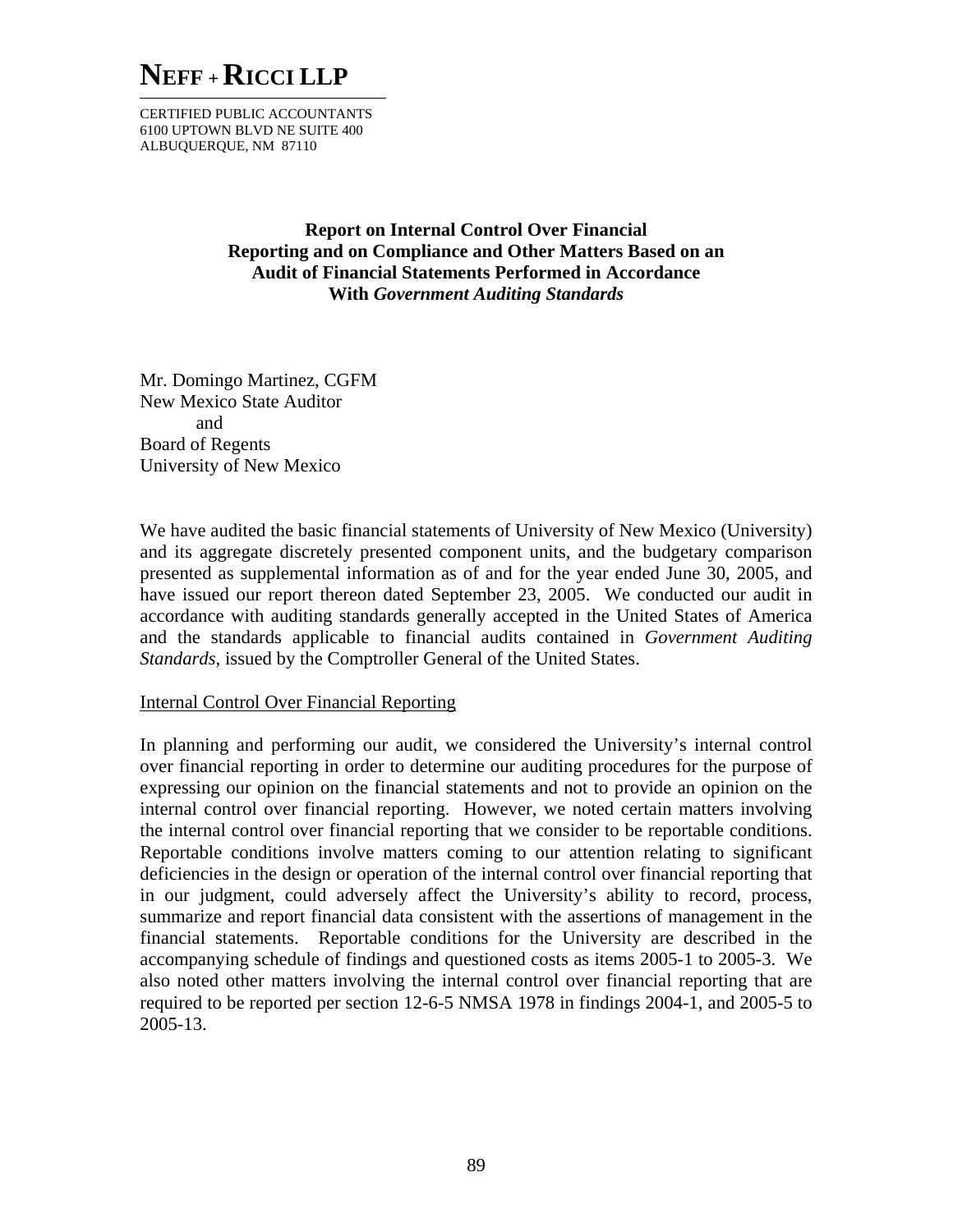### **NEFF + RICCI LLP**

CERTIFIED PUBLIC ACCOUNTANTS 6100 UPTOWN BLVD NE SUITE 400 ALBUQUERQUE, NM 87110

> **Report on Internal Control Over Financial Reporting and on Compliance and Other Matters Based on an Audit of Financial Statements Performed in Accordance With** *Government Auditing Standards*

Mr. Domingo Martinez, CGFM New Mexico State Auditor and Board of Regents University of New Mexico

We have audited the basic financial statements of University of New Mexico (University) and its aggregate discretely presented component units, and the budgetary comparison presented as supplemental information as of and for the year ended June 30, 2005, and have issued our report thereon dated September 23, 2005. We conducted our audit in accordance with auditing standards generally accepted in the United States of America and the standards applicable to financial audits contained in *Government Auditing Standards*, issued by the Comptroller General of the United States.

#### Internal Control Over Financial Reporting

In planning and performing our audit, we considered the University's internal control over financial reporting in order to determine our auditing procedures for the purpose of expressing our opinion on the financial statements and not to provide an opinion on the internal control over financial reporting. However, we noted certain matters involving the internal control over financial reporting that we consider to be reportable conditions. Reportable conditions involve matters coming to our attention relating to significant deficiencies in the design or operation of the internal control over financial reporting that in our judgment, could adversely affect the University's ability to record, process, summarize and report financial data consistent with the assertions of management in the financial statements. Reportable conditions for the University are described in the accompanying schedule of findings and questioned costs as items 2005-1 to 2005-3. We also noted other matters involving the internal control over financial reporting that are required to be reported per section 12-6-5 NMSA 1978 in findings 2004-1, and 2005-5 to 2005-13.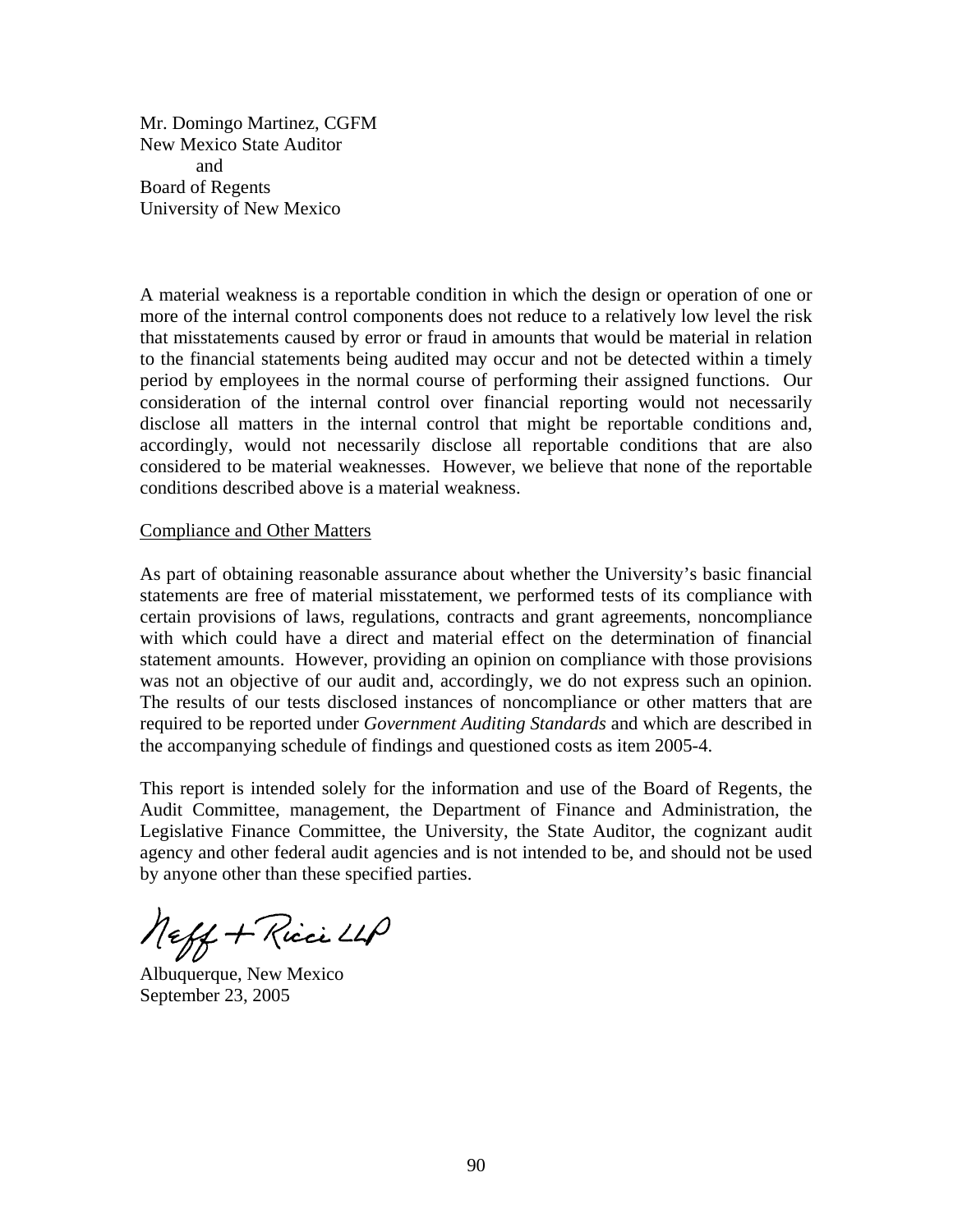Mr. Domingo Martinez, CGFM New Mexico State Auditor and Board of Regents University of New Mexico

A material weakness is a reportable condition in which the design or operation of one or more of the internal control components does not reduce to a relatively low level the risk that misstatements caused by error or fraud in amounts that would be material in relation to the financial statements being audited may occur and not be detected within a timely period by employees in the normal course of performing their assigned functions. Our consideration of the internal control over financial reporting would not necessarily disclose all matters in the internal control that might be reportable conditions and, accordingly, would not necessarily disclose all reportable conditions that are also considered to be material weaknesses. However, we believe that none of the reportable conditions described above is a material weakness.

#### Compliance and Other Matters

As part of obtaining reasonable assurance about whether the University's basic financial statements are free of material misstatement, we performed tests of its compliance with certain provisions of laws, regulations, contracts and grant agreements, noncompliance with which could have a direct and material effect on the determination of financial statement amounts. However, providing an opinion on compliance with those provisions was not an objective of our audit and, accordingly, we do not express such an opinion. The results of our tests disclosed instances of noncompliance or other matters that are required to be reported under *Government Auditing Standards* and which are described in the accompanying schedule of findings and questioned costs as item 2005-4.

This report is intended solely for the information and use of the Board of Regents, the Audit Committee, management, the Department of Finance and Administration, the Legislative Finance Committee, the University, the State Auditor, the cognizant audit agency and other federal audit agencies and is not intended to be, and should not be used by anyone other than these specified parties.

Neff + Ricci LLP

Albuquerque, New Mexico September 23, 2005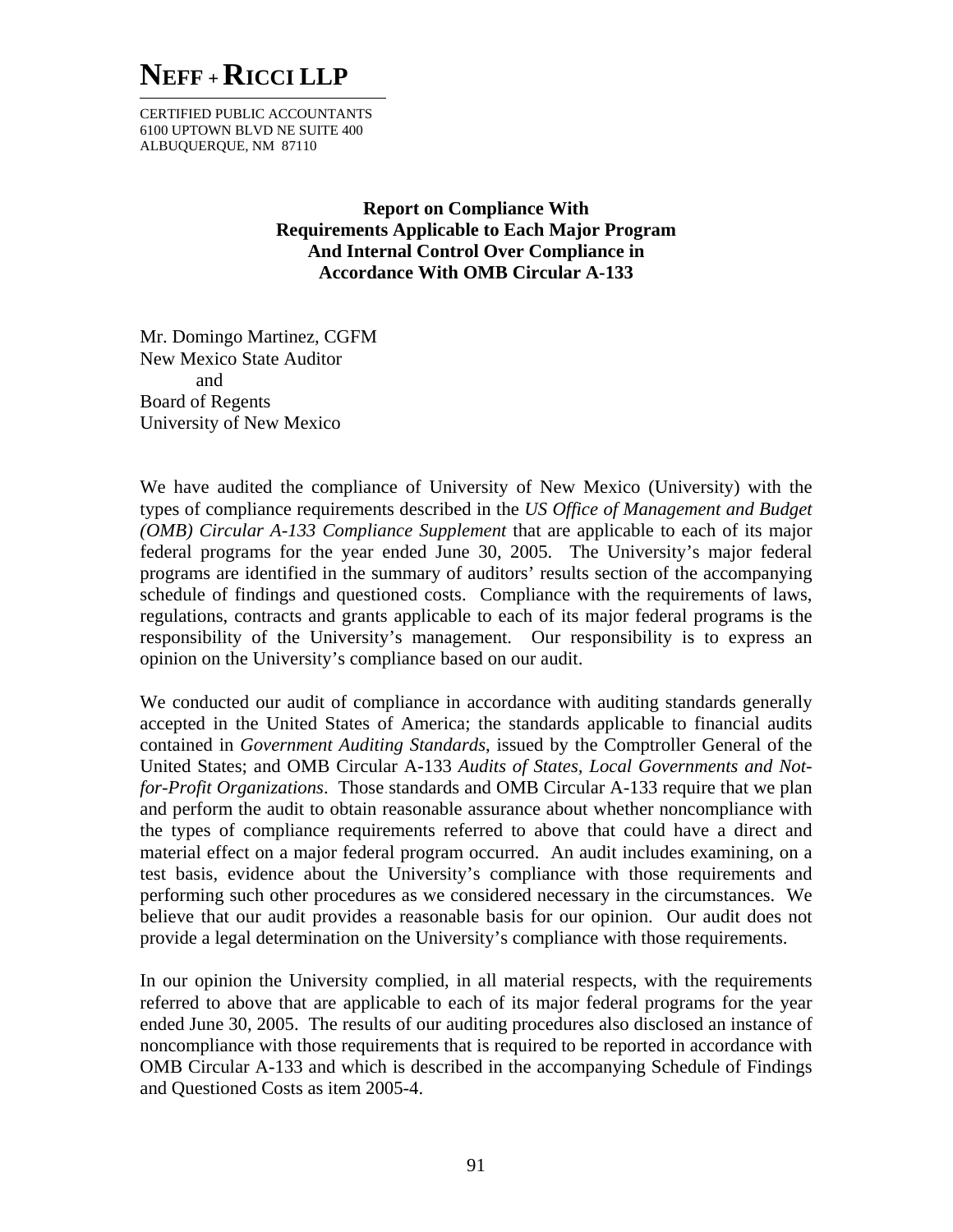### **NEFF + RICCI LLP**

CERTIFIED PUBLIC ACCOUNTANTS 6100 UPTOWN BLVD NE SUITE 400 ALBUQUERQUE, NM 87110

> **Report on Compliance With Requirements Applicable to Each Major Program And Internal Control Over Compliance in Accordance With OMB Circular A-133**

Mr. Domingo Martinez, CGFM New Mexico State Auditor and Board of Regents University of New Mexico

We have audited the compliance of University of New Mexico (University) with the types of compliance requirements described in the *US Office of Management and Budget (OMB) Circular A-133 Compliance Supplement* that are applicable to each of its major federal programs for the year ended June 30, 2005. The University's major federal programs are identified in the summary of auditors' results section of the accompanying schedule of findings and questioned costs. Compliance with the requirements of laws, regulations, contracts and grants applicable to each of its major federal programs is the responsibility of the University's management. Our responsibility is to express an opinion on the University's compliance based on our audit.

We conducted our audit of compliance in accordance with auditing standards generally accepted in the United States of America; the standards applicable to financial audits contained in *Government Auditing Standards*, issued by the Comptroller General of the United States; and OMB Circular A-133 *Audits of States, Local Governments and Notfor-Profit Organizations*. Those standards and OMB Circular A-133 require that we plan and perform the audit to obtain reasonable assurance about whether noncompliance with the types of compliance requirements referred to above that could have a direct and material effect on a major federal program occurred. An audit includes examining, on a test basis, evidence about the University's compliance with those requirements and performing such other procedures as we considered necessary in the circumstances. We believe that our audit provides a reasonable basis for our opinion. Our audit does not provide a legal determination on the University's compliance with those requirements.

In our opinion the University complied, in all material respects, with the requirements referred to above that are applicable to each of its major federal programs for the year ended June 30, 2005. The results of our auditing procedures also disclosed an instance of noncompliance with those requirements that is required to be reported in accordance with OMB Circular A-133 and which is described in the accompanying Schedule of Findings and Questioned Costs as item 2005-4.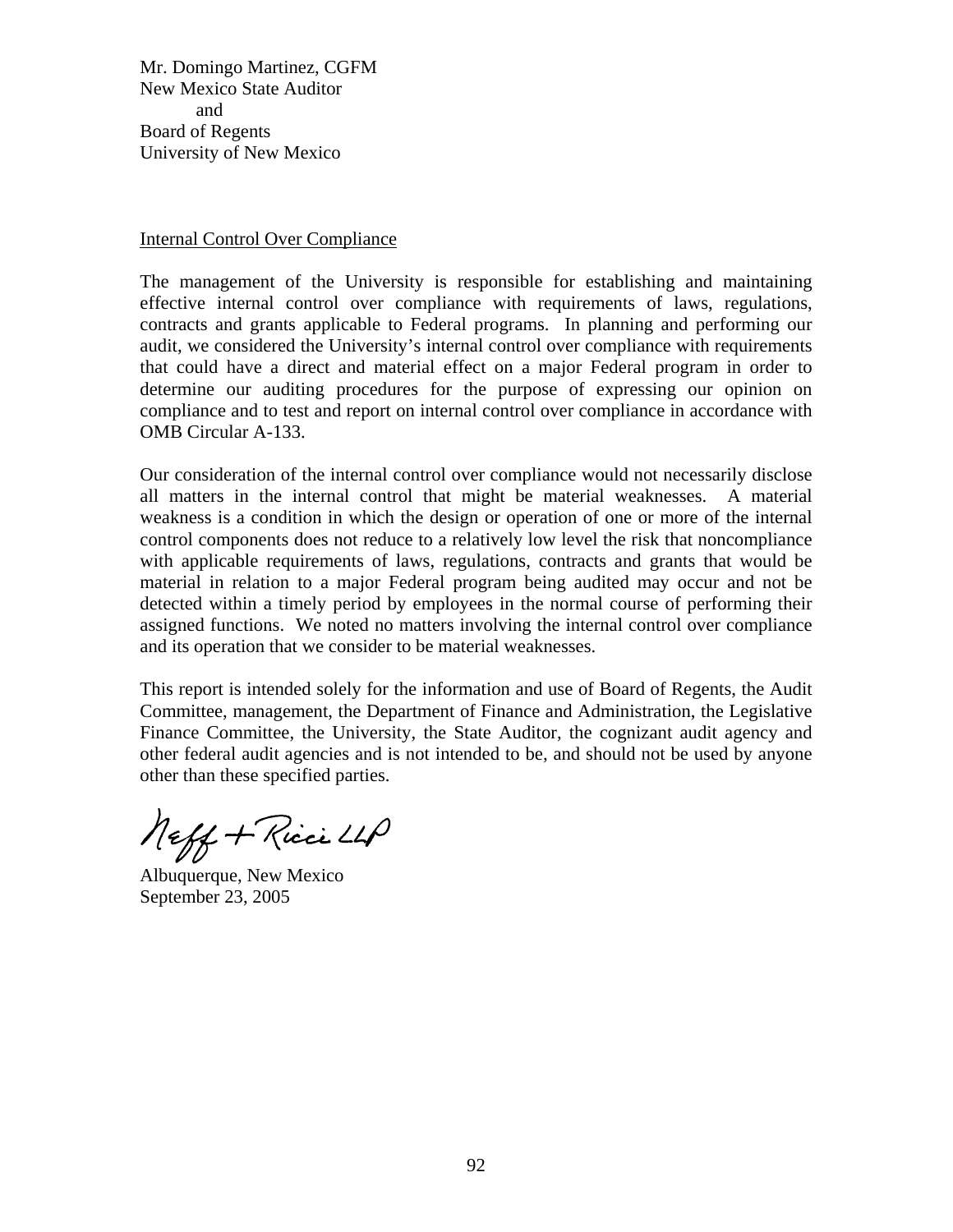Mr. Domingo Martinez, CGFM New Mexico State Auditor and Board of Regents University of New Mexico

#### Internal Control Over Compliance

The management of the University is responsible for establishing and maintaining effective internal control over compliance with requirements of laws, regulations, contracts and grants applicable to Federal programs. In planning and performing our audit, we considered the University's internal control over compliance with requirements that could have a direct and material effect on a major Federal program in order to determine our auditing procedures for the purpose of expressing our opinion on compliance and to test and report on internal control over compliance in accordance with OMB Circular A-133.

Our consideration of the internal control over compliance would not necessarily disclose all matters in the internal control that might be material weaknesses. A material weakness is a condition in which the design or operation of one or more of the internal control components does not reduce to a relatively low level the risk that noncompliance with applicable requirements of laws, regulations, contracts and grants that would be material in relation to a major Federal program being audited may occur and not be detected within a timely period by employees in the normal course of performing their assigned functions. We noted no matters involving the internal control over compliance and its operation that we consider to be material weaknesses.

This report is intended solely for the information and use of Board of Regents, the Audit Committee, management, the Department of Finance and Administration, the Legislative Finance Committee, the University, the State Auditor, the cognizant audit agency and other federal audit agencies and is not intended to be, and should not be used by anyone other than these specified parties.

Neff + Ricci LLP

Albuquerque, New Mexico September 23, 2005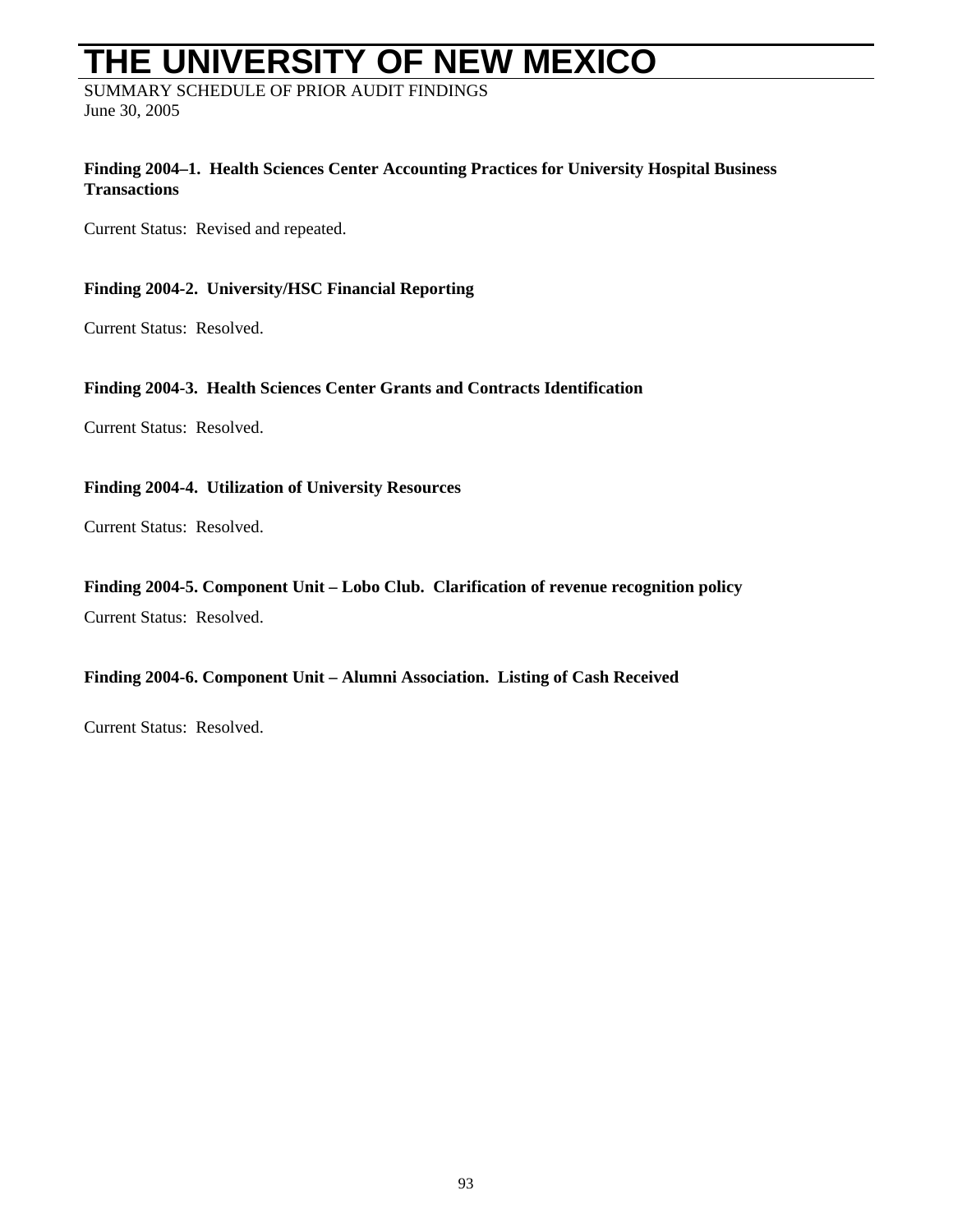SUMMARY SCHEDULE OF PRIOR AUDIT FINDINGS June 30, 2005

#### **Finding 2004–1. Health Sciences Center Accounting Practices for University Hospital Business Transactions**

Current Status: Revised and repeated.

#### **Finding 2004-2. University/HSC Financial Reporting**

Current Status: Resolved.

#### **Finding 2004-3. Health Sciences Center Grants and Contracts Identification**

Current Status: Resolved.

#### **Finding 2004-4. Utilization of University Resources**

Current Status: Resolved.

### **Finding 2004-5. Component Unit – Lobo Club. Clarification of revenue recognition policy**

Current Status: Resolved.

#### **Finding 2004-6. Component Unit – Alumni Association. Listing of Cash Received**

Current Status: Resolved.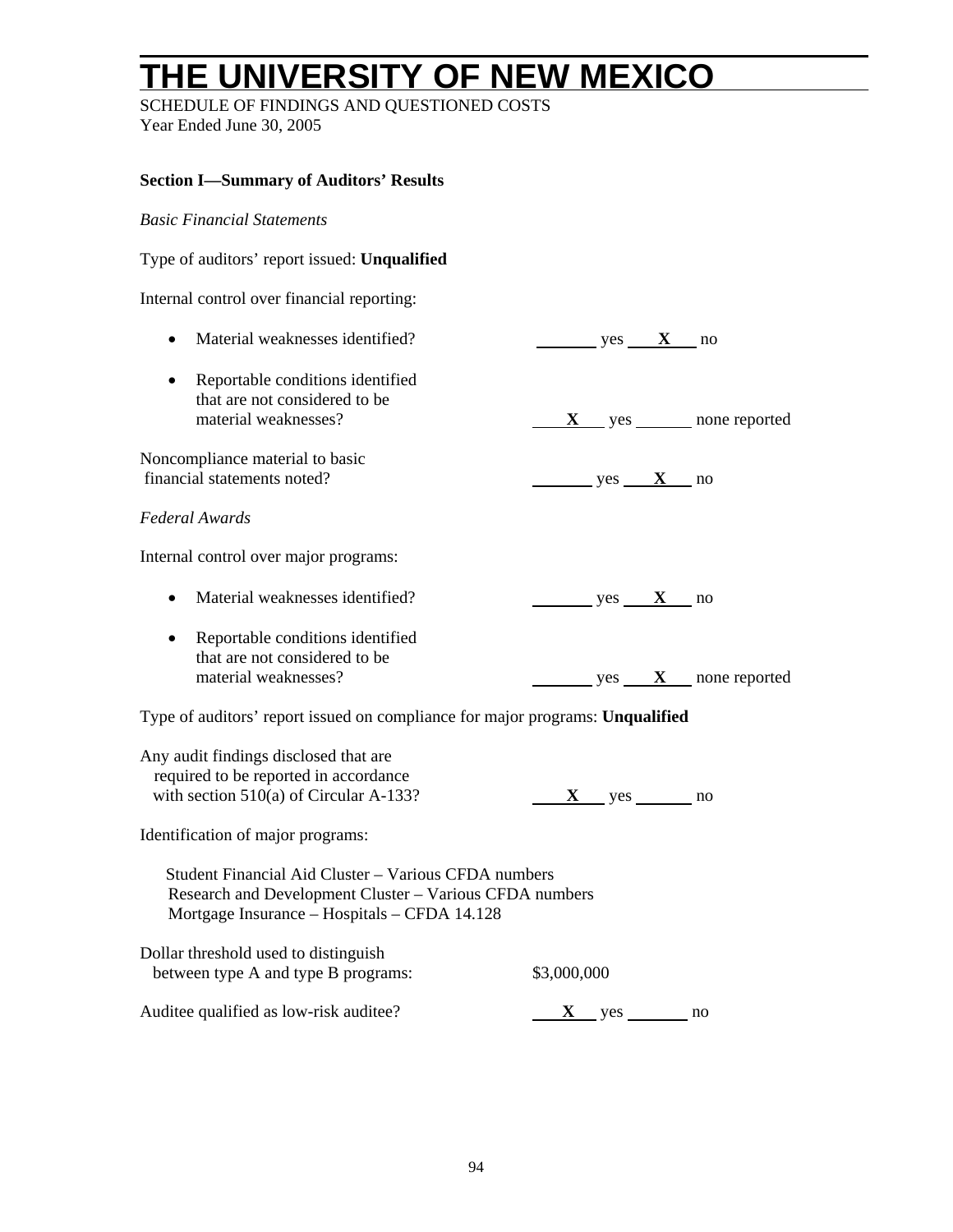SCHEDULE OF FINDINGS AND QUESTIONED COSTS Year Ended June 30, 2005

| <b>Section I-Summary of Auditors' Results</b>                                                                                                                   |                                     |
|-----------------------------------------------------------------------------------------------------------------------------------------------------------------|-------------------------------------|
| <b>Basic Financial Statements</b>                                                                                                                               |                                     |
| Type of auditors' report issued: <b>Unqualified</b>                                                                                                             |                                     |
| Internal control over financial reporting:                                                                                                                      |                                     |
| Material weaknesses identified?<br>$\bullet$                                                                                                                    | $yes$ $X$ no                        |
| Reportable conditions identified<br>$\bullet$<br>that are not considered to be<br>material weaknesses?                                                          | $X$ yes none reported               |
| Noncompliance material to basic<br>financial statements noted?                                                                                                  | $yes$ $X$ no                        |
| <b>Federal Awards</b>                                                                                                                                           |                                     |
| Internal control over major programs:                                                                                                                           |                                     |
| Material weaknesses identified?<br>$\bullet$                                                                                                                    | $yes$ $X$ no                        |
| Reportable conditions identified<br>$\bullet$<br>that are not considered to be<br>material weaknesses?                                                          | $yes$ $X$ none reported             |
| Type of auditors' report issued on compliance for major programs: Unqualified                                                                                   |                                     |
| Any audit findings disclosed that are<br>required to be reported in accordance<br>with section $510(a)$ of Circular A-133?                                      | $X$ yes no                          |
| Identification of major programs:                                                                                                                               |                                     |
| Student Financial Aid Cluster - Various CFDA numbers<br>Research and Development Cluster - Various CFDA numbers<br>Mortgage Insurance - Hospitals - CFDA 14.128 |                                     |
| Dollar threshold used to distinguish<br>between type A and type B programs:                                                                                     | \$3,000,000                         |
| Auditee qualified as low-risk auditee?                                                                                                                          | $\mathbf{X}$ yes $\mathbf{I}$<br>no |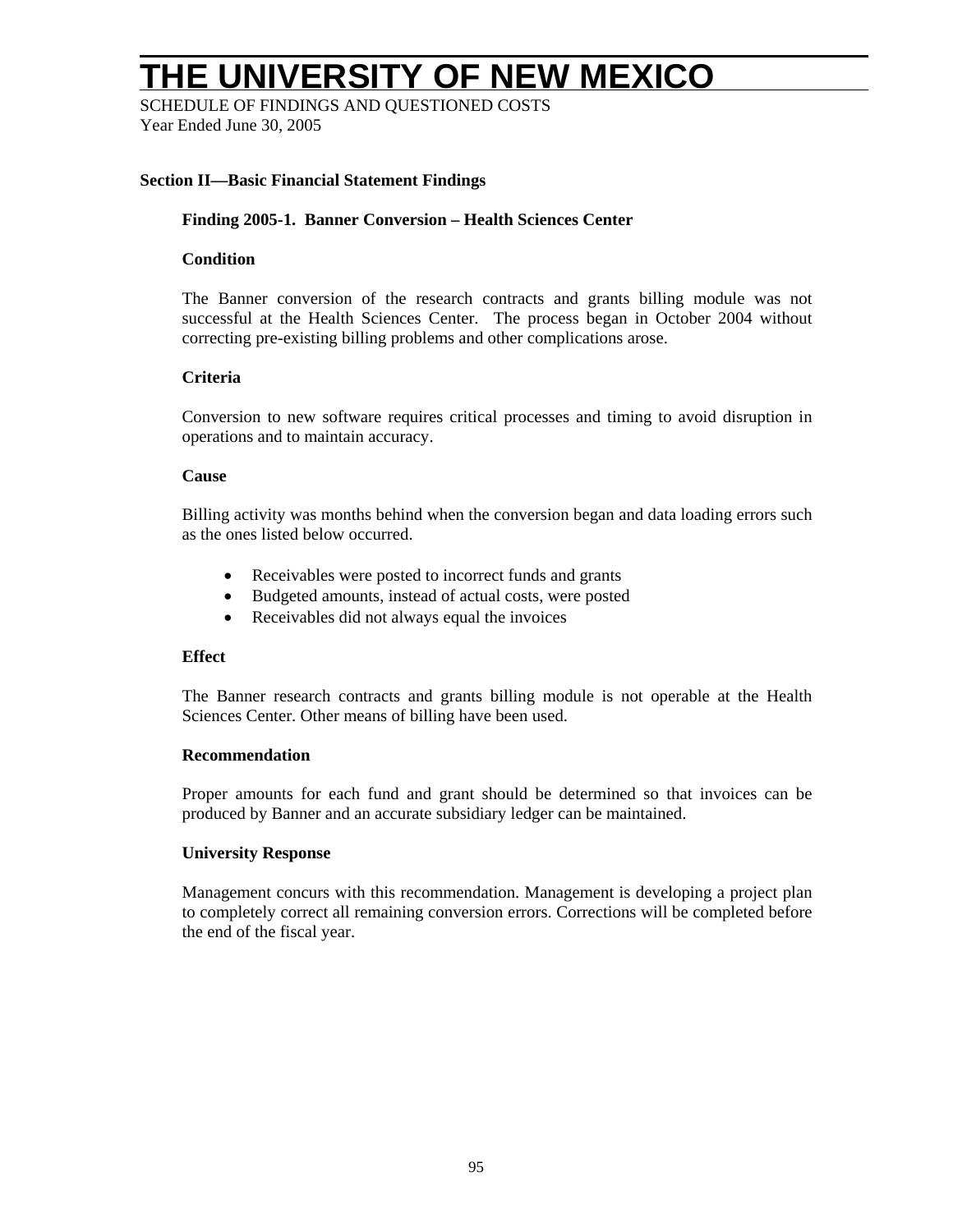SCHEDULE OF FINDINGS AND QUESTIONED COSTS

Year Ended June 30, 2005

#### **Section II—Basic Financial Statement Findings**

#### **Finding 2005-1. Banner Conversion – Health Sciences Center**

#### **Condition**

The Banner conversion of the research contracts and grants billing module was not successful at the Health Sciences Center. The process began in October 2004 without correcting pre-existing billing problems and other complications arose.

#### **Criteria**

Conversion to new software requires critical processes and timing to avoid disruption in operations and to maintain accuracy.

#### **Cause**

Billing activity was months behind when the conversion began and data loading errors such as the ones listed below occurred.

- Receivables were posted to incorrect funds and grants
- Budgeted amounts, instead of actual costs, were posted
- Receivables did not always equal the invoices

#### **Effect**

The Banner research contracts and grants billing module is not operable at the Health Sciences Center. Other means of billing have been used.

#### **Recommendation**

Proper amounts for each fund and grant should be determined so that invoices can be produced by Banner and an accurate subsidiary ledger can be maintained.

#### **University Response**

Management concurs with this recommendation. Management is developing a project plan to completely correct all remaining conversion errors. Corrections will be completed before the end of the fiscal year.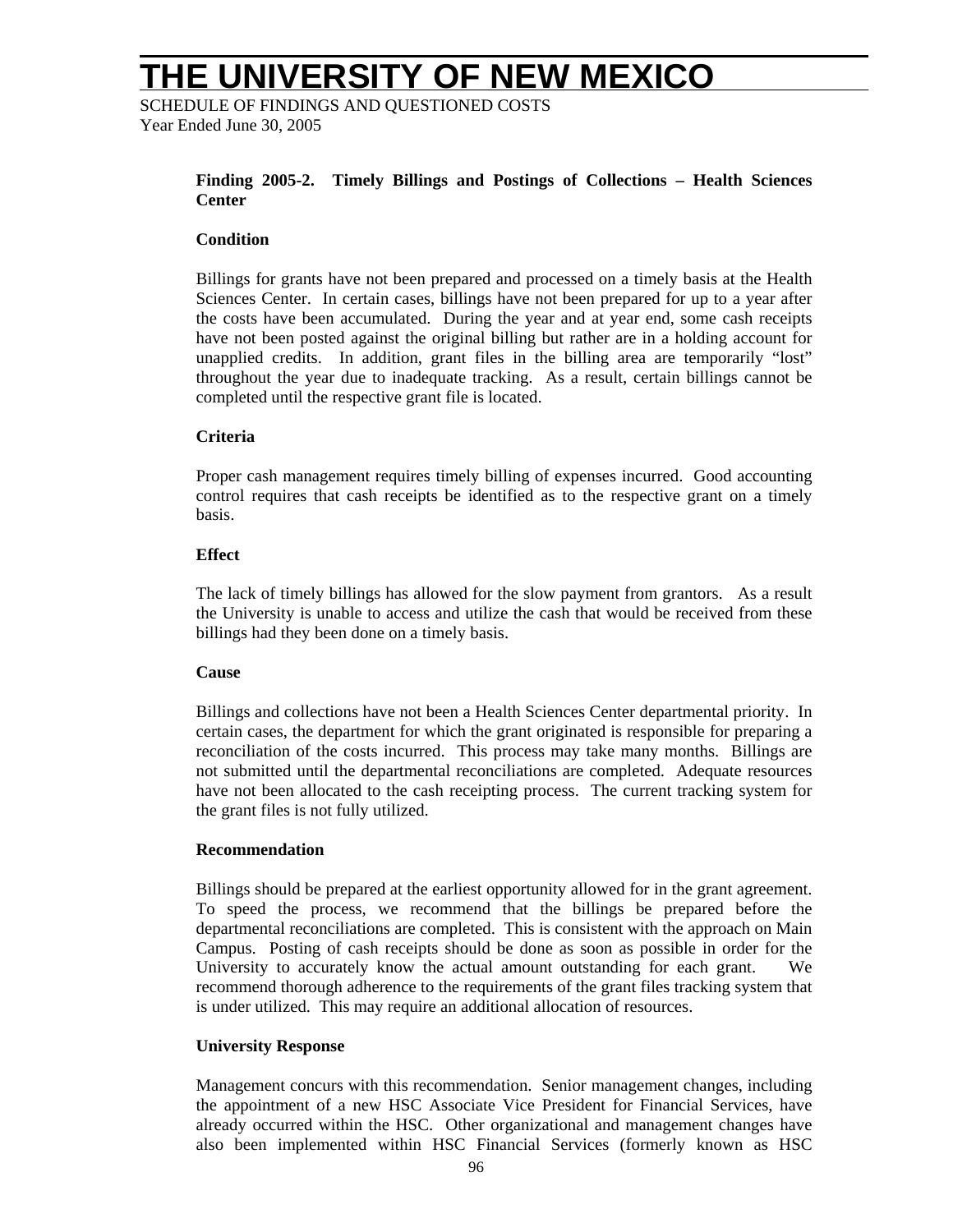SCHEDULE OF FINDINGS AND QUESTIONED COSTS Year Ended June 30, 2005

#### **Finding 2005-2. Timely Billings and Postings of Collections – Health Sciences Center**

#### **Condition**

Billings for grants have not been prepared and processed on a timely basis at the Health Sciences Center. In certain cases, billings have not been prepared for up to a year after the costs have been accumulated. During the year and at year end, some cash receipts have not been posted against the original billing but rather are in a holding account for unapplied credits. In addition, grant files in the billing area are temporarily "lost" throughout the year due to inadequate tracking. As a result, certain billings cannot be completed until the respective grant file is located.

#### **Criteria**

Proper cash management requires timely billing of expenses incurred. Good accounting control requires that cash receipts be identified as to the respective grant on a timely basis.

#### **Effect**

The lack of timely billings has allowed for the slow payment from grantors. As a result the University is unable to access and utilize the cash that would be received from these billings had they been done on a timely basis.

#### **Cause**

Billings and collections have not been a Health Sciences Center departmental priority. In certain cases, the department for which the grant originated is responsible for preparing a reconciliation of the costs incurred. This process may take many months. Billings are not submitted until the departmental reconciliations are completed. Adequate resources have not been allocated to the cash receipting process. The current tracking system for the grant files is not fully utilized.

#### **Recommendation**

Billings should be prepared at the earliest opportunity allowed for in the grant agreement. To speed the process, we recommend that the billings be prepared before the departmental reconciliations are completed. This is consistent with the approach on Main Campus. Posting of cash receipts should be done as soon as possible in order for the University to accurately know the actual amount outstanding for each grant. We recommend thorough adherence to the requirements of the grant files tracking system that is under utilized. This may require an additional allocation of resources.

#### **University Response**

Management concurs with this recommendation. Senior management changes, including the appointment of a new HSC Associate Vice President for Financial Services, have already occurred within the HSC. Other organizational and management changes have also been implemented within HSC Financial Services (formerly known as HSC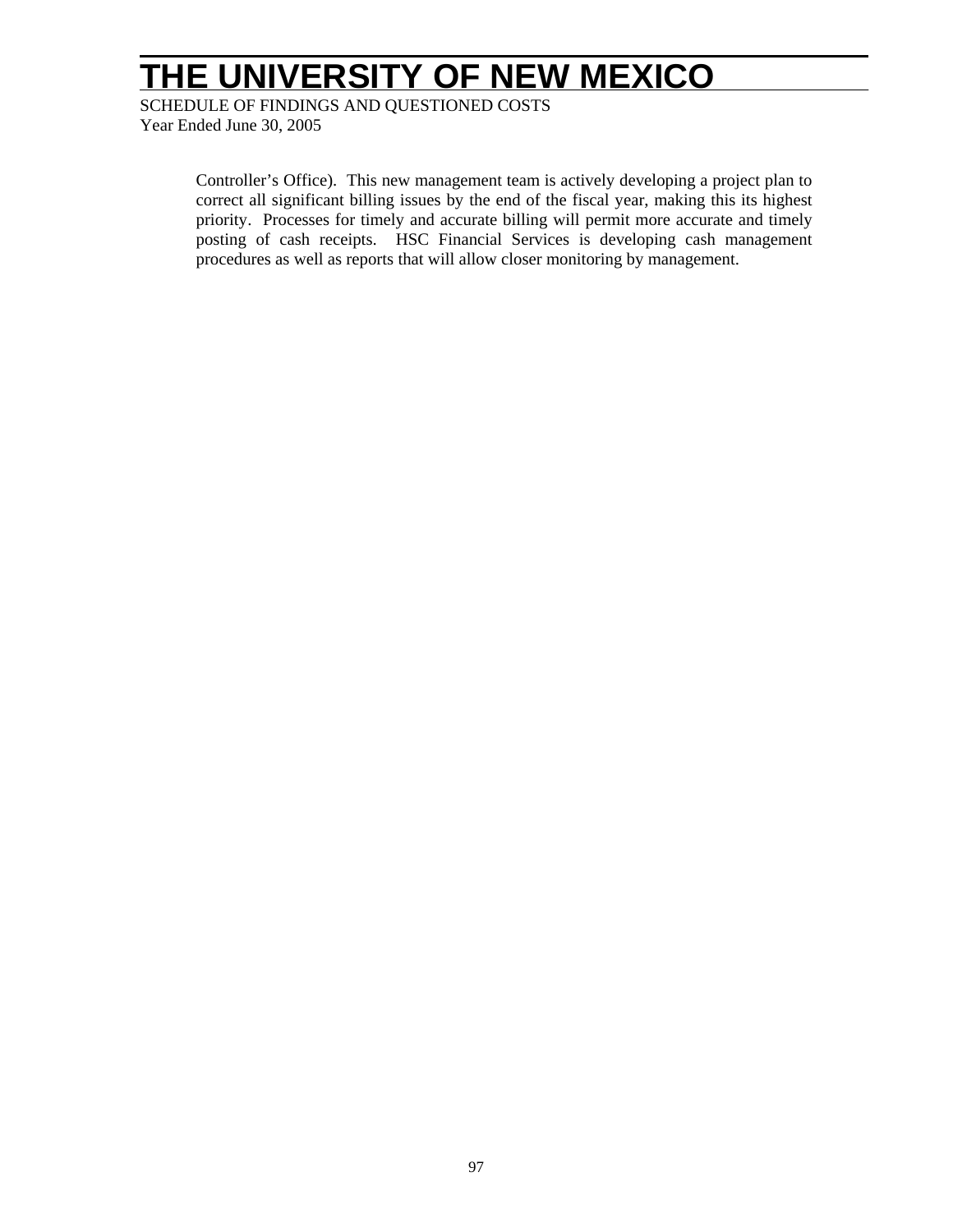SCHEDULE OF FINDINGS AND QUESTIONED COSTS Year Ended June 30, 2005

> Controller's Office). This new management team is actively developing a project plan to correct all significant billing issues by the end of the fiscal year, making this its highest priority. Processes for timely and accurate billing will permit more accurate and timely posting of cash receipts. HSC Financial Services is developing cash management procedures as well as reports that will allow closer monitoring by management.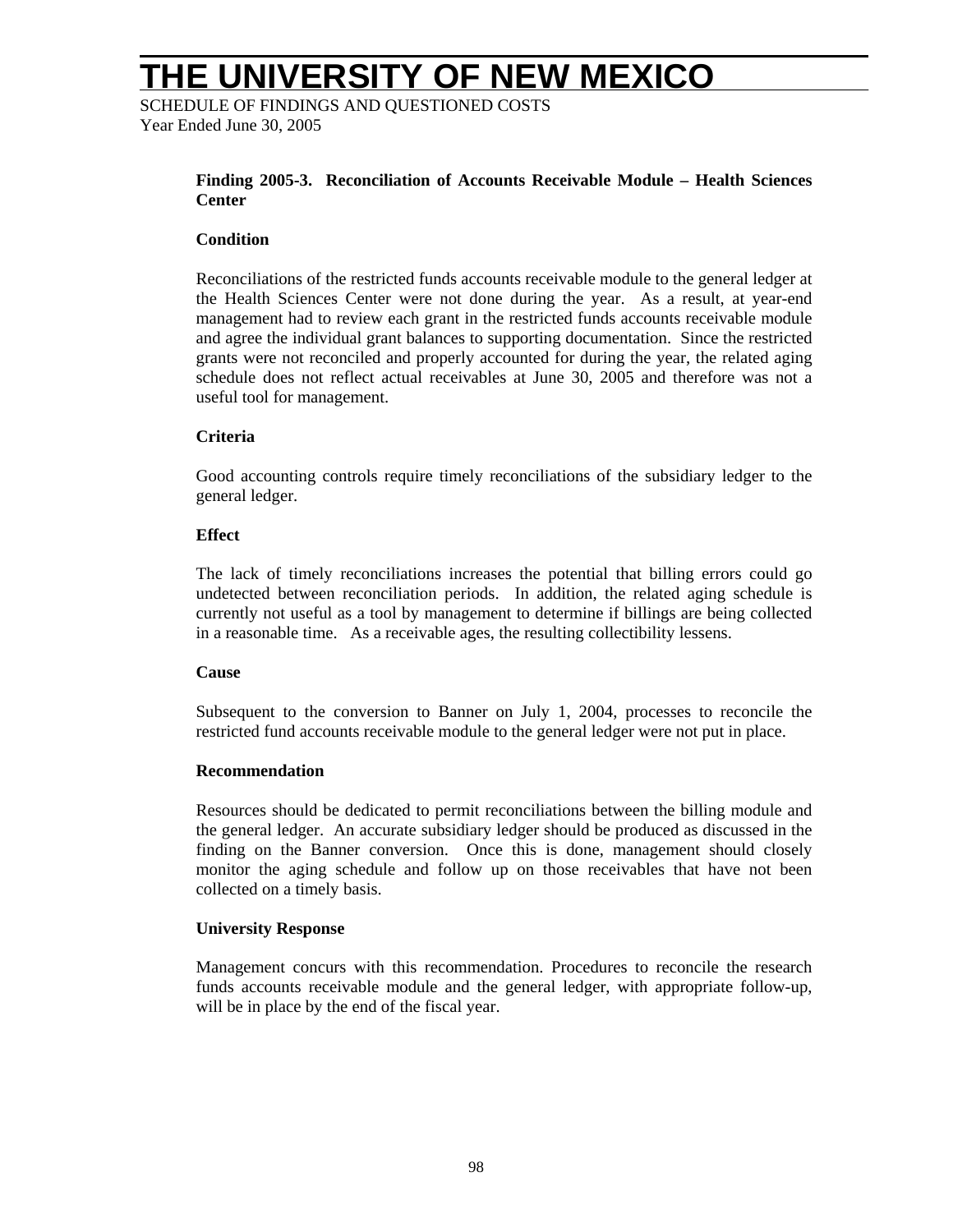SCHEDULE OF FINDINGS AND QUESTIONED COSTS Year Ended June 30, 2005

#### **Finding 2005-3. Reconciliation of Accounts Receivable Module – Health Sciences Center**

#### **Condition**

Reconciliations of the restricted funds accounts receivable module to the general ledger at the Health Sciences Center were not done during the year. As a result, at year-end management had to review each grant in the restricted funds accounts receivable module and agree the individual grant balances to supporting documentation. Since the restricted grants were not reconciled and properly accounted for during the year, the related aging schedule does not reflect actual receivables at June 30, 2005 and therefore was not a useful tool for management.

#### **Criteria**

Good accounting controls require timely reconciliations of the subsidiary ledger to the general ledger.

#### **Effect**

The lack of timely reconciliations increases the potential that billing errors could go undetected between reconciliation periods. In addition, the related aging schedule is currently not useful as a tool by management to determine if billings are being collected in a reasonable time. As a receivable ages, the resulting collectibility lessens.

#### **Cause**

Subsequent to the conversion to Banner on July 1, 2004, processes to reconcile the restricted fund accounts receivable module to the general ledger were not put in place.

#### **Recommendation**

Resources should be dedicated to permit reconciliations between the billing module and the general ledger. An accurate subsidiary ledger should be produced as discussed in the finding on the Banner conversion. Once this is done, management should closely monitor the aging schedule and follow up on those receivables that have not been collected on a timely basis.

#### **University Response**

Management concurs with this recommendation. Procedures to reconcile the research funds accounts receivable module and the general ledger, with appropriate follow-up, will be in place by the end of the fiscal year.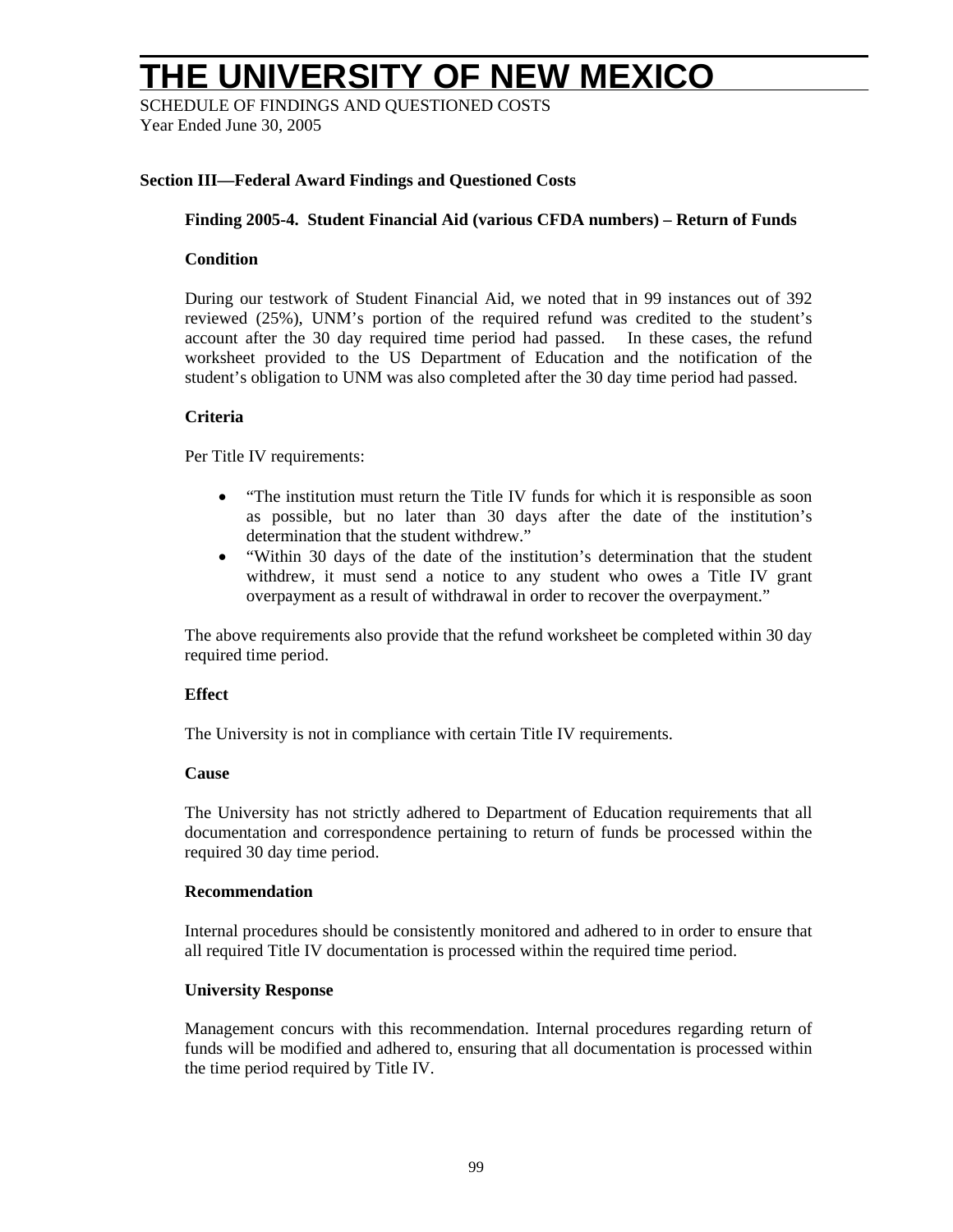SCHEDULE OF FINDINGS AND QUESTIONED COSTS

Year Ended June 30, 2005

#### **Section III—Federal Award Findings and Questioned Costs**

#### **Finding 2005-4. Student Financial Aid (various CFDA numbers) – Return of Funds**

#### **Condition**

During our testwork of Student Financial Aid, we noted that in 99 instances out of 392 reviewed (25%), UNM's portion of the required refund was credited to the student's account after the 30 day required time period had passed. In these cases, the refund worksheet provided to the US Department of Education and the notification of the student's obligation to UNM was also completed after the 30 day time period had passed.

#### **Criteria**

Per Title IV requirements:

- "The institution must return the Title IV funds for which it is responsible as soon as possible, but no later than 30 days after the date of the institution's determination that the student withdrew."
- "Within 30 days of the date of the institution's determination that the student withdrew, it must send a notice to any student who owes a Title IV grant overpayment as a result of withdrawal in order to recover the overpayment."

The above requirements also provide that the refund worksheet be completed within 30 day required time period.

#### **Effect**

The University is not in compliance with certain Title IV requirements.

#### **Cause**

The University has not strictly adhered to Department of Education requirements that all documentation and correspondence pertaining to return of funds be processed within the required 30 day time period.

#### **Recommendation**

Internal procedures should be consistently monitored and adhered to in order to ensure that all required Title IV documentation is processed within the required time period.

#### **University Response**

Management concurs with this recommendation. Internal procedures regarding return of funds will be modified and adhered to, ensuring that all documentation is processed within the time period required by Title IV.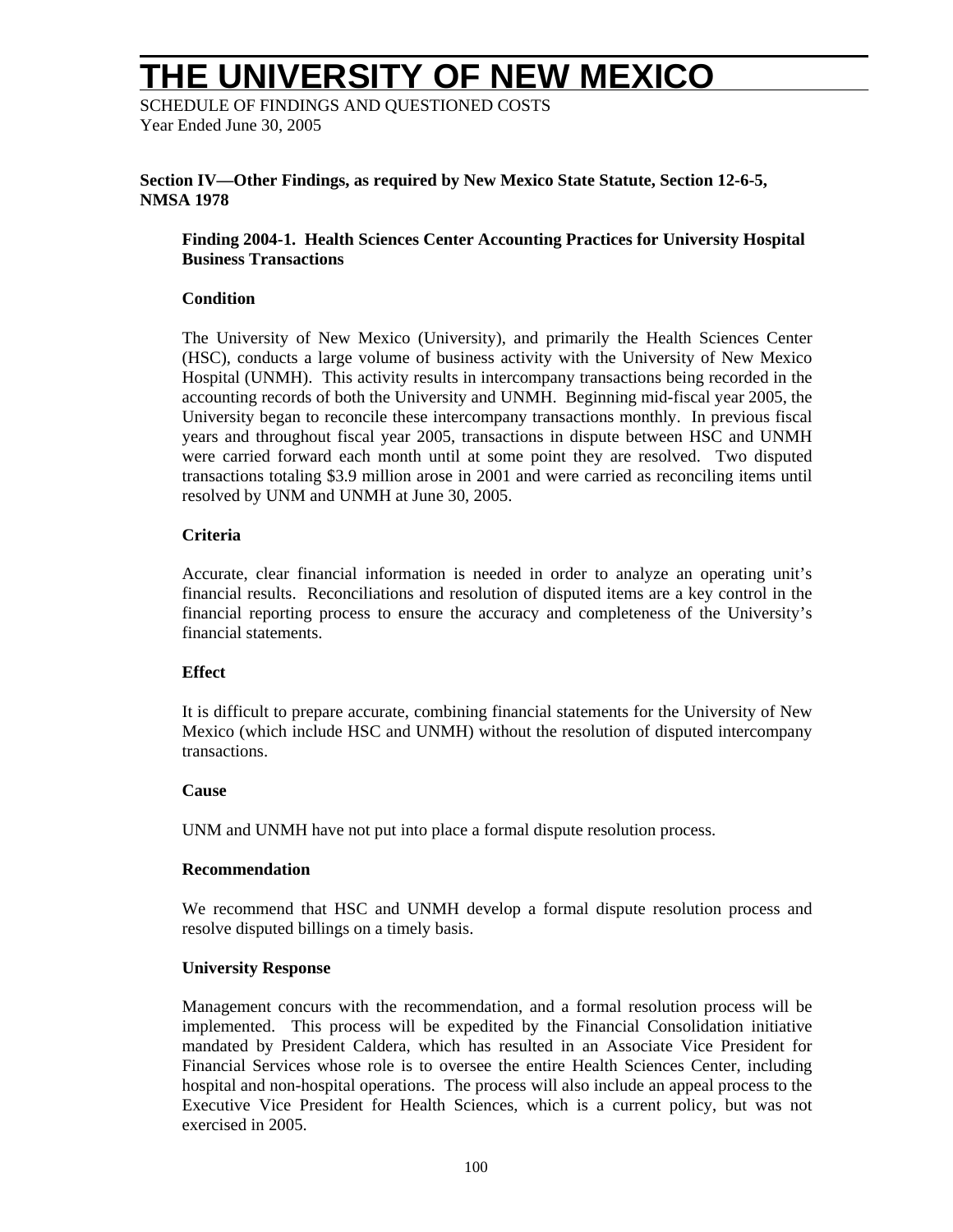SCHEDULE OF FINDINGS AND QUESTIONED COSTS Year Ended June 30, 2005

#### **Section IV—Other Findings, as required by New Mexico State Statute, Section 12-6-5, NMSA 1978**

#### **Finding 2004-1. Health Sciences Center Accounting Practices for University Hospital Business Transactions**

#### **Condition**

The University of New Mexico (University), and primarily the Health Sciences Center (HSC), conducts a large volume of business activity with the University of New Mexico Hospital (UNMH). This activity results in intercompany transactions being recorded in the accounting records of both the University and UNMH. Beginning mid-fiscal year 2005, the University began to reconcile these intercompany transactions monthly. In previous fiscal years and throughout fiscal year 2005, transactions in dispute between HSC and UNMH were carried forward each month until at some point they are resolved. Two disputed transactions totaling \$3.9 million arose in 2001 and were carried as reconciling items until resolved by UNM and UNMH at June 30, 2005.

#### **Criteria**

Accurate, clear financial information is needed in order to analyze an operating unit's financial results. Reconciliations and resolution of disputed items are a key control in the financial reporting process to ensure the accuracy and completeness of the University's financial statements.

#### **Effect**

It is difficult to prepare accurate, combining financial statements for the University of New Mexico (which include HSC and UNMH) without the resolution of disputed intercompany transactions.

#### **Cause**

UNM and UNMH have not put into place a formal dispute resolution process.

#### **Recommendation**

We recommend that HSC and UNMH develop a formal dispute resolution process and resolve disputed billings on a timely basis.

#### **University Response**

Management concurs with the recommendation, and a formal resolution process will be implemented. This process will be expedited by the Financial Consolidation initiative mandated by President Caldera, which has resulted in an Associate Vice President for Financial Services whose role is to oversee the entire Health Sciences Center, including hospital and non-hospital operations. The process will also include an appeal process to the Executive Vice President for Health Sciences, which is a current policy, but was not exercised in 2005.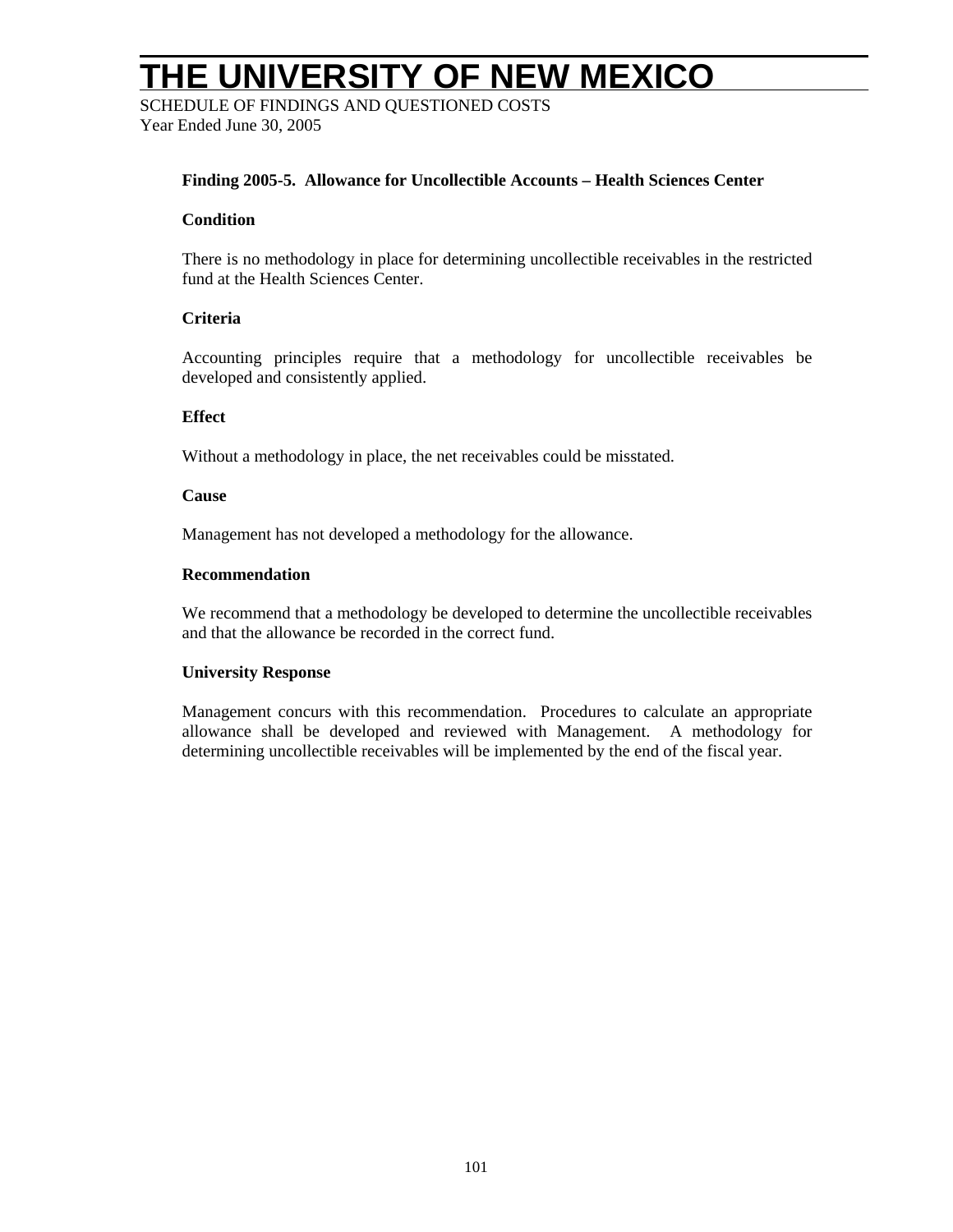SCHEDULE OF FINDINGS AND QUESTIONED COSTS Year Ended June 30, 2005

#### **Finding 2005-5. Allowance for Uncollectible Accounts – Health Sciences Center**

#### **Condition**

There is no methodology in place for determining uncollectible receivables in the restricted fund at the Health Sciences Center.

#### **Criteria**

Accounting principles require that a methodology for uncollectible receivables be developed and consistently applied.

#### **Effect**

Without a methodology in place, the net receivables could be misstated.

#### **Cause**

Management has not developed a methodology for the allowance.

#### **Recommendation**

We recommend that a methodology be developed to determine the uncollectible receivables and that the allowance be recorded in the correct fund.

#### **University Response**

Management concurs with this recommendation. Procedures to calculate an appropriate allowance shall be developed and reviewed with Management. A methodology for determining uncollectible receivables will be implemented by the end of the fiscal year.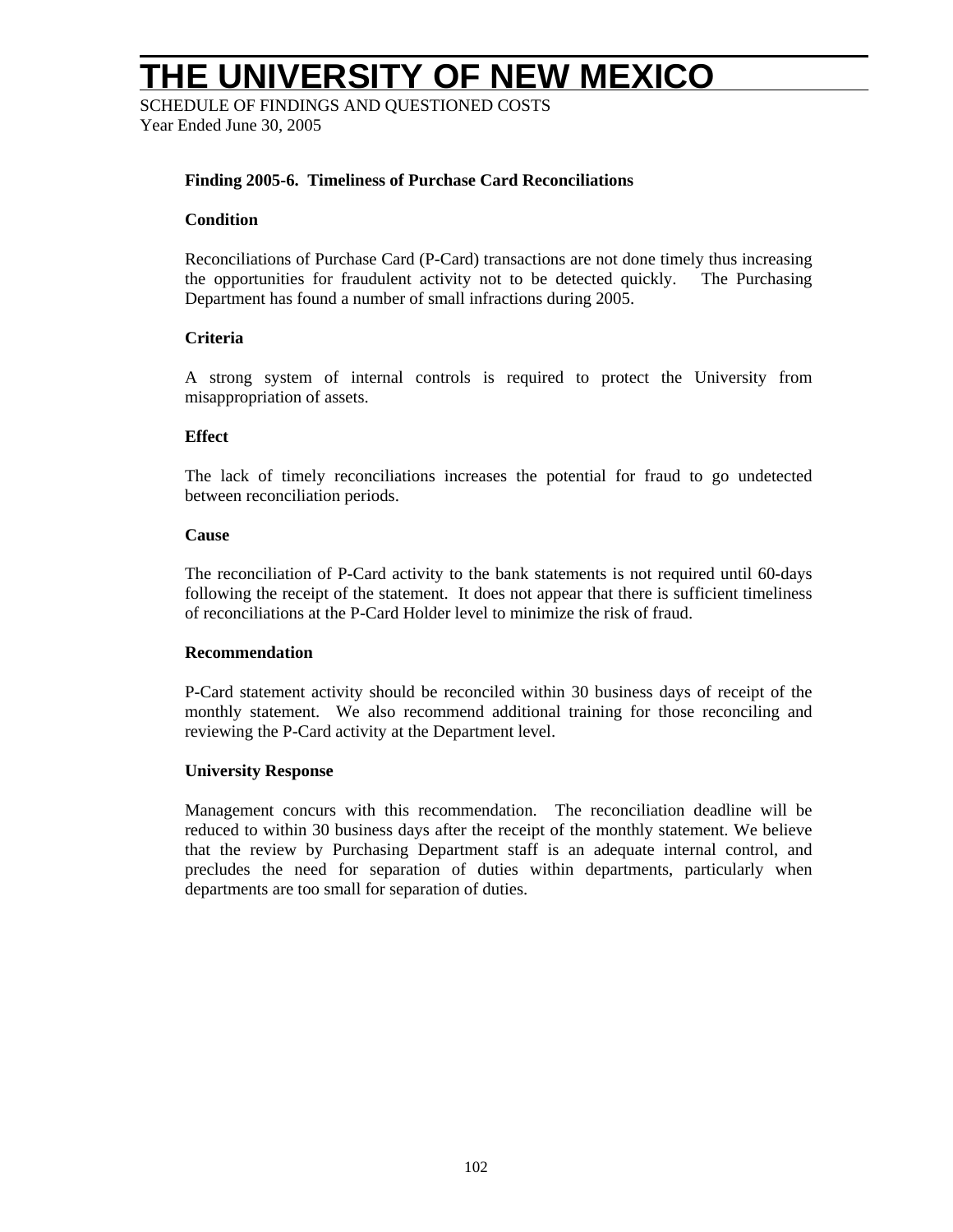SCHEDULE OF FINDINGS AND QUESTIONED COSTS Year Ended June 30, 2005

#### **Finding 2005-6. Timeliness of Purchase Card Reconciliations**

#### **Condition**

Reconciliations of Purchase Card (P-Card) transactions are not done timely thus increasing the opportunities for fraudulent activity not to be detected quickly. The Purchasing Department has found a number of small infractions during 2005.

#### **Criteria**

A strong system of internal controls is required to protect the University from misappropriation of assets.

#### **Effect**

The lack of timely reconciliations increases the potential for fraud to go undetected between reconciliation periods.

#### **Cause**

The reconciliation of P-Card activity to the bank statements is not required until 60-days following the receipt of the statement. It does not appear that there is sufficient timeliness of reconciliations at the P-Card Holder level to minimize the risk of fraud.

#### **Recommendation**

P-Card statement activity should be reconciled within 30 business days of receipt of the monthly statement. We also recommend additional training for those reconciling and reviewing the P-Card activity at the Department level.

#### **University Response**

Management concurs with this recommendation. The reconciliation deadline will be reduced to within 30 business days after the receipt of the monthly statement. We believe that the review by Purchasing Department staff is an adequate internal control, and precludes the need for separation of duties within departments, particularly when departments are too small for separation of duties.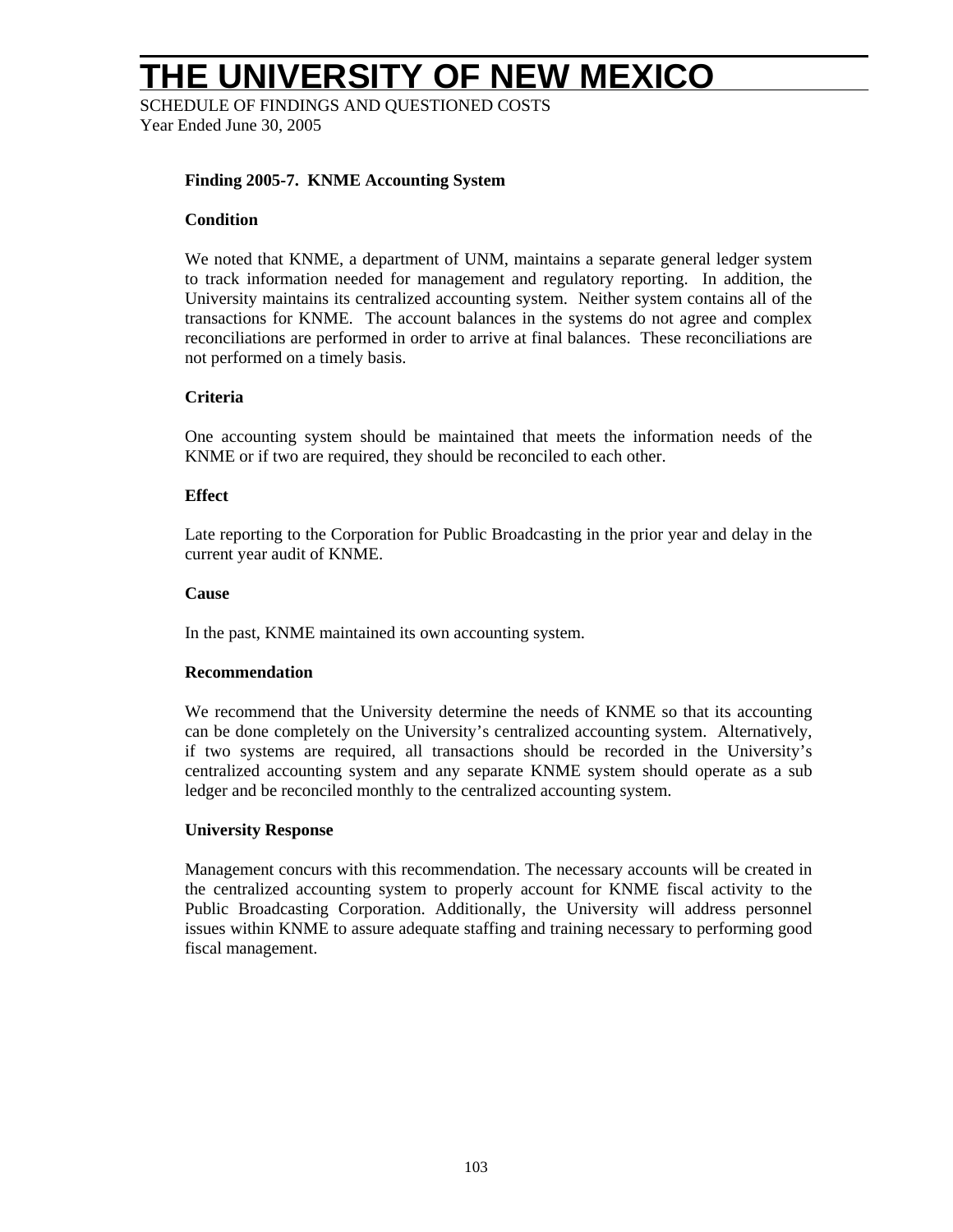SCHEDULE OF FINDINGS AND QUESTIONED COSTS Year Ended June 30, 2005

#### **Finding 2005-7. KNME Accounting System**

#### **Condition**

We noted that KNME, a department of UNM, maintains a separate general ledger system to track information needed for management and regulatory reporting. In addition, the University maintains its centralized accounting system. Neither system contains all of the transactions for KNME. The account balances in the systems do not agree and complex reconciliations are performed in order to arrive at final balances. These reconciliations are not performed on a timely basis.

#### **Criteria**

One accounting system should be maintained that meets the information needs of the KNME or if two are required, they should be reconciled to each other.

#### **Effect**

Late reporting to the Corporation for Public Broadcasting in the prior year and delay in the current year audit of KNME.

#### **Cause**

In the past, KNME maintained its own accounting system.

#### **Recommendation**

We recommend that the University determine the needs of KNME so that its accounting can be done completely on the University's centralized accounting system. Alternatively, if two systems are required, all transactions should be recorded in the University's centralized accounting system and any separate KNME system should operate as a sub ledger and be reconciled monthly to the centralized accounting system.

#### **University Response**

Management concurs with this recommendation. The necessary accounts will be created in the centralized accounting system to properly account for KNME fiscal activity to the Public Broadcasting Corporation. Additionally, the University will address personnel issues within KNME to assure adequate staffing and training necessary to performing good fiscal management.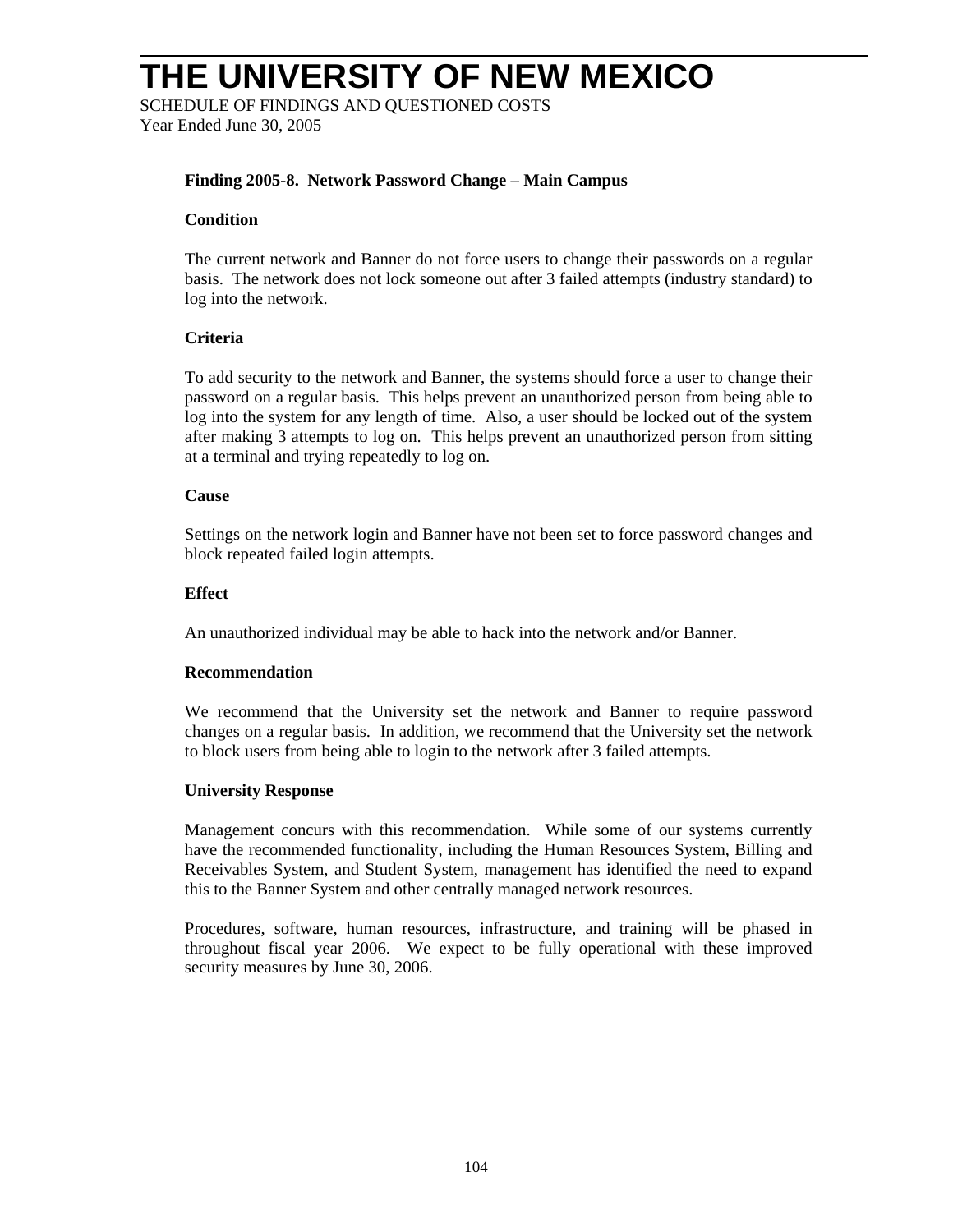SCHEDULE OF FINDINGS AND QUESTIONED COSTS Year Ended June 30, 2005

### **Finding 2005-8. Network Password Change** – **Main Campus**

### **Condition**

The current network and Banner do not force users to change their passwords on a regular basis. The network does not lock someone out after 3 failed attempts (industry standard) to log into the network.

## **Criteria**

To add security to the network and Banner, the systems should force a user to change their password on a regular basis. This helps prevent an unauthorized person from being able to log into the system for any length of time. Also, a user should be locked out of the system after making 3 attempts to log on. This helps prevent an unauthorized person from sitting at a terminal and trying repeatedly to log on.

## **Cause**

Settings on the network login and Banner have not been set to force password changes and block repeated failed login attempts.

## **Effect**

An unauthorized individual may be able to hack into the network and/or Banner.

### **Recommendation**

We recommend that the University set the network and Banner to require password changes on a regular basis. In addition, we recommend that the University set the network to block users from being able to login to the network after 3 failed attempts.

### **University Response**

Management concurs with this recommendation. While some of our systems currently have the recommended functionality, including the Human Resources System, Billing and Receivables System, and Student System, management has identified the need to expand this to the Banner System and other centrally managed network resources.

Procedures, software, human resources, infrastructure, and training will be phased in throughout fiscal year 2006. We expect to be fully operational with these improved security measures by June 30, 2006.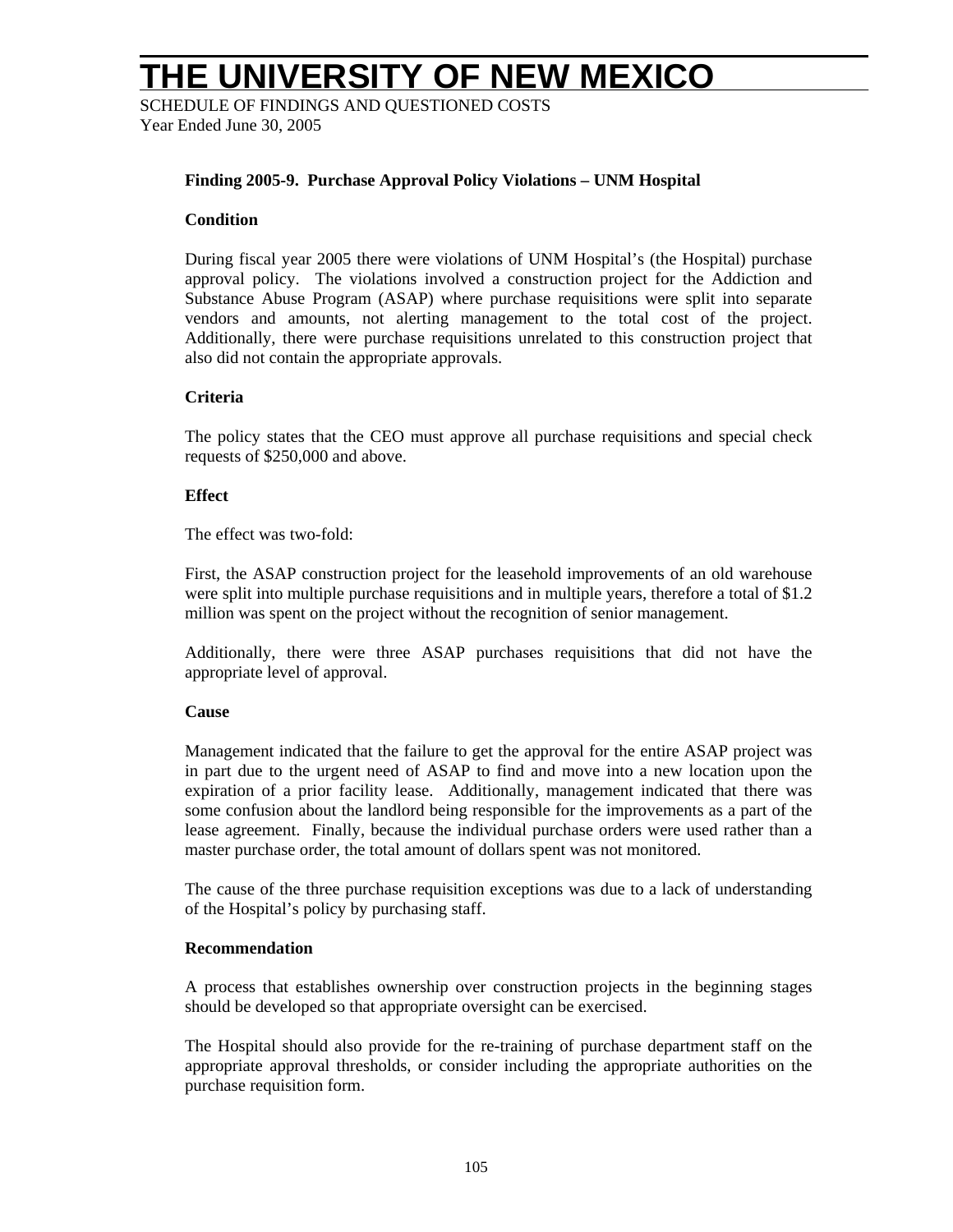SCHEDULE OF FINDINGS AND QUESTIONED COSTS Year Ended June 30, 2005

### **Finding 2005-9. Purchase Approval Policy Violations – UNM Hospital**

#### **Condition**

During fiscal year 2005 there were violations of UNM Hospital's (the Hospital) purchase approval policy. The violations involved a construction project for the Addiction and Substance Abuse Program (ASAP) where purchase requisitions were split into separate vendors and amounts, not alerting management to the total cost of the project. Additionally, there were purchase requisitions unrelated to this construction project that also did not contain the appropriate approvals.

### **Criteria**

The policy states that the CEO must approve all purchase requisitions and special check requests of \$250,000 and above.

### **Effect**

The effect was two-fold:

First, the ASAP construction project for the leasehold improvements of an old warehouse were split into multiple purchase requisitions and in multiple years, therefore a total of \$1.2 million was spent on the project without the recognition of senior management.

Additionally, there were three ASAP purchases requisitions that did not have the appropriate level of approval.

### **Cause**

Management indicated that the failure to get the approval for the entire ASAP project was in part due to the urgent need of ASAP to find and move into a new location upon the expiration of a prior facility lease. Additionally, management indicated that there was some confusion about the landlord being responsible for the improvements as a part of the lease agreement. Finally, because the individual purchase orders were used rather than a master purchase order, the total amount of dollars spent was not monitored.

The cause of the three purchase requisition exceptions was due to a lack of understanding of the Hospital's policy by purchasing staff.

### **Recommendation**

A process that establishes ownership over construction projects in the beginning stages should be developed so that appropriate oversight can be exercised.

The Hospital should also provide for the re-training of purchase department staff on the appropriate approval thresholds, or consider including the appropriate authorities on the purchase requisition form.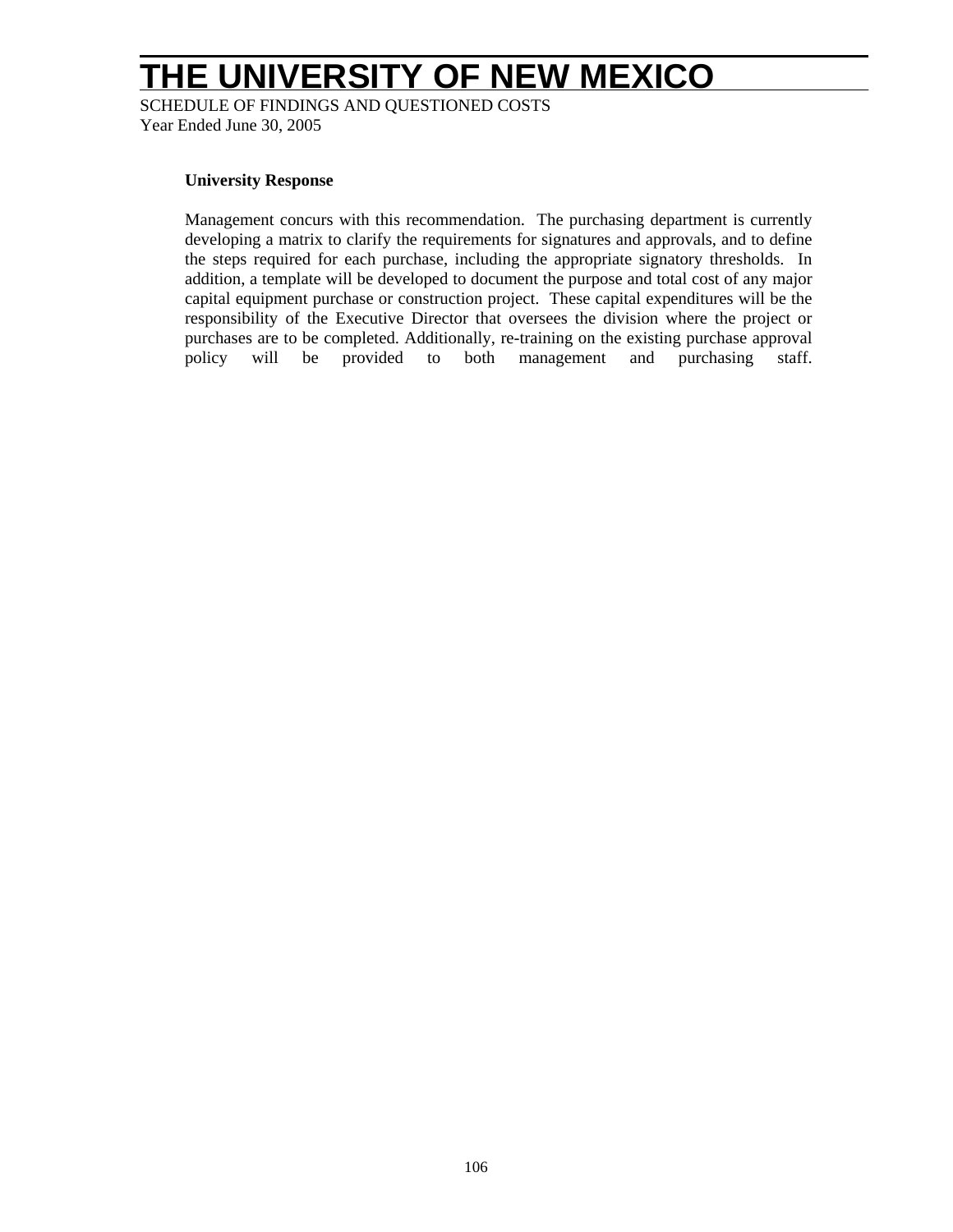SCHEDULE OF FINDINGS AND QUESTIONED COSTS Year Ended June 30, 2005

## **University Response**

Management concurs with this recommendation. The purchasing department is currently developing a matrix to clarify the requirements for signatures and approvals, and to define the steps required for each purchase, including the appropriate signatory thresholds. In addition, a template will be developed to document the purpose and total cost of any major capital equipment purchase or construction project. These capital expenditures will be the responsibility of the Executive Director that oversees the division where the project or purchases are to be completed. Additionally, re-training on the existing purchase approval policy will be provided to both management and purchasing staff.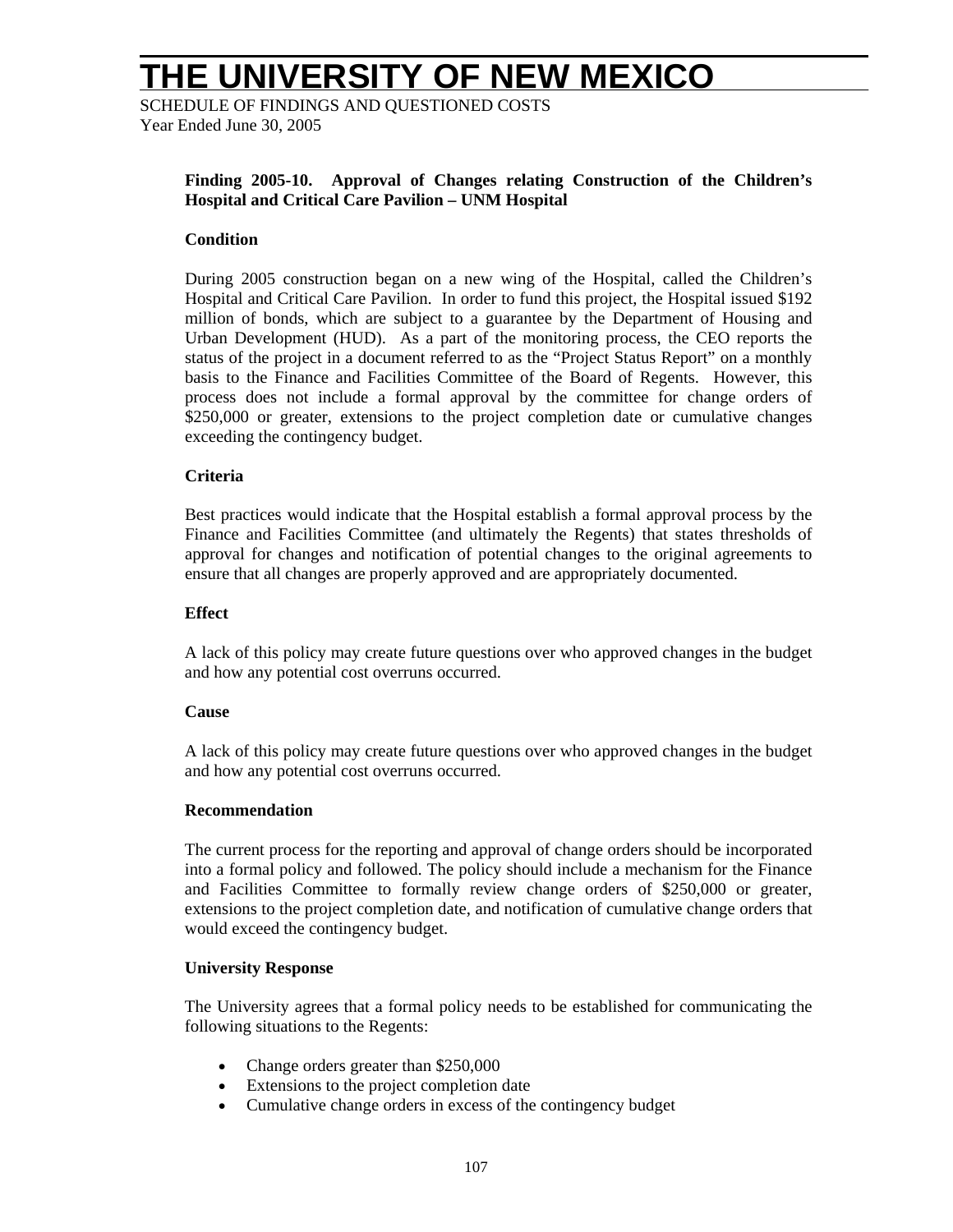SCHEDULE OF FINDINGS AND QUESTIONED COSTS Year Ended June 30, 2005

## **Finding 2005-10. Approval of Changes relating Construction of the Children's Hospital and Critical Care Pavilion – UNM Hospital**

## **Condition**

During 2005 construction began on a new wing of the Hospital, called the Children's Hospital and Critical Care Pavilion. In order to fund this project, the Hospital issued \$192 million of bonds, which are subject to a guarantee by the Department of Housing and Urban Development (HUD). As a part of the monitoring process, the CEO reports the status of the project in a document referred to as the "Project Status Report" on a monthly basis to the Finance and Facilities Committee of the Board of Regents. However, this process does not include a formal approval by the committee for change orders of \$250,000 or greater, extensions to the project completion date or cumulative changes exceeding the contingency budget.

## **Criteria**

Best practices would indicate that the Hospital establish a formal approval process by the Finance and Facilities Committee (and ultimately the Regents) that states thresholds of approval for changes and notification of potential changes to the original agreements to ensure that all changes are properly approved and are appropriately documented.

### **Effect**

A lack of this policy may create future questions over who approved changes in the budget and how any potential cost overruns occurred.

### **Cause**

A lack of this policy may create future questions over who approved changes in the budget and how any potential cost overruns occurred.

### **Recommendation**

The current process for the reporting and approval of change orders should be incorporated into a formal policy and followed. The policy should include a mechanism for the Finance and Facilities Committee to formally review change orders of \$250,000 or greater, extensions to the project completion date, and notification of cumulative change orders that would exceed the contingency budget.

### **University Response**

The University agrees that a formal policy needs to be established for communicating the following situations to the Regents:

- Change orders greater than \$250,000
- Extensions to the project completion date
- Cumulative change orders in excess of the contingency budget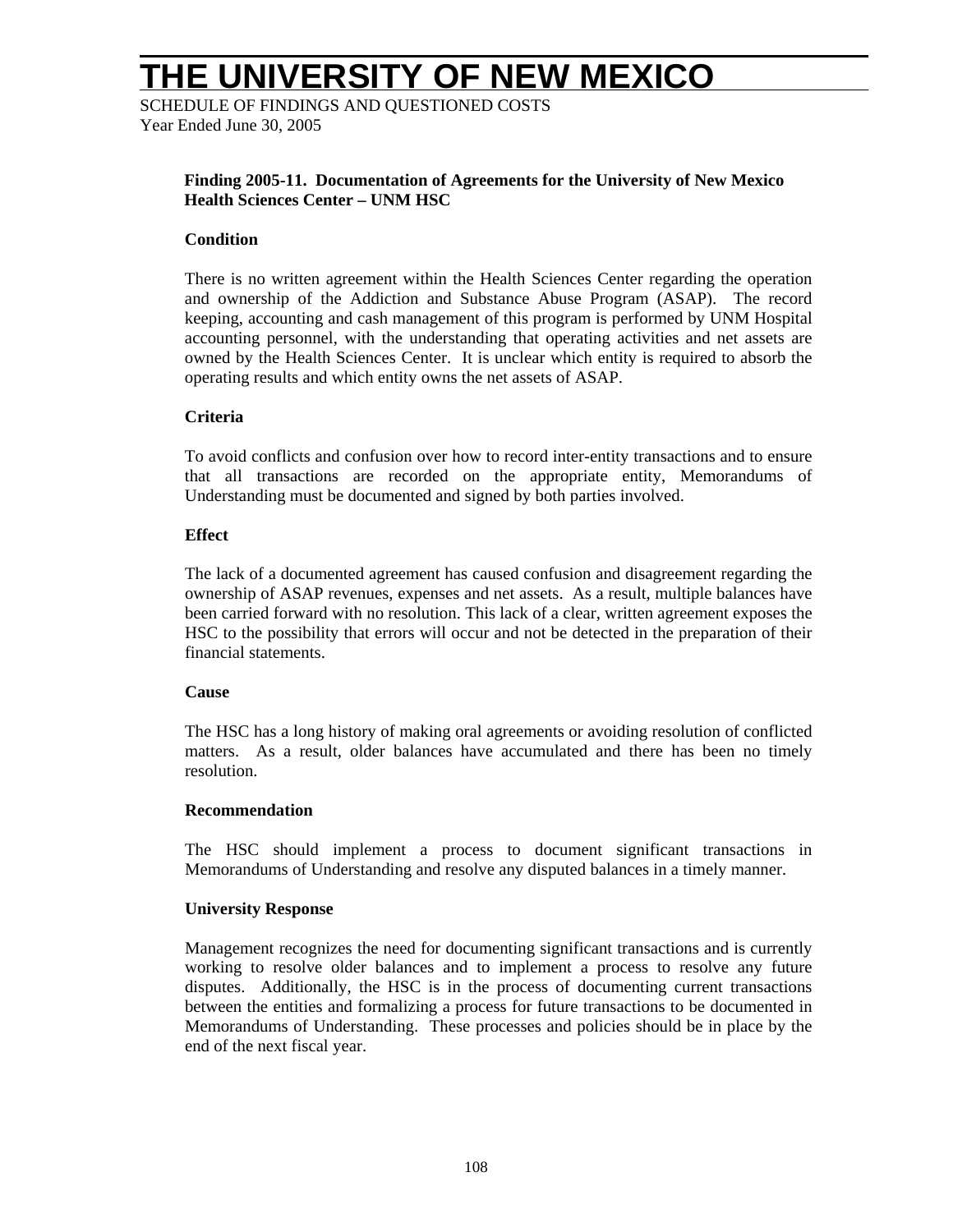SCHEDULE OF FINDINGS AND QUESTIONED COSTS Year Ended June 30, 2005

## **Finding 2005-11. Documentation of Agreements for the University of New Mexico Health Sciences Center – UNM HSC**

## **Condition**

There is no written agreement within the Health Sciences Center regarding the operation and ownership of the Addiction and Substance Abuse Program (ASAP). The record keeping, accounting and cash management of this program is performed by UNM Hospital accounting personnel, with the understanding that operating activities and net assets are owned by the Health Sciences Center. It is unclear which entity is required to absorb the operating results and which entity owns the net assets of ASAP.

## **Criteria**

To avoid conflicts and confusion over how to record inter-entity transactions and to ensure that all transactions are recorded on the appropriate entity, Memorandums of Understanding must be documented and signed by both parties involved.

## **Effect**

The lack of a documented agreement has caused confusion and disagreement regarding the ownership of ASAP revenues, expenses and net assets. As a result, multiple balances have been carried forward with no resolution. This lack of a clear, written agreement exposes the HSC to the possibility that errors will occur and not be detected in the preparation of their financial statements.

### **Cause**

The HSC has a long history of making oral agreements or avoiding resolution of conflicted matters. As a result, older balances have accumulated and there has been no timely resolution.

### **Recommendation**

The HSC should implement a process to document significant transactions in Memorandums of Understanding and resolve any disputed balances in a timely manner.

### **University Response**

Management recognizes the need for documenting significant transactions and is currently working to resolve older balances and to implement a process to resolve any future disputes. Additionally, the HSC is in the process of documenting current transactions between the entities and formalizing a process for future transactions to be documented in Memorandums of Understanding. These processes and policies should be in place by the end of the next fiscal year.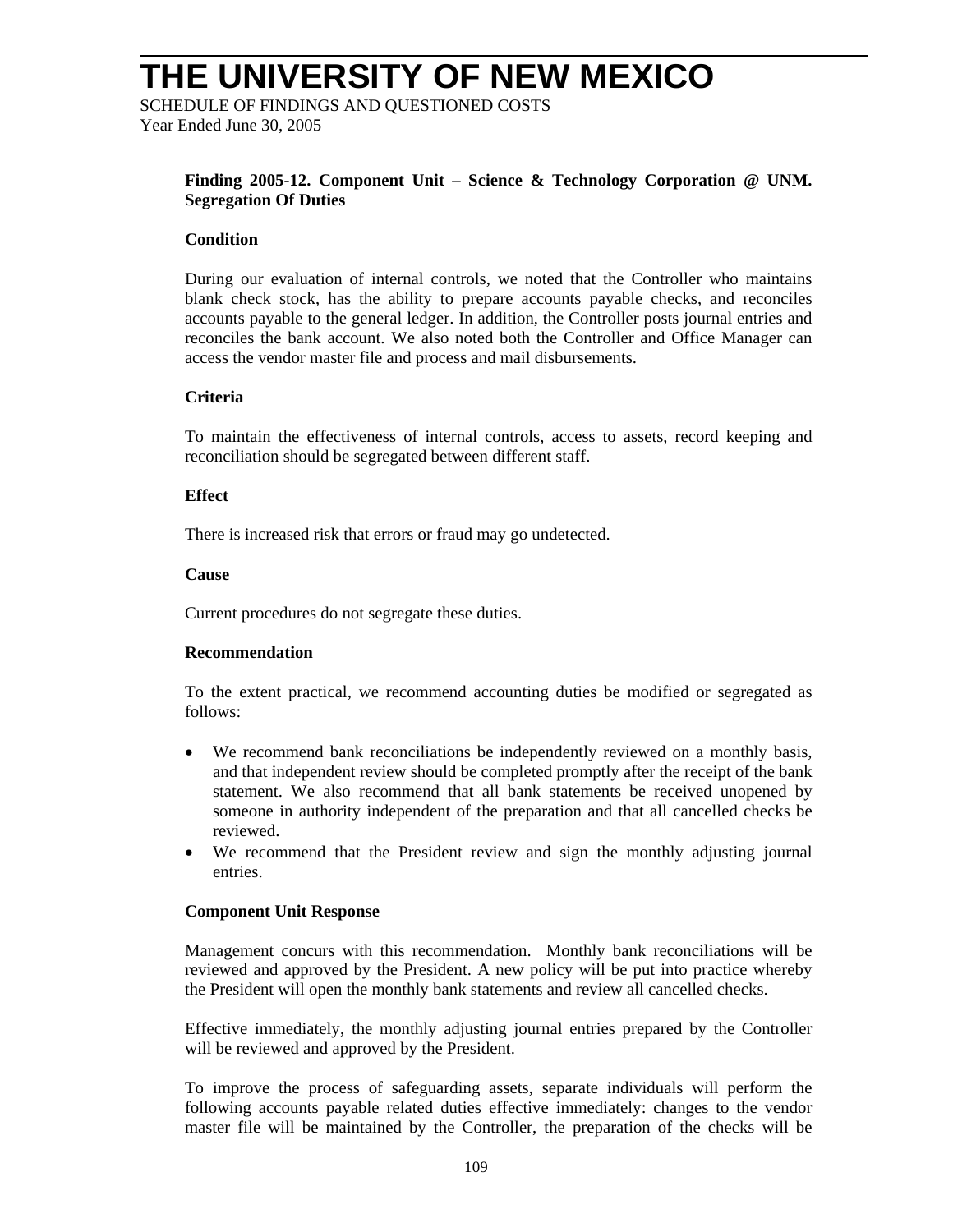SCHEDULE OF FINDINGS AND QUESTIONED COSTS Year Ended June 30, 2005

## **Finding 2005-12. Component Unit – Science & Technology Corporation @ UNM. Segregation Of Duties**

## **Condition**

During our evaluation of internal controls, we noted that the Controller who maintains blank check stock, has the ability to prepare accounts payable checks, and reconciles accounts payable to the general ledger. In addition, the Controller posts journal entries and reconciles the bank account. We also noted both the Controller and Office Manager can access the vendor master file and process and mail disbursements.

## **Criteria**

To maintain the effectiveness of internal controls, access to assets, record keeping and reconciliation should be segregated between different staff.

## **Effect**

There is increased risk that errors or fraud may go undetected.

### **Cause**

Current procedures do not segregate these duties.

### **Recommendation**

To the extent practical, we recommend accounting duties be modified or segregated as follows:

- We recommend bank reconciliations be independently reviewed on a monthly basis, and that independent review should be completed promptly after the receipt of the bank statement. We also recommend that all bank statements be received unopened by someone in authority independent of the preparation and that all cancelled checks be reviewed.
- We recommend that the President review and sign the monthly adjusting journal entries.

### **Component Unit Response**

Management concurs with this recommendation. Monthly bank reconciliations will be reviewed and approved by the President. A new policy will be put into practice whereby the President will open the monthly bank statements and review all cancelled checks.

Effective immediately, the monthly adjusting journal entries prepared by the Controller will be reviewed and approved by the President.

To improve the process of safeguarding assets, separate individuals will perform the following accounts payable related duties effective immediately: changes to the vendor master file will be maintained by the Controller, the preparation of the checks will be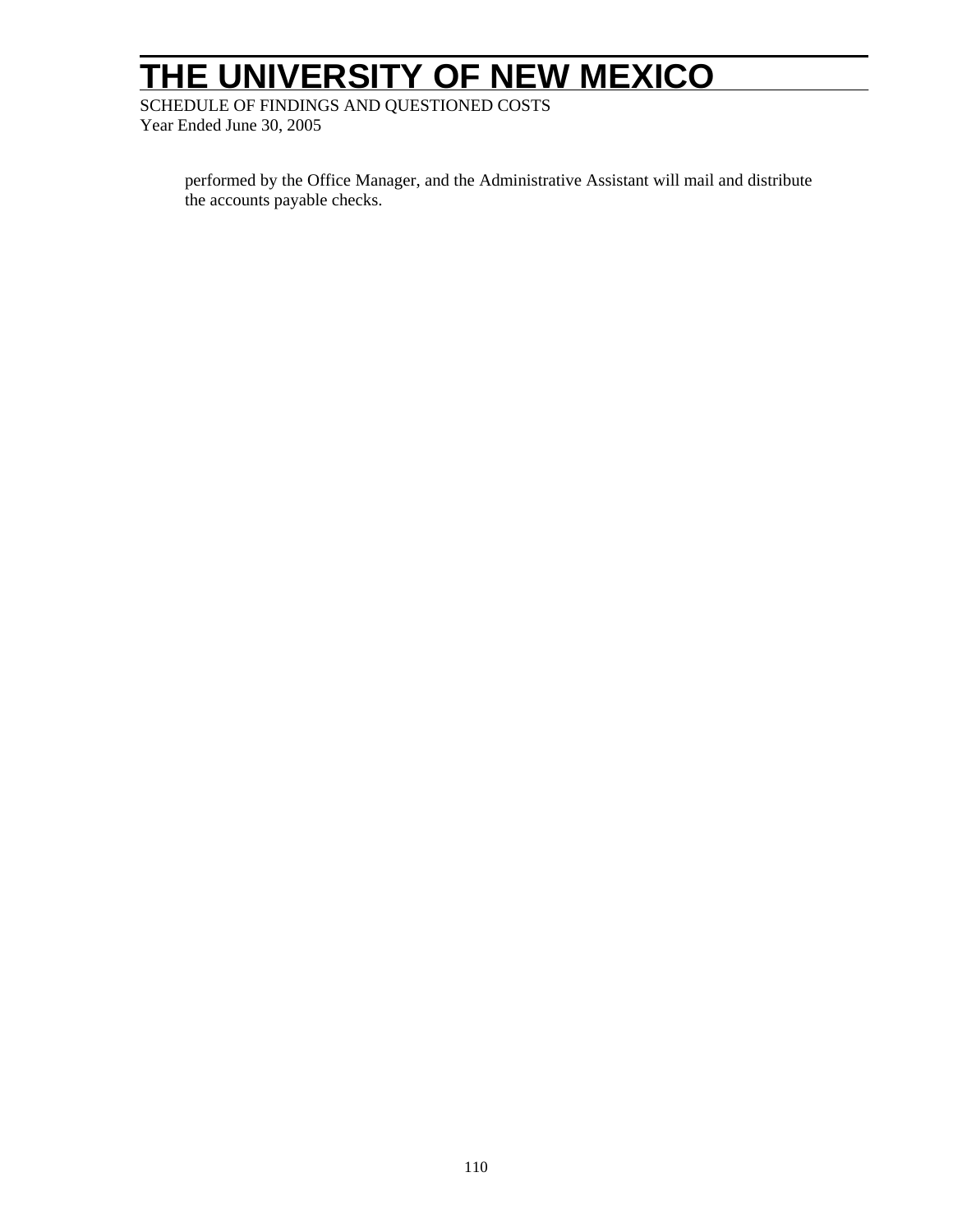SCHEDULE OF FINDINGS AND QUESTIONED COSTS Year Ended June 30, 2005

> performed by the Office Manager, and the Administrative Assistant will mail and distribute the accounts payable checks.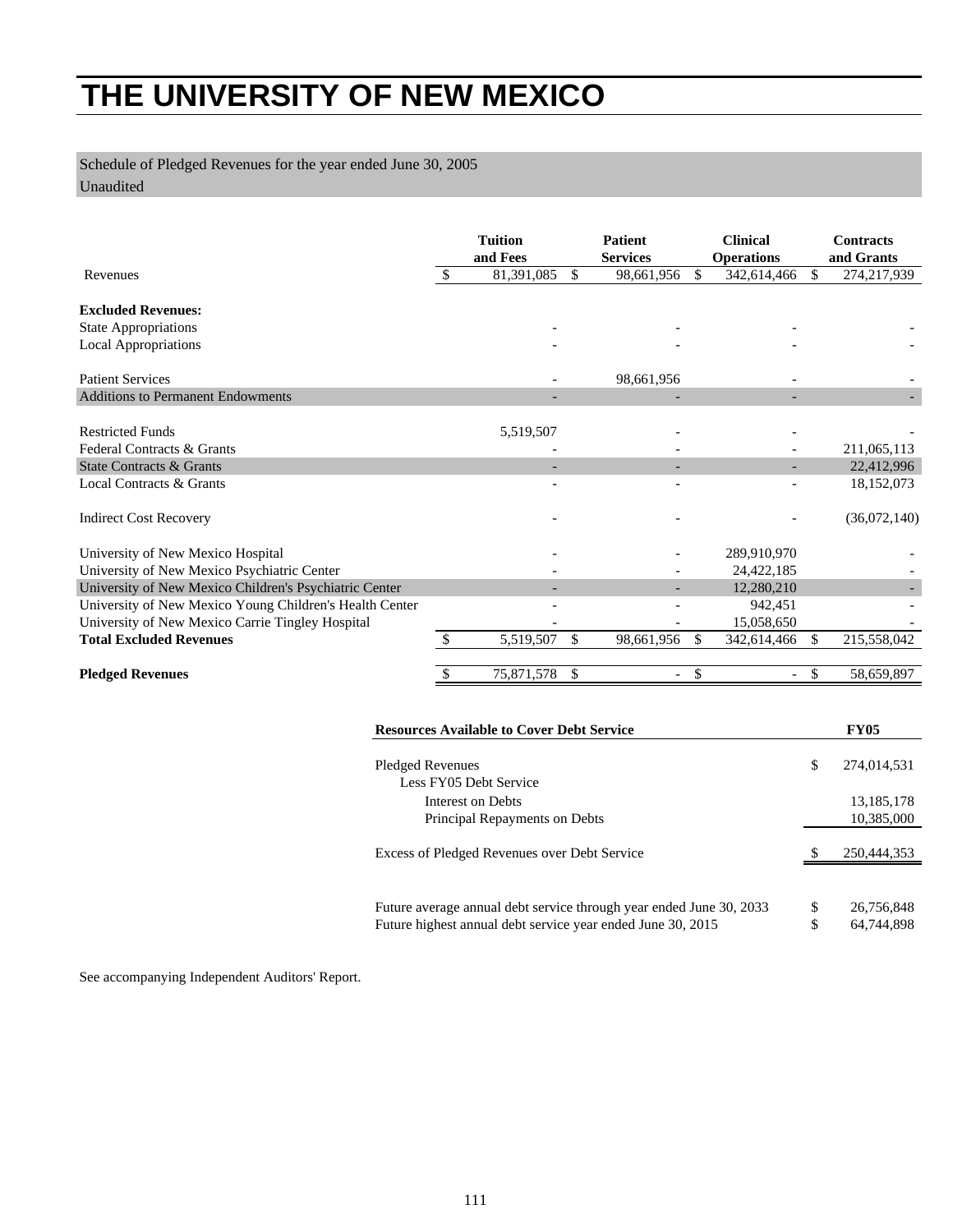## Schedule of Pledged Revenues for the year ended June 30, 2005 Unaudited

|                                                         |    | <b>Tuition</b><br>and Fees |                    | <b>Patient</b><br><b>Services</b> |        | <b>Clinical</b><br><b>Operations</b> |     | <b>Contracts</b><br>and Grants |
|---------------------------------------------------------|----|----------------------------|--------------------|-----------------------------------|--------|--------------------------------------|-----|--------------------------------|
| Revenues                                                | -S | 81,391,085                 | $\mathbb{S}$       | 98,661,956                        | S.     | 342,614,466                          | \$  | 274,217,939                    |
| <b>Excluded Revenues:</b>                               |    |                            |                    |                                   |        |                                      |     |                                |
| <b>State Appropriations</b>                             |    |                            |                    |                                   |        |                                      |     |                                |
| <b>Local Appropriations</b>                             |    |                            |                    |                                   |        |                                      |     |                                |
| <b>Patient Services</b>                                 |    |                            |                    | 98,661,956                        |        |                                      |     |                                |
| <b>Additions to Permanent Endowments</b>                |    |                            |                    |                                   |        |                                      |     |                                |
|                                                         |    |                            |                    |                                   |        |                                      |     |                                |
| <b>Restricted Funds</b>                                 |    | 5,519,507                  |                    |                                   |        |                                      |     |                                |
| Federal Contracts & Grants                              |    |                            |                    |                                   |        |                                      |     | 211,065,113                    |
| State Contracts & Grants                                |    |                            |                    |                                   |        |                                      |     | 22,412,996                     |
| Local Contracts & Grants                                |    |                            |                    |                                   |        |                                      |     | 18,152,073                     |
| <b>Indirect Cost Recovery</b>                           |    |                            |                    |                                   |        |                                      |     | (36,072,140)                   |
| University of New Mexico Hospital                       |    |                            |                    |                                   |        | 289,910,970                          |     |                                |
| University of New Mexico Psychiatric Center             |    |                            |                    |                                   |        | 24,422,185                           |     |                                |
| University of New Mexico Children's Psychiatric Center  |    |                            |                    |                                   |        | 12,280,210                           |     |                                |
| University of New Mexico Young Children's Health Center |    |                            |                    |                                   |        | 942,451                              |     |                                |
| University of New Mexico Carrie Tingley Hospital        |    |                            |                    |                                   |        | 15,058,650                           |     |                                |
| <b>Total Excluded Revenues</b>                          | -S | 5,519,507                  | \$                 | 98,661,956                        | \$     | 342,614,466                          | \$. | 215,558,042                    |
| <b>Pledged Revenues</b>                                 | S  | 75,871,578                 | $\mathbf{\hat{S}}$ |                                   | $-$ \$ | $\overline{\phantom{a}}$             | \$  | 58,659,897                     |

| <b>Resources Available to Cover Debt Service</b>                                                                                   |          | <b>FY05</b>              |
|------------------------------------------------------------------------------------------------------------------------------------|----------|--------------------------|
| <b>Pledged Revenues</b><br>Less FY05 Debt Service                                                                                  | \$.      | 274,014,531              |
| Interest on Debts                                                                                                                  |          | 13, 185, 178             |
| Principal Repayments on Debts                                                                                                      |          | 10,385,000               |
| Excess of Pledged Revenues over Debt Service                                                                                       |          | 250,444,353              |
| Future average annual debt service through year ended June 30, 2033<br>Future highest annual debt service year ended June 30, 2015 | \$<br>\$ | 26,756,848<br>64,744,898 |

See accompanying Independent Auditors' Report.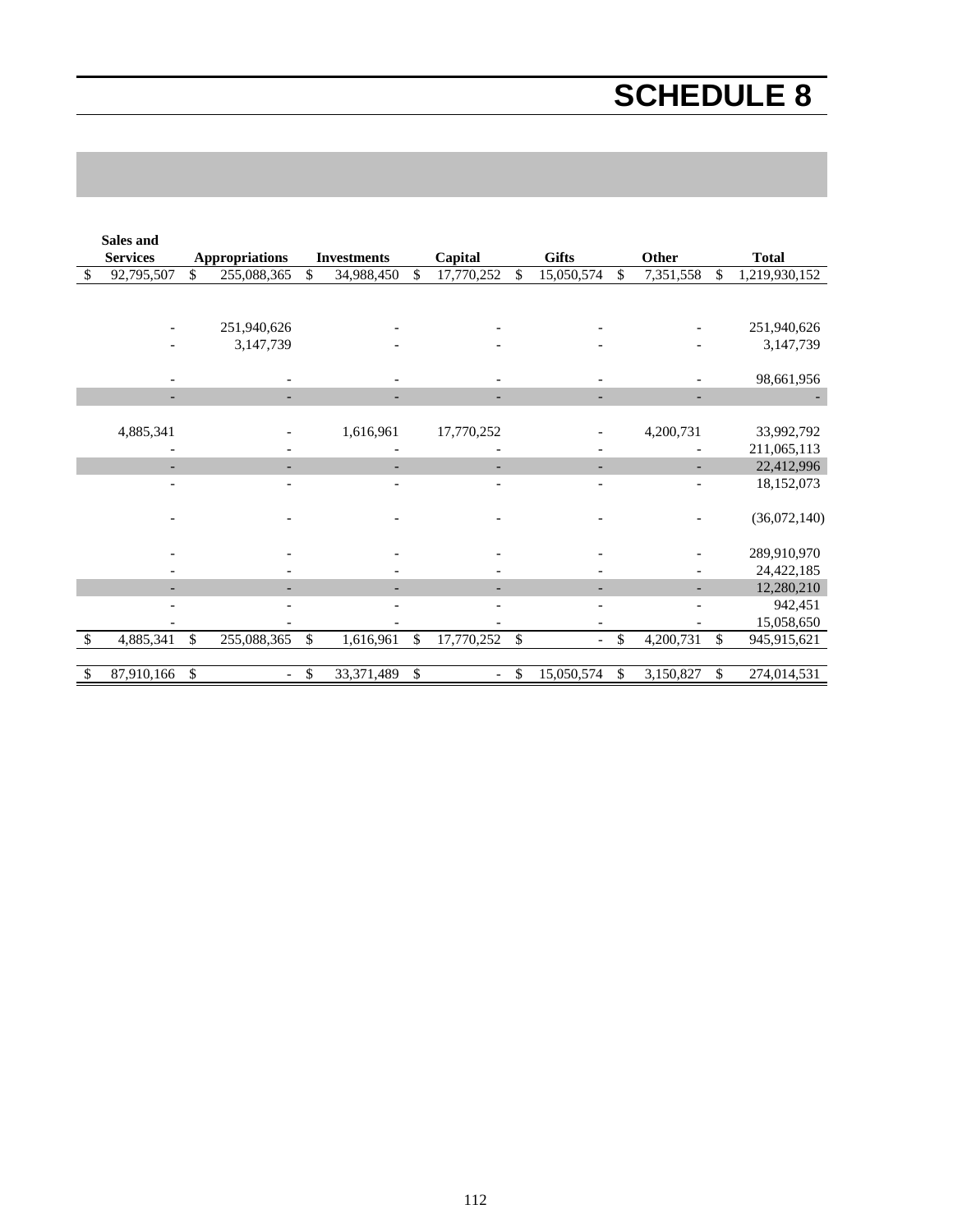## **SCHEDULE 8**

|     | Sales and       |              |                          |              |                    |                                |                                |              |           |              |               |
|-----|-----------------|--------------|--------------------------|--------------|--------------------|--------------------------------|--------------------------------|--------------|-----------|--------------|---------------|
|     | <b>Services</b> |              | <b>Appropriations</b>    |              | <b>Investments</b> | Capital                        | <b>Gifts</b>                   |              | Other     |              | <b>Total</b>  |
| \$  | 92,795,507      | $\mathbb{S}$ | 255,088,365              | $\mathbb{S}$ | 34,988,450         | \$<br>17,770,252               | \$<br>15,050,574               | \$           | 7,351,558 | \$           | 1,219,930,152 |
|     |                 |              |                          |              |                    |                                |                                |              |           |              |               |
|     |                 |              |                          |              |                    |                                |                                |              |           |              |               |
|     |                 |              | 251,940,626              |              |                    |                                |                                |              |           |              | 251,940,626   |
|     |                 |              | 3,147,739                |              |                    |                                |                                |              |           |              | 3,147,739     |
|     |                 |              |                          |              |                    |                                |                                |              |           |              |               |
|     |                 |              |                          |              |                    |                                |                                |              |           |              | 98,661,956    |
|     |                 |              |                          |              |                    |                                |                                |              |           |              |               |
|     |                 |              |                          |              |                    |                                |                                |              |           |              |               |
|     | 4,885,341       |              |                          |              | 1,616,961          | 17,770,252                     |                                |              | 4,200,731 |              | 33,992,792    |
|     |                 |              |                          |              |                    |                                |                                |              |           |              | 211,065,113   |
|     |                 |              |                          |              |                    |                                |                                |              |           |              | 22,412,996    |
|     |                 |              |                          |              |                    |                                |                                |              |           |              | 18,152,073    |
|     |                 |              |                          |              |                    |                                |                                |              |           |              |               |
|     |                 |              |                          |              |                    |                                |                                |              |           |              | (36,072,140)  |
|     |                 |              |                          |              |                    |                                |                                |              |           |              |               |
|     |                 |              |                          |              |                    |                                |                                |              |           |              | 289,910,970   |
|     |                 |              |                          |              |                    |                                |                                |              |           |              | 24,422,185    |
|     |                 |              |                          |              |                    |                                |                                |              |           |              | 12,280,210    |
|     |                 |              |                          |              |                    |                                |                                |              |           |              | 942,451       |
|     |                 |              |                          |              |                    |                                |                                |              |           |              | 15,058,650    |
| -\$ | 4,885,341       | $\mathbb{S}$ | 255,088,365              | \$           | 1,616,961          | \$<br>17,770,252               | \$<br>$\overline{\phantom{0}}$ | \$           | 4,200,731 | \$           | 945,915,621   |
|     |                 |              |                          |              |                    |                                |                                |              |           |              |               |
| \$  | 87,910,166      | \$           | $\overline{\phantom{0}}$ | \$           | 33,371,489         | \$<br>$\overline{\phantom{0}}$ | \$<br>15,050,574               | $\mathbb{S}$ | 3,150,827 | $\mathbb{S}$ | 274,014,531   |